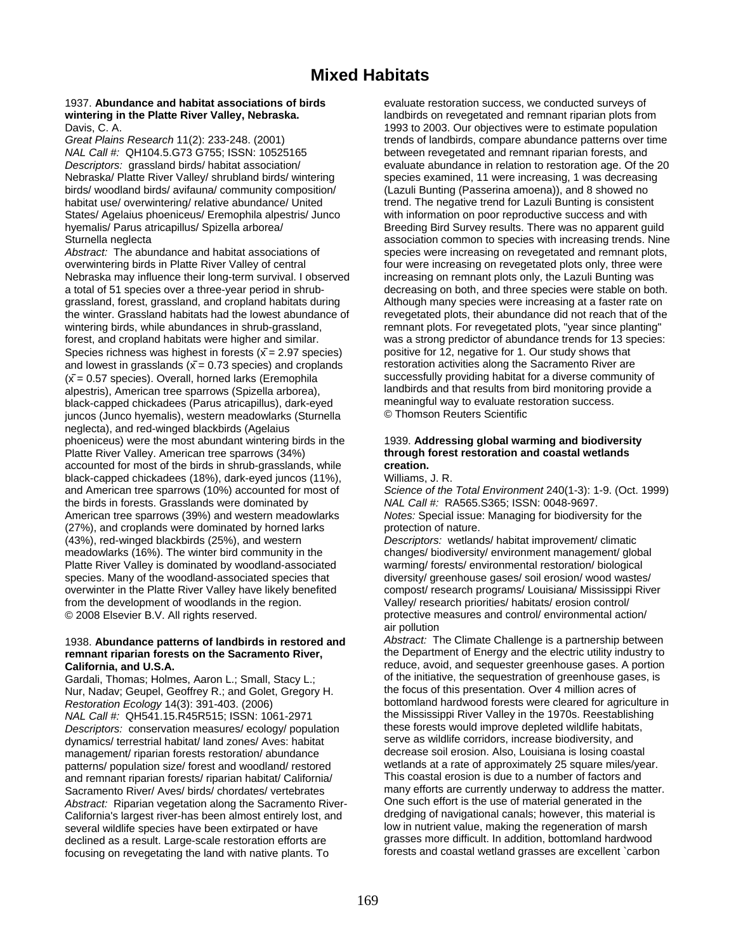# 1937. **Abundance and habitat associations of birds** evaluate restoration success, we conducted surveys of

Nebraska/ Platte River Valley/ shrubland birds/ wintering species examined, 11 were increasing, 1 was decreasing birds/ woodland birds/ avifauna/ community composition/ (Lazuli Bunting (Passerina amoena)), and 8 showed no habitat use/ overwintering/ relative abundance/ United trend. The negative trend for Lazuli Bunting is consistent States/ Agelaius phoeniceus/ Eremophila alpestris/ Junco with information on poor reproductive success and with hyemalis/ Parus atricapillus/ Spizella arborea/ Breeding Bird Survey results. There was no apparent growth

*Abstract:* The abundance and habitat associations of species were increasing on revegetated and remnant plots, overwintering birds in Platte River Valley of central four were increasing on revegetated plots only, three we Nebraska may influence their long-term survival. I observed a total of 51 species over a three-year period in shrub- decreasing on both, and three species were stable on both. grassland, forest, grassland, and cropland habitats during Although many species were increasing at a faster rate on wintering birds, while abundances in shrub-grassland, remnant plots. For revegetated plots, "year since planting" forest, and cropland habitats were higher and similar. was a strong predictor of abundance trends for 13 species: Species richness was highest in forests ( $\bar{x} = 2.97$  species) positive for 12, negative for 1. Our study shows that and lowest in grasslands ( $\bar{x} = 0.73$  species) and croplands restoration activities along the Sacrament and lowest in grasslands ( $\bar{x}$  = 0.73 species) and croplands restoration activities along the Sacramento River are<br> $(\bar{x}$  = 0.57 species). Overall, horned larks (Fremophila successfully providing habitat for a diverse c  $(\bar{x} = 0.57$  species). Overall, horned larks (Eremophila successfully providing habitat for a diverse community of albestris). A successfully provide a successfully provide a successfully provide a successfully provide a alpestris), American tree sparrows (Spizella arborea), landbirds and that results from bird monitoring provide a<br>black-capped chickadees (Parus atricapillus), dark-eved meaningful way to evaluate restoration success. black-capped chickadees (Parus atricapillus), dark-eyed meaningful way to evaluate restoration in the unconserved meaning meaning meaning meaning to evaluate restoration success. juncos (Junco hyemalis), western meadowlarks (Sturnella neglecta), and red-winged blackbirds (Agelaius phoeniceus) were the most abundant wintering birds in the 1939. **Addressing global warming and biodiversity**  Platte River Valley. American tree sparrows (34%) **through forest restoration and coastal wetlands**<br>
accounted for most of the birds in shrub-grasslands, while **creation**. accounted for most of the birds in shrub-grasslands, while black-capped chickadees (18%), dark-eyed juncos (11%), Williams, J. R.<br>and American tree sparrows (10%) accounted for most of Science of the Total Environment 240(1-3): 1-9. (Oct. 1999) and American tree sparrows (10%) accounted for most of *Science of the Total Environment* 240(1-3): 1-1. (The birds in forests. Grasslands were dominated by *NAL Call #:* RA565.S365; ISSN: 0048-9697. the birds in forests. Grasslands were dominated by *NAL Call #:* **RA565.S365; ISSN: 0048-9697.**<br>American tree sparrows (39%) and western meadowlarks *Notes: Special issue: Managing for biodiversity for the* American tree sparrows (39%) and western meadowlarks *Notes:* Special issue: Mores: Special issue: Managing for the theories: Managing for the theories: Managing for the theories: Managing for the theories: Managing for th (27%), and croplands were dominated by horned larks (43%), red-winged blackbirds (25%), and western *Descriptors:* wetlands/ habitat improvement/ climatic meadowlarks (16%). The winter bird community in the changes/ biodiversity/ environment management/ global Platte River Valley is dominated by woodland-associated warming/ forests/ environmental restoration/ biological species. Many of the woodland-associated species that diversity/ greenhouse gases/ soil erosion/ wood wastes/ overwinter in the Platte River Valley have likely benefited compost/ research programs/ Louisiana/ Mississippi River<br>
from the development of woodlands in the region.<br>
Valley/ research priorities/ habitats/ erosion control © 2008 Elsevier B.V. All rights reserved. protective measures and control/ environmental action/ ̄ ̄ ̄

# **remnant riparian forests on the Sacramento River, the Department of Energy and the electric utility industry to reduce, avoid, and sequester greenhouse gases. A portion reduce, avoid, and sequester greenhouse gases. A p**

Gardali, Thomas; Holmes, Aaron L.; Small, Stacy L.; on the initiative, the sequestration of greenhouse gase<br>Suur, Naday: Geupel, Geoffrey R.: and Golet, Gregory H. The focus of this presentation. Over 4 million acres of Nur, Nadav; Geupel, Geoffrey R.; and Golet, Gregory H. *NAL Call #:* QH541.15.R45R515; ISSN: 1061-2971 the Mississippi River Valley in the 1970s. Reestablishin<br>Descriptors: conservation measures/ecology/population these forests would improve depleted wildlife habitats, *Descriptors:* conservation measures/ ecology/ population these forests would improve depleted wildlife habitats<br>dynamics/ terrestrial habitat/ land zones/ Ayes: habitat serve as wildlife corridors, increase biodiversity, dynamics/ terrestrial habitat/ land zones/ Aves: habitat serve as wildlife corridors, increase biodiversity, and<br>management/ riparian forests restoration/ abundance decrease soil erosion. Also, Louisiana is losing coastal management/ riparian forests restoration/ abundance decrease soil erosion. Also, Louisiana is losing coastal<br>
natterns/ population size/ forest and woodland/ restored wetlands at a rate of approximately 25 square miles/yea patterns/ population size/ forest and woodland/ restored wetlands at a rate of approximately 25 square miles/ye<br>And remnant riparian forests/ riparian habitat/ California/ This coastal erosion is due to a number of factors and remnant riparian forests/ riparian habitat/ California/<br>Sacramento River/ Aves/ birds/ chordates/ vertebrates *Abstract:* Riparian vegetation along the Sacramento River-California's largest river-has been almost entirely lost, and dredging of navigational canals; however, this material is several wildlife species have been extirpated or have low in nutrient value, making the regeneration of marsh<br>declined as a result. I arge-scale restoration efforts are grasses more difficult. In addition, bottomland hardw declined as a result. Large-scale restoration efforts are grasses more difficult. In addition, bottomland hardwood<br>focusing on revegetating the land with native plants. To forests and coastal wetland grasses are excellent focusing on revegetating the land with native plants. To

landbirds on revegetated and remnant riparian plots from Davis, C. A. 1993 to 2003. Our objectives were to estimate population<br>Great Plains Research 11(2): 233-248. (2001) Trends of landbirds, compare abundance patterns over tim *Great Plains Research* 11(2): 233-248. (2001) trends of landbirds, compare abundance patterns over time<br> *NAL Call #:* QH104.5.G73 G755; ISSN: 10525165 between revegetated and remnant riparian forests, and between revegetated and remnant riparian forests, and *Descriptors:* grassland birds/ habitat association/ evaluate abundance in relation to restoration age. Of the 20 Breeding Bird Survey results. There was no apparent guild Sturnella neglecta<br>
Abstract: The abundance and habitat associations of species were increasing on revegetated and remnant plots, four were increasing on revegetated plots only, three were increasing on remnant plots only, the Lazuli Bunting was the winter. Grassland habitats had the lowest abundance of revegetated plots, their abundance did not reach that of the

Valley/ research priorities/ habitats/ erosion control/ air pollution

1938. **Abundance patterns of landbirds in restored and** *Abstract:* The Climate Challenge is a partnership between reduce, avoid, and sequester greenhouse gases. A portion of the initiative, the sequestration of greenhouse gases, is *Restoration Ecology* 14(3): 391-403. (2006)<br> **Bottomland hardwood forests were cleared for agriculture in**<br> *NAI* Call #: QH541.15.R45R515: ISSN: 1061-2971 the Mississippi River Valley in the 1970s. Reestablishing many efforts are currently underway to address the matter.<br>One such effort is the use of material generated in the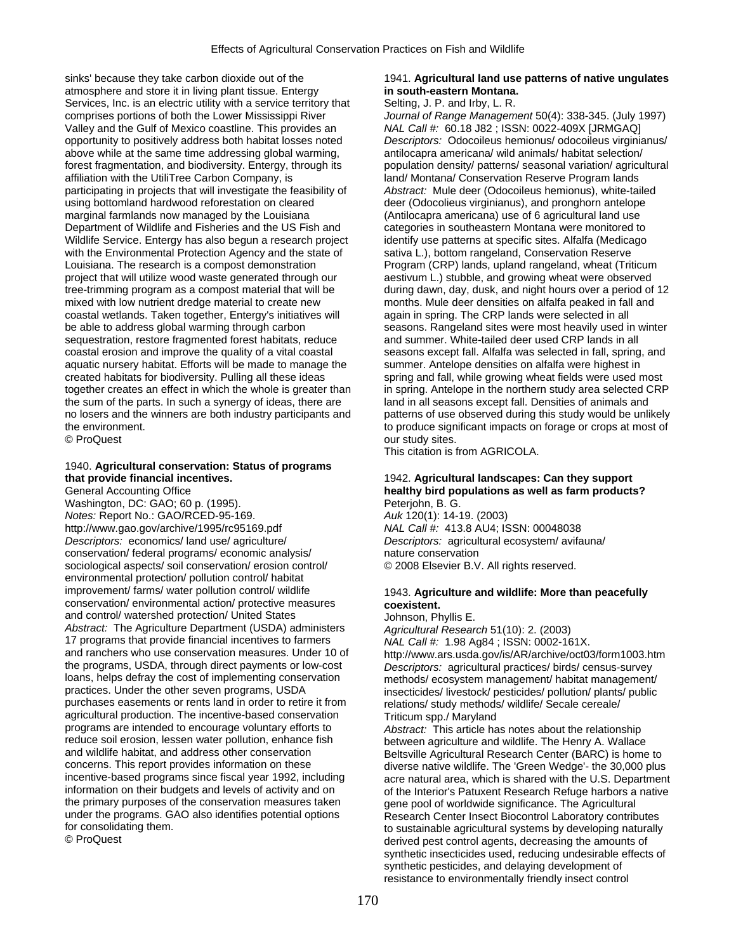sinks' because they take carbon dioxide out of the 1941. **Agricultural land use patterns of native ungulates**  atmosphere and store it in living plant tissue. Entergy **in south-eastern Montana.**  Services, Inc. is an electric utility with a service territory that Selting, J. P. and Irby, L. R. comprises portions of both the Lower Mississippi River *Journal of Range Management* 50(4): 338-345. (July 1997) Valley and the Gulf of Mexico coastline. This provides an *NAL Call #:* 60.18 J82 ; ISSN: 0022-409X [JRMGAQ] opportunity to positively address both habitat losses noted *Descriptors:* Odocoileus hemionus/ odocoileus virginianus/ above while at the same time addressing global warming, antilocapra americana/ wild animals/ habitat selection/ forest fragmentation, and biodiversity. Entergy, through its population density/ patterns/ seasonal variation/ agricultural affiliation with the UtiliTree Carbon Company, is land/ Montana/ Conservation Reserve Program lands participating in projects that will investigate the feasibility of *Abstract:* Mule deer (Odocoileus hemionus), white-tailed using bottomland hardwood reforestation on cleared deer (Odocolieus virginianus), and pronghorn antelope marginal farmlands now managed by the Louisiana (Antilocapra americana) use of 6 agricultural land use Department of Wildlife and Fisheries and the US Fish and categories in southeastern Montana were monitored to Wildlife Service. Entergy has also begun a research project identify use patterns at specific sites. Alfalfa (Medicago with the Environmental Protection Agency and the state of sativa L.), bottom rangeland, Conservation Reserve Louisiana. The research is a compost demonstration Program (CRP) lands, upland rangeland, wheat (Triticum project that will utilize wood waste generated through our asstivum L.) stubble, and growing wheat were observed project that will utilize wood waste generated through our aestivum L.) stubble, and growing wheat were observed<br>tree-trimming program as a compost material that will be during dawn, day, dusk, and night hours over a perio tree-trimming program as a compost material that will be mixed with low nutrient dredge material to create new months. Mule deer densities on alfalfa peaked in fall and coastal wetlands. Taken together, Entergy's initiatives will again in spring. The CRP lands were selected in all be able to address global warming through carbon seasons. Rangeland sites were most heavily used in winter sequestration, restore fragmented forest habitats, reduce and summer. White-tailed deer used CRP lands in all coastal erosion and improve the quality of a vital coastal seasons except fall. Alfalfa was selected in fall, spring, and aquatic nursery habitat. Efforts will be made to manage the summer. Antelope densities on alfalfa were highest in created habitats for biodiversity. Pulling all these ideas spring and fall, while growing wheat fields were used most together creates an effect in which the whole is greater than in spring. Antelope in the northern study area selected CRP the sum of the parts. In such a synergy of ideas, there are land in all seasons except fall. Densities of animals and no losers and the winners are both industry participants and patterns of use observed during this study would be unlikely the environment. to produce significant impacts on forage or crops at most of © ProQuest our study sites.

### 1940. **Agricultural conservation: Status of programs that provide financial incentives.** 1942. **Agricultural landscapes: Can they support**

Washington, DC: GAO; 60 p. (1995). Peterjohn, B. G. *Notes:* Report No.: GAO/RCED-95-169. *Auk* 120(1): 14-19. (2003) http://www.gao.gov/archive/1995/rc95169.pdf *Descriptors:* economics/ land use/ agriculture/ *Descriptors:* agricultural ecosystem/ avifauna/ conservation/ federal programs/ economic analysis/ nature conservation sociological aspects/ soil conservation/ erosion control/  $\degree$  2008 Elsevier B.V. All rights reserved. environmental protection/ pollution control/ habitat improvement/ farms/ water pollution control/ wildlife 1943. Agriculture and wildlife: More than peacefully conservation/ environmental action/ protective measures **coexistent.**<br>and control/ watershed protection/ United States **building** Johnson, Phyllis E. and control/ watershed protection/ United States *Abstract:* The Agriculture Department (USDA) administers *Agricultural Research* 51(10): 2. (2003) 17 programs that provide financial incentives to farmers<br>and ranchers who use conservation measures. Under 10 of and ranchers who use conservation measures. Under 10 of http://www.ars.usda.gov/is/AR/archive/oct03/form1003.htm<br>the programs, USDA, through direct payments or low-cost Descriptors: agricultural practices/ birds/ census-su the programs, USDA, through direct payments or low-cost *Descriptors:* agricultural practices/ birds/ census-survey loans, helps defray the cost of implementing conservation methods/ ecosystem management/ habitat management/<br>practices. Under the other seven programs, USDA insecticides/ livestock/ pesticides/ pollution/ plants/ public purchases easements or rents land in order to retire it from relations/ study methods/ wildlife/ Secale cereale/ agricultural production. The incentive-based conservation Triticum spp./ Maryland programs are intended to encourage voluntary efforts to *Abstract:* This article has notes about the relationship reduce soil erosion, lessen water pollution, enhance fish between agriculture and wildlife. The Henry A. Wallace<br>Betsville Agricultural Research Center (BARC) is home and wildlife habitat, and address other conservation Beltsville Agricultural Research Center (BARC) is home to<br>Concerns. This report provides information on these diverse native wildlife. The 'Green Wedge'- the 30,000 plus concerns. This report provides information on these diverse native wildlife. The 'Green Wedge'- the 30,000 plus<br>incentive-based programs since fiscal year 1992, including acre natural area which is shared with the U.S. Dep information on their budgets and levels of activity and on of the Interior's Patuxent Research Refuge harbors a native<br>the primary purposes of the conservation measures taken one nool of worldwide significance. The Agricul the primary purposes of the conservation measures taken gene pool of worldwide significance. The Agricultural<br>under the programs. GAO also identifies potential options Research Center Insect Biocontrol Laboratory contrib under the programs. GAO also identifies potential options Research Center Insect Biocontrol Laboratory contributes<br>for consolidating them.

This citation is from AGRICOLA.

# General Accounting Office **healthy bird populations as well as farm products?**

insecticides/ livestock/ pesticides/ pollution/ plants/ public

incentive-based programs since fiscal year 1992, including acre natural area, which is shared with the U.S. Department<br>information on their budgets and levels of activity and on of the Interior's Patuxent Research Refuge h for consolidating them.<br>
© ProQuest Consolidating them. to sustainable agricultural systems by developing naturally derived pest control agents, decreasing the amounts of synthetic insecticides used, reducing undesirable effects of synthetic pesticides, and delaying development of resistance to environmentally friendly insect control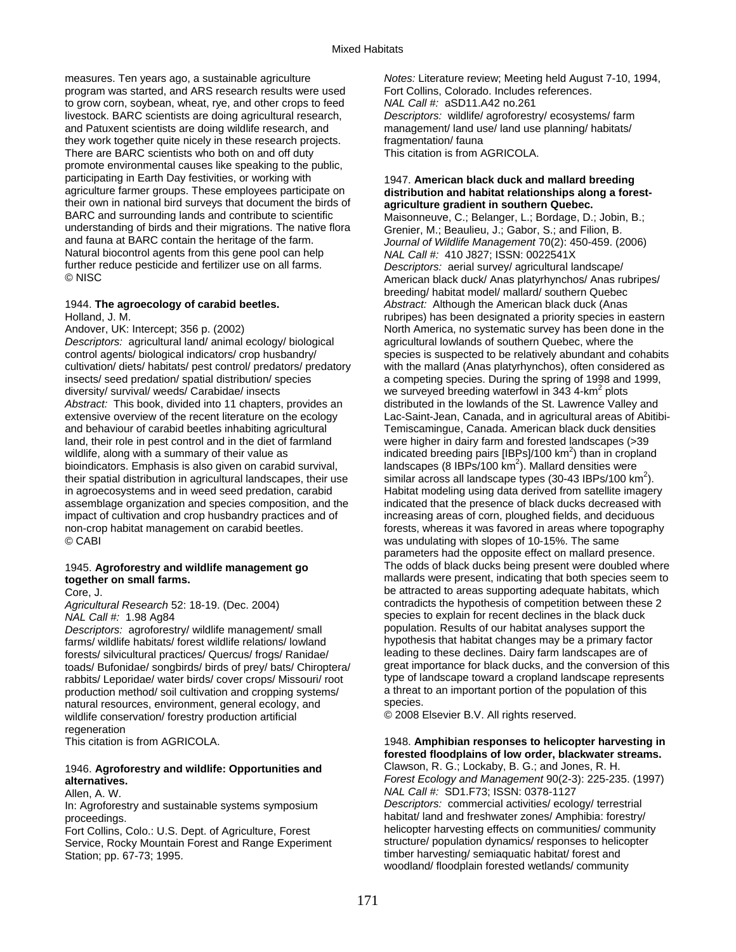measures. Ten years ago, a sustainable agriculture *Notes:* Literature review; Meeting held August 7-10, 1994, program was started, and ARS research results were used Fort Collins, Colorado. Includes references. to grow corn, soybean, wheat, rye, and other crops to feed *NAL Call #:* aSD11.A42 no.261 livestock. BARC scientists are doing agricultural research, *Descriptors:* wildlife/ agroforestry/ ecosystems/ farm and Patuxent scientists are doing wildlife research, and management/ land use/ land use planning/ habitats/ they work together quite nicely in these research projects. fragmentation/ fauna<br>There are BARC scientists who both on and off duty This citation is from AGRICOLA. There are BARC scientists who both on and off duty promote environmental causes like speaking to the public, participating in Earth Day festivities, or working with participating in Earth Day festivities, or working with 1947. **American black duck and mallard breeding**  their own in national bird surveys that document the birds of BARC and surrounding lands and contribute to scientific understanding of birds and their migrations. The native flora Grenier, M.; Beaulieu, J.; Gabor, S.; and Filion, B.<br>and fauna at BARC contain the heritage of the farm.<br>*Journal of Wildlife Management 70(2)*: 450-459. Natural biocontrol agents from this gene pool can help further reduce pesticide and fertilizer use on all farms. *Descriptors:* aerial survey/ agricultural landscape/

Andover, UK: Intercept; 356 p. (2002) North America, no systematic survey has been done in the *Descriptors:* agricultural land/ animal ecology/ biological agricultural lowlands of southern Quebec, where the control agents/ biological indicators/ crop husbandry/ species is suspected to be relatively abundant and cohabits cultivation/ diets/ habitats/ pest control/ predators/ predatory with the mallard (Anas platyrhynchos), often considered as insects/ seed predation/ spatial distribution/ species a competing species. During the spring of 1 diversity/ survival/ weeds/ Carabidae/ insects we surveyed breeding waterfowl in 343 4-km<sup>2</sup> plots *Abstract:* This book, divided into 11 chapters, provides an distributed in the lowlands of the St. Lawrence Valley and extensive overview of the recent literature on the ecology Lac-Saint-Jean, Canada, and in agricultural extensive overview of the recent literature on the ecology Lac-Saint-Jean, Canada, and in agricultural areas of Abitibi-<br>and behaviour of carabid beetles inhabiting agricultural Temiscamingue. Canada. American black duck d land, their role in pest control and in the diet of farmland were higher in dairy farm and forested landscapes (>39 wildlife, along with a summary of their value as bioindicators. Emphasis is also given on carabid survival, their spatial distribution in agricultural landscapes, their use in agroecosystems and in weed seed predation, carabid Habitat modeling using data derived from satellite imagery assemblage organization and species composition, and the indicated that the presence of black ducks decreased with impact of cultivation and crop husbandry practices and of increasing areas of corn, ploughed fields, and deciduous non-crop habitat management on carabid beetles. forests, whereas it was favored in areas where topography © CABI was undulating with slopes of 10-15%. The same

*Descriptors:* agroforestry/ wildlife management/ small population. Results of our habitat analyses support the farms/ wildlife habitats/ forest wildlife relations/ lowland hypothesis that habitat changes may be a primary factor<br>forests/ silvicultural practices/ Quercus/ frogs/ Ranidae/ leading to these declines. Dairy farm landscap toads/ Bufonidae/ songbirds/ birds of prey/ bats/ Chiroptera/ rabbits/ Leporidae/ water birds/ cover crops/ Missouri/ root type of landscape toward a cropland landscape represents<br>production method/ soil cultivation and cropping systems/ a threat to an important portion of the popula production method/ soil cultivation and cropping systems/ a threat the population of the population of the population of the population of the population of the population of the population of the population of the populat natural resources, environment, general ecology, and species. wildlife conservation/ forestry production artificial regeneration

## 1946. Agroforestry and wildlife: Opportunities and

In: Agroforestry and sustainable systems symposium

Service, Rocky Mountain Forest and Range Experiment Station; pp. 67-73; 1995. The station; pp. 67-73; 1995.

# distribution and habitat relationships along a forest-<br>agriculture gradient in southern Quebec.

Maisonneuve, C.; Belanger, L.; Bordage, D.; Jobin, B.; Journal of Wildlife Management 70(2): 450-459. (2006)<br>NAL Call #: 410 J827: ISSN: 0022541X American black duck/ Anas platyrhynchos/ Anas rubripes/ breeding/ habitat model/ mallard/ southern Quebec 1944. **The agroecology of carabid beetles.** *Abstract:* Although the American black duck (Anas Holland, J. M. rubripes) has been designated a priority species in eastern a competing species. During the spring of 1998 and 1999, Temiscamingue, Canada, American black duck densities indicated breeding pairs  $[IBPs]/100 km^2$ ) than in cropland landscapes (8 IBPs/100  $km^2$ ). Mallard densities were similar across all landscape types (30-43 IBPs/100 km<sup>2</sup>). parameters had the opposite effect on mallard presence. 1945. **Agroforestry and wildlife management go** The odds of black ducks being present were doubled where **together on small farms.** mallards were present, indicating that both species seem to Core, J. be attracted to areas supporting adequate habitats, which *Agricultural Research* 52: 18-19. (Dec. 2004) contradicts the hypothesis of competition between these 2 *NAL Call #:* 1.98 Ag84 species to explain for recent declines in the black duck<br>Descriptors: agroforestry/ wildlife management/ small population. Results of our habitat analyses support the forests/ silvicultural practices/ Quercus/ frogs/ Ranidae/ leading to these declines. Dairy farm landscapes are of<br>toads/ Bufonidae/ songbirds/ birds of prey/ bats/ Chiroptera/ great importance for black ducks, and the con

### This citation is from AGRICOLA. 1948. **Amphibian responses to helicopter harvesting in forested floodplains of low order, blackwater streams.**

**alternatives.** *Forest Ecology and Management* 90(2-3): 225-235. (1997) Allen, A. W. *NAL Call #:* SD1.F73; ISSN: 0378-1127 proceedings.<br>
Fort Collins Colo: U.S. Dent of Agriculture Forest habitat/ land and freshwater zones/ Amphibia: forestry/<br>
helicopter harvesting effects on communities/ community Fort Collins, Colo.: U.S. Dept. of Agriculture, Forest helicopter harvesting effects on communities/ communities<br>Service Rocky Mountain Forest and Range Experiment structure/ population dynamics/ responses to helicopter woodland/ floodplain forested wetlands/ community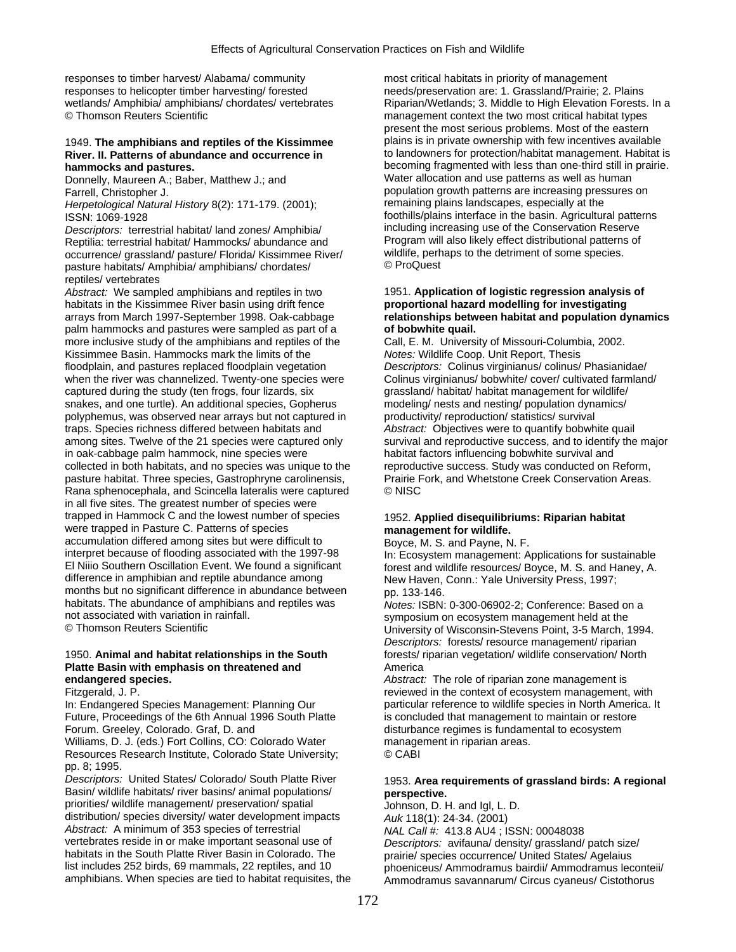responses to timber harvest/ Alabama/ community most critical habitats in priority of management responses to helicopter timber harvesting/ forested needs/preservation are: 1. Grassland/Prairie; 2. Plains

# **River. II. Patterns of abundance and occurrence in hammocks and pastures.**

Donnelly, Maureen A.; Baber, Matthew J.; and

*Herpetological Natural History* 8(2): 171-179. (2001); ISSN: 1069-1928

*Descriptors:* terrestrial habitat/ land zones/ Amphibia/ including increasing use of the Conservation Reserve<br>Reptilia: terrestrial habitat/ Hammocks/ abundance and **Program will also likely effect distributional patterns** Reptilia: terrestrial habitat/ Hammocks/ abundance and Program will also likely effect distributional patterns<br>Cocurrence/ grassland/ pasture/ Florida/ Kissimmee River/ Wildlife, perhaps to the detriment of some species. occurrence/ grassland/ pasture/ Florida/ Kissimmee River/ wildlife, perh<br>nasture habitats/ Amphibia/ amphibians/ chordates/ © ProQuest pasture habitats/ Amphibia/ amphibians/ chordates/ reptiles/ vertebrates

*Abstract:* We sampled amphibians and reptiles in two 1951. **Application of logistic regression analysis of**  habitats in the Kissimmee River basin using drift fence **proportional hazard modelling for investigating**  arrays from March 1997-September 1998. Oak-cabbage **relationships between habitat and population dynamics**  palm hammocks and pastures were sampled as part of a **of bobwhite quail.**  more inclusive study of the amphibians and reptiles of the Call, E. M. University of Missouri-Columbia, 2002. Kissimmee Basin. Hammocks mark the limits of the *Notes:* Wildlife Coop. Unit Report, Thesis floodplain, and pastures replaced floodplain vegetation *Descriptors:* Colinus virginianus/ colinus/ Phasianidae/ when the river was channelized. Twenty-one species were Colinus virginianus/ bobwhite/ cover/ cultivated farmland/ captured during the study (ten frogs, four lizards, six grassland/ habitat/ habitat management for wildlife/ snakes, and one turtle). An additional species, Gopherus modeling/ nests and nesting/ population dynamics/<br>polyphemus, was observed near arrays but not captured in productivity/ reproduction/ statistics/ survival polyphemus, was observed near arrays but not captured in productivity/ reproduction/ statistics/ survival<br>traps. Species richness differed between habitats and *Abstract:* Objectives were to quantify bobwhite quail traps. Species richness differed between habitats and among sites. Twelve of the 21 species were captured only in oak-cabbage palm hammock, nine species were habitat factors influencing bobwhite survival and collected in both habitats, and no species was unique to the reproductive success. Study was conducted on Reform, pasture habitat. Three species, Gastrophryne carolinensis, Prairie Fork, and Whetstone Creek Conservation Areas. Rana sphenocephala, and Scincella lateralis were captured © NISC in all five sites. The greatest number of species were trapped in Hammock C and the lowest number of species 1952. Applied disequilibriums: Riparian habitat were trapped in Pasture C. Patterns of species **management for wildlife.** accumulation differed among sites but were difficult to Boyce, M. S. and Payne, N. F.<br>interpret because of flooding associated with the 1997-98  $\vert$ n: Ecosystem management: A interpret because of flooding associated with the 1997-98 In: Ecosystem management: Applications for sustainable<br>El Niijo Southern Oscillation Event. We found a significant forest and wildlife resources/ Boyce, M. S. and H El Niiio Southern Oscillation Event. We found a significant forest and wildlife resources/ Boyce, M. S. and Haney, A.<br>difference in amphibian and reptile abundance among surfaces are the Hayen Conn : Yale University Press, months but no significant difference in abundance between pp. 133-146. habitats. The abundance of amphibians and reptiles was *Notes:* ISBN: 0-300-06902-2; Conference: Based on a not associated with variation in rainfall. not associated with variation in rainfall.<br>
© Thomson Reuters Scientific Supervisory of Wisconsin-Stevens Point 3-5 March 1

### 1950. **Animal and habitat relationships in the South** forests/ riparian vegetation/ wildlife conservation/ North **Platte Basin with emphasis on threatened and <br>
America endangered species.** *Abstract:* The role of riparian zone management is

Future, Proceedings of the 6th Annual 1996 South Platte is concluded that management to maintain or restore Forum. Greeley, Colorado. Graf, D. and disturbance regimes is fundamental to ecosystem Williams, D. J. (eds.) Fort Collins, CO: Colorado Water management in riparian areas.

Resources Research Institute, Colorado State University; **CABI** pp. 8; 1995.

*Descriptors:* United States/ Colorado/ South Platte River 1953. **Area requirements of grassland birds: A regional**  Basin/ wildlife habitats/ river basins/ animal populations/ **perspective.** priorities/ wildlife management/ preservation/ spatial Johnson, D. H. and Igl, L. D. distribution/ species diversity/ water development impacts *Auk* 118(1): 24-34. (2001)<br>Abstract: A minimum of 353 species of terrestrial *NAI* Call #: 413 8 AU4 · II *Abstract:* A minimum of 353 species of terrestrial *NAL Call #:* 413.8 AU4 ; ISSN: 00048038 vertebrates reside in or make important seasonal use of *Descriptors:* avifauna/ density/ grassland/ patch size/ habitats in the South Platte River Basin in Colorado. The prairie/ species occurrence/ United States/ Agelaius<br>International species occurrence/ Annodramus legislation in the prairie of the proportional special of the sta list includes 252 birds, 69 mammals, 22 reptiles, and 10 phoeniceus/ Ammodramus bairdii/ Ammodramus leconteii/<br>amphibians. When species are tied to habitat requisites, the ammodramus sayannarum/ Circus cyaneus/ Cistothorus

wetlands/ Amphibia/ amphibians/ chordates/ vertebrates Riparian/Wetlands; 3. Middle to High Elevation Forests. In a<br>© Thomson Reuters Scientific management context the two most critical habitat types present the most serious problems. Most of the eastern 1949. **The amphibians and reptiles of the Kissimmee** plains is in private ownership with few incentives available becoming fragmented with less than one-third still in prairie.<br>Water allocation and use patterns as well as human Farrell, Christopher J.<br>
Herpetological Natural History 8(2): 171-179 (2001). Temaining plains landscapes, especially at the foothills/plains interface in the basin. Agricultural patterns including increasing use of the Conservation Reserve

survival and reproductive success, and to identify the major

New Haven, Conn.: Yale University Press, 1997;

University of Wisconsin-Stevens Point, 3-5 March, 1994. *Descriptors:* forests/ resource management/ riparian

Fitzgerald, J. P. reviewed in the context of ecosystem management, with In: Endangered Species Management: Planning Our particular reference to wildlife species in North America. It

Ammodramus savannarum/ Circus cyaneus/ Cistothorus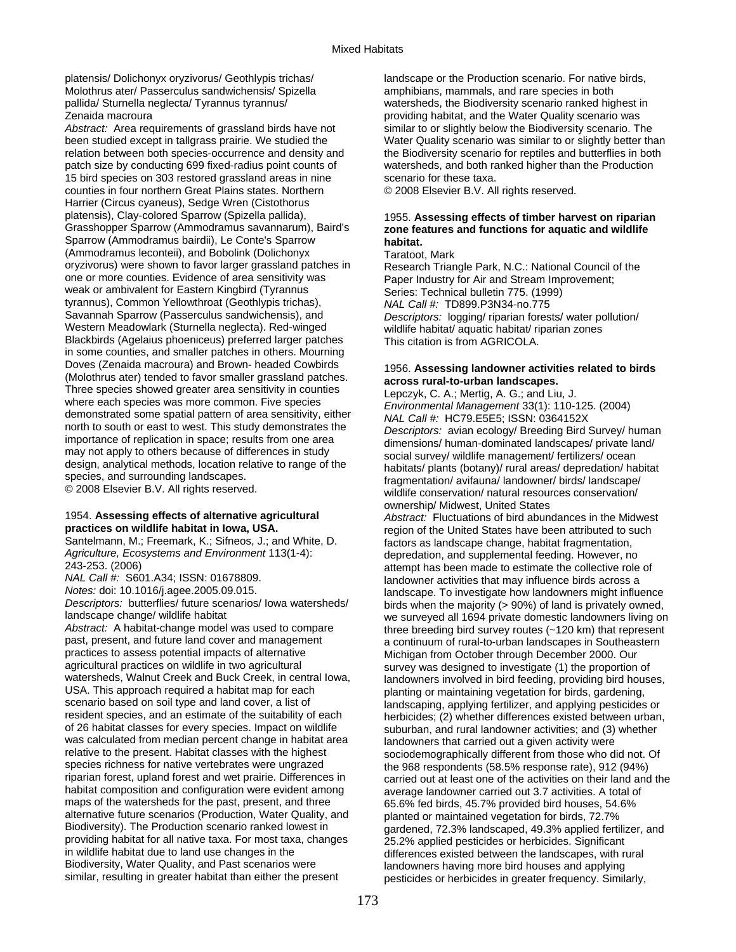Molothrus ater/ Passerculus sandwichensis/ Spizella amphibians, mammals, and rare species in both

been studied except in tallgrass prairie. We studied the Water Quality scenario was similar to or slightly better than relation between both species-occurrence and density and the Biodiversity scenario for reptiles and butterflies in both patch size by conducting 699 fixed-radius point counts of watersheds, and both ranked higher than the patch size by conducting 699 fixed-radius point counts of 15 bird species on 303 restored grassland areas in nine scenario for these taxa. counties in four northern Great Plains states. Northern © 2008 Elsevier B.V. All rights reserved. Harrier (Circus cyaneus), Sedge Wren (Cistothorus platensis), Clay-colored Sparrow (Spizella pallida), 1955. **Assessing effects of timber harvest on riparian**  $\alpha$  or  $\beta$ Sparrow (Ammodramus bairdii), Le Conte's Sparrow **habitat.**  (Ammodramus leconteii), and Bobolink (Dolichonyx Taratoot, Mark oryzivorus) were shown to favor larger grassland patches in Research Triangle Park, N.C.: National Council of the one or more counties. Evidence of area sensitivity was Paper Industry for Air and Stream Improvement; weak or ambivalent for Eastern Kingbird (Tyrannus Series: Technical bulletin 775. (1999) tyrannus), Common Yellowthroat (Geothlypis trichas), *NAL Call #:* TD899.P3N34-no.775 Savannah Sparrow (Passerculus sandwichensis), and *Descriptors:* logging/ riparian forests/ water pollution/ Blackbirds (Agelaius phoeniceus) preferred larger patches This citation is from AGRICOLA. in some counties, and smaller patches in others. Mourning Noves (Zenaida macroura) and Brown-headed Cowbirds<br>
(Molothrus ater) tended to favor smaller grassland patches.<br>
Three species showed greater area sensitivity in counties<br>
where each species was more common. Five species<br>

Santelmann, M.; Freemark, K.; Sifneos, J.; and White, D. factors as landscape change, habitat fragmentation, Agriculture, Ecosystems and Environment 113(1-4): depredation, and supplemental feeding. However, no *Agriculture, Ecosystems and Environment* 113(1-4): depredation, and supplemental feeding. However, no

*Descriptors:* butterflies/ future scenarios/ Iowa watersheds/ birds when the majority (> 90%) of land is privately owned,

Abstract: A habitat-change model was used to compare three breeding bird survey routes (~120 km) that represent<br>past, present, and future land cover and management a continuum of rural-to-urban landscapes in Southeastern past, present, and future land cover and management a continuum of rural-to-urban landscapes in Southeastern<br>practices to assess potential impacts of alternative Michigan from October through December 2000. Our practices to assess potential impacts of alternative Michigan from October through December 2000. Our agricultural practices on wildlife in two agricultural agricultural practices on wildlife in two agricultural survey was designed to investigate (1) the proportion of<br>watersheds, Walnut Creek and Buck Creek, in central lowa, a landowners involved in bird feeding, providing bir watersheds, Walnut Creek and Buck Creek, in central Iowa, landowners involved in bird feeding, providing bird houses,<br>USA. This approach required a habitat map for each local planting or maintaining vegetation for birds, g USA. This approach required a habitat map for each planting or maintaining vegetation for birds, gardening, vertically scenario based on soil type and land cover, a list of planting and anolying fertilizer, and applying pe scenario based on soil type and land cover, a list of landscaping, applying fertilizer, and applying pesticides or<br>Interview of languary of the suitability of each berbicides: (2) whether differences existed between urban resident species, and an estimate of the suitability of each herbicides; (2) whether differences existed between urban,<br>of 26 habitat classes for every species. Impact on wildlife suburban, and rural landowner activities: was calculated from median percent change in habitat area landowners that carried out a given activity were<br>relative to the present. Habitat classes with the highest sociodemographically different from those who d relative to the present. Habitat classes with the highest sociodemographically different from those who did not. Of<br>species richness for native vertebrates were ungrazed the 968 respondents (58.5% response rate), 912 (94%) species richness for native vertebrates were ungrazed the 968 respondents (58.5% response rate), 912 (94%)<br>
riparian forest, upland forest and wet prairie. Differences in carried out at least one of the activities on their riparian forest, upland forest and wet prairie. Differences in carried out at least one of the activities on their land and the habitat composition and configuration were evident among average landowner carried out 3.7 act habitat composition and configuration were evident among average landowner carried out 3.7 activities. A total of maps of the watersheds for the past, present, and three  $\frac{65.6\%}{65.6\%}$  fed birds. 45.7% provided bird h alternative future scenarios (Production, Water Quality, and planted or maintained vegetation for birds, 72.7%<br>Biodiversity). The Production scenario ranked lowest in eardened. 72.3% landscaped. 49.3% applied ferti providing habitat for all native taxa. For most taxa, changes  $\frac{25.2\%}{25.2\%}$  applied pesticides or herbicides. Significant in wildlife habitat due to land use changes in the distriction differences existed between the in wildlife habitat due to land use changes in the differences existed between the landscapes, with rural<br>Biodiversity, Water Quality, and Past scenarios were and andowners having more bird houses and applying Biodiversity, Water Quality, and Past scenarios were landowners having more bird houses and applying<br>similar, resulting in greater habitat than either the present pesticides or herbicides in greater frequency, Simila

platensis/ Dolichonyx oryzivorus/ Geothlypis trichas/ landscape or the Production scenario. For native birds, pallida/ Sturnella neglecta/ Tyrannus tyrannus/ watersheds, the Biodiversity scenario ranked highest in Zenaida macroura providing habitat, and the Water Quality scenario was Abstract: Area requirements of grassland birds have not similar to or slightly below the Biodiversity scenario. The

# zone features and functions for aquatic and wildlife

wildlife habitat/ aquatic habitat/ riparian zones

ownership/ Midwest, United States

1954. **Assessing effects of alternative agricultural** *Abstract:* Fluctuations of bird abundances in the Midwest region of the United States have been attributed to such 243-253. (2006)<br>
MAL Call #: S601.A34: ISSN: 01678809. The statempt has been made to estimate the collective role of *NAL Call #:* S601.A34; ISSN: 01678809. landowner activities that may influence birds across a *Notes:* doi: 10.1016/j.agee.2005.09.015.<br>*Descriptors: \butterflies/ future scenarios/ Iowa watersheds/where hirds when the majority (> 90%) of land is privately owned* landscape change/ wildlife habitat was used to compare we surveyed all 1694 private domestic landowners living on<br>Abstract: A habitat-change model was used to compare three breeding bird survey routes (~120 km) that repres suburban, and rural landowner activities; and (3) whether 65.6% fed birds, 45.7% provided bird houses, 54.6% gardened, 72.3% landscaped, 49.3% applied fertilizer, and pesticides or herbicides in greater frequency. Similarly,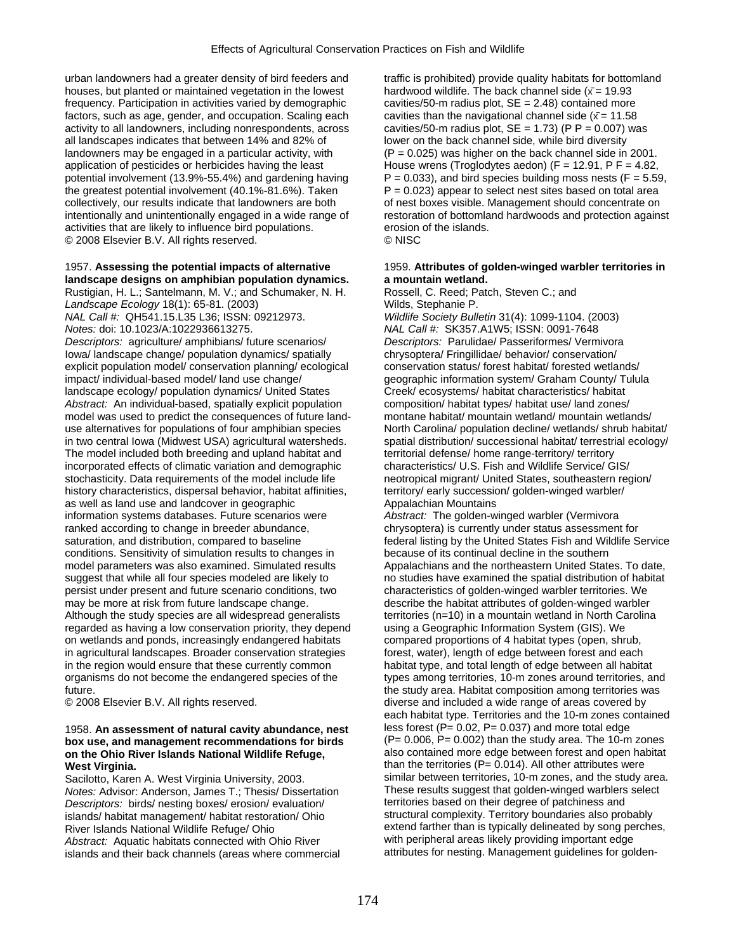urban landowners had a greater density of bird feeders and traffic is prohibited) provide quality habitats for bottomland houses, but planted or maintained vegetation in the lowest hardwood wildlife. The back channel side ( $\bar{x}$  = 19.93 frequency. Participation in activities varied by demographic cavities/50-m radius plot, SE = 2.48) contai frequency. Participation in activities varied by demographic cavities/50-m radius plot, SE = 2.48) contained more factors, such as age, gender, and occupation. Scaling each cavities than the navigational channel side ( $\bar$ factors, such as age, gender, and occupation. Scaling each cavities than the navigational channel side ( $\bar{x}$  = 11.58 activity to all landowners, including nonrespondents, across cavities/50-m radius plot, SE = 1.73) (P activity to all landowners, including nonrespondents, across all landscapes indicates that between 14% and 82% of lower on the back channel side, while bird diversity landowners may be engaged in a particular activity, with  $(PP = 0.025)$  was higher on the back channel side in 2001.<br>application of pesticides or herbicides having the least House wrens (Troglodytes aedon) (F = 12.91, P F = application of pesticides or herbicides having the least House wrens (Troglodytes aedon) (F = 12.91, P F = 4.82, potential involvement (13.9%-55.4%) and gardening having  $P = 0.033$ ), and bird species building moss nests ( the greatest potential involvement (40.1%-81.6%). Taken  $P = 0.023$  appear to select nest sites based on total area collectively, our results indicate that landowners are both of nest boxes visible. Management should concentrate on intentionally and unintentionally engaged in a wide range of restoration of bottomland hardwoods and protection against activities that are likely to influence bird populations. erosion of the islands. © 2008 Elsevier B.V. All rights reserved. © NISC

## **landscape designs on amphibian population dynamics. a mountain wetland.**

Rustigian, H. L.; Santelmann, M. V.; and Schumaker, N. H. Rossell, C. Reed; Patch, Steven C.; and Landscape Ecology 18(1): 65-81. (2003)<br> **NAL Call #: QH541.15.L35 L36; ISSN: 09212973.** Wildlife Society Bulletin 31(4): 1099-1104. (2003) *NAL Call #: QH541.15.L35 L36; ISSN: 09212973. Notes:* doi: 10.1023/A:1022936613275. *NAL Call #:* SK357.A1W5; ISSN: 0091-7648 *Descriptors:* agriculture/ amphibians/ future scenarios/ *Descriptors:* Parulidae/ Passeriformes/ Vermivora Iowa/ landscape change/ population dynamics/ spatially chrysoptera/ Fringillidae/ behavior/ conservation/ explicit population model/ conservation planning/ ecological conservation status/ forest habitat/ forested wetlands/<br>impact/ individual-based model/ land use change/ ecological geographic information system/ Graham County/ landscape ecology/ population dynamics/ United States Creek/ ecosystems/ habitat characteristics/ habitat *Abstract:* An individual-based, spatially explicit population composition/ habitat types/ habitat use/ land zones/<br>model was used to predict the consequences of future land-<br>montane habitat/ mountain wetlands/ model was used to predict the consequences of future land-<br>use alternatives for populations of four amphibian species in two central Iowa (Midwest USA) agricultural watersheds. spatial distribution/ successional habitat/ terrestrial ecology/ The model included both breeding and upland habitat and territorial defense/ home range-territory/ territory incorporated effects of climatic variation and demographic characteristics/ U.S. Fish and Wildlife Service/ GIS/ stochasticity. Data requirements of the model include life neotropical migrant/ United States, southeastern region/ history characteristics, dispersal behavior, habitat affinities, territory/ early succession/ golden-winged warbler/ as well as land use and landcover in geographic Appalachian Mountains information systems databases. Future scenarios were *Abstract:* The golden-winged warbler (Vermivora ranked according to change in breeder abundance, saturation, and distribution, compared to baseline federal listing by the United States Fish and Wildlife Service conditions. Sensitivity of simulation results to changes in because of its continual decline in the southern model parameters was also examined. Simulated results Appalachians and the northeastern United States. To date, suggest that while all four species modeled are likely to no studies have examined the spatial distribution of habitat persist under present and future scenario conditions, two characteristics of golden-winged warbler territories. We may be more at risk from future landscape change. describe the habitat attributes of golden-winged warbler Although the study species are all widespread generalists territories (n=10) in a mountain wetland in North Carolina regarded as having a low conservation priority, they depend using a Geographic Information System (GIS). We on wetlands and ponds, increasingly endangered habitats compared proportions of 4 habitat types (open, shrub, in agricultural landscapes. Broader conservation strategies forest, water), length of edge between forest and each in the region would ensure that these currently common habitat type, and total length of edge between all habitat organisms do not become the endangered species of the types among territories, 10-m zones around territories, and future. the study area. Habitat composition among territories was the study area. Habitat composition among territories was

### 1958. **An assessment of natural cavity abundance, nest** less forest (P= 0.02, P= 0.037) and more total edge **box use, and management recommendations for birds** (P= 0.006, P= 0.002) than the study area. The 10-m zones on the Chine Refunded and the Chine Refunded and the Chine Refunded and the Chine Refunded and the Chine Refunded on the Ohio River Islands National Wildlife Refuge, **West Virginia. West Virginia. than the territories (P= 0.014). All other attributes were**

*Notes:* Advisor: Anderson, James T.; Thesis/ Dissertation These results suggest that golden-winged warblers<br>Descriptors: birds/ nesting boxes/ erosion/ evaluation/ **These results suggest that golden-winged warblers** and *Descriptors:* birds/ nesting boxes/ erosion/ evaluation/ islands/ habitat management/ habitat restoration/ Ohio structural complexity. Territory boundaries also probably<br>River Islands National Wildlife Refuge/ Ohio extend farther than is typically delineated by song perche *Abstract:* Aquatic habitats connected with Ohio River with peripheral areas likely providing important edge<br>islands and their back channels (areas where commercial attributes for nesting. Management guidelines for goldenislands and their back channels (areas where commercial

 $P = 0.033$ ), and bird species building moss nests (F = 5.59, ̄ ̄

## 1957. **Assessing the potential impacts of alternative** 1959. **Attributes of golden-winged warbler territories in**

geographic information system/ Graham County/ Tulula North Carolina/ population decline/ wetlands/ shrub habitat/

© 2008 Elsevier B.V. All rights reserved. diverse and included a wide range of areas covered by each habitat type. Territories and the 10-m zones contained less forest ( $P = 0.02$ ,  $P = 0.037$ ) and more total edge Sacilotto, Karen A. West Virginia University, 2003. Similar between territories, 10-m zones, and the study area.<br>Notes: Advisor: Anderson, James T.: Thesis/ Dissertation These results suggest that golden-winged warblers se extend farther than is typically delineated by song perches, with peripheral areas likely providing important edge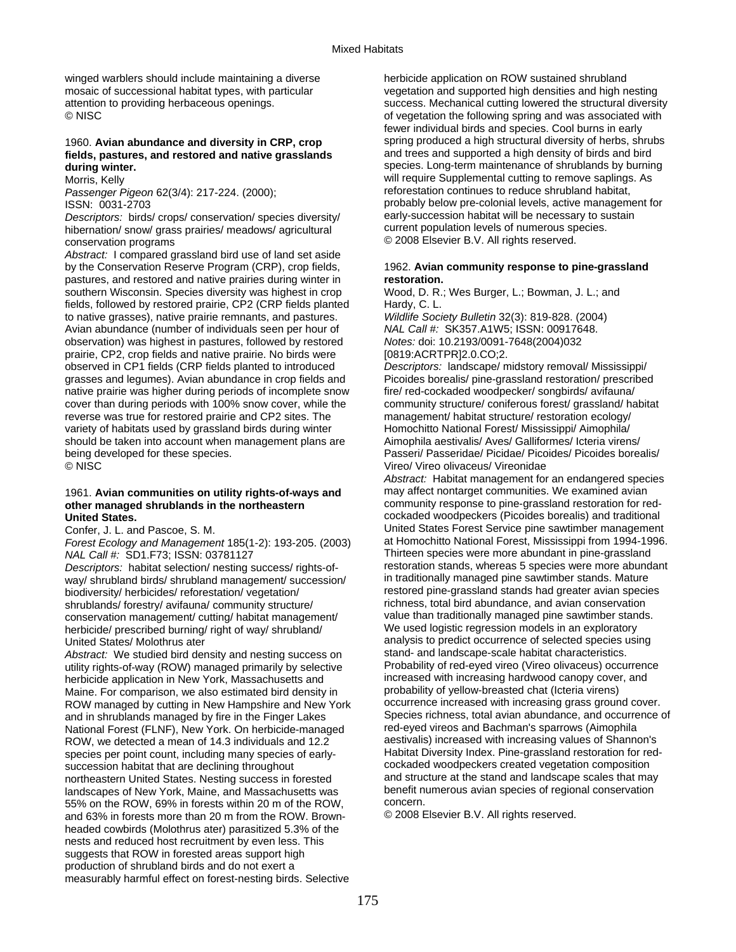winged warblers should include maintaining a diverse herbicide application on ROW sustained shrubland

# **fields, pastures, and restored and native grasslands during winter.**

*Passenger Pigeon* 62(3/4): 217-224. (2000);

*Descriptors:* birds/ crops/ conservation/ species diversity/ early-succession habitat will be necessary to sustainent population and the necessary to sustainent species. hibernation/ snow/ grass prairies/ meadows/ agricultural conservation programs © 2008 Elsevier B.V. All rights reserved.

*Abstract:* I compared grassland bird use of land set aside by the Conservation Reserve Program (CRP), crop fields, 1962. **Avian community response to pine-grassland**  pastures, and restored and native prairies during winter in **restoration.**  southern Wisconsin. Species diversity was highest in crop Wood, D. R.; Wes Burger, L.; Bowman, J. L.; and fields, followed by restored prairie, CP2 (CRP fields planted Hardy, C. L. to native grasses), native prairie remnants, and pastures. *Wildlife Society Bulletin* 32(3): 819-828. (2004) Avian abundance (number of individuals seen per hour of *NAL Call #:* SK357.A1W5; ISSN: 00917648. observation) was highest in pastures, followed by restored *Notes:* doi: 10.2193/0091-7648(2004)032 prairie, CP2, crop fields and native prairie. No birds were [0819:ACRTPR]2.0.CO;2.<br>observed in CP1 fields (CRP fields planted to introduced *Descriptors:* landscape/ midstory removal/ Mississippi/ observed in CP1 fields (CRP fields planted to introduced grasses and legumes). Avian abundance in crop fields and Picoides borealis/ pine-grassland restoration/ prescribed native prairie was higher during periods of incomplete snow fire/ red-cockaded woodpecker/ songbirds/ avifauna/ cover than during periods with 100% snow cover, while the community structure/ coniferous forest/ grassland/ habitat reverse was true for restored prairie and CP2 sites. The management/ habitat structure/ restoration ecolo reverse was true for restored prairie and CP2 sites. The management/ habitat structure/ restoration ecology/<br>variety of habitats used by grassland birds during winter Homochitto National Forest/ Mississippi/ Aimophila/ variety of habitats used by grassland birds during winter should be taken into account when management plans are Aimophila aestivalis/ Aves/ Galliformes/ Icteria virens/ being developed for these species. **Passeri/ Passeridae/ Picidae/ Picoides/ Picoides borealis/** Passeridae/ Picoides borealis/ © NISC Vireo/ Vireo olivaceus/ Vireonidae

*Forest Ecology and Management* 185(1-2): 193-205. (2003)

*Descriptors:* habitat selection/ nesting success/ rights-of- restoration stands, whereas 5 species were more abund<br>way/ shrubland birds/ shrubland management/ succession/ in traditionally managed pine sawtimber stands. Ma way/ shrubland birds/ shrubland management/ succession/ biodiversity/ herbicides/ reforestation/ vegetation/ restored pine-grassland stands had greater avian species<br>
shrublands/ forestry/ avifauna/ community structure/ richness, total bird abundance, and avian conservation shrublands/ forestry/ avifauna/ community structure/ richness, total bird abundance, and avian conservation<br>
conservation management/ cutting/ habitat management/ value than traditionally managed pine sawtimber stands. conservation management/ cutting/ habitat management/ value than traditionally managed pine sawtimber standle<br>herbicide/ prescribed burning/ right of way/ shrubland/ We used logistic regression models in an exploratory herbicide/ prescribed burning/ right of way/ shrubland/<br>United States/ Molothrus ater

utility rights-of-way (ROW) managed primarily by selective herbicide application in New York, Massachusetts and increased with increasing hardwood canopy cover, and Maine. For comparison, we also estimated bird density in probability of yellow-breasted chat (Icteria virens) Maine. For comparison, we also estimated bird density in probability of yellow-breasted chat (Icteria virens)<br>ROW managed by cutting in New Hampshire and New York occurrence increased with increasing grass ground cover. ROW managed by cutting in New Hampshire and New York and in shrublands managed by fire in the Finger Lakes Species richness, total avian abundance, and occurrence of National Forest (FINF), New York On herbicide-managed red-eved vireos and Bachman's sparrows (Aimophila National Forest (FLNF), New York. On herbicide-managed red-eyed vireos and Bachman's sparrows (Aimophila<br>ROW we detected a mean of 14.3 individuals and 12.2 assame assivalis) increased with increasing values of Shannon's ROW, we detected a mean of 14.3 individuals and 12.2 aestivalis) increased with increasing values of Shannon's<br>Species per point count including many species of early-<br>Habitat Diversity Index. Pine-grassland restoration fo species per point count, including many species of early-<br>succession habitat that are declining throughout cockaded woodpeckers created vegetation composition succession habitat that are declining throughout cockaded woodpeckers created vegetation composition<br>northeastern United States, Nesting success in forested and structure at the stand and landscape scales that may northeastern United States. Nesting success in forested and structure at the stand and landscape scales that may<br>Iandscapes of New York, Maine, and Massachusetts was benefit numerous avian species of regional conservation landscapes of New York, Maine, and Massachusetts was benefit numerous avian species of New York, Maine, and Massachusetts was benefit numerous avian species of regional concernation species of regional concernational cons 55% on the ROW, 69% in forests within 20 m of the ROW, concern.<br>and 63% in forests more than 20 m from the ROW, Brown- © 2008 Elsevier B.V. All rights reserved. and 63% in forests more than 20 m from the ROW. Brownheaded cowbirds (Molothrus ater) parasitized 5.3% of the nests and reduced host recruitment by even less. This suggests that ROW in forested areas support high production of shrubland birds and do not exert a measurably harmful effect on forest-nesting birds. Selective

mosaic of successional habitat types, with particular vegetation and supported high densities and high nesting attention to providing herbaceous openings. success. Mechanical cutting lowered the structural diversity © NISC of vegetation the following spring and was associated with fewer individual birds and species. Cool burns in early 1960. **Avian abundance and diversity in CRP, crop** spring produced a high structural diversity of herbs, shrubs<br> **Supported a high density of birds and proportional diversity** of birds and bird species. Long-term maintenance of shrublands by burning Morris, Kelly<br>
Passenger Pigeon 62(3/4): 217-224 (2000): The reforestation continues to reduce shrubland habitat, ISSN:  $\overline{0031}$ -2703<br>
Descriptors: birds/crops/conservation/species diversity/ early-succession habitat will be necessary to sustain

*Abstract:* Habitat management for an endangered species 1961. **Avian communities on utility rights-of-ways and** may affect nontarget communities. We examined avian **other managed shrublands in the northeastern** community response to pine-grassland restoration for red-**United States.** cockaded woodpeckers (Picoides borealis) and traditional Confer, J. L. and Pascoe, S. M.<br>
Forest Forest Service pine sawtimber management<br>
Forest Forlogy and Management 185(1-2): 193-205. (2003) at Homochitto National Forest, Mississippi from 1994-1996. *NAL Call #:* SD1.F73; ISSN: 03781127 <br>Descriptors: habitat selection/ nesting success/ rights-of-<br>Rescriptors: habitat selection/ nesting success/ rights-of-<br>restoration stands, whereas 5 species were more abundant analysis to predict occurrence of selected species using<br>stand- and landscape-scale habitat characteristics. *Abstract:* We studied bird density and nesting success on stand- and landscape-scale habitat characteristics.<br>utility rights-of-way (ROW) managed primarily by selective Probability of red-eyed vireo (Vireo olivaceus) occu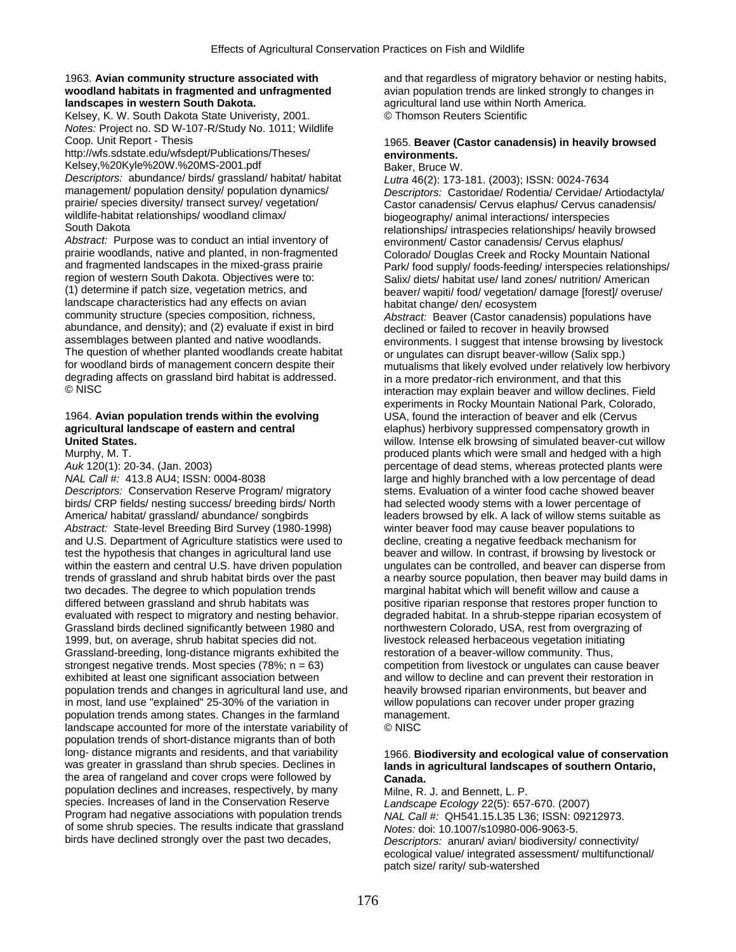Kelsey, K. W. South Dakota State Univeristy, 2001. *Notes:* Project no. SD W-107-R/Study No. 1011; Wildlife Coop. Unit Report - Thesis 1965. **Beaver (Castor canadensis) in heavily browsed** 

http://wfs.sdstate.edu/wfsdept/Publications/Theses/ **environments.** Kelsey,%20Kyle%20W.%20MS-2001.pdf Baker, Bruce W.

*Descriptors: abundance/ birds/ grassland/ habitat/ habitat <i>Lutra 46(2): 173-181. (2003); ISSN: 0024-7634*<br>management/ population density/ population dynamics/ *Descriptors: Castoridae/ Rodentia/ Cervidae/ A* prairie/ species diversity/ transect survey/ vegetation/ Castor canadensis/ Cervus elaphus/ Cervus canadensis/<br>wildlife-habitat relationships/ woodland climax/ biogeography/ animal interactions/ interspecies wildlife-habitat relationships/ woodland climax/ biogeography/ animal interactions/ interspecies<br>South Dakota relationships/ heavily

Abstract: Purpose was to conduct an intial inventory of environment/ Castor canadensis/ Cervus elaphus/ prairie woodlands, native and planted, in non-fragmented Colorado/ Douglas Creek and Rocky Mountain National<br>and fragmented landscapes in the mixed-grass prairie Park/ food supply/ foods-feeding/ interspecies relationsh region of western South Dakota. Objectives were to: Salix/ diets/ habitat use/ land zones/ nutrition/ American<br>(1) determine if patch size, vegetation metrics, and serve beaver/ wapiti/ food/ yegetation/ damage [forest]/ o landscape characteristics had any effects on avian habitat change/ den/ ecosystem<br>
community structure (species composition, richness, *Abstract: Beaver (Castor canad*) abundance, and density); and (2) evaluate if exist in bird declined or failed to recover in heavily browsed<br>assemblages between planted and native woodlands. The question of whether planted woodlands create habitat or ungulates can disrupt beaver-willow (Salix spp.)<br>
for woodland birds of management concern despite their mutualisms that likely evolved under relatively low degrading affects on grassland bird habitat is addressed. in a more predator-rich environment, and that this<br>
© NISC interaction may explain be aver and willow declines

# 1964. **Avian population trends within the evolving** USA, found the interaction of beaver and elk (Cervus

*Descriptors:* Conservation Reserve Program/ migratory stems. Evaluation of a winter food cache showed beaver birds/ CRP fields/ nesting success/ breeding birds/ North had selected woody stems with a lower percentage of America/ habitat/ grassland/ abundance/ songbirds leaders browsed by elk. A lack of willow stems suitable as *Abstract:* State-level Breeding Bird Survey (1980-1998) winter beaver food may cause beaver populations to and U.S. Department of Agriculture statistics were used to decline, creating a negative feedback mechanism for test the hypothesis that changes in agricultural land use beaver and willow. In contrast, if browsing by livestock or within the eastern and central U.S. have driven population ungulates can be controlled, and beaver can disperse from two decades. The degree to which population trends marginal habitat which will benefit willow and cause a differed between grassland and shrub habitats was positive riparian response that restores proper function to evaluated with respect to migratory and nesting behavior. degraded habitat. In a shrub-steppe riparian ecosystem of Grassland birds declined significantly between 1980 and northwestern Colorado, USA, rest from overgrazing of 1999, but, on average, shrub habitat species did not. livestock released herbaceous vegetation initiating Grassland-breeding, long-distance migrants exhibited the restoration of a beaver-willow community. Thus, strongest negative trends. Most species  $(78\%; n = 63)$  competition from livestock or ungulates can cause beaver exhibited at least one significant association between and willow to decline and can prevent their restoration in population trends and changes in agricultural land use, and heavily browsed riparian environments, but beaver and in most, land use "explained" 25-30% of the variation in willow populations can recover under proper grazing population trends among states. Changes in the farmland management.<br>landscape accounted for more of the interstate variability of CNISC landscape accounted for more of the interstate variability of population trends of short-distance migrants than of both<br>long- distance migrants and residents, and that variability long- distance migrants and residents, and that variability 1966. **Biodiversity and ecological value of conservation**  the area of rangeland and cover crops were followed by **Canada.**  population declines and increases, respectively, by many Milne, R. J. and Bennett, L. P. species. Increases of land in the Conservation Reserve *Landscape Ecology* 22(5): 657-670. (2007) Program had negative associations with population trends *NAL Call #:* QH541.15.L35 L36; ISSN: 09212973. of some shrub species. The results indicate that grassland *Notes:* doi: 10.1007/s10980-006-9063-5.

1963. **Avian community structure associated with** and that regardless of migratory behavior or nesting habits, **woodland habitats in fragmented and unfragmented** avian population trends are linked strongly to changes in **landscapes in western South Dakota. and South and South America. and South America. and South America. and South Pakota State University, 2001. Common Retailers** Scientific **Common Retailers** Scientific

management/ population density/ population dynamics/ *Descriptors:* Castoridae/ Rodentia/ Cervidae/ Artiodactyla/ relationships/ intraspecies relationships/ heavily browsed and fragmented landscapes in the mixed-grass prairie Park/ food supply/ foods-feeding/ interspecies relationships/<br>
region of western South Dakota. Objectives were to:<br>
Salix/ diets/ habitat use/ land zones/ nutrition/ Ame beaver/ wapiti/ food/ vegetation/ damage [forest]/ overuse/

Abstract: Beaver (Castor canadensis) populations have environments. I suggest that intense browsing by livestock mutualisms that likely evolved under relatively low herbivory interaction may explain beaver and willow declines. Field experiments in Rocky Mountain National Park, Colorado, **agricultural landscape of eastern and central <br>
United States.** Willow litense elk browsing of simulated beaver-cut willow. Intense elk browsing of simulated beaver-cut willow. willow. Intense elk browsing of simulated beaver-cut willow Murphy, M. T. **produced plants which were small and hedged with a high** produced plants which were small and hedged with a high *Auk* 120(1): 20-34. (Jan. 2003) percentage of dead stems, whereas protected plants were large and highly branched with a low percentage of dead trends of grassland and shrub habitat birds over the past a nearby source population, then beaver may build dams in

# lands in agricultural landscapes of southern Ontario,

**Descriptors: anuran/ avian/ biodiversity/ connectivity/** ecological value/ integrated assessment/ multifunctional/ patch size/ rarity/ sub-watershed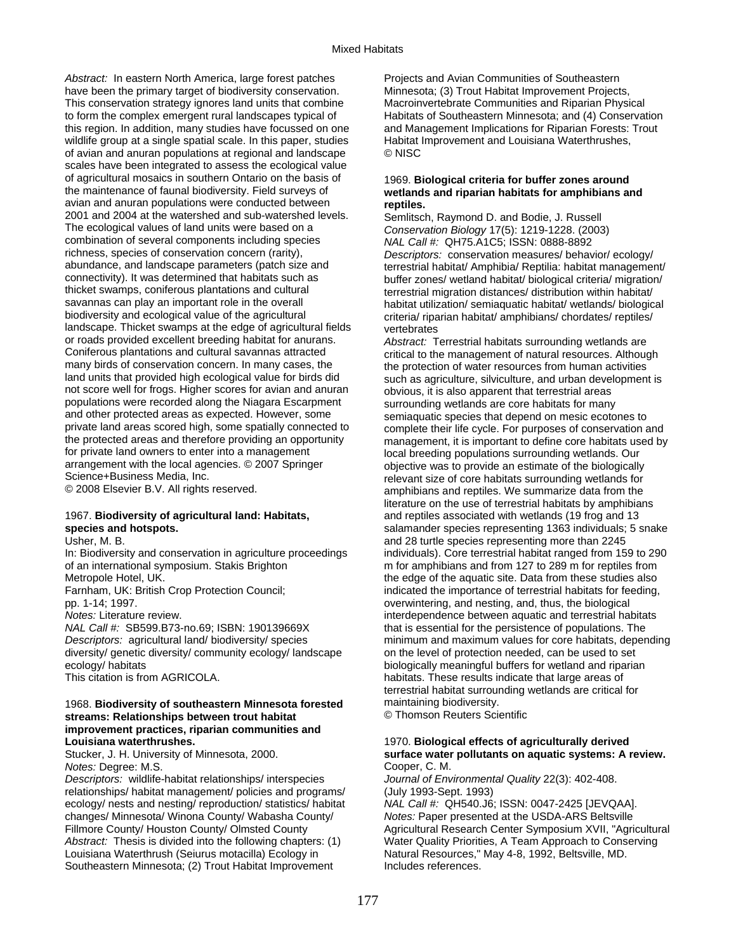*Abstract:* In eastern North America, large forest patches Projects and Avian Communities of Southeastern have been the primary target of biodiversity conservation. Minnesota; (3) Trout Habitat Improvement Projects,<br>This conservation strategy ignores land units that combine Macroinvertebrate Communities and Riparian Physical This conservation strategy ignores land units that combine to form the complex emergent rural landscapes typical of this region. In addition, many studies have focussed on one wildlife group at a single spatial scale. In this paper, studies Habitat Improvement and Louisiana Waterthrushes, of avian and anuran populations at regional and landscape © NISC scales have been integrated to assess the ecological value<br>of agricultural mosaics in southern Ontario on the basis of of agricultural mosaics in southern Ontario on the basis of 1969. **Biological criteria for buffer zones around**  avian and anuran populations were conducted between **reptiles.**<br>2001 and 2004 at the watershed and sub-watershed levels. Semlitsch, Raymond D. and Bodie, J. Russell 2001 and 2004 at the watershed and sub-watershed levels.<br>The ecological values of land units were based on a The ecological values of land units were based on a *Conservation Biology* 17(5): 1219-1228. (2003)<br>
combination of several components including species MAI Call #: OH75 A1C5: ISSN: 0888-8892 combination of several components including species *NAL Call #:* QH75.A1C5; ISSN: 0888-8892<br>
richness, species of conservation concern (rarity), *Descriptors:* conservation measures/ behave richness, species of conservation concern (rarity), *Descriptors:* conservation measures/ behavior/ ecology/ abundance, and landscape parameters (patch size and terrestrial habitat/ Amphibia/ Reptilia: habitat management/<br>connectivity). It was determined that habitats such as buffer zones/ wetland habitat/ biological criteria/ mi connectivity). It was determined that habitats such as buffer zones/ wetland habitat/ biological criteria/ migration/<br>thicket swamps, coniferous plantations and cultural terrestrial migration distances/ distribution within thicket swamps, coniferous plantations and cultural this exprestrial migration distances/ distribution within habitat/<br>savannas can play an important role in the overall save habitat utilization/ semiaquatic habitat/ wetla savannas can play an important role in the overall habitat utilization/ semiaquatic habitat/ wetlands/ biological<br>habitat/ amphibians/ chordates/ reptiles/ landscape. Thicket swamps at the edge of agricultural fields vertebrates<br>or roads provided excellent breeding habitat for anurans.  $\Delta h$ stract: T or roads provided excellent breeding habitat for anurans. *Abstract:* Terrestrial habitats surrounding wetlands are Coniferous plantations and cultural savannas attracted critical to the management of natural resources. Although<br>many birds of conservation concern. In many cases, the the protection of water resources from human activitie land units that provided high ecological value for birds did such as agriculture, silviculture, and urban development is not score well for frogs. Higher scores for avian and anuran obvious, it is also apparent that terrestrial areas populations were recorded along the Niagara Escarpment surrounding wetlands are core habitats for many<br>and other protected areas as expected. However, some semiaquatic species that depend on mesic ecotor and other protected areas as expected. However, some semiaquatic species that depend on mesic ecotones to private land areas scored high, some spatially connected to complete their life cycle. For purposes of conservation private land areas scored high, some spatially connected to complete their life cycle. For purposes of conservation and<br>the protected areas and therefore providing an opportunity management, it is important to define core the protected areas and therefore providing an opportunity management, it is important to define core habitats used by<br>
for private land owners to enter into a management<br>
local breeding populations surrounding wetlands. O for private land owners to enter into a management local breeding populations surrounding wetlands. Our arrangement with the local agencies. © 2007 Springer considerative was to provide an estimate of the biologically arrangement with the local agencies. © 2007 Springer objective was to provide an estimate of the biologically<br>Science+Business Media, Inc.

of an international symposium. Stakis Brighton m for amphibians and from 127 to 289 m for reptiles from

diversity/ genetic diversity/ community ecology/ landscape on the level of protection needed, can be used to set

### 1968. **Biodiversity of southeastern Minnesota forested** maintaining biodiversity. streams: Relationships between trout habitat **improvement practices, riparian communities and Louisiana waterthrushes.** 1970. **Biological effects of agriculturally derived**

*Notes:* Degree: M.S. Cooper, C. M.

*Descriptors:* wildlife-habitat relationships/ interspecies *Journal of Environmental Quality* 22(3): 402-408. relationships/ habitat management/ policies and programs/ (July 1993-Sept. 1993) ecology/ nests and nesting/ reproduction/ statistics/ habitat *NAL Call #:* QH540.J6; ISSN: 0047-2425 [JEVQAA]. changes/ Minnesota/ Winona County/ Wabasha County/ *Notes:* Paper presented at the USDA-ARS Beltsville *Abstract:* Thesis is divided into the following chapters: (1) Water Quality Priorities, A Team Approach to Conserving Louisiana Waterthrush (Seiurus motacilla) Ecology in Natural Resources," May 4-8, 1992, Beltsville, MD. Southeastern Minnesota; (2) Trout Habitat Improvement Includes references.

Habitats of Southeastern Minnesota; and (4) Conservation<br>and Management Implications for Riparian Forests: Trout

# wetlands and riparian habitats for amphibians and reptiles.

criteria/ riparian habitat/ amphibians/ chordates/ reptiles/

the protection of water resources from human activities Science+Business Media, Inc. relevant size of core habitats surrounding wetlands for<br>© 2008 Elsevier B.V. All rights reserved. The metal of the amphibians and reptiles. We summarize data from the amphibians and reptiles. We summarize data from the literature on the use of terrestrial habitats by amphibians 1967. **Biodiversity of agricultural land: Habitats,** and reptiles associated with wetlands (19 frog and 13 salamander species representing 1363 individuals; 5 snake Usher, M. B. and 28 turtle species representing more than 2245 In: Biodiversity and conservation in agriculture proceedings individuals). Core terrestrial habitat ranged from 159 to 290 Metropole Hotel, UK. the edge of the aquatic site. Data from these studies also Farnham, UK: British Crop Protection Council; indicated the importance of terrestrial habitats for feeding, pp. 1-14; 1997. overwintering, and nesting, and, thus, the biological *Notes:* Literature review.<br>*NAL Call #:* SB599.B73-no.69; ISBN: 190139669X **interdependence between aquatic and terrestrial habitats**<br>that is essential for the persistence of populations. The that is essential for the persistence of populations. The *Descriptors:* agricultural land/ biodiversity/ species minimum and maximum values for core habitats, depending ecology/ habitats biologically meaningful buffers for wetland and riparian<br>This citation is from AGRICOLA. These results indicate that large areas of habitats. These results indicate that large areas of terrestrial habitat surrounding wetlands are critical for

# Stucker, J. H. University of Minnesota, 2000. **surface water pollutants on aquatic systems: A review.**

Agricultural Research Center Symposium XVII, "Agricultural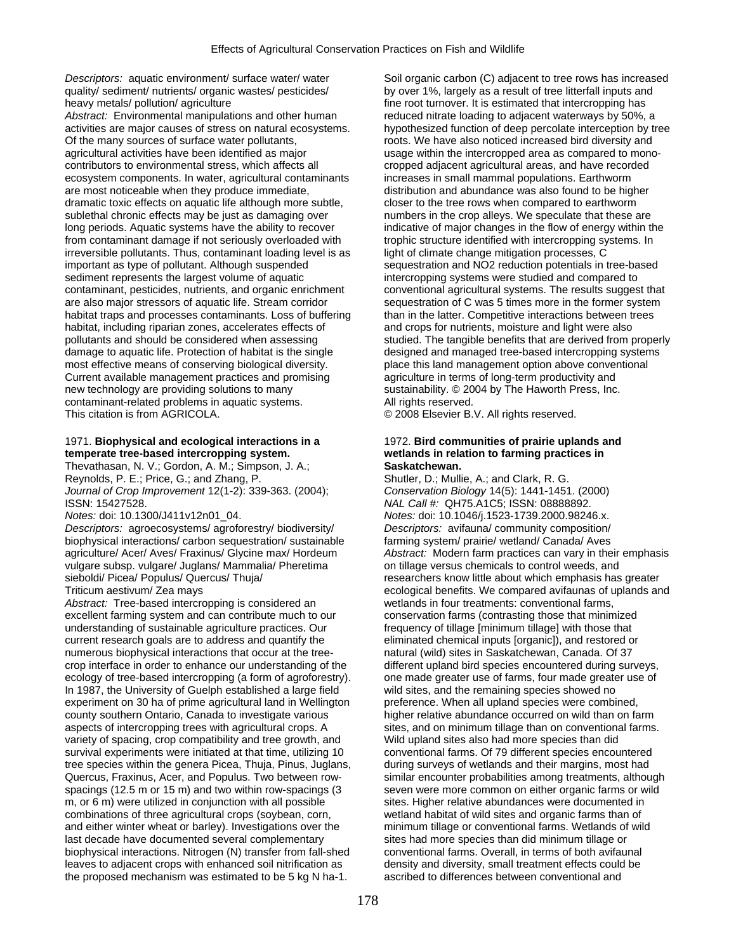*Descriptors:* aquatic environment/ surface water/ water Soil organic carbon (C) adjacent to tree rows has increased heavy metals/ pollution/ agriculture fine root turnover. It is estimated that intercropping has

Abstract: Environmental manipulations and other human reduced nitrate loading to adjacent waterways by 50%, a Of the many sources of surface water pollutants, roots. We have also noticed increased bird diversity and agricultural activities have been identified as major usage within the intercropped area as compared to monocontributors to environmental stress, which affects all cropped adjacent agricultural areas, and have recorded ecosystem components. In water, agricultural contaminants increases in small mammal populations. Earthworm are most noticeable when they produce immediate, distribution and abundance was also found to be higher dramatic toxic effects on aquatic life although more subtle, closer to the tree rows when compared to earthworm sublethal chronic effects may be just as damaging over numbers in the crop alleys. We speculate that these are long periods. Aquatic systems have the ability to recover indicative of major changes in the flow of energy within the from contaminant damage if not seriously overloaded with trophic structure identified with intercropping systems. In irreversible pollutants. Thus, contaminant loading level is as light of climate change mitigation processes, C important as type of pollutant. Although suspended sequestration and NO2 reduction potentials in tree-based sediment represents the largest volume of aquatic intercropping systems were studied and compared to contaminant, pesticides, nutrients, and organic enrichment conventional agricultural systems. The results suggest that are also major stressors of aquatic life. Stream corridor sequestration of C was 5 times more in the former system habitat traps and processes contaminants. Loss of buffering than in the latter. Competitive interactions between trees habitat, including riparian zones, accelerates effects of and crops for nutrients, moisture and light were also pollutants and should be considered when assessing studied. The tangible benefits that are derived from properly damage to aquatic life. Protection of habitat is the single designed and managed tree-based intercropping systems most effective means of conserving biological diversity. place this land management option above conventional Current available management practices and promising agriculture in terms of long-term productivity and new technology are providing solutions to many sustainability. © 2004 by The Haworth Press, Inc. contaminant-related problems in aquatic systems. All rights reserved. This citation is from AGRICOLA. <br>
© 2008 Elsevier B.V. All rights reserved.

### 1971. **Biophysical and ecological interactions in a** 1972. **Bird communities of prairie uplands and temperate tree-based intercropping system. wetlands in relation to farming practices in**

Thevathasan, N. V.; Gordon, A. M.; Simpson, J. A.; **Saskatchewan.**  Reynolds, P. E.; Price, G.; and Zhang, P. Shutler, D.; Mullie, A.; and Clark, R. G. *Journal of Crop Improvement* 12(1-2): 339-363. (2004); *Conservation Biology* 14(5): 1441-1451. (2000) ISSN: 15427528. *NAL Call #:* QH75.A1C5; ISSN: 08888892.

*Descriptors:* agroecosystems/ agroforestry/ biodiversity/ *Descriptors:* avifauna/ community composition/ biophysical interactions/ carbon sequestration/ sustainable farming system/ prairie/ wetland/ Canada/ Aves vulgare subsp. vulgare/ Juglans/ Mammalia/ Pheretima on tillage versus chemicals to control weeds, and sieboldi/ Picea/ Populus/ Quercus/ Thuja/ researchers know little about which emphasis has greater

*Abstract:* Tree-based intercropping is considered an wetlands in four treatments: conventional farms, excellent farming system and can contribute much to our conservation farms (contrasting those that minimized understanding of sustainable agriculture practices. Our frequency of tillage [minimum tillage] with those that current research goals are to address and quantify the eliminated chemical inputs [organic]), and restored or numerous biophysical interactions that occur at the tree- natural (wild) sites in Saskatchewan, Canada. Of 37 crop interface in order to enhance our understanding of the different upland bird species encountered during surveys, ecology of tree-based intercropping (a form of agroforestry). one made greater use of farms, four made greater use of In 1987, the University of Guelph established a large field wild sites, and the remaining species showed no experiment on 30 ha of prime agricultural land in Wellington preference. When all upland species were combined, county southern Ontario, Canada to investigate various higher relative abundance occurred on wild than on farm aspects of intercropping trees with agricultural crops. A sites, and on minimum tillage than on conventional farms. variety of spacing, crop compatibility and tree growth, and Wild upland sites also had more species than did survival experiments were initiated at that time, utilizing 10 conventional farms. Of 79 different species encountered tree species within the genera Picea, Thuja, Pinus, Juglans, during surveys of wetlands and their margins, most had Quercus, Fraxinus, Acer, and Populus. Two between row- similar encounter probabilities among treatments, although spacings (12.5 m or 15 m) and two within row-spacings (3 seven were more common on either organic farms or wild m, or 6 m) were utilized in conjunction with all possible sites. Higher relative abundances were documented in combinations of three agricultural crops (soybean, corn, wetland habitat of wild sites and organic farms than of and either winter wheat or barley). Investigations over the minimum tillage or conventional farms. Wetlands of wild last decade have documented several complementary sites had more species than did minimum tillage or biophysical interactions. Nitrogen (N) transfer from fall-shed conventional farms. Overall, in terms of both avifaunal leaves to adjacent crops with enhanced soil nitrification as density and diversity, small treatment effects could be the proposed mechanism was estimated to be 5 kg N ha-1. ascribed to differences between conventional and

quality/ sediment/ nutrients/ organic wastes/ pesticides/ by over 1%, largely as a result of tree litterfall inputs and activities are major causes of stress on natural ecosystems. hypothesized function of deep percolate interception by tree

*Notes:* doi: 10.1300/J411v12n01\_04. *Notes:* doi: 10.1046/j.1523-1739.2000.98246.x. agriculture/ Acer/ Aves/ Fraxinus/ Glycine max/ Hordeum *Abstract:* Modern farm practices can vary in their emphasis Triticum aestivum/ Zea mays ecological benefits. We compared avifaunas of uplands and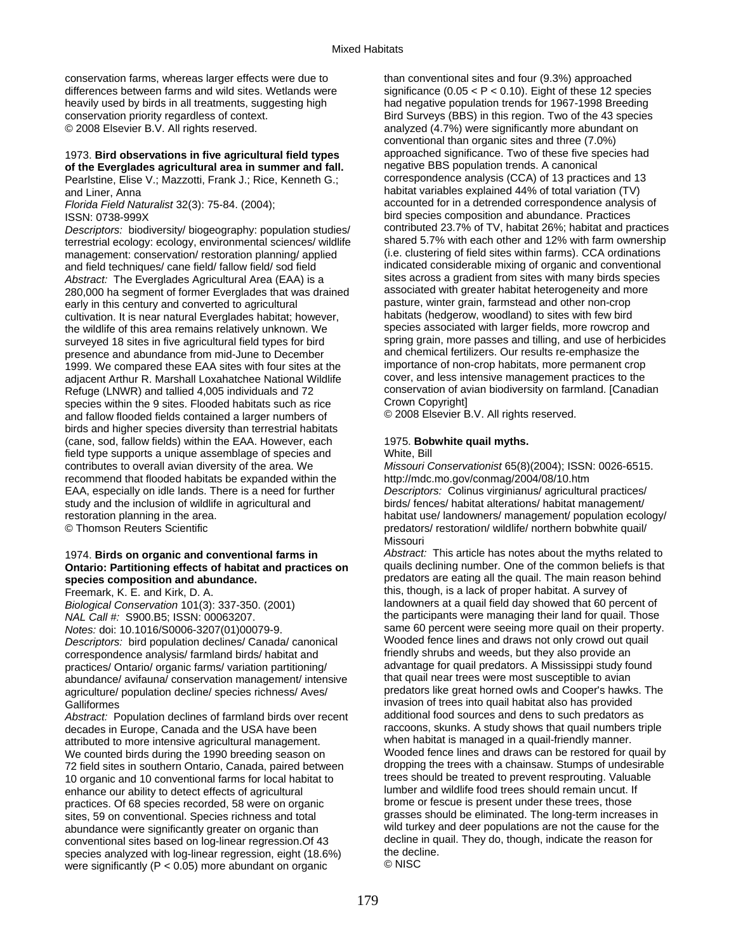conservation farms, whereas larger effects were due to than conventional sites and four (9.3%) approached differences between farms and wild sites. Wetlands were significance (0.05 < P < 0.10). Eight of these 12 species heavily used by birds in all treatments, suggesting high had negative population trends for 1967-1998 Breeding conservation priority regardless of context. Bird Surveys (BBS) in this region. Two of the 43 species

### 1973. **Bird observations in five agricultural field types** approached significance. Two of these five species had **of the Everglades agricultural area in summer and fall.** The earlier BBS population trends. A canonical proportio<br>Pearlstine, Flise V.: Mazzotti, Frank J.: Rice, Kenneth G.: Correspondence analysis (CCA) of 13 practices a Pearlstine, Elise V.; Mazzotti, Frank J.; Rice, Kenneth G.;

*Descriptors:* biodiversity/ biogeography: population studies/ contributed 23.7% of TV, habitat 26%; habitat and practices terrestrial ecology: ecology, environmental sciences/ wildlife management: conservation/ restoration planning/ applied (i.e. clustering of field sites within farms). CCA ordinations and field techniques/ cane field/ fallow field/ sod field indicated considerable mixing of organic and conventional Abstract: The Everglades Agricultural Area (EAA) is a sites across a gradient from sites with many birds species<br>280.000 ha seament of former Everglades that was drained associated with greater habitat heterogeneity and mo 280,000 ha segment of former Everglades that was drained associated with greater habitat heterogeneity and m<br>early in this century and converted to agricultural pasture, winter grain, farmstead and other non-crop early in this century and converted to agricultural pasture, winter grain, farmstead and other non-crop<br>cultivation It is near natural Everglades habitat: however habitats (hedgerow, woodland) to sites with few bird cultivation. It is near natural Everglades habitat; however, habitats (hedgerow, woodland) to sites with few bird the wildlife of this area remains relatively unknown. We species associated with larger fields, more rowcrop and<br>surveyed 18 sites in five agricultural field types for bird spring grain. more passes and tilling, and use of surveyed 18 sites in five agricultural field types for bird spring grain, more passes and tilling, and use of herbi<br>presence and abundance from mid-June to December and chemical fertilizers. Our results re-emphasize the presence and abundance from mid-June to December and chemical fertilizers. Our results re-emphasize the<br>1999, We compared these FAA sites with four sites at the importance of non-crop habitats, more permanent crop 1999. We compared these EAA sites with four sites at the importance of non-crop habitats, more permanent crop<br>adiacent Arthur R. Marshall Loxahatchee National Wildlife cover, and less intensive management practices to the adjacent Arthur R. Marshall Loxahatchee National Wildlife cover, and less intensive management practices to the<br>Refuge (LNWR) and tallied 4.005 individuals and 72 conservation of avian biodiversity on farmland. [Canadian Refuge (LNWR) and tallied 4,005 individuals and 72 conservation of average conservation of average system of a<br>species within the 9 sites Flooded babitats such as rice Crown Copyright species within the 9 sites. Flooded habitats such as rice Crown Copyright]<br>and fallow flooded fields contained a larger numbers of  $\degree$  2008 Elsevier B.V. All rights reserved. and fallow flooded fields contained a larger numbers of birds and higher species diversity than terrestrial habitats (cane, sod, fallow fields) within the EAA. However, each 1975. **Bobwhite quail myths.**  field type supports a unique assemblage of species and White, Bill contributes to overall avian diversity of the area. We *Missouri Conservationist* 65(8)(2004); ISSN: 0026-6515. recommend that flooded habitats be expanded within the http://mdc.mo.gov/conmag/2004/08/10.htm EAA, especially on idle lands. There is a need for further *Descriptors:* Colinus virginianus/ agricultural practices/ study and the inclusion of wildlife in agricultural and birds/ fences/ habitat alterations/ habitat management/

## **Ontario: Partitioning effects of habitat and practices on** species composition and abundance. **predators** are eating all the quail. The main reason behind

*Biological Conservation* 101(3): 337-350. (2001)

correspondence analysis/ farmland birds/ habitat and friendly shrubs and weeds, but they also provide an<br>practices/ Ontario/ organic farms/ variation partitioning/ advantage for quail predators. A Mississippi study found practices/ Ontario/ organic farms/ variation partitioning/ advantage for quail predators. A Mississippi study fo<br>abundance/ avifauna/ conservation management/ intensive that quail near trees were most susceptible to avian abundance/ avifauna/ conservation management/ intensive that quail near trees were most susceptible to avian<br>agriculture/ population decline/ species richness/ Aves/ predators like great horned owls and Cooper's hawks. The agriculture/ population decline/ species richness/ Aves/

*Abstract: Population declines of farmland birds over recent* decades in Europe, Canada and the USA have been raccoons, skunks. A study shows that quail numbers triple<br>attributed to more intensive agricultural management. When habitat is managed in a quail-friendly manner. attributed to more intensive agricultural management. When habitat is managed in a quail-friendly manner.<br>We counted birds during the 1990 breeding season on Wooded fence lines and draws can be restored for quail by We counted birds during the 1990 breeding season on Wooded fence lines and draws can be restored for quail by<br>The tield sites in southern Ontario, Canada, paired between dropping the trees with a chainsaw. Stumps of undesi 72 field sites in southern Ontario, Canada, paired between dropping the trees with a chainsaw. Stumps of undesirab<br>10 organic and 10 conventional farms for local habitat to trees should be treated to prevent resprouting. V 10 organic and 10 conventional farms for local habitat to trees should be treated to prevent resprouting. Valuable<br>enhance our ability to detect effects of agricultural surface and wildlife food trees should remain uncut. enhance our ability to detect effects of agricultural lumber and wildlife food trees should remain uncut. I<br>
practices Of 68 species recorded 58 were on organic brome or fescue is present under these trees, those practices. Of 68 species recorded, 58 were on organic sites, 59 on conventional. Species richness and total grasses should be eliminated. The long-term increases in abundance were significantly greater on organic than wild turkey and deer populations are not the cause for the<br>
conventional sites based on log-linear regression Of 43 decline in quail. They do, though, indicate the reaso conventional sites based on log-linear regression. Of 43 decline in quarrelation in quarter in quarrelation for the reason for the reason for the real the reason for the reason for the reason for the reason for the reason species analyzed with log-linear regression, eight (18.6%) the decline.<br>Were significantly ( $P < 0.05$ ) more abundant on organic.  $\bullet$  NISC were significantly ( $P < 0.05$ ) more abundant on organic

© 2008 Elsevier B.V. All rights reserved. **All analyzed (4.7%)** were significantly more abundant on conventional than organic sites and three (7.0%) and Liner, Anna **habitat variables explained 44% of total variation (TV)** habitat variables explained 44% of total variation (TV) *Florida Field Naturalist* 32(3): 75-84. (2004); and the secounted for in a detrended correspondence analysis of solid species composition and abundance. Practices bird species composition and abundance. Practices contributed 23.7% of TV, habitat 26%; habitat and practices

restoration planning in the area.<br>
© Thomson Reuters Scientific **in the area.** The state of the management/ providing the management/ population ecology/ predators/ restoration/ wildlife/ northern bobwhite quail/ Missouri

1974. **Birds on organic and conventional farms in** *Abstract:* This article has notes about the myths related to Freemark, K. E. and Kirk, D. A. this, though, is a lack of proper habitat. A survey of<br>
Riological Conservation 101(3): 337-350 (2001) landowners at a quail field day showed that 60 percent of *NAL Call #:* S900.B5; ISSN: 00063207. The participants were managing their land for quail. Those *Notes:* doi: 10.1016/S0006-3207(01)00079-9.<br>Descriptors: bird population declines/ Canada/ canonical Wooded fence lines and draws not only crowd out quail *Descriptors:* bird population declines/ Canada/ canonical Wooded fence lines and draws not only crowd out quail correspondence analysis/ farmland birds/ habitat and friendly shrubs and weeds, but they also provide an Galliformes<br>
Galliformes<br>
Abstract: Population declines of farmland birds over recent additional food sources and dens to such predators as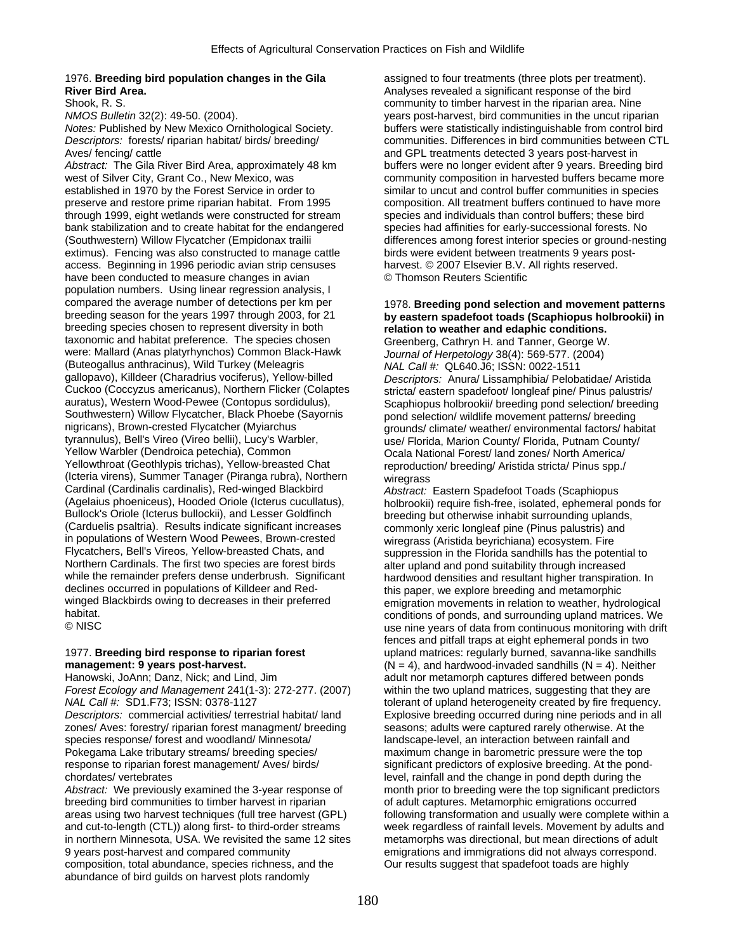### 1976. **Breeding bird population changes in the Gila** assigned to four treatments (three plots per treatment). **River Bird Area.** Analyses revealed a significant response of the bird

established in 1970 by the Forest Service in order to similar to uncut and control buffer communities in species preserve and restore prime riparian habitat. From 1995 composition. All treatment buffers continued to have more through 1999, eight wetlands were constructed for stream species and individuals than control buffers; these bird bank stabilization and to create habitat for the endangered species had affinities for early-successional forests. No extimus). Fencing was also constructed to manage cattle birds were evident between treatments 9 years postaccess. Beginning in 1996 periodic avian strip censuses harvest. © 2007 Elsevier B.V. All rights reserved.<br>have been conducted to measure changes in avian <br>© Thomson Reuters Scientific have been conducted to measure changes in avian population numbers. Using linear regression analysis, I compared the average number of detections per km per 1978. **Breeding pond selection and movement patterns** breeding season for the years 1997 through 2003, for 21 by eastern spadefoot toads (Scaphiopus holbrookii) in breeding species chosen to represent diversity in both **relation to weather and edaphic conditions.**  taxonomic and habitat preference. The species chosen Greenberg, Cathryn H. and Tanner, George W. were: Mallard (Anas platyrhynchos) Common Black-Hawk *Journal of Herpetology* 38(4): 569-577. (2004)<br>(Buteogallus anthracinus), Wild Turkey (Meleagris *NAL Call #:* QL640.J6; ISSN: 0022-1511 (Buteogallus anthracinus), Wild Turkey (Meleagris *gallopavo), Killdeer (Charadrius vociferus), Yellow-billed* gallopavo), Killdeer (Charadrius vociferus), Yellow-billed *Descriptors:* Anura/ Lissamphibia/ Pelobatidae/ Aristida Cuckoo (Coccyzus americanus), Northern Flicker (Colaptes stricta/ eastern spadefoot/ longleaf pine/ Pinus palustris/<br>auratus), Western Wood-Pewee (Contopus sordidulus), Scaphionus holbrookii/ breeding pond selection/ breed Southwestern) Willow Flycatcher, Black Phoebe (Sayornis pond selection/ wildlife movement patterns/ breeding<br>nigricans), Brown-crested Flycatcher (Myiarchus orgunds/ climate/ weather/ environmental factors/ hal nigricans), Brown-crested Flycatcher (Myiarchus grounds/ climate/ weather/ environmental factors/ habitat tyrannulus), Bell's Vireo (Vireo bellii), Lucy's Warbler, entity grounds/ climate/ weather/ Florida. Putnam County/ tyrannulus), Bell's Vireo (Vireo bellii), Lucy's Warbler, www.muse/ Florida, Marion County/ Florida, Putnam County/<br>Yellow Warbler (Dendroica petechia), Common Marional Core Docala National Forest/ land zones/ North Americ Yellowthroat (Geothlypis trichas), Yellow-breasted Chat reproduction/ breeding/ Aristida stricta/ Pinus spp./ (Icteria virens), Summer Tanager (Piranga rubra), Northern wiregrass Cardinal (Cardinalis cardinalis), Red-winged Blackbird *Abstract:* Eastern Spadefoot Toads (Scaphiopus (Agelaius phoeniceus), Hooded Oriole (Icterus cucullatus), holbrookii) require fish-free, isolated, ephemeral ponds for<br>Bullock's Oriole (Icterus bullockii), and Lesser Goldfinch betweeding but otherwise inhabit surroundin Bullock's Oriole (Icterus bullockii), and Lesser Goldfinch breeding but otherwise inhabit surrounding uplands,<br>(Carduelis psaltria), Results indicate significant increases brown only xeric longleaf pine (Pinus palustris) (Carduelis psaltria). Results indicate significant increases commonly xeric longleaf pine (Pinus palustris) and<br>in populations of Western Wood Pewees, Brown-crested wiregrass (Aristida bevrichiana) ecosystem. Fire in populations of Western Wood Pewees, Brown-crested wiregrass (Aristida beyrichiana) ecosystem. Fire Northern Cardinals. The first two species are forest birds alter upland and pond suitability through increased<br>while the remainder prefers dense underbrush. Significant hardwood densities and resultant higher transpiratio declines occurred in populations of Killdeer and Red-<br>winged Blackbirds owing to decreases in their preferred<br>emigration movements in relation to weather, hydr winged Blackbirds owing to decreases in their preferred emigration movements in relation to weather, hydrological<br>Conditions of ponds, and surrounding upland matrices. We

Hanowski, JoAnn; Danz, Nick; and Lind, Jim and the state of adult nor metamorph captures differed between ponds *Forest Ecology and Management* 241(1-3): 272-277. (2007) within the two upland matrices, suggesting that they are *NAL Call #:* SD1.F73; ISSN: 0378-1127 tolerant of upland heterogeneity created by fire frequency. *Descriptors:* commercial activities/ terrestrial habitat/ land Explosive breeding occurred during nine periods and in all zones/ Aves: forestry/ riparian forest managment/ breeding seasons; adults were captured rarely otherwise. At the<br>species response/ forest and woodland/ Minnesota/ and scape-level. an interaction between rainfall and species response/ forest and woodland/ Minnesota/ landscape-level, an interaction between rainfall and<br>Pokegama Lake tributary streams/ breeding species/ maximum change in barometric pressure were the to response to riparian forest management/ Aves/ birds/ significant predictors of explosive breeding. At the pondchordates/ vertebrates level, rainfall and the change in pond depth during the

*Abstract:* We previously examined the 3-year response of month prior to breeding were the top significant predictors breeding bird communities to timber harvest in riparian of adult captures. Metamorphic emigrations occurred and cut-to-length (CTL)) along first- to third-order streams week regardless of rainfall levels. Movement by adults and in northern Minnesota, USA. We revisited the same 12 sites metamorphs was directional, but mean directions of adult 9 years post-harvest and compared community emigrations and immigrations did not always correspond. composition, total abundance, species richness, and the Our results suggest that spadefoot toads are highly abundance of bird guilds on harvest plots randomly

Shook, R. S. community to timber harvest in the riparian area. Nine *NMOS Bulletin* 32(2): 49-50. (2004). years post-harvest, bird communities in the uncut riparian *Notes:* Published by New Mexico Ornithological Society. buffers were statistically indistinguishable from control bird *Descriptors:* forests/ riparian habitat/ birds/ breeding/ communities. Differences in bird communities between CTL Aves/ fencing/ cattle and GPL treatments detected 3 years post-harvest in<br>Abstract: The Gila River Bird Area, approximately 48 km buffers were no longer evident after 9 years. Breeding buffers were no longer evident after 9 years. Breeding bird west of Silver City, Grant Co., New Mexico, was community composition in harvested buffers became more (Southwestern) Willow Flycatcher (Empidonax trailii differences among forest interior species or ground-nesting

# by eastern spadefoot toads (Scaphiopus holbrookii) in

Scaphiopus holbrookii/ breeding pond selection/ breeding Ocala National Forest/ land zones/ North America/

suppression in the Florida sandhills has the potential to hardwood densities and resultant higher transpiration. In habitat.<br>
conditions of ponds, and surrounding upland matrices. We<br>
use nine years of data from continuous monitoring with drift use nine years of data from continuous monitoring with drift fences and pitfall traps at eight ephemeral ponds in two 1977. **Breeding bird response to riparian forest** upland matrices: regularly burned, savanna-like sandhills **management: 9 years post-harvest. and hardwood-invaded sandhills (N = 4).** Neither maximum change in barometric pressure were the top areas using two harvest techniques (full tree harvest (GPL) following transformation and usually were complete within a emigrations and immigrations did not always correspond.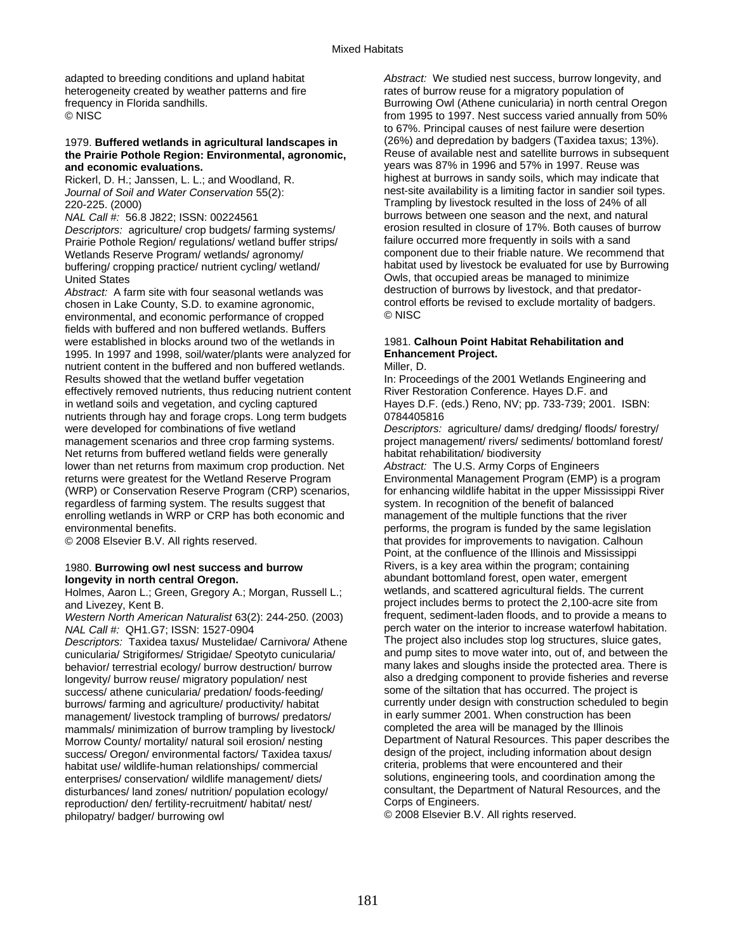adapted to breeding conditions and upland habitat *Abstract:* We studied nest success, burrow longevity, and heterogeneity created by weather patterns and fire rates of burrow reuse for a migratory population of

## the Prairie Pothole Region: Environmental, agronomic, **Reuse and Satellite Available neater and economic evaluations.** years was 87% in 1996 and 57% in 1997. Reuse was

*Descriptors:* agriculture/ crop budgets/ farming systems/ erosion resulted in closure of 17%. Both causes of b<br>Prairie Pothole Region/ requistions/ wetland buffer strips/ failure occurred more frequently in soils with a s Prairie Pothole Region/ regulations/ wetland buffer strips/

*Abstract: A farm site with four seasonal wetlands was* chosen in Lake County, S.D. to examine agronomic, control efforts be revised to exclude mortality of badgers.<br> **CONSC** environmental, and economic performance of cropped fields with buffered and non buffered wetlands. Buffers were established in blocks around two of the wetlands in 1981. **Calhoun Point Habitat Rehabilitation and**  1995. In 1997 and 1998, soil/water/plants were analyzed for **Enhancement Project.** nutrient content in the buffered and non buffered wetlands. Miller, D. Results showed that the wetland buffer vegetation In: Proceedings of the 2001 Wetlands Engineering and effectively removed nutrients, thus reducing nutrient content River Restoration Conference. Hayes D.F. and in wetland soils and vegetation, and cycling captured Hayes D.F. (eds.) Reno, NV; pp. 733-739; 2001. ISBN: nutrients through hay and forage crops. Long term budgets 0784405816<br>were developed for combinations of five wetland Descriptors: were developed for combinations of five wetland *Descriptors:* agriculture/ dams/ dredging/ floods/ forestry/<br>management scenarios and three crop farming systems. project management/ rivers/ sediments/ bottomland forest/ Net returns from buffered wetland fields were generally habitat rehabilitation/ biodiversity lower than net returns from maximum crop production. Net *Abstract:* The U.S. Army Corps of Engineers returns were greatest for the Wetland Reserve Program Environmental Management Program (EMP) is a program (WRP) or Conservation Reserve Program (CRP) scenarios, for enhancing wildlife habitat in the upper Mississippi River regardless of farming system. The results suggest that system. In recognition of the benefit of balanced enrolling wetlands in WRP or CRP has both economic and management of the multiple functions that the river

Holmes, Aaron L.; Green, Gregory A.; Morgan, Russell L.;

*Western North American Naturalist* 63(2): 244-250. (2003)<br>NAL Call #: QH1.G7; ISSN: 1527-0904

behavior/ terrestrial ecology/ burrow destruction/ burrow success/ athene cunicularia/ predation/ foods-feeding/ management/ livestock trampling of burrows/ predators/ in early summer 2001. When construction has bee<br>mammals/ minimization of burrow trampling by livestock/ completed the area will be managed by the Illinois Morrow County/ mortality/ natural soil erosion/ nesting Department of Natural Resources. This paper describes<br>success/ Oregon/ environmental factors/ Taxidea taxus/ design of the project, including information about design success/ Oregon/ environmental factors/ Taxidea taxus/ design of the project, including information about c<br>habitat use/ wildlife-human relationships/ commercial criteria, problems that were encountered and their habitat use/ wildlife-human relationships/ commercial example criteria, problems that were encountered and their<br>enterprises/ conservation/ wildlife management/ diets/ solutions, engineering tools, and coordination among t enterprises/ conservation/ wildlife management/ diets/ solutions, engineering tools, and coordination among the<br>disturbances/ land zones/ nutrition/ population ecology/ consultant, the Department of Natural Resources, and disturbances/ land zones/ nutrition/ population ecology/ consultant, the Department of Natural Resources, and the Natural Resources, and the Natural Resources, and the Natural Resources, and the Natural Resources, and the reproduction/ den/ fertility-recruitment/ habitat/ nest/ philopatry/ badger/ burrowing owl **Develops** COOS Elsevier B.V. All rights reserved.

frequency in Florida sandhills.<br>
® NISC in north central Oregon in north central Oregon in north central Oregon in Nullaria) in north central Oregon from 1995 to 1997. Nest success varied annually from 50% to 67%. Principal causes of nest failure were desertion 1979. **Buffered wetlands in agricultural landscapes in** (26%) and depredation by badgers (Taxidea taxus; 13%). Rickerl, D. H.; Janssen, L. L.; and Woodland, R. highest at burrows in sandy soils, which may indicate that Journal of Soil and Water Conservation 55(2): The set-site availability is a limiting factor in sandier soil types *nest-site availability is a limiting factor in sandier soil types.* 220-225. (2000)<br>
MAL Call #: 56.8 J822; ISSN: 00224561 **Trampling by livestock resulted in the loss of 24% of all**<br>
burrows between one season and the next, and natural burrows between one season and the next, and natural erosion resulted in closure of 17%. Both causes of burrow Wetlands Reserve Program/ wetlands/ agronomy/ component due to their friable nature. We recommend that buffering/ cropping practice/ nutrient cycling/ wetland/ habitat used by livestock be evaluated for use by Burrowing United States<br>
Abstract: A farm site with four seasonal wetlands was destruction of burrows by livestock, and that predator-<br>
Abstract: A farm site with four seasonal wetlands was destruction of burrows by livestock, and t

project management/ rivers/ sediments/ bottomland forest/

environmental benefits.<br>
© 2008 Elsevier B.V. All rights reserved. 
<br>
© 2008 Elsevier B.V. All rights reserved. 
Something that provides for improvements to navigation. Calhoun that provides for improvements to navigation. Calhoun Point, at the confluence of the Illinois and Mississippi 1980. **Burrowing owl nest success and burrow** Rivers, is a key area within the program; containing **longevity in north central Oregon. abundant bottomland forest, open water, emergent**<br>
Holmes, Aaron L.: Green, Gregory A.: Morgan, Russell L.: **and wetlands, and scattered agricultural fields**. The current and Livezey, Kent B.<br>
Western North American Naturalist 63(2): 244-250. (2003) frequent, sediment-laden floods, and to provide a means to perch water on the interior to increase waterfowl habitation.<br>The project also includes stop log structures, sluice gates, *Descriptors:* Taxidea taxus/ Mustelidae/ Carnivora/ Athene The project also includes stop log structures, sluice gates,<br>cunicularia/ Strigiformes/ Strigidae/ Speotyto cunicularia/ and pump sites to move water into, out of cunicularia/ Strigiformes/ Strigidae/ Speotyto cunicularia/ and pump sites to move water into, out of, and between the longevity/ burrow reuse/ migratory population/ nest also a dredging component to provide fisheries and reverse<br>success/ athene cunicularia/ predation/ foods-feeding/<br>some of the siltation that has occurred. The project is burrows/ farming and agriculture/ productivity/ habitat currently under design with construction scheduled to begin<br>management/ livestock trampling of burrows/ predators/ in early summer 2001. When construction has been mammals/ minimization of burrow trampling by livestock/ completed the area will be managed by the Illinois<br>Morrow County/ mortality/ natural soil erosion/ nesting Department of Natural Resources. This paper describes the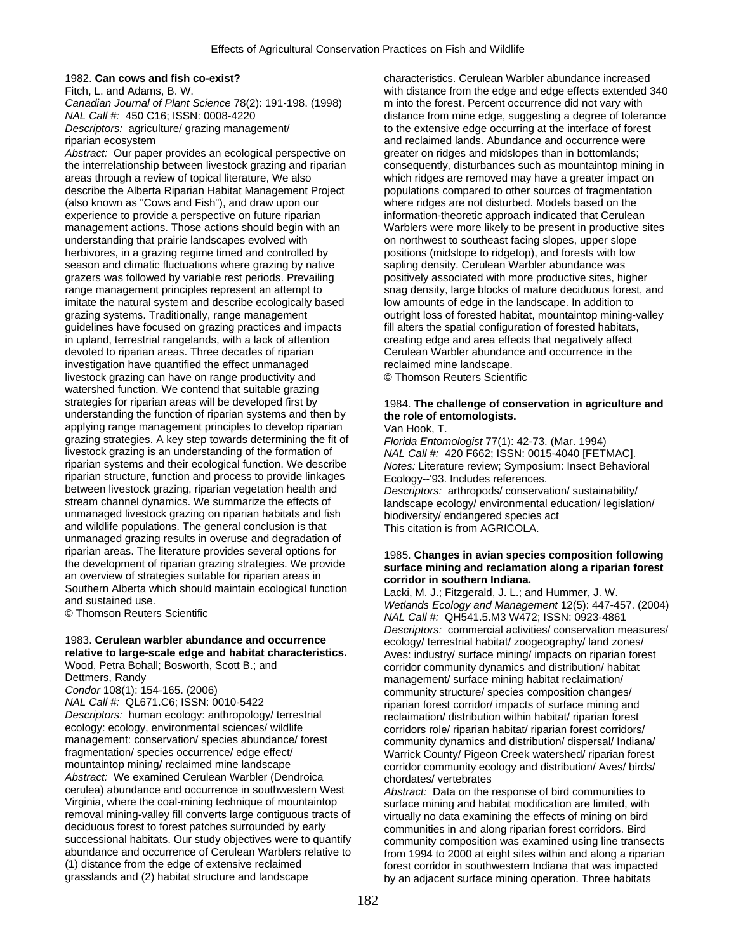*Canadian Journal of Plant Science* 78(2): 191-198. (1998) m into the forest. Percent occurrence did not vary with

*Abstract:* Our paper provides an ecological perspective on greater on ridges and midslopes than in bottomlands;<br>the interrelationship between livestock grazing and riparian consequently, disturbances such as mountaintop m the interrelationship between livestock grazing and riparian consequently, disturbances such as mountaintop mining in areas through a review of topical literature, We also which ridges are removed may have a greater impact describe the Alberta Riparian Habitat Management Project populations compared to other sources of fragmentation (also known as "Cows and Fish"), and draw upon our where ridges are not disturbed. Models based on the experience to provide a perspective on future riparian information-theoretic approach indicated that Cerulean management actions. Those actions should begin with an Warblers were more likely to be present in productive sites understanding that prairie landscapes evolved with on northwest to southeast facing slopes, upper slope herbivores, in a grazing regime timed and controlled by positions (midslope to ridgetop), and forests with low season and climatic fluctuations where grazing by native sapling density. Cerulean Warbler abundance was grazers was followed by variable rest periods. Prevailing positively associated with more productive sites, higher range management principles represent an attempt to snag density, large blocks of mature deciduous forest, and imitate the natural system and describe ecologically based low amounts of edge in the landscape. In addition to grazing systems. Traditionally, range management outright loss of forested habitat, mountaintop mining-valley guidelines have focused on grazing practices and impacts fill alters the spatial configuration of forested habitats, in upland, terrestrial rangelands, with a lack of attention creating edge and area effects that negatively affect devoted to riparian areas. Three decades of riparian Cerulean Warbler abundance and occurrence in the investigation have quantified the effect unmanaged reclaimed mine landscape.<br>
livestock grazing can have on range productivity and C Thomson Reuters Scientific livestock grazing can have on range productivity and watershed function. We contend that suitable grazing strategies for riparian areas will be developed first by 1984. The challenge of conservation in agriculture and understanding the function of riparian systems and then by **the role of entomologists.**  applying range management principles to develop riparian Van Hook, T.<br>grazing strategies. A key step towards determining the fit of Florida Entomologist 77(1): 42-73. (Mar. 1994) grazing strategies. A key step towards determining the fit of livestock grazing is an understanding of the formation of *NAL Call #:* 420 F662; ISSN: 0015-4040 [FETMAC]. riparian systems and their ecological function. We describe *Notes:* Literature review; Symposium: Insect Behavioral riparian structure, function and process to provide linkages Ecology--'93. Includes references. between livestock grazing, riparian vegetation health and *Descriptors:* arthropods/ conservation/ sustainability/ unmanaged livestock grazing on riparian habitats and fish biodiversity/ endangered species act<br>and wildlife populations. The general conclusion is that This citation is from AGRICOLA. and wildlife populations. The general conclusion is that unmanaged grazing results in overuse and degradation of riparian areas. The literature provides several options for<br>the development of riparian grazing strategies. We provide<br>an overview of strategies suitable for riparian areas in<br>Southern Alberta which should maintain ecolog

# 1983. **Cerulean warbler abundance and occurrence** ecology/ terrestrial habitat/ zoogeography/ land zones/

*Descriptors:* human ecology: anthropology/ terrestrial reclaimation/ distribution within habitat/ riparian forest<br>ecology: ecology, environmental sciences/ wildlife corridors role/ riparian habitat/ riparian forest corrid ecology: ecology, environmental sciences/ wildlife corridors role/ riparian habitat/ riparian forest corridors/<br>community dynamics and distribution/ dispersal/ Indian management: conservation/ species abundance/ forest community dynamics and distribution/ dispersal/ Indiana/<br>fragmentation/ species occurrence/ edge effect/ Warrick County/ Pigeon Creek watershed/ riparian forest fragmentation/ species occurrence/ edge effect/ Warrick County/ Pigeon Creek watershed/ riparian forest<br>mountaintop mining/ reclaimed mine landscape entity contribution and distribution/ Aves/ birds/ *Abstract:* We examined Cerulean Warbler (Dendroica cerulea) abundance and occurrence in southwestern West *Abstract:* Data on the cerulea) abundance and occurrence in southwestern West *Abstract:* Data on the response of bird communities to Virginia, where the coal-mining technique of mountaintop surface mining and habitat modification are limited, with removal mining-valley fill converts large contiguous tracts of virtually no data examining the effects of m deciduous forest to forest patches surrounded by early communities in and along riparian forest corridors. Bird successional habitats. Our study objectives were to quantify community composition was examined using line transects abundance and occurrence of Cerulean Warblers relative to from 1994 to 2000 at eight sites within and alo abundance and occurrence of Cerulean Warblers relative to from 1994 to 2000 at eight sites within and along a riparian<br>(1) distance from the edge of extensive reclaimed forest corridor in southwestern Indiana that was impa (1) distance from the edge of extensive reclaimed forest corridor in southwestern Indiana that was impacted<br>grasslands and (2) habitat structure and landscape by an adiacent surface mining operation. Three habitats

1982. **Can cows and fish co-exist?** characteristics. Cerulean Warbler abundance increased Fitch, L. and Adams, B. W. with distance from the edge and edge effects extended 340 *NAL Call #:* 450 C16; ISSN: 0008-4220 distance from mine edge, suggesting a degree of tolerance<br>
Descriptors: agriculture/ grazing management/<br> **Descriptors: agriculture/ grazing management/** and the extensive edge occurr to the extensive edge occurring at the interface of forest riparian ecosystem and reclaimed lands. Abundance and occurrence were which ridges are removed may have a greater impact on

land cape ecology/ environmental education/ legislation/

Southern Alberta which should maintain ecological function<br>and sustained use.<br>© Thomson Reuters Scientific **and State of the Constant of Management** 12(5): 447-457. (2004)<br>© Thomson Reuters Scientific **and State of the Cal** *Descriptors:* commercial activities/ conservation measures/ **relative to large-scale edge and habitat characteristics.** Aves: industry/ surface mining/ impacts on riparian forest Mood, Petra Bohall; Bosworth, Scott B.; and **and represent and represent of antigat** community dynamics Wood, Petra Bohall; Bosworth, Scott B.; and corridor community dynamics and distribution/ habitat<br>Dettmers, Randy community dynamics and distribution/ Dettmers, Randy<br>Condor 108(1): 154-165. (2006) example and the management/ surface mining habitat reclaimation/<br>Condor 108(1): 154-165. (2006) *Condor* 108(1): 154-165. (2006) community structure/ species composition changes/ riparian forest corridor/ impacts of surface mining and corridor community ecology and distribution/ Aves/ birds/

virtually no data examining the effects of mining on bird by an adjacent surface mining operation. Three habitats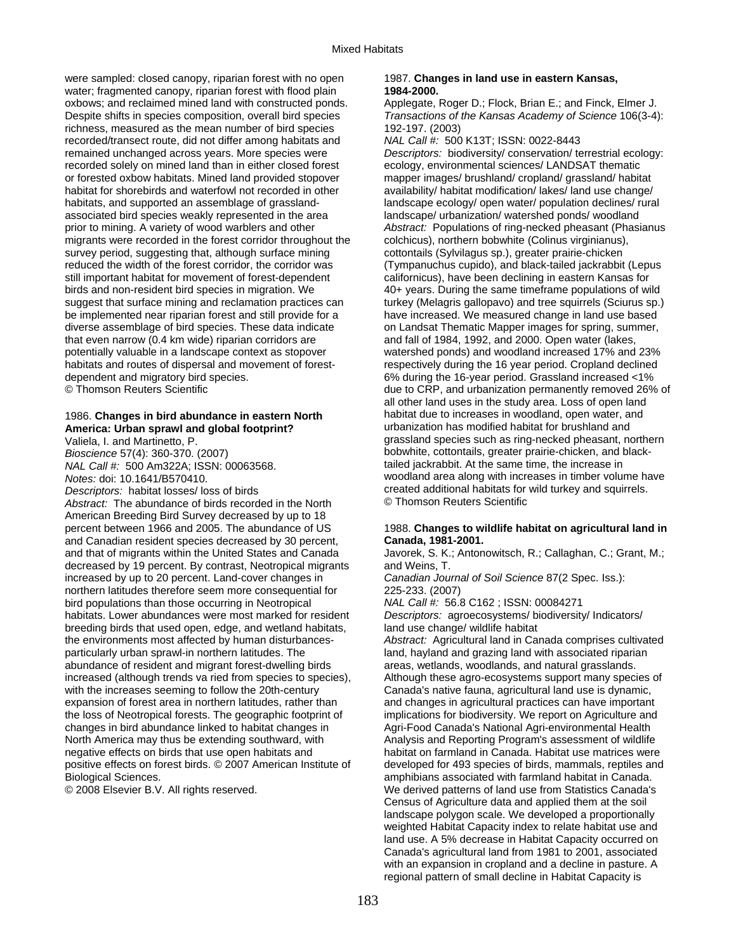were sampled: closed canopy, riparian forest with no open 1987. **Changes in land use in eastern Kansas,** water; fragmented canopy, riparian forest with flood plain **1984-2000.**  oxbows; and reclaimed mined land with constructed ponds. Applegate, Roger D.; Flock, Brian E.; and Finck, Elmer J. Despite shifts in species composition, overall bird species *Transactions of the Kansas Academy of Science* 106(3-4): richness, measured as the mean number of bird species 192-197. (2003) recorded/transect route, did not differ among habitats and *NAL Call #:* 500 K13T; ISSN: 0022-8443 remained unchanged across years. More species were *Descriptors:* biodiversity/ conservation/ terrestrial ecology: recorded solely on mined land than in either closed forest ecology, environmental sciences/ LANDSAT thematic or forested oxbow habitats. Mined land provided stopover mapper images/ brushland/ cropland/ grassland/ habitat habitat for shorebirds and waterfowl not recorded in other availability/ habitat modification/ lakes/ land use change/ habitats, and supported an assemblage of grassland-<br>landscape ecology/ open water/ population declines/ rural associated bird species weakly represented in the area landscape/ urbanization/ watershed ponds/ woodland prior to mining. A variety of wood warblers and other *Abstract:* Populations of ring-necked pheasant (Phasianus migrants were recorded in the forest corridor throughout the colchicus), northern bobwhite (Colinus virginianus), survey period, suggesting that, although surface mining cottontails (Sylvilagus sp.), greater prairie-chicken reduced the width of the forest corridor, the corridor was (Tympanuchus cupido), and black-tailed jackrabbit (Lepus still important habitat for movement of forest-dependent californicus), have been declining in eastern Kansas for birds and non-resident bird species in migration. We 40+ years. During the same timeframe populations of wild<br>suggest that surface mining and reclamation practices can turkey (Melagris gallopavo) and tree squirrels (Sciuru be implemented near riparian forest and still provide for a have increased. We measured change in land use based diverse assemblage of bird species. These data indicate on Landsat Thematic Mapper images for spring, summer, that even narrow (0.4 km wide) riparian corridors are and fall of 1984, 1992, and 2000. Open water (lakes, potentially valuable in a landscape context as stopover watershed ponds) and woodland increased 17% and 23% habitats and routes of dispersal and movement of forest-<br>
respectively during the 16 year period. Cropland declined dependent and migratory bird species. 6% during the 16-year period. Grassland increased <1%

## America: Urban sprawl and global footprint?

*Bioscience* 57(4): 360-370. (2007) **bobwhite, cottontails, greater prairie-chicken, and black-<br>
NAL Call #: 500 Am322A: ISSN: 00063568** *NAL Call #: 500 Am322A; ISSN: 00063568. Notes:* doi: 10.1641/B570410. woodland area along with increases in timber volume have *Descriptors:* habitat losses/ loss of birds created additional habitats for wild turkey and squirrels.<br>Abstract: The abundance of birds recorded in the North © Thomson Reuters Scientific *Abstract:* The abundance of birds recorded in the North American Breeding Bird Survey decreased by up to 18 and Canadian resident species decreased by 30 percent, **Canada, 1981-2001.**  decreased by 19 percent. By contrast, Neotropical migrants and Weins, T. increased by up to 20 percent. Land-cover changes in *Canadian Journal of Soil Science* 87(2 Spec. Iss.): northern latitudes therefore seem more consequential for 225-233. (2007) bird populations than those occurring in Neotropical *NAL Call #:* 56.8 C162 ; ISSN: 00084271 habitats. Lower abundances were most marked for resident *Descriptors:* agroecosystems/ biodiversity/ Indicators/ breeding birds that used open, edge, and wetland habitats, land use change/ wildlife habitat the environments most affected by human disturbances- *Abstract:* Agricultural land in Canada comprises cultivated particularly urban sprawl-in northern latitudes. The land, hayland and grazing land with associated riparian abundance of resident and migrant forest-dwelling birds areas, wetlands, woodlands, and natural grasslands. increased (although trends va ried from species to species), Although these agro-ecosystems support many species of with the increases seeming to follow the 20th-century Canada's native fauna, agricultural land use is dynamic, expansion of forest area in northern latitudes, rather than and changes in agricultural practices can have important the loss of Neotropical forests. The geographic footprint of implications for biodiversity. We report on Agriculture and changes in bird abundance linked to habitat changes in Agri-Food Canada's National Agri-environmental Health North America may thus be extending southward, with Analysis and Reporting Program's assessment of wildlife<br>
negative effects on birds that use open habitats and habitat on farmland in Canada. Habitat use matrices were positive effects on forest birds. © 2007 American Institute of developed for 493 species of birds, mammals, reptiles and Biological Sciences. amphibians associated with farmland habitat in Canada.

turkey (Melagris gallopavo) and tree squirrels (Sciurus sp.) © Thomson Reuters Scientific due to CRP, and urbanization permanently removed 26% of all other land uses in the study area. Loss of open land 1986. **Changes in bird abundance in eastern North** habitat due to increases in woodland, open water, and Valiela, I. and Martinetto, P. grassland species such as ring-necked pheasant, northern

## 1988. Changes to wildlife habitat on agricultural land in

Javorek, S. K.; Antonowitsch, R.; Callaghan, C.; Grant, M.;

habitat on farmland in Canada. Habitat use matrices were © 2008 Elsevier B.V. All rights reserved. We derived patterns of land use from Statistics Canada's Census of Agriculture data and applied them at the soil landscape polygon scale. We developed a proportionally weighted Habitat Capacity index to relate habitat use and land use. A 5% decrease in Habitat Capacity occurred on Canada's agricultural land from 1981 to 2001, associated with an expansion in cropland and a decline in pasture. A regional pattern of small decline in Habitat Capacity is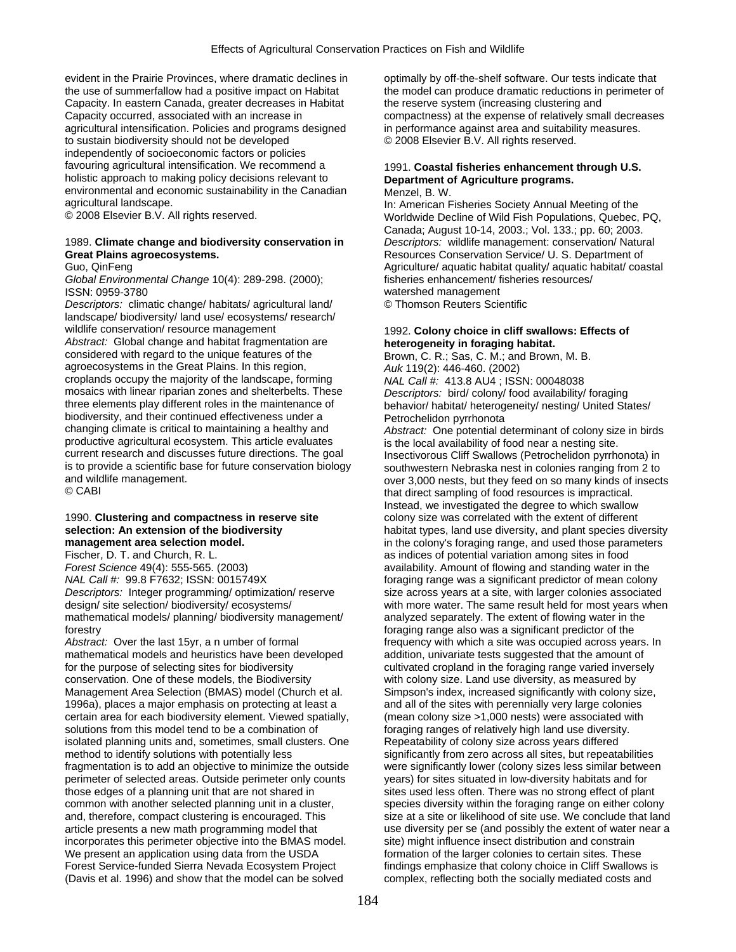the use of summerfallow had a positive impact on Habitat the model can produce dramatic reductions in perimeter of Capacity. In eastern Canada, greater decreases in Habitat the reserve system (increasing clustering and Capacity occurred, associated with an increase in compactness) at the expense of relatively small decreases agricultural intensification. Policies and programs designed in performance against area and suitability measures. to sustain biodiversity should not be developed © 2008 Elsevier B.V. All rights reserved. independently of socioeconomic factors or policies favouring agricultural intensification. We recommend a 1991. **Coastal fisheries enhancement through U.S.**  holistic approach to making policy approach to making policy approach to making policy decisions relevant to a<br>Agricultural land scape.<br>Agricultural and economic sustainability in the Canadian Menzel, B. W. American F

## Great Plains agroecosystems. **Resources Conservation Service/ U. S. Department of** Resources Conservation Service/ U. S. Department of

*Global Environmental Change* 10(4): 289-298. (2000); fisheries enhancement/ fisheries resources/ ISSN: 0959-3780 watershed management

*Descriptors:* climatic change/ habitats/ agricultural land/ © Thomson Reuters Scientific landscape/ biodiversity/ land use/ ecosystems/ research/ wildlife conservation/ resource management 1992. Colony choice in cliff swallows: Effects of *Abstract:* Global change and habitat fragmentation are **heterogeneity in foraging habitat.**  agroecosystems in the Great Plains. In this region, *Auk* 119(2): 446-460. (2002) croplands occupy the majority of the landscape, forming *NAL Call #:* 413.8 AU4 ; ISSN: 00048038 mosaics with linear riparian zones and shelterbelts. These *Descriptors:* bird/ colony/ food availability/ foraging three elements play different roles in the maintenance of behavior/ habitat/ heterogeneity/ nesting/ United States/ biodiversity, and their continued effectiveness under a Petrochelidon pyrrhonota<br>
changing climate is critical to maintaining a healthy and *Abstract:* One potential do changing climate is critical to maintaining a healthy and *Abstract:* One potential determinant of colony size in birds productive agricultural ecosystem. This article evaluates is the local availability of food near a nesting site.<br>Current research and discusses future directions. The goal insectivorous Cliff Swallows (Petrochelidon pyrrh current research and discusses future directions. The goal Insectivorous Cliff Swallows (Petrochelidon pyrrhonota) in<br>Insectivorous Cliff Swallows (Petrochelidon pyrrhonota) in is to provide a southwestern Nebraska nest in is to provide a scientific base for future conservation biology southwestern Nebraska nest in colonies ranging from 2 to<br>over 3.000 nests, but they feed on so many kinds of insect and wildlife management.<br>
© CABI<br>
CABI

# 1990. **Clustering and compactness in reserve site** colony size was correlated with the extent of different

*Forest Science* 49(4): 555-565. (2003) availability. Amount of flowing and standing water in the *NAL Call #:* 99.8 F7632; ISSN: 0015749X foraging range was a significant predictor of mean colony *Descriptors:* Integer programming/ optimization/ reserve size across years at a site, with larger colonies associated mathematical models/ planning/ biodiversity management/ analyzed separately. The extent of flowing water in the

mathematical models and heuristics have been developed addition, univariate tests suggested that the amount of for the purpose of selecting sites for biodiversity cultivated cropland in the foraging range varied inversely conservation. One of these models, the Biodiversity with colony size. Land use diversity, as measured by Management Area Selection (BMAS) model (Church et al. Simpson's index, increased significantly with colony size, 1996a), places a major emphasis on protecting at least a and all of the sites with perennially very large colonies certain area for each biodiversity element. Viewed spatially, (mean colony size >1,000 nests) were associated with solutions from this model tend to be a combination of foraging ranges of relatively high land use diversity. isolated planning units and, sometimes, small clusters. One Repeatability of colony size across years differed method to identify solutions with potentially less significantly from zero across all sites, but repeatabilities fragmentation is to add an objective to minimize the outside were significantly lower (colony sizes less similar between perimeter of selected areas. Outside perimeter only counts years) for sites situated in low-diversity habitats and for those edges of a planning unit that are not shared in sites used less often. There was no strong effect of plant common with another selected planning unit in a cluster, species diversity within the foraging range on either colony incorporates this perimeter objective into the BMAS model. site) might influence insect distribution and constrain We present an application using data from the USDA formation of the larger colonies to certain sites. These Forest Service-funded Sierra Nevada Ecosystem Project findings emphasize that colony choice in Cliff Swallows is (Davis et al. 1996) and show that the model can be solved complex, reflecting both the socially mediated costs and

evident in the Prairie Provinces, where dramatic declines in optimally by off-the-shelf software. Our tests indicate that

agricultural landscape.<br>
© 2008 Elsevier B.V. All rights reserved. The Society Annual Meeting of the Society Annual Meeting of the Society Annual Meeting of the Society Annual Meeting of the Society Annual Meeting of the S Worldwide Decline of Wild Fish Populations, Quebec, PQ, Canada; August 10-14, 2003.; Vol. 133.; pp. 60; 2003. 1989. **Climate change and biodiversity conservation in** *Descriptors:* wildlife management: conservation/ Natural Guo, QinFeng Agriculture/ aquatic habitat quality/ aquatic habitat quality/ aquatic habitat coastal

Brown, C. R.; Sas, C. M.; and Brown, M. B.

that direct sampling of food resources is impractical. Instead, we investigated the degree to which swallow **selection: An extension of the biodiversity** habitat types, land use diversity, and plant species diversity **management area selection model.** in the colony's foraging range, and used those parameters Fischer, D. T. and Church, R. L. **and Church, R. L. as indices of potential variation among sites in food** design/ site selection/ biodiversity/ ecosystems/ with more water. The same result held for most years when forestry foraging range also was a significant predictor of the Abstract: Over the last 15yr, a n umber of formal **frequency with which a site was occupied across years.** In and, therefore, compact clustering is encouraged. This size at a site or likelihood of site use. We conclude that land article presents a new math programming model that use diversity per se (and possibly the extent of water near a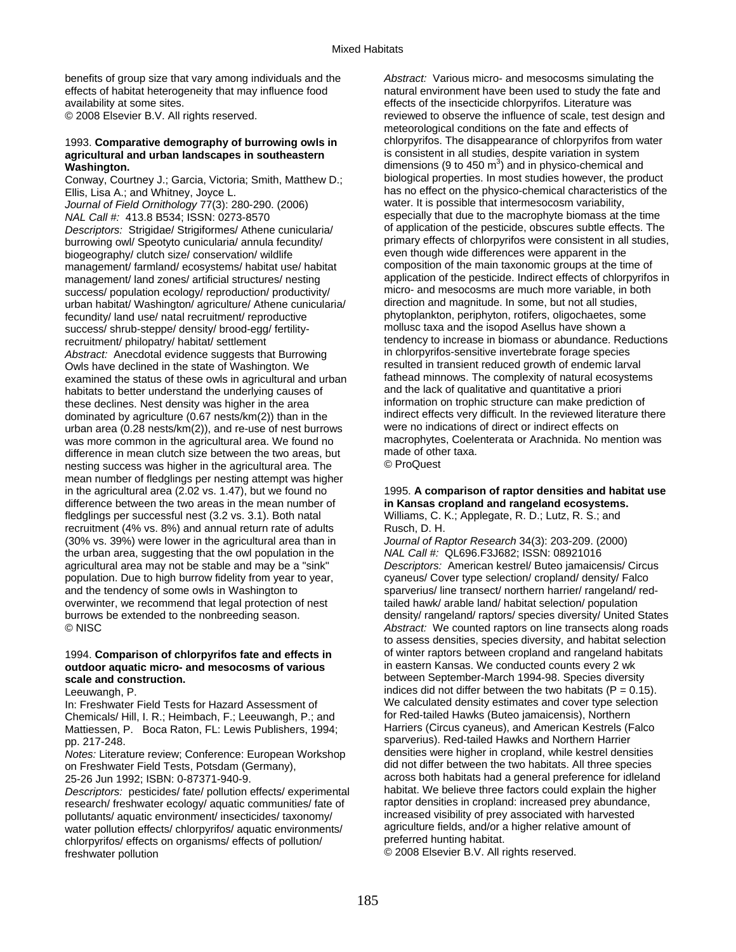benefits of group size that vary among individuals and the *Abstract:* Various micro- and mesocosms simulating the

# **agricultural and urban landscapes in southeastern**

Conway, Courtney J.; Garcia, Victoria; Smith, Matthew D.; biological properties. In most studies however, the product *Journal of Field Ornithology* 77(3): 280-290. (2006)<br>NAL Call #: 413.8 B534; ISSN: 0273-8570 burrowing owl/ Speotyto cunicularia/ annula fecundity/ primary effects of chlorpyrifos were consistent in all<br>biogeography/ clutch size/ conservation/ wildlife example were though wide differences were apparent in the biogeography/ clutch size/ conservation/ wildlife management/ land zones/ artificial structures/ nesting application of the pesticide. Indirect effects of chlorpyrifo<br>success/ population ecology/ reproduction/ productivity/ micro- and mesocosms are much more variable, in success/ population ecology/ reproduction/ productivity/ micro- and mesocosms are much more variable, in both<br>
urban habitat/ Washington/ agriculture/ Athene cunicularia/ direction and magnitude. In some, but not all studi urban habitat/ Washington/ agriculture/ Athene cunicularia/ direction and magnitude. In some, but not all studies,<br>fecundity/ land use/ natal recruitment/ reproductive by phytoplankton, periphyton, rotifers, oligochaetes, fecundity/ land use/ natal recruitment/ reproductive entity phytoplankton, periphyton, rotifers, oligochaetes, some<br>
success/ shrub-steppe/ density/ brood-egg/ fertility-<br>
mollusc taxa and the isopod Asellus have shown a success/ shrub-steppe/ density/ brood-egg/ fertility-Abstract: Anecdotal evidence suggests that Burrowing in chlorpyrifos-sensitive invertebrate forage species<br>Owls have declined in the state of Washington, We sulted in transient reduced growth of endemic larval Owls have declined in the state of Washington. We resulted in transient reduced growth of endemic larval<br>examined the status of these owls in agricultural and urban fathead minnows. The complexity of natural ecosystems examined the status of these owls in agricultural and urban fathead minnows. The complexity of natural ecosy<br>habitats to better understand the underlying causes of and the lack of qualitative and quantitative a priori habitats to better understand the underlying causes of and the lack of qualitative and quantitative a priori<br>these declines. Nest density was higher in the area information on trophic structure can make prediction of dominated by agriculture (0.67 nests/km(2)) than in the indirect effects very difficult. In the reviewed litera<br>urban area (0.28 nests/km(2)), and re-use of nest burrows were no indications of direct or indirect effects on urban area (0.28 nests/km(2)), and re-use of nest burrows was more common in the agricultural area. We found no macrophytes, Coelenterata or Arachnida. No mention was difference in mean clutch size between the two areas but made of other taxa. difference in mean clutch size between the two areas, but made of oth<br>nesting success was bigher in the agricultural area. The CProQuest nesting success was higher in the agricultural area. The mean number of fledglings per nesting attempt was higher in the agricultural area (2.02 vs. 1.47), but we found no 1995. **A comparison of raptor densities and habitat use**  difference between the two areas in the mean number of **in Kansas cropland and rangeland ecosystems**<br> **in Kansas cropland and rangeland ecosystems**<br>
Williams, C. K.; Applegate, R. D.; Lutz, R. S.; and fledglings per successful nest (3.2 vs. 3.1). Both natal recruitment (4% vs. 8%) and annual return rate of adults Rusch, D. H.<br>(30% vs. 39%) were lower in the agricultural area than in *Journal of Raptor Research* 34(3): 203-209. (2000) (30% vs. 39%) were lower in the agricultural area than in the urban area, suggesting that the owl population in the *NAL Call #:* QL696.F3J682; ISSN: 08921016 agricultural area may not be stable and may be a "sink" *Descriptors:* American kestrel/ Buteo jamaicensis/ Circus population. Due to high burrow fidelity from year to year, cyaneus/ Cover type selection/ cropland/ density/ Falco and the tendency of some owls in Washington to sparverius/ line transect/ northern harrier/ rangeland/ redoverwinter, we recommend that legal protection of nest tailed hawk/ arable land/ habitat selection/ population

## outdoor aquatic micro- and mesocosms of various **scale and construction.** between September-March 1994-98. Species diversity

Chemicals/ Hill, I. R.; Heimbach, F.; Leeuwangh, P.; and for Red-tailed Hawks (Buteo jamaicensis), Northern<br>Mattiessen, P. Boca Raton, FL; Lewis Publishers, 1994; Farriers (Circus cyaneus), and American Kestrels (Falco Mattiessen, P. Boca Raton, FL: Lewis Publishers, 1994;

*Notes:* Literature review; Conference: European Workshop densities were higher in cropland, while kestrel densities on Freshwater Field Tests, Potsdam (Germany),

*Descriptors:* pesticides/ fate/ pollution effects/ experimental habitat. We believe three factors could explain the highe<br>research/ freshwater ecology/ aquatic communities/ fate of raptor densities in cropland: increased research/ freshwater ecology/ aquatic communities/ fate of raptor densities in cropland: increased prey abundance,<br>nollutants/ aquatic environment/ insecticides/ taxonomy/ increased visibility of prey associated with harve pollutants/ aquatic environment/ insecticides/ taxonomy/ increased visibility of prey associated with harvested<br>water pollution effects/ chlorpyrifos/ aquatic environments/ agriculture fields, and/or a higher relative amou water pollution effects/ chlorpyrifos/ aquatic environments/ agriculture fields, and/or a chlorpyrifos/ effects on organisms/ effects of pollution/ preferred hunting habitat. chlorpyrifos/ effects on organisms/ effects of pollution/ freshwater pollution © 2008 Elsevier B.V. All rights reserved.

effects of habitat heterogeneity that may influence food natural environment have been used to study the fate and availability at some sites.<br>
© 2008 Elsevier B.V. All rights reserved. effects of the insecticide chlorpyrifos. Literature was<br>
reviewed to observe the influence of scale, test designed reviewed to observe the influence of scale, test design and meteorological conditions on the fate and effects of 1993. **Comparative demography of burrowing owls in** chlorpyrifos. The disappearance of chlorpyrifos from water **Washington.** dimensions (9 to 450 m3 ) and in physico-chemical and Ellis, Lisa A.; and Whitney, Joyce L.<br>
Journal of Field Ornithology 77(3): 280-290 (2006) water. It is possible that intermesocosm variability. especially that due to the macrophyte biomass at the time<br>of application of the pesticide, obscures subtle effects. The *Descriptors:* Strigidae/ Strigiformes/ Athene cunicularia/ of application of the pesticide, obscures subtle effects. The<br>
primary effects of chlorpyrifos were consistent in all studies, management/ farmland/ ecosystems/ habitat use/ habitat composition of the main taxonomic groups at the time of<br>management/ land zones/ artificial structures/ nesting application of the pesticide. Indirect effects of chlorp recruitment/ philopatry/ habitat/ settlement<br>Abstract: Anecdotal evidence suggests that Burrowing in chlorpyrifos-sensitive invertebrate forage species these declines. Nest density was higher in the area information on trophic structure can make prediction of<br>dominated by agriculture (0.67 nests/km(2)) than in the indirect effects very difficult. In the reviewed literatur

burrows be extended to the nonbreeding season. density/ rangeland/ raptors/ species diversity/ United States © NISC *Abstract:* We counted raptors on line transects along roads to assess densities, species diversity, and habitat selection 1994. **Comparison of chlorpyrifos fate and effects in** of winter raptors between cropland and rangeland habitats Leeuwangh, P. indices did not differ between the two habitats  $(P = 0.15)$ . In: Freshwater Field Tests for Hazard Assessment of We calculated density estimates and cover type selection<br>Chemicals/Hill I. R. Heimbach F. Leeuwangh P. and for Red-tailed Hawks (Buteo jamaicensis), Northern pp. 217-248.<br>
pp. 217-248. sparverius). Red-tailed Hawks and Northern Harrier<br>
Notes: Literature review: Conference: European Workshop densities were higher in cropland, while kestrel densities 25-26 Jun 1992; ISBN: 0-87371-940-9.<br>Descriptors: pesticides/fate/ pollution effects/ experimental habitat. We believe three factors could explain the higher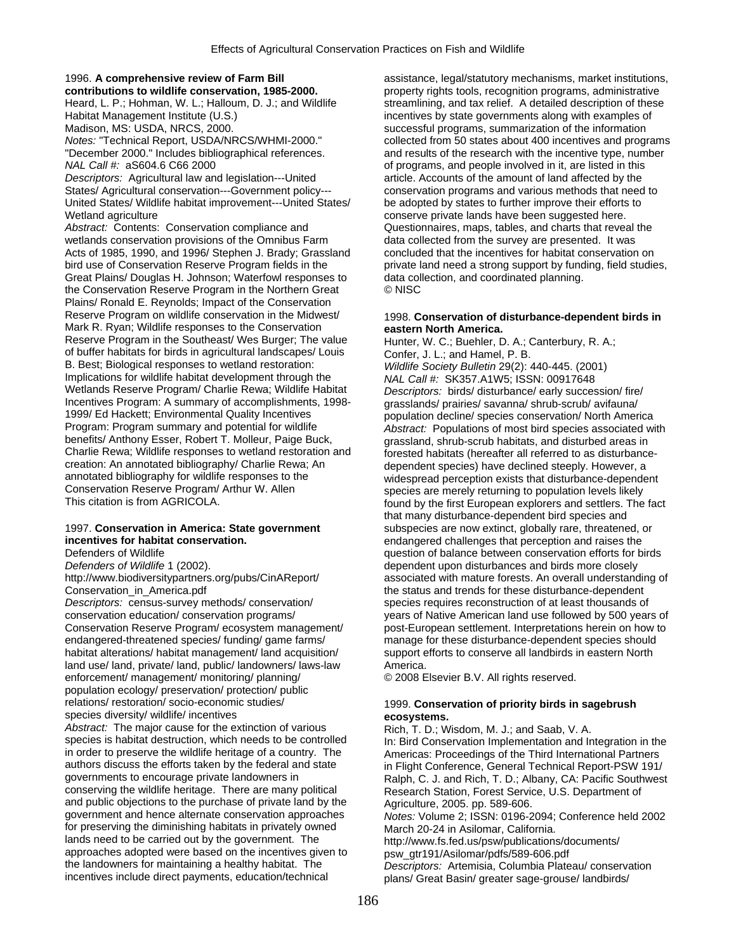Habitat Management Institute (U.S.) incentives by state governments along with examples of Madison, MS: USDA, NRCS, 2000. Successful programs, summarization of the information of the information

*Descriptors: Agricultural law and legislation--- United* States/ Agricultural conservation---Government policy--- conservation programs and various methods that need to United States/ Wildlife habitat improvement---United States/ be adopted by states to further improve their efforts to Wetland agriculture conserve private lands have been suggested here.

*Abstract:* Contents: Conservation compliance and Questionnaires, maps, tables, and charts that reveal the wetlands conservation provisions of the Omnibus Farm data collected from the survey are presented. It was Acts of 1985, 1990, and 1996/ Stephen J. Brady; Grassland concluded that the incentives for habitat conservation on bird use of Conservation Reserve Program fields in the private land need a strong support by funding, field studies, Great Plains/ Douglas H. Johnson; Waterfowl responses to data collection, and coordinated planning.<br>the Conservation Reserve Program in the Northern Great © NISC the Conservation Reserve Program in the Northern Great Plains/ Ronald E. Reynolds; Impact of the Conservation Reserve Program on wildlife conservation in the Midwest/ 1998. **Conservation of disturbance-dependent birds in**  Mark R. Ryan; Wildlife responses to the Conservation **eastern North America.**  Reserve Program in the Southeast/ Wes Burger; The value Hunter, W. C.; Buehler, D. A.; Canterbury, R. A.; of buffer habitats for birds in agricultural landscapes/ Louis Confer, J. L.; and Hamel, P. B. B. Best; Biological responses to wetland restoration: *Wildlife Society Bulletin* 29(2): 440-445. (2001) Implications for wildlife habitat development through the *NAL Call #:* SK357.A1W5; ISSN: 00917648<br>Wetlands Reserve Program/ Charlie Rewa; Wildlife Habitat *Descriptors: birds/ disturbance/ early succes* Wetlands Reserve Program/ Charlie Rewa; Wildlife Habitat *Descriptors:* birds/ disturbance/ early succession/ fire/<br>Incentives Program: A summary of accomplishments, 1998-<br>grasslands/ prairies/ sayanna/ shrub-scrub/ avifau Incentives Program: A summary of accomplishments, 1998- grasslands/ prairies/ savanna/ shrub-scrub/ avifauna/ 1999/ Ed Hackett; Environmental Quality Incentives population decline/ species conservation/ North America<br>Program: Program summary and potential for wildlife *Abstract: Populations of most bird species associated wi* benefits/ Anthony Esser, Robert T. Molleur, Paige Buck, grassland, shrub-scrub habitats, and disturbed areas in<br>Charlie Rewa: Wildlife responses to wetland restoration and forested habitats (bereafter all referred to as di Charlie Rewa; Wildlife responses to wetland restoration and forested habitats (hereafter all referred to as disturbance-<br>creation: An annotated bibliography/ Charlie Rewa; An dependent species) have declined steeply. Howev creation: An annotated bibliography/ Charlie Rewa; An dependent species) have declined steeply. However, a<br>annotated bibliography for wildlife responses to the videspread perception exists that disturbance-depende annotated bibliography for wildlife responses to the widespread perception exists that disturbance-dependent<br>Conservation Reserve Program/ Arthur W. Allen Conservation Reserve Program/ Arthur W. Allen species are merely returning to population levels likely<br>This citation is from AGRICOLA.

*Descriptors:* census-survey methods/ conservation/ species requires reconstruction of at least thousands of endangered-threatened species/ funding/ game farms/ manage for these disturbance-dependent species should habitat alterations/ habitat management/ land acquisition/ support efforts to conserve all landbirds in eastern North land use/ land, private/ land, public/ landowners/ laws-law America. enforcement/ management/ monitoring/ planning/  $\degree$  2008 Elsevier B.V. All rights reserved. population ecology/ preservation/ protection/ public relations/ restoration/ socio-economic studies/ 1999. **Conservation of priority birds in sagebrush**  species diversity/ wildlife/ incentives **ecosystems.** 

*Abstract:* The major cause for the extinction of various Rich, T. D.; Wisdom, M. J.; and Saab, V. A. species is habitat destruction, which needs to be controlled In: Bird Conservation Implementation and In species is habitat destruction, which needs to be controlled In: Bird Conservation Implementation and Integration in the<br>In order to preserve the wildlife heritage of a country. The Americas: Proceedings of the Third Inter in order to preserve the wildlife heritage of a country. The Americas: Proceedings of the Third International Partners<br>authors discuss the efforts taken by the federal and state in Flight Conference, General Technical Repo authors discuss the efforts taken by the federal and state in Flight Conference, General Technical Report-PSW 191/<br>governments to encourage private landowners in Ralph C. J. and Rich T. D.: Albany, CA: Pacific Southwes governments to encourage private landowners in Falph, C. J. and Rich, T. D.; Albany, CA: Pacific Southwest<br>
conserving the wildlife heritage. There are many political Research Station. Forest Service, U.S. Department of and public objections to the purchase of private land by the Agriculture, 2005. pp. 589-606.<br>
government and hence alternate conservation approaches Motes: Volume 2: ISSN: 0196-2 for preserving the diminishing habitats in privately owned March 20-24 in Asilomar, California. lands need to be carried out by the government. The http://www.fs.fed.us/psw/publications/documents/ approaches adopted were based on the incentives given to psw\_gtr191/Asilomar/pdfs/589-606.pdf<br>the landowners for maintaining a healthy habitat. The *Descriptors:* Artemisia. Columbia Plate the landowners for maintaining a healthy habitat. The *Descriptors:* Artemisia, Columbia Plateau/ conservation

1996. **A comprehensive review of Farm Bill** assistance, legal/statutory mechanisms, market institutions, **contributions to wildlife conservation, 1985-2000.** property rights tools, recognition programs, administrative Heard, L. P.; Hohman, W. L.; Halloum, D. J.; and Wildlife streamlining, and tax relief. A detailed description of these *Notes:* "Technical Report, USDA/NRCS/WHMI-2000." collected from 50 states about 400 incentives and programs "December 2000." Includes bibliographical references. and results of the research with the incentive type, number *NAL Call #:* aS604.6 C66 2000 of programs, and people involved in it, are listed in this<br>Descriptors: Agricultural law and legislation---United article. Accounts of the amount of land affected by the

Abstract: Populations of most bird species associated with found by the first European explorers and settlers. The fact that many disturbance-dependent bird species and 1997. **Conservation in America: State government** subspecies are now extinct, globally rare, threatened, or endangered challenges that perception and raises the Defenders of Wildlife **Defenders** of Wildlife and Defenders of Wildlife between conservation efforts for birds *Defenders of Wildlife* 1 (2002). dependent upon disturbances and birds more closely http://www.biodiversitypartners.org/pubs/CinAReport/ associated with mature forests. An overall understanding of Conservation in America.pdf the status and trends for these disturbance-dependent conservation education/ conservation programs/ years of Native American land use followed by 500 years of Conservation Reserve Program/ ecosystem management/ post-European settlement. Interpretations herein on how to

Research Station, Forest Service, U.S. Department of Notes: Volume 2; ISSN: 0196-2094; Conference held 2002 plans/ Great Basin/ greater sage-grouse/ landbirds/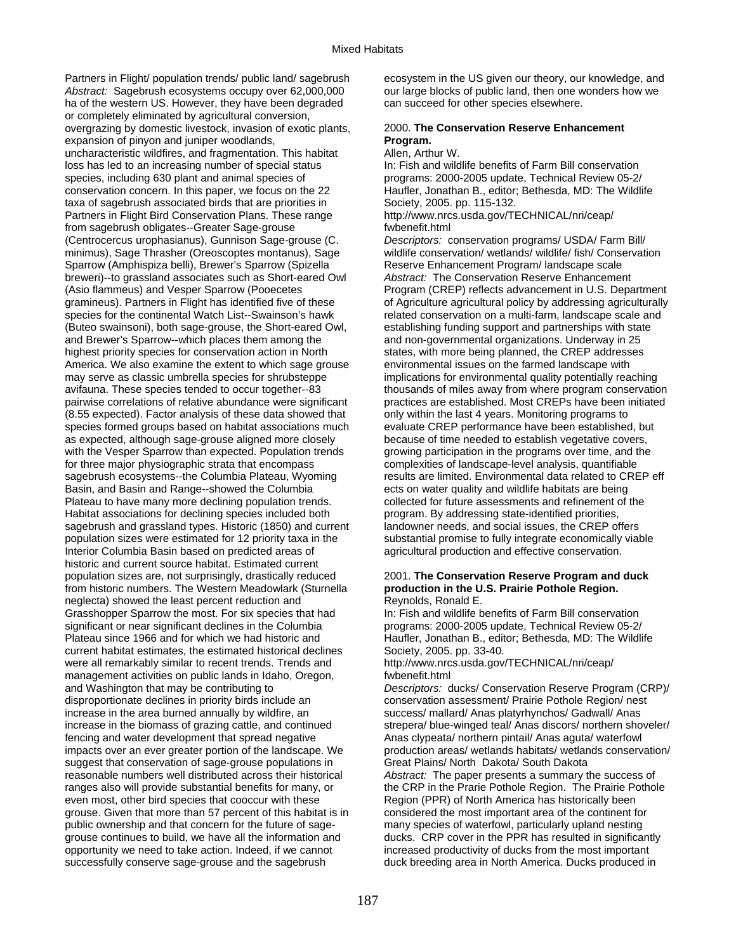Partners in Flight/ population trends/ public land/ sagebrush ecosystem in the US given our theory, our knowledge, and Abstract: Sagebrush ecosystems occupy over 62,000,000 our large blocks of public land, then one wonders how we ha of the western US. However, they have been degraded can succeed for other species elsewhere. or completely eliminated by agricultural conversion, overgrazing by domestic livestock, invasion of exotic plants, 2000. **The Conservation Reserve Enhancement**  expansion of pinyon and juniper woodlands, **Program. Program.** uncharacteristic wildfires, and fragmentation. This habitat Allen, Arthur W.<br>
loss has led to an increasing number of special status and in: Fish and wildlife benefits of Farm Bill conservation loss has led to an increasing number of special status In: Fish and wildlife benefits of Farm Bill conservation<br>In: Fish and wildlife benefits of Farm Bill conservation<br>programs: 2000-2005 update, Technical Review 05-2/ species, including 630 plant and animal species of conservation concern. In this paper, we focus on the 22 Haufler, Jonathan B., editor; Bethesda, MD: The Wildlife taxa of sagebrush associated birds that are priorities in Society, 2005. pp. 115-132. Partners in Flight Bird Conservation Plans. These range http://www.nrcs.usda.gov/TECHNICAL/nri/ceap/ from sagebrush obligates--Greater Sage-grouse fwbenefit.html (Centrocercus urophasianus), Gunnison Sage-grouse (C. *Descriptors:* conservation programs/ USDA/ Farm Bill/ minimus), Sage Thrasher (Oreoscoptes montanus), Sage wildlife conservation/ wetlands/ wildlife/ fish/ Conservation Sparrow (Amphispiza belli), Brewer's Sparrow (Spizella Reserve Enhancement Program/ landscape scale<br>
Sparrow in Abstract: The Conservation Reserve Enhancement breweri)--to grassland associates such as Short-eared Owl (Asio flammeus) and Vesper Sparrow (Pooecetes (Asio flammeus) and Vesper Sparrow (Pooecetes Program (CREP) reflects advancement in U.S. Department (gramineus). Partners in Flight has identified five of these of Agriculture agricultural policy by addressing agricultura species for the continental Watch List--Swainson's hawk related conservation on a multi-farm, landscape scale and (Buteo swainsoni), both sage-grouse, the Short-eared Owl, establishing funding support and partnerships with state and Brewer's Sparrow--which places them among the and non-governmental organizations. Underway in 25 highest priority species for conservation action in North states, with more being planned, the CREP addresses America. We also examine the extent to which sage grouse environmental issues on the farmed landscape with may serve as classic umbrella species for shrubsteppe implications for environmental quality potentially reaching avifauna. These species tended to occur together--83 thousands of miles away from where program conservation pairwise correlations of relative abundance were significant practices are established. Most CREPs have been initiated (8.55 expected). Factor analysis of these data showed that only within the last 4 years. Monitoring programs to species formed groups based on habitat associations much evaluate CREP performance have been established, but as expected, although sage-grouse aligned more closely because of time needed to establish vegetative covers, with the Vesper Sparrow than expected. Population trends growing participation in the programs over time, and the for three major physiographic strata that encompass complexities of landscape-level analysis, quantifiable sagebrush ecosystems--the Columbia Plateau, Wyoming results are limited. Environmental data related to CREP eff<br>Basin, and Basin and Range--showed the Columbia extraorects on water quality and wildlife habitats are being Basin, and Basin and Range--showed the Columbia Plateau to have many more declining population trends. collected for future assessments and refinement of the Habitat associations for declining species included both program. By addressing state-identified priorities, sagebrush and grassland types. Historic (1850) and current landowner needs, and social issues, the CREP offers population sizes were estimated for 12 priority taxa in the substantial promise to fully integrate economically viable Interior Columbia Basin based on predicted areas of agricultural production and effective conservation. historic and current source habitat. Estimated current population sizes are, not surprisingly, drastically reduced 2001. **The Conservation Reserve Program and duck**  from historic numbers. The Western Meadowlark (Sturnella neglecta) showed the least percent reduction and **Reynolds, Ronald E.**<br>Grasshopper Sparrow the most. For six species that had **Reynolds** In: Fish and wildlife benefits of Farm Bill conservation Grasshopper Sparrow the most. For six species that had significant or near significant declines in the Columbia programs: 2000-2005 update, Technical Review 05-2/ Plateau since 1966 and for which we had historic and Haufler, Jonathan B., editor; Bethesda, MD: The Wildlife current habitat estimates, the estimated historical declines Society, 2005. pp. 33-40. were all remarkably similar to recent trends. Trends and http://www.nrcs.usda.gov/TECHNICAL/nri/ceap/ management activities on public lands in Idaho, Oregon, fwbenefit.html and Washington that may be contributing to *Descriptors:* ducks/ Conservation Reserve Program (CRP)/ disproportionate declines in priority birds include an conservation assessment/ Prairie Pothole Region/ nest increase in the area burned annually by wildfire, an success/ mallard/ Anas platyrhynchos/ Gadwall/ Anas increase in the biomass of grazing cattle, and continued strepera/ blue-winged teal/ Anas discors/ northern shoveler/ fencing and water development that spread negative **Anas clypeata/ northern pintail/ Anas aguta/ waterfowl** impacts over an ever greater portion of the landscape. We production areas/ wetlands habitats/ wetlands conservation/ suggest that conservation of sage-grouse populations in Great Plains/ North Dakota/ South Dakota reasonable numbers well distributed across their historical *Abstract:* The paper presents a summary the success of ranges also will provide substantial benefits for many, or the CRP in the Prarie Pothole Region. The Prairie Pothole even most, other bird species that cooccur with these Region (PPR) of North America has historically been even most, other bird species that cooccur with these grouse. Given that more than 57 percent of this habitat is in considered the most important area of the continent for public ownership and that concern for the future of sage- many species of waterfowl, particularly upland nesting grouse continues to build, we have all the information and ducks. CRP cover in the PPR has resulted in significantly opportunity we need to take action. Indeed, if we cannot increased productivity of ducks from the most important successfully conserve sage-grouse and the sagebrush duck breeding area in North America. Ducks produced in

of Agriculture agricultural policy by addressing agriculturally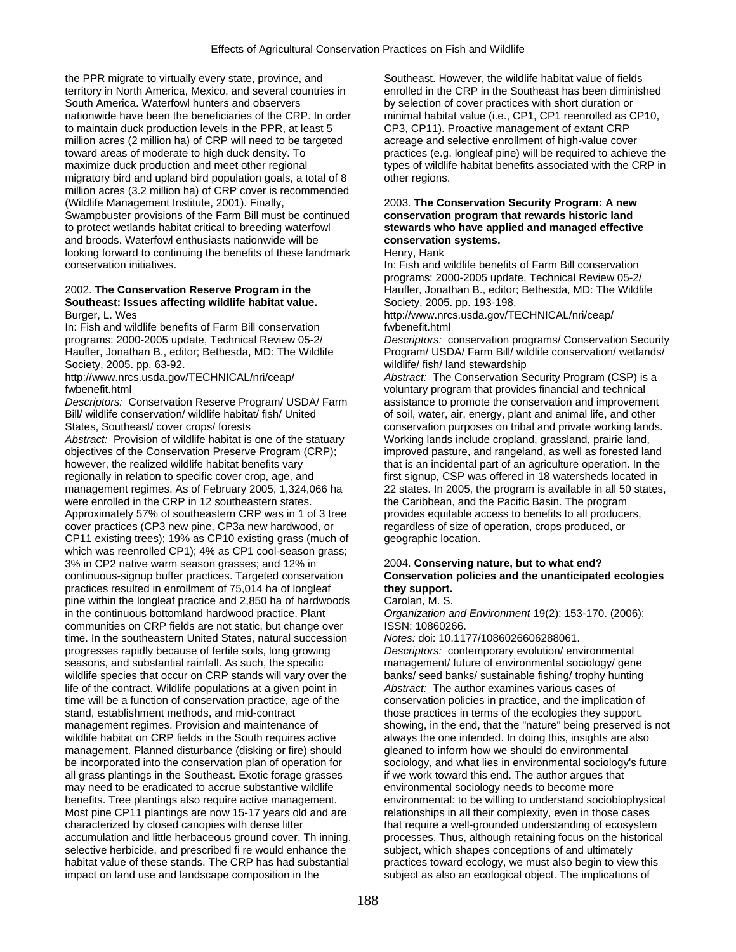the PPR migrate to virtually every state, province, and Southeast. However, the wildlife habitat value of fields territory in North America, Mexico, and several countries in enrolled in the CRP in the Southeast has been diminished South America. Waterfowl hunters and observers by selection of cover practices with short duration or nationwide have been the beneficiaries of the CRP. In order minimal habitat value (i.e., CP1, CP1 reenrolled as CP10, to maintain duck production levels in the PPR, at least 5 CP3, CP11). Proactive management of extant CRP million acres (2 million ha) of CRP will need to be targeted acreage and selective enrollment of high-value cover toward areas of moderate to high duck density. To practices (e.g. longleaf pine) will be required to achieve the<br>maximize duck production and meet other regional types of wildlife habitat benefits associated with the CRP i migratory bird and upland bird population goals, a total of  $8$  other regions. million acres (3.2 million ha) of CRP cover is recommended (Wildlife Management Institute, 2001). Finally, 2003. **The Conservation Security Program: A new**  Swampbuster provisions of the Farm Bill must be continued **conservation program that rewards historic land**  to protect wetlands habitat critical to breeding waterfowl **stewards who have applied and managed effective**  and broods. Waterfowl enthusiasts nationwide will be **conservation systems.**  looking forward to continuing the benefits of these landmark Henry, Hank conservation initiatives. In: Fish and wildlife benefits of Farm Bill conservation

### **Southeast: Issues affecting wildlife habitat value.** Society, 2005. pp. 193-198. Burger, L. Wes http://www.nrcs.usda.gov/TECHNICAL/nri/ceap/

In: Fish and wildlife benefits of Farm Bill conservation fwbenefit.html Society, 2005. pp. 63-92. wildlife/ fish/ land stewardship

Bill/ wildlife conservation/ wildlife habitat/ fish/ United of soil, water, air, energy, plant and animal life, and other States, Southeast/ cover crops/ forests conservation purposes on tribal and private working lands.

*Abstract:* Provision of wildlife habitat is one of the statuary Working lands include cropland, grassland, prairie land, objectives of the Conservation Preserve Program (CRP); improved pasture, and rangeland, as well as forested land however, the realized wildlife habitat benefits vary that is an incidental part of an agriculture operation. In the regionally in relation to specific cover crop, age, and first signup, CSP was offered in 18 watersheds located in<br>management regimes. As of February 2005, 1,324,066 ha 22 states. In 2005, the program is available in all 50 were enrolled in the CRP in 12 southeastern states. the Caribbean, and the Pacific Basin. The program Approximately 57% of southeastern CRP was in 1 of 3 tree provides equitable access to benefits to all producers, cover practices (CP3 new pine, CP3a new hardwood, or regardless of size of operation, crops produced, or CP11 existing trees); 19% as CP10 existing grass (much of geographic location. which was reenrolled CP1); 4% as CP1 cool-season grass; 3% in CP2 native warm season grasses; and 12% in 2004. **Conserving nature, but to what end?**  continuous-signup buffer practices. Targeted conservation **Conservation policies and the unanticipated ecologies**  practices resulted in enrollment of 75,014 ha of longleaf **they support.**  pine within the longleaf practice and 2,850 ha of hardwoods Carolan, M. S.<br>in the continuous bottomland hardwood practice. Plant Organization a communities on CRP fields are not static, but change over ISSN: 10860266. time. In the southeastern United States, natural succession *Notes:* doi: 10.1177/1086026606288061. progresses rapidly because of fertile soils, long growing *Descriptors:* contemporary evolution/ environmental seasons, and substantial rainfall. As such, the specific management/ future of environmental sociology/ gene wildlife species that occur on CRP stands will vary over the banks/ seed banks/ sustainable fishing/ trophy hunting life of the contract. Wildlife populations at a given point in *Abstract:* The author examines various cases of time will be a function of conservation practice, age of the conservation policies in practice, and the implication of stand, establishment methods, and mid-contract those practices in terms of the ecologies they support, management regimes. Provision and maintenance of showing, in the end, that the "nature" being preserved is not wildlife habitat on CRP fields in the South requires active always the one intended. In doing this, insights are also management. Planned disturbance (disking or fire) should gleaned to inform how we should do environmental be incorporated into the conservation plan of operation for sociology, and what lies in environmental sociology's future all grass plantings in the Southeast. Exotic forage grasses if we work toward this end. The author argues that may need to be eradicated to accrue substantive wildlife environmental sociology needs to become more benefits. Tree plantings also require active management. environmental: to be willing to understand sociobiophysical Most pine CP11 plantings are now 15-17 years old and are relationships in all their complexity, even in those cases characterized by closed canopies with dense litter that require a well-grounded understanding of ecosystem accumulation and little herbaceous ground cover. Th inning, processes. Thus, although retaining focus on the historical selective herbicide, and prescribed fi re would enhance the subject, which shapes conceptions of and ultimately habitat value of these stands. The CRP has had substantial practices toward ecology, we must also begin to view this impact on land use and landscape composition in the subject as also an ecological object. The implications of

types of wildlife habitat benefits associated with the CRP in

programs: 2000-2005 update, Technical Review 05-2/ 2002. **The Conservation Reserve Program in the** Haufler, Jonathan B., editor; Bethesda, MD: The Wildlife

programs: 2000-2005 update, Technical Review 05-2/ *Descriptors:* conservation programs/ Conservation Security Haufler, Jonathan B., editor; Bethesda, MD: The Wildlife Program/ USDA/ Farm Bill/ wildlife conservation/ wetlands/

http://www.nrcs.usda.gov/TECHNICAL/nri/ceap/ *Abstract:* The Conservation Security Program (CSP) is a fwbenefit.html voluntary program that provides financial and technical *Descriptors:* Conservation Reserve Program/ USDA/ Farm assistance to promote the conservation and improvement 22 states. In 2005, the program is available in all 50 states,

Organization and Environment 19(2): 153-170. (2006);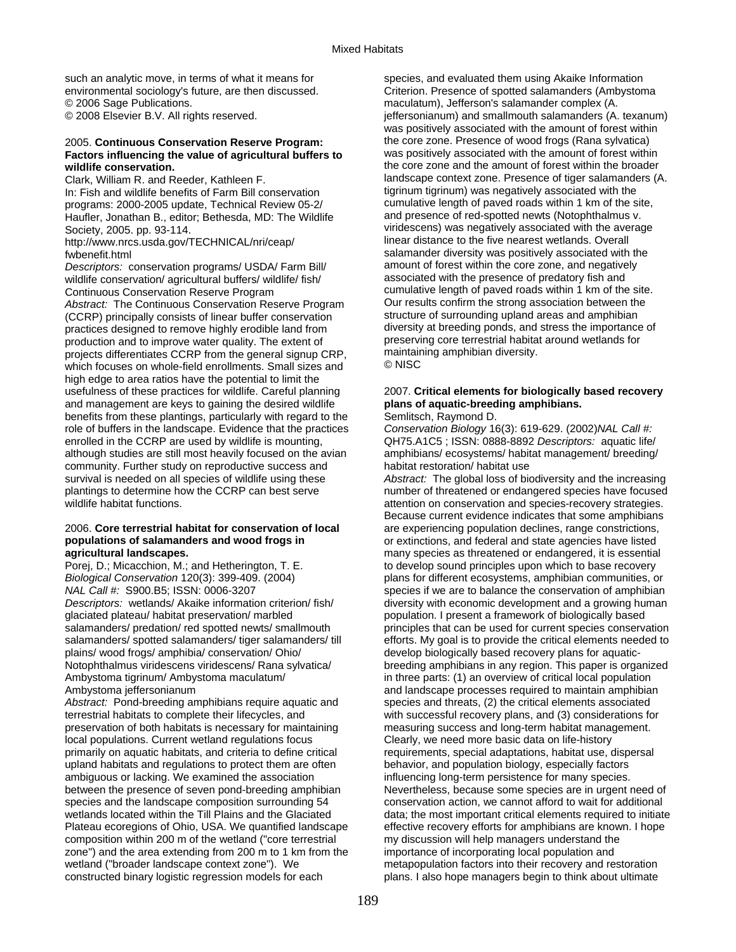such an analytic move, in terms of what it means for species, and evaluated them using Akaike Information © 2006 Sage Publications. maculatum), Jefferson's salamander complex (A.

## **Factors influencing the value of agricultural buffers to wildlife conservation.** the core zone and the amount of forest within the broader

programs: 2000-2005 update, Technical Review 05-2/ cumulative length of paved roads within 1 km of the sit<br>Haufler Jonathan B. editor: Bethesda, MD: The Wildlife. and presence of red-spotted newts (Notophthalmus v. Haufler, Jonathan B., editor; Bethesda, MD: The Wildlife

http://www.nrcs.usda.gov/TECHNICAL/nri/ceap/

wildlife conservation/ agricultural buffers/ wildlife/ fish/

(CCRP) principally consists of linear buffer conservation structure of surrounding upland areas and amphibian<br>Intertices designed to remove bigbly erodible land from diversity at breeding ponds, and stress the importance o practices designed to remove highly erodible land from diversity at breeding ponds, and stress the importance<br>
preserving core terrestrial habitat around wetlands for<br>
orchardon and to improve water quality. The extent of production and to improve water quality. The extent of preserving core terrestrial habitation is projects differentiates CCRP from the general signup CRP. The maintaining amphibian diversity. projects differentiates CCRP from the general signup CRP, maintain<br>which focuses on whole-field enrollments. Small sizes and  $\textcircled{NISC}$ which focuses on whole-field enrollments. Small sizes and high edge to area ratios have the potential to limit the usefulness of these practices for wildlife. Careful planning 2007. **Critical elements for biologically based recovery**  and management are keys to gaining the desired wildlife **plans of aquatic-breeding amphibians.**  benefits from these plantings, particularly with regard to the Semlitsch, Raymond D.<br>
role of buffers in the landscape. Evidence that the practices Conservation Biology 16(3): 619-629. (2002) NAL Call #: role of buffers in the landscape. Evidence that the practices enrolled in the CCRP are used by wildlife is mounting, QH75.A1C5 ; ISSN: 0888-8892 *Descriptors:* aquatic life/ although studies are still most heavily focused on the avian amphibians/ ecosystems/ habitat management/ breeding/ community. Further study on reproductive success and habitat restoration/ habitat use survival is needed on all species of wildlife using these *Abstract:* The global loss of biodiversity and the increasing

## 2006. **Core terrestrial habitat for conservation of local** are experiencing population declines, range constrictions, **populations of salamanders and wood frogs in or extinctions, and federal and state agencies have listed agricultural landscapes.**<br>many species as threatened or endangered, it is essential

glaciated plateau/ habitat preservation/ marbled population. I present a framework of biologically based plains/ wood frogs/ amphibia/ conservation/ Ohio/ develop biologically based recovery plans for aquatic-Ambystoma tigrinum/ Ambystoma maculatum/ in three parts: (1) an overview of critical local population

Abstract: Pond-breeding amphibians require aquatic and species and threats, (2) the critical elements associated terrestrial habitats to complete their lifecycles, and with successful recovery plans, and (3) considerations for preservation of both habitats is necessary for maintaining measuring success and long-term habitat management. local populations. Current wetland regulations focus Clearly, we need more basic data on life-history primarily on aquatic habitats, and criteria to define critical requirements, special adaptations, habitat use, dispersal upland habitats and regulations to protect them are often behavior, and population biology, especially factors ambiguous or lacking. We examined the association influencing long-term persistence for many species. species and the landscape composition surrounding 54 conservation action, we cannot afford to wait for additional Plateau ecoregions of Ohio, USA. We quantified landscape effective recovery efforts for amphibians are known. I hope composition within 200 m of the wetland ("core terrestrial my discussion will help managers understand the zone") and the area extending from 200 m to 1 km from the importance of incorporating local population and wetland ("broader landscape context zone"). We metapopulation factors into their recovery and restoration constructed binary logistic regression models for each plans. I also hope managers begin to think about ultimate

environmental sociology's future, are then discussed. Criterion. Presence of spotted salamanders (Ambystoma © 2008 Elsevier B.V. All rights reserved. jettersonianum) and smallmouth salamanders (A. texanum) was positively associated with the amount of forest within 2005. **Continuous Conservation Reserve Program:** the core zone. Presence of wood frogs (Rana sylvatica) Clark, William R. and Reeder, Kathleen F. landscape context zone. Presence of tiger salamanders (A. lo: Fish and wildlife benefits of Farm Bill conservation tigrinum tigrinum tigrinum) was negatively associated with the In: Fish and wildlife benefits of Farm Bill conservation the strate of the tigrinum tigrinum) was negatively associated with the site.<br>The cumulative length of payed roads within 1 km of the site. Society, 2005. pp. 93-114.<br>
http://www.prcs.usda.gov/TECHNICAI/pri/ceap/ example and inear distance to the five nearest wetlands. Overall fwbenefit.html salamander diversity was positively associated with the *Descriptors:* conservation programs/ USDA/ Farm Bill/ amount of forest within the core zone, and negatively<br>
wildlife conservation/ agricultural buffers/ wildlife/ fish/ associated with the presence of predatory fish and Continuous Conservation Reserve Program cumulative length of paved roads within 1 km of the site.<br>
Abstract: The Continuous Conservation Reserve Program Our results confirm the strong association between the Abstract: The Continuous Conservation Reserve Program Our results confirm the strong association between the COR<br>CORP) principally consists of linear buffer conservation structure of surrounding upland areas and amphibian

plantings to determine how the CCRP can best serve number of threatened or endangered species have focused<br>wildlife habitat functions. wildlife habitat functions. attention on conservation and species-recovery strategies. Because current evidence indicates that some amphibians many species as threatened or endangered, it is essential Porej, D.; Micacchion, M.; and Hetherington, T. E. to develop sound principles upon which to base recovery *Biological Conservation* 120(3): 399-409. (2004) plans for different ecosystems, amphibian communities, or<br> *NAL Call #:* S900.B5: ISSN: 0006-3207 species if we are to balance the conservation of amphibian species if we are to balance the conservation of amphibian *Descriptors:* wetlands/ Akaike information criterion/ fish/ diversity with economic development and a growing human salamanders/ predation/ red spotted newts/ smallmouth principles that can be used for current species conservation salamanders/ spotted salamanders/ tiger salamanders/ till efforts. My goal is to provide the critical elements needed to Notophthalmus viridescens viridescens/ Rana sylvatica/ breeding amphibians in any region. This paper is organized Ambystoma jeffersonianum and landscape processes required to maintain amphibian between the presence of seven pond-breeding amphibian Nevertheless, because some species are in urgent need of wetlands located within the Till Plains and the Glaciated data; the most important critical elements required to initiate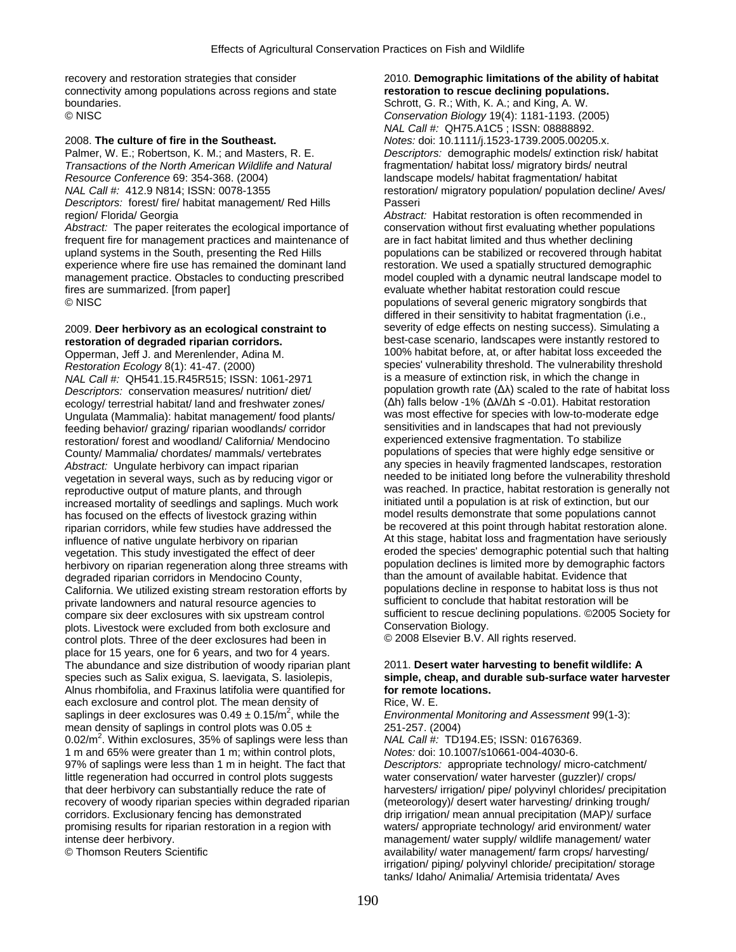connectivity among populations across regions and state **restoration to rescue declining populations.**  boundaries.<br>
Schrott, G. R.; With, K. A.; and King, A. W.<br>
Conservation Biology 19(4): 1181-1193. (20

*Transactions of the North American Wildlife and Natural* fragmentation/ habitat loss/ migratory birds/ neutral *Descriptors:* forest/ fire/ habitat management/ Red Hills Passeri region/ Florida/ Georgia *Abstract:* Habitat restoration is often recommended in

frequent fire for management practices and maintenance of are in fact habitat limited and thus whether declining upland systems in the South, presenting the Red Hills populations can be stabilized or recovered through habitat experience where fire use has remained the dominant land restoration. We used a spatially structured demographic management practice. Obstacles to conducting prescribed model coupled with a dynamic neutral landscape model to<br>fires are summarized. [from paper] evaluate whether habitat restoration could rescue fires are summarized. [from paper] evaluate whether habitat restoration could rescue<br>
© NISC<br>
© NISC

*Restoration Ecology* 8(1): 41-47. (2000) species' vulnerability threshold. The vulnerability threshold<br>
NAL Call #: QH541.15.R45R515: ISSN: 1061-2971 is a measure of extinction risk, in which the change in *NAL Call #: QH541.15.R45R515; ISSN: 1061-2971* ecology/ terrestrial habitat/ land and freshwater zones/ (Δh) falls below -1% (Δλ/Δh ≤ -0.01). Habitat restoration<br>Ungulata (Mammalia): habitat management/ food plants/ vas most effective for species with low-to-moderate Ungulata (Mammalia): habitat management/ food plants/ was most effective for species with low-to-moderate edge<br>
feeding behavior/ grazing/ riparian woodlands/ corridor sensitivities and in landscapes that had not previousl feeding behavior/ grazing/ riparian woodlands/ corridor sensitivities and in landscapes that had not previouristive frequenced extensive fragmentation. To stabilize restoration/ forest and woodland/ California/ Mendocino County/ Mammalia/ chordates/ mammals/ vertebrates populations of species that were highly edge sensitive or *Abstract:* Ungulate herbivory can impact riparian any species in heavily fragmented landscapes, restoration increased mortality of seedlings and saplings. Much work initiated until a population is at risk of extinction, but our<br>has focused on the effects of livestock grazing within model results demonstrate that some populations riparian corridors, while few studies have addressed the influence of native ungulate herbivory on riparian At this stage, habitat loss and fragmentation have seriously herbivory on riparian regeneration along three streams with population declines is limited more by demographic<br>degraded riparian corridors in Mendocino County.<br>than the amount of available habitat. Evidence that degraded riparian corridors in Mendocino County,<br>California, We utilized existing stream restoration efforts by example populations decline in response to habitat loss is thus not California. We utilized existing stream restoration efforts by populations decline in response to habitat loss is thus notivate landowners and natural resource agencies to sufficient to conclude that habitat restoration wi private landowners and natural resource agencies to plots. Livestock were excluded from both exclosure and Conservation Biology.<br>
control plots. Three of the deer exclosures had been in CO2008 Elsevier B.V. All rights reserved. control plots. Three of the deer exclosures had been in place for 15 years, one for 6 years, and two for 4 years. The abundance and size distribution of woody riparian plant 2011. **Desert water harvesting to benefit wildlife: A**  Alnus rhombifolia, and Fraxinus latifolia were quantified for **for remote locations.**  each exclosure and control plot. The mean density of Rice, W. E. saplings in deer exclosures was  $0.49 \pm 0.15/m^2$ , while the mean density of saplings in control plots was  $0.05 \pm 251-257$ . (2004)<br> $0.02/m^2$ . Within exclosures. 35% of saplings were less than MAL Call #: TD194.E5: ISSN: 01676369. 0.02/m<sup>2</sup> . Within exclosures, 35% of saplings were less than *NAL Call #:* TD194.E5; ISSN: 01676369. 1 m and 65% were greater than 1 m; within control plots, *Notes:* doi: 10.1007/s10661-004-4030-6. 97% of saplings were less than 1 m in height. The fact that *Descriptors:* appropriate technology/ micro-catchment/ little regeneration had occurred in control plots suggests water conservation/ water harvester (guzzler)/ crops/ that deer herbivory can substantially reduce the rate of harvesters/ irrigation/ pipe/ polyvinyl chlorides/ precipitation recovery of woody riparian species within degraded riparian (meteorology)/ desert water harvesting/ drinking trough/ corridors. Exclusionary fencing has demonstrated drip irrigation/ mean annual precipitation (MAP)/ surface promising results for riparian restoration in a region with waters/ appropriate technology/ arid environment/ water

## recovery and restoration strategies that consider 2010. **Demographic limitations of the ability of habitat**

© NISC *Conservation Biology* 19(4): 1181-1193. (2005) *NAL Call #:* QH75.A1C5 ; ISSN: 08888892. 2008. **The culture of fire in the Southeast.** *Notes:* doi: 10.1111/j.1523-1739.2005.00205.x. Descriptors: demographic models/ extinction risk/ habitat landscape models/ habitat fragmentation/ habitat *NAL Call #:* 412.9 N814; ISSN: 0078-1355 restoration/ migratory population/ population decline/ Aves/

Abstract: The paper reiterates the ecological importance of conservation without first evaluating whether populations populations of several generic migratory songbirds that differed in their sensitivity to habitat fragmentation (i.e., 2009. **Deer herbivory as an ecological constraint to** severity of edge effects on nesting success). Simulating a **restoration of degraded riparian corridors.** best-case scenario, landscapes were instantly restored to Opperman, Jeff J. and Merenlender, Adina M. 100% habitat before, at, or after habitat loss exceeded the *Descriptors:* conservation measures/ nutrition/ diet/ population growth rate (Δλ) scaled to the rate of habitat loss ecology/ terrestrial habitat/ land and freshwater zones/ (Δh) falls below -1% (Δλ/Δh ≤ -0.01). Habitat vegetation in several ways, such as by reducing vigor or needed to be initiated long before the vulnerability threshold reproductive output of mature plants, and through was reached. In practice, habitat restoration is generally not<br>increased mortality of seedlings and saplings Much work initiated until a population is at risk of extinction has focused on the effects of livestock grazing within model results demonstrate that some populations cannot<br>
riparian corridors while few studies have addressed the be recovered at this point through habitat restoration vegetation. This study investigated the effect of deer eroded the species' demographic potential such that halting<br>herbivory on riparian regeneration along three streams with population declines is limited more by demograp compare six deer exclosures with six upstream control sufficient to rescue declining populations. ©2005 Society for<br>
plots Livestock were excluded from both exclosure and Conservation Biology.

# species such as Salix exigua, S. laevigata, S. lasiolepis, **simple, cheap, and durable sub-surface water harvester**

, while the *Environmental Monitoring and Assessment* 99(1-3):

intense deer herbivory.<br>
© Thomson Reuters Scientific **and the supply and the supply wildlife management/ farm** crops/ harvesting © Thomson Reuters Scientific availability/ water management/ farm crops/ harvesting/ irrigation/ piping/ polyvinyl chloride/ precipitation/ storage tanks/ Idaho/ Animalia/ Artemisia tridentata/ Aves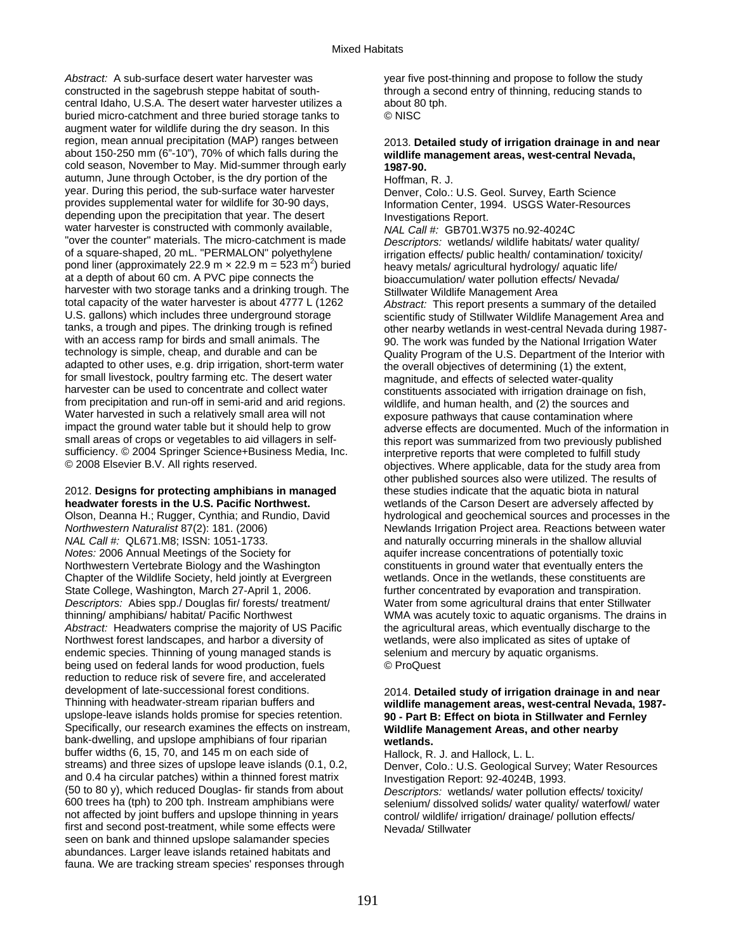*Abstract:* A sub-surface desert water harvester was year five post-thinning and propose to follow the study constructed in the sagebrush steppe habitat of south- through a second entry of thinning, reducing stands to central Idaho, U.S.A. The desert water harvester utilizes a about 80 tph.<br>buried micro-catchment and three buried storage tanks to <br>
© NISC buried micro-catchment and three buried storage tanks to augment water for wildlife during the dry season. In this region, mean annual precipitation (MAP) ranges between 2013. **Detailed study of irrigation drainage in and near**  about 150-250 mm (6"-10"), 70% of which falls during the **wildlife management areas, west-central Nevada,**  cold season, November to May. Mid-summer through early **1987-90.**  autumn, June through October, is the dry portion of the Hoffman, R. J.<br>
year. During this period, the sub-surface water harvester Denver Colo year. During this period, the sub-surface water harvester Denver, Colo.: U.S. Geol. Survey, Earth Science<br>Denvides supplemental water for wildlife for 30-90 days. The Information Center 1994 LISGS Water-Resourc depending upon the precipitation that year. The desert water harvester is constructed with commonly available, *NAL Call #:* GB701.W375 no.92-4024C "over the counter" materials. The micro-catchment is made *Descriptors:* wetlands/ wildlife habitats/ water quality/ of a square-shaped, 20 mL. "PERMALON" polyethylene irrigation effects/ public health/ contamination/ toxicity/ pond liner (approximately 22.9 m  $\times$  22.9 m = 523 m<sup>2</sup>) buried at a depth of about 60 cm. A PVC pipe connects the bioaccumulation/ water pollution effects/ Nevada/ harvester with two storage tanks and a drinking trough. The Stillwater Wildlife Management Area<br>total capacity of the water harvester is about 4777 L (1262 *Abstract:* This report presents a sum total capacity of the water harvester is about 4777 L (1262 *Abstract:* This report presents a summary of the detailed U.S. gallons) which includes three underground storage scientific study of Stillwater Wildlife Management Area and<br>tanks, a trough and pipes. The drinking trough is refined other pearby wetlands in west-central Nevada duri tanks, a trough and pipes. The drinking trough is refined other nearby wetlands in west-central Nevada during 1987-<br>with an access ramp for birds and small animals. The same on the work was funded by the National Irrigatio with an access ramp for birds and small animals. The 90. The work was funded by the National Irrigation Water<br>The Sundbory is simple, cheap, and durable and can be 90. The work was funded by the National Irrigation Water adapted to other uses, e.g. drip irrigation, short-term water the overall objectives of determining (1) the extent, for small livestock, poultry farming etc. The desert water magnitude, and effects of selected water-quality<br>harvester can be used to concentrate and collect water constituents associated with irrigation drainage of from precipitation and run-off in semi-arid and arid regions. wildlife, and human health, and (2) the sources and<br>Water harvested in such a relatively small area will not exposure pathways that cause contamination where Water harvested in such a relatively small area will not exposure pathways that cause contamination where<br>
impact the ground water table but it should help to grow adverse effects are documented. Much of the informa impact the ground water table but it should help to grow adverse effects are documented. Much of the information in<br>small areas of crops or vegetables to aid villagers in self-<br>this report was summarized from two previousl sufficiency. © 2004 Springer Science+Business Media, Inc. interpretive reports that were completed to fulfill study<br>© 2008 Elsevier B.V. All rights reserved. by example objectives. Where applicable, data for the study area

2012. **Designs for protecting amphibians in managed** these studies indicate that the aquatic biota in natural **headwater forests in the U.S. Pacific Northwest.** *wetlands of the Carson Desert are adversely affected by***<br>Olson, Deanna H.; Rugger, Cynthia; and Rundio, David** *bydrological and geochemical sources and processes in NAL Call #:* QL671.M8; ISSN: 1051-1733. and naturally occurring minerals in the shallow alluvial

Northwestern Vertebrate Biology and the Washington constituents in ground water that eventually enters the Chapter of the Wildlife Society, held jointly at Evergreen wetlands. Once in the wetlands, these constituents are State College, Washington, March 27-April 1, 2006. **Further concentrated by evaporation and transpiration.** *Descriptors:* Abies spp./ Douglas fir/ forests/ treatment/ Water from some agricultural drains that enter Stillwater thinning/ amphibians/ habitat/ Pacific Northwest WMA was acutely toxic to aquatic organisms. The drains in *Abstract:* Headwaters comprise the majority of US Pacific the agricultural areas, which eventually discharge to the Northwest forest landscapes, and harbor a diversity of wetlands, were also implicated as sites of uptake of endemic species. Thinning of young managed stands is selenium and mercury by aquatic organisms. being used on federal lands for wood production, fuels 
in 
in 
in 
in 
in 
in 
in 
in 
o ProQuest

being used on federal lands for wood production, fuels

o ProQuest reduction to reduce risk of severe fire, and accelerated<br>development of late-successional forest conditions. development of late-successional forest conditions. 2014. **Detailed study of irrigation drainage in and near**  Thinning with headwater-stream riparian buffers and **wildlife management areas, west-central Nevada, 1987-** Specifically, our research examines the effects on instream, **Wildlife Management Areas, and other nearby**  bank-dwelling, and upslope amphibians of four riparian **wetlands.**  buffer widths  $(6, 15, 70,$  and  $145$  m on each side of  $H$  Hallock, R. J. and Hallock, L. L. streams) and three sizes of upslope leave islands  $(0.1, 0.2, 1.5)$  Denver Colo  $(1.1, 5)$  Geological and 0.4 ha circular patches) within a thinned forest matrix linvestigation Report: 92-4024B, 1993.<br>(50 to 80 y), which reduced Douglas- fir stands from about Descriptors: wetlands/ water pollution (50 to 80 y), which reduced Douglas- fir stands from about *Descriptors:* wetlands/ water pollution effects/ toxicity/ 600 trees ha (tph) to 200 tph. Instream amphibians were selenium/ dissolved solids/ water quality/ waterfowl/ water<br>not affected by joint buffers and upslope thinning in years control/ wildlife/ irrigation/ drainage/ pollu first and second post-treatment, while some effects were Nevada/ Stillwater seen on bank and thinned upslope salamander species abundances. Larger leave islands retained habitats and fauna. We are tracking stream species' responses through

Information Center, 1994. USGS Water-Resources<br>Investigations Report.

heavy metals/ agricultural hydrology/ aquatic life/

Quality Program of the U.S. Department of the Interior with constituents associated with irrigation drainage on fish, this report was summarized from two previously published objectives. Where applicable, data for the study area from other published sources also were utilized. The results of Olson, Deanna H.; Rugger, Cynthia; and Rundio, David hydrological and geochemical sources and processes in the<br>
Newlands Irrigation Project area. Reactions between water<br>
Newlands Irrigation Project area. Reactions between *Northwestern Naturalist* 87(2): 181. (2006) Newlands Irrigation Project area. Reactions between water *Notes:* 2006 Annual Meetings of the Society for a measure increase concentrations of potentially toxic

# 90 - Part B: Effect on biota in Stillwater and Fernley

Denver, Colo.: U.S. Geological Survey; Water Resources control/ wildlife/ irrigation/ drainage/ pollution effects/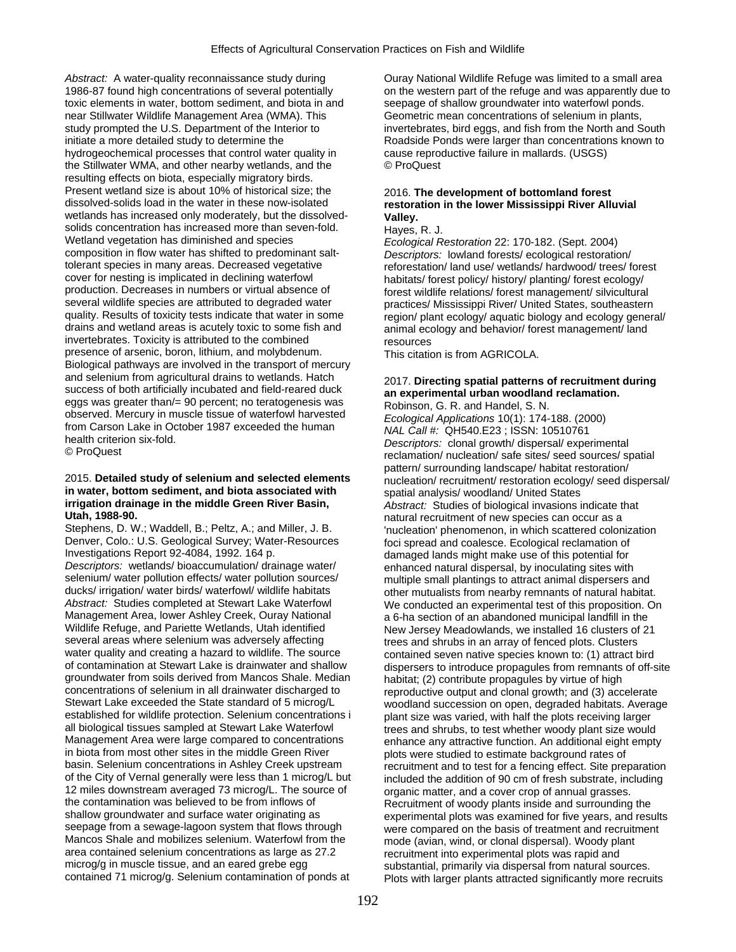Abstract: A water-quality reconnaissance study during Ouray National Wildlife Refuge was limited to a small area toxic elements in water, bottom sediment, and biota in and seepage of shallow groundwater into waterfowl ponds.<br>
near Stillwater Wildlife Management Area (WMA). This Geometric mean concentrations of selenium in plants, near Stillwater Wildlife Management Area (WMA). This study prompted the U.S. Department of the Interior to invertebrates, bird eggs, and fish from the North and South initiate a more detailed study to determine the Roadside Ponds were larger than concentrations known to hydrogeochemical processes that control water quality in cause reproductive failure in mallards. (USGS)<br>the Stillwater WMA, and other nearby wetlands, and the © ProQuest the Stillwater WMA, and other nearby wetlands, and the resulting effects on biota, especially migratory birds. Present wetland size is about 10% of historical size; the 2016. **The development of bottomland forest**  wetlands has increased only moderately, but the dissolved-**Valley.** solids concentration has increased more than seven-fold. Hayes, R. J.<br>Wetland vegetation has diminished and species Freedonical R composition in flow water has shifted to predominant salt-<br> *Descriptors:* lowland forests/ ecological restoration/<br>
reforestation/ land use/ wetlands/ hardwood/ trees/ forestation/ tolerant species in many areas. Decreased vegetative reforestation/ land use/ wetlands/ hardwood/ trees/ forest<br>cover for nesting is implicated in declining waterfowl habitats/ forest policy/ history/ planting/ forest ecol cover for nesting is implicated in declining waterfowl<br>production. Decreases in numbers or virtual absence of the state of the state of the state policy/ history/ planting/ forest ecology/<br>forest wildlife relations/ forest production. Decreases in numbers or virtual absence of forest wildlife relations/ forest management/ silvicultural<br>several wildlife species are attributed to degraded water practices/ Mississippi River/ United States, sout several wildlife species are attributed to degraded water practices/ Mississippi River/ United States, southeastern<br>quality. Results of toxicity tests indicate that water in some region/ plant ecology/ aquatic biology and quality. Results of toxicity tests indicate that water in some region/ plant ecology/ aquatic biology and ecology general/<br>drains and wetland areas is acutely toxic to some fish and animal ecology and behavior/ forest mana invertebrates. Toxicity is attributed to the combined resources presence of arsenic, boron, lithium, and molybdenum. This citation is from AGRICOLA. Biological pathways are involved in the transport of mercury and selenium from agricultural drains to wetlands. Hatch<br>
success of both artificially incubated and field-reared duck<br>
eggs was greater than/= 90 percent; no teratogenesis was<br>
observed. Mercury in muscle tissue of waterf

### 2015. **Detailed study of selenium and selected elements** nucleation/ recruitment/ restoration ecology/ seed dispersal/ **in water, bottom sediment, and biota associated with** spatial analysis/ woodland/ United States<br> **irrigation drainage in the middle Green River Basin,** *Abstract: Studies of biological invasions i* **irrigation drainage in the middle Green River Basin,** *Abstract:* Studies of biological invasions indicate that

Denver, Colo.: U.S. Geological Survey; Water-Resources foci spread and coalesce. Ecological reclamation of Investigations Report 92-4084, 1992. 164 p. damaged lands might make use of this potential for Investigations Report 92-4084, 1992. 164 p.<br>Descriptors: wetlands/ bioaccumulation/ drainage water/ enhanced natural dispersal by inoculating sites with *Descriptors:* wetlands/ bioaccumulation/ drainage water/ enhanced natural dispersal, by inoculating sites with selenium/ water pollution effects/ water pollution sources/ multiple small plantings to attract animal dispersers and<br>ducks/irrigation/ water birds/ waterfowl/ wildlife habitats on the mutualists from nearby remnants of na ducks/ irrigation/ water birds/ waterfowl/ wildlife habitats other mutualists from nearby remnants of natural habitat.<br>Abstract: Studies completed at Stewart Lake Waterfowl on the conducted an experimental test of this pro Abstract: Studies completed at Stewart Lake Waterfowl We conducted an experimental test of this proposition. On<br>Management Area, lower Ashley Creek, Ouray National a 6-ha section of an abandoned municipal landfill in the Management Area, lower Ashley Creek, Ouray National and 6-ha section of an abandoned municipal landfill in the<br>Wildlife Refuge, and Pariette Wetlands, Utah identified New Jersey Meadowlands, we installed 16 clusters of 2 Wildlife Refuge, and Pariette Wetlands, Utah identified New Jersey Meadowlands, we installed 16 clusters of 21<br>New Jersey Meadowlands, we installed 16 clusters of 21 several areas and shrups in an array of fenced plots. Cl several areas where selenium was adversely affecting trees and shrubs in an array of fenced plots. Clusters<br>water quality and creating a hazard to wildlife. The source contained seven pative species known to: (1) attract b water quality and creating a hazard to wildlife. The source contained seven native species known to: (1) attract bird<br>of contamination at Stewart Lake is drainwater and shallow dispersers to introduce propagules from remna groundwater from soils derived from Mancos Shale. Median habitat; (2) contribute propagules by virtue of high concentrations of selenium in all drainwater discharged to reproductive output and clonal growth: and (3) acc concentrations of selenium in all drainwater discharged to reproductive output and clonal growth; and (3) accelerate<br>Stewart Lake exceeded the State standard of 5 microg/L woodland succession on open, degraded habitats, Av established for wildlife protection. Selenium concentrations i plant size was varied, with half the plots receiving larger<br>all biological tissues sampled at Stewart Lake Waterfowl rees and shrubs to test whether woody plan all biological tissues sampled at Stewart Lake Waterfowl errees and shrubs, to test whether woody plant size would<br>Management Area were large compared to concentrations enhance any attractive function. An additional eight Management Area were large compared to concentrations enhance any attractive function. An additional eight empty<br>in biota from most other sites in the middle Green River<br>profit external plats were studied to estimate backg in biota from most other sites in the middle Green River plots were studied to estimate background rates of basin. Selenium concentrations in Ashley Creek upstream recruitment and to test for a fencing effect. Site preju basin. Selenium concentrations in Ashley Creek upstream recruitment and to test for a fencing effect. Site preparation<br>of the City of Vernal generally were less than 1 microg/L but included the addition of 90 cm of fresh s of the City of Vernal generally were less than 1 microg/L but included the addition of 90 cm of fresh substrate, including<br>12 miles downstream averaged 73 microg/L. The source of critional organic matter, and a cover crop 12 miles downstream averaged 73 microg/L. The source of organic matter, and a cover crop of annual grasses.<br>
the contamination was believed to be from inflows of Recruitment of woody plants inside and surrounding the contamination was believed to be from inflows of Recruitment of woody plants inside and surrounding the shallow groundwater and surface water originating as surrounding the shallow groundwater and surface water origina seepage from a sewage-lagoon system that flows through were compared on the basis of treatment and recruitment Mancos Shale and mobilizes selenium. Waterfowl from the mode (avian, wind, or clonal dispersal). Woody plant area contained selenium concentrations as large as 27.2<br>microg/g in muscle tissue, and an eared grebe egg substantial, primarily via dispersal from natural so microg/g in muscle tissue, and an eared grebe egg substantial, primarily via dispersal from natural sources.<br>Contained 71 microg/g. Selenium contamination of ponds at Plots with larger plants attracted significantly more r

1986-87 found high concentrations of several potentially on the western part of the refuge and was apparently due to

# restoration in the lower Mississippi River Alluvial

Ecological Restoration 22: 170-182. (Sept. 2004) animal ecology and behavior/ forest management/ land

pattern/ surrounding landscape/ habitat restoration/ **Utah, 1988-90.** natural recruitment of new species can occur as a 'nucleation' phenomenon, in which scattered colonization dispersers to introduce propagules from remnants of off-site woodland succession on open, degraded habitats. Average experimental plots was examined for five years, and results Plots with larger plants attracted significantly more recruits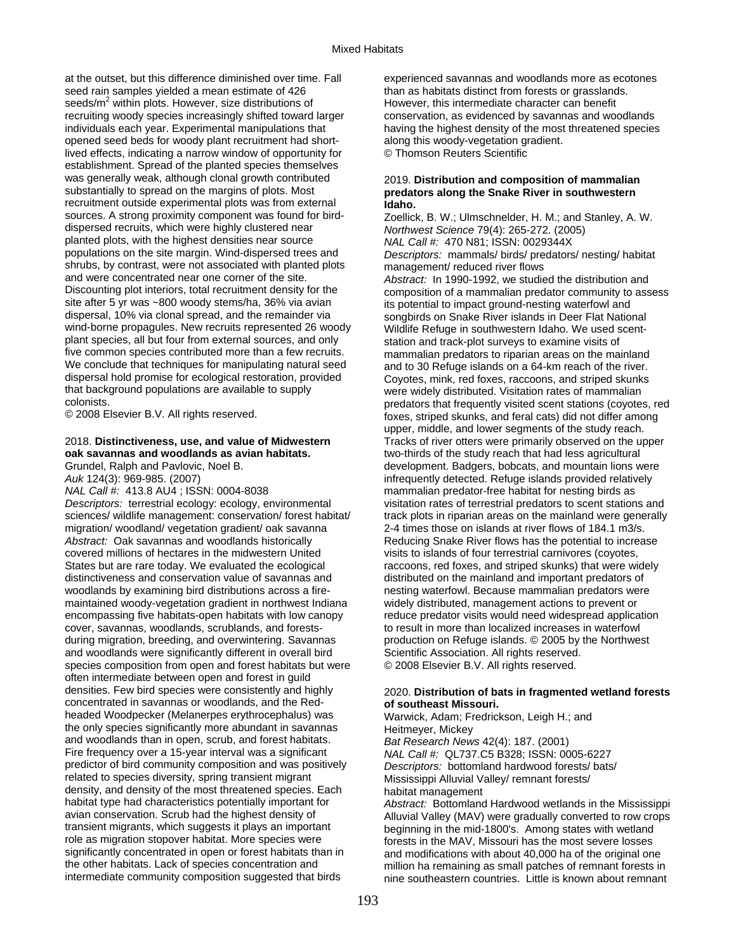at the outset, but this difference diminished over time. Fall experienced savannas and woodlands more as ecotones seed rain samples yielded a mean estimate of 426 than as habitats distinct from forests or grasslands. seeds/m<sup>2</sup> within plots. However, size distributions of recruiting woody species increasingly shifted toward larger conservation, as evidenced by savannas and woodlands individuals each year. Experimental manipulations that having the highest density of the most threatened species opened seed beds for woody plant recruitment had short-<br>
lived effects. indicating a narrow window of opportunity for <br>
© Thomson Reuters Scientific lived effects, indicating a narrow window of opportunity for establishment. Spread of the planted species themselves was generally weak, although clonal growth contributed 2019. **Distribution and composition of mammalian** substantially to spread on the margins of plots. Most **numerally and any of the Snake River in southwestern** recruitment outside experimental plots was from external **Idaho.**<br>sources. A strong proximity component was found for bird-<br>Zoellick dispersed recruits, which were highly clustered near *Northwest Science* 79(4): 265-272. (2005) planted plots, with the highest densities near source *NAL Call #:* 470 N81; ISSN: 0029344X populations on the site margin. Wind-dispersed trees and *Descriptors:* mammals/ birds/ predators/ nesting/ habitat shrubs, by contrast, were not associated with planted plots management/ reduced river flows<br>and were concentrated near one corner of the site. Abstract: In 1990-1992, we studie and were concentrated near one corner of the site.<br>
Discounting plot interiors, total recruitment density for the composition of a mammalian predator community to ass Discounting plot interiors, total recruitment density for the composition of a mammalian predator community to assess<br>site after 5 yr was ~800 woody stems/ha, 36% via avian its potential to impact ground-nesting waterfowl site after 5 yr was ~800 woody stems/ha, 36% via avian its potential to impact ground-nesting waterfowl and<br>dispersal, 10% via clonal spread, and the remainder via integrational songbirds on Snake River islands in Deer dispersal, 10% via clonal spread, and the remainder via songbirds on Snake River islands in Deer Flat National<br>wind-borne propagules. New recruits represented 26 woody wildlife Refuge in southwestern Idaho. We used scentplant species, all but four from external sources, and only station and track-plot surveys to examine visits of five common species contributed more than a few recruits. mammalian predators to riparian areas on the mainland<br>We conclude that techniques for manipulating natural seed and to 30 Refuge islands on a 64-km reach of the riv We conclude that techniques for manipulating natural seed and to 30 Refuge islands on a 64-km reach of the river.<br>dispersal hold promise for ecological restoration, provided Covotes, mink, red foxes, raccoons, and striped dispersal hold promise for ecological restoration, provided Coyotes, mink, red foxes, raccoons, and striped skunks<br>that background populations are available to supply the summer widely distributed. Visitation rates of mamm that background populations are available to supply were widely distributed. Visitation rates of mammalian<br>colonists. example in predators that frequently visited scent stations (covoter

## **oak savannas and woodlands as avian habitats.** two-thirds of the study reach that had less agricultural

*NAL Call #:* 413.8 AU4 ; ISSN: 0004-8038 mammalian predator-free habitat for nesting birds as *Descriptors:* terrestrial ecology: ecology, environmental visitation rates of terrestrial predators to scent stations and sciences/ wildlife management: conservation/ forest habitat/ track plots in riparian areas on the mainland were generally migration/ woodland/ vegetation gradient/ oak savanna 2-4 times those on islands at river flows of 184.1 m3/s. Abstract: Oak savannas and woodlands historically Reducing Snake River flows has the potential to increase covered millions of hectares in the midwestern United visits to islands of four terrestrial carnivores (covotes, States but are rare today. We evaluated the ecological raccoons, red foxes, and striped skunks) that were widely distinctiveness and conservation value of savannas and distributed on the mainland and important predators of woodlands by examining bird distributions across a fire-<br>nesting waterfowl. Because mammalian predators were maintained woody-vegetation gradient in northwest Indiana widely distributed, management actions to prevent or encompassing five habitats-open habitats with low canopy reduce predator visits would need widespread application cover, savannas, woodlands, scrublands, and forests- to result in more than localized increases in waterfowl during migration, breeding, and overwintering. Savannas production on Refuge islands. © 2005 by the Northwest and woodlands were significantly different in overall bird Scientific Association. All rights reserved. species composition from open and forest habitats but were  $\heartsuit$  2008 Elsevier B.V. All rights reserved. often intermediate between open and forest in guild densities. Few bird species were consistently and highly 2020. **Distribution of bats in fragmented wetland forests**  concentrated in savannas or woodlands, and the Red- **of southeast Missouri.**  headed Woodpecker (Melanerpes erythrocephalus) was Warwick, Adam; Fredrickson, Leigh H.; and the only species significantly more abundant in savannas Heitmeyer, Mickey and woodlands than in open, scrub, and forest habitats. *Bat Research News* 42(4): 187. (2001) Fire frequency over a 15-year interval was a significant *NAL Call #:* QL737.C5 B328; ISSN: 0005-6227 predictor of bird community composition and was positively *Descriptors:* bottomland hardwood forests/ bats/<br>
related to species diversity, spring transient migrant Mississing Alluvial Valley/ remnant forests/ density, and density of the most threatened species. Each habitat management<br>habitat type had characteristics potentially important for *Abstract:* Bottomland habitat type had characteristics potentially important for *Abstract:* Bottomland Hardwood wetlands in the Mississippi transient migrants, which suggests it plays an important beginning in the mid-1800's. Among states with wetland<br>
role as migration stopover habitat. More species were forests in the MAV. Missouri has the most severe losses role as migration stopover habitat. More species were forests in the MAV, Missouri has the most severe losses<br>significantly concentrated in open or forest habitats than in and modifications with about 40.000 ha of the orig significantly concentrated in open or forest habitats than in and modifications with about 40,000 ha of the original one<br>the other habitats. Lack of species concentration and million ha remaining as small patches of remnan the other habitats. Lack of species concentration and million ha remaining as small patches of remnant forests in<br>intermediate community composition suggested that birds nine southeastern countries. Little is known about r

However, this intermediate character can benefit

# predators along the Snake River in southwestern

Zoellick, B. W.; Ulmschnelder, H. M.; and Stanley, A. W. Wildlife Refuge in southwestern Idaho. We used scentcolonists.<br>
© 2008 Elsevier B.V. All rights reserved.<br>  $\bullet$  foxes, striped skunks, and feral cats) did not differ among foxes, striped skunks, and feral cats) did not differ among upper, middle, and lower segments of the study reach. 2018. **Distinctiveness, use, and value of Midwestern** Tracks of river otters were primarily observed on the upper Grundel, Ralph and Pavlovic, Noel B. development. Badgers, bobcats, and mountain lions were<br>Auk 124(3): 969-985. (2007) developmently detected. Refuge islands provided relatively infrequently detected. Refuge islands provided relatively

Mississippi Alluvial Valley/ remnant forests/ Alluvial Valley (MAV) were gradually converted to row crops

nine southeastern countries. Little is known about remnant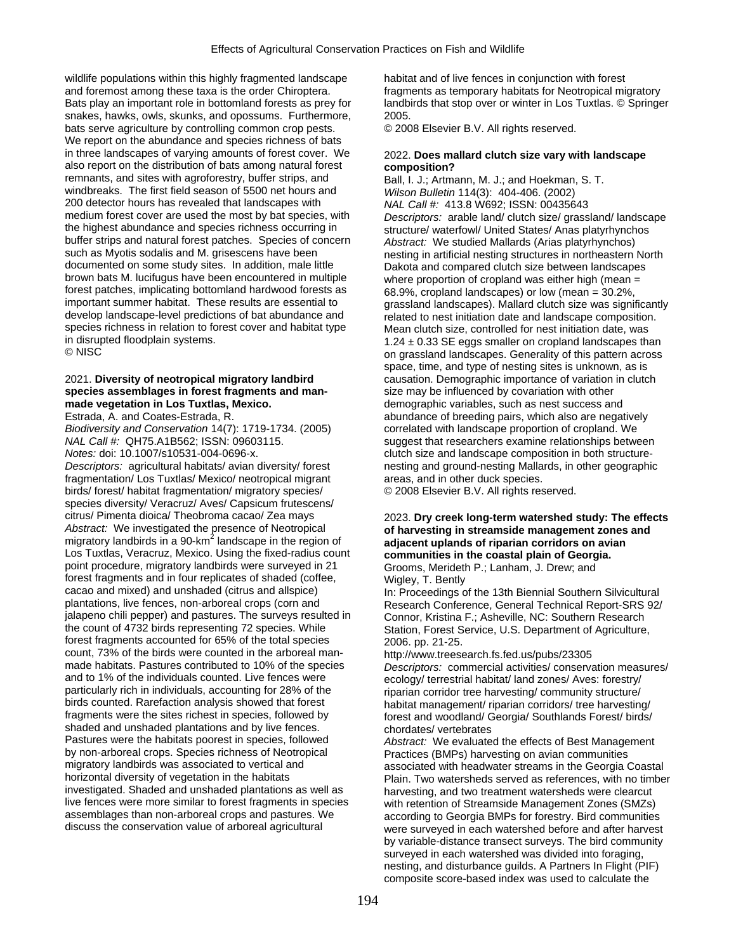wildlife populations within this highly fragmented landscape habitat and of live fences in conjunction with forest and foremost among these taxa is the order Chiroptera. **Fragments as temporary habitats for Neotropical migratory** Bats play an important role in bottomland forests as prey for landbirds that stop over or winter in Los Tuxtlas. © Springer snakes, hawks, owls, skunks, and opossums. Furthermore, 2005. bats serve agriculture by controlling common crop pests.  $\heartsuit$  2008 Elsevier B.V. All rights reserved. We report on the abundance and species richness of bats in three landscapes of varying amounts of forest cover. We 2022. **Does mallard clutch size vary with landscape**  also report on the distribution of bats among natural forest **composition?**  remnants, and sites with agroforestry, buffer strips, and Ball, I. J.; Artmann, M. J.; and Hoekman, S. T. windbreaks. The first field season of 5500 net hours and *Wilson Bulletin* 114(3): 404-406. (2002) 200 detector hours has revealed that landscapes with *NAL Call #:* 413.8 W692; ISSN: 00435643<br>
medium forest cover are used the most by bat species, with *Descriptors:* arable land/ clutch size/ grass medium forest cover are used the most by bat species, with *Descriptors:* arable land/ clutch size/ grassland/ landscape<br>the highest abundance and species richness occurring in structure/ waterfowl/ United States/ Anas pla buffer strips and natural forest patches. Species of concern *Abstract:* We studied Mallards (Arias platyrhynchos) such as Myotis sodalis and M. grisescens have been nesting in artificial nesting structures in northeastern North<br>documented on some study sites. In addition, male little Dakota and compared clutch size between landscapes brown bats M. lucifugus have been encountered in multiple where proportion of cropland was either high (mean = forest patches, implicating bottomland hardwood forests as 68.9%, cropland landscapes) or low (mean = 30.2%, important summer habitat. These results are essential to drassland landscapes). Mallard clutch size was signifi important summer habitat. These results are essential to grassland landscapes). Mallard clutch size was significantly<br>develop landscape-level predictions of bat abundance and related to nest initiation date and landscape c develop landscape-level predictions of bat abundance and related to nest initiation date and landscape composition.<br>Species richness in relation to forest cover and habitat type Mean clutch size, controlled for nest initia species richness in relation to forest cover and habitat type Mean clutch size, controlled for nest initiation date, was<br>in disrupted floodplain systems.

## **species assemblages in forest fragments and man-** size may be influenced by covariation with other **made vegetation in Los Tuxtlas, Mexico. demographic variables, such as nest success and**

*Biodiversity and Conservation* 14(7): 1719-1734. (2005) correlated with landscape proportion of cropland. We *Notes:* doi: 10.1007/s10531-004-0696-x. clutch size and landscape composition in both structure-

*Descriptors:* agricultural habitats/ avian diversity/ forest nesting and ground-nesting Mallards, in other geographic fragmentation/ Los Tuxtlas/ Mexico/ neotropical migrant areas, and in other duck species. birds/ forest/ habitat fragmentation/ migratory species/ © 2008 Elsevier B.V. All rights reserved. species diversity/ Veracruz/ Aves/ Capsicum frutescens/ citrus/ Pimenta dioica/ Theobroma cacao/ Zea mays 2023. **Dry creek long-term watershed study: The effects**  Abstract: We investigated the presence of Neotropical of harvesting in streamside management zones and migratory landbirds in a 90-km<sup>2</sup> landscape in the region of adjacent uplands of riparian corridors on avian migratory landbirds in a 90-km<sup>2</sup> landscape in the region of Los Tuxtlas, Veracruz, Mexico. Using the fixed-radius count **communities in the coastal plain of Georgia.**  point procedure, migratory landbirds were surveyed in 21 Grooms, Merideth P.; Lanham, J. Drew; and forest fragments and in four replicates of shaded (coffee, Wigley, T. Bently cacao and mixed) and unshaded (citrus and allspice) ln: Proceedings on cacao and mixed) and unshaded (citrus and allspice) In: Proceedings of the 13th Biennial Southern Silvicultural<br>In: Proceedings of the 13th Biennial Southern SRS 92/<br>Research Conference, General Technical Report-SRS 92/ plantations, live fences, non-arboreal crops (corn and Research Conference, General Technical Report-SRS 92/<br>
jalapeno chili pepper) and pastures. The surveys resulted in Connor, Kristina F.: Asheville, NC: Southern Resear jalapeno chili pepper) and pastures. The surveys resulted in Connor, Kristina F.; Asheville, NC: Southern Research<br>the count of 4732 birds representing 72 species. While Station, Forest Service, U.S. Department of Agricult forest fragments accounted for 65% of the total species 2006. pp. 21-25. count, 73% of the birds were counted in the arboreal man-<br>made habitats. Pastures contributed to 10% of the species<br>Descriptors: commercial activities/ conserva and to 1% of the individuals counted. Live fences were ecology/ terrestrial habitat/ land zones/ Aves: forestry/<br>
particularly rich in individuals, accounting for 28% of the riparian corridor tree harvesting/ community str particularly rich in individuals, accounting for 28% of the riparian corridor tree harvesting/ community structure/<br>birds counted. Rarefaction analysis showed that forest habitat management/ riparian corridors/ tree harves fragments were the sites richest in species, followed by forest and woodland/ Georgia/ Southlands Forest/ birds/ shaded and unshaded plantations and by live fences.<br>
Pastures were the habitats poorest in species, followed<br>
Abstract: We evaluate Pastures were the habitats poorest in species, followed *Abstract:* We evaluated the effects of Best Management by non-arboreal crops. Species richness of Neotropical *Practices (BMPs)* harvesting on avian communities by non-arboreal crops. Species richness of Neotropical Practices (BMPs) harvesting on avian communities<br>Practices (BMPs) harvesting on avian communities migratory languatory in the Georgia ( migratory landbirds was associated to vertical and associated with headwater streams in the Georgia Coastal<br>horizontal diversity of vegetation in the habitats and a summary plain. Two watersheds served as references with n horizontal diversity of vegetation in the habitats Plain. Two watersheds served as references, with no timber<br>
investigated. Shaded and unshaded plantations as well as Pharvesting, and two treatment watersheds were clearcu live fences were more similar to forest fragments in species with retention of Streamside Management Zones (SMZs)<br>assemblages than non-arboreal crops and pastures. We according to Georgia BMPs for forestry. Bird communitie assemblages than non-arboreal crops and pastures. We according to Georgia BMPs for forestry. Bird communities<br>discuss the conservation value of arboreal agricultural were surveved in each watershed before and after harvest

structure/ waterfowl/ United States/ Anas platyrhynchos Dakota and compared clutch size between landscapes. in disrupted floodplain systems. 1.24 ± 0.33 SE eggs smaller on cropland landscapes than on grassland landscapes. Generality of this pattern across space, time, and type of nesting sites is unknown, as is 2021. **Diversity of neotropical migratory landbird** causation. Demographic importance of variation in clutch Estrada, A. and Coates-Estrada, R. **abundance of breeding pairs, which also are negatively** *NAL Call #:* QH75.A1B562; ISSN: 09603115. suggest that researchers examine relationships between

Station, Forest Service, U.S. Department of Agriculture,

Descriptors: commercial activities/ conservation measures/ habitat management/ riparian corridors/ tree harvesting/

harvesting, and two treatment watersheds were clearcut were surveyed in each watershed before and after harvest by variable-distance transect surveys. The bird community surveyed in each watershed was divided into foraging, nesting, and disturbance guilds. A Partners In Flight (PIF) composite score-based index was used to calculate the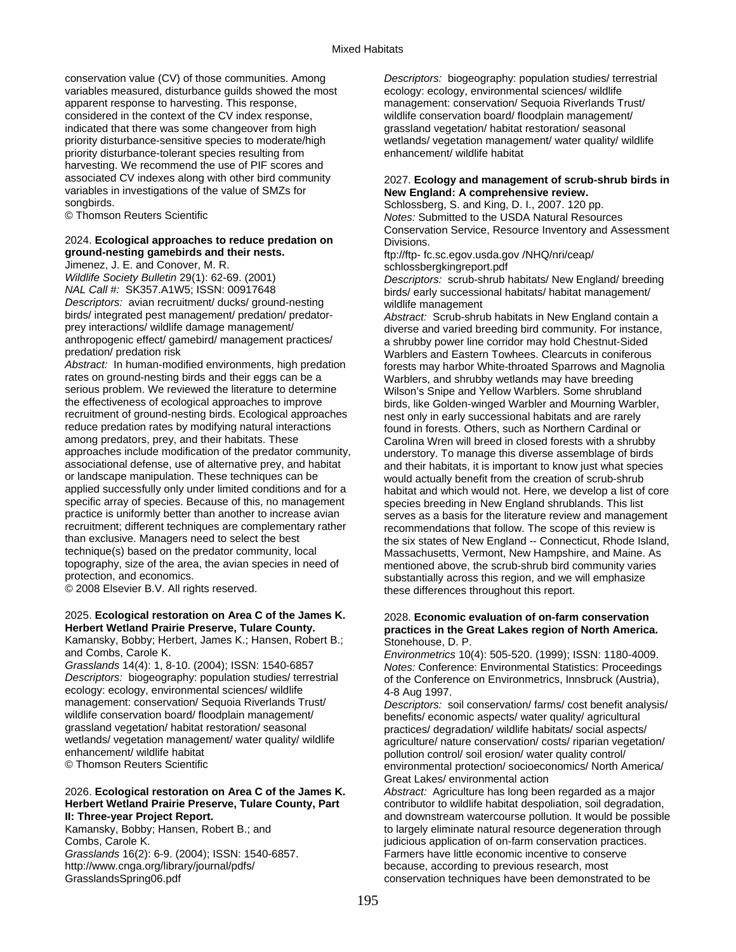variables measured, disturbance guilds showed the most ecology: ecology, environmental sciences/ wildlife apparent response to harvesting. This response, management: conservation/ Sequoia Riverlands Trust/<br>
considered in the context of the CV index response, wildlife conservation board/ floodplain management/ indicated that there was some changeover from high grassland vegetation/ habitat restoration/ seasonal priority disturbance-sensitive species to moderate/high wetlands/ vegetation management/ water quality/ wildlife<br>
priority disturbance-tolerant species resulting from enhancement/ wildlife habitat priority disturbance-tolerant species resulting from harvesting. We recommend the use of PIF scores and<br>associated CV indexes along with other bird community variables in investigations of the value of SMZs for **New England: A comprehensive review.**<br>
Schlossberg S, and King D, L, 2007, 120

## 2024. **Ecological approaches to reduce predation on Divisions.**<br>**ground-nesting gamebirds and their nests. Example 10 Example 10 CO**

Jimenez, J. E. and Conover, M. R.<br>Wildlife Society Bulletin 29(1): 62-69. (2001) <br>Descriptors: scrub-shrub l *Descriptors:* avian recruitment/ ducks/ ground-nesting wildlife management<br>birds/ integrated pest management/ predation/ predator-<br>*Abstract:* Scrub-shru

anthropogenic effect/ gamebird/ management practices/ a shrubby power line corridor may hold Chestnut-Sided

Abstract: In human-modified environments, high predation forests may harbor White-throated Sparrows and Magnolia<br>Forest on ground-nesting birds and their eggs can be a forest of Warblers, and shrubby wetlands may have bree rates on ground-nesting birds and their eggs can be a warblers, and shrubby wetlands may have breeding<br>Serious problem. We reviewed the literature to determine Wilson's Snipe and Yellow Warblers. Some shrublan serious problem. We reviewed the literature to determine Wilson's Snipe and Yellow Warblers. Some shrubland<br>the effectiveness of ecological approaches to improve birds like Golden-winged Warbler and Mourning Warb recruitment of ground-nesting birds. Ecological approaches nest only in early successional habitats and are rarely<br>reduce predation rates by modifying natural interactions found in forests. Others, such as Northern Cardina reduce predation rates by modifying natural interactions found in forests. Others, such as Northern Cardinal or<br>Carolina Wren will breed in closed forests with a shrub approaches include modification of the predator community, understory. To manage this diverse assemblage of birds<br>associational defense, use of alternative prey, and habitat and their habitats it is important to know just associational defense, use of alternative prey, and habitat and their habitats, it is important to know just what species<br>or landscape manipulation. These techniques can be varially actually benefit from the creation of sc or landscape manipulation. These techniques can be would actually benefit from the creation of scrub-shrub<br>Applied successfully only under limited conditions and for a habitat and which would not. Here, we develop a list o specific array of species. Because of this, no management species breeding in New England shrublands. This list<br>practice is uniformly better than another to increase avian serves as a basis for the literature review and ma practice is uniformly better than another to increase avian serves as a basis for the literature review and management<br>recruitment; different techniques are complementary rather recommendations that follow. The scope of th recruitment; different techniques are complementary rather recommendations that follow. The scope of this review is<br>the six states of New Fngland -- Connecticut, Rhode Islan technique(s) based on the predator community, local entity are massachusetts, Vermont, New Hampshire, and Maine. As<br>topography, size of the area, the avian species in need of entity mentioned above the scrub-shrub bird com topography, size of the area, the avian species in need of mentioned above, the scrub-shrub bird community varies<br>substantially across this region and we will emphasize

## 2025. **Ecological restoration on Area C of the James K.** 2028. **Economic evaluation of on-farm conservation**

Kamansky, Bobby; Herbert, James K.; Hansen, Robert B.; and Combs, Carole K.

ecology: ecology, environmental sciences/ wildlife 4-8 Aug 1997.<br>
management: conservation/ Seguoia Riverlands Trust/ Descriptors: s wildlife conservation board/ floodplain management/ benefits/ economic aspects/ water quality/ agricultural<br>grassland vegetation/ habitat restoration/ seasonal practices/ degradation/ wildlife habitats/ social aspects grassland vegetation/ habitat restoration/ seasonal practices/ degradation/ wildlife habitats/ social aspects/<br>wetlands/ vegetation management/ water quality/ wildlife and anticulture/ nature conservation/ costs/ riparian enhancement/ wildlife habitat entity and the matter of the pollution control/ soil erosion/ water quality control/<br>
© Thomson Reuters Scientific entity and the environmental protection/ socioeconomics/ North A

## 2026. **Ecological restoration on Area C of the James K.** *Abstract:* Agriculture has long been regarded as a major **Herbert Wetland Prairie Preserve, Tulare County, Part** contributor to wildlife habitat despoliation, soil degradation,

http://www.cnga.org/library/journal/pdfs/ because, according to previous research, most

conservation value (CV) of those communities. Among *Descriptors:* biogeography: population studies/ terrestrial wildlife conservation board/ floodplain management/

## 2027. Ecology and management of scrub-shrub birds in

songbirds. Schlossberg, S. and King, D. I., 2007. 120 pp. Notes: Submitted to the USDA Natural Resources Conservation Service, Resource Inventory and Assessment

**ground-nesting gamebirds and their nests.** ftp://ftp- fc.sc.egov.usda.gov /NHQ/nri/ceap/

*Wildlife Society Bulletin* 29(1): 62-69. (2001) *Descriptors:* scrub-shrub habitats/ New England/ breeding birds/ early successional habitats/ habitat management/

birds/ integrated pest management/ predation/ predator- *Abstract:* Scrub-shrub habitats in New England contain a prey interactions/ wildlife damage management/ diverse and varied breeding bird community. For instance,<br>anthropogenic effect/ gamebird/ management practices/ a shrubby power line corridor may bold Chestnut-Sided predation/ predation risk<br>Abstract: In human-modified environments, high predation forests may harbor White-throated Sparrows and Magno birds, like Golden-winged Warbler and Mourning Warbler, Carolina Wren will breed in closed forests with a shrubby applied successfully only under limited conditions and for a habitat and which would not. Here, we develop a list of core<br>specific array of species. Because of this, no management species breeding in New England shrublands than exclusive. Managers need to select the best the six states of New England -- Connecticut, Rhode Island,<br>technique(s) based on the predator community, local Massachusetts Vermont New Hampshire, and Maine, As protection, and economics.<br>
© 2008 Elsevier B.V. All rights reserved. Substantially across this region, and we will emphasize in these differences throughout this report. these differences throughout this report.

# **practices in the Great Lakes region of North America.** Stonehouse, D. P.

and Combs, Carole K. *Environmetrics* 10(4): 505-520. (1999); ISSN: 1180-4009. *Grasslands* 14(4): 1, 8-10. (2004); ISSN: 1540-6857 *Notes:* Conference: Environmental Statistics: Proceedings of the Conference on Environmetrics, Innsbruck (Austria),

management: conservation/ Sequoia Riverlands Trust/ *Descriptors:* soil conservation/ farms/ cost benefit analysis/<br>wildlife conservation board/ floodplain management/ benefits/ economic aspects/ water quality/ agricultura wetlands/ vegetation management/ water quality/ wildlife agriculture/ nature conservation/ costs/ riparian vegetation/<br>enhancement/ wildlife habitat and that is a pollution control/ soil erosion/ water quality control/ environmental protection/ socioeconomics/ North America/ Great Lakes/ environmental action

**II: Three-year Project Report. and downstream watercourse pollution. It would be possible** Kamansky, Bobby; Hansen, Robert B.; and to largely eliminate natural resource degeneration through Combs, Carole K. judicious application of on-farm conservation practices. *Grasslands* 16(2): 6-9. (2004); ISSN: 1540-6857. Farmers have little economic incentive to conserve GrasslandsSpring06.pdf conservation techniques have been demonstrated to be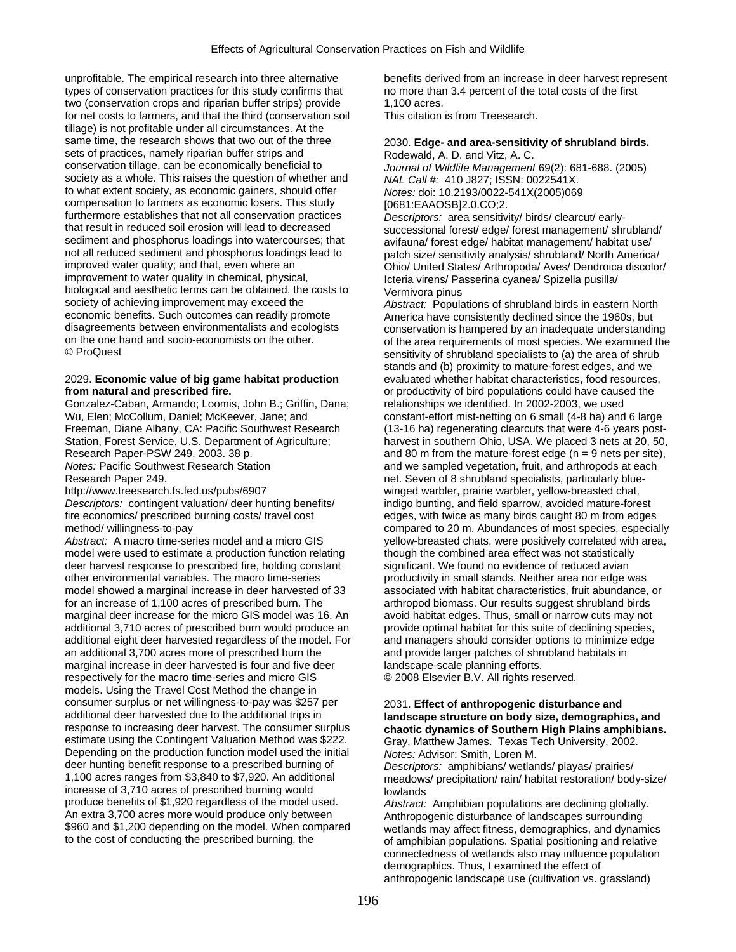unprofitable. The empirical research into three alternative benefits derived from an increase in deer harvest represent types of conservation practices for this study confirms that no more than 3.4 percent of the total costs of the first two (conservation crops and riparian buffer strips) provide 1,100 acres.<br>
for net costs to farmers, and that the third (conservation soil This citation is from Treesearch. for net costs to farmers, and that the third (conservation soil tillage) is not profitable under all circumstances. At the same time, the research shows that two out of the three 2030. **Edge- and area-sensitivity of shrubland birds.**  sets of practices, namely riparian buffer strips and Rodewald, A. D. and Vitz, A. C.<br>
conservation tillage, can be economically beneficial to *Journal of Wildlife Management* society as a whole. This raises the question of whether and *NAL Call #: 410 J827; ISSN: 0022541X.* to what extent society, as economic gainers, should offer *Notes:* doi: 10.2193/0022-541X(2005)069 compensation to farmers as economic losers. This study [0681:EAAOSB]2.0.CO;2.<br>furthermore establishes that not all conservation practices *Descriptors:* area sensitive furthermore establishes that not all conservation practices *Descriptors:* area sensitivity/ birds/ clearcut/ earlythat result in reduced soil erosion will lead to decreased successional forest/ edge/ forest management/ shrubland/<br>sediment and phosphorus loadings into watercourses; that avifauna/ forest edge/ habitat management/ habita not all reduced sediment and phosphorus loadings lead to patch size/ sensitivity analysis/ shrubland/ North America/<br>
obio/ United States/ Arthropoda/ Aves/ Dendroica discolor Chips improvement to water quality in chemical, physical, Icteria virens/ Passerina cyanea/ Spizella pusilla/ biological and aesthetic terms can be obtained, the costs to Vermivora pinus<br>society of achieving improvement may exceed the *Abstract:* Popula society of achieving improvement may exceed the *Abstract:* Populations of shrubland birds in eastern North economic benefits. Such outcomes can readily promote and america have consistently declined since the 1960s, but<br>disagreements between environmentalists and ecologists conservation is hampered by an inadequate understandi disagreements between environmentalists and ecologists conservation is hampered by an inadequate understanding<br>on the one hand and socio-economists on the other. on the one hand and socio-economists on the other.<br>
<sup>of</sup> the area requirements of most species. We examined the area of shrub<br>
sensitivity of shrubland specialists to (a) the area of shrub

## **from natural and prescribed fire.** *or productivity of bird populations could have caused the*

Gonzalez-Caban, Armando; Loomis, John B.; Griffin, Dana; relationships we identified. In 2002-2003, we used *Notes:* Pacific Southwest Research Station and we sampled vegetation, fruit, and arthropods at each Research Paper 249. **net all a seven of 8 shrubland specialists**, particularly blue-

*Descriptors:* contingent valuation/ deer hunting benefits/ indigo bunting, and field sparrow, avoided mature-forest

model were used to estimate a production function relating though the combined area effect was not statistically deer harvest response to prescribed fire, holding constant significant. We found no evidence of reduced avian other environmental variables. The macro time-series productivity in small stands. Neither area nor edge was model showed a marginal increase in deer harvested of 33 associated with habitat characteristics, fruit abundance, or for an increase of 1,100 acres of prescribed burn. The arthropod biomass. Our results suggest shrubland birds marginal deer increase for the micro GIS model was 16. An avoid habitat edges. Thus, small or narrow cuts may not additional 3,710 acres of prescribed burn would produce an provide optimal habitat for this suite of declining species, additional eight deer harvested regardless of the model. For and managers should consider options to minimize edge an additional 3,700 acres more of prescribed burn the and provide larger patches of shrubland habitats in marginal increase in deer harvested is four and five deer landscape-scale planning efforts. respectively for the macro time-series and micro GIS © 2008 Elsevier B.V. All rights reserved. models. Using the Travel Cost Method the change in consumer surplus or net willingness-to-pay was \$257 per 2031. **Effect of anthropogenic disturbance and**  additional deer harvested due to the additional trips in **landscape structure on body size, demographics, and**  response to increasing deer harvest. The consumer surplus **chaotic dynamics of Southern High Plains amphibians.** estimate using the Contingent Valuation Method was \$222. Gray, Matthew James. Texas Tech University, 2002. Depending on the production function model used the initial *Notes:* Advisor: Smith, Loren M.<br>deer hunting benefit response to a prescribed burning of *Descriptors: amphibians/wetlar* deer hunting benefit response to a prescribed burning of *Descriptors:* amphibians/ wetlands/ playas/ prairies/<br>1,100 acres ranges from \$3,840 to \$7,920. An additional meadows/ precipitation/ rain/ habitat restoration/ bod increase of 3,710 acres of prescribed burning would<br>produce benefits of \$1,920 regardless of the model used. Abstract produce benefits of \$1,920 regardless of the model used. *Abstract:* Amphibian populations are declining globally. An extra 3,700 acres more would produce only between Anthropogenic disturbance of landscapes surrounding \$960 and \$1,200 depending on the model. When compared wetlands may affect fitness, demographics, and dynamics to the

Journal of Wildlife Management 69(2): 681-688. (2005)

avifauna/ forest edge/ habitat management/ habitat use/ Ohio/ United States/ Arthropoda/ Aves/ Dendroica discolor/

sensitivity of shrubland specialists to (a) the area of shrub stands and (b) proximity to mature-forest edges, and we 2029. **Economic value of big game habitat production** evaluated whether habitat characteristics, food resources, Wu, Elen; McCollum, Daniel; McKeever, Jane; and constant-effort mist-netting on 6 small (4-8 ha) and 6 large<br>Freeman, Diane Albany, CA: Pacific Southwest Research (13-16 ha) regenerating clearcuts that were 4-6 years post- $(13-16$  ha) regenerating clearcuts that were 4-6 years post-Station, Forest Service, U.S. Department of Agriculture; harvest in southern Ohio, USA. We placed 3 nets at 20, 50, Research Paper-PSW 249, 2003. 38 p.  $\blacksquare$  and 80 m from the mature-forest edge (n = 9 nets per site), http://www.treesearch.fs.fed.us/pubs/6907 winged warbler, prairie warbler, yellow-breasted chat, fire economics/ prescribed burning costs/ travel cost edges, with twice as many birds caught 80 m from edges<br>method/ willinaness-to-pav compared to 20 m. Abundances of most species, especia method/ willingness-to-pay compared to 20 m. Abundances of most species, especially<br>Abstract: A macro time-series model and a micro GIS yellow-breasted chats, were positively correlated with area yellow-breasted chats, were positively correlated with area,

of amphibian populations. Spatial positioning and relative connectedness of wetlands also may influence population demographics. Thus, I examined the effect of anthropogenic landscape use (cultivation vs. grassland)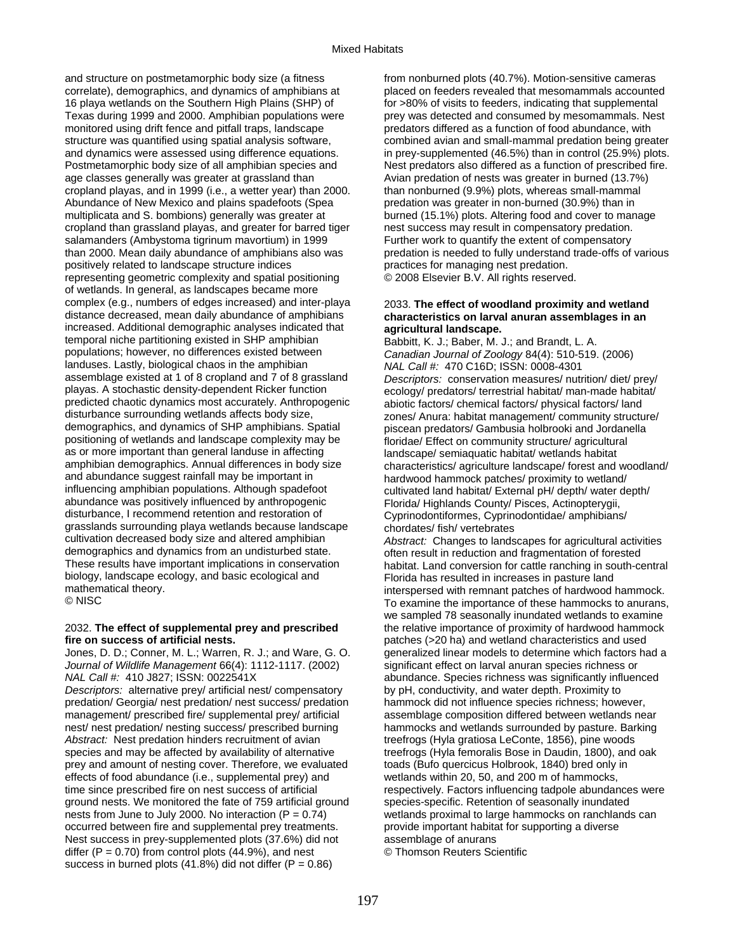and structure on postmetamorphic body size (a fitness from nonburned plots (40.7%). Motion-sensitive cameras correlate), demographics, and dynamics of amphibians at placed on feeders revealed that mesomammals accounted 16 playa wetlands on the Southern High Plains (SHP) of for >80% of visits to feeders, indicating that supplemental<br>Texas during 1999 and 2000. Amphibian populations were prey was detected and consumed by mesomammals. Nes monitored using drift fence and pitfall traps, landscape predators differed as a function of food abundance, with structure was quantified using spatial analysis software, combined avian and small-mammal predation being greater<br>and dynamics were assessed using difference equations. in prey-supplemented (46.5%) than in control (25.9%) and dynamics were assessed using difference equations. in prey-supplemented (46.5%) than in control (25.9%) plots.<br>Postmetamorphic body size of all amphibian species and Nest predators also differed as a function of prescr Postmetamorphic body size of all amphibian species and Nest predators also differed as a function of prescribed fire.<br>age classes generally was greater at grassland than Avian predation of nests was greater in burned (13.7 cropland playas, and in 1999 (i.e., a wetter year) than 2000. than nonburned (9.9%) plots, whereas small-mammal Abundance of New Mexico and plains spadefoots (Spea predation was greater in non-burned (30.9%) than in multiplicata and S. bombions) generally was greater at burned (15.1%) plots. Altering food and cover to manage cropland than grassland playas, and greater for barred tiger nest success may result in compensatory predation. salamanders (Ambystoma tigrinum mavortium) in 1999 Further work to quantify the extent of compensatory than 2000. Mean daily abundance of amphibians also was predation is needed to fully understand trade-offs of various positively related to landscape structure indices practices for managing nest predation.<br>
representing geometric complexity and spatial positioning  $\degree$  2008 Elsevier B.V. All rights reserved. representing geometric complexity and spatial positioning of wetlands. In general, as landscapes became more complex (e.g., numbers of edges increased) and inter-playa 2033. **The effect of woodland proximity and wetland**<br>
distance decreased, mean daily abundance of amphibians characteristics on larval anuran assemblages in an increased. Additional demographic analyses indicated that **agricultural landscape.**  temporal niche partitioning existed in SHP amphibian Babbitt, K. J.; Baber, M. J.; and Brandt, L. A.<br>Sapadian Journal of Zoology 84(4): 510-519. landuses. Lastly, biological chaos in the amphibian *NAL Call #:* 470 C16D; ISSN: 0008-4301 assemblage existed at 1 of 8 cropland and 7 of 8 grassland *Descriptors:* conservation measures/ nutrition/ diet/ prey/ playas. A stochastic density-dependent Ricker function ecology/ predators/ terrestrial habitat/ man-made habitat/<br>predicted chaotic dynamics most accurately. Anthropogenic abiotic factors/ chemical factors/ physical factor predicted chaotic dynamics most accurately. Anthropogenic abiotic factors/ chemical factors/ physical factors/ land<br>disturbance surrounding wetlands affects body size, abiotic factors/ Anura: habitat management/ community disturbance surrounding wetlands affects body size,<br>demographics, and dynamics of SHP amphibians. Spatial piscean predators/ Gambusia holbrooki and Jordanella positioning of wetlands and landscape complexity may be floridae/ Effect on community structure/ agricultural as or more important than general landuse in affecting landscape/ semiaquatic habitat/ wetlands habitat<br>amphibian demographics. Annual differences in body size characteristics/ agriculture landscape/ forest and amphibian demographics. Annual differences in body size characteristics/ agriculture landscape/ forest and woodland/<br>and abundance suggest rainfall may be important in<br>hardwood hammock patches/ proximity to wetland/ and abundance suggest rainfall may be important in hardwood hammock patches/ proximity to wetland/<br>influencing amphibian populations. Although spadefoot experience of land habitat/ External nH/ denth/ water de influencing amphibian populations. Although spadefoot cultivated land habitat/ External pH/ depth/ water depth/<br>abundance was positively influenced by anthropogenic Florida/ Highlands County/ Pisces, Actinopterygii abundance was positively influenced by anthropogenic Florida/ Highlands County/ Pisces, Actinopterygii,<br>disturbance, I recommend retention and restoration of Cyprinodontiformes Cyprinodontidae/ amphibians grasslands surrounding playa wetlands because landscape cultivation decreased body size and altered amphibian cultivation decreased body size and altered amphibian *Abstract:* Changes to landscapes for agricultural activities demographics and dynamics from an undisturbed state. often result in reduction and fragmentation of forested<br>These results have important implications in conservation on the habitat T and conversion for cattle ranching in biology, landscape ecology, and basic ecological and Florida has resulted in increases in pasture land<br>interspersed with rempant patches of hardwood

## **fire on success of artificial nests. patches (>20 ha) and wetland characteristics and used** patches (>20 ha) and wetland characteristics and used

*Journal of Wildlife Management* 66(4): 1112-1117. (2002) significant effect on larval anuran species richness or *NAL Call #:* 410 J827; ISSN: 0022541X **abundance.** Species richness was significantly influenced *Descriptors:* alternative prey/ artificial nest/ compensatory by pH, conductivity, and water depth. Proximity to *Descriptors:* alternative prey/ artificial nest/ compensatory predation/ Georgia/ nest predation/ nest success/ predation hammock did not influence species richness; however,<br>management/ prescribed fire/ supplemental prey/ artificial assemblage composition differed between wetlands n management/ prescribed fire/ supplemental prey/ artificial nest/ nest predation/ nesting success/ prescribed burning nest/ nest predation/ nesting success/ prescribed burning hammocks and wetlands surrounded by pasture. Barking<br>
Abstract: Nest predation hinders recruitment of avian treefrogs (Hyla gratiosa LeConte. 1856), pine woods *Abstract:* Nest predation hinders recruitment of avian treefrogs (Hyla gratiosa LeConte, 1856), pine woods<br>species and may be affected by availability of alternative treefrogs (Hyla femoralis Bose in Daudin, 1800), and prey and amount of nesting cover. Therefore, we evaluated toads (Bufo quercicus Holbrook, 1840) bred only in effects of food abundance (i.e., supplemental prey) and wetlands within 20, 50, and 200 m of hammocks, time since prescribed fire on nest success of artificial respectively. Factors influencing tadpole abundan ground nests. We monitored the fate of 759 artificial ground species-specific. Retention of seasonally inundated nests from June to July 2000. No interaction (P = 0.74) wetlands proximal to large hammocks on ranchlands can occurred between fire and supplemental prey treatments. provide important habitat for supporting a diverse Nest success in prey-supplemented plots  $(37.6%)$  did not assemblage of anurans differ (P = 0.70) from control plots  $(44.9%)$ , and nest © Thomson Reuters Scientific differ (P =  $0.70$ ) from control plots  $(44.9\%)$ , and nest success in burned plots  $(41.8\%)$  did not differ  $(P = 0.86)$ 

prey was detected and consumed by mesomammals. Nest Avian predation of nests was greater in burned (13.7%)

# characteristics on larval anuran assemblages in an

Canadian Journal of Zoology 84(4): 510-519. (2006) piscean predators/ Gambusia holbrooki and Jordanella Cyprinodontiformes, Cyprinodontidae/ amphibians/<br>chordates/ fish/ vertebrates

habitat. Land conversion for cattle ranching in south-central mathematical theory.<br> **interspersed with remnant patches of hardwood hammock.**<br> **Conduct and Conduct To examine the importance of these hammocks to anurans** To examine the importance of these hammocks to anurans, we sampled 78 seasonally inundated wetlands to examine 2032. **The effect of supplemental prey and prescribed** the relative importance of proximity of hardwood hammock Jones, D. D.; Conner, M. L.; Warren, R. J.; and Ware, G. O. generalized linear models to determine which factors had a treefrogs (Hyla femoralis Bose in Daudin, 1800), and oak respectively. Factors influencing tadpole abundances were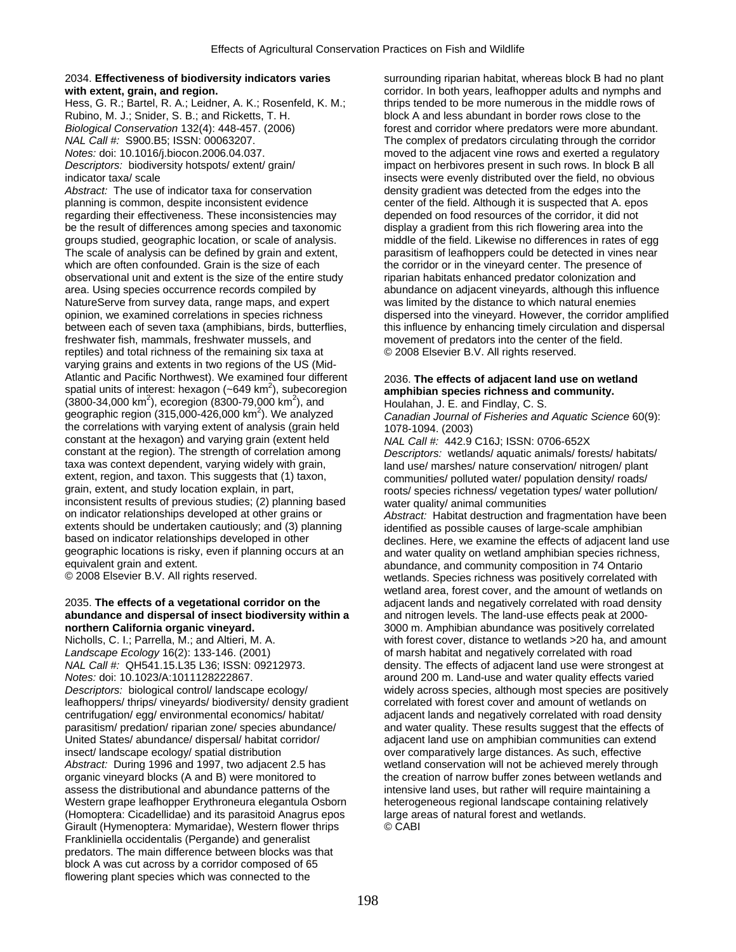Hess, G. R.; Bartel, R. A.; Leidner, A. K.; Rosenfeld, K. M.; thrips tended to be more numerous in the middle rows of Rubino, M. J.; Snider, S. B.; and Ricketts, T. H. block A and less abundant in border rows close to the *Biological Conservation* 132(4): 448-457. (2006) forest and corridor where predators were more abundant. *NAL Call #:* S900.B5; ISSN: 00063207. The complex of predators circulating through the corridor *Notes:* doi: 10.1016/j.biocon.2006.04.037. moved to the adjacent vine rows and exerted a regulatory<br>Descriptors: biodiversity hotspots/ extent/ grain/ impact on herbivores present in such rows. In block B all indicator taxa/ scale insects were evenly distributed over the field, no obvious

planning is common, despite inconsistent evidence center of the field. Although it is suspected that A. epos regarding their effectiveness. These inconsistencies may depended on food resources of the corridor, it did not be the result of differences among species and taxonomic display a gradient from this rich flowering area into the groups studied, geographic location, or scale of analysis. middle of the field. Likewise no differences in rates of egg The scale of analysis can be defined by grain and extent, parasitism of leafhoppers could be detected in vines near which are often confounded. Grain is the size of each the corridor or in the vineyard center. The presence of observational unit and extent is the size of the entire study riparian habitats enhanced predator colonization and area. Using species occurrence records compiled by abundance on adjacent vineyards, although this influence NatureServe from survey data, range maps, and expert was limited by the distance to which natural enemies between each of seven taxa (amphibians, birds, butterflies, this influence by enhancing timely circulation and dispersal freshwater fish, mammals, freshwater mussels, and movement of predators into the center of the field. reptiles) and total richness of the remaining six taxa at © 2008 Elsevier B.V. All rights reserved. varying grains and extents in two regions of the US (Mid-Atlantic and Pacific Northwest). We examined four different 2036. The effects of adjacent land use on wetland spatial units of interest: hexagon (~649 km<sup>2</sup>), subecoregion amphibian species richness and community. spatial units of interest: hexagon (~649 km<sup>2</sup>), subecoregion  $(3800-34,000 \text{ km}^2)$ , ecoregion  $(8300-79,000 \text{ km}^2)$ geographic region (315,000-426,000  $km<sup>2</sup>$ ). We analyzed the correlations with varying extent of analysis (grain held constant at the hexagon) and varying grain (extent held *NAL Call #: 442.9 C16J; ISSN: 0706-652X*<br>
constant at the region). The strength of correlation among *Descriptors: wetlands/ aquatic animals/ fore* constant at the region). The strength of correlation among *Descriptors:* wetlands/ aquatic animals/ forests/ habitats/ taxa was context dependent, varying widely with grain, land use/ marshes/ nature conservation/ nitrogen/ plant<br>extent, region, and taxon. This suggests that (1) taxon, communities/ polluted water/ population density/ roads extent, region, and taxon. This suggests that (1) taxon, communities/ polluted water/ population density/ roads/<br>grain, extent, and study location explain, in part, extending proots/ species richness/ yegetation types/ wat inconsistent results of previous studies; (2) planning based water quality/ animal communities<br>on indicator relationships developed at other grains or *Abstract:* Habitat destruction and on indicator relationships developed at other grains or *Abstract:* Habitat destruction and fragmentation have been extents should be undertaken cautiously; and (3) planning identified as possible causes of large-scale amphibian<br>based on indicator relationships developed in other declines. Here, we examine the effects of adiacent lang geographic locations is risky, even if planning occurs at an and water quality on wetland amphibian species richness,<br>equivalent grain and extent.

### 2035. **The effects of a vegetational corridor on the** adjacent lands and negatively correlated with road density **abundance and dispersal of insect biodiversity within a** and nitrogen levels. The land-use effects peak at 2000 **northern California organic vineyard.** 3000 m. Amphibian abundance was positively correlated

Nicholls, C. I.; Parrella, M.; and Altieri, M. A. with forest cover, distance to wetlands >20 ha, and amount Landscape Ecology 16(2): 133-146. (2001) **of marsh habitat and negatively correlated with road** *NAL Call #:* QH541.15.L35 L36; ISSN: 09212973. density. The effects of adjacent land use were strongest at *Notes:* doi: 10.1023/A:1011128222867. around 200 m. Land-use and water quality effects varied<br>Descriptors: biological control/ landscape ecology/ and around 200 m. Land-use and water quality effects varied leafhoppers/ thrips/ vineyards/ biodiversity/ density gradient correlated with forest cover and amount of wetlands on centrifugation/ egg/ environmental economics/ habitat/ adjacent lands and negatively correlated with road density parasitism/ predation/ riparian zone/ species abundance/ and water quality. These results suggest that the effects of<br>United States/ abundance/ dispersal/ habitat corridor/ adiacent land use on amphibian communities can ex United States/ abundance/ dispersal/ habitat corridor/ adjacent land use on amphibian communities can extend<br>insect/ landscape ecology/ spatial distribution over comparatively large distances. As such, effective *Abstract:* During 1996 and 1997, two adjacent 2.5 has wetland conservation will not be achieved merely through organic vineyard blocks (A and B) were monitored to the creation of narrow buffer zones between wetlands and assess the distributional and abundance patterns of the intensive land uses, but rather will require maintaining a Western grape leafhopper Erythroneura elegantula Osborn heterogeneous regional landscape containing relatively (Homoptera: Cicadellidae) and its parasitoid Anagrus epos large areas of natural forest and wetlands. Girault (Hymenoptera: Mymaridae), Western flower thrips © CABI Frankliniella occidentalis (Pergande) and generalist predators. The main difference between blocks was that block A was cut across by a corridor composed of 65 flowering plant species which was connected to the

2034. **Effectiveness of biodiversity indicators varies** surrounding riparian habitat, whereas block B had no plant with extent, grain, and region. **corridor. corridor.** In both years, leafhopper adults and nymphs and *impact on herbivores present in such rows. In block B all* Abstract: The use of indicator taxa for conservation density gradient was detected from the edges into the opinion, we examined correlations in species richness dispersed into the vineyard. However, the corridor amplified

# Houlahan, J. E. and Findlay, C. S.

Canadian Journal of Fisheries and Aquatic Science 60(9):<br>1078-1094. (2003)

roots/ species richness/ vegetation types/ water pollution/

declines. Here, we examine the effects of adjacent land use equivalent grain and extent.<br>© 2008 Elsevier B.V. All rights reserved. abundance, and community composition in 74 Ontario wetlands. Species richness was positively correlated with wetland area, forest cover, and the amount of wetlands on widely across species, although most species are positively over comparatively large distances. As such, effective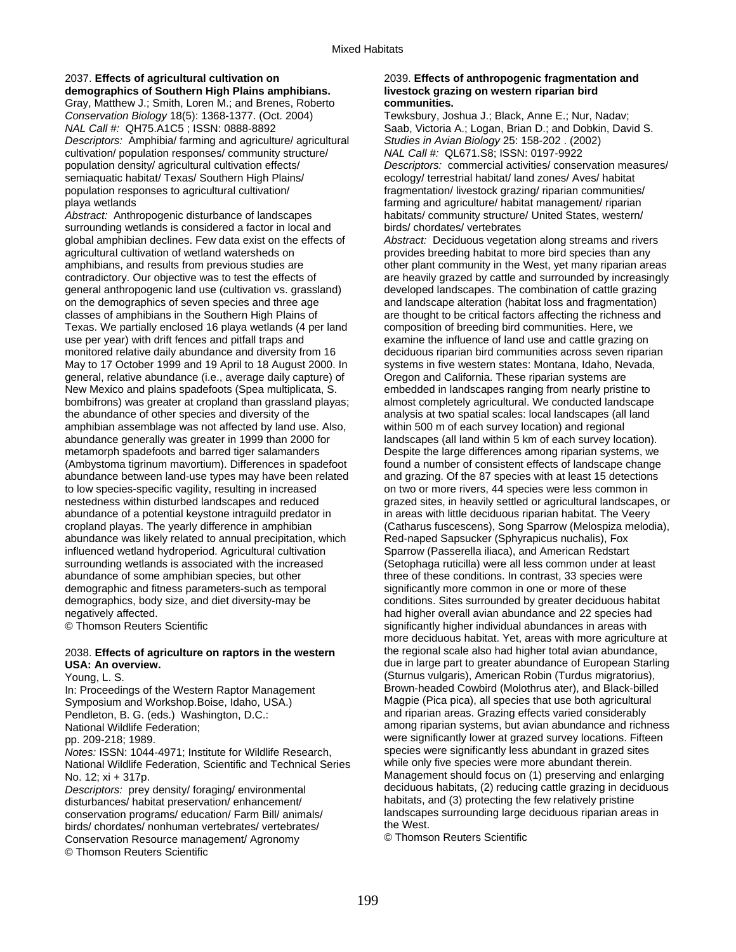### 2037. **Effects of agricultural cultivation on** 2039. **Effects of anthropogenic fragmentation and demographics of Southern High Plains amphibians. livestock grazing on western riparian bird**  Gray, Matthew J.; Smith, Loren M.; and Brenes, Roberto **communities.**  *Conservation Biology* 18(5): 1368-1377. (Oct. 2004) Tewksbury, Joshua J.; Black, Anne E.; Nur, Nadav;

*Descriptors:* Amphibia/ farming and agriculture/ agricultural *Studies in Avian Biology* 25: 158-202 . (2002) cultivation/ population responses/ community structure/ *population density/ agricultural cultivation effects/* semiaquatic habitat/ Texas/ Southern High Plains/ population responses to agricultural cultivation/  $f$  fragmentation/ livestock grazing/ riparian communities/ playa wetlands farming and agriculture/ habitat management/ riparian

Abstract: Anthropogenic disturbance of landscapes habitats/ community structure/ United States, western/ surrounding wetlands is considered a factor in local and birds/ chordates/ vertebrates global amphibian declines. Few data exist on the effects of *Abstract:* Deciduous vegetation along streams and rivers agricultural cultivation of wetland watersheds on provides breeding habitat to more bird species than any amphibians, and results from previous studies are other plant community in the West, yet many riparian areas contradictory. Our objective was to test the effects of are heavily grazed by cattle and surrounded by increasing general anthropogenic land use (cultivation vs. grassland) on the demographics of seven species and three age and landscape alteration (habitat loss and fragmentation) classes of amphibians in the Southern High Plains of are thought to be critical factors affecting the richness and Texas. We partially enclosed 16 playa wetlands (4 per land composition of breeding bird communities. Here, we use per year) with drift fences and pitfall traps and examine the influence of land use and cattle grazing on monitored relative daily abundance and diversity from 16 deciduous riparian bird communities across seven riparian May to 17 October 1999 and 19 April to 18 August 2000. In systems in five western states: Montana, Idaho, Nevada, general, relative abundance (i.e., average daily capture) of Oregon and California. These riparian systems are New Mexico and plains spadefoots (Spea multiplicata, S. embedded in landscapes ranging from nearly pristine to bombifrons) was greater at cropland than grassland playas; almost completely agricultural. We conducted landscape the abundance of other species and diversity of the analysis at two spatial scales: local landscapes (all land amphibian assemblage was not affected by land use. Also, within 500 m of each survey location) and regional abundance generally was greater in 1999 than 2000 for landscapes (all land within 5 km of each survey location). metamorph spadefoots and barred tiger salamanders Despite the large differences among riparian systems, we (Ambystoma tigrinum mavortium). Differences in spadefoot found a number of consistent effects of landscape change abundance between land-use types may have been related and grazing. Of the 87 species with at least 15 detections<br>to low species-specific vagility, resulting in increased on two or more rivers, 44 species were less common to low species-specific vagility, resulting in increased abundance of a potential keystone intraguild predator in in areas with little deciduous riparian habitat. The Veery abundance was likely related to annual precipitation, which Red-naped Sapsucker (Sphyrapicus nuchalis), Fox influenced wetland hydroperiod. Agricultural cultivation Sparrow (Passerella iliaca), and American Redstart surrounding wetlands is associated with the increased (Setophaga ruticilla) were all less common under at least abundance of some amphibian species, but other three of these conditions. In contrast, 33 species were demographic and fitness parameters-such as temporal significantly more common in one or more of these<br>demographics, body size, and diet diversity-may be conditions. Sites surrounded by greater deciduous l demographics, body size, and diet diversity-may be conditions. Sites surrounded by greater deciduous habitat<br>had higher overall avian abundance and 22 species had

National Wildlife Federation, Scientific and Technical Series

conservation programs/ education/ Farm Bill/ animals/ landscape<br>hirds/ chordates/ nonbuman vertebrates/ vertebrates/ late West. birds/ chordates/ nonhuman vertebrates/ vertebrates/ the West.<br>Conservation Resource management/ Agronomy © Thomson Reuters Scientific Conservation Resource management/ Agronomy © Thomson Reuters Scientific

Saab, Victoria A.; Logan, Brian D.; and Dobkin, David S.<br>*Studies in Avian Biology* 25: 158-202 . (2002) Descriptors: commercial activities/ conservation measures/ *ecology/* terrestrial habitat/ land zones/ Aves/ habitat

are heavily grazed by cattle and surrounded by increasingly developed landscapes. The combination of cattle grazing nestedness within disturbed landscapes and reduced grazed sites, in heavily settled or agricultural landscapes, or cropland playas. The yearly difference in amphibian (Catharus fuscescens), Song Sparrow (Melospiza melodia), had higher overall avian abundance and 22 species had © Thomson Reuters Scientific significantly higher individual abundances in areas with more deciduous habitat. Yet, areas with more agriculture at 2038. **Effects of agriculture on raptors in the western** the regional scale also had higher total avian abundance, due in large part to greater abundance of European Starling Young, L. S. (Sturnus vulgaris), American Robin (Turdus migratorius), In: Proceedings of the Western Raptor Management Brown-headed Cowbird (Molothrus ater), and Black-billed Symposium and Workshop.Boise, Idaho, USA.) Magpie (Pica pica), all species that use both agricultural Pendleton, B. G. (eds.) Washington, D.C.: and riparian areas. Grazing effects varied considerably<br>National Wildlife Federation; and riching the same among riparian systems, but avian abundance and riching among riparian systems, but avian abundance and richness pp. 209-218; 1989.<br>Notes: ISSN: 1044-4971: Institute for Wildlife Research. Species were significantly less abundant in grazed sites *Notes:* ISSN: 1044-4971; Institute for Wildlife Research, species were significantly less abundant in grazed sites and Technical Series while only five species were more abundant therein. No. 12; xi + 317p. Management should focus on (1) preserving and enlarging *Descriptors:* prey density/ foraging/ environmental deciduous habitats, (2) reducing cattle grazing in deciduous disturbances/ habitats disturbances/ habitats disturbances/ habitats and (3) protecting the few relatively p disturbances/ habitat preservation/ enhancement/ habitats, and (3) protecting the few relatively pristine<br>
conservation programs/ education/ Farm Bill/ animals/ animals/ and landscapes surrounding large deciduous riparian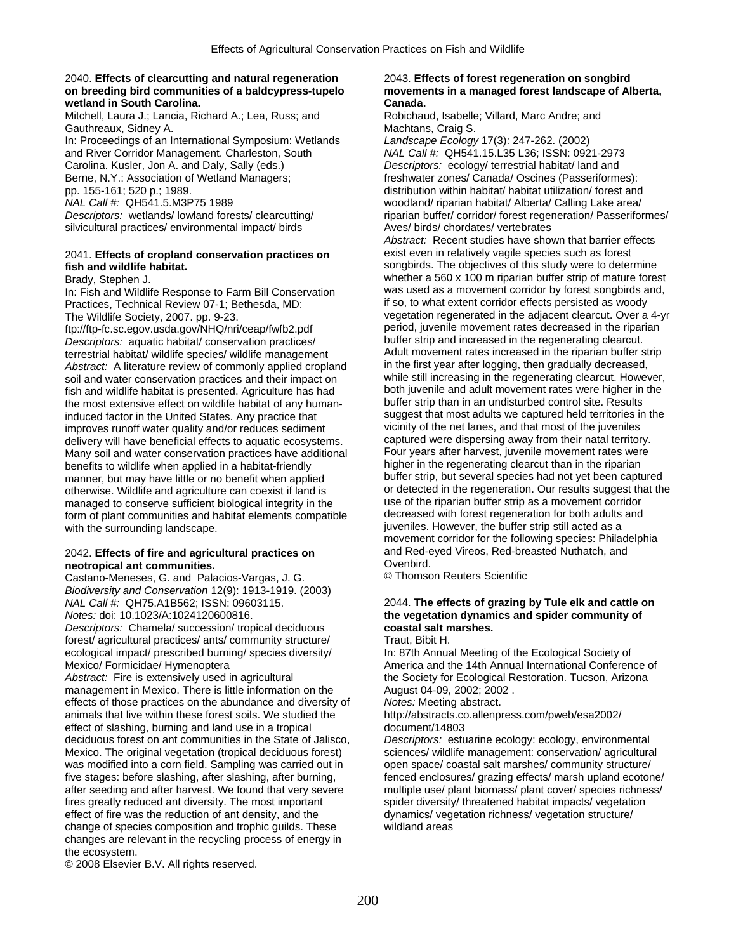### 2040. **Effects of clearcutting and natural regeneration** 2043. **Effects of forest regeneration on songbird on breeding bird communities of a baldcypress-tupelo movements in a managed forest landscape of Alberta, wetland in South Carolina. Canada. Canada.**

Mitchell, Laura J.; Lancia, Richard A.; Lea, Russ; and Robichaud, Isabelle; Villard, Marc Andre; and Gauthreaux, Sidney A. Charles Controller and Machtans, Craig S.

In: Proceedings of an International Symposium: Wetlands *Landscape Ecology* 17(3): 247-262. (2002) and River Corridor Management. Charleston, South Carolina. Kusler, Jon A. and Daly, Sally (eds.) Carolina. Kusler, Jon A. and Daly, Sally (eds.) *Descriptors:* ecology/ terrestrial habitat/ land and

silvicultural practices/ environmental impact/ birds Aves/ birds/ chordates/ vertebrates

In: Fish and Wildlife Response to Farm Bill Conservation Practices, Technical Review 07-1; Bethesda, MD: if so, to what extent corridor effects persisted as woody

ftp://ftp-fc.sc.egov.usda.gov/NHQ/nri/ceap/fwfb2.pdf period, juvenile movement rates decreased in the riparian<br>Descriptors: aquatic babitat/ conservation practices/ buffer strip and increased in the regenerating clearcut. *Descriptors:* aquatic habitat/ conservation practices/ buffer strip and increased in the regenerating clearcut.<br> **Adult** movement rates increased in the riparian buffer strip terms in the riparian buffer strip terrestrial habitat/ wildlife species/ wildlife management Adult movement rates increased in the riparian buffer st<br>Abstract: A literature review of commonly applied cropland in the first year after logging, then gradually *Abstract:* A literature review of commonly applied cropland soil and water conservation practices and their impact on while still increasing in the regenerating clearcut. However,<br>
fish and wildlife habitat is presented Agriculture has had both juvenile and adult movement rates wer fish and wildlife habitat is presented. Agriculture has had both juvenile and adult movement rates were higher in<br>the most extensive effect on wildlife habitat of any human-buffer strip than in an undisturbed control site. the most extensive effect on wildlife habitat of any humaninduced factor in the United States. Any practice that suggest that most adults we captured held territories in the<br>improves runoff water quality and/or reduces sediment vicinity of the net lanes, and that most of the juve improves runoff water quality and/or reduces sediment delivery will have beneficial effects to aquatic ecosystems. captured were dispersing away from their natal territory.<br>Many soil and water conservation practices have additional Four years after harvest, juvenile movement Many soil and water conservation practices have additional benefits to wildlife when applied in a habitat-friendly higher in the regenerating clearcut than in the riparian manner, but may have little or no benefit when applied buffer strip, but several species had not yet been captured managed to conserve sufficient biological integrity in the use of the riparian buffer strip as a movement corridor<br>form of plant communities and babitat elements compatible decreased with forest regeneration for both adult form of plant communities and habitat elements compatible with the surrounding landscape.

## **neotropical ant communities.** Ovenbird.

Castano-Meneses, G. and Palacios-Vargas, J. G. *Biodiversity and Conservation* 12(9): 1913-1919. (2003)

*Descriptors:* Chamela/ succession/ tropical deciduous **coastal salt marshes.** forest/ agricultural practices/ ants/ community structure/ Traut, Bibit H. ecological impact/ prescribed burning/ species diversity/ In: 87th Annual Meeting of the Ecological Society of

management in Mexico. There is little information on the  $\mu$  August 04-09, 2002; 2002. effects of those practices on the abundance and diversity of *Notes:* Meeting abstract. animals that live within these forest soils. We studied the http://abstracts.co.allenpress.com/pweb/esa2002/ effect of slashing, burning and land use in a tropical document/14803<br>deciduous forest on ant communities in the State of Jalisco. Descriptors: estu Mexico. The original vegetation (tropical deciduous forest) was modified into a corn field. Sampling was carried out in open space/ coastal salt marshes/ community structure/ five stages: before slashing, after slashing, after burning, fenced enclosures/ grazing effects/ marsh upland ecotone/ after seeding and after harvest. We found that very severe multiple use/ plant biomass/ plant cover/ species richness/ fires greatly reduced ant diversity. The most important spider diversity/ threatened habitat impacts/ vegetation effect of fire was the reduction of ant density, and the dynamics/ vegetation richness/ vegetation structure/ change of species composition and trophic guilds. These wildland areas changes are relevant in the recycling process of energy in the ecosystem.

© 2008 Elsevier B.V. All rights reserved.

freshwater zones/ Canada/ Oscines (Passeriformes): pp. 155-161; 520 p.; 1989.<br>
MAL Call #: QH541.5.M3P75 1989 **distribution within habitat/ habitat utilization/ forest and**<br>
woodland/ riparian habitat/ Alberta/ Calling Lake area/ woodland/ riparian habitat/ Alberta/ Calling Lake area/ *Descriptors:* wetlands/ lowland forests/ clearcutting/ riparian buffer/ corridor/ forest regeneration/ Passeriformes/

*Abstract:* Recent studies have shown that barrier effects 2041. **Effects of cropland conservation practices on** exist even in relatively vagile species such as forest **fish and wildlife habitat. Songbirds** and **songbirds**. The objectives of this study were to determine Brady, Stephen J.<br>
In: Fish and Wildlife Response to Farm Bill Conservation was used as a movement corridor by forest songbirds and, The Wildlife Society, 2007. pp. 9-23. vegetation regenerated in the adjacent clearcut. Over a 4-yr<br>
ftp://ftp-fc.sc.egov.usda.gov/NHO/pri/ceap/fwfb2.pdf period.iuvenile movement rates decreased in the riparian otherwise. Wildlife and agriculture can coexist if land is or detected in the regeneration. Our results suggest that the juveniles. However, the buffer strip still acted as a movement corridor for the following species: Philadelphia 2042. **Effects of fire and agricultural practices on** and Red-eyed Vireos, Red-breasted Nuthatch, and

## *NAL Call #:* QH75.A1B562; ISSN: 09603115. 2044. **The effects of grazing by Tule elk and cattle on**  *Notes:* doi: 10.1023/A:1024120600816. **the vegetation dynamics and spider community of**

Mexico/ Formicidae/ Hymenoptera America and the 14th Annual International Conference of *Abstract:* Fire is extensively used in agricultural the Society for Ecological Restoration. Tucson, Arizona

Descriptors: estuarine ecology: ecology, environmental<br>sciences/ wildlife management: conservation/ agricultural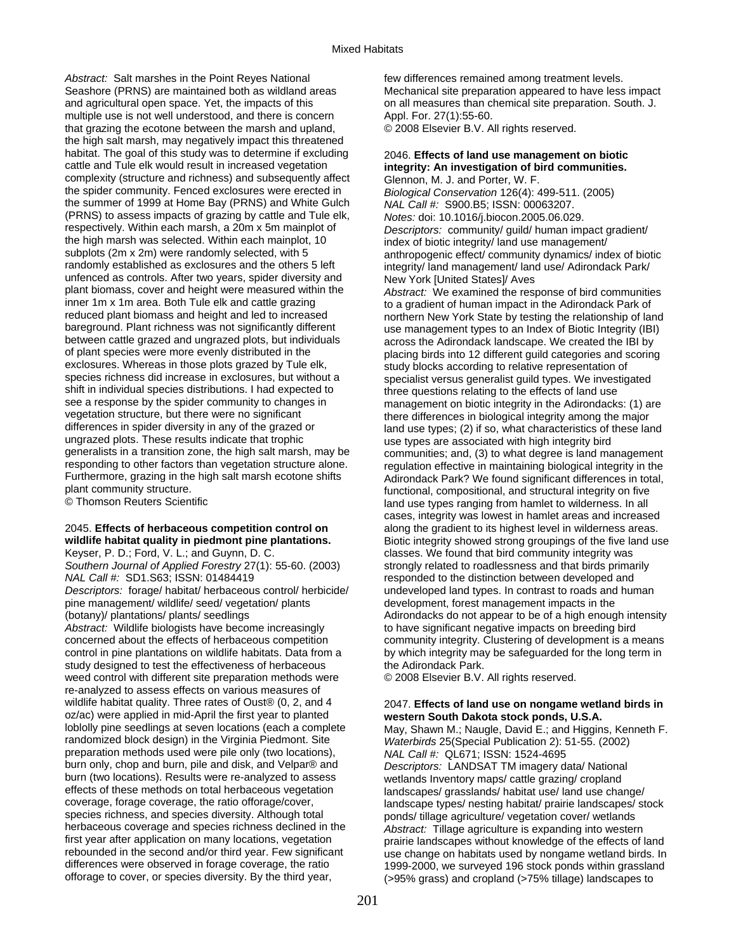Abstract: Salt marshes in the Point Reyes National few differences remained among treatment levels. Seashore (PRNS) are maintained both as wildland areas Mechanical site preparation appeared to have less impact and agricultural open space. Yet, the impacts of this on all measures than chemical site preparation. South. J. multiple use is not well understood, and there is concern Appl. For. 27(1):55-60. that grazing the ecotone between the marsh and upland, © 2008 Elsevier B.V. All rights reserved. the high salt marsh, may negatively impact this threatened habitat. The goal of this study was to determine if excluding 2046. **Effects of land use management on biotic**  cattle and Tule elk would result in increased vegetation **integrity: An investigation of bird communities.**  complexity (structure and richness) and subsequently affect Glennon, M. J. and Porter, W. F.<br>the spider community. Fenced exclosures were erected in Biological Conservation 126(4): the summer of 1999 at Home Bay (PRNS) and White Gulch *NAL Call #:* S900.B5; ISSN: 00063207. (PRNS) to assess impacts of grazing by cattle and Tule elk, *Notes:* doi: 10.1016/j.biocon.2005.06.029. the high marsh was selected. Within each mainplot, 10 index of biotic integrity/ land use management/<br>subplots (2m x 2m) were randomly selected, with 5 anthropogenic effect/ community dynamics/ ind subplots (2m x 2m) were randomly selected, with 5 anthropogenic effect/ community dynamics/ index of biotic<br>strandomly established as exclosures and the others 5 left integrity/ land management/ land use/ Adirondack Park unfenced as controls. After two years, spider diversity and New York [United States]/ Aves<br>plant biomass, cover and height were measured within the *Abstract:* We examined the resi plant biomass, cover and height were measured within the *Abstract:* We examined the response of bird communities inner 1m x 1m area. Both Tule elk and cattle grazing to a gradient of human impact in the Adirondack Park of<br>The angle of a morthern New York State by testing the relationship of la reduced plant biomass and height and led to increased northern New York State by testing the relationship of land<br>bareground. Plant richness was not significantly different use management types to an Index of Biotic Integr bareground. Plant richness was not significantly different use management types to an Index of Biotic Integrity (IBI)<br>between cattle grazed and ungrazed plots, but individuals across the Adirondack landscape. We created th between cattle grazed and ungrazed plots, but individuals across the Adirondack landscape. We created the IBI by<br>of plant species were more evenly distributed in the same placing birds into 12 different quild categories an exclosures. Whereas in those plots grazed by Tule elk, study blocks according to relative representation of species richness did increase in exclosures, but without a specialist versus generalist quild types. We investig species richness did increase in exclosures, but without a specialist versus generalist guild types. We investigated<br>shift in individual species distributions. I had expected to subsections relations relating to the effect shift in individual species distributions. I had expected to three questions relating to the effects of land use<br>see a response by the spider community to changes in management on biotic integrity in the Adirondacks see a response by the spider community to changes in management on biotic integrity in the Adirondacks: (1) are<br>vegetation structure, but there were no significant the management on biological integrity among the major vegetation structure, but there were no significant the state of there differences in biological integrity among the major<br>differences in spider diversity in any of the grazed or and use types: (2) if so, what characterist differences in spider diversity in any of the grazed or land use types; (2) if so, what characteristics of these land<br>ungrazed plots. These results indicate that trophic<br>use types are associated with high integrity bird ungrazed plots. These results indicate that trophic under the types are associated with high integrity bird<br>generalists in a transition zone, the high salt marsh, may be communities: and (3) to what degree is land ma generalists in a transition zone, the high salt marsh, may be communities; and, (3) to what degree is land management<br>responding to other factors than vegetation structure alone. Furthermore, grazing in the high salt marsh ecotone shifts Adirondack Park? We found significant differences in total,<br>
functional. compositional. and structural integrity on five

Keyser, P. D.; Ford, V. L.; and Guynn, D. C. C. Classes. We found that bird community integrity was<br>Southern Journal of Applied Forestry 27(1): 55-60. (2003) strongly related to roadlessness and that birds primarily *Southern Journal of Applied Forestry* 27(1): 55-60. (2003) *NAL Call #:* SD1.S63; ISSN: 01484419 responded to the distinction between developed and *Descriptors:* forage/ habitat/ herbaceous control/ herbicide/ undeveloped land types. In contrast to roads and human pine management/ wildlife/ seed/ vegetation/ plants development, forest management impacts in the (botany)/ plantations/ plants/ seedlings example and adirondacks do not appear to be of a high enough intensity Abstract: Wildlife biologists have become increasingly to have significant negative impacts on breeding bird concerned about the effects of herbaceous competition community integrity. Clustering of development is a means control in pine plantations on wildlife habitats. Data from a by which integrity may be safeguarded for the long term in study designed to test the effectiveness of herbaceous the Adirondack Park. weed control with different site preparation methods were  $\degree$  0 2008 Elsevier B.V. All rights reserved. re-analyzed to assess effects on various measures of wildlife habitat quality. Three rates of Oust® (0, 2, and 4 2047. **Effects of land use on nongame wetland birds in** oz/ac) were applied in mid-April the first year to planted **western South Dakota stock ponds, U.S.A.**<br>
loblolly pine seedlings at seven locations (each a complete May Shawn M · Naugle David F · and Higgin randomized block design) in the Virginia Piedmont. Site *Waterbirds* 25(Special Publication 2): 51-55. (2002) preparation methods used were pile only (two locations), *NAL Call #:* QL671; ISSN: 1524-4695<br>
burn only, chop and burn, pile and disk, and Velpar® and *Descriptors:* I ANDSAT TM imagery d burn only, chop and burn, pile and disk, and Velpar® and *Descriptors:* LANDSAT TM imagery data/ National burn (two locations). Results were re-analyzed to assess wetlands Inventory maps/ cattle grazing/ cropland effects of these methods on total herbaceous vegetation and and scapes/ grasslands/ habitat use/ land use cha effects of these methods on total herbaceous vegetation landscapes/ grasslands/ habitat use/ land use change/<br>coverage, forage coverage, the ratio offorage/cover, landscape types/ nesting habitat/ prairie landscapes/ st coverage, forage coverage, the ratio offorage/cover, landscape types/ nesting habitat/ prairie landscapes/ stock<br>species richness, and species diversity. Although total bonds/ tillage agriculture/ vegetation cover/ wetland herbaceous coverage and species richness declined in the *Abstract:* Tillage agriculture is expanding into western first year after application on many locations, vegetation prairie landscapes without knowledge of the effects of land<br>The produced in the second and/or third year. Few significant use change on habitats used by nongame we rebounded in the second and/or third year. Few significant use change on habitats used by nongame wetland birds. In<br>differences were observed in forage coverage, the ratio 1999-2000, we surveved 196 stock ponds within gras differences were observed in forage coverage, the ratio 1999-2000, we surveyed 196 stock ponds within grassland<br>offorage to cover, or species diversity. By the third year, (>95% grass) and cropland (>75% tillage) landscape

Biological Conservation 126(4): 499-511. (2005) Descriptors: community/ guild/ human impact gradient/ integrity/ land management/ land use/ Adirondack Park/

placing birds into 12 different guild categories and scoring regulation effective in maintaining biological integrity in the plant community structure.<br>© Thomson Reuters Scientific integrational compositional, compositional, and structural integrity on five<br>and use types ranging from hamlet to wilderness. In all land use types ranging from hamlet to wilderness. In all cases, integrity was lowest in hamlet areas and increased 2045. **Effects of herbaceous competition control on** along the gradient to its highest level in wilderness areas. **wildlife habitat quality in piedmont pine plantations.** Biotic integrity showed strong groupings of the five land use

May, Shawn M.; Naugle, David E.; and Higgins, Kenneth F. ponds/ tillage agriculture/ vegetation cover/ wetlands  $($ >95% grass) and cropland (>75% tillage) landscapes to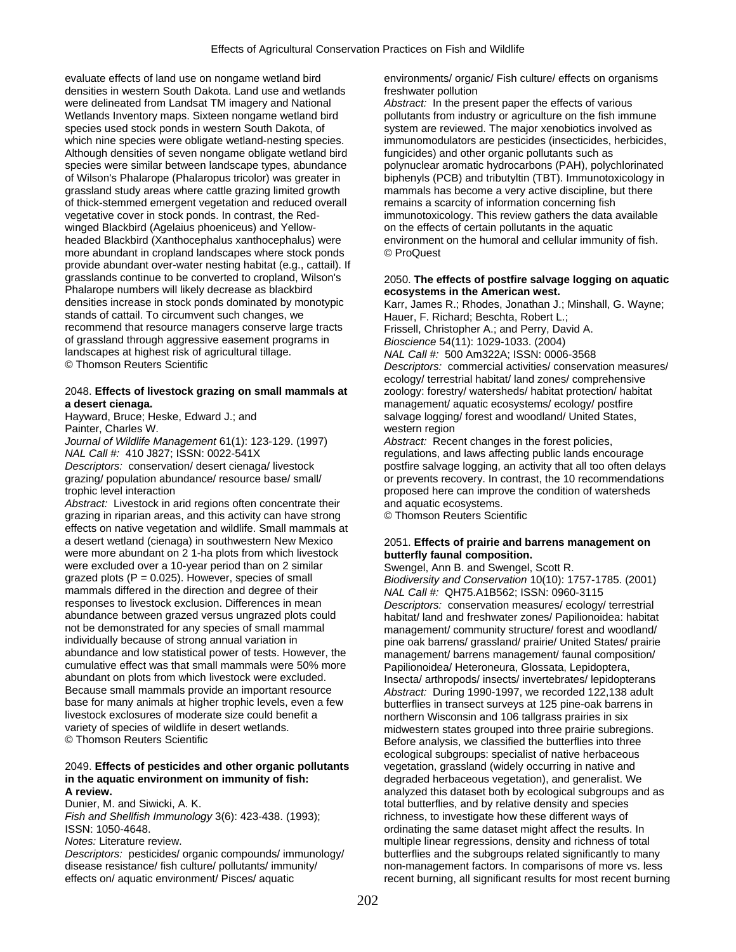evaluate effects of land use on nongame wetland bird environments/ organic/ Fish culture/ effects on organisms densities in western South Dakota. Land use and wetlands freshwater pollution were delineated from Landsat TM imagery and National *Abstract:* In the present paper the effects of various Wetlands Inventory maps. Sixteen nongame wetland bird pollutants from industry or agriculture on the fish immune species used stock ponds in western South Dakota, of system are reviewed. The major xenobiotics involved as which nine species were obligate wetland-nesting species. immunomodulators are pesticides (insecticides, herbicides, Although densities of seven nongame obligate wetland bird fungicides) and other organic pollutants such as species were similar between landscape types, abundance polynuclear aromatic hydrocarbons (PAH), polychlorinated species were similar between landscape types, abundance polynuclear aromatic hydrocarbons (PAH), polychlorinated<br>of Wilson's Phalarope (Phalaropus tricolor) was greater in biphenyls (PCB) and tributyltin (TBT). Immunotoxic of Wilson's Phalarope (Phalaropus tricolor) was greater in grassland study areas where cattle grazing limited growth mammals has become a very active discipline, but there of thick-stemmed emergent vegetation and reduced overall remains a scarcity of information concerning fish vegetative cover in stock ponds. In contrast, the Red- immunotoxicology. This review gathers the data available winged Blackbird (Agelaius phoeniceus) and Yellow- on the effects of certain pollutants in the aquatic headed Blackbird (Xanthocephalus xanthocephalus) were environment on the humoral and cellular immunity of fish. more abundant in cropland landscapes where stock ponds © ProQuest provide abundant over-water nesting habitat (e.g., cattail). If grasslands continue to be converted to cropland, Wilson's 2050. **The effects of postfire salvage logging on aquatic**  Phalarope numbers will likely decrease as blackbird **ecosystems in the American west.**<br>
densities increase in stock ponds dominated by monotypic Karr, James R.: Rhodes, Jonathan J. stands of cattail. To circumvent such changes, we Hauer, F. Richard; Beschta, Robert L.; recommend that resource managers conserve large tracts Frissell, Christopher A.; and Perry, David A. of grassland through aggressive easement programs in *Bioscience* 54(11): 1029-1033. (2004) landscapes at highest risk of agricultural tillage.<br>© Thomson Reuters Scientific **and Exercise Conserval activities** Conserval activities conserval

### 2048. **Effects of livestock grazing on small mammals at** zoology: forestry/ watersheds/ habitat protection/ habitat **a desert cienaga.** management/ aquatic ecosystems/ ecology/ postfire

Painter, Charles W. western region

*Journal of Wildlife Management* 61(1): 123-129. (1997) *Abstract:* Recent changes in the forest policies, *NAL Call #:* 410 J827; ISSN: 0022-541X regulations, and laws affecting public lands encourage

*Abstract:* Livestock in arid regions often concentrate their and aquatic ecosystems. grazing in riparian areas, and this activity can have strong © Thomson Reuters Scientific effects on native vegetation and wildlife. Small mammals at a desert wetland (cienaga) in southwestern New Mexico 2051. **Effects of prairie and barrens management on**  were more abundant on 2 1-ha plots from which livestock **butterfly faunal composition.** were excluded over a 10-year period than on 2 similar Swengel, Ann B. and Swengel, Scott R.<br>
grazed plots (P = 0.025). However, species of small Biodiversity and Conservation 10(10): 17 mammals differed in the direction and degree of their *NAL Call #:* QH75.A1B562; ISSN: 0960-3115<br>
responses to livestock exclusion. Differences in mean *Descriptors:* conservation measures/ecology/ responses to livestock exclusion. Differences in mean *Descriptors:* conservation measures/ ecology/ terrestrial abundance between grazed versus ungrazed plots could<br>
not be demonstrated for any species of small mammal<br>
management/community structure/forest and woodland/ not be demonstrated for any species of small mammal management/ community structure/ forest and woodland/<br>individually because of strong annual variation in<br>pine oak barrens/ grassland/ prairie/ United States/ prairie individually because of strong annual variation in pine oak barrens/ grassland/ prairie/ United States/ prairie<br>abundance and low statistical power of tests. However, the management/ barrens management/ faunal composition/ abundance and low statistical power of tests. However, the management/ barrens management/ faunal composition/<br>cumulative effect was that small mammals were 50% more Papilionoidea/ Heteroneura, Glossata, Lepidoptera cumulative effect was that small mammals were 50% more expliemoidea/ Heteroneura, Glossata, Lepidoptera, cumulative etc.<br>Abundant on plots from which livestock were excluded. This extal arthropods/ insects/ invertebrates/ abundant on plots from which livestock were excluded. Insecta/ arthropods/ insects/ invertebrates/ lepidopterans<br>Because small mammals provide an important resource *Abstract:* During 1990-1997, we recorded 122,138 adult Because small mammals provide an important resource *Abstract:* During 1990-1997, we recorded 122,138 adult base for many animals at higher trophic levels, even a few butterflies in transect surveys at 125 pine-oak barrens base for many animals at higher trophic levels, even a few butterflies in transect surveys at 125 pine-oak barrens in<br>livestock exclosures of moderate size could benefit a submacritery Wisconsin and 106 tallorass prairies livestock exclosures of moderate size could benefit a northern Wisconsin and 106 tallgrass prairies in six<br>variety of species of wildlife in desert wetlands. variety of species of wildlife in desert wetlands. mich midwestern states grouped into three prairie subregions.<br>© Thomson Reuters Scientific

### 2049. **Effects of pesticides and other organic pollutants** vegetation, grassland (widely occurring in native and **in the aquatic environment on immunity of fish:**  $\begin{array}{c} \text{degraded herbaceous vegetation)} \text{, and generalist. We} \\ \text{Analized this dataset both by ecological subarouns and unalized this dataset.} \end{array}$

Karr, James R.; Rhodes, Jonathan J.; Minshall, G. Wayne;

Descriptors: commercial activities/ conservation measures/ ecology/ terrestrial habitat/ land zones/ comprehensive Hayward, Bruce; Heske, Edward J.; and salvage logging/ forest and woodland/ United States,

*Descriptors:* conservation/ desert cienaga/ livestock postfire salvage logging, an activity that all too often delays grazing/ population abundance/ resource base/ small/ or prevents recovery. In contrast, the 10 recommendations trophic level interaction proposed here can improve the condition of watersheds

Biodiversity and Conservation 10(10): 1757-1785. (2001) Before analysis, we classified the butterflies into three ecological subgroups: specialist of native herbaceous **A review.** analyzed this dataset both by ecological subgroups and as Dunier, M. and Siwicki, A. K. total butterflies, and by relative density and species *Fish and Shellfish Immunology* 3(6): 423-438. (1993); richness, to investigate how these different ways of ISSN: 1050-4648. **In the same dataset might affect the results.** In *Notes:* Literature review. multiple linear regressions, density and richness of total *Descriptors:* pesticides/ organic compounds/ immunology/ butterflies and the subgroups related significantly to many disease resistance/ fish culture/ pollutants/ immunity/ non-management factors. In comparisons of more vs. less effects on/ aquatic environment/ Pisces/ aquatic recent burning, all significant results for most recent burning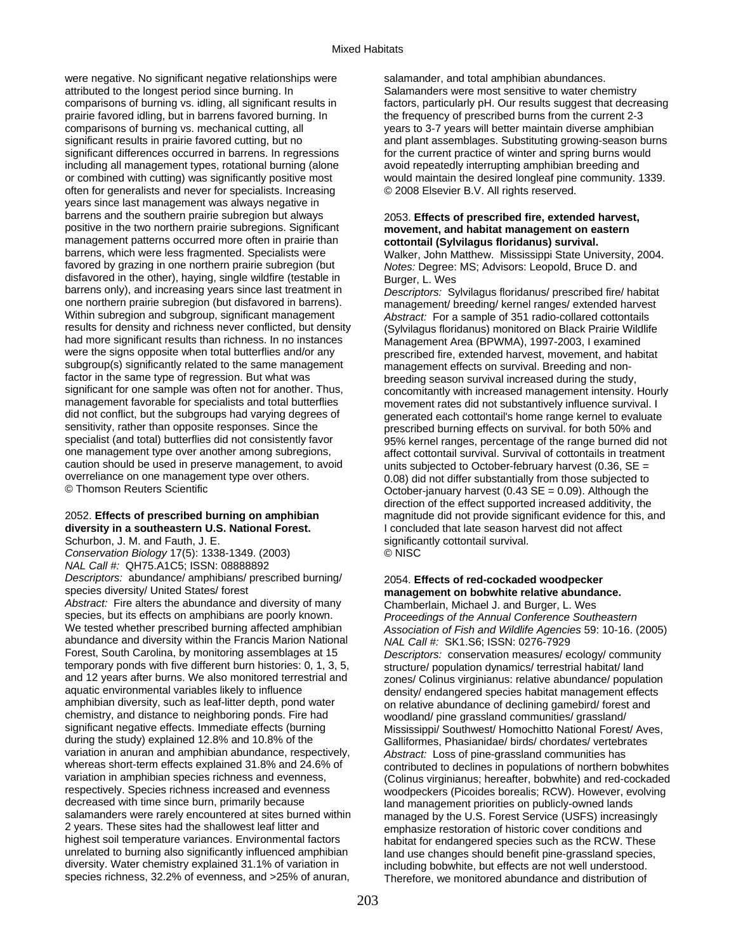were negative. No significant negative relationships were salamander, and total amphibian abundances. attributed to the longest period since burning. In Salamanders were most sensitive to water chemistry comparisons of burning vs. idling, all significant results in factors, particularly pH. Our results suggest that decreasing prairie favored idling, but in barrens favored burning. In the frequency of prescribed burns from the current 2-3 comparisons of burning vs. mechanical cutting, all years to 3-7 years will better maintain diverse amphibian significant results in prairie favored cutting, but no and plant assemblages. Substituting growing-season burns significant differences occurred in barrens. In regressions for the current practice of winter and spring burns would including all management types, rotational burning (alone avoid repeatedly interrupting amphibian breeding and or combined with cutting) was significantly positive most would maintain the desired longleaf pine community. 1339. often for generalists and never for specialists. Increasing © 2008 Elsevier B.V. All rights reserved. years since last management was always negative in barrens and the southern prairie subregion but always 2053. **Effects of prescribed fire, extended harvest,** positive in the two northern prairie subregions. Significant movement, and habitat management on eastern management patterns occurred more often in prairie than **cottontail (Sylvilagus floridanus) survival.**<br>
barrens, which were less fragmented. Specialists were Walker. John Matthew. Mississippi State Univ favored by grazing in one northern prairie subregion (but *Notes:* Degree: MS; Advisors: Leopold, Bruce D. and disfavored in the other), haying, single wildfire (testable in Burger, L. Wes barrens only), and increasing years since last treatment in *Descriptors:* Sy barrens only), and increasing years since last treatment in *Descriptors:* Sylvilagus floridanus/ prescribed fire/ habitat one northern prairie subregion (but disfavored in barrens). The management/ breeding/ kernel ranges/ extended harvest<br>Within subregion and subgroup, significant management Abstract: For a sample of 351 radio-collared cotto Within subregion and subgroup, significant management *Abstract:* For a sample of 351 radio-collared cottontails<br>
results for density and richness never conflicted, but density (Sylvilagus floridanus) monitored on Black Pr results for density and richness never conflicted, but density (Sylvilagus floridanus) monitored on Black Prairie Wildlife<br>had more significant results than richness. In no instances Management Area (RPWMA) 1997-2003. Lexa had more significant results than richness. In no instances Management Area (BPWMA), 1997-2003, I examined<br>were the signs opposite when total butterflies and/or any express opposition fire, extended harvest, movement, and subgroup(s) significantly related to the same management management effects on survival. Breeding and non-<br>factor in the same type of regression. But what was breeding season survival increased during the study factor in the same type of regression. But what was breeding season survival increased during the study,<br>significant for one sample was often not for another. Thus, encommitantly with increased management intensity significant for one sample was often not for another. Thus, concomitantly with increased management intensity. Hourly<br>movement rates did not substantively influence survival I management favorable for specialists and total butterflies movement rates did not substantively influence survival. I<br>did not conflict, but the subgroups had varying degrees of a paragrated each cottontail's home range ker did not conflict, but the subgroups had varying degrees of generated each cottontail's home range kernel to evaluate<br>sensitivity, rather than opposite responses. Since the prescribed burning effects on survival, for both 5 sensitivity, rather than opposite responses. Since the prescribed burning effects on survival. for both 50% and<br>specialist (and total) butterflies did not consistently favor 95% kernel ranges, percentage of the range burne specialist (and total) butterflies did not consistently favor 95% kernel ranges, percentage of the range burned did not<br>one management type over another among subregions, and affect cottontail survival Survival of cottonta caution should be used in preserve management, to avoid units subjected to October-february harvest (0.36,  $SE =$  overreliance on one management type over others. 0.08) did not differ substantially from those subjected to overreliance on one management type over others.<br>
© Thomson Reuters Scientific<br>
October-ianuary harvest (0.43 SF = 0.09). Although the

Schurbon, J. M. and Fauth, J. E. Schurbon, J. M. and Fauth, J. E. significantly cottontail survival. *Conservation Biology* 17(5): 1338-1349. (2003) © NISC *NAL Call #:* QH75.A1C5; ISSN: 08888892 *Descriptors:* abundance/ amphibians/ prescribed burning/ 2054. **Effects of red-cockaded woodpecker**  *Abstract:* Fire alters the abundance and diversity of many Chamberlain, Michael J. and Burger, L. Wes species, but its effects on amphibians are poorly known. Proceedings of the Annual Conference South species, but its effects on amphibians are poorly known. *Proceedings of the Annual Conference Southeastern*<br>We tested whether prescribed burning affected amphibian *Association of Fish and Wildlife Agencies* 59: 10-16. ( abundance and diversity within the Francis Marion National Forest, South Carolina, by monitoring assemblages at 15 Forest, South Carolina, by monitoring assemblages at 15 *Descriptors:* conservation measures/ ecology/ community temporary ponds with five different burn histories: 0, 1, 3, 5, structure/ population dynamics/ terrestrial habitat/ land<br>and 12 years after burns. We also monitored terrestrial and zones/ Colinus virginianus: relative abu and 12 years after burns. We also monitored terrestrial and zones/ Colinus virginianus: relative abundance/ population<br>aquatic environmental variables likely to influence density/ endangered species habitat management effe aquatic environmental variables likely to influence density/ endangered species habitat management effects<br>amphibian diversity, such as leaf-litter depth, pond water on relative abundance of declining gamebird/ forest chemistry, and distance to neighboring ponds. Fire had woodland/ pine grassland communities/ grassland/<br>significant negative effects. Immediate effects (burning Mississippi/ Southwest/ Homochitto National Forest significant negative effects. Immediate effects (burning Mississippi/ Southwest/ Homochitto National Forest/ Aves,<br>during the study) explained 12.8% and 10.8% of the Galliformes. Phasianidae/ birds/ chordates/ vertebrates variation in anuran and amphibian abundance, respectively, *Abstract:* Loss of pine-grassland communities has vertically whereas short-term effects explained 31.8% and 24.6% of contributed to declines in populations of nor whereas short-term effects explained 31.8% and 24.6% of contributed to declines in populations of northern bobwhites<br>Colinus virginianus: hereafter, bobwhite) and red-cockaded variation in amphibian species richness and evenness, (Colinus virginianus; hereafter, bobwhite) and red-cockaded<br>
respectively. Species richness increased and evenness (Colinus virginianus; herealis: RCW) However, evolvin respectively. Species richness increased and evenness woodpeckers (Picoides borealis; RCW). However, evolving decreased with time since burn, primarily because decreased with time since burn, primarily because land management priorities on publicly-owned lands<br>salamanders were rarely encountered at sites burned within managed by the U.S. Forest Service (USFS) increas 2 years. These sites had the shallowest leaf litter and emphasize restoration of historic cover conditions and highest soil temperature variances. Environmental factors habitat for endangered species such as the RCW. These unrelated to burning also significantly influenced amphibian land use changes should benefit pine-grassland species,<br>diversity. Water chemistry explained 31.1% of variation in including bobwhite, but effects are not well u diversity. Water chemistry explained 31.1% of variation in including bobwhite, but effects are not well understood.<br>species richness, 32.2% of evenness, and >25% of anuran, Therefore, we monitored abundance and distributio

# movement, and habitat management on eastern

Walker, John Matthew. Mississippi State University, 2004.

prescribed fire, extended harvest, movement, and habitat affect cottontail survival. Survival of cottontails in treatment October-january harvest (0.43 SE = 0.09). Although the direction of the effect supported increased additivity, the 2052. **Effects of prescribed burning on amphibian** magnitude did not provide significant evidence for this, and **l** concluded that late season harvest did not affect

## management on bobwhite relative abundance.

Association of Fish and Wildlife Agencies 59: 10-16. (2005)<br>NAL Call #: SK1.S6; ISSN: 0276-7929 on relative abundance of declining gamebird/ forest and Galliformes, Phasianidae/ birds/ chordates/ vertebrates managed by the U.S. Forest Service (USFS) increasingly Therefore, we monitored abundance and distribution of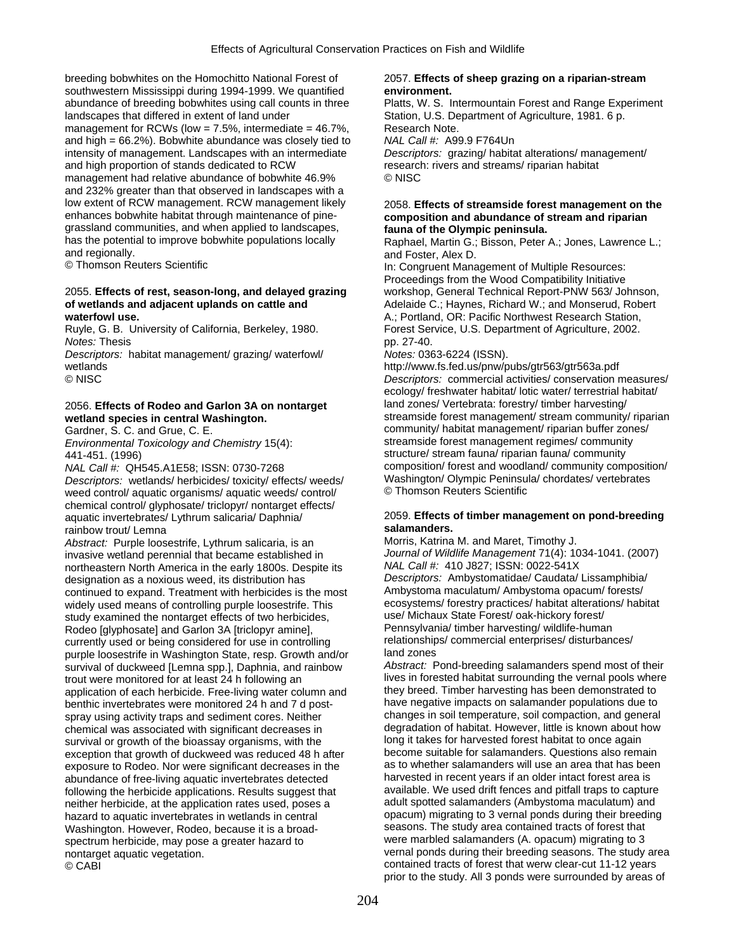breeding bobwhites on the Homochitto National Forest of 2057. **Effects of sheep grazing on a riparian-stream**  southwestern Mississippi during 1994-1999. We quantified **environment.**  abundance of breeding bobwhites using call counts in three Platts, W. S. Intermountain Forest and Range Experiment landscapes that differed in extent of land under Station, U.S. Department of Agriculture, 1981. 6 p. management for RCWs (low =  $7.5\%$ , intermediate =  $46.7\%$ , Research Note. and high = 66.2%). Bobwhite abundance was closely tied to *NAL Call #:* A99.9 F764Un intensity of management. Landscapes with an intermediate *Descriptors:* grazing/ habitat alterations/ management/<br>and high proportion of stands dedicated to RCW research: rivers and streams/ riparian habitat and high proportion of stands dedicated to RCW management had relative abundance of bobwhite 46.9% © NISC and 232% greater than that observed in landscapes with a low extent of RCW management. RCW management likely 2058. **Effects of streamside forest management on the**<br> **enhances bobwhite habitat through maintenance of pine- composition and abundance of stream and riparian** grassland communities, and when applied to landscapes, **fauna of the Olympic peninsula.**<br>
has the potential to improve bobwhite populations locally **Raphael, Martin G.: Bisson, Peter** has the potential to improve bobwhite populations locally Raphael, Martin G.; Bisson, Peter A.; Jones, Lawrence L.;<br>and Foster Alex D and regionally.<br>© Thomson Reuters Scientific and Foster, Alex D. Alex D. Congruent Mana

### 2055. **Effects of rest, season-long, and delayed grazing** workshop, General Technical Report-PNW 563/ Johnson, **of wetlands and adjacent uplands on cattle and** Adelaide C.; Haynes, Richard W.; and Monserud, Robert **waterfowl use.** A.; Portland, OR: Pacific Northwest Research Station,

*Notes:* Thesis **pp. 27-40.** 

*Descriptors:* habitat management/ grazing/ waterfowl/ *Notes:* 0363-6224 (ISSN). wetlands http://www.fs.fed.us/pnw/pubs/gtr563/gtr563a.pdf

*Environmental Toxicology and Chemistry* 15(4):

*Descriptors:* wetlands/ herbicides/ toxicity/ effects/ weeds/ Washington/ Olympic Peninsul<br>weed control/ aquatic organisms/ aquatic weeds/ control/ Chordates Scientific weed control/ aquatic organisms/ aquatic weeds/ control/ chemical control/ glyphosate/ triclopyr/ nontarget effects/ rainbow trout/ Lemna<br> **Abstract:** Purple loosestrife. I vthrum salicaria. is an **salamanders** Morris, Katrina M. and Maret, Timothy J.

Abstract: Purple loosestrife, Lythrum salicaria, is an **Morris, Katrina M. and Maret, Timothy J.**<br>
invasive wetland perennial that became established in *Journal of Wildlife Management* 71(4): 1034-1041. (2007) invasive wetland perennial that became established in *Journal of Wildlife Management* 71(4): 10<br>1804-2011 northeastern North America in the early 1800s. Despite its **NAL Call #:** 410 J827; ISSN: 0022-541X northeastern North America in the early 1800s. Despite its *NAL Call #:* 410 J827; ISSN: 0022-541X designation as a noxious weed, its distribution has *Descriptors:* Ambystomatidae/ Caudata/ Lissamphibia/ continued to expand. Treatment with herbicides is the most Ambystoma maculatum/ Ambystoma opacum/ forests/<br>widely used means of controlling purple loosestrife. This ecosystems/ forestry practices/ habitat alterations/ habi widely used means of controlling purple loosestrife. This ecosystems/ forestry practices/ habitat alterations<br>//study examined the nontarget effects of two herbicides. use/ Michaux State Forest/ oak-hickory forest study examined the nontarget effects of two herbicides, use/ Michaux State Forest/ oak-hickory forest/<br>Rodeo [glyphosate] and Garlon 3A [triclopyr amine] Pennsylvania/ timber harvesting/ wildlife-human Rodeo [glyphosate] and Garlon 3A [triclopyr amine], Pennsylvania/ timber harvesting/ wildlife-human<br>currently used or being considered for use in controlling relationships/ commercial enterprises/ disturbances/ currently used or being considered for use in controlling relationship<br>purple loosestrife in Washington State, resp. Growth and/or land zones purple loosestrife in Washington State, resp. Growth and/or land zones<br>survival of duckweed II emna spp. 1. Daphnia, and rainbow abstract: Pond-breeding salamanders spend most of their survival of duckweed [Lemna spp.], Daphnia, and rainbow *Abstract:* Pond-breeding salamanders spend most of their trout were monitored for at least 24 h following an lives in forested habitat surrounding the vernal pools where<br>application of each herbicide. Free-living water column and they breed. Timber harvesting has been demonstrat application of each herbicide. Free-living water column and they breed. Timber harvesting has been demonstrated to<br>henthic invertebrates were monitored 24 h and 7 d post-<br>have negative impacts on salamander populations due benthic invertebrates were monitored 24 h and 7 d postspray using activity traps and sediment cores. Neither changes in soil temperature, soil compaction, and general chemical was associated with significant decreases in degradation of habitat. However, little is known about how<br>survival or growth of the bioassay organisms, with the long it takes for harvested forest habitat to once aga survival or growth of the bioassay organisms, with the long it takes for harvested forest habitat to once again<br>exception that growth of duckweed was reduced 48 h after become suitable for salamanders. Questions also remai exception that growth of duckweed was reduced 48 h after become suitable for salamanders. Questions also remain<br>exposure to Rodeo, Nor were significant decreases in the as to whether salamanders will use an area that has b exposure to Rodeo. Nor were significant decreases in the as to whether salamanders will use an area that has bee<br>abundance of free-living aquatic invertebrates detected harvested in recent years if an older intact forest a abundance of free-living aquatic invertebrates detected harvested in recent years if an older intact forest area is<br>following the herbicide applications. Results suggest that available. We used drift fences and pitfall tra following the herbicide applications. Results suggest that available. We used drift fences and pitfall traps to capture<br>neither herbicide, at the application rates used, poses a and adult spotted salamanders (Ambystoma mac neither herbicide, at the application rates used, poses a hazard to aquatic invertebrates in wetlands in central **opacum**) migrating to 3 vernal ponds during their breeding Washington. However, Rodeo, because it is a broad- seasons. The study area contained tracts of forest that spectrum herbicide, may pose a greater hazard to were marbled salamanders (A. opacum) migrating to 3 © CABI contained tracts of forest that werw clear-cut 11-12 years

# composition and abundance of stream and riparian

In: Congruent Management of Multiple Resources: Proceedings from the Wood Compatibility Initiative Ruyle, G. B. University of California, Berkeley, 1980. Forest Service, U.S. Department of Agriculture, 2002.

© NISC *Descriptors:* commercial activities/ conservation measures/ ecology/ freshwater habitat/ lotic water/ terrestrial habitat/ 2056. **Effects of Rodeo and Garlon 3A on nontarget** land zones/ Vertebrata: forestry/ timber harvesting/ **wetland species in central Washington. streamside forest management/ stream community/ riparian** Gardner, S. C. and Grue, C. E.<br>
Forthermorphism of Chemistry 15(4) community/ habitat management/ riparian buffer zones/<br>
Forthermorphism of Chemistry 15(4) streamside forest management regimes/ community 441-451. (1996) structure/ stream fauna/ riparian fauna/ community *NAL Call #:* QH545.A1E58; ISSN: 0730-7268 composition/ forest and woodland/ community composition/<br>Descriptors: wetlands/ herbicides/ toxicity/ effects/ weeds/ Washington/ Olympic Peninsula/ chordates/ vertebrates

## aquatic invertebrates/ Lythrum salicaria/ Daphnia/ 2059. **Effects of timber management on pond-breeding**

nontarget aquatic vegetation.<br>
vernal ponds during their breeding seasons. The study area prior to the study. All 3 ponds were surrounded by areas of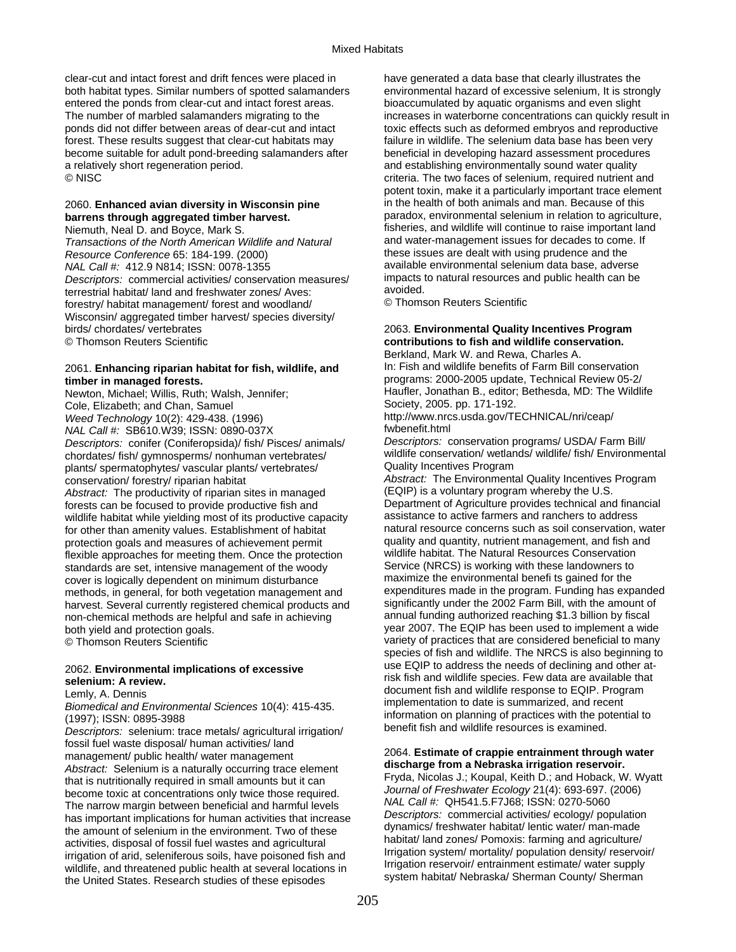clear-cut and intact forest and drift fences were placed in have generated a data base that clearly illustrates the both habitat types. Similar numbers of spotted salamanders environmental hazard of excessive selenium, It is strongly entered the ponds from clear-cut and intact forest areas. bioaccumulated by aquatic organisms and even slight<br>The number of marbled salamanders migrating to the increases in waterborne concentrations can quickly res The number of marbled salamanders migrating to the increases in waterborne concentrations can quickly result in<br>
ponds did not differ between areas of dear-cut and intact toxic effects such as deformed embryos and reproduc forest. These results suggest that clear-cut habitats may failure in wildlife. The selenium data base has been very become suitable for adult pond-breeding salamanders after beneficial in developing hazard assessment procedures<br>a relatively short regeneration period. expansion and establishing environmentally sound water quality © NISC criteria. The two faces of selenium, required nutrient and

## **barrens through aggregated timber harvest.**

*Transactions of the North American Wildlife and Natural Resource Conference* 65: 184-199. (2000) these issues are dealt with using prudence and the *NAL Call #:* 412.9 N814; ISSN: 0078-1355 available environmental selenium data base, adverse<br>Descriptors: commercial activities/ conservation measures/ impacts to natural resources and public health can be *Descriptors: commercial activities/ conservation measures/* impacts to impacts to natural resources and public health can be natural resources and public health can be natural resources and public health can be natural an terrestrial habitat/ land and freshwater zones/ Aves: avoided.<br>
forestry/ habitat management/ forest and woodland/  $\bullet$  C Thomson Reuters Scientific forestry/ habitat management/ forest and woodland/ Wisconsin/ aggregated timber harvest/ species diversity/ birds/ chordates/ vertebrates **2063.** Environmental Quality Incentives Program **COLO 2063.** Environmental Quality Incentives Program **COLO 2063.** Contributions to fish and wildlife conservation.

## **timber in managed forests.** programs: 2000-2005 update, Technical Review 05-2/

Newton, Michael; Willis, Ruth; Walsh, Jennifer; Haufler, Jonathan B., editor; Bethesda, MD: The Wildlife<br>Cole, Elizabeth: and Chan, Samuel<br>Cole, Elizabeth: and Chan, Samuel Cole, Elizabeth; and Chan, Samuel *Weed Technology* 10(2): 429-438. (1996) http://www.nrcs.usda.gov/TECHNICAL/nri/ceap/<br>NAL Call #: SB610 W39: ISSN: 0890-037X<br>MAL Call #: SB610 W39: ISSN: 0890-037X *NAL Call #:* SB610.W39; ISSN: 0890-037X fwbenefit.html<br>Descriptors: conifer (Coniferopsida)/ fish/ Pisces/ animals/ *Descriptors: conservation programs/ USDA/ Farm Bill/ Descriptors:* conifer (Coniferopsida)/ fish/ Pisces/ animals/ *Descriptors:* conservation programs/ USDA/ Farm Bill/ chordates/ fish/ gymnosperms/ nonhuman vertebrates/ wildlife conservation/ wetlands/ hants/ spermatophytes/ vascular plants/ vertebrates/ Quality Incentives Program plants/ spermatophytes/ vascular plants/ vertebrates/ conservation/ forestry/ riparian habitat *Abstract:* The Environmental Quality Incentives Program<br> *Abstract:* The productivity of riparian sites in managed (EQIP) is a voluntary program whereby the U.S. *Abstract:* The productivity of riparian sites in managed forests can be focused to provide productive fish and Department of Agriculture provides technical and financial<br>wildlife habitat while vielding most of its productive capacity assistance to active farmers and ranchers to wildlife habitat while yielding most of its productive capacity for other than amenity values. Establishment of habitat natural resource concerns such as soil conservation, water protection goals and measures of achievement permit quality and quantity, nutrient management, and fish and  $f$  fexible approaches for meeting them. Once the protection wildlife habitat. The Natural Resources Conservation flexible approaches for meeting them. Once the protection wildlife habitat. The Natural Resources Conservation<br>standards are set, intensive management of the woody Service (NRCS) is working with these landowners to standards are set, intensive management of the woody Service (NRCS) is working with these landowners to<br>cover is logically dependent on minimum disturbance maximize the environmental benefit is gained for the cover is logically dependent on minimum disturbance maximize the environmental benefi ts gained for the<br>methods in general, for both vegetation management and expenditures made in the program. Funding has expanded methods, in general, for both vegetation management and expenditures made in the program. Funding has expande<br>harvest, Several currently registered chemical products and significantly under the 2002 Farm Bill, with the amo harvest. Several currently registered chemical products and significantly under the 2002 Farm Bill, with the amount o<br>non-chemical methods are helpful and safe in achieving annual funding authorized reaching \$1.3 billion b non-chemical methods are helpful and safe in achieving

fossil fuel waste disposal/ human activities/ land management/ public health/ water management<br> *management* 2064. **Estimate of crappie entrainment through water** discharge from a Nebraska irrigation reservoir. *Abstract:* Selenium is a naturally occurring trace element **discharge from a Nebraska irrigation reservoir.**  that is nutritionally required in small amounts but it can<br> *Journal of Freshwater Ecology* 21(4): 693-697. (2006) become toxic at concentrations only twice those required.<br>
The narrow margin between beneficial and harmful levels<br>
has important implications for human activities that increase<br>
the amount of selenium in the environment. the amount of selenium in the environment. Two of these dynamics/ freshwater habitat/ lentic water/ man-made<br>activities, disposal of fossil fuel wastes and agricultural habitat/ land zones/ Pomoxis: farming and agriculture activities, disposal of fossil fuel wastes and agricultural irrigation system/notality/population density/reservoir/<br>
irrigation of arid, seleniferous soils, have poisoned fish and irrigation system/mortality/population de the United States. Research studies of these episodes

toxic effects such as deformed embryos and reproductive and establishing environmentally sound water quality potent toxin, make it a particularly important trace element 2060. **Enhanced avian diversity in Wisconsin pine** in the health of both animals and man. Because of this Niemuth, Neal D. and Boyce, Mark S. fisheries, and wildlife will continue to raise important land<br>Transactions of the North American Wildlife and Natural and water-management issues for decades to come. If

# contributions to fish and wildlife conservation.

Berkland, Mark W. and Rewa, Charles A. 2061. **Enhancing riparian habitat for fish, wildlife, and** In: Fish and wildlife benefits of Farm Bill conservation

both yield and protection goals.<br>
© Thomson Reuters Scientific **be a structure of the Scientific** variety of practices that are considered beneficial to many variety of practices that are considered beneficial to many species of fish and wildlife. The NRCS is also beginning to use EQIP to address the needs of declining and other at- 2062. **Environmental implications of excessive** risk fish and wildlife species. Few data are available that **selenium: A review.**  Lemly, A. Dennis<br>
Biomedical and Environmental Sciences 10(4): 415-435.<br>
(1997); ISSN: 0895-3988<br>
Descriptors: selenium: trace metals/ agricultural irrigation/<br>
Descriptors: selenium: trace metals/ agricultural irrigation/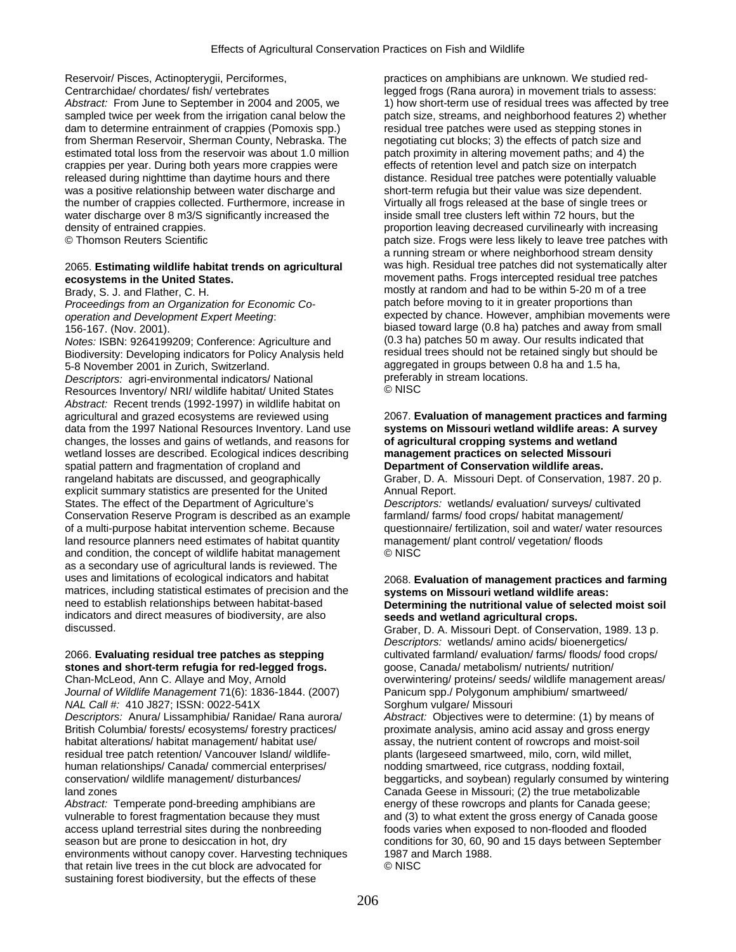Reservoir/ Pisces, Actinopterygii, Perciformes, practices on amphibians are unknown. We studied red-Centrarchidae/ chordates/ fish/ vertebrates legged frogs (Rana aurora) in movement trials to assess: sampled twice per week from the irrigation canal below the patch size, streams, and neighborhood features 2) whether dam to determine entrainment of crappies (Pomoxis spp.) residual tree patches were used as stepping stones in from Sherman Reservoir, Sherman County, Nebraska. The negotiating cut blocks; 3) the effects of patch size and estimated total loss from the reservoir was about 1.0 million patch proximity in altering movement paths; and 4) the crappies per year. During both years more crappies were effects of retention level and patch size on interpatch<br>
released during nighttime than daytime hours and there distance. Residual tree patches were potentially valua was a positive relationship between water discharge and short-term refugia but their value was size dependent. the number of crappies collected. Furthermore, increase in Virtually all frogs released at the base of single trees or water discharge over 8 m3/S significantly increased the inside small tree clusters left within 72 hours, but the density of entrained crappies. **proportion leaving decreased curvilinearly with increasing** 

## **ecosystems in the United States.** movement paths. Frogs intercepted residual tree patches

*Proceedings from an Organization for Economic Co-*

*Notes:* ISBN: 9264199209; Conference: Agriculture and (0.3 ha) patches 50 m away. Our results indicated that <br>Biodiversity: Developing indicators for Policy Analysis held residual trees should not be retained singly but s Biodiversity: Developing indicators for Policy Analysis held 5-8 November 2001 in Zurich, Switzerland.<br>
Descriptors: agri-environmental indicators/ National preferably in stream locations. *Descriptors:* agri-environmental indicators/ National **preferably construents** preferably research in the Resources Inventory/ NRI/ wildlife habitat/ United States Resources Inventory/ NRI/ wildlife habitat/ United States *Abstract:* Recent trends (1992-1997) in wildlife habitat on agricultural and grazed ecosystems are reviewed using **2067. Evaluation of management practices and farming**<br>
data from the 1997 National Resources Inventory. Land use **systems on Missouri wetland wildlife areas: A survey** data from the 1997 National Resources Inventory. Land use changes, the losses and gains of wetlands, and reasons for **of agricultural cropping systems and wetland**  wetland losses are described. Ecological indices describing **management practices on selected Missouri**  spatial pattern and fragmentation of cropland and **Department of Conservation wildlife areas.**  rangeland habitats are discussed, and geographically Graber, D. A. Missouri Dept. of Conservation, 1987. 20 p. explicit summary statistics are presented for the United Annual Report. States. The effect of the Department of Agriculture's *Descriptors:* wetlands/ evaluation/ surveys/ cultivated Conservation Reserve Program is described as an example farmland/ farms/ food crops/ habitat management/ of a multi-purpose habitat intervention scheme. Because questionnaire/ fertilization, soil and water/ water resources land resource planners need estimates of habitat quantity management/ plant control/ vegetation/ floods and condition, the concept of wildlife habitat management © NISC as a secondary use of agricultural lands is reviewed. The uses and limitations of ecological indicators and habitat 2068. **Evaluation of management practices and farming**  matrices, including statistical estimates of precision and the **systems on Missouri wetland wildlife areas:**<br> **Determining the nutritional value of selected**<br> **Determining the nutritional value of selected** indicators and direct measures of biodiversity, are also **seeds and wetland agricultural crops.** 

## **stones and short-term refugia for red-legged frogs.** goose, Canada/ metabolism/ nutrients/ nutrition/

*Journal of Wildlife Management* 71(6): 1836-1844. (2007) Panicum spp./ Polygonum amphibium/ smartweed/ *NAL Call #:* 410 J827; ISSN: 0022-541X Sorghum vulgare/ Missouri *Descriptors:* Anura/ Lissamphibia/ Ranidae/ Rana aurora/ *Abstract:* Objectives were to determine: (1) by means of British Columbia/ forests/ ecosystems/ forestry practices/ proximate analysis, amino acid assay and gross energy habitat alterations/ habitat management/ habitat use/ assay, the nutrient content of rowcrops and moist-soil residual tree patch retention/ Vancouver Island/ wildlife- plants (largeseed smartweed, milo, corn, wild millet, human relationships/ Canada/ commercial enterprises/ nodding smartweed, rice cutgrass, nodding foxtail, conservation/ wildlife management/ disturbances/ beggarticks, and soybean) regularly consumed by

Abstract: Temperate pond-breeding amphibians are energy of these rowcrops and plants for Canada geese; vulnerable to forest fragmentation because they must and (3) to what extent the gross energy of Canada goose access upland terrestrial sites during the nonbreeding foods varies when exposed to non-flooded and flooded<br>season but are prone to desiccation in hot, dry expansion conditions for 30, 60, 90 and 15 days between Septemb environments without canopy cover. Harvesting techniques 1987 and March 1988. that retain live trees in the cut block are advocated for © NISC sustaining forest biodiversity, but the effects of these

*Abstract:* From June to September in 2004 and 2005, we 1) how short-term use of residual trees was affected by tree distance. Residual tree patches were potentially valuable © Thomson Reuters Scientific **patch size. From a patch size.** Frogs were less likely to leave tree patches with a running stream or where neighborhood stream density 2065. **Estimating wildlife habitat trends on agricultural** was high. Residual tree patches did not systematically alter Brady, S. J. and Flather, C. H. mostly at random and had to be within 5-20 m of a tree<br>Proceedings from an Organization for Fconomic Co-<br>patch before moving to it in greater proportions than *operation and Development Expert Meeting*: expected by chance. However, amphibian movements were 156-167. (Nov. 2001).<br>
Notes: ISBN: 9264199209: Conference: Agriculture and (0.3 ha) patches 50 m away. Our results indicated that

# Determining the nutritional value of selected moist soil

Graber, D. A. Missouri Dept. of Conservation, 1989. 13 p. *Descriptors:* wetlands/ amino acids/ bioenergetics/ 2066. **Evaluating residual tree patches as stepping** cultivated farmland/ evaluation/ farms/ floods/ food crops/ Chan-McLeod, Ann C. Allaye and Moy, Arnold overwintering/ proteins/ seeds/ wildlife management areas/

beggarticks, and soybean) regularly consumed by wintering land zones Canada Geese in Missouri; (2) the true metabolizable conditions for 30, 60, 90 and 15 days between September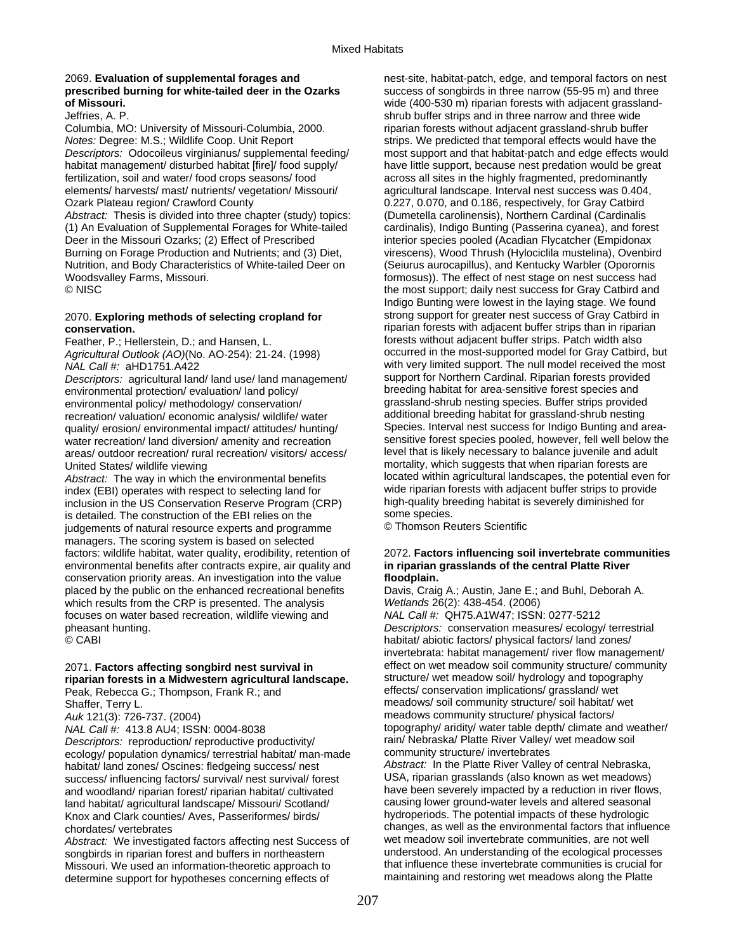# 2069. **Evaluation of supplemental forages and nest-site, habitat-patch, edge, and temporal factors on nest**

Columbia, MO: University of Missouri-Columbia, 2000. riparian forests without adjacent grassland-shrub buffer *Notes:* Degree: M.S.; Wildlife Coop. Unit Report strips. We predicted that temporal effects would have the *Descriptors:* Odocoileus virginianus/ supplemental feeding/ most support and that habitat-patch and edge effects would habitat management/ disturbed habitat [fire]/ food supply/ have little support, because nest predation would be great fertilization, soil and water/ food crops seasons/ food across all sites in the highly fragmented, predominantly elements/ harvests/ mast/ nutrients/ vegetation/ Missouri/ agricultural landscape. Interval nest success was 0.404, Ozark Plateau region/ Crawford County 0.227, 0.070, and 0.186, respectively, for Gray Catbird *Abstract:* Thesis is divided into three chapter (study) topics: (Dumetella carolinensis), Northern Cardinal (Cardinalis (1) An Evaluation of Supplemental Forages for White-tailed cardinalis), Indigo Bunting (Passerina cyanea), and forest Deer in the Missouri Ozarks; (2) Effect of Prescribed interior species pooled (Acadian Flycatcher (Empidonax

Nutrition, and Body Characteristics of White-tailed Deer on (Seiurus aurocapillus), and Kentucky Warbler (Oporornis

*Descriptors:* agricultural land/ land use/ land management/ support for Northern Cardinal. Riparian forests provide<br>environmental protection/ evaluation/ land policy/ breeding habitat for area-sensitive forest species and environmental protection/ evaluation/ land policy/ breeding habitat for area-sensitive forest species and<br>
environmental policy/ methodology/ conservation/ grassland-shrub nesting species. Buffer strips provided environmental policy/ methodology/ conservation/ grassland-shrub nesting species. Buffer strips provided<br>
recreation/ valuation/ economic analysis/ wildlife/ water additional breeding habitat for grassland-shrub nesting recreation/ valuation/ economic analysis/ wildlife/ water additional breeding habitat for grassland-shrub nesting<br>
quality/ erosion/ environmental impact/ attitudes/ hunting/ Species. Interval nest success for Indigo Bunti water recreation/ land diversion/ amenity and recreation sensitive forest species pooled, however, fell well below the areas/ outdoor recreation/ rural recreation/ visitors/ access/ level that is likely necessary to balanc areas/ outdoor recreation/ rural recreation/ visitors/ access/ United States/ wildlife viewing mortality, which suggests that when riparian forests are

index (EBI) operates with respect to selecting land for wide riparian forests with adjacent buffer strips to provid<br>inclusion in the US Conservation Reserve Program (CRP) bugh-quality breeding habitat is severely diminishe inclusion in the US Conservation Reserve Program (CRP) high-quality breeding habitat is detailed The construction of the FBI relies on the some species. is detailed. The construction of the EBI relies on the some species.<br>indoements of natural resource experts and programme  $\bullet$  C Thomson Reuters Scientific judgements of natural resource experts and programme managers. The scoring system is based on selected factors: wildlife habitat, water quality, erodibility, retention of 2072. **Factors influencing soil invertebrate communities**  environmental benefits after contracts expire, air quality and **in riparian grasslands of the central Platte River**  conservation priority areas. An investigation into the value **floodplain.**  placed by the public on the enhanced recreational benefits Davis, Craig A.; Austin, Jane E.; and Buhl, Deborah A. which results from the CRP is presented. The analysis *Wetlands* 26(2): 438-454. (2006) focuses on water based recreation, wildlife viewing and *NAL Call #:* QH75.A1W47; ISSN: 0277-5212 pheasant hunting. *Descriptors:* conservation measures/ ecology/ terrestrial

# riparian forests in a Midwestern agricultural landscape.

Shaffer, Terry L. meadows/ soil community structure/ soil habitat/ wet

*Descriptors:* reproduction/ reproductive productivity/ rain/ Nebraska/ Platte River Valley/ wet meadow soil<br>ecology/ population dynamics/ terrestrial habitat/ man-made community structure/ invertebrates ecology/ population dynamics/ terrestrial habitat/ man-made community structure/ invertebrates<br>habitat/ land zones/ Oscines: fledgeing success/ nest Abstract: In the Platte River Valley of central Nebraska habitat/ land zones/ Oscines: fledgeing success/ nest *Abstract:* In the Platte River Valley of central Nebraska, success/ influencing factors/ survival/ nest survival/ forest USA, riparian grasslands (also known as wet meadows)<br>and woodland/ riparian forest/ riparian habitat/ cultivated have been severely impacted by a reduction in r and woodland/ riparian forest/ riparian habitat/ cultivated have been severely impacted by a reduction in river flow<br>Iand habitat/ agricultural landscape/ Missouri/ Scotland/ causing lower ground-water levels and altered s land habitat/ agricultural landscape/ Missouri/ Scotland/ causing lower ground-water levels and altered seasonal<br>Knox and Clark counties/ Aves, Passeriformes/ birds/ hydroperiods. The potential impacts of these hydrologic Knox and Clark counties/ Aves, Passeriformes/ birds/

*Abstract:* We investigated factors affecting nest Success of songbirds in riparian forest and buffers in northeastern understood. An understanding of the ecological processes<br>Missouri. We used an information-theoretic approach to that influence these invertebrate communities is cruc Missouri. We used an information-theoretic approach to that influence these invertebrate communities is crucial for<br>determine support for hypotheses concerning effects of maintaining and restoring wet meadows along the Pla determine support for hypotheses concerning effects of

**prescribed burning for white-tailed deer in the Ozarks** success of songbirds in three narrow (55-95 m) and three **of Missouri. of Missouri. of Missouri. of Missouri. wide (400-530 m)** riparian forests with adjacent grassland-Jeffries, A. P. shrub buffer strips and in three narrow and three wide Burning on Forage Production and Nutrients; and (3) Diet, virescens), Wood Thrush (Hylociclila mustelina), Ovenbird Woodsvalley Farms, Missouri. The effect of nest stage on nest success had<br>
© NISC<br>
© NISC the most support; daily nest success for Gray Catbird and Indigo Bunting were lowest in the laying stage. We found 2070. **Exploring methods of selecting cropland for** strong support for greater nest success of Gray Catbird in **conservation. riparian riparian forests with adjacent buffer strips than in riparian** Feather, P.; Hellerstein, D.; and Hansen, L. **Fore also in the strips** of forests without adjacent buffer strips. Patch width also *Agricultural Outlook (AO)*(No. AO-254): 21-24. (1998) occurred in the most-supported model for Gray Catbird, but *NAL Call #:* aHD1751.A422 with very limited support. The null model received the most<br>Descriptors: agricultural land/land use/land management/ support for Northern Cardinal. Riparian forests provided quality/ erosion/ environmental impact/ attitudes/ hunting/ Species. Interval nest success for Indigo Bunting and area-<br>water recreation/ land diversion/ amenity and recreation sensitive forest species pooled, however, fel *Abstract:* The way in which the environmental benefits located within agricultural landscapes, the potential even for index (FBI) operates with respect to selecting land for wide riparian forests with adjacent buffer stri

© CABI habitat/ abiotic factors/ physical factors/ land zones/ invertebrata: habitat management/ river flow management/ 2071. **Factors affecting songbird nest survival in** effect on wet meadow soil community structure/ community Peak, Rebecca G.; Thompson, Frank R.; and effects/ conservation implications/ grassland/ wet

*Auk* 121(3): 726-737. (2004) meadows community structure/ physical factors/ *NAL Call #:* 413.8 AU4; ISSN: 0004-8038 topography/ aridity/ water table depth/ climate and weather/

chordates/ vertebrates<br>
Abstract: We investigated factors affecting nest Success of wet meadow soil invertebrate communities, are not well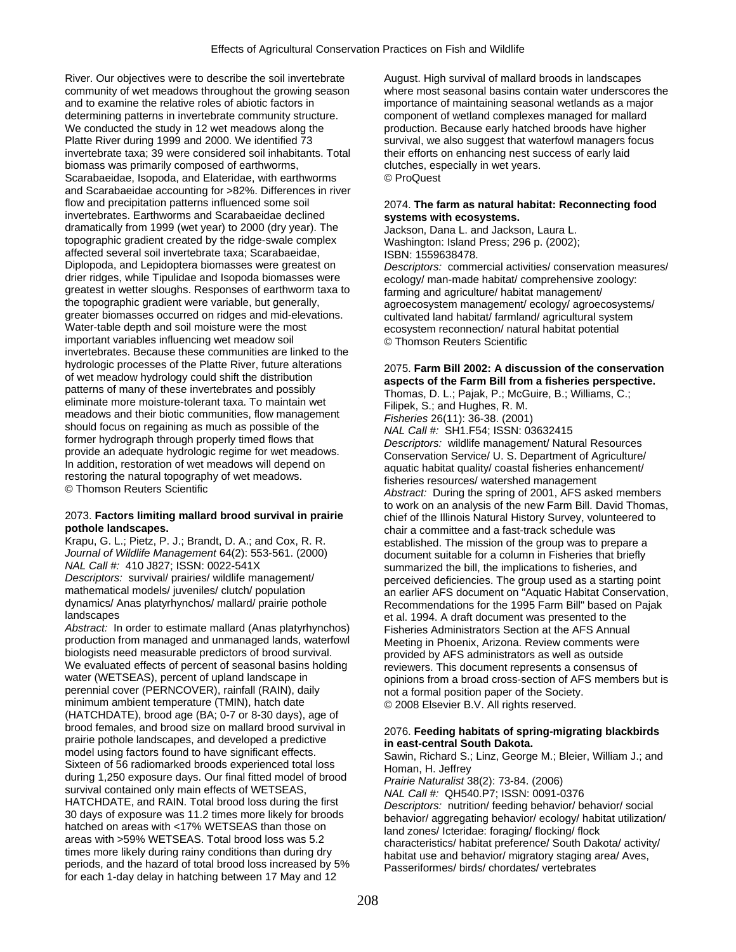River. Our objectives were to describe the soil invertebrate August. High survival of mallard broods in landscapes community of wet meadows throughout the growing season where most seasonal basins contain water underscores the and to examine the relative roles of abiotic factors in importance of maintaining seasonal wetlands as a major determining patterns in invertebrate community structure. component of wetland complexes managed for mallard We conducted the study in 12 wet meadows along the production. Because early hatched broods have higher Platte River during 1999 and 2000. We identified 73 survival, we also suggest that waterfowl managers focus invertebrate taxa; 39 were considered soil inhabitants. Total their efforts on enhancing nest success of early laid biomass was primarily composed of earthworms, enduches, especially in wet years.<br>Scarabaeidae, Isopoda, and Elateridae, with earthworms © ProQuest Scarabaeidae, Isopoda, and Elateridae, with earthworms and Scarabaeidae accounting for >82%. Differences in river flow and precipitation patterns influenced some soil 2074. **The farm as natural habitat: Reconnecting food**  invertebrates. Earthworms and Scarabaeidae declined dramatically from 1999 (wet year) to 2000 (dry year). The Jackson, Dana L. and Jackson, Laura L. topographic gradient created by the ridge-swale complex Washington: Island Press; 296 p. (2002); affected several soil invertebrate taxa; Scarabaeidae, <br>Diplopoda, and Lepidoptera biomasses were greatest on *Descriptors: comme* drier ridges, while Tipulidae and Isopoda biomasses were ecology/ man-made habitat/ comprehensive zoology: greatest in wetter sloughs. Responses of earthworm taxa to farming and agriculture/ habitat management/<br>the topographic gradient were variable, but generally, agroecosystem management/ecology/agroecosystem the topographic gradient were variable, but generally, agroecosystem management/ ecology/ agroecosystems/<br>greater biomasses occurred on ridges and mid-elevations. and relativated land habitat/ farmland/ agricultural greater biomasses occurred on ridges and mid-elevations. cultivated land habitat/ farmland/ agricultural system<br>Water-table depth and soil moisture were the most subsemand prosesstem reconnection/ natural habitat potential important variables influencing wet meadow soil © Thomson Reuters Scientific invertebrates. Because these communities are linked to the hydrologic processes of the Platte River, future alterations 2075. **Farm Bill 2002: A discussion of the conservation**  of wet meadow hydrology could shift the distribution<br>patterns of many of these invertebrates and possibly<br>patterns of many of these invertebrates and possibly<br>eliminate more moisture-tolerant taxa. To maintain wet<br>meadows

## 2073. **Factors limiting mallard brood survival in prairie** chief of the Illinois Natural History Survey, volunteered to

*Journal of Wildlife Management* 64(2): 553-561. (2000) document suitable for a column in Fisheries that briefly *NAL Call #:* 410 J827; ISSN: 0022-541X summarized the bill, the implications to fisheries, and

*Abstract:* In order to estimate mallard (Anas platyrhynchos) Fisheries Administrators Section at the AFS Annual production from managed and unmanaged lands, waterfowl Meeting in Phoenix, Arizona. Review comments were<br>biologists need measurable predictors of brood survival. biologists need measurable predictors of brood survival. <br>We evaluated effects of percent of seasonal basins holding expresions This document represents a consensus We evaluated effects of percent of seasonal basins holding reviewers. This document represents a consensus of<br>water (WETSEAS), percent of upland landscape in representions from a broad cross-section of AFS members perennial cover (PERNCOVER), rainfall (RAIN), daily not a formal position paper of the Society. minimum ambient temperature (TMIN), hatch date  $\degree$  2008 Elsevier B.V. All rights reserved. (HATCHDATE), brood age (BA; 0-7 or 8-30 days), age of brood females, and brood size on mallard brood survival in 2076. **Feeding habitats of spring-migrating blackbirds** prairie pothole landscapes, and developed a predictive **in east-central South Dakota.**  model using factors found to have significant effects.<br>
Sixteen of 56 radiomarked broods experienced total loss<br>
Sixteen of 56 radiomarked broods experienced total loss<br>
Homan, H. Jeffrey<br>
during 1,250 exposure days. Our f for each 1-day delay in hatching between 17 May and 12

Descriptors: commercial activities/ conservation measures/

ecosystem reconnection/ natural habitat potential

to work on an analysis of the new Farm Bill. David Thomas, chair a committee and a fast-track schedule was Krapu, G. L.; Pietz, P. J.; Brandt, D. A.; and Cox, R. R. established. The mission of the group was to prepare a<br> *Journal of Wildlife Management* 64(2): 553-561. (2000) document suitable for a column in Fisheries that bri *Descriptors:* survival/ prairies/ wildlife management/ perceived deficiencies. The group used as a starting point mathematical models/ juveniles/ clutch/ population and an earlier AFS document on "Aquatic Habitat Conservation,<br>dynamics/ Anas platyrhynchos/ mallard/ prairie pothole Recommendations for the 1995 Farm Bill" based on Pajak dynamics/ Anas platyrhynchos/ mallard/ prairie pothole Recommendations for the 1995 Farm Bill" based on Pajak<br>Randscapes et al. 1994. A draft document was presented to the et al. 1994. A draft document was presented to the opinions from a broad cross-section of AFS members but is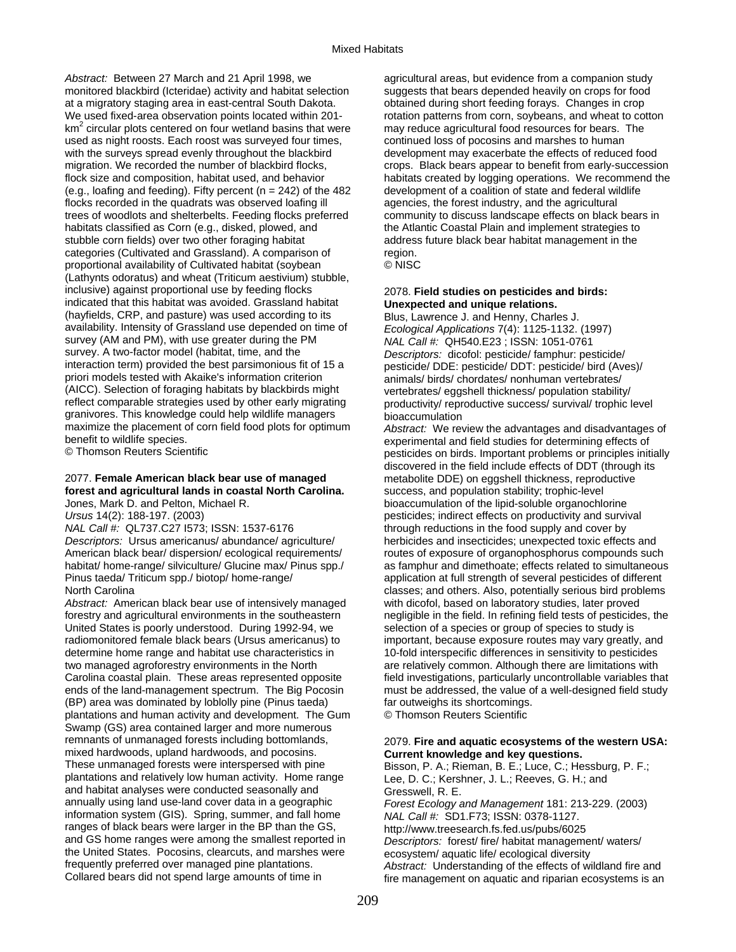Abstract: Between 27 March and 21 April 1998, we agricultural areas, but evidence from a companion study monitored blackbird (Icteridae) activity and habitat selection suggests that bears depended heavily on crops for food at a migratory staging area in east-central South Dakota.  $\qquad \qquad$  obtained during short feeding forays. Changes in crop We used fixed-area observation points located within 201- rotation patterns from corn, soybeans, and wheat to cotton  $km<sup>2</sup>$  circular plots centered on four wetland basins that were used as night roosts. Each roost was surveyed four times, continued loss of pocosins and marshes to human with the surveys spread evenly throughout the blackbird development may exacerbate the effects of reduced food<br>migration. We recorded the number of blackbird flocks, crops. Black bears appear to benefit from early-successi flock size and composition, habitat used, and behavior habitats created by logging operations. We recommend the (e.g., loafing and feeding). Fifty percent (n = 242) of the 482 development of a coalition of state and federal wildlife flocks recorded in the quadrats was observed loafing ill agencies, the forest industry, and the agricultural trees of woodlots and shelterbelts. Feeding flocks preferred community to discuss landscape effects on black bears in habitats classified as Corn (e.g., disked, plowed, and the Atlantic Coastal Plain and implement strategies to stubble corn fields) over two other foraging habitat and address future black bear habitat management in the categories (Cultivated and Grassland). A comparison of region.<br>
proportional availability of Cultivated habitat (sovbean CONISC proportional availability of Cultivated habitat (soybean (Lathynts odoratus) and wheat (Triticum aestivium) stubble, inclusive) against proportional use by feeding flocks indicated that this habitat was avoided. Grassland habitat **Unexpected and unique relations.**  (hayfields, CRP, and pasture) was used according to its Blus, Lawrence J. and Henny, Charles J. availability. Intensity of Grassland use depended on time of *Ecological Applications* 7(4): 1125-1132. (1997) survey (AM and PM), with use greater during the PM *NAL Call #:* QH540.E23 ; ISSN: 1051-0761<br>survey. A two-factor model (habitat, time, and the *Descriptors: dicofol: pesticide/ famphur: pes* survey. A two-factor model (habitat, time, and the *Descriptors: dicofol: pesticide/ famphur: pesticide/*<br>interaction term) provided the best parsimonious fit of 15 a pesticide/ DDF: pesticide/ DDT: pesticide/ bird (Ave priori models tested with Akaike's information criterion animals/ birds/ chordates/ nonhuman vertebrates/<br>(AICC). Selection of foraging habitats by blackbirds might vertebrates/ equashell thickness/ population stability (AICC). Selection of foraging habitats by blackbirds might vertebrates/ eggshell thickness/ population stability/<br>vertebrates/ eggshell thickness/ population stability/ reflect comparable strategies used by other early mig granivores. This knowledge could help wildlife managers bioaccumulation<br>maximize the placement of corn field food plots for optimum Abstract: We re maximize the placement of corn field food plots for optimum *Abstract:* We review the advantages and disadvantages of<br>benefit to wildlife species.

## 2077. **Female American black bear use of managed** metabolite DDE) on eggshell thickness, reproductive **forest and agricultural lands in coastal North Carolina.** success, and population stability; trophic-level

*NAL Call #:* QL737.C27 I573; ISSN: 1537-6176 through reductions in the food supply and cover by<br>Descriptors: Ursus americanus/ abundance/ agriculture/ herbicides and insecticides; unexpected toxic effect Pinus taeda/ Triticum spp./ biotop/ home-range/ application at full strength of several pesticides of different

*Abstract:* American black bear use of intensively managed with dicofol, based on laboratory studies, later proved United States is poorly understood. During 1992-94, we selection of a species or group of species to study is radiomonitored female black bears (Ursus americanus) to important, because exposure routes may vary greatly, and determine home range and habitat use characteristics in 10-fold interspecific differences in sensitivity to pesticides two managed agroforestry environments in the North are relatively common. Although there are limitations with ends of the land-management spectrum. The Big Pocosin must be addressed, the value of a well-designed field study (BP) area was dominated by loblolly pine (Pinus taeda) far outweighs its shortcomings. plantations and human activity and development. The Gum © Thomson Reuters Scientific Swamp (GS) area contained larger and more numerous remnants of unmanaged forests including bottomlands, 2079. **Fire and aquatic ecosystems of the western USA:**  $\frac{1}{2}$  mixed hardwoods, upland hardwoods, and pocosins. mixed hardwoods, upland hardwoods, and pocosins. **Current knowledge and key questions.**<br>These unmanaged forests were interspersed with pine **Billion Comment And Alterman B** F illing C i He These unmanaged forests were interspersed with pine Bisson, P. A.; Rieman, B. E.; Luce, C.; Hessburg, P. F.; plantations and relatively low human activity. Home range  $\overline{B}$  Resson, P. Kershner, J. L. Reeves, G. H. and and habitat analyses were conducted seasonally and Gresswell, R. E.<br>annually using land use-land cover data in a geographic Forest Fcology and information system (GIS). Spring, summer, and fall home *NAL Call #:* SD1.F73; ISSN: 0378-1127. ranges of black bears were larger in the BP than the GS, http://www.treesearch.fs.fed.us/pubs/6025 and GS home ranges were among the smallest reported in *Descriptors:* forest/ fire/ habitat management/ waters/ the United States. Pocosins, clearcuts, and marshes were ecosystem/ aquatic life/ ecological diversity<br>frequently preferred over managed pine plantations. Abstract: Understanding of the effects of wi frequently preferred over managed pine plantations. *Abstract:* Understanding of the effects of wildland fire and

may reduce agricultural food resources for bears. The crops. Black bears appear to benefit from early-succession

## 2078. Field studies on pesticides and birds:

pesticide/ DDE: pesticide/ DDT: pesticide/ bird (Aves)/ productivity/ reproductive success/ survival/ trophic level

benefit to wildlife species.<br>
© Thomson Reuters Scientific experimental and field studies for determining effects of pesticides on birds. Important problems or principles initially discovered in the field include effects of DDT (through its Jones, Mark D. and Pelton, Michael R. bioaccumulation of the lipid-soluble organochlorine Ursus 14(2): 188-197. (2003) **pesticides; indirect effects on productivity and survival** *herbicides and insecticides; unexpected toxic effects and* American black bear/ dispersion/ ecological requirements/ routes of exposure of organophosphorus compounds such habitat/ home-range/ silviculture/ Glucine max/ Pinus spp./ as famphur and dimethoate; effects related to simultaneous North Carolina classes; and others. Also, potentially serious bird problems forestry and agricultural environments in the southeastern eqligible in the field. In refining field tests of pesticides, the Carolina coastal plain. These areas represented opposite field investigations, particularly uncontrollable variables that

Lee, D. C.; Kershner, J. L.; Reeves, G. H.; and Forest Ecology and Management 181: 213-229. (2003) fire management on aquatic and riparian ecosystems is an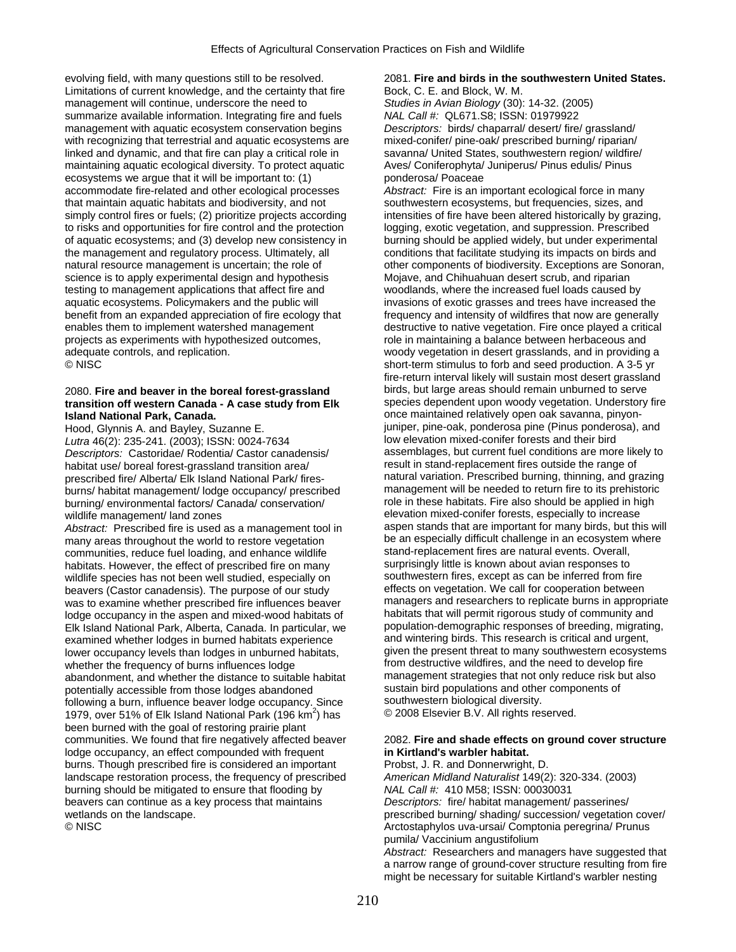evolving field, with many questions still to be resolved. 2081. **Fire and birds in the southwestern United States.**  Limitations of current knowledge, and the certainty that fire Bock, C. E. and Block, W. M. management will continue, underscore the need to *Studies in Avian Biology* (30): 14-32. (2005) summarize available information. Integrating fire and fuels *NAL Call #:* QL671.S8; ISSN: 01979922 management with aquatic ecosystem conservation begins *Descriptors:* birds/ chaparral/ desert/ fire/ grassland/ with recognizing that terrestrial and aquatic ecosystems are mixed-conifer/ pine-oak/ prescribed burning/ riparian/ linked and dynamic, and that fire can play a critical role in savanna/ United States, southwestern region/ wildfire/<br>maintaining aquatic ecological diversity. To protect aquatic Aves/ Coniferophyta/ Juniperus/ Pinus edulis maintaining aquatic ecological diversity. To protect aquatic ecosystems we argue that it will be important to: (1) ponderosal Poaceae accommodate fire-related and other ecological processes *Abstract:* Fire is an important ecological force in many that maintain aquatic habitats and biodiversity, and not southwestern ecosystems, but frequencies, sizes, and simply control fires or fuels; (2) prioritize projects according intensities of fire have been altered historically by grazing, to risks and opportunities for fire control and the protection logging, exotic vegetation, and suppression. Prescribed of aquatic ecosystems; and (3) develop new consistency in burning should be applied widely, but under experimental the management and regulatory process. Ultimately, all conditions that facilitate studying its impacts on birds and natural resource management is uncertain; the role of other components of biodiversity. Exceptions are Sonoran, science is to apply experimental design and hypothesis Mojave, and Chihuahuan desert scrub, and riparian testing to management applications that affect fire and woodlands, where the increased fuel loads caused by<br>aquatic ecosystems. Policymakers and the public will invasions of exotic grasses and trees have increased t benefit from an expanded appreciation of fire ecology that frequency and intensity of wildfires that now are generally enables them to implement watershed management destructive to native vegetation. Fire once played a critical projects as experiments with hypothesized outcomes, role in maintaining a balance between herbaceous and adequate controls, and replication. woody vegetation in desert grasslands, and in providing a

## transition off western Canada - A case study from Elk **Island National Park, Canada.** *Canada Canada Canada Canada Canada Canada Canada Canada Canada Canada Canada Canada Canada Canada Canada Canada Canada C*

*Lutra* 46(2): 235-241. (2003); ISSN: 0024-7634 habitat use/ boreal forest-grassland transition area/ burns/ habitat management/ lodge occupancy/ prescribed management will be needed to return fire to its prehistoric<br>burning/ environmental factors/ Canada/ conservation/ states in these habitats. Fire also should be applied burning/ environmental factors/ Canada/ conservation/

many areas throughout the world to restore vegetation be an especially difficult challenge in an ecosystem<br>communities, reduce fuel loading, and enhance wildlife stand-replacement fires are natural events. Overall, communities, reduce fuel loading, and enhance wildlife stand-replacement fires are natural events. Overall,<br>habitats, However, the effect of prescribed fire on many surprisingly little is known about avian responses to habitats. However, the effect of prescribed fire on many wildlife species has not been well studied, especially on southwestern fires, except as can be inferred from fire<br>beavers (Castor canadensis). The purpose of our study effects on vegetation. We call for cooperation between beavers (Castor canadensis). The purpose of our study lodge occupancy in the aspen and mixed-wood habitats of habitats that will permit rigorous study of community and Elk Island National Park, Alberta, Canada. In particular, we population-demographic responses of breeding, migrating, lower occupancy levels than lodges in unburned habitats, whether the frequency of burns influences lodge from destructive wildfires, and the need to develop fire<br>abandonment, and whether the distance to suitable habitat management strategies that not only reduce risk but also abandonment, and whether the distance to suitable habitat management strategies that not only reduce risk b<br>potentially accessible from those lodges abandoned sustain bird populations and other components of potentially accessible from those lodges abandoned sustain bird populations and othe<br>following a burn, influence beaver lodge occupancy. Since southwestern biological diversity. following a burn, influence beaver lodge occupancy. Since 1979, over 51% of Elk Island National Park (196  $km^2$ ) has been burned with the goal of restoring prairie plant communities. We found that fire negatively affected beaver 2082. **Fire and shade effects on ground cover structure**  lodge occupancy, an effect compounded with frequent **in Kirtland's warbler habitat.**  burns. Though prescribed fire is considered an important Probst, J. R. and Donnerwright, D. landscape restoration process, the frequency of prescribed *American Midland Naturalist* 149(2): 320-334. (2003) burning should be mitigated to ensure that flooding by *NAL Call #:* 410 M58; ISSN: 00030031 beavers can continue as a key process that maintains *Descriptors:* fire/ habitat management/ passerines/ wetlands on the landscape. **prescribed burning/ shading/ succession/ vegetation cover/**  $\blacksquare$ 

invasions of exotic grasses and trees have increased the © NISC short-term stimulus to forb and seed production. A 3-5 yr fire-return interval likely will sustain most desert grassland 2080. **Fire and beaver in the boreal forest-grassland** birds, but large areas should remain unburned to serve Hood, Glynnis A. and Bayley, Suzanne E. juniper, pine-oak, ponderosa pine (Pinus ponderosa), and<br>Lutra 46(2): 235-241, (2003): ISSN: 0024-7634 low elevation mixed-conifer forests and their bird *Descriptors:* Castoridae/ Rodentia/ Castor canadensis/ assemblages, but current fuel conditions are more likely to prescribed fire/ Alberta/ Elk Island National Park/ fires-<br>hurns/ habitat management/ lodge occupancy/ prescribed<br>management will be needed to return fire to its prehistoric wildlife management/ land zones<br>Abstract: Prescribed fire is used as a management tool in appen stands that are important for many birds, but this will *Abstract:* Prescribed fire is used as a management tool in aspen stands that are important for many birds, but this will<br>many areas throughout the world to restore vegetation be an especially difficult challenge in an eco was to examine whether prescribed fire influences beaver managers and researchers to replicate burns in appropriate<br>lodge occupancy in the aspen and mixed-wood habitats of habitats that will permit rigorous study of commun examined whether lodges in burned habitats experience and wintering birds. This research is critical and urgent,<br>In a strategies in a strategies in unburned habitats and urgent the present threat to many southwestern ecosy

 $©$  2008 Elsevier B.V. All rights reserved.

© NISC Arctostaphylos uva-ursai/ Comptonia peregrina/ Prunus pumila/ Vaccinium angustifolium

*Abstract:* Researchers and managers have suggested that a narrow range of ground-cover structure resulting from fire might be necessary for suitable Kirtland's warbler nesting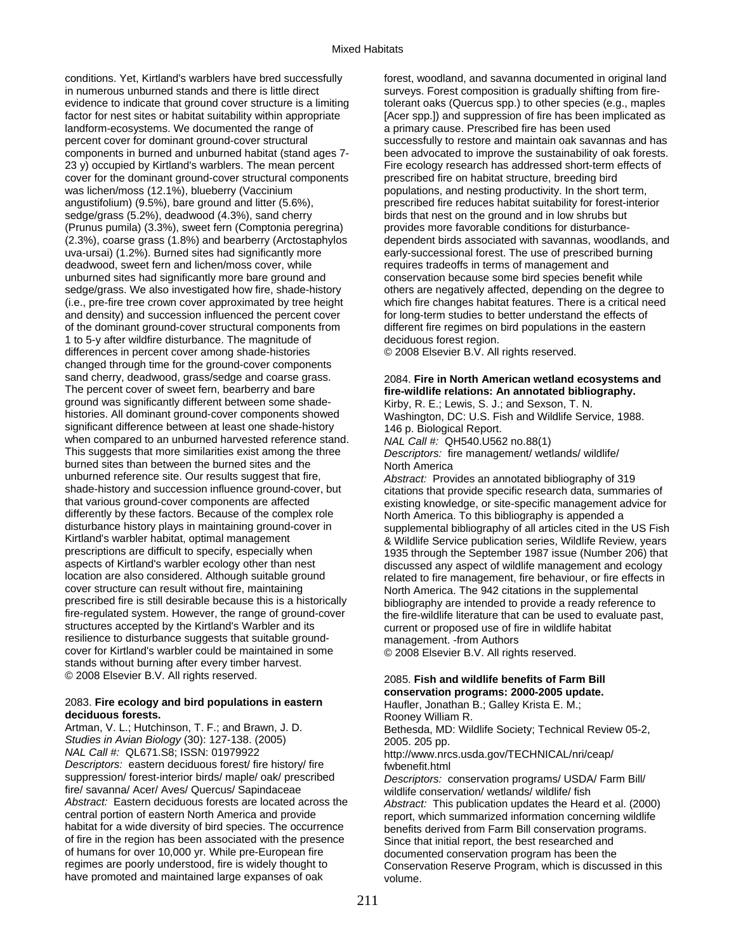conditions. Yet, Kirtland's warblers have bred successfully forest, woodland, and savanna documented in original land in numerous unburned stands and there is little direct surveys. Forest composition is gradually shifting from fireevidence to indicate that ground cover structure is a limiting tolerant oaks (Quercus spp.) to other species (e.g., maples factor for nest sites or habitat suitability within appropriate [Acer spp.]) and suppression of fire has been implicated as landform-ecosystems. We documented the range of a primary cause. Prescribed fire has been used percent cover for dominant ground-cover structural successfully to restore and maintain oak savannas and has components in burned and unburned habitat (stand ages 7- been advocated to improve the sustainability of oak forests. 23 y) occupied by Kirtland's warblers. The mean percent Fire ecology research has addressed short-term effects of cover for the dominant ground-cover structural components prescribed fire on habitat structure, breeding bir cover for the dominant ground-cover structural components was lichen/moss (12.1%), blueberry (Vaccinium populations, and nesting productivity. In the short term, angustifolium) (9.5%), bare ground and litter (5.6%), prescribed fire reduces habitat suitability for forest-interior sedge/grass (5.2%), deadwood (4.3%), sand cherry birds that nest on the ground and in low shrubs but (Prunus pumila) (3.3%), sweet fern (Comptonia peregrina) provides more favorable conditions for disturbance- (2.3%), coarse grass (1.8%) and bearberry (Arctostaphylos dependent birds associated with savannas, woodlands, and uva-ursai) (1.2%). Burned sites had significantly more early-successional forest. The use of prescribed burning deadwood, sweet fern and lichen/moss cover, while requires tradeoffs in terms of management and unburned sites had significantly more bare ground and conservation because some bird species benefit while<br>sedge/grass. We also investigated how fire, shade-history others are negatively affected, depending on the degre sedge/grass. We also investigated how fire, shade-history others are negatively affected, depending on the degree to  $(i.e., pre-free tree, cross)$  reservent cover approximated by tree height which fire changes habitat features. There is a c and density) and succession influenced the percent cover for long-term studies to better understand the effects of of the dominant ground-cover structural components from different fire regimes on bird populations in the eastern 1 to 5-y after wildfire disturbance. The magnitude of deciduous forest region. differences in percent cover among shade-histories © 2008 Elsevier B.V. All rights reserved. changed through time for the ground-cover components sand cherry, deadwood, grass/sedge and coarse grass. 2084. **Fire in North American wetland ecosystems and**<br>The percent cover of sweet fern, bearberry and bare **the and all and a set of the set of annotated bibliography.** ground was significantly different between some shade-<br>
Kirby, R. E.; Lewis, S. J.; and Sexson, T. N. histories. All dominant ground-cover components showed Washington, DC: U.S. Fish and Wildlife Service, 1988. significant difference between at least one shade-history 146 p. Biological Report. when compared to an unburned harvested reference stand. *NAL Call #:* QH540.U562 no.88(1) This suggests that more similarities exist among the three *Descriptors:* fire management/ wetlands/ wildlife/ burned sites than between the burned sites and the North America<br>unburned reference site. Our results suggest that fire, *Abstract:* Prov unburned reference site. Our results suggest that fire, *Abstract:* Provides an annotated bibliography of 319<br>Shade-history and succession influence ground-cover, but citations that provide specific research data summari shade-history and succession influence ground-cover, but citations that provide specific research data, summaries of<br>that various ground-cover components are affected<br>existing knowledge, or site-specific management advice that various ground-cover components are affected existing knowledge, or site-specific management advice for differently by these factors. Because of the complex role North America To this bibliography is appended a differently by these factors. Because of the complex role North America. To this bibliography is appended a<br>disturbance history plays in maintaining ground-cover in supplemental bibliography of all articles cited in the disturbance history plays in maintaining ground-cover in supplemental bibliography of all articles cited in the US Fish<br>Kirtland's warbler habitat, optimal management supplement as Wildlife Service publication series. Wild Kirtland's warbler habitat, optimal management <br>
prescriptions are difficult to specify, especially when <br>
1935 through the September 1987 issue (Number 206) that prescriptions are difficult to specify, especially when 1935 through the September 1987 issue (Number 206) that<br>1935 through the September 1987 issue (Number 206) that aspects of wildlife management and ecology aspects of Kirtland's warbler ecology other than nest discussed any aspect of wildlife management and ecology<br>Iocation are also considered. Although suitable ground related to fire management, fire behaviour, or fire effec location are also considered. Although suitable ground related to fire management, fire behaviour, or fire effects in<br>
cover structure can result without fire, maintaining North America. The 942 citations in the supplement cover structure can result without fire, maintaining examplement North America. The 942 citations in the supplemental<br>prescribed fire is still desirable because this is a historically bibliography are intended to provide a prescribed fire is still desirable because this is a historically bibliography are intended to provide a ready reference to<br>fire-regulated system. However, the range of ground-cover the fire-wildlife literature that can be fire-regulated system. However, the range of ground-cover the fire-wildlife literature that can be used to evaluate past,<br>structures accepted by the Kirtland's Warbler and its expansion of proposed use of fire in wildlife resilience to disturbance suggests that suitable ground- management. -from Authors cover for Kirtland's warbler could be maintained in some © 2008 Elsevier B.V. All rights reserved. stands without burning after every timber harvest. © 2008 Elsevier B.V. All rights reserved. 2085. **Fish and wildlife benefits of Farm Bill** 

## 2083. **Fire ecology and bird populations in eastern** Haufler, Jonathan B.; Galley Krista E. M.;

**deciduous forests.** Rooney William R. *Studies in Avian Biology* (30): 127-138. (2005) 2005. 2005. 205 pp.<br>*NAL Call #:* QL671.S8; ISSN: 01979922 *Descriptors:* eastern deciduous forest/ fire history/ fire function-<br>suppression/ forest-interior birds/ maple/ oak/ prescribed *Descriptors:* c fire/ savanna/ Acer/ Aves/ Quercus/ Sapindaceae wildlife conservation/ wetlands/ wildlife/ fish<br>Abstract: Eastern deciduous forests are located across the Abstract: This publication undates the Hear *Abstract:* Eastern deciduous forests are located across the *Abstract:* This publication updates the Heard et al. (2000) habitat for a wide diversity of bird species. The occurrence benefits derived from Farm Bill conservation programs. of fire in the region has been associated with the presence Since that initial report, the best researched and of humans for over 10,000 yr. While pre-European fire documented conservation program has been the regimes are poorly understood, fire is widely thought to conservation Reserve Program. which is discuss have promoted and maintained large expanses of oak volume.

which fire changes habitat features. There is a critical need

## fire-wildlife relations: An annotated bibliography.

current or proposed use of fire in wildlife habitat

# **conservation programs: 2000-2005 update.**

Bethesda, MD: Wildlife Society; Technical Review 05-2,

http://www.nrcs.usda.gov/TECHNICAL/nri/ceap/

Descriptors: conservation programs/ USDA/ Farm Bill/ report, which summarized information concerning wildlife Conservation Reserve Program, which is discussed in this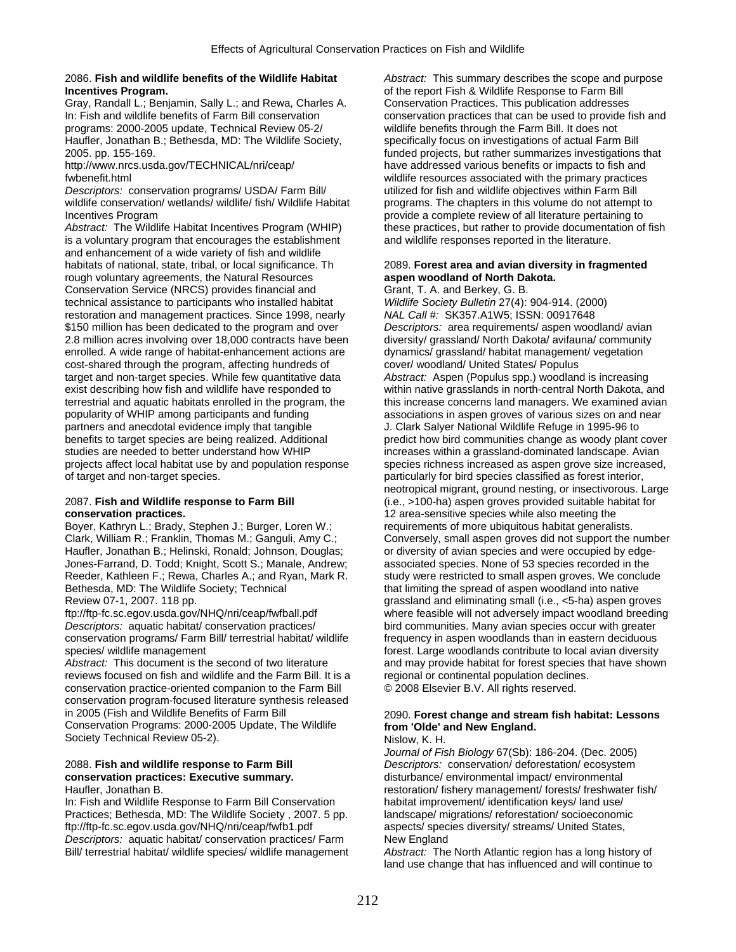## 2086. **Fish and wildlife benefits of the Wildlife Habitat** *Abstract:* This summary describes the scope and purpose **Incentives Program. Incentives Program. of the report Fish & Wildlife Response to Farm Bill**

Gray, Randall L.; Benjamin, Sally L.; and Rewa, Charles A. Conservation Practices. This publication addresses<br>In: Fish and wildlife benefits of Farm Bill conservation conservation practices that can be used to provide f programs: 2000-2005 update, Technical Review 05-2/ Haufler, Jonathan B.; Bethesda, MD: The Wildlife Society, specifically focus on investigations of actual Farm Bill

*Descriptors:* conservation programs/ USDA/ Farm Bill/ utilized for fish and wildlife objectives within Farm Bill wildlife conservation/ wetlands/ wildlife/ fish/ Wildlife Habitat programs. The chapters in this volume do not attempt to Incentives Program provide a complete review of all literature pertaining to

*Abstract:* The Wildlife Habitat Incentives Program (WHIP) these practices, but rather to provide documentation of fish is a voluntary program that encourages the establishment and wildlife responses reported in the literature. and enhancement of a wide variety of fish and wildlife habitats of national, state, tribal, or local significance. Th 2089. **Forest area and avian diversity in fragmented**  rough voluntary agreements, the Natural Resources **aspen woodland of North Dankow** Conservation Service (NRCS) provides financial and **Conservation Service (RRCS)** provides financial and **Conservation Service** (RRCS) provi Conservation Service (NRCS) provides financial and technical assistance to participants who installed habitat *Wildlife Society Bulletin* 27(4): 904-914. (2000) restoration and management practices. Since 1998, nearly *NAL Call #:* SK357.A1W5; ISSN: 00917648 \$150 million has been dedicated to the program and over *Descriptors:* area requirements/ aspen woodland/ avian 2.8 million acres involving over 18,000 contracts have been diversity/ grassland/ North Dakota/ avifauna/ community enrolled. A wide range of habitat-enhancement actions are dynamics/ grassland/ habitat management/ vegetation cost-shared through the program, affecting hundreds of cover/ woodland/ United States/ Populus target and non-target species. While few quantitative data *Abstract:* Aspen (Populus spp.) woodland is increasing exist describing how fish and wildlife have responded to within native grasslands in north-central North Dakota, and terrestrial and aquatic habitats enrolled in the program, the this increase concerns land managers. We examined avian<br>popularity of WHIP among participants and funding associations in aspen groves of various sizes on and n partners and anecdotal evidence imply that tangible J. Clark Salyer National Wildlife Refuge in 1995-96 to benefits to target species are being realized. Additional predict how bird communities change as woody plant cover studies are needed to better understand how WHIP increases within a grassland-dominated landscape. Avian projects affect local habitat use by and population response species richness increased as aspen grove size increased, of target and non-target species. particularly for bird species classified as forest interior,

Boyer, Kathryn L.; Brady, Stephen J.; Burger, Loren W.; requirements of more ubiquitous habitat generalists. Haufler, Jonathan B.; Helinski, Ronald; Johnson, Douglas; or diversity of avian species and were occupied by edge-Jones-Farrand, D. Todd; Knight, Scott S.; Manale, Andrew; associated species. None of 53 species recorded in the Reeder, Kathleen F.; Rewa, Charles A.; and Ryan, Mark R. study were restricted to small aspen groves. We conclude Bethesda, MD: The Wildlife Society; Technical that limiting the spread of aspen woodland into native Bethesda, MD: The Wildlife Society; Technical that limiting the spread of aspen woodland into native<br>Review 07-1, 2007. 118 pp. Comparently aspen grassland and eliminating small (i.e., <5-ha) aspen gra

*Descriptors:* aquatic habitat/ conservation practices/ bird communities. Many avian species occur with greater conservation programs/ Farm Bill/ terrestrial habitat/ wildlife frequency in aspen woodlands than in eastern deciduous species/ wildlife management forest. Large woodlands contribute to local avian diversity

*Abstract:* This document is the second of two literature and may provide habitat for forest species that have shown reviews focused on fish and wildlife and the Farm Bill. It is a regional or continental population declines. conservation practice-oriented companion to the Farm Bill  $\qquad \qquad \textcircled{2008}$  Elsevier B.V. All rights reserved. conservation program-focused literature synthesis released<br>in 2005 (Fish and Wildlife Benefits of Farm Bill Conservation Programs: 2000-2005 Update, The Wildlife Society Technical Review 05-2). Nislow, K. H.

In: Fish and Wildlife Response to Farm Bill Conservation habitat improvement/ identification keys/ land use/ Practices; Bethesda, MD: The Wildlife Society , 2007. 5 pp. landscape/ migrations/ reforestation/ socioeconomic<br>
ftp://ftp-fc.sc.egov.usda.gov/NHQ/nri/ceap/fwfb1.pdf aspects/ species diversity/ streams/ United States, ftp://ftp-fc.sc.egov.usda.gov/NHQ/nri/ceap/fwfb1.pdf *Descriptors:* aquatic habitat/ conservation practices/ Farm Mew England Bill/ terrestrial habitat/ wildlife species/ wildlife management *Abstract:* The

conservation practices that can be used to provide fish and<br>wildlife benefits through the Farm Bill. It does not 2005. pp. 155-169.<br>
http://www.nrcs.usda.gov/TECHNICAL/nri/ceap/<br>
have addressed various benefits or impacts to fish and have addressed various benefits or impacts to fish and fwbenefit.html wildlife resources associated with the primary practices

associations in aspen groves of various sizes on and near neotropical migrant, ground nesting, or insectivorous. Large 2087. **Fish and Wildlife response to Farm Bill** (i.e., >100-ha) aspen groves provided suitable habitat for **conservation practices.** 12 area-sensitive species while also meeting the Clark, William R.; Franklin, Thomas M.; Ganguli, Amy C.; Conversely, small aspen groves did not support the number Review 07-1, 2007. 118 pp.<br>
ftp://ftp-fc.sc.egov.usda.gov/NHQ/nri/ceap/fwfball.pdf entity of the match where feasible will not adversely impact woodland breeding where feasible will not adversely impact woodland breeding

# 2090. Forest change and stream fish habitat: Lessons **from 'Olde' and New England.**

*Journal of Fish Biology* 67(Sb): 186-204. (Dec. 2005) 2088. **Fish and wildlife response to Farm Bill** *Descriptors:* conservation/ deforestation/ ecosystem **conservation practices: Executive summary.** disturbance/ environmental impact/ environmental Haufler, Jonathan B. The state of the restoration of sharp management/ forests/ freshwater fish/

Abstract: The North Atlantic region has a long history of land use change that has influenced and will continue to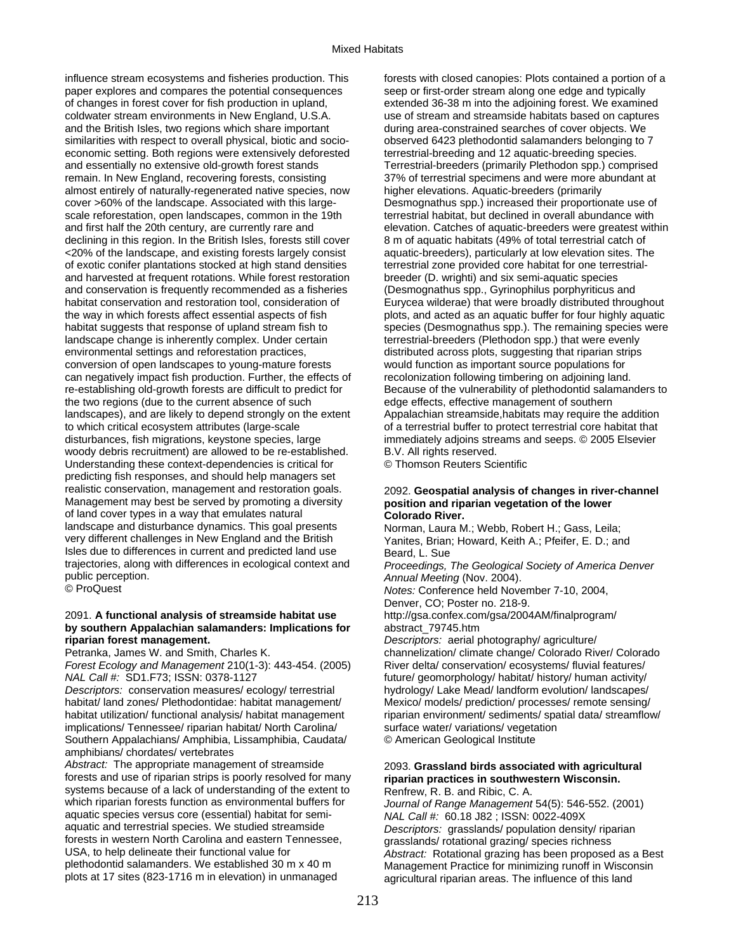paper explores and compares the potential consequences seep or first-order stream along one edge and typically of changes in forest cover for fish production in upland, extended 36-38 m into the adjoining forest. We examined coldwater stream environments in New England, U.S.A. use of stream and streamside habitats based on captures and the British Isles, two regions which share important during area-constrained searches of cover objects. We similarities with respect to overall physical, biotic and socio-<br>
observed 6423 plethodontid salamanders belonging to 7 economic setting. Both regions were extensively deforested terrestrial-breeding and 12 aquatic-breeding species. and essentially no extensive old-growth forest stands Terrestrial-breeders (primarily Plethodon spp.) comprised remain. In New England, recovering forests, consisting 37% of terrestrial specimens and were more abundant at almost entirely of naturally-regenerated native species, now higher elevations. Aquatic-breeders (primarily cover >60% of the landscape. Associated with this large- Desmognathus spp.) increased their proportionate use of scale reforestation, open landscapes, common in the 19th terrestrial habitat, but declined in overall abundance with and first half the 20th century, are currently rare and elevation. Catches of aquatic-breeders were greatest within declining in this region. In the British Isles, forests still cover 8 m of aquatic habitats (49% of total terrestrial catch of <20% of the landscape, and existing forests largely consist aquatic-breeders), particularly at low elevation sites. The of exotic conifer plantations stocked at high stand densities terrestrial zone provided core habitat for one terrestrialand harvested at frequent rotations. While forest restoration breeder (D. wrighti) and six semi-aquatic species and conservation is frequently recommended as a fisheries (Desmognathus spp., Gyrinophilus porphyriticus and and conservation is frequently recommended as a fisheries (Desmognathus spp., Gyrinophilus porphyriticus and<br>
habitat conservation and restoration tool, consideration of Eurycea wilderae) that were broadly distributed thro habitat conservation and restoration tool, consideration of the way in which forests affect essential aspects of fish plots, and acted as an aquatic buffer for four highly aquatic habitat suggests that response of upland stream fish to species (Desmognathus spp.). The remaining species were landscape change is inherently complex. Under certain terrestrial-breeders (Plethodon spp.) that were evenly environmental settings and reforestation practices, distributed across plots, suggesting that riparian strips conversion of open landscapes to young-mature forests would function as important source populations for can negatively impact fish production. Further, the effects of recolonization following timbering on adjoining land. re-establishing old-growth forests are difficult to predict for Because of the vulnerability of plethodontid salamanders to the two regions (due to the current absence of such edge effects, effective management of southern landscapes), and are likely to depend strongly on the extent Appalachian streamside, habitats may require the addition to which critical ecosystem attributes (large-scale of a terrestrial buffer to protect terrestrial core habitat that disturbances, fish migrations, keystone species, large immediately adjoins streams and seeps. © 2005 Elsevier woody debris recruitment) are allowed to be re-established. B.V. All rights reserved. Understanding these context-dependencies is critical for  $\heartsuit$  Thomson Reuters Scientific predicting fish responses, and should help managers set realistic conservation, management and restoration goals. 2092. **Geospatial analysis of changes in river-channel**  Management may best be served by promoting a diversity **position and riparian vegetation of the lower**  of land cover types in a way that emulates natural **Colorado River.**<br>
landscape and disturbance dynamics. This goal presents **Colorado River.** landscape and disturbance dynamics. This goal presents Norman, Laura M.; Webb, Robert H.; Gass, Leila;<br>Norw different challenges in New England and the British Yanites, Brian: Howard, Keith A.; Pfeifer, F. D.; an Isles due to differences in current and predicted land use Beard, L. Sue<br>trajectories, along with differences in ecological context and *Proceedings* trajectories, along with differences in ecological context and *Proceedings, The Geological Society of America Denver*  public perception. *Annual Meeting* (Nov. 2004).

## 2091. **A functional analysis of streamside habitat use** http://gsa.confex.com/gsa/2004AM/finalprogram/ **by southern Appalachian salamanders: Implications for** abstract\_79745.htm **riparian forest management.** *Descriptors:* aerial photography/ agriculture/

*Forest Ecology and Management* 210(1-3): 443-454. (2005) River delta/ conservation/ ecosystems/ fluvial features/

*Descriptors:* conservation measures/ ecology/ terrestrial hydrology/ Lake Mead/ landform evolution/ landscapes/ habitat/ land zones/ Plethodontidae: habitat management/ Mexico/ models/ prediction/ processes/ remote sensing/ habitat utilization/ functional analysis/ habitat management riparian environment/ sediments/ spatial data/ streamflow/ implications/ Tennessee/ riparian habitat/ North Carolina/ surface water/ variations/ vegetation<br>Southern Appalachians/ Amphibia, Lissamphibia, Caudata/ © American Geological Institute Southern Appalachians/ Amphibia, Lissamphibia, Caudata/ amphibians/ chordates/ vertebrates

Abstract: The appropriate management of streamside 2093. **Grassland birds associated with agricultural**<br>
forests and use of riparian strips is poorly resolved for many riparian practices in southwestern Wisconsin. systems because of a lack of understanding of the extent to Renfrew, R. B. and Ribic, C. A.<br>which riparian forests function as environmental buffers for Journal of Range Management aquatic species versus core (essential) habitat for semi- *NAL Call #:* 60.18 J82 ; ISSN: 0022-409X forests in western North Carolina and eastern Tennessee, grasslands/ rotational grazing/ species richness<br>USA, to help delineate their functional value for *Abstract:* Rotational grazing has been proposed USA, to help delineate their functional value for *Abstract:* Rotational grazing has been proposed as a Best plethodontid salamanders. We established 30 m x 40 m **Management Practice for minimizing runoff** in Wisconsin plots at 17 sites (823-1716 m in elevation) in unmanaged agricultural riparian areas. The influence of this land

influence stream ecosystems and fisheries production. This forests with closed canopies: Plots contained a portion of a

Yanites, Brian; Howard, Keith A.; Pfeifer, E. D.; and Notes: Conference held November 7-10, 2004, Denver, CO; Poster no. 218-9. Petranka, James W. and Smith, Charles K. channelization/ climate change/ Colorado River/ Colorado *NAL Call #:* SD1.F73; ISSN: 0378-1127 future/ geomorphology/ habitat/ history/ human activity/

# riparian practices in southwestern Wisconsin.

Journal of Range Management 54(5): 546-552. (2001) Descriptors: grasslands/ population density/ riparian Management Practice for minimizing runoff in Wisconsin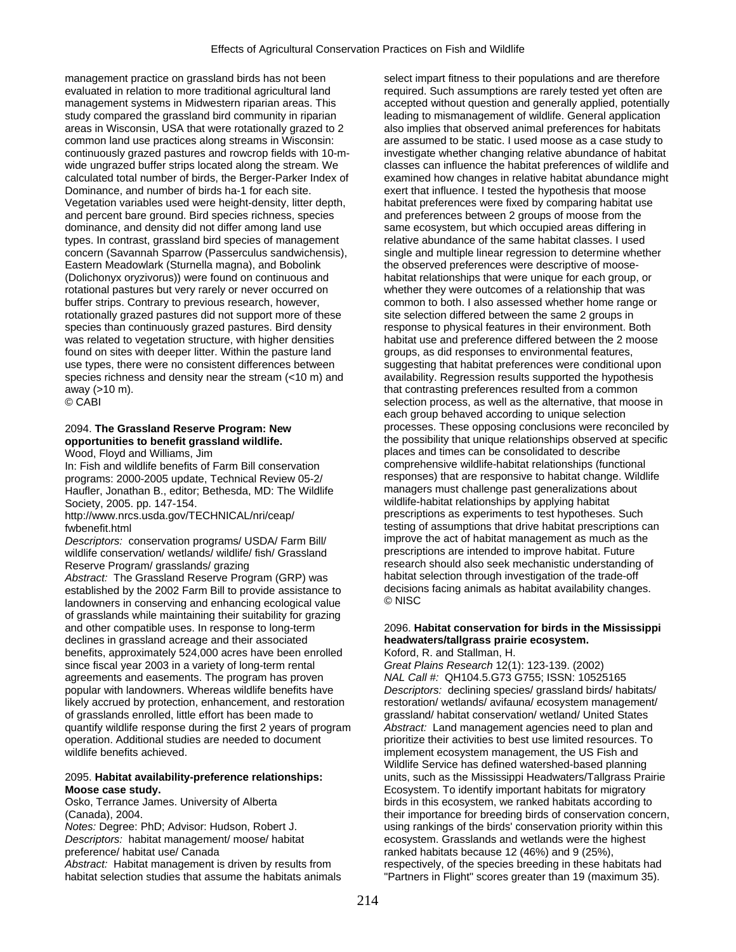management practice on grassland birds has not been select impart fitness to their populations and are therefore evaluated in relation to more traditional agricultural land required. Such assumptions are rarely tested yet often are study compared the grassland bird community in riparian leading to mismanagement of wildlife. General application areas in Wisconsin, USA that were rotationally grazed to 2 also implies that observed animal preferences for habitats common land use practices along streams in Wisconsin: are assumed to be static. I used moose as a case study to continuously grazed pastures and rowcrop fields with 10-m- investigate whether changing relative abundance of habitat wide ungrazed buffer strips located along the stream. We classes can influence the habitat preferences of wildlife and calculated total number of birds, the Berger-Parker Index of examined how changes in relative habitat abundance might Dominance, and number of birds ha-1 for each site. exert that influence. I tested the hypothesis that moose Vegetation variables used were height-density, litter depth, habitat preferences were fixed by comparing habitat use and percent bare ground. Bird species richness, species and preferences between 2 groups of moose from the dominance, and density did not differ among land use same ecosystem, but which occupied areas differing in types. In contrast, grassland bird species of management relative abundance of the same habitat classes. I used concern (Savannah Sparrow (Passerculus sandwichensis), single and multiple linear regression to determine whether Eastern Meadowlark (Sturnella magna), and Bobolink the observed preferences were descriptive of moose-(Dolichonyx oryzivorus)) were found on continuous and habitat relationships that were unique for each group, or rotational pastures but very rarely or never occurred on whether they were outcomes of a relationship that was rotational pastures but very rarely or never occurred on buffer strips. Contrary to previous research, however, common to both. I also assessed whether home range or rotationally grazed pastures did not support more of these site selection differed between the same 2 groups in species than continuously grazed pastures. Bird density response to physical features in their environment. Both was related to vegetation structure, with higher densities habitat use and preference differed between the 2 moose found on sites with deeper litter. Within the pasture land groups, as did responses to environmental features, use types, there were no consistent differences between suggesting that habitat preferences were conditional upon species richness and density near the stream (<10 m) and availability. Regression results supported the hypothesis away (>10 m). that contrasting preferences resulted from a common

In: Fish and wildlife benefits of Farm Bill conservation Haufler, Jonathan B., editor; Bethesda, MD: The Wildlife

http://www.nrcs.usda.gov/TECHNICAL/nri/ceap/

*Descriptors:* conservation programs/ USDA/ Farm Bill/ wildlife conservation/ wetlands/ wildlife/ fish/ Grassland prescriptions are intended to improve habitat. Future

*Abstract:* The Grassland Reserve Program (GRP) was habitat selection through investigation of the trade-off established by the 2002 Farm Bill to provide assistance to decision<br>Iandowners in conserving and ephancing ecological value landowners in conserving and enhancing ecological value of grasslands while maintaining their suitability for grazing and other compatible uses. In response to long-term 2096. **Habitat conservation for birds in the Mississippi**  declines in grassland acreage and their associated **headwaters/tallgrass prairie ecosystem.**  benefits, approximately 524,000 acres have been enrolled Koford, R. and Stallman, H. since fiscal year 2003 in a variety of long-term rental *Great Plains Research* 12(1): 123-139. (2002) agreements and easements. The program has proven *NAL Call #:* QH104.5.G73 G755; ISSN: 10525165 popular with landowners. Whereas wildlife benefits have *Descriptors:* declining species/ grassland birds/ habitats/ likely accrued by protection, enhancement, and restoration restoration/ wetlands/ avifauna/ ecosystem management/ of grasslands enrolled, little effort has been made to grassland/ habitat conservation/ wetland/ United States quantify wildlife response during the first 2 years of program *Abstract:* Land management agencies need to plan and operation. Additional studies are needed to document prioritize their activities to best use limited resources. To wildlife benefits achieved. **implement** ecosystem management, the US Fish and

habitat selection studies that assume the habitats animals "Partners in Flight" scores greater than 19 (maximum 35).

management systems in Midwestern riparian areas. This accepted without question and generally applied, potentially © CABI selection process, as well as the alternative, that moose in each group behaved according to unique selection 2094. **The Grassland Reserve Program: New** processes. These opposing conclusions were reconciled by **opportunities to benefit grassland wildlife.** the possibility that unique relationships observed at specific Wood, Floyd and Williams, Jim<br>In: Fish and wildlife benefits of Farm Bill conservation<br>In: Fish and wildlife benefits of Farm Bill conservation<br>comprehensive wildlife-habitat relationships (functional programs: 2000-2005 update, Technical Review 05-2/ responses) that are responsive to habitat change. Wildlife<br>Haufler, Jonathan B., editor: Bethesda, MD: The Wildlife managers must challenge past generalizations about Society, 2005. pp. 147-154.<br>
http://www.nrcs.usda.gov/TECHNICAI./pri/ceap/ external prescriptions as experiments to test hypotheses. Such fwbenefit.html<br>
Descriptions: conservation programs/ USDA/ Farm Bill/
The conservation programs/ USDA/ Farm Bill/
The conservation programs/ USDA/ Farm Bill/
The conservation programs/ USDA/ Farm Bill/
The conservation of Reserve Program/ grasslands/ grazing research should also seek mechanistic understanding of<br>Abstract: The Grassland Reserve Program (GRP) was habitat selection through investigation of the trade-off

Wildlife Service has defined watershed-based planning 2095. **Habitat availability-preference relationships:** units, such as the Mississippi Headwaters/Tallgrass Prairie **Moose case study. Moose case study. Example 20** Ecosystem. To identify important habitats for migratory Osko, Terrance James. University of Alberta birds in this ecosystem, we ranked habitats according to (Canada), 2004. their importance for breeding birds of conservation concern, *Notes:* Degree: PhD; Advisor: Hudson, Robert J. using rankings of the birds' conservation priority within this *Descriptors:* habitat management/ moose/ habitat ecosystem. Grasslands and wetlands were the highest preference/ habitat use/ Canada expreference/ habitat use/ Canada ranked habitats because 12 (46%) and 9 (25%), *Abstract:* Habitat management is driven by results from respectively, of the species breeding in these habitats had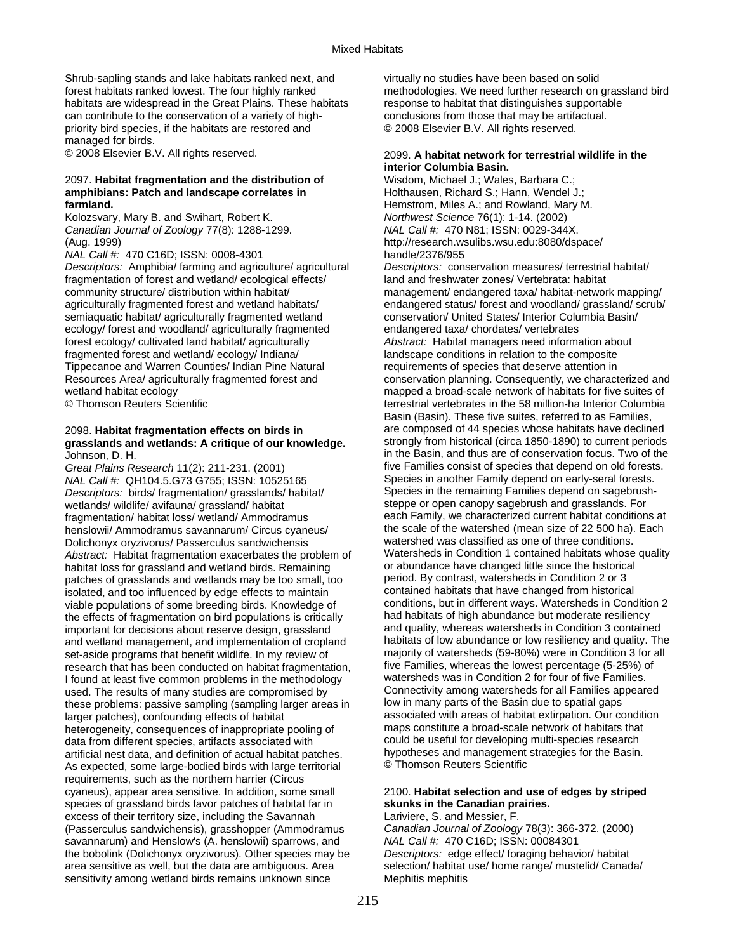Shrub-sapling stands and lake habitats ranked next, and virtually no studies have been based on solid habitats are widespread in the Great Plains. These habitats response to habitat that distinguishes supportable can contribute to the conservation of a variety of high-<br>conclusions from those that may be artifactual. can contribute to the conservation of a variety of highpriority bird species, if the habitats are restored and © 2008 Elsevier B.V. All rights reserved. managed for birds.

## 2097. **Habitat fragmentation and the distribution of** Wisdom, Michael J.; Wales, Barbara C.; **amphibians: Patch and landscape correlates in Francisc Holthausen, Richard S.; Hann, Wendel J.;**

Kolozsvary, Mary B. and Swihart, Robert K. *Canadian Journal of Zoology* 77(8): 1288-1299. *NAL Call #:* 470 N81; ISSN: 0029-344X. (Aug. 1999) http://research.wsulibs.wsu.edu:8080/dspace/

*NAL Call #:* 470 C16D; ISSN: 0008-4301 handle/2376/955 *Descriptors:* Amphibia/ farming and agriculture/ agricultural *Descriptors:* conservation measures/ terrestrial habitat/ fragmentation of forest and wetland/ ecological effects/ land and freshwater zones/ Vertebrata: habitat semiaquatic habitat/ agriculturally fragmented wetland conservation/ United States/ Interior Columbia Basin/ ecology/ forest and woodland/ agriculturally fragmented endangered taxa/ chordates/ vertebrates forest ecology/ cultivated land habitat/ agriculturally *Abstract:* Habitat managers need information about fragmented forest and wetland/ ecology/ Indiana/ landscape conditions in relation to the composite Tippecanoe and Warren Counties/ Indian Pine Natural requirements of species that deserve attention in

# grasslands and wetlands: A critique of our knowledge.

*NAL Call #:* QH104.5.G73 G755; ISSN: 10525165 Species in another Family depend on early-seral forests.<br>Descriptors: birds/ fragmentation/ grasslands/ habitat/ Species in the remaining Families depend on sagebrush-*Descriptors: birds/ fragmentation/ grasslands/ habitat/* wetlands/ wildlife/ avifauna/ grassland/ habitat steppe or open canopy sagebrush and grasslands. For<br>
fragmentation/ habitat loss/ wetland/ Ammodramus each Family, we characterized current habitat conditions at fragmentation/ habitat loss/ wetland/ Ammodramus each Family, we characterized current habitat conditions at henslowii/ Ammodramus savannarum/ Circus cyaneus/ the scale of the watershed (mean size of 22 500 ha).<br>Dolichonyx orvzivorus/ Passerculus sandwichensis watershed was classified as one of three conditions. Dolichonyx oryzivorus/ Passerculus sandwichensis watershed was classified as one of three conditions.<br>Abstract: Habitat fragmentation exacerbates the problem of Watersheds in Condition 1 contained habitats whose quality *Abstract:* Habitat fragmentation exacerbates the problem of Watersheds in Condition 1 contained habitats whose habitats whose quality of abundance have changed little since the historical habitat loss for grassland and wetland birds. Remaining on abundance have changed little since the historical<br>
period. By contrast, watersheds in Condition 2 or 3 patches of grasslands and wetlands may be too small, too period. By contrast, watersheds in Condition 2 or 3<br>isolated and too influenced by edge effects to maintain contained habitats that have changed from historical isolated, and too influenced by edge effects to maintain contained habitats that have changed from historical<br>viable populations of some breeding birds. Knowledge of conditions, but in different ways. Watersheds in Conditi viable populations of some breeding birds. Knowledge of conditions, but in different ways. Watersheds in Conditio<br>the effects of fragmentation on bird populations is critically had habitats of high abundance but moderate r the effects of fragmentation on bird populations is critically had habitats of high abundance but moderate resiliency<br>important for decisions about reserve design, grassland and quality, whereas watersheds in Condition 3 c and wetland management, and implementation of cropland habitats of low abundance or low resiliency and quality. The<br>set-aside programs that benefit wildlife. In my review of majority of watersheds (59-80%) were in Conditio set-aside programs that benefit wildlife. In my review of majority of watersheds (59-80%) were in Condition 3 for a<br>The Families, whereas the lowest percentage (5-25%) of research that has been conducted on habitat fragmentation, five Families, whereas the lowest percentage (5-25%) or<br>I found at least five common problems in the methodology watersheds was in Condition 2 for four of five Fam I found at least five common problems in the methodology used. The results of many studies are compromised by Connectivity among watersheds for all Families appeared<br>these problems: passive sampling (sampling larger areas in low in many parts of the Basin due to spatial gaps these problems: passive sampling (sampling larger areas in larger patches), confounding effects of habitat associated with areas of habitat extirpation. Our condition<br>heterogeneity consequences of inappropriate pooling of maps constitute a broad-scale network of habitats that heterogeneity, consequences of inappropriate pooling of data from different species, artifacts associated with could be useful for developing multi-species research<br>artificial nest data, and definition of actual habitat patches. The hypotheses and management strategies for the artificial nest data, and definition of actual habitat patches. hypotheses and management and management strategies for the Basin. As expected some large-bodied birds with large territorial  $\circ$  Thomson Reuters Scientific As expected, some large-bodied birds with large territorial requirements, such as the northern harrier (Circus cyaneus), appear area sensitive. In addition, some small 2100. **Habitat selection and use of edges by striped**  species of grassland birds favor patches of habitat far in **skunks in the Canadian prairies.**  excess of their territory size, including the Savannah Lariviere, S. and Messier, F. (Passerculus sandwichensis), grasshopper (Ammodramus *Canadian Journal of Zoology* 78(3): 366-372. (2000) savannarum) and Henslow's (A. henslowii) sparrows, and *NAL Call #:* 470 C16D; ISSN: 00084301 the bobolink (Dolichonyx oryzivorus). Other species may be *Descriptors:* edge effect/ foraging behavior/ habitat area sensitive as well, but the data are ambiguous. Area selection/ habitat use/ home range/ mustelid/ Canada/ sensitivity among wetland birds remains unknown since Mephitis mephitis

forest habitats ranked lowest. The four highly ranked methodologies. We need further research on grassland bird

## © 2008 Elsevier B.V. All rights reserved. 2099. **A habitat network for terrestrial wildlife in the interior Columbia Basin.**

**farmland. farmland. https://educion.org/moduler/moduler/information Hemstrom, Miles A.; and Rowland, Mary M. <br><b>***Hemstrom, Mary B. and Swihart, Robert K. Northwest Science 76(1): 1-14. (2002)* 

community structure/ distribution within habitat/ management/ endangered taxa/ habitat-network mapping/ agriculturally fragmented forest and wetland habitats/ endangered status/ forest and woodland/ grassland/ scrub/ Resources Area/ agriculturally fragmented forest and conservation planning. Consequently, we characterized and wetland habitat ecology mapped a broad-scale network of habitats for five suites of © Thomson Reuters Scientific terrestrial vertebrates in the 58 million-ha Interior Columbia Basin (Basin). These five suites, referred to as Families, are composed of 44 species whose habitats have declined 2098. **Habitat fragmentation effects on birds in** are composed of 44 species whose habitats have declined Johnson, D. H. **in the Basin, and thus are of conservation focus.** Two of the *Great Plains Research* 11(2): 211-231. (2001) five Families consist of species that depend on old forests.<br>
MAL Call #: OH104 5 G73 G755; ISSN: 10525165<br>
Species in another Family depend on early-seral forests. important for decisions about reserve design, grassland and quality, whereas watersheds in Condition 3 contained<br>and wetland management, and implementation of cropland habitats of low abundance or low resiliency and qualit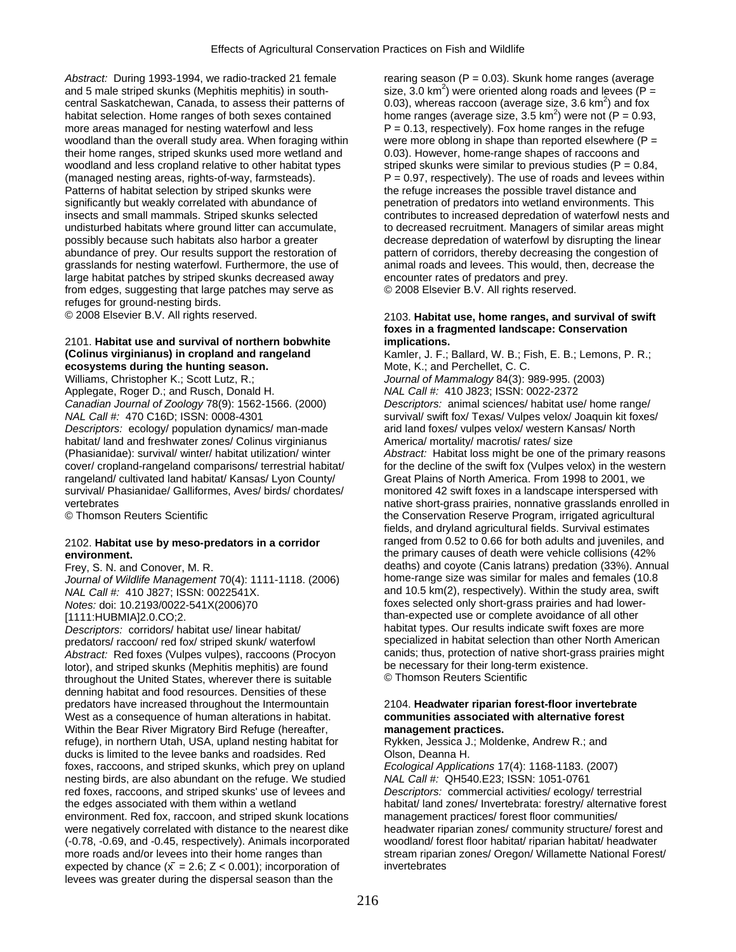*Abstract:* During 1993-1994, we radio-tracked 21 female rearing season (P = 0.03). Skunk home ranges (average and 5 male striped skunks (Mephitis mephitis) in southcentral Saskatchewan, Canada, to assess their patterns of habitat selection. Home ranges of both sexes contained more areas managed for nesting waterfowl and less  $P = 0.13$ , respectively). Fox home ranges in the refuge woodland than the overall study area. When foraging within were more oblong in shape than reported elsewhere ( $P =$ their home ranges, striped skunks used more wetland and  $0.03$ . However, home-range shapes of raccoons and woodland and less cropland relative to other habitat types striped skunks were similar to previous studies (P = 0. woodland and less cropland relative to other habitat types (managed nesting areas, rights-of-way, farmsteads). Patterns of habitat selection by striped skunks were the refuge increases the possible travel distance and significantly but weakly correlated with abundance of penetration of predators into wetland environments. This undisturbed habitats where ground litter can accumulate, excluence to decreased recruitment. Managers of similar areas might possibly because such habitats also harbor a greater decrease depredation of waterfowl by disrupt possibly because such habitats also harbor a greater abundance of prey. Our results support the restoration of pattern of corridors, thereby decreasing the congestion of grasslands for nesting waterfowl. Furthermore, the use of animal roads and levees. This would, then, decrease the large habitat patches by striped skunks decreased away encounter rates of predators and prey.<br>
from edges, suggesting that large patches may serve as  $\circ$  2008 Elsevier B.V. All rights reserved. from edges, suggesting that large patches may serve as refuges for ground-nesting birds.

## 2101. **Habitat use and survival of northern bobwhite implications. (Colinus virginianus) in cropland and rangeland** Kamler, J. F.; Ballard, W. B.; Fish, E. B.; Lemons, P. R.;

Applegate, Roger D.; and Rusch, Donald H. *NAL Call #:* 410 J823; ISSN: 0022-2372

*Descriptors:* ecology/ population dynamics/ man-made habitat/ land and freshwater zones/ Colinus virginianus America/ mortality/ macrotis/ rates/ size rangeland/ cultivated land habitat/ Kansas/ Lyon County/ Great Plains of North America. From 1998 to 2001, we survival/ Phasianidae/ Galliformes, Aves/ birds/ chordates/ monitored 42 swift foxes in a landscape interspersed with

*Journal of Wildlife Management* 70(4): 1111-1118. (2006) *Notes:* doi: 10.2193/0022-541X(2006)70 foxes selected only short-grass prairies and had lower-

predators/ raccoon/ red fox/ striped skunk/ waterfowl specialized in habitat selection than other North American<br>Abstract: Red foxes (Vulpes vulpes) raccoons (Procyon canids; thus, protection of native short-grass prairies *Abstract:* Red foxes (Vulpes vulpes), raccoons (Procyon canids; thus, protection of native short-gras<br>lotor), and striped skunks (Mephitis mephitis) are found be necessary for their long-term existence. lotor), and striped skunks (Mephitis mephitis) are found be necessary for their long-term<br>throughout the United States, wherever there is suitable. Common Reuters Scientific throughout the United States, wherever there is suitable denning habitat and food resources. Densities of these predators have increased throughout the Intermountain 2104. **Headwater riparian forest-floor invertebrate**  West as a consequence of human alterations in habitat. **communities associated with alternative forest**  Within the Bear River Migratory Bird Refuge (hereafter, **management practices.**  refuge), in northern Utah, USA, upland nesting habitat for Rykken, Jessica J.; Moldenke, Andrew R.; and ducks is limited to the levee banks and roadsides. Red Clson, Deanna H.<br>
foxes, raccoons, and striped skunks, which prey on upland Ecological Applications 17(4): 1168-1183. (2007) foxes, raccoons, and striped skunks, which prey on upland nesting birds, are also abundant on the refuge. We studied *NAL Call #:* QH540.E23; ISSN: 1051-0761 red foxes, raccoons, and striped skunks' use of levees and *Descriptors:* commercial activities/ ecology/ terrestrial environment. Red fox, raccoon, and striped skunk locations management practices/ forest floor communities/ were negatively correlated with distance to the nearest dike headwater riparian zones/ community structure/ forest and (-0.78, -0.69, and -0.45, respectively). Animals incorporated woodland/ forest floor habitat/ riparian habitat/ headwater expected by chance  $(\bar{x} = 2.6; Z < 0.001)$ ; incorporation of invertebrates levees was greater during the dispersal season than the ̄

size, 3.0 km<sup>2</sup>) were oriented along roads and levees ( $\overline{P}$  = 0.03), whereas raccoon (average size, 3.6  $km^2$ ) and fox home ranges (average size,  $3.\overline{5}$  km<sup>2</sup>) were not (P = 0.93,  $P = 0.97$ , respectively). The use of roads and levees within insects and small mammals. Striped skunks selected contributes to increased depredation of waterfowl nests and

## © 2008 Elsevier B.V. All rights reserved. 2103. **Habitat use, home ranges, and survival of swift foxes in a fragmented landscape: Conservation**

**ecosystems during the hunting season.** Mote, K.; and Perchellet, C. C. Williams, Christopher K.; Scott Lutz, R.; **A.:** Mote, *Mammalogy* 84(3): 9 Journal of Mammalogy 84(3): 989-995. (2003) *Canadian Journal of Zoology* 78(9): 1562-1566. (2000) *Descriptors:* animal sciences/ habitat use/ home range/ *NAL Call #:* 470 C16D; ISSN: 0008-4301 survival/ survival/ swift fox/ Texas/ Vulpes velox/ Joaquin kit foxes/<br>Descriptors: ecology/ population dynamics/ man-made arid land foxes/ vulpes velox/ western Kansas/ North (Phasianidae): survival/ winter/ habitat utilization/ winter *Abstract:* Habitat loss might be one of the primary reasons cover/ cropland-rangeland comparisons/ terrestrial habitat/ for the decline of the swift fox (Vulpes velox) in the western vertebrates<br> **Community Community** Community entity of the Conservation Reserve Program, irrigated agricultural<br>
Community Reserve Program, irrigated agricultural the Conservation Reserve Program, irrigated agricultural fields, and dryland agricultural fields. Survival estimates 2102. **Habitat use by meso-predators in a corridor** ranged from 0.52 to 0.66 for both adults and juveniles, and **environment.** The collisions of the primary causes of death were vehicle collisions (42% Frey, S. N. and Conover, M. R. (1111-1118) (2006) deaths) and coyote (Canis latrans) predation (33%). Annual<br>Journal of Wildlife Management 70(4): 1111-1118 (2006) bome-range size was similar for males and females (10.8 *NAL Call #:* 410 J827; ISSN: 0022541X. and 10.5 km(2), respectively). Within the study area, swift [1111:HUBMIA]2.0.CO;2.<br>
Descriptors: corridors/ habitat use/ linear habitat/ habitat types. Our results indicate swift foxes are more *Descriptors:* corridors/ habitat use/ linear habitat/ habitat types. Our results indicate swift foxes are more

the edges associated with them within a wetland habitat/ land zones/ Invertebrata: forestry/ alternative forest more roads and/or levees into their home ranges than stream riparian zones/ Oregon/ Willamette National Forest/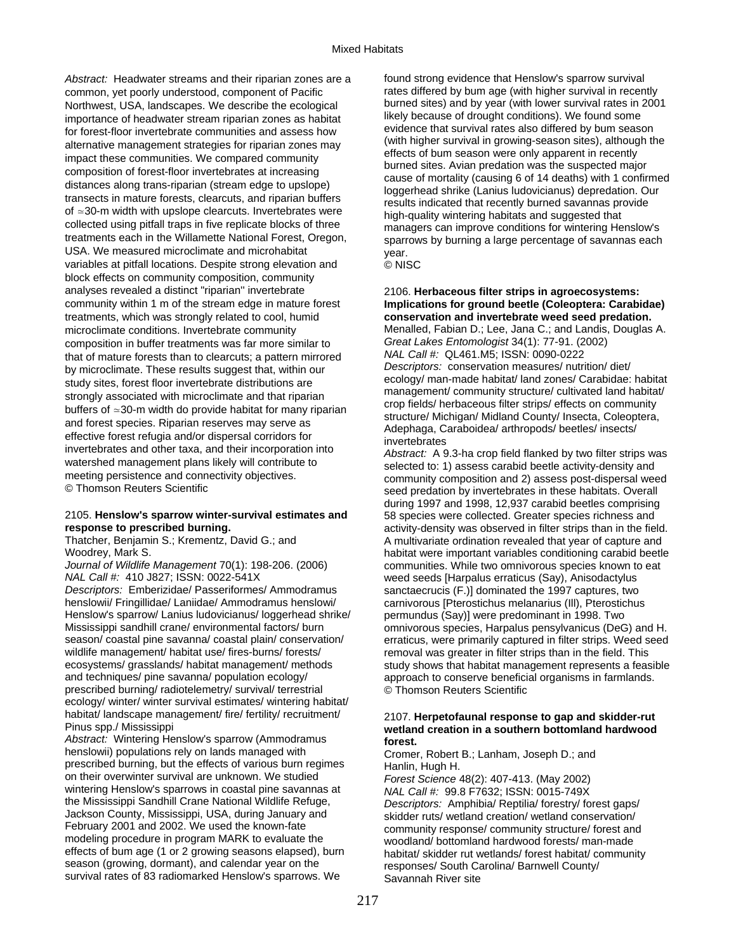*Abstract:* Headwater streams and their riparian zones are a found strong evidence that Henslow's sparrow survival<br>common, vet poorly understood, component of Pacific rates differed by bum age (with higher survival in rece common, yet poorly understood, component of Pacific rates differed by bum age (with higher survival in recently<br>Northwest USA Jandscapes, We describe the ecological burned sites) and by year (with lower survival rates in 2 Northwest, USA, landscapes. We describe the ecological burned sites) and by year (with lower survival rates in<br>importance of headwater stream riparian zones as habitat likely because of drought conditions). We found some importance of headwater stream riparian zones as habitat likely because of drought conditions). We found some<br>for forest-floor invertebrate communities and assess how evidence that survival rates also differed by bum seaso for forest-floor invertebrate communities and assess how evidence that survival rates also differed by bum season<br>elternative menagement etrategies for ringrien zenes may (with higher survival in growing-season sites), alt alternative management strategies for riparian zones may<br>
impact these communities. We compared community<br>
impact these communities. We compared community<br>
composition of forest-floor invertebrates at increasing<br>
distance USA. We measured microclimate and microhabitat variables at pitfall locations. Despite strong elevation and  $\degree$  NISC variables at pitfall locations. Despite strong elevation and block effects on community composition, community analyses revealed a distinct "riparian'' invertebrate 2106. **Herbaceous filter strips in agroecosystems:**  community within 1 m of the stream edge in mature forest **Implications for ground beetle (Coleoptera: Carabidae)**  treatments, which was strongly related to cool, humid **conservation and invertebrate weed seed predation.**  microclimate conditions. Invertebrate community Menalled, Fabian D.; Lee, Jana C.; and Landis, Douglas A. composition in buffer treatments was far more similar to *Great Lakes Entomologist* 34(1): 77-91. (2002) that of mature forests than to clearcuts; a pattern mirrored *NAL Call #:* QL461.M5; ISSN: 0090-0222 by microclimate. These results suggest that, within our *Descriptors:* conservation measures/ nutrition/ diet/ study sites, forest floor invertebrate distributions are<br>strongly associated with microclimate and that riparian<br>buffers of ≃30-m width do provide habitat for many riparian<br>and forest species. Riparian reserves may serve

## 2105. **Henslow's sparrow winter-survival estimates and** 58 species were collected. Greater species richness and

*NAL Call #:* 410 J827; ISSN: 0022-541X weed seeds [Harpalus erraticus (Say), Anisodactylus

*Descriptors:* Emberizidae/ Passeriformes/ Ammodramus sanctaecrucis (F.)] dominated the 1997 captures, two henslowii/ Fringillidae/ Laniidae/ Ammodramus henslowi/ carnivorous [Pterostichus melanarius (III), Pterostichus Henslow's sparrow/ Lanius ludovicianus/ loggerhead shrike/ permundus (Say)] were predominant in 1998. Two<br>Mississippi sandhill crane/ environmental factors/ burn comnivorous species. Harpalus pensylvanicus (DeG season/ coastal pine savanna/ coastal plain/ conservation/ erraticus, were primarily captured in filter strips. Weed seed wildlife management/ habitat use/ fires-burns/ forests/ removal was greater in filter strips than in the field. This ecosystems/ grasslands/ habitat management/ methods study shows that habitat management represents a feasible<br>study shows that habitat management represents a feasible<br>approach to conserve beneficial organisms in farmlands prescribed burning/ radiotelemetry/ survival/ terrestrial ecology/ winter/ winter survival estimates/ wintering habitat/ habitat/ landscape management/ fire/ fertility/ recruitment/ 2107. **Herpetofaunal response to gap and skidder-rut** Pinus spp./ Mississippi **wetland creation in a southern bottomland hardwood** 

Abstract: Wintering Henslow's sparrow (Ammodramus **forest. forest. forest. henslowii)** populations rely on lands managed with **channally Cromer, Robert B.; Lanham, Joseph D.; and** prescribed burning, but the effects of various burn regimes<br>
on their overwinter survival are unknown. We studied<br>
wintering Henslow's sparrows in coastal pine savannas at <br>
the Mississippi Sandhill Crane National Wildlife the Mississippi Sandhill Crane National Wildlife Refuge,<br>Jackson County, Mississippi, USA, during January and skidder ruts/ wetland creation/ wetland conservation/<br>February 2001 and 2002. We used the known-fate strate supe February 2001 and 2002. We used the known-fate<br>modeling procedure in program MARK to evaluate the woodland/ bottomland hardwood forests/ man-made effects of bum age (1 or 2 growing seasons elapsed), burn habitat/skidder rut wetlands/forest habitat/ community<br>season (growing, dormant), and calendar year on the responses/ South Carolina/ Barnwell County/<br>survival rate

invertebrates and other taxa, and their incorporation into<br>watershed management plans likely will contribute to<br>meeting persistence and connectivity objectives.<br>Thomson Reuters Scientific<br>Thomson Reuters Scientific<br>and the during 1997 and 1998, 12,937 carabid beetles comprising **response to prescribed burning. activity-density was observed in filter strips than in the field.**<br> **A** multivariate ordination revealed that vear of capture and **and the community-** A multivariate ordination revealed t A multivariate ordination revealed that year of capture and Woodrey, Mark S.<br>*Journal of Wildlife Management* 70(1): 198-206. (2006) habitat were important variables conditioning carabid beetle communities. While two omnivorous species known to eat omnivorous species, Harpalus pensylvanicus (DeG) and H. approach to conserve beneficial organisms in farmlands.<br>© Thomson Reuters Scientific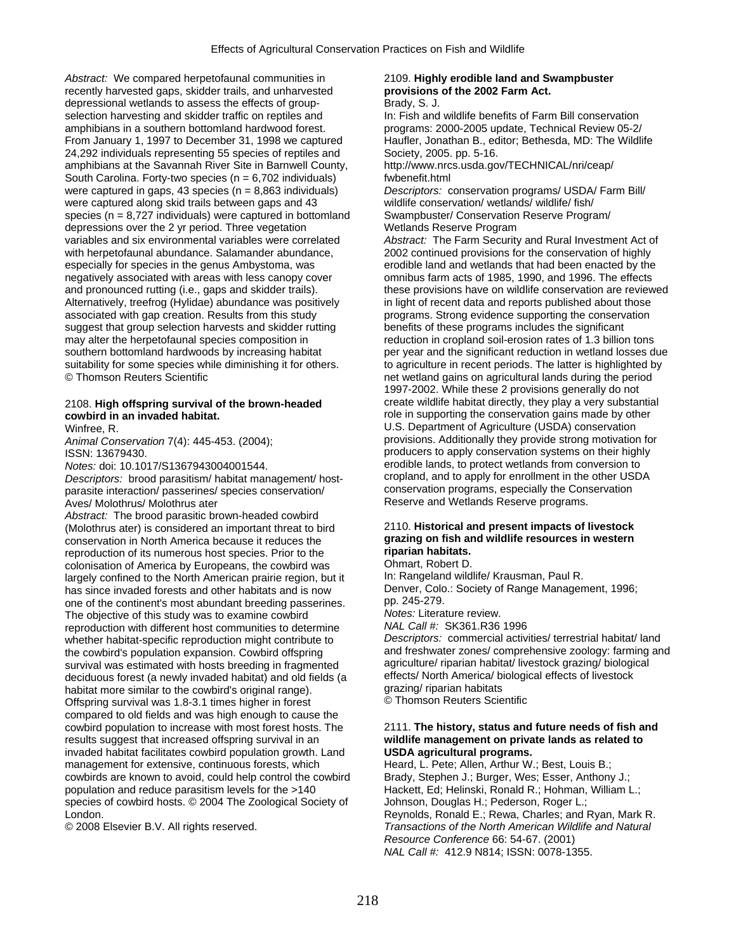*Abstract:* We compared herpetofaunal communities in 2109. **Highly erodible land and Swampbuster**  recently harvested gaps, skidder trails, and unharvested depressional wetlands to assess the effects of group-<br>
Brady, S. J. selection harvesting and skidder traffic on reptiles and In: Fish and wildlife benefits of Farm Bill conservation amphibians in a southern bottomland hardwood forest. <br>1. prom January 1, 1997 to December 31, 1998 we captured Haufler, Jonathan B., editor; Bethesda, MD: The Wildlife From January 1, 1997 to December 31, 1998 we captured 24,292 individuals representing 55 species of reptiles and Society, 2005. pp. 5-16.<br>amphibians at the Savannah River Site in Barnwell County, http://www.nrcs.usda.gov/TECHNICAL/nri/ceap/ amphibians at the Savannah River Site in Barnwell County, http://www.nrc<br>South Carolina. Forty-two species ( $n = 6.702$  individuals) fwbenefit.html South Carolina. Forty-two species ( $n = 6,702$  individuals) were captured in gaps, 43 species (n = 8,863 individuals) *Descriptors:* conservation programs/ USDA/ Farm Bill/ were captured along skid trails between gaps and 43 wildlife conservation/ wetlands/ wildlife/ fish/ species (n = 8,727 individuals) were captured in bottomland Swampbuster/ Conservation Reserve Program/ depressions over the 2 yr period. Three vegetation Wetlands Reserve Program variables and six environmental variables were correlated *Abstract:* The Farm Security and Rural Investment Act of with herpetofaunal abundance. Salamander abundance, 2002 continued provisions for the conservation of highly<br>especially for species in the genus Ambystoma, was erodible land and wetlands that had been enacted by the negatively associated with areas with less canopy cover omnibus farm acts of 1985, 1990, and 1996. The effects<br>and pronounced rutting (i.e., gaps and skidder trails). These provisions have on wildlife conservation are revi and pronounced rutting (i.e., gaps and skidder trails). Alternatively, treefrog (Hylidae) abundance was positively in light of recent data and reports published about those associated with gap creation. Results from this study programs. Strong evidence supporting the conservation suggest that group selection harvests and skidder rutting benefits of these programs includes the significant may alter the herpetofaunal species composition in reduction in cropland soil-erosion rates of 1.3 billion tons southern bottomland hardwoods by increasing habitat per year and the significant reduction in wetland losses due suitability for some species while diminishing it for others. to agriculture in recent periods. The latter is highlighted by © Thomson Reuters Scientific net wetland gains on agricultural lands during the period

parasite interaction/ passerines/ species conservation/<br>Aves/ Molothrus/ Molothrus ater

*Abstract:* The brood parasitic brown-headed cowbird (Molothrus ater) is considered an important threat to bird 2110. **Historical and present impacts of livestock**  conservation in North America because it reduces the **grazing on fish and grazing on fish and will reproduction** of its numerous host species. Prior to the **rigorian habitats.** reproduction of its numerous host species. Prior to the **riparian habitats.**  colonisation of America by Europeans, the cowbird was Chmart, Robert D.<br>Iargely confined to the North American prairie region, but it [11] In: Rangeland wildlife/ Krausman, Paul R. largely confined to the North American prairie region, but it In: Rangeland wildlife/ Krausman, Paul R.<br>has since invaded forests and other habitats and is now Denver, Colo.: Society of Range Management, 1996; has since invaded forests and other habitats and is now Denver, Colo.<br>One of the continent's most abundant breeding passerines prop. 245-279. one of the continent's most abundant breeding passerines. pp. 245-279.<br>The objective of this study was to examine cowbird Motes: Literature review. The objective of this study was to examine cowbird *Notes:* Literature review.<br>
reproduction with different bost communities to determine *NAL Call #:* SK361.R36 1996 reproduction with different host communities to determine *NAL Call #:* SK361.R36 1996 the cowbird's population expansion. Cowbird offspring and freshwater zones/ comprehensive zoology: farming<br>survival was estimated with hosts breeding in fragmented agriculture/ riparian habitat/ livestock grazing/ biologic survival was estimated with hosts breeding in fragmented agriculture/ riparian habitat/ livestock grazing/ biological effects of livestock<br>deciduous forest (a newly invaded habitat) and old fields (a effects/ North America deciduous forest (a newly invaded habitat) and old fields (a effects/ North America/ biological effects of liv<br>habitat more similar to the cowbird's original range). habitat more similar to the cowbird's original range). grazing/ riparian habitats Offspring survival was 1.8-3.1 times higher in forest compared to old fields and was high enough to cause the cowbird population to increase with most forest hosts. The 2111. **The history, status and future needs of fish and**<br>
results suggest that increased offspring survival in an **and an and all increasement on private lands as** invaded habitat facilitates cowbird population growth. Land management for extensive, continuous forests, which Heard, L. Pete; Allen, Arthur W.; Best, Louis B.; cowbirds are known to avoid, could help control the cowbird Brady, Stephen J.; Burger, Wes; Esser, Anthony J.; population and reduce parasitism levels for the >140 Hackett, Ed; Helinski, Ronald R.; Hohman, William L.; species of cowbird hosts. © 2004 The Zoological Society of Johnson, Douglas H.; Pederson, Roger L.;

erodible land and wetlands that had been enacted by the omnibus farm acts of 1985, 1990, and 1996. The effects 1997-2002. While these 2 provisions generally do not 2108. **High offspring survival of the brown-headed** create wildlife habitat directly, they play a very substantial **cowbird in an invaded habitat. role in supporting the conservation gains made by other** vinfree. R.<br>
Winfree. R. Winfree, R.<br>Animal Conservation 7(4): 445-453. (2004); example and the provisions. Additionally they provide strong motivation provisions. Additionally they provide strong motivation for ISSN: 13679430. producers to apply conservation systems on their highly *Notes:* doi: 10.1017/S1367943004001544. erodible lands, to protect wetlands from conversion to *Descriptors:* brood parasitism/ habitat management/ host- cropland, and to apply for enrollment in the other US<br>Description asserting of the conservation of conservation conservation programs, especially the Conservation Reserve and Wetlands Reserve programs.

whether habitat-specific reproduction might contribute to *Descriptors:* commercial activities/ terrestrial habitat/ land<br>the cowbird's population expansion. Cowbird offspring and sand freshwater zones/ comprehensive zoolo

# wildlife management on private lands as related to USDA agricultural programs.

London.<br>
C 2008 Elsevier B.V. All rights reserved. 
Reynolds, Ronald E.; Rewa, Charles; and Ryan, Mark R.<br>
Transactions of the North American Wildlife and Natural © 2008 Elsevier B.V. All rights reserved. *Transactions of the North American Wildlife and Natural Resource Conference* 66: 54-67. (2001) *NAL Call #:* 412.9 N814; ISSN: 0078-1355.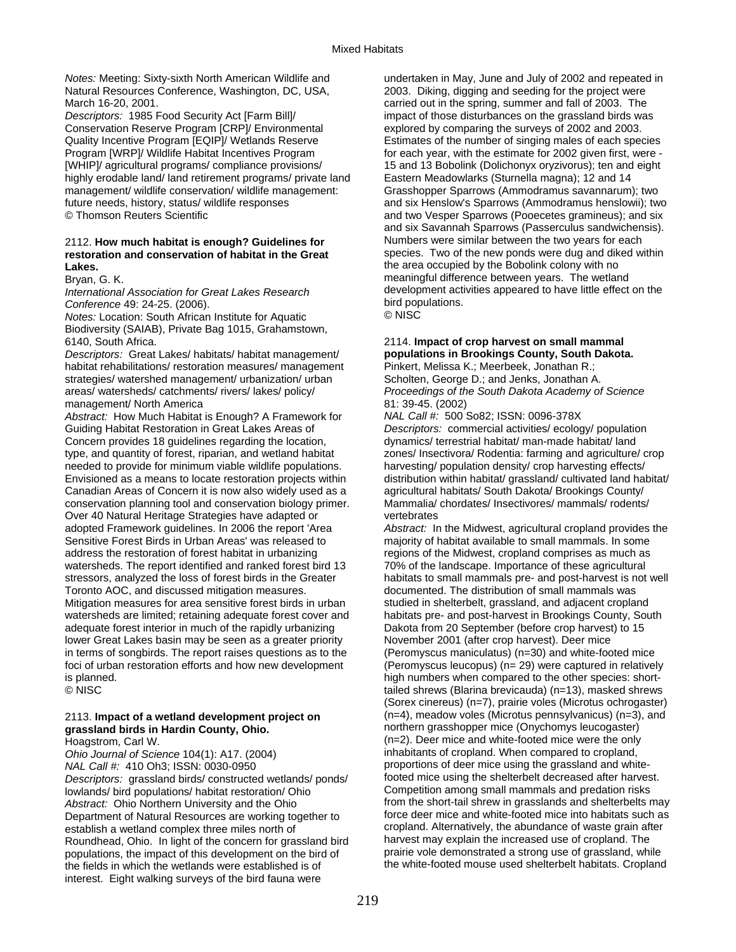Natural Resources Conference, Washington, DC, USA, 2003. Diking, digging and seeding for the project were March 16-20, 2001. Carried out in the spring, summer and fall of 2003. The

*Descriptors:* 1985 Food Security Act [Farm Bill]/ impact of those disturbances on the grassland birds was Conservation Reserve Program [CRP]/ Environmental explored by comparing the surveys of 2002 and 2003. Quality Incentive Program [EQIP]/ Wetlands Reserve Estimates of the number of singing males of each species<br>Program [WRP]/ Wildlife Habitat Incentives Program for each year, with the estimate for 2002 given first, were Program [WRP]/ Wildlife Habitat Incentives Program for each year, with the estimate for 2002 given first, were -<br>
[WHIP]/ agricultural programs/ compliance provisions/ 15 and 13 Bobolink (Dolichonyx oryzivorus); ten and ei highly erodable land/ land retirement programs/ private land management/ wildlife conservation/ wildlife management: Grasshopper Sparrows (Ammodramus savannarum); two future needs, history, status/ wildlife responses and six Henslow's Sparrows (Ammodramus henslowii); two © Thomson Reuters Scientific and two Vesper Sparrows (Pooecetes gramineus); and six

## restoration and conservation of habitat in the Great **Lakes. the area occupied by the Bobolink colony with no** the area occupied by the Bobolink colony with no

Conference 49: 24-25. (2006).<br>الملكة المستقدم الملكة الملكة الملكة الملكة الملكة الملكة الملكة الملكة الملكة الملكة<br>الملكة الملكة الملكة الملكة الملكة الملكة الملكة الملكة الملكة الملكة الملكة الملكة الملكة الملكة الملكة

*Notes:* Location: South African Institute for Aquatic Biodiversity (SAIAB), Private Bag 1015, Grahamstown, 6140, South Africa. 2114. **Impact of crop harvest on small mammal** 

*Descriptors:* Great Lakes/ habitats/ habitat management/ **populations in Brookings County, South Dakota.**  habitat rehabilitations/ restoration measures/ management Pinkert, Melissa K.; Meerbeek, Jonathan R.;<br>strategies/ watershed management/ urbanization/ urban Scholten, George D.; and Jenks, Jonathan A. strategies/ watershed management/ urbanization/ urban areas/ watersheds/ catchments/ rivers/ lakes/ policy/ *Proceedings of the South Dakota Academy of Science*  management/ North America<br>
Abstract: How Much Habitat is Enough? A Framework for MAL Call #: 500 So82: ISSN: 0096-378X

*Abstract: How Much Habitat is Enough? A Framework for Guiding Habitat Restoration in Great Lakes Areas of* Concern provides 18 quidelines regarding the location, type, and quantity of forest, riparian, and wetland habitat zones/ Insectivora/ Rodentia: farming and agriculture/ crop needed to provide for minimum viable wildlife populations. harvesting/ population density/ crop harvesting effects/ Canadian Areas of Concern it is now also widely used as a agricultural habitats/ South Dakota/ Brookings County/ conservation planning tool and conservation biology primer. Mammalia/ chordates/ Insectivores/ mammals/ rodents/ Over 40 Natural Heritage Strategies have adapted or vertebrates<br>
adopted Framework guidelines. In 2006 the report 'Area *Abstract:* In the Midwest, agricultural cropland provides the adopted Framework guidelines. In 2006 the report 'Area Sensitive Forest Birds in Urban Areas' was released to majority of habitat available to small mammals. In some address the restoration of forest habitat in urbanizing regions of the Midwest, cropland comprises as much as<br>watersheds. The report identified and ranked forest bird 13 70% of the landscape. Importance of these agricultur watersheds. The report identified and ranked forest bird 13 Toronto AOC, and discussed mitigation measures. documented. The distribution of small mammals was Mitigation measures for area sensitive forest birds in urban studied in shelterbelt, grassland, and adjacent cropland watersheds are limited; retaining adequate forest cover and habitats pre- and post-harvest in Brookings County, South adequate forest interior in much of the rapidly urbanizing Dakota from 20 September (before crop harvest) to 15 lower Great Lakes basin may be seen as a greater priority November 2001 (after crop harvest). Deer mice in terms of songbirds. The report raises questions as to the (Peromyscus maniculatus) (n=30) and white-footed mice foci of urban restoration efforts and how new development (Peromyscus leucopus) (n= 29) were captured in relatively

## **grassland birds in Hardin County, Ohio.**

*Ohio Journal of Science* 104(1): A17. (2004) **inhabitants of cropland.** When compared to cropland, <br> *NAL Call #:* 410 Oh3; ISSN: 0030-0950 **by the compared to cropland** whit *Descriptors:* grassland birds/ constructed wetlands/ ponds/ footed mice using the shelterbelt decreased after harves<br>Iowlands/ bird populations/ habitat restoration/ Ohio<br>Competition among small mammals and predation risk lowlands/ bird populations/ habitat restoration/ Ohio establish a wetland complex three miles north of cropland. Alternatively, the abundance of waste grain after<br>Roundhead. Ohio. In light of the concern for grassland bird harvest may explain the increased use of cropland. Th Roundhead, Ohio. In light of the concern for grassland bird harvest may explain the increased use of cropland. The populations, the impact of this development on the bird of prairie vole demonstrated a strong use of grassl populations, the impact of this development on the bird of the fields in which the wetlands were established is of the white-footed mouse used shelterbelt habitats. Cropland interest. Eight walking surveys of the bird fauna were

*Notes:* Meeting: Sixty-sixth North American Wildlife and undertaken in May, June and July of 2002 and repeated in 15 and 13 Bobolink (Dolichonyx oryzivorus); ten and eight<br>Eastern Meadowlarks (Sturnella magna); 12 and 14 and six Savannah Sparrows (Passerculus sandwichensis). 2112. **How much habitat is enough? Guidelines for** Numbers were similar between the two years for each<br> **restoration and conservation of habitat in the Great** species. Two of the new ponds were dug and diked within Bryan, G. K. meaningful difference between years. The wetland *International Association for Great Lakes Research* development activities appeared to have little effect on the

Descriptors: commercial activities/ ecology/ population dynamics/ terrestrial habitat/ man-made habitat/ land Envisioned as a means to locate restoration projects within distribution within habitat/ grassland/ cultivated land habitat/

stressors, analyzed the loss of forest birds in the Greater habitats to small mammals pre- and post-harvest is not well is planned.<br> **high numbers when compared to the other species: short-**<br> **high numbers when compared to the other species: short-**<br> **high numbers when compared to the other species: short**tailed shrews (Blarina brevicauda) (n=13), masked shrews (Sorex cinereus) (n=7), prairie voles (Microtus ochrogaster) 2113. **Impact of a wetland development project on** (n=4), meadow voles (Microtus pennsylvanicus) (n=3), and **arassland birds in Hardin County. Ohio.** northern grasshopper mice (Onychomys leucogaster) Hoagstrom, Carl W. (n=2). Deer mice and white-footed mice were the only proportions of deer mice using the grassland and white-<br>footed mice using the shelterbelt decreased after harvest. Abstract: Ohio Northern University and the Ohio from the short-tail shrew in grasslands and shelterbelts may Department of Natural Resources are working together to force deer mice and white-footed mice into habitats such as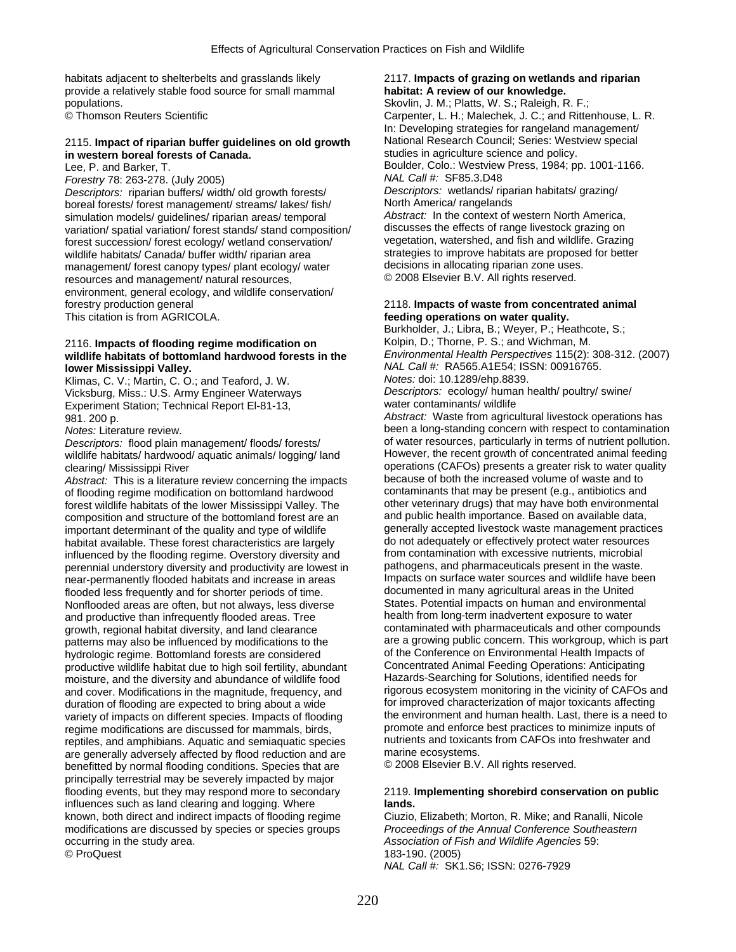provide a relatively stable food source for small mammal **habitat: A review of our knowledge.** 

## **in western boreal forests of Canada. studies** in agriculture science and policy.

*Descriptors:* riparian buffers/ width/ old growth forests/ *Descriptors:* wetlands/ ripa<br>horeal forests/ forest management/ streams/ lakes/ fish/ **North America/ rangelands** boreal forests/ forest management/ streams/ lakes/ fish/ North America/ rangelands<br>simulation models/ quidelines/ riparian areas/ temporal Abstract: In the context of western North America, simulation models/ guidelines/ riparian areas/ temporal *Abstract:* In the context of western North America,<br>variation/ spatial variation/ forest stands/ stand composition/ discusses the effects of range livestock grazing variation/ spatial variation/ forest stands/ stand composition/ discusses the effects of range livestock grazing on<br>forest succession/ forest ecology/ wetland conservation/ vegetation, watershed, and fish and wildlife. Gra forest succession/ forest ecology/ wetland conservation/ vegetation, watershed, and fish and wildlife. Grazing wildlife habitats/ Canada/ buffer width/ riparian area strategies to improve habitats are propose<br>management/ forest canopy types/ plant ecology/ water decisions in allocating riparian zone uses. management/ forest canopy types/ plant ecology/ water decisions in allocating riparian zone uses<br>resources and management/ natural resources. <br>© 2008 Elsevier B.V. All rights reserved. resources and management/ natural resources, environment, general ecology, and wildlife conservation/ forestry production general 2118. **Impacts of waste from concentrated animal** 

# wildlife habitats of bottomland hardwood forests in the *Inver Mississippi Valley.*

Klimas, C. V.; Martin, C. O.; and Teaford, J. W. Vicksburg, Miss.: U.S. Army Engineer Waterways *Descriptors:* ecology/ human health/ poultry/ swine/ Experiment Station; Technical Report El-81-13,

wildlife habitats/ hardwood/ aquatic animals/ logging/ land

*Abstract:* This is a literature review concerning the impacts because of both the increased volume of waste and to of flooding regime modification on bottomland hardwood contaminants that may be present (e.g., antibiotics of flooding regime modification on bottomland hardwood forest wildlife habitats of the lower Mississippi Valley. The other veterinary drugs) that may have both environmental<br>composition and structure of the bottomland forest are an and public health importance. Based on availa composition and structure of the bottomland forest are an important determinant of the quality and type of wildlife generally accepted livestock waste management practices<br>habitat available. These forest characteristics are largely do not adequately or effectively protect water r habitat available. These forest characteristics are largely do not adequately or effectively protect water resources<br>influenced by the flooding regime. Overstory diversity and from contamination with excessive nutrients, m influenced by the flooding regime. Overstory diversity and from contamination with excessive nutrients, microbial<br>nerennial understory diversity and productivity are lowest in pathogens, and pharmaceuticals present in the perennial understory diversity and productivity are lowest in pathogens, and pharmaceuticals present in the waste.<br>Impacts on surface water sources and wildlife have been near-permanently flooded habitats and increase in areas Impacts on surface water sources and wildlife have been<br>Inoded less frequently and for shorter periods of time documented in many agricultural areas in the United flooded less frequently and for shorter periods of time.<br>Nonflooded areas are often, but not always, less diverse States. Potential impacts on human and environmental Nonflooded areas are often, but not always, less diverse States. Potential impacts on human and environmental impacts on human and environmental incorect on the and productive than infrequently flooded areas. Tree and productive than infrequently flooded areas. Tree health from long-term inadvertent exposure to water<br>
arowth, regional habitat diversity, and land clearance contaminated with pharmaceuticals and other compounds patterns may also be influenced by modifications to the are a growing public concern. This workgroup, which is particle is particle and the conference on Environmental Health Impacts of the Conference on Environmental Heal hydrologic regime. Bottomland forests are considered of the Conference on Environmental Health Impacts of the Conference on Environmental Health Impacts of concentrated Animal Feeding Operations: Anticipating productive wildlife habitat due to high soil fertility, abundant Concentrated Animal Feeding Operations: Anticipating<br>moisture, and the diversity and abundance of wildlife food Hazards-Searching for Solutions, identified n moisture, and the diversity and abundance of wildlife food variety of impacts on different species. Impacts of flooding the environment and human health. Last, there is a need<br>regime modifications are discussed for mammals birds promote and enforce best practices to minimize input regime modifications are discussed for mammals, birds, extintly promote and enforce best practices to minimize inputs o<br>The protiles, and amphibians, Aquatic and semiaquatic species on putrients and toxicants from CAFOs in reptiles, and amphibians. Aquatic and semiaquatic species nutrients and toxicants from CAFOs into from CAFOs into from CAFOs into from CAFOs into from CAFOs into from CAFOs into from CAFOS into from CAFOS into from CAFOS i are generally adversely affected by flood reduction and are marine ecosystems.<br>
henefitted by normal flooding conditions Species that are 0 2008 Elsevier B.V. All rights reserved. benefitted by normal flooding conditions. Species that are principally terrestrial may be severely impacted by major flooding events, but they may respond more to secondary 2119. **Implementing shorebird conservation on public**  influences such as land clearing and logging. Where **lands.**  known, both direct and indirect impacts of flooding regime Ciuzio, Elizabeth; Morton, R. Mike; and Ranalli, Nicole modifications are discussed by species or species groups *Proceedings of the Annual Conference Southeastern*<br> *Association of Fish and Wildlife Agencies* 59: © ProQuest 183-190. (2005)

## habitats adjacent to shelterbelts and grasslands likely 2117. **Impacts of grazing on wetlands and riparian**

populations.<br>
Skovlin, J. M.; Platts, W. S.; Raleigh, R. F.; © Thomson Reuters Scientific Carrenters Carpenter, L. H.; Malechek, J. C.; and Ritte Carpenter, L. H.; Malechek, J. C.; and Rittenhouse, L. R. In: Developing strategies for rangeland management/ 2115. **Impact of riparian buffer guidelines on old growth** National Research Council; Series: Westview special Lee, P. and Barker, T.<br>
Forestry 78: 263-278 (July 2005) The Secret of MAL Call #: SF85.3.D48 *Forestry* 78: 263-278. (July 2005) *NAL Call #:* SF85.3.D48

## This citation is from AGRICOLA. **feeding operations on water quality.**

Burkholder, J.; Libra, B.; Weyer, P.; Heathcote, S.; 2116. **Impacts of flooding regime modification on** Kolpin, D.; Thorne, P. S.; and Wichman, M.<br> **wildlife habitats of bottomland hardwood forests in the** *Environmental Health Perspectives* 115(2): 308-312. (2007) *NAL Call #: RA565.A1E54; ISSN: 00916765.*<br>*Notes: doi: 10.1289/ehp.8839.* 

981. 200 p. *Abstract:* Waste from agricultural livestock operations has *Notes:* Literature review.<br> *Notes:* Literature review.<br> *Descriptors:* flood plain management/ floods/ forests/ on the production of water resources, particularly in terms of nutrient pollution. *Descriptors:* flood plain management/ floods/ forests/ of water resources, particularly in terms of nutrient pollution. clearing/ Mississippi River operations (CAFOs) presents a greater risk to water quality<br>Abstract: This is a literature review concerning the impacts because of both the increased volume of waste and to growth, regional habitat diversity, and land clearance contaminated with pharmaceuticals and other compounds<br>patterns may also be influenced by modifications to the are a growing public concern. This workgroup, which is pa and cover. Modifications in the magnitude, frequency, and rigorous ecosystem monitoring in the vicinity of CAFOs and<br>duration of flooding are expected to bring about a wide for improved characterization of major toxicants duration of flooding are expected to bring about a wide for improved characterization of major toxicants affecting<br>variety of impacts on different species Impacts of flooding the environment and human health. Last, there i

Association of Fish and Wildlife Agencies 59: *NAL Call #:* SK1.S6; ISSN: 0276-7929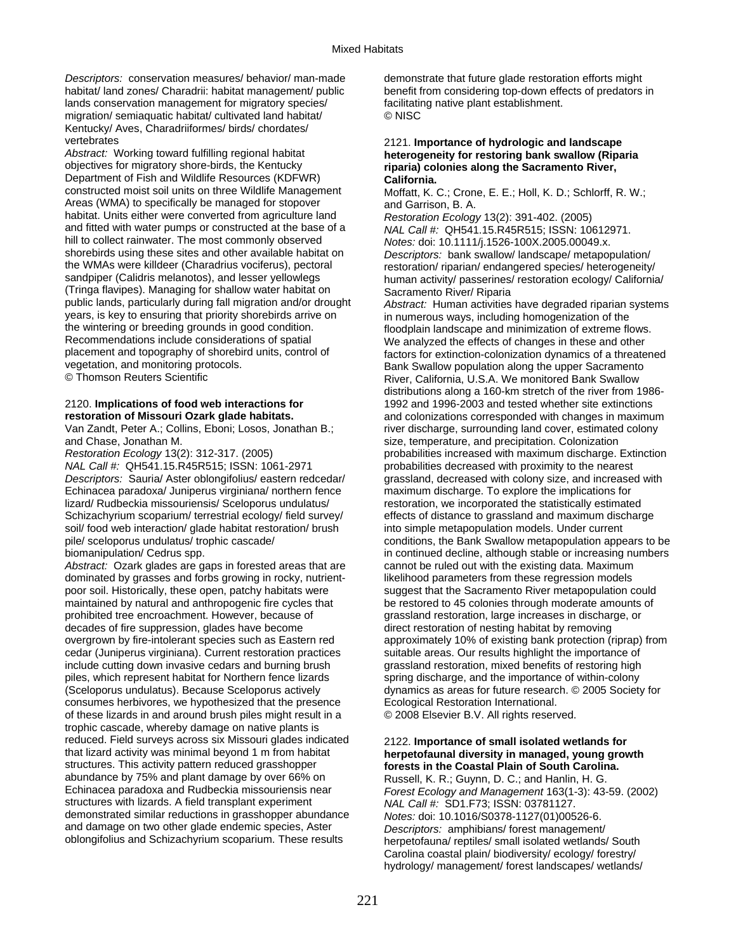*Descriptors:* conservation measures/ behavior/ man-made demonstrate that future glade restoration efforts might habitat/ land zones/ Charadrii: habitat management/ public benefit from considering top-down effects of predators in lands conservation management for migratory species/ facilitating native plant establishment. migration/ semiaquatic habitat/ cultivated land habitat/ © NISC Kentucky/ Aves, Charadriiformes/ birds/ chordates/

*Abstract:* Working toward fulfilling regional habitat **heterogeneity for restoring bank swallow (Riparia**  Department of Fish and Wildlife Resources (KDFWR) **California.**  Areas (WMA) to specifically be managed for stopover and Garrison, B. A.<br>habitat. Units either were converted from agriculture land Restoration Ecology 13(2): 391-402. (2005) habitat. Units either were converted from agriculture land and fitted with water pumps or constructed at the base of a *NAL Call #:* QH541.15.R45R515; ISSN: 10612971.<br>hill to collect rainwater. The most commonly observed *Notes: doi: 10.1111/i.1526-100X* 2005 00049 x hill to collect rainwater. The most commonly observed *Notes:* doi: 10.1111/j.1526-100X.2005.00049.x.<br>Shorebirds using these sites and other available habitat on *Descriptors:* bank swallow/ landscape/ metapor shorebirds using these sites and other available habitat on *Descriptors:* bank swallow/ landscape/ metapopulation/ the WMAs were killdeer (Charadrius vociferus), pectoral restoration/ riparian/ endangered species/ heterogeneity/<br>sandpiper (Calidris melanotos), and lesser yellowlegs human activity/ passerines/ restoration ecology/ Calif (Tringa flavipes). Managing for shallow water habitat on Sacramento River/ Riparia<br>public lands, particularly during fall migration and/or drought *Abstract:* Human activities public lands, particularly during fall migration and/or drought *Abstract:* Human activities have degraded riparian systems years, is key to ensuring that priority shorebirds arrive on in numerous ways, including homogenization of the<br>the wintering or breeding grounds in good condition.<br>floodplain landscape and minimization of extreme flu the wintering or breeding grounds in good condition. Filoodplain landscape and minimization of extreme flows.<br>Recommendations include considerations of spatial states are the effects of changes in these and other Recommendations include considerations of spatial We analyzed the effects of changes in these and other<br>placement and topography of shorebird units, control of the factors for extinction-colonization dynamics of a threate placement and topography of shorebird units, control of factors for extinction-colonization dynamics of a threatened<br>
vegetation, and monitoring protocols.<br>
Rank Swallow population along the upper Sacramento

and Chase, Jonathan M. Size, temperature, and precipitation. Colonization

*NAL Call #:* QH541.15.R45R515; ISSN: 1061-2971 probabilities decreased with proximity to the nearest *Descriptors:* Sauria/ Aster oblongifolius/ eastern redcedar/ grassland, decreased with colony size, and increased with Echinacea paradoxa/ Juniperus virginiana/ northern fence maximum discharge. To explore the implications for lizard/ Rudbeckia missouriensis/ Sceloporus undulatus/ restoration, we incorporated the statistically estimated Schizachyrium scoparium/ terrestrial ecology/ field survey/ effects of distance to grassland and maximum discharge<br>soil/ food web interaction/ glade habitat restoration/ brush into simple metapopulation models. Under curre soil/ food web interaction/ glade habitat restoration/ brush pile/ sceloporus undulatus/ trophic cascade/

Abstract: Ozark glades are gaps in forested areas that are cannot be ruled out with the existing data. Maximum dominated by grasses and forbs growing in rocky, nutrient- likelihood parameters from these regression models poor soil. Historically, these open, patchy habitats were suggest that the Sacramento River metapopulation could maintained by natural and anthropogenic fire cycles that be restored to 45 colonies through moderate amounts of prohibited tree encroachment. However, because of grassland restoration, large increases in discharge, or decades of fire suppression, glades have become direct restoration of nesting habitat by removing overgrown by fire-intolerant species such as Eastern red approximately 10% of existing bank protection (riprap) from cedar (Juniperus virginiana). Current restoration practices suitable areas. Our results highlight the importance of include cutting down invasive cedars and burning brush grassland restoration, mixed benefits of restoring high piles, which represent habitat for Northern fence lizards spring discharge, and the importance of within-colony (Sceloporus undulatus). Because Sceloporus actively dynamics as areas for future research. © 2005 Society for consumes herbivores, we hypothesized that the presence Ecological Restoration International. of these lizards in and around brush piles might result in a © 2008 Elsevier B.V. All rights reserved. trophic cascade, whereby damage on native plants is reduced. Field surveys across six Missouri glades indicated 2122. **Importance of small isolated wetlands for**  that lizard activity was minimal beyond 1 m from habitat **herpetofaunal diversity in managed, young growth**  structures. This activity pattern reduced grasshopper **forests in the Coastal Plain of South Carolina.**<br>
abundance by 75% and plant damage by over 66% on **Russell K. R. Guynn, D. C. and Hanlin** H. G. abundance by 75% and plant damage by over 66% on Russell, K. R.; Guynn, D. C.; and Hanlin, H. G.<br>Echinacea paradoxa and Rudbeckia missouriensis near Forest Foology and Management 163(1-3): 43structures with lizards. A field transplant experiment *NAL Call #:*  $\overline{S}$ D1.F73; ISSN: 03781127. demonstrated similar reductions in grasshopper abundance *Notes:* doi: 10.1016/S0378-1127(01)00526-6. and damage on two other glade endemic species, Aster *Descriptors:* amphibians/ forest management/

## vertebrates 2121. **Importance of hydrologic and landscape**  riparia) colonies along the Sacramento River,

Moffatt, K. C.; Crone, E. E.; Holl, K. D.; Schlorff, R. W.;

human activity/ passerines/ restoration ecology/ California/

vegetation, and monitoring protocols. The state of the same Bank Swallow population along the upper Sacramento<br>Chromson Reuters Scientific in the state of the state of the River California U.S.A. We monitored Bank Swallow River, California, U.S.A. We monitored Bank Swallow distributions along a 160-km stretch of the river from 1986- 2120. **Implications of food web interactions for** 1992 and 1996-2003 and tested whether site extinctions **restoration of Missouri Ozark glade habitats. and colonizations corresponded with changes in maximum**<br>Van Zandt, Peter A.: Collins, Eboni: Losos, Jonathan B.: **and in the river discharge, surrounding land cover, estimat** river discharge, surrounding land cover, estimated colony *Restoration Ecology* 13(2): 312-317. (2005) probabilities increased with maximum discharge. Extinction conditions, the Bank Swallow metapopulation appears to be biomanipulation/ Cedrus spp. in continued decline, although stable or increasing numbers

Forest Ecology and Management 163(1-3): 43-59. (2002) oblongifolius and Schizachyrium scoparium. These results herpetofauna/ reptiles/ small isolated wetlands/ South Carolina coastal plain/ biodiversity/ ecology/ forestry/ hydrology/ management/ forest landscapes/ wetlands/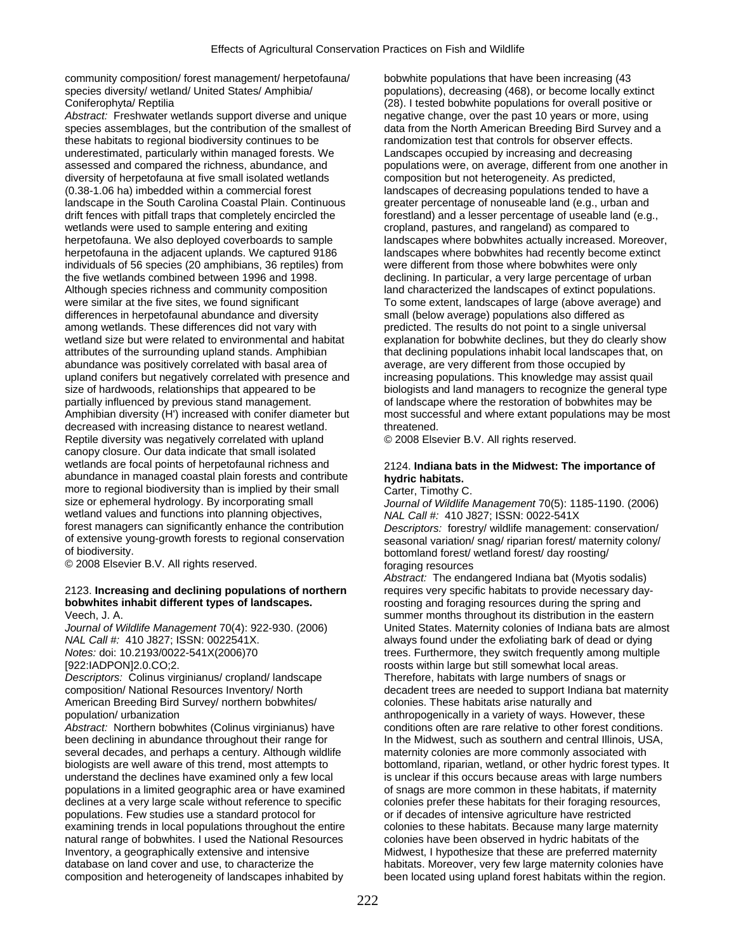community composition/ forest management/ herpetofauna/ bobwhite populations that have been increasing (43 species diversity/ wetland/ United States/ Amphibia/ populations), decreasing (468), or become locally extinct Coniferophyta/ Reptilia (28). I tested bobwhite populations for overall positive or

*Abstract:* Freshwater wetlands support diverse and unique negative change, over the past 10 years or more, using species assemblages, but the contribution of the smallest of data from the North American Breeding Bird Survey and a these habitats to regional biodiversity continues to be randomization test that controls for observer effects. underestimated, particularly within managed forests. We Landscapes occupied by increasing and decreasing assessed and compared the richness, abundance, and populations were, on average, different from one and diversity of herpetofauna at five small isolated wetlands composition but not heterogeneity. As predicted, (0.38-1.06 ha) imbedded within a commercial forest landscapes of decreasing populations tended to have a landscape in the South Carolina Coastal Plain. Continuous example are percentage of nonuseable land (e.g., urban and drift fences with pitfall traps that completely encircled the forestland) and a lesser percentage of useable land (e.g., wetlands were used to sample entering and exiting cropland, pastures, and rangeland) as compared to<br>herpetofauna. We also deployed coverboards to sample landscapes where bobwhites actually increased. Mo herpetofauna in the adjacent uplands. We captured 9186 landscapes where bobwhites had recently become extinct individuals of 56 species (20 amphibians, 36 reptiles) from were different from those where bobwhites were only the five wetlands combined between 1996 and 1998. declining. In particular, a very large percentage of urban Although species richness and community composition land characterized the landscapes of extinct populations. were similar at the five sites, we found significant To some extent, landscapes of large (above average) and differences in herpetofaunal abundance and diversity small (below average) populations also differed as among wetlands. These differences did not vary with predicted. The results do not point to a single universal wetland size but were related to environmental and habitat explanation for bobwhite declines, but they do clearly show attributes of the surrounding upland stands. Amphibian that declining populations inhabit local landscapes that, on abundance was positively correlated with basal area of average, are very different from those occupied by upland conifers but negatively correlated with presence and increasing populations. This knowledge may assist quail size of hardwoods, relationships that appeared to be biologists and land managers to recognize the general type partially influenced by previous stand management. of landscape where the restoration of bobwhites may be decreased with increasing distance to nearest wetland. **theatened**. Reptile diversity was negatively correlated with upland  $\degree$  2008 Elsevier B.V. All rights reserved. canopy closure. Our data indicate that small isolated wetlands are focal points of herpetofaunal richness and 2124. **Indiana bats in the Midwest: The importance of**  abundance in managed coastal plain forests and contribute **hydric habitats.**  more to regional biodiversity than is implied by their small Carter, Timothy C.<br>size or ephemeral hydrology. By incorporating small *Journal of Wildlife* wetland values and functions into planning objectives, *NAL Call #:* 410 J827; ISSN: 0022-541X<br>
forest managers can significantly enhance the contribution *Descriptors:* forestry/ wildlife management forest managers can significantly enhance the contribution *Descriptors:* forestry/ wildlife management: conservation/ of extensive young-growth forests to regional conservation seasonal variation/ snag/ riparian forest/ maternity colony/<br>/ bottomland forest/ wetland forest/ day roosting

© 2008 Elsevier B.V. All rights reserved. The matter of the foraging resources

## 2123. **Increasing and declining populations of northern** requires very specific habitats to provide necessary day**bobwhites inhabit different types of landscapes. roosting and foraging resources during the spring and foraging resources during the spring and object-**

[922:IADPON]2.0.CO;2. roosts within large but still somewhat local areas.

*Descriptors:* Colinus virginianus/ cropland/ landscape Therefore, habitats with large numbers of snags or American Breeding Bird Survey/ northern bobwhites/

*Abstract:* Northern bobwhites (Colinus virginianus) have conditions often are rare relative to other forest conditions. been declining in abundance throughout their range for In the Midwest, such as southern and central Illinois, USA,<br>several decades, and perhaps a century. Although wildlife maternity colonies are more commonly associated w several decades, and perhaps a century. Although wildlife understand the declines have examined only a few local is unclear if this occurs because areas with large numbers populations in a limited geographic area or have examined of snags are more common in these habitats, if maternity declines at a very large scale without reference to specific colonies prefer these habitats for their foraging resources, populations. Few studies use a standard protocol for or if decades of intensive agriculture have restricted examining trends in local populations throughout the entire colonies to these habitats. Because many large maternity natural range of bobwhites. I used the National Resources colonies have been observed in hydric habitats of the Inventory, a geographically extensive and intensive Midwest, I hypothesize that these are preferred maternity database on land cover and use, to characterize the habitats. Moreover, very few large maternity colonies have

populations were, on average, different from one another in landscapes where bobwhites actually increased. Moreover, Amphibian diversity (H') increased with conifer diameter but most successful and where extant populations may be most

Journal of Wildlife Management 70(5): 1185-1190. (2006) bottomland forest/ wetland forest/ day roosting/

*Abstract:* The endangered Indiana bat (Myotis sodalis) Veech, J. A. summer months throughout its distribution in the eastern *Journal of Wildlife Management* 70(4): 922-930. (2006) United States. Maternity colonies of Indiana bats are almost *NAL Call #:* 410 J827; ISSN: 0022541X. always found under the exfoliating bark of dead or dying *Notes:* doi: 10.2193/0022-541X(2006)70 trees. Furthermore, they switch frequently among multiple composition/ National Resources Inventory/ North decadent trees are needed to support Indiana bat maternity<br>American Breeding Bird Survey/ northern bobwhites/ colonies. These habitats arise naturally and population/ urbanization anthropogenically in a variety of ways. However, these biologists are well aware of this trend, most attempts to bottomland, riparian, wetland, or other hydric forest types. It composition and heterogeneity of landscapes inhabited by been located using upland forest habitats within the region.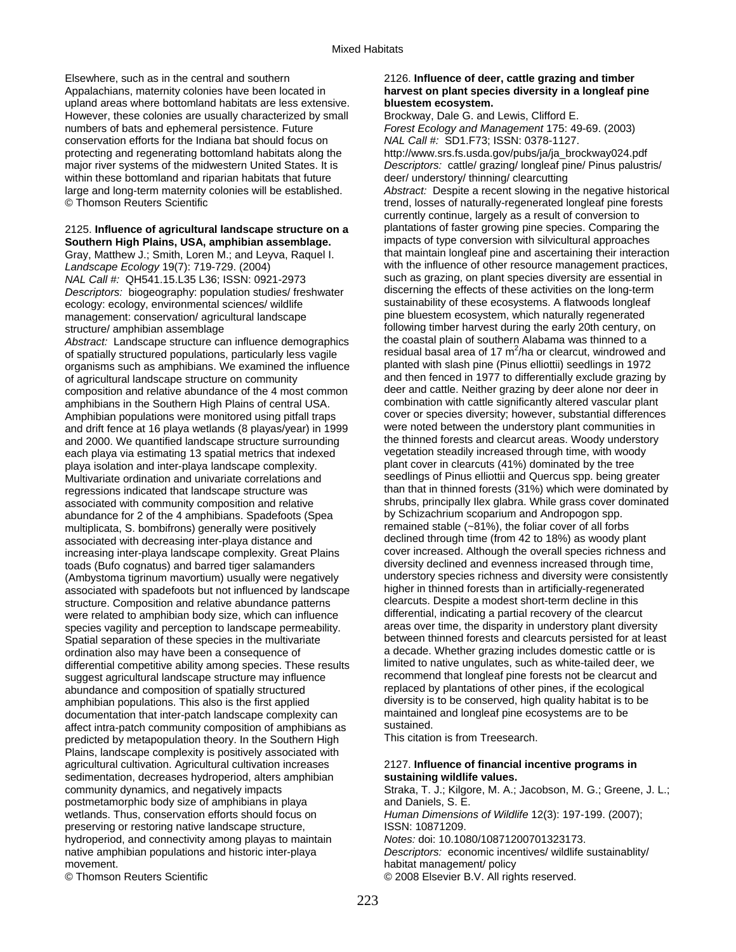Elsewhere, such as in the central and southern 2126. **Influence of deer, cattle grazing and timber**  Appalachians, maternity colonies have been located in **harvest on plant species diversity in a longleaf pine**  upland areas where bottomland habitats are less extensive. **bluestem ecosystem.**  However, these colonies are usually characterized by small Brockway, Dale G. and Lewis, Clifford E. numbers of bats and ephemeral persistence. Future *Forest Ecology and Management* 175: 49-69. (2003) conservation efforts for the Indiana bat should focus on *NAL Call #:* SD1.F73; ISSN: 0378-1127. protecting and regenerating bottomland habitats along the http://www.srs.fs.usda.gov/pubs/ja/ja\_brockway024.pdf<br>major river systems of the midwestern United States. It is Descriptors: cattle/ grazing/ longleaf pine/ Pinus within these bottomland and riparian habitats that future large and long-term maternity colonies will be established. *Abstract:* Despite a recent slowing in the negative historical © Thomson Reuters Scientific trend, losses of naturally-regenerated longleaf pine forests

Gray, Matthew J.; Smith, Loren M.; and Leyva, Raquel I. *Descriptors: biogeography: population studies/ freshwater* ecology: ecology, environmental sciences/ wildlife sustainability of these ecosystems. A flatwoods longleaf<br>management: conservation/ agricultural landscape pine bluestem ecosystem, which naturally regenerated management: conservation/ agricultural landscape

*Abstract: Landscape structure can influence demographics* of spatially structured populations, particularly less vagile residual basal area of 17 m<sup>2</sup>/ha or clearcut, windrowed a<br>Cordinations such as amphibians. We examined the influence planted with slash pine (Pinus elliottii) organisms such as amphibians. We examined the influence of agricultural landscape structure on community and then fenced in 1977 to differentially exclude grazing by composition and relative abundance of the 4 most common deer and cattle. Neither grazing by deer alone nor deer in<br>combination with cattle significantly altered vascular plant amphibians in the Southern High Plains of central USA. combination with cattle significantly altered vascular plant<br>Amphibian populations were monitored using pitfall traps cover or species diversity; however, substantial Amphibian populations were monitored using pitfall traps cover or species diversity; however, substantial difference<br>and drift fence at 16 playa wetlands (8 playas/year) in 1999 were noted between the understory plant comm and drift fence at 16 playa wetlands (8 playas/year) in 1999 and 2000. We quantified landscape structure surrounding the thinned forests and clearcut areas. Woody understory<br>each playa via estimating 13 spatial metrics that indexed vegetation steadily increased through time, with wo each playa via estimating 13 spatial metrics that indexed vegetation steadily increased through time, with wood<br>plant cover in clearcuts (41%) dominated by the tree playa isolation and inter-playa landscape complexity. Multivariate ordination and univariate correlations and seedlings of Pinus elliottii and Quercus spp. being greater associated with community composition and relative shrubs, principally Ilex glabra. While grass cover dominate<br>Abundance for 2 of the 4 amphibians, Spadefoots (Spea by Schizachrium scoparium and Andropogon spp. abundance for 2 of the 4 amphibians. Spadefoots (Spea by Schizachrium scoparium and Andropogon spp.<br>multiplicata S hombifrons) generally were positively remained stable (~81%), the foliar cover of all forbs multiplicata, S. bombifrons) generally were positively remained stable (~81%), the foliar cover of all forbs<br>associated with decreasing inter-playa distance and declined through time (from 42 to 18%) as woody plant associated with decreasing inter-playa distance and declined through time (from 42 to 18%) as woody plant<br>increasing inter-playa landscape complexity. Great Plains cover increased. Although the overall species richness and increasing inter-playa landscape complexity. Great Plains toads (Bufo cognatus) and barred tiger salamanders diversity declined and evenness increased through time, associated with spadefoots but not influenced by landscape higher in thinned forests than in artificially-regenerated<br>structure. Composition and relative abundance patterns clearcuts. Despite a modest short-term decline in structure. Composition and relative abundance patterns clearcuts. Despite a modest short-term decline in this<br>were related to amphibian body size, which can influence differential, indicating a partial recovery of the clea were related to amphibian body size, which can influence differential, indicating a partial recovery of the clearcut<br>species vagility and perception to landscape permeability areas over time, the disparity in understory pl species vagility and perception to landscape permeability. Spatial separation of these species in the multivariate between thinned forests and clearcuts persisted for at least<br>
ordination also may have been a consequence of a decade. Whether grazing includes domestic cattle or is ordination also may have been a consequence of a decade. Whether grazing includes domestic cattle or is<br>differential competitive ability among species. These results and limited to native unqulates, such as white-tailed de differential competitive ability among species. These results suggest agricultural landscape structure may influence recommend that longleaf pine forests not be clearcut and<br>abundance and composition of spatially structured replaced by plantations of other pines, if the ecological abundance and composition of spatially structured amphibian populations. This also is the first applied diversity is to be conserved, high quality habitat is to be documentation that inter-patch landscape complexity can maintained and longleaf pine ecosystems are to be documentation that inter-patch landscape complexity can maintained affect intra-patch community composition of amphibians as sustained. affect intra-patch community composition of amphibians as sustained.<br>
predicted by metanopulation theory. In the Southern High This citation is from Treesearch. predicted by metapopulation theory. In the Southern High Plains, landscape complexity is positively associated with agricultural cultivation. Agricultural cultivation increases 2127. **Influence of financial incentive programs in**  sedimentation, decreases hydroperiod, alters amphibian **sustaining wildlife values.**  postmetamorphic body size of amphibians in playa and Daniels, S. E. wetlands. Thus, conservation efforts should focus on *Human Dimensions of Wildlife* 12(3): 197-199. (2007);<br>preserving or restoring native landscape structure. (SSN: 10871209. preserving or restoring native landscape structure, ISSN: 10871209.<br>
hydroperiod, and connectivity among playas to maintain *Notes:* doi: 10.1080/10871200701323173. hydroperiod, and connectivity among playas to maintain native amphibian populations and historic inter-playa movement. **habitat management/** policy

Descriptors: cattle/ grazing/ longleaf pine/ Pinus palustris/<br>deer/ understory/ thinning/ clearcutting currently continue, largely as a result of conversion to 2125. **Influence of agricultural landscape structure on a** plantations of faster growing pine species. Comparing the **Southern High Plains, USA, amphibian assemblage. impacts of type conversion with silvicultural approaches**<br>Gray, Matthew J.: Smith, Loren M.: and Leyya, Raguel I. **inter the fluit maintain longleaf pine and ascertaining** *Landscape Ecology* 19(7): 719-729. (2004) with the influence of other resource management practices, *NAL Call #:* QH541.15.L35 L36; ISSN: 0921-2973 such as grazing, on plant species diversity are essential in<br>Descriptors: biogeography: population studies/ freshwater discerning the effects of these activities on the longstructure/ amphibian assemblage following timber harvest during the early 20th century, on<br>Abstract: Landscape structure can influence demographics the coastal plain of southern Alabama was thinned to a residual basal area of 17  $m^2/h$ a or clearcut, windrowed and regressions indicated that landscape structure was than that in thinned forests (31%) which were dominated by<br>associated with community composition and relative shrubs, principally llex glabra. While grass cover dominated (Ambystoma tigrinum mavortium) usually were negatively understory species richness and diversity were consistently<br>associated with spadefoots but not influenced by landscape higher in thinned forests than in artificially-r

community dynamics, and negatively impacts Straka, T. J.; Kilgore, M. A.; Jacobson, M. G.; Greene, J. L.; Descriptors: economic incentives/ wildlife sustainablity/

© Thomson Reuters Scientific © 2008 Elsevier B.V. All rights reserved.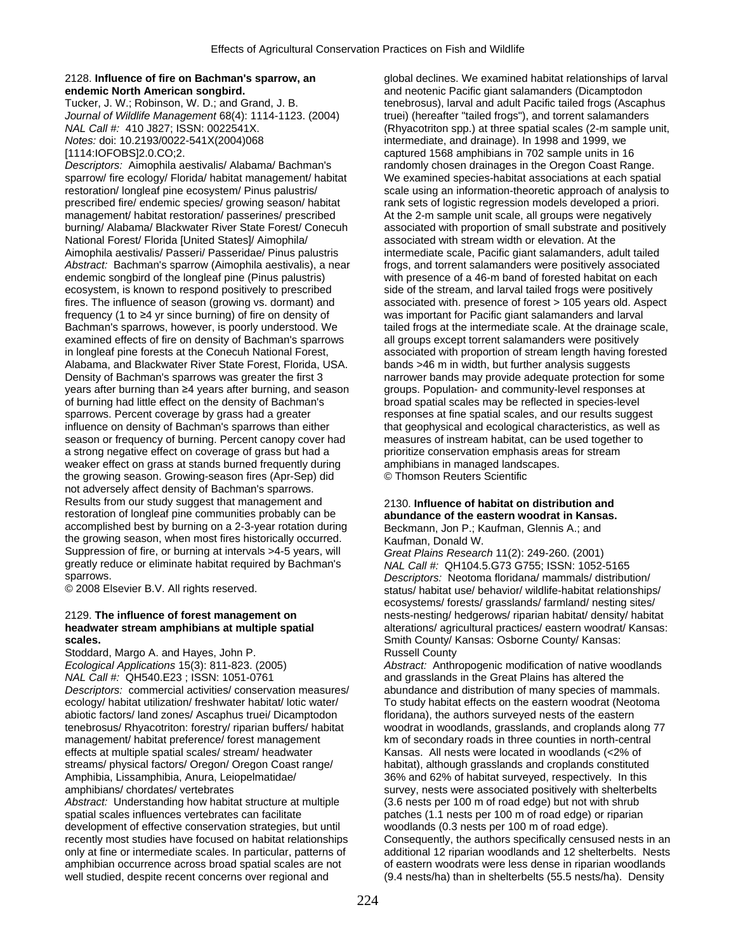## 2128. **Influence of fire on Bachman's sparrow, an** global declines. We examined habitat relationships of larval

*Journal of Wildlife Management* 68(4): 1114-1123. (2004) truei) (hereafter "tailed frogs"), and torrent salamanders *Notes:* doi: 10.2193/0022-541X(2004)068 intermediate, and drainage). In 1998 and 1999, we

*Descriptors:* Aimophila aestivalis/ Alabama/ Bachman's randomly chosen drainages in the Oregon Coast Range. sparrow/ fire ecology/ Florida/ habitat management/ habitat We examined species-habitat associations at each spatial restoration/ longleaf pine ecosystem/ Pinus palustris/ scale using an information-theoretic approach of analysis to prescribed fire/ endemic species/ growing season/ habitat rank sets of logistic regression models developed a priori. management/ habitat restoration/ passerines/ prescribed At the 2-m sample unit scale, all groups were negatively burning/ Alabama/ Blackwater River State Forest/ Conecuh associated with proportion of small substrate and positively National Forest/ Florida [United States]/ Aimophila/ associated with stream width or elevation. At the Aimophila aestivalis/ Passeri/ Passeridae/ Pinus palustris intermediate scale, Pacific giant salamanders, adult tailed *Abstract:* Bachman's sparrow (Aimophila aestivalis), a near frogs, and torrent salamanders were positively associated endemic songbird of the longleaf pine (Pinus palustris) with presence of a 46-m band of forested habitat on each<br>ecosystem, is known to respond positively to prescribed side of the stream, and larval tailed frogs were posi fires. The influence of season (growing vs. dormant) and associated with. presence of forest > 105 years old. Aspect frequency (1 to ≥4 yr since burning) of fire on density of was important for Pacific giant salamanders and larval Bachman's sparrows, however, is poorly understood. We tailed frogs at the intermediate scale. At the drainage scale, examined effects of fire on density of Bachman's sparrows all groups except torrent salamanders were positively in longleaf pine forests at the Conecuh National Forest, and associated with proportion of stream length having forested Alabama, and Blackwater River State Forest, Florida, USA. bands >46 m in width, but further analysis suggests Density of Bachman's sparrows was greater the first 3 narrower bands may provide adequate protection for some years after burning than ≥4 years after burning, and season groups. Population- and community-level responses at of burning had little effect on the density of Bachman's broad spatial scales may be reflected in species-level sparrows. Percent coverage by grass had a greater responses at fine spatial scales, and our results suggest influence on density of Bachman's sparrows than either that geophysical and ecological characteristics, as well as season or frequency of burning. Percent canopy cover had measures of instream habitat, can be used together to a strong negative effect on coverage of grass but had a prioritize conservation emphasis areas for stream weaker effect on grass at stands burned frequently during amphibians in managed landscapes.<br>the growing season. Growing-season fires (Apr-Sep) did © Thomson Reuters Scientific the growing season. Growing-season fires (Apr-Sep) did not adversely affect density of Bachman's sparrows. Results from our study suggest that management and 2130. **Influence of habitat on distribution and** restoration of longleaf pine communities probably can be **abundance of the eastern woodrat in Kansas**. restoration of longleaf pine communities probably can be **abundance of the eastern woodrat in Kansas.**<br>accomplished best by burning on a 2-3-year rotation during Beckmann, Jon P.: Kaufman, Glennis A.: and the growing season, when most fires historically occurred. Kaufman, Donald W. Suppression of fire, or burning at intervals >4-5 years, will *Great Plains Research* 11(2): 249-260. (2001) greatly reduce or eliminate habitat required by Bachman's *NAL Call #:* QH104.5.G73 G755; ISSN: 1052-5165

# **scales. Smith County/ Kansas: Osborne County/ Kansas: Osborne County/ Kansas: Smith County/ Kansas: Osborne County/ Kansas:**

Stoddard, Margo A. and Hayes, John P. **Russell County** *Ecological Applications* 15(3): 811-823. (2005) *Abstract:* Anthropogenic modification of native woodlands *NAL Call #:* QH540.E23 ; ISSN: 1051-0761 and grasslands in the Great Plains has altered the *Descriptors:* commercial activities/ conservation measures/ abundance and distribution of many species of mammals. ecology/ habitat utilization/ freshwater habitat/ lotic water/ To study habitat effects on the eastern woodrat (Neotoma abiotic factors/ land zones/ Ascaphus truei/ Dicamptodon floridana), the authors surveyed nests of the eastern tenebrosus/ Rhyacotriton: forestry/ riparian buffers/ habitat woodrat in woodlands, grasslands, and croplands along 77 management/ habitat preference/ forest management km of secondary roads in three counties in north-central<br>effects at multiple spatial scales/ stream/ headwater Kansas. All nests were located in woodlands (<2% of streams/ physical factors/ Oregon/ Oregon Coast range/ habitat), although grasslands and croplands constituted Amphibia, Lissamphibia, Anura, Leiopelmatidae/ 36% and 62% of habitat surveyed, respectively. In this amphibians/ chordates/ vertebrates survey survey, nests were associated positively with shelterbelts

*Abstract:* Understanding how habitat structure at multiple (3.6 nests per 100 m of road edge) but not with shrub spatial scales influences vertebrates can facilitate patches (1.1 nests per 100 m of road edge) or riparian development of effective conservation strategies, but until woodlands (0.3 nests per 100 m of road edge). well studied, despite recent concerns over regional and (9.4 nests/ha) than in shelterbelts (55.5 nests/ha). Density

**endemic North American songbird.** and neotenic Pacific giant salamanders (Dicamptodon Tucker, J. W.; Robinson, W. D.; and Grand, J. B. tenebrosus), larval and adult Pacific tailed frogs (Ascaphus *NAL Call #:* 410 J827; ISSN: 0022541X. (Rhyacotriton spp.) at three spatial scales (2-m sample unit, captured 1568 amphibians in 702 sample units in 16 side of the stream, and larval tailed frogs were positively

# Beckmann, Jon P.; Kaufman, Glennis A.; and

sparrows. *Descriptors:* Neotoma floridana/ mammals/ distribution/ status/ habitat use/ behavior/ wildlife-habitat relationships/ ecosystems/ forests/ grasslands/ farmland/ nesting sites/ 2129. **The influence of forest management on** nests-nesting/ hedgerows/ riparian habitat/ density/ habitat **headwater stream amphibians at multiple spatial entity of alterations/ agricultural practices/ eastern woodrat/ Kansas:** 

Kansas. All nests were located in woodlands (<2% of recently most studies have focused on habitat relationships Consequently, the authors specifically censused nests in an only at fine or intermediate scales. In particular, patterns of additional 12 riparian woodlands and 12 shelterbelts. Nests amphibian occurrence across broad spatial scales are not of eastern woodrats were less dense in riparian woodlands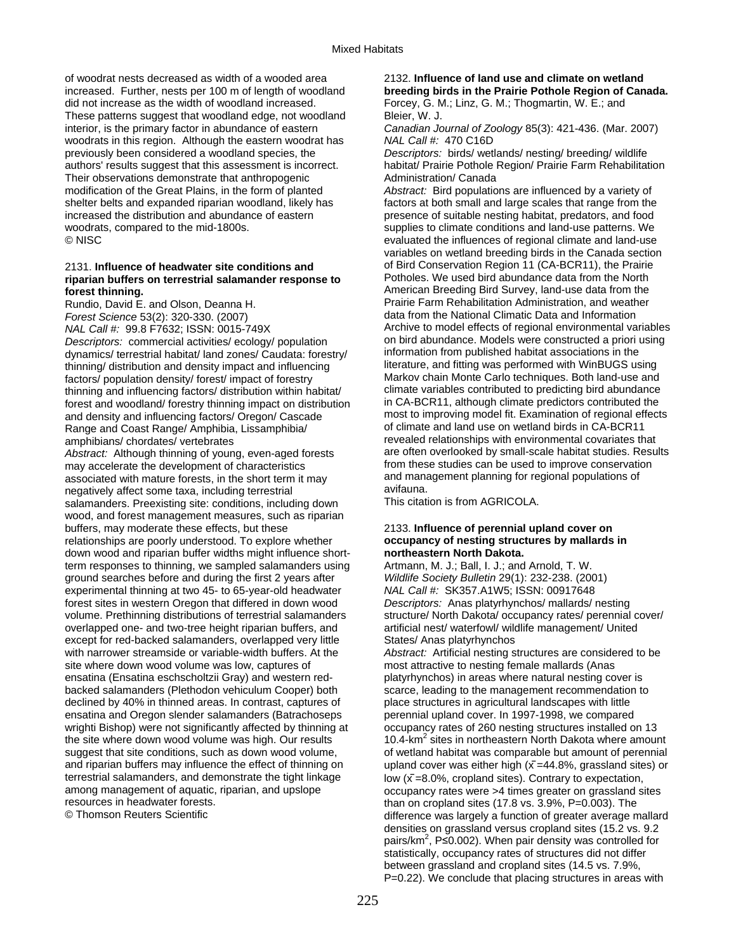of woodrat nests decreased as width of a wooded area 2132. **Influence of land use and climate on wetland**  did not increase as the width of woodland increased. Forcey, G. M.; Linz, G. M.; Thogmartin, W. E.; and These patterns suggest that woodland edge, not woodland Bleier, W. J. interior, is the primary factor in abundance of eastern *Canadian Journal of Zoology* 85(3): 421-436. (Mar. 2007) woodrats in this region. Although the eastern woodrat has *NAL Call #:* 470 C16D previously been considered a woodland species, the *Descriptors:* birds/ wetlands/ nesting/ breeding/ wildlife authors' results suggest that this assessment is incorrect. habitat/ Prairie Pothole Region/ Prairie Farm Rehab authors' results suggest that this assessment is incorrect. Their observations demonstrate that anthropogenic Administration/ Canada modification of the Great Plains, in the form of planted *Abstract:* Bird populations are influenced by a variety of shelter belts and expanded riparian woodland, likely has factors at both small and large scales that range from the increased the distribution and abundance of eastern presence of suitable nesting habitat, predators, and food woodrats, compared to the mid-1800s. supplies to climate conditions and land-use patterns. We © NISC evaluated the influences of regional climate and land-use

## riparian buffers on terrestrial salamander response to **forest thinning.** American Breeding Bird Survey, land-use data from the

Rundio, David E. and Olson, Deanna H. Prairie Farm Rehabilitation Administration, and weather *Forest Science* 53(2): 320-330. (2007) data from the National Climatic Data and Information *NAL Call #:* 99.8 F7632; ISSN: 0015-749X<br>Descriptors: commercial activities/ ecology/ population on bird abundance. Models were constructed a priori using *Descriptors:* commercial activities/ ecology/ population on bird abundance. Models were constructed a priori unit<br>dynamics/ terrestrial habitat/ land zones/ Caudata: forestry/ information from published habitat associatio dynamics/ terrestrial habitat/ land zones/ Caudata: forestry/ information from published habitat associations in the<br>thinning/ distribution and density impact and influencing literature, and fitting was performed with WinB thinning/ distribution and density impact and influencing literature, and fitting was performed with WinBUGS using<br>factors/ population density/ forest/ impact of forestry literature. Markov chain Monte Carlo techniques. Bo factors/ population density/ forest/ impact of forestry **Markov** chain Monte Carlo techniques. Both land-use and<br>
fhinning and influencing factors/ distribution within habitat/ climate variables contributed to predicting b thinning and influencing factors/ distribution within habitat/ climate variables contributed to predicting bird abundance<br>forest and woodland/ forestry thinning impact on distribution in CA-BCR11, although climate predicto forest and woodland/ forestry thinning impact on distribution in CA-BCR11, although climate predictors contributed the<br>and density and influencing factors/ Oregon/ Cascade most to improving model fit. Examination of region and density and influencing factors/ Oregon/ Cascade most to improving model fit. Examination of regional effects<br>Range and Coast Range/ Amphibia, Lissamphibia/ of climate and land use on wetland birds in CA-BCR11 Range and Coast Range/ Amphibia, Lissamphibia/<br>amphibians/ chordates/ vertebrates *Abstract: Although thinning of young, even-aged forests* may accelerate the development of characteristics from these studies can be used to improve conservation<br>associated with mature forests, in the short term it may and management planning for regional populations of associated with mature forests, in the short term it may and management planning populations of regional popula<br>negatively affect some taxal including terrestrial negatively affect some taxa, including terrestrial avita avitauna.<br>salamanders. Preexisting site: conditions, including down This citation is from AGRICOLA. salamanders. Preexisting site: conditions, including down wood, and forest management measures, such as riparian buffers, may moderate these effects, but these relationships are poorly understood. To explore whether **occupancy of nesting structures by mallards in**  down wood and riparian buffer widths might influence short- **northeastern North Dakota.**  term responses to thinning, we sampled salamanders using Artmann, M. J.; Ball, I. J.; and Arnold, T. W. ground searches before and during the first 2 years after *Wildlife Society Bulletin* 29(1): 232-238. (2001) experimental thinning at two 45- to 65-year-old headwater *NAL Call #:* SK357.A1W5; ISSN: 00917648 forest sites in western Oregon that differed in down wood *Descriptors:* Anas platyrhynchos/ mallards/ nesting volume. Prethinning distributions of terrestrial salamanders structure/ North Dakota/ occupancy rates/ perennial cover/ overlapped one- and two-tree height riparian buffers, and artificial nest/ waterfowl/ wildlife management/ United except for red-backed salamanders, overlapped very little States/ Anas platyrhynchos with narrower streamside or variable-width buffers. At the *Abstract:* Artificial nesting structures are considered to be site where down wood volume was low, captures of most attractive to nesting female mallards (Anas ensatina (Ensatina eschscholtzii Gray) and western red- platyrhynchos) in areas where natural nesting cover is backed salamanders (Plethodon vehiculum Cooper) both scarce, leading to the management recommendation to declined by 40% in thinned areas. In contrast, captures of place structures in agricultural landscapes with little ensatina and Oregon slender salamanders (Batrachoseps perennial upland cover. In 1997-1998, we compared wrighti Bishop) were not significantly affected by thinning at occupancy rates of 260 nesting structures installed on 13 the site where down wood volume was high. Our results suggest that site conditions, such as down wood volume. and riparian buffers may influence the effect of thinning on upland cover was either high  $(\bar{x} = 44.8\%$ , grassland sites) or terrestrial salamanders, and demonstrate the tight linkage low  $(x=8.0\%$ , cropland sites). Contrary to expectation, among management of aquatic, riparian, and upslope occupancy rates were  $>4$  times greater on grassland s among management of aquatic, riparian, and upslope occupancy rates were  $>4$  times greater on grassland sites resources in headwater forests.

# increased. Further, nests per 100 m of length of woodland **breeding birds in the Prairie Pothole Region of Canada.**

variables on wetland breeding birds in the Canada section 2131. **Influence of headwater site conditions and** of Bird Conservation Region 11 (CA-BCR11), the Prairie revealed relationships with environmental covariates that are often overlooked by small-scale habitat studies. Results

# 2133. Influence of perennial upland cover on

10.4- $km^2$  sites in northeastern North Dakota where amount of wetland habitat was comparable but amount of perennial resources in headwater forests. than on cropland sites (17.8 vs. 3.9%, P=0.003). The<br>© Thomson Reuters Scientific example a difference was largely a function of greater average n difference was largely a function of greater average mallard densities on grassland versus cropland sites (15.2 vs. 9.2 pairs/km<sup>2</sup>, P≤0.002). When pair density was controlled for statistically, occupancy rates of structures did not differ between grassland and cropland sites (14.5 vs. 7.9%, P=0.22). We conclude that placing structures in areas with ̄ ̄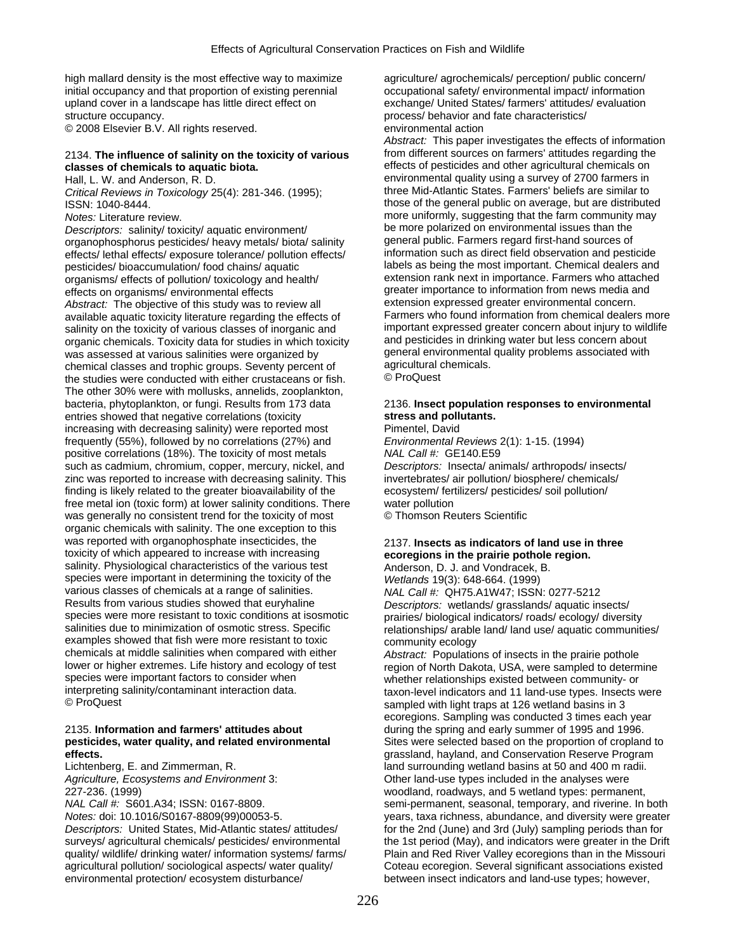high mallard density is the most effective way to maximize agriculture/ agrochemicals/ perception/ public concern/ initial occupancy and that proportion of existing perennial occupational safety/ environmental impact/ information upland cover in a landscape has little direct effect on exchange/ United States/ farmers' attitudes/ evaluation<br>process/ behavior and fate characteristics/ © 2008 Elsevier B.V. All rights reserved. environmental action

2134. **The influence of salinity on the toxicity of various** from different sources on farmers' attitudes regarding the **classes of chemicals to aquatic biota.** effects of pesticides and other agricultural chemicals on

*Critical Reviews in Toxicology* 25(4): 281-346. (1995);

*Descriptors:* salinity/ toxicity/ aquatic environment/ be more polarized on environmental issues than the organophosphorus pesticides/ heavy metals/ biota/ salinity general public. Farmers regard first-hand sources of<br>effects/ lethal effects/ exposure tolerance/ pollution effects/ information such as direct field observation a effects/ lethal effects/ exposure tolerance/ pollution effects/ pesticides/ bioaccumulation/ food chains/ aquatic labels as being the most important. Chemical dealers and organisms/ effects of pollution/ toxicology and health/ extension rank next in importance. Farmers who attached effects on organisms/ environmental effects<br>Abstract: The objective of this study was to review all extension expressed greater environmental concern. *Abstract:* The objective of this study was to review all extension expressed greater environmental concern.<br>Available aquatic toxicity literature regarding the effects of Farmers who found information from chemical dealer available aquatic toxicity literature regarding the effects of salinity on the toxicity of various classes of inorganic and important expressed greater concern about injury to wildlife<br>
organic chemicals Toxicity data for studies in which toxicity and pesticides in drinking water but organic chemicals. Toxicity data for studies in which toxicity was assessed at various salinities were organized by general environmental quality problems associated with chemical classes and trophic groups. Seventy percent of agricultural chemicals. chemical classes and trophic groups. Seventy percent of agricultural chemical chemical chemical chemical chemical chemical chemical chemical chemical chemical chemical chemical chemical chemical chemical chemical chemical the studies were conducted with either crustaceans or fish. The other 30% were with mollusks, annelids, zooplankton, bacteria, phytoplankton, or fungi. Results from 173 data 2136. **Insect population responses to environmental**  entries showed that negative correlations (toxicity **stress and pollutants.**  increasing with decreasing salinity) were reported most<br>
frequently (55%), followed by no correlations (27%) and *Environmental Reviews* 2(1): 1-15. (1994) frequently (55%), followed by no correlations (27%) and positive correlations (18%). The toxicity of most metals *NAL Call #:* GE140.E59 such as cadmium, chromium, copper, mercury, nickel, and *Descriptors:* Insecta/ animals/ arthropods/ insects/ zinc was reported to increase with decreasing salinity. This invertebrates/ air pollution/ biosphere/ chemicals/ finding is likely related to the greater bioavailability of the ecosystem/ fertilizers/ pesticides/ soil pollution/ free metal ion (toxic form) at lower salinity conditions. There water pollution<br>was denerally no consistent trend for the toxicity of most © Thomson Reuters Scientific was generally no consistent trend for the toxicity of most organic chemicals with salinity. The one exception to this was reported with organophosphate insecticides, the 2137. **Insects as indicators of land use in three**  toxicity of which appeared to increase with increasing **ecoregions in the prairie pothole region.**  salinity. Physiological characteristics of the various test Anderson, D. J. and Vondracek, B. species were important in determining the toxicity of the *Wetlands* 19(3): 648-664. (1999) various classes of chemicals at a range of salinities. *NAL Call #:* QH75.A1W47; ISSN: 0277-5212<br>Results from various studies showed that euryhaline *Descriptors:* wetlands/ grasslands/ aquatic ins Results from various studies showed that euryhaline *Descriptors:* wetlands/ grasslands/ aquatic insects/<br>species were more resistant to toxic conditions at isosmotic prairies/ biological indicators/ roads/ ecology/ divers species were more resistant to toxic conditions at isosmotic expairies/ biological indicators/ roads/ ecology/ diversity<br>salinities due to minimization of osmotic stress. Specific expansions relationships/ arable land/ lan examples showed that fish were more resistant to toxic<br>chemicals at middle salinities when compared with either chemicals at middle salinities when compared with either *Abstract:* Populations of insects in the prairie pothole lower or higher extremes. Life history and ecology of test region of North Dakota, USA, were sampled to determine<br>species were important factors to consider when whether relationships existed between community- or species were important factors to consider when whether relationships existed between community- or<br>interpreting salinity/contaminant interaction data.<br>taxon-level indicators and 11 land-use types. Insects in interpreting salinity/contaminant interaction data. the taxon-level indicators and 11 land-use types. Insects were<br>© ProQuest sampled with light trans at 126 wetland basins in 3

# 2135. **Information and farmers' attitudes about** during the spring and early summer of 1995 and 1996.

*Descriptors:* United States, Mid-Atlantic states/ attitudes/ for the 2nd (June) and 3rd (July) sampling periods than for quality/ wildlife/ drinking water/ information systems/ farms/ Plain and Red River Valley ecoregions than in the Missouri agricultural pollution/ sociological aspects/ water quality/ Coteau ecoregion. Several significant associations existed environmental protection/ ecosystem disturbance/ between insect indicators and land-use types; however,

process/ behavior and fate characteristics/

*Abstract:* This paper investigates the effects of information Hall, L. W. and Anderson, R. D. environmental quality using a survey of 2700 farmers in<br>Critical Reviews in Toxicology 25(4): 281-346 (1995): three Mid-Atlantic States. Farmers' beliefs are similar to ISSN: 1040-8444. **ISSN:** 1040-8444. **those of the general public on average, but are distributed more uniformly, suggesting that the farm community may** more uniformly, suggesting that the farm community may be more polarized on environmental issues than the

relationships/ arable land/ land use/ aquatic communities/ communities/

sampled with light traps at 126 wetland basins in 3 ecoregions. Sampling was conducted 3 times each year **pesticides, water quality, and related environmental** Sites were selected based on the proportion of cropland to **effects.** grassland, hayland, and Conservation Reserve Program Lichtenberg, E. and Zimmerman, R. land surrounding wetland basins at 50 and 400 m radii. *Agriculture, Ecosystems and Environment* 3: Other land-use types included in the analyses were 227-236. (1999) woodland, roadways, and 5 wetland types: permanent, *NAL Call #:* S601.A34; ISSN: 0167-8809. semi-permanent, seasonal, temporary, and riverine. In both *Notes:* doi: 10.1016/S0167-8809(99)00053-5. years, taxa richness, abundance, and diversity were greater surveys/ agricultural chemicals/ pesticides/ environmental the 1st period (May), and indicators were greater in the Drift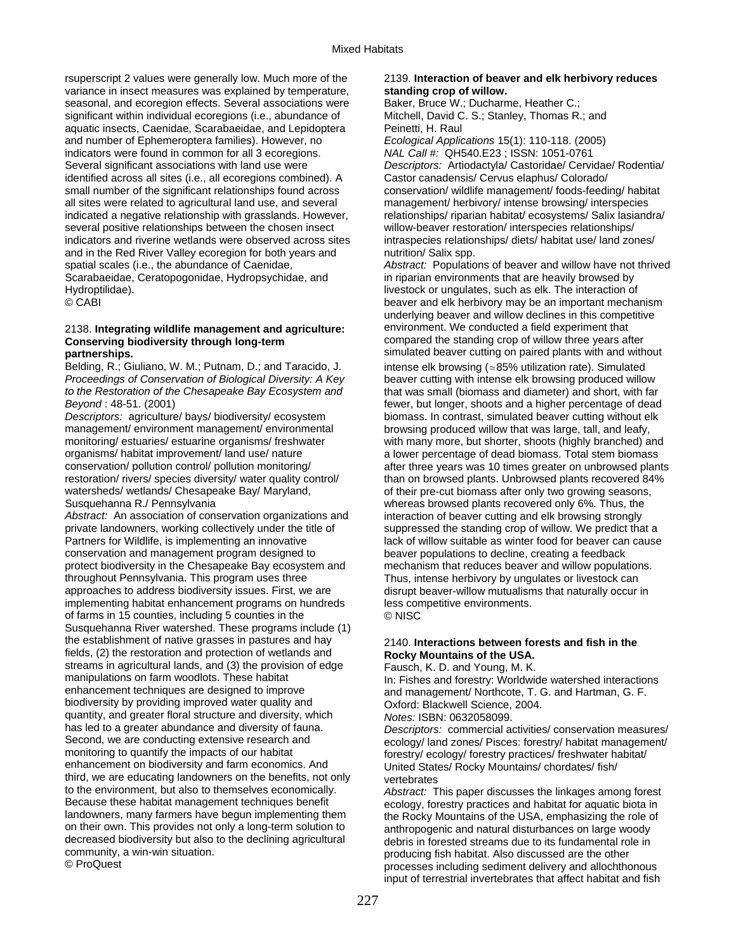rsuperscript 2 values were generally low. Much more of the 2139. **Interaction of beaver and elk herbivory reduces**  variance in insect measures was explained by temperature, **standing crop of willow.**  seasonal, and ecoregion effects. Several associations were Baker, Bruce W.; Ducharme, Heather C.; significant within individual ecoregions (i.e., abundance of Mitchell, David C. S.; Stanley, Thomas R.; and aquatic insects, Caenidae, Scarabaeidae, and Lepidoptera Peinetti, H. Raul and number of Ephemeroptera families). However, no *Ecological Applications* 15(1): 110-118. (2005) indicators were found in common for all 3 ecoregions. Several significant associations with land use were *Descriptors:* Artiodactyla/ Castoridae/ Cervidae/ Rodentia/<br>identified across all sites (i.e., all ecoregions combined). A Castor canadensis/ Cervus elaphus/ Colorado/ identified across all sites (i.e., all ecoregions combined). A small number of the significant relationships found across conservation/ wildlife management/ foods-feeding/ habitat all sites were related to agricultural land use, and several management/ herbivory/ intense browsing/ interspecies indicated a negative relationship with grasslands. However, relationships/ riparian habitat/ ecosystems/ Salix lasiandra/ several positive relationships between the chosen insect willow-beaver restoration/ interspecies relationships/ indicators and riverine wetlands were observed across sites intraspecies relationships/ diets/ habitat use/ land zones/ and in the Red River Valley ecoregion for both years and nutrition/ Salix spp. spatial scales (i.e., the abundance of Caenidae, *Abstract: Populations of beaver and willow have not thrived*<br>Scarabaeidae, Ceratopogonidae, Hydropsychidae, and in riparian environments that are heavily browsed by Scarabaeidae, Ceratopogonidae, Hydropsychidae, and<br>Hydroptilidae).

## 2138. **Integrating wildlife management and agriculture:** environment. We conducted a field experiment that **Conserving biodiversity through long-term**

Belding, R.; Giuliano, W. M.; Putnam, D.; and Taracido, J. intense elk browsing (≃85% utilization rate). Simulated Proceedings of Conservation of Biological Diversity: A Key beaver cutting with intense elk browsing produc *Proceedings of Conservation of Biological Diversity: A Key to the Restoration of the Chesapeake Bay Ecosystem and* that was small (biomass and diameter) and short, with far

management/ environment management/ environmental browsing produced willow that was large, tall, and leafy, watersheds/ wetlands/ Chesapeake Bay/ Maryland, only their pre-cut biomass after only two growing seasons, Susquehanna R./ Pennsylvania whereas browsed plants recovered only 6%. Thus, the

*Abstract:* An association of conservation organizations and interaction of beaver cutting and elk browsing strongly private landowners, working collectively under the title of suppressed the standing crop of willow. We pr private landowners, working collectively under the title of suppressed the standing crop of willow. We predict that a<br>Partners for Wildlife, is implementing an innovative suppressed the standing crop of willow. We predict conservation and management program designed to beaver populations to decline, creating a feedback protect biodiversity in the Chesapeake Bay ecosystem and mechanism that reduces beaver and willow populations.<br>
throughout Pennsylvania. This program uses three Thus. intense herbivory by ungulates or livestock can throughout Pennsylvania. This program uses three Thus, intense herbivory by ungulates or livestock can<br>approaches to address biodiversity issues. First, we are disrupt beaver-willow mutualisms that naturally occur implementing habitat enhancement programs on hundreds less competitive environments. of farms in 15 counties, including 5 counties in the © NISC Susquehanna River watershed. These programs include (1) the establishment of native grasses in pastures and hay 2140. **Interactions between forests and fish in the**  fields, (2) the restoration and protection of wetlands and **Rocky Mountains of the USA.** <br> **Rocky Mountains of the USA. Reprosent Analytic Rocky Fausch, K. D. and Young, M. K.** manipulations on farm woodlots. These habitat **Interaction of the provision of edge Fausch**, K. D. and Hartman, M. Fishes and forestry: Worldwide watershed interactions enhancement dechniques are designed to improve and ma enhancement techniques are designed to improve and management/ Northcote, T. G. and Hartman, G. F. biodiversity by providing improved water quality and  $Ox$ ford: Blackwell Science, 2004. quantity, and greater floral structure and diversity, which *Notes:* ISBN: 0632058099.<br>has led to a greater abundance and diversity of fauna. *Descriptors:* commercial a has led to a greater abundance and diversity of fauna.<br>**Becond, we are conducting extensive research** and<br>**ecology** land zones/ Pisces: forestry/ habitat management/ Second, we are conducting extensive research and ecology/ land zones/ Pisces: forestry/ habitat management/<br>monitoring to quantify the impacts of our habitat forestry forestry/ ecology/ forestry practices/ freshwater habit third, we are educating landowners on the benefits, not only vertebrates<br>to the environment, but also to themselves economically. Abstract: T to the environment, but also to themselves economically.<br>Because these habitat management techniques benefit<br>landowners, many farmers have begun implementing them the Rocky Mountains of the USA, emphasizing the role of landowners, many farmers have begun implementing them the Rocky Mountains of the USA, emphasizing the role of on their own. This provides not only a long-term solution to anthropogenic and natural disturbances on large woo decreased biodiversity but also to the declining agricultural debris in forested streams due to its fundamental role in<br>community, a win-win situation.<br>producing fish habitat Also discussed are the other

livestock or ungulates, such as elk. The interaction of © CABI beaver and elk herbivory may be an important mechanism underlying beaver and willow declines in this competitive **partnerships. partnerships. partnerships. simulated beaver cutting on paired plants with and without** *Beyond* : 48-51. (2001) *Beyond* : 48-51. (2001) **fewer, but longer, shoots and a higher percentage of dead<br>***Descriptors:* **agriculture/ bays/ biodiversity/ ecosystem biomass. In contrast, simulated beaver cutting without** biomass. In contrast, simulated beaver cutting without elk monitoring/ estuaries/ estuarine organisms/ freshwater with many more, but shorter, shoots (highly branched) and organisms/ habitat improvement/ land use/ nature a lower percentage of dead biomass. Total stem biomass conservation/ pollution control/ pollution monitoring/ after three years was 10 times greater on unbrowsed plants restoration/ rivers/ species diversity/ water quality control/ than on browsed plants. Unbrowsed plants recovered 84% lack of willow suitable as winter food for beaver can cause disrupt beaver-willow mutualisms that naturally occur in

United States/ Rocky Mountains/ chordates/ fish/

community, a win-win situation. producing fish habitat. Also discussed are the other © ProQuest processes including sediment delivery and allochthonous input of terrestrial invertebrates that affect habitat and fish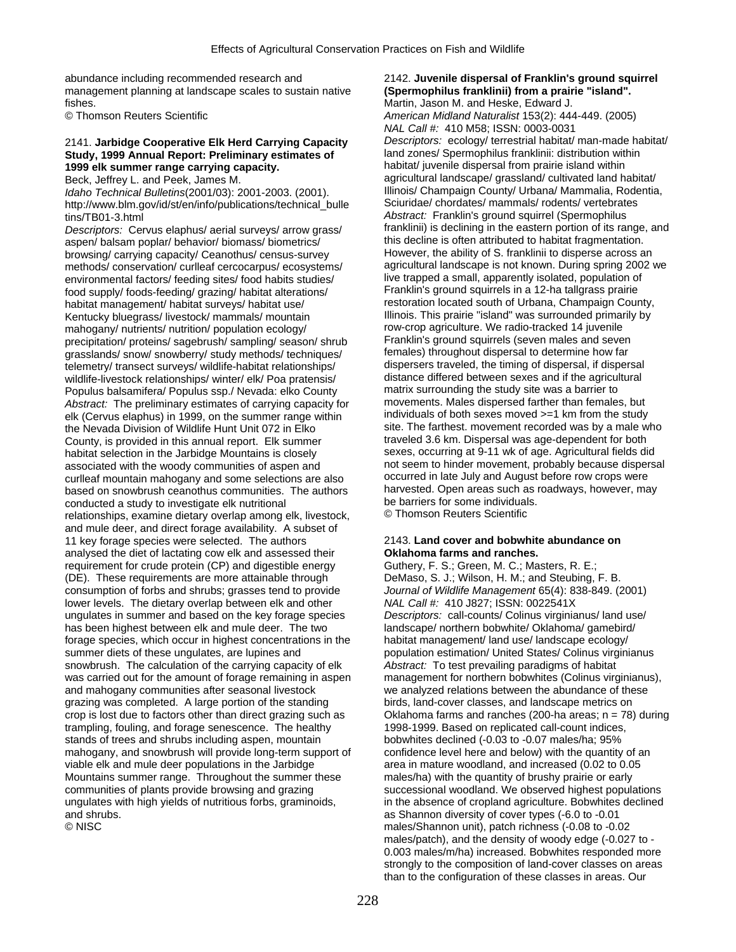management planning at landscape scales to sustain native **(Spermophilus franklinii) from a prairie "island".**  fishes.<br>
© Thomson Reuters Scientific **Martio Communisty Communisty Communisty** Martin, Jason M. and Heske, Edward J.

## **Study, 1999 Annual Report: Preliminary estimates of 1999 elk summer range carrying capacity.** habitat/ juvenile dispersal from prairie island within

*Idaho Technical Bulletins*(2001/03): 2001-2003. (2001). Illinois/ Champaign County/ Urbana/ Mammalia, Rodentia, http://www.blm.gov/id/st/en/info/publications/technical\_bulle

*Descriptors:* Cervus elaphus/ aerial surveys/ arrow grass/ franklinii) is declining in the eastern portion of its range<br>aspen/ halsam poplar/ hehavior/ biomass/ biometrics/ frankliniis decline is often attributed to habit aspen/ balsam poplar/ behavior/ biomass/ biometrics/ browsing/ carrying capacity/ Ceanothus/ census-survey However, the ability of S. franklinii to disperse across an<br>methods/ conservation/ curlleaf cercocarpus/ ecosystems/ agricultural landscape is not known. During spring methods/ conservation/ curlleaf cercocarpus/ ecosystems/ agricultural landscape is not known. During spring 200<br>
environmental factors/ feeding sites/ food habits studies/ live trapped a small, apparently isolated, populat environmental factors/ feeding sites/ food habits studies/ food supply/ foods-feeding/ grazing/ habitat alterations/ Franklin's ground squirrels in a 12-ha tallgrass prairie habitat management/ habitat surveys/ habitat use/ restoration located south of Urbana, Champaign County,<br>Kentucky bluegrass/ livestock/ mammals/ mountain and all linois. This prairie "island" was surrounded primarily by Kentucky bluegrass/ livestock/ mammals/ mountain Illinois. This prairie "island" was surrounded primar<br>Illinois. This prairie "island" was surrounded primarily mahogany/ nutrients/ nutrients/ nutrients/ nutrition mahogany/ nutrients/ nutrition/ population ecology/ row-crop agriculture. We radio-tracked 14 juvenile<br>Interinitation/ proteins/ sagebrush/ sampling/ season/ shrub Franklin's ground squirrels (seven males and seven precipitation/ proteins/ sagebrush/ sampling/ season/ shrub Franklin's ground squirrels (seven males and seven<br>
grasslands/ snow/ snowberry/ study methods/ techniques/ females) throughout dispersal to determine how far grasslands/ snow/ snowberry/ study methods/ techniques/ females) throughout dispersal to determine how far<br>telemetry/ transect surveys/ wildlife-habitat relationships/ dispersers traveled, the timing of dispersal, if dispe telemetry/ transect surveys/ wildlife-habitat relationships/ dispersers traveled, the timing of dispersal, if dispersal<br>wildlife-livestock relationships/ winter/ elk/ Poa pratensis/ distance differed between sexes and if t wildlife-livestock relationships/ winter/ elk/ Poa pratensis/ distance differed between sexes and if the agricul<br>Populus balsamifera/ Populus ssp./ Nevada: elko County matrix surrounding the study site was a barrier to Populus balsamifera/ Populus ssp./ Nevada: elko County matrix surrounding the study site was a barrier to<br>Abstract: The preliminary estimates of carrying capacity for movements. Males dispersed farther than females, but *Abstract:* The preliminary estimates of carrying capacity for movements. Males dispersed farther than females, but elk (Cervus elaphus) in 1999, on the summer range within the Nevada Division of Wildlife Hunt Unit 072 in Elko County, is provided in this annual report. Elk summer traveled 3.6 km. Dispersal was age-dependent for both habitat selection in the Jarbidge Mountains is closely sexes, occurring at 9-11 wk of age. Agricultural fields did associated with the woody communities of aspen and not seem to hinder movement, probably because dispersal<br>curlleaf mountain mahogany and some selections are also occurred in late July and August before row crops were curlleaf mountain mahogany and some selections are also based on snowbrush ceanothus communities. The authors harvested. Open areas such as roadways, however, may<br>conducted a study to investigate elk nutritional be barriers for some individuals. conducted a study to investigate elk nutritional be barriers for some individuals<br>relationships examine dietary overlan among elk livestock © Thomson Reuters Scientific relationships, examine dietary overlap among elk, livestock, and mule deer, and direct forage availability. A subset of 11 key forage species were selected. The authors 2143. **Land cover and bobwhite abundance on**  analysed the diet of lactating cow elk and assessed their **Oklahoma farms and ranches.**  requirement for crude protein (CP) and digestible energy Guthery, F. S.; Green, M. C.; Masters, R. E.; (DE). These requirements are more attainable through DeMaso, S. J.; Wilson, H. M.; and Steubing, F. B. consumption of forbs and shrubs; grasses tend to provide *Journal of Wildlife Management* 65(4): 838-849. (2001) lower levels. The dietary overlap between elk and other *NAL Call #:* 410 J827; ISSN: 0022541X ungulates in summer and based on the key forage species *Descriptors:* call-counts/ Colinus virginianus/ land use/ has been highest between elk and mule deer. The two landscape/ northern bobwhite/ Oklahoma/ gamebird/ forage species, which occur in highest concentrations in the habitat management/ land use/ landscape ecology/ summer diets of these ungulates, are lupines and population estimation/ United States/ Colinus virginianus snowbrush. The calculation of the carrying capacity of elk *Abstract:* To test prevailing paradigms of habitat was carried out for the amount of forage remaining in aspen management for northern bobwhites (Colinus virginianus), and mahogany communities after seasonal livestock we analyzed relations between the abundance of these grazing was completed. A large portion of the standing birds, land-cover classes, and landscape metrics on crop is lost due to factors other than direct grazing such as  $O$ klahoma farms and ranches (200-ha areas;  $n = 78$ ) during trampling, fouling, and forage senescence. The healthy 1998-1999. Based on replicated call-count indices, stands of trees and shrubs including aspen. mountain bobwhites declined (-0.03 to -0.07 males/ha: 95%) stands of trees and shrubs including aspen, mountain bobwhites declined (-0.03 to -0.07 males/ha; 95% stands o<br>mahogany, and snowbrush will provide long-term support of confidence level here and below) with the quantity of mahogany, and snowbrush will provide long-term support of viable elk and mule deer populations in the Jarbidge area in mature woodland, and increased (0.02 to 0.05 Mountains summer range. Throughout the summer these males/ha) with the quantity of brushy prairie or early communities of plants provide browsing and grazing successional woodland. We observed highest populations ungulates with high yields of nutritious forbs, graminoids, in the absence of cropland agriculture. Bobwhites declined

# abundance including recommended research and 2142. **Juvenile dispersal of Franklin's ground squirrel**

© Thomson Reuters Scientific *American Midland Naturalist* 153(2): 444-449. (2005) *NAL Call #:* 410 M58; ISSN: 0003-0031 2141. **Jarbidge Cooperative Elk Herd Carrying Capacity** *Descriptors:* ecology/ terrestrial habitat/ man-made habitat/ Beck, Jeffrey L. and Peek, James M.<br>
Idaho Technical Bulletins(2001/03): 2001-2003 (2001) llinois/ Champaign County/ Urbana/ Mammalia, Rodentia, tins/TB01-3.html<br>*Descriptors:* Cervus elaphus/ aerial surveys/ arrow grass/ franklinii) is declining in the eastern portion of its range, and site. The farthest. movement recorded was by a male who

and shrubs.<br>
as Shannon diversity of cover types (-6.0 to -0.01<br>
males/Shannon unit), patch richness (-0.08 to -0.01 males/Shannon unit), patch richness (-0.08 to -0.02 males/patch), and the density of woody edge (-0.027 to - 0.003 males/m/ha) increased. Bobwhites responded more strongly to the composition of land-cover classes on areas than to the configuration of these classes in areas. Our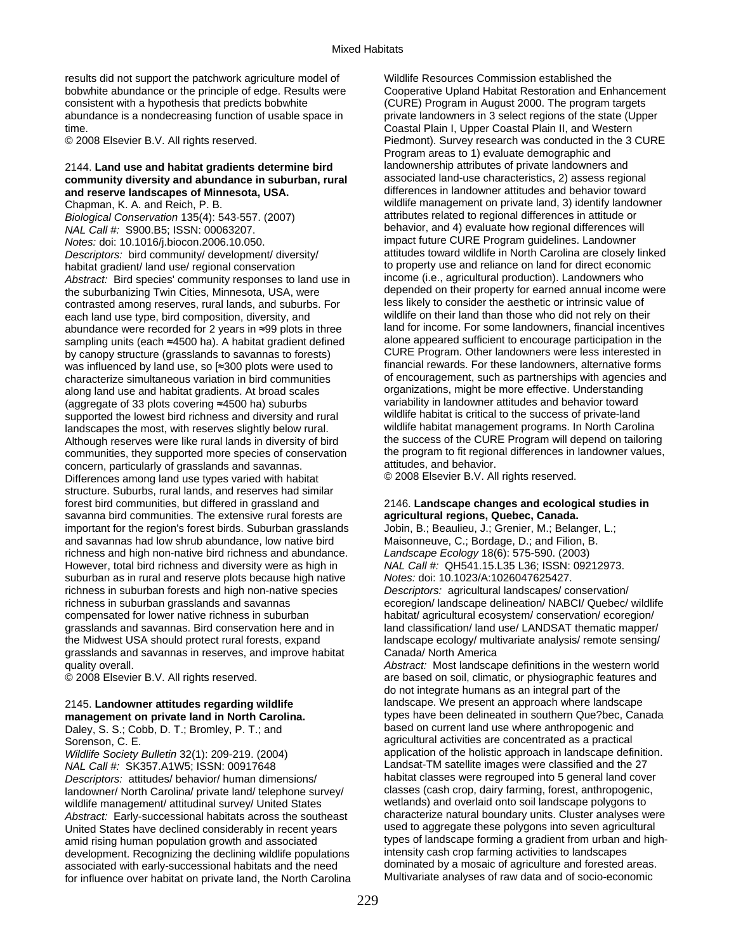results did not support the patchwork agriculture model of Wildlife Resources Commission established the consistent with a hypothesis that predicts bobwhite (CURE) Program in August 2000. The program targets abundance is a nondecreasing function of usable space in private landowners in 3 select regions of the state (Upper time. Coastal Plain I, Upper Coastal Plain II, and Western

## 2144. **Land use and habitat gradients determine bird** landownership attributes of private landowners and community diversity and abundance in suburban, rural and reserve landscapes of Minnesota, USA. **differences** in landowner attitudes and behavior toward

Chapman, K. A. and Reich, P. B. Sand Chapman, K. A. and Reich, P. B. wildlife management on private land, 3) identify landowner<br>Biological Conservation 135(4): 543-557 (2007) entitially attributes related to regional diffe *Biological Conservation* 135(4): 543-557. (2007) *NAL Call #:* S900.B5; ISSN: 00063207. behavior, and 4) evaluate how regional differences will *Notes:* doi: 10.1016/j.biocon.2006.10.050. impact future CURE Program guidelines. Landowner *Descriptors:* bird community/ development/ diversity/ attitudes toward wildlife in North Carolina are closely linked habitat gradient/ land use/ regional conservation to property use and reliance on land for direct economic<br>Abstract: Bird species' community responses to land use in income (i.e., agricultural production). Landowners who *Abstract:* Bird species' community responses to land use in the suburbanizing Twin Cities, Minnesota, USA, were depended on their property for earned annual income were<br>contrasted among reserves, rural lands, and suburbs. For less likely to consider the aesthetic or intrinsic value contrasted among reserves, rural lands, and suburbs. For less likely to consider the aesthetic or intrinsic value of<br>each land use type, bird composition, diversity, and suburbs, wildlife on their land than those who did n each land use type, bird composition, diversity, and wildlife on their land than those who did not rely on their<br>Abundance were recorded for 2 years in ≈99 plots in three land for income. For some landowners, financial inc abundance were recorded for 2 years in ≈99 plots in three land for income. For some landowners, financial incentives<br>sampling units (each ≈4500 ba). A babitat gradient defined alone appeared sufficient to encourage partic sampling units (each ≈4500 ha). A habitat gradient defined by canopy structure (grasslands to savannas to forests) CURE Program. Other landowners were less interested in was influenced by land use, so [≈300 plots were used to financial rewards. For these landowners, alternative forms characterize simultaneous variation in bird communities of encouragement, such as partnerships with agencies and<br>
along land use and habitat gradients. At broad scales organizations, might be more effective. Understanding along land use and habitat gradients. At broad scales organizations, might be more effective. Understanding<br>
(aggregate of 33 plots covering  $\approx$ 4500 ha) suburbs variability in landowner attitudes and behavior toward (aggregate of 33 plots covering ≈4500 ha) suburbs variability in landowner attitudes and behavior toward supported the lowest bird richness and diversity and rural wildlife habitat is critical to the success of private-land<br>landscapes the most, with reserves slightly below rural. Wildlife habitat management programs. In North landscapes the most, with reserves slightly below rural. Although reserves were like rural lands in diversity of bird the success of the CURE Program will depend on tailoring<br>
communities they supported more species of conservation the program to fit regional differences in land communities, they supported more species of conservation the program to fit region<br>concern particularly of grasslands and savannas attitudes, and behavior. concern, particularly of grasslands and savannas.<br>Differences among land use types varied with habitat CO2008 Elsevier B.V. All rights reserved. Differences among land use types varied with habitat structure. Suburbs, rural lands, and reserves had similar forest bird communities, but differed in grassland and 2146. **Landscape changes and ecological studies in**  savanna bird communities. The extensive rural forests are **agricultural regions, Quebec, Canada.**<br>
important for the region's forest birds. Suburban grasslands Jobin, B.; Beaulieu, J.; Grenier, M.; Belanger, L.; important for the region's forest birds. Suburban grasslands and savannas had low shrub abundance, low native bird Maisonneuve, C.; Bordage, D.; and Filion, B. richness and high non-native bird richness and abundance. *Landscape Ecology* 18(6): 575-590. (2003) However, total bird richness and diversity were as high in *NAL Call #:* QH541.15.L35 L36; ISSN: 09212973. suburban as in rural and reserve plots because high native *Notes:* doi: 10.1023/A:1026047625427. richness in suburban forests and high non-native species *Descriptors:* agricultural landscapes/ conservation/ richness in suburban grasslands and savannas ecoregion/ landscape delineation/ NABCI/ Quebec/ wildlife compensated for lower native richness in suburban habitat/ agricultural ecosystem/ conservation/ ecoregion/ grasslands and savannas. Bird conservation here and in land classification/ land use/ LANDSAT thematic mapper/ the Midwest USA should protect rural forests, expand landscape ecology/ multivariate analysis/ remote sensing/ grasslands and savannas in reserves, and improve habitat Canada/ North America quality overall. *Abstract:* Most landscape definitions in the western world

*NAL Call #:* SK357.A1W5; ISSN: 00917648 Landsat-TM satellite images were classified and the 27<br>Descriptors: attitudes/ behavior/ human dimensions/ https://www.habitat.classes.were regrouped into 5 general land cover *Descriptors:* attitudes/ behavior/ human dimensions/ habitat classes were regrouped into 5 general land cover landowner/ North Carolina/ private land/ telephone survey/ classes (cash crop, dairy farming, forest, anthropogenic<br>wildlife management/ attitudinal survey/ United States wetlands) and overlaid onto soil landscape polygons wildlife management/ attitudinal survey/ United States *Abstract:* Early-successional habitats across the southeast characterize natural boundary units. Cluster analyses were United States have declined considerably in recent years used to aggregate these polygons into seven agricultural amid rising human population growth and associated types of landscape forming a gradient from urban and high-<br>development. Recognizing the declining wildlife populations intensity cash crop farming activities to landscapes development. Recognizing the declining wildlife populations intensity cash crop farming activities to landscapes<br>associated with early-successional habitats and the need dominated by a mosaic of agriculture and forested ar associated with early-successional habitats and the need dominated by a mosaic of agriculture and forested areas.<br>
for influence over habitat on private land, the North Carolina Multivariate analyses of raw data and of soc for influence over habitat on private land, the North Carolina

bobwhite abundance or the principle of edge. Results were Cooperative Upland Habitat Restoration and Enhancement © 2008 Elsevier B.V. All rights reserved. Piedmont). Survey research was conducted in the 3 CURE Program areas to 1) evaluate demographic and<br>landownership attributes of private landowners and

© 2008 Elsevier B.V. All rights reserved.  $\Box$  are based on soil, climatic, or physiographic features and do not integrate humans as an integral part of the 2145. **Landowner attitudes regarding wildlife** landscape. We present an approach where landscape **management on private land in North Carolina.** types have been delineated in southern Que?bec, Canada Daley, S. S.; Cobb, D. T.; Bromley, P. T.; and based on current land use where anthropogenic and Sorenson, C. E.<br>
Wildlife Society Bulletin 32(1): 209-219 (2004) **agricultural activities are concentrated as a practical**<br>
application of the holistic approach in landscape definition. *Wildlife Society Bulletin* 32(1): 209-219. (2004) **application of the holistic approach in landscape definition**<br>MAL Call #: SK357 A1W5: ISSN: 00917648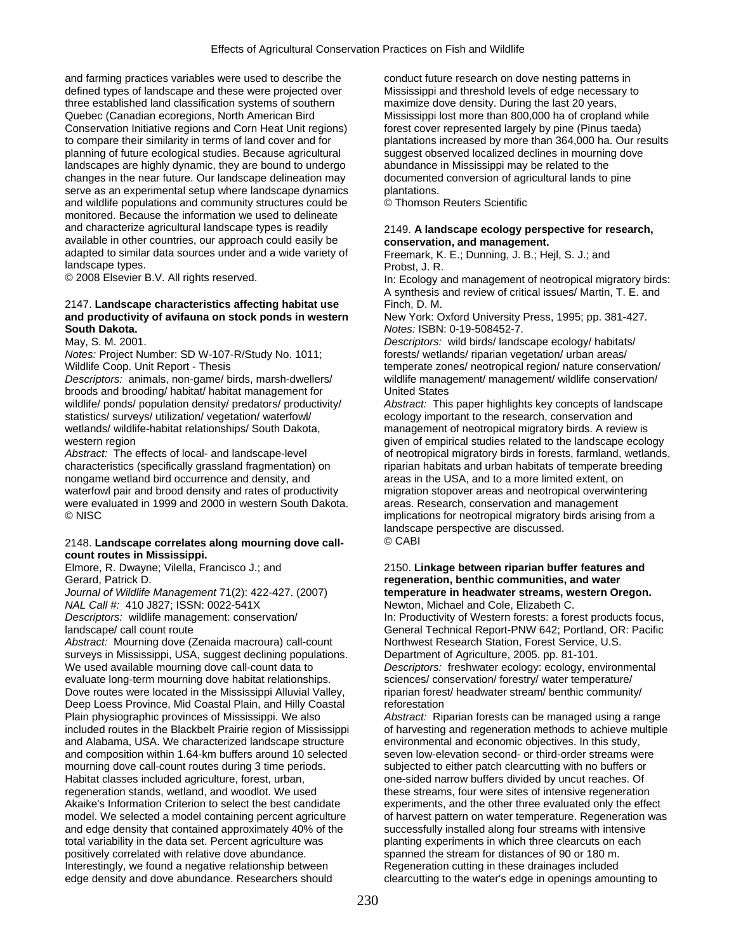and farming practices variables were used to describe the conduct future research on dove nesting patterns in defined types of landscape and these were projected over Mississippi and threshold levels of edge necessary to three established land classification systems of southern maximize dove density. During the last 20 years, Quebec (Canadian ecoregions, North American Bird Mississippi lost more than 800,000 ha of cropland while Conservation Initiative regions and Corn Heat Unit regions) forest cover represented largely by pine (Pinus taeda) to compare their similarity in terms of land cover and for plantations increased by more than 364,000 ha. Our results planning of future ecological studies. Because agricultural suggest observed localized declines in mourning dove landscapes are highly dynamic, they are bound to undergo abundance in Mississippi may be related to the changes in the near future. Our landscape delineation may documented conversion of agricultural lands to pine changes in the near future. Our landscape delineation may serve as an experimental setup where landscape dynamics plantations. and wildlife populations and community structures could be © Thomson Reuters Scientific monitored. Because the information we used to delineate and characterize agricultural landscape types is readily 2149. **A landscape ecology perspective for research,**  available in other countries, our approach could easily be **conservation, and management.**  adapted to similar data sources under and a wide variety of Freemark, K. E.; Dunning, J. B.; Hejl, S. J.; and landscape types.<br>
© 2008 Elsevier B.V. All rights reserved.<br>
In: Ecology a

## 2147. **Landscape characteristics affecting habitat use** Finch, D. M. **and productivity of avifauna on stock ponds in western Wew York: Oxford University Press, 1995; pp. 381-427. South Dakota.** *Notes:* ISBN: 0-19-508452-7.

*Notes:* Project Number: SD W-107-R/Study No. 1011; forests/ wetlands/ riparian vegetation/ urban areas/

*Descriptors:* animals, non-game/ birds, marsh-dwellers/ wildlife management/ management/ wildlife conservation/ broods and brooding/ habitat/ habitat management for United States statistics/ surveys/ utilization/ vegetation/ waterfowl/ ecology important to the research, conservation and<br>wetlands/ wildlife-habitat relationships/ South Dakota, management of neotropical migratory birds. A review

characteristics (specifically grassland fragmentation) on riparian habitats and urban habitats of temperate breeding nongame wetland bird occurrence and density, and areas in the USA, and to a more limited extent, on waterfowl pair and brood density and rates of productivity migration stopover areas and neotropical overwintering were evaluated in 1999 and 2000 in western South Dakota. areas. Research, conservation and management<br>mplications for neotropical migratory birds arising

## 2148. Landscape correlates along mourning dove call**count routes in Mississippi.**

Gerard, Patrick D. **regeneration, benthic communities, and water**  *NAL Call #:* 410 J827; ISSN: 0022-541X Newton, Michael and Cole, Elizabeth C.

*Abstract: Mourning dove (Zenaida macroura) call-count* surveys in Mississippi, USA, suggest declining populations. Department of Agriculture, 2005. pp. 81-101. We used available mourning dove call-count data to *Descriptors:* freshwater ecology: ecology, environmental evaluate long-term mourning dove habitat relationships. sciences/ conservation/ forestry/ water temperature/ Dove routes were located in the Mississippi Alluvial Valley, riparian forest/ headwater stream/ benthic community/ Deep Loess Province, Mid Coastal Plain, and Hilly Coastal reforestation Plain physiographic provinces of Mississippi. We also *Abstract:* Riparian forests can be managed using a range and Alabama, USA. We characterized landscape structure environmental and economic objectives. In this study, and composition within 1.64-km buffers around 10 selected seven low-elevation second- or third-order streams were mourning dove call-count routes during 3 time periods. subjected to either patch clearcutting with no buffers or Habitat classes included agriculture, forest, urban, one-sided narrow buffers divided by uncut reaches. Of regeneration stands, wetland, and woodlot. We used these streams, four were sites of intensive regeneration Akaike's Information Criterion to select the best candidate experiments, and the other three evaluated only the effect and edge density that contained approximately 40% of the successfully installed along four streams with intensive total variability in the data set. Percent agriculture was planting experiments in which three clearcuts on each positively correlated with relative dove abundance. spanned the stream for distances of 90 or 180 m. Interestingly, we found a negative relationship between Regeneration cutting in these drainages included edge density and dove abundance. Researchers should clearcutting to the water's edge in openings amounting to

In: Ecology and management of neotropical migratory birds: A synthesis and review of critical issues/ Martin, T. E. and

May, S. M. 2001. *Descriptors:* wild birds/ landscape ecology/ habitats/ Wildlife Coop. Unit Report - Thesis temperate zones/ neotropical region/ nature conservation/

wildlife/ ponds/ population density/ predators/ productivity/ *Abstract:* This paper highlights key concepts of landscape management of neotropical migratory birds. A review is western region western region given of empirical studies related to the landscape ecology Abstract: The effects of local- and landscape-level on the of neotropical migratory birds in forests, farmland, wetlands, implications for neotropical migratory birds arising from a landscape perspective are discussed.<br>© CABI

## Elmore, R. Dwayne; Vilella, Francisco J.; and 2150. **Linkage between riparian buffer features and**  *Journal of Wildlife Management* 71(2): 422-427. (2007) **temperature in headwater streams, western Oregon.**

*Descriptors:* wildlife management: conservation/ In: Productivity of Western forests: a forest products focus, landscape/ call count route<br>
Abstract: Mourning dove (Zenaida macroura) call-count Count Northwest Research Station, Forest Service, U.S.

included routes in the Blackbelt Prairie region of Mississippi of harvesting and regeneration methods to achieve multiple model. We selected a model containing percent agriculture of harvest pattern on water temperature. Regeneration was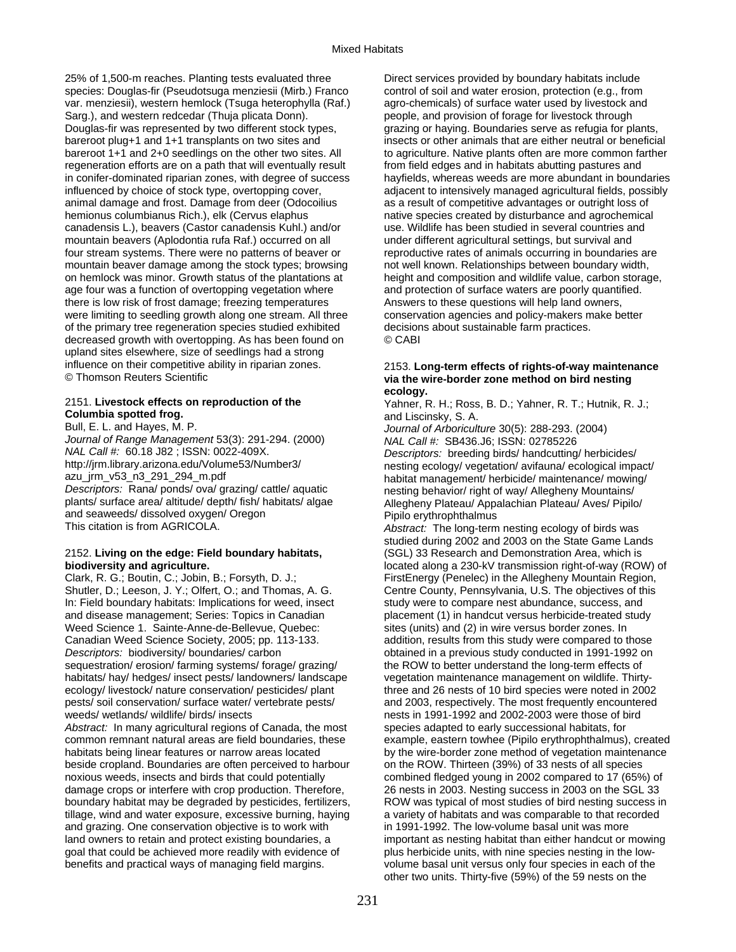25% of 1,500-m reaches. Planting tests evaluated three Direct services provided by boundary habitats include species: Douglas-fir (Pseudotsuga menziesii (Mirb.) Franco control of soil and water erosion, protection (e.g., from var. menziesii), western hemlock (Tsuga heterophylla (Raf.) agro-chemicals) of surface water used by livestock and Sarg.), and western redcedar (Thuja plicata Donn). people, and provision of forage for livestock through Douglas-fir was represented by two different stock types, grazing or haying. Boundaries serve as refugia for plants, bareroot plug+1 and 1+1 transplants on two sites and insects or other animals that are either neutral or beneficial bareroot 1+1 and 2+0 seedlings on the other two sites. All to agriculture. Native plants often are more common farther regeneration efforts are on a path that will eventually result from field edges and in habitats abutting pastures and in conifer-dominated riparian zones, with degree of success hayfields, whereas weeds are more abundant in boundaries influenced by choice of stock type, overtopping cover, and adjacent to intensively managed agricultural fields, possibly animal damage and frost. Damage from deer (Odocoilius as a result of competitive advantages or outright loss of hemionus columbianus Rich.), elk (Cervus elaphus native species created by disturbance and agrochemical canadensis L.), beavers (Castor canadensis Kuhl.) and/or use. Wildlife has been studied in several countries and mountain beavers (Aplodontia rufa Raf.) occurred on all under different agricultural settings, but survival and four stream systems. There were no patterns of beaver or reproductive rates of animals occurring in boundaries are mountain beaver damage among the stock types; browsing not well known. Relationships between boundary width, on hemlock was minor. Growth status of the plantations at height and composition and wildlife value, carbon storage, age four was a function of overtopping vegetation where and protection of surface waters are poorly quant age four was a function of overtopping vegetation where there is low risk of frost damage; freezing temperatures Answers to these questions will help land owners, were limiting to seedling growth along one stream. All three conservation agencies and policy-makers make better of the primary tree regeneration species studied exhibited decisions about sustainable farm practices. decreased growth with overtopping. As has been found on © CABI upland sites elsewhere, size of seedlings had a strong influence on their competitive ability in riparian zones. 2153. **Long-term effects of rights-of-way maintenance** 

# **Columbia spotted frog.**<br>
Bull, E. L. and Hayes, M. P. **and Liscinsky, S. A.** *Journal of Arboricul*i

*Journal of Range Management* 53(3): 291-294. (2000)<br>*NAL Call #: 60.18 J82 : ISSN: 0022-409X*. *NAL Call #:* 60.18 J82 ; ISSN: 0022-409X. *Descriptors:* breeding birds/ handcutting/ herbicides/ *Descriptors: Rana/ ponds/ ova/ grazing/ cattle/ aquatic* energing behavior/ right of way/ Allegheny Mountains/<br>
plants/ surface area/ altitude/ depth/ fish/ habitats/ algae Allegheny Plateau/ Appalachian Plateau/ Ayes/ Pi and seaweeds/ dissolved oxygen/ Oregon<br>
This citation is from AGRICOLA. Abstract: The long-term

In: Field boundary habitats: Implications for weed, insect study were to compare nest abundance, success, and and disease management; Series: Topics in Canadian placement (1) in handcut versus herbicide-treated study Weed Science 1. Sainte-Anne-de-Bellevue, Quebec: sites (units) and (2) in wire versus border zones. In Canadian Weed Science Society, 2005; pp. 113-133. addition, results from this study were compared to those *Descriptors:* biodiversity/ boundaries/ carbon obtained in a previous study conducted in 1991-1992 on sequestration/ erosion/ farming systems/ forage/ grazing/ the ROW to better understand the long-term effects of habitats/ hay/ hedges/ insect pests/ landowners/ landscape vegetation maintenance management on wildlife. Thirtyecology/ livestock/ nature conservation/ pesticides/ plant three and 26 nests of 10 bird species were noted in 2002 pests/ soil conservation/ surface water/ vertebrate pests/ and 2003, respectively. The most frequently encountered weeds/ wetlands/ wildlife/ birds/ insects nests in 1991-1992 and 2002-2003 were those of bird *Abstract:* In many agricultural regions of Canada, the most species adapted to early successional habitats, for common remnant natural areas are field boundaries, these example, eastern towhee (Pipilo erythrophthalmus), created habitats being linear features or narrow areas located by the wire-border zone method of vegetation maintenance beside cropland. Boundaries are often perceived to harbour on the ROW. Thirteen (39%) of 33 nests of all species noxious weeds, insects and birds that could potentially combined fledged young in 2002 compared to 17 (65%) of damage crops or interfere with crop production. Therefore, 26 nests in 2003. Nesting success in 2003 on the SGL 33 boundary habitat may be degraded by pesticides, fertilizers, ROW was typical of most studies of bird nesting success in tillage, wind and water exposure, excessive burning, haying a variety of habitats and was comparable to that recorded and grazing. One conservation objective is to work with in 1991-1992. The low-volume basal unit was more land owners to retain and protect existing boundaries, a important as nesting habitat than either handcut or mowing goal that could be achieved more readily with evidence of plus herbicide units, with nine species nesting in the lowbenefits and practical ways of managing field margins. volume basal unit versus only four species in each of the

## via the wire-border zone method on bird nesting **ecology.**

2151. **Livestock effects on reproduction of the** Yahner, R. H.; Ross, B. D.; Yahner, R. T.; Hutnik, R. J.;

Journal of Arboriculture 30(5): 288-293. (2004)<br>NAL Call #: SB436.J6; ISSN: 02785226 http://jrm.library.arizona.edu/Volume53/Number3/ nesting ecology/ vegetation/ avifauna/ ecological impact/ habitat management/ herbicide/ maintenance/ mowing/ Allegheny Plateau/ Appalachian Plateau/ Aves/ Pipilo/

Abstract: The long-term nesting ecology of birds was studied during 2002 and 2003 on the State Game Lands 2152. **Living on the edge: Field boundary habitats,** (SGL) 33 Research and Demonstration Area, which is **biodiversity and agriculture. located along a 230-kV transmission right-of-way (ROW) of Clark, R. G.; Boutin, C.; Jobin, B.; Forsyth, D. J.; FristEnergy (Penelec) in the Allegheny Mountain Region,** Clark, R. G.; Boutin, C.; Jobin, B.; Forsyth, D. J.; FirstEnergy (Penelec) in the Allegheny Mountain Region, Clark<br>Shutler, D.; Leeson, J. Y.; Olfert, O.; and Thomas, A. G. Furthe County, Pennsylvania, U.S. The obiectives Centre County, Pennsylvania, U.S. The objectives of this other two units. Thirty-five (59%) of the 59 nests on the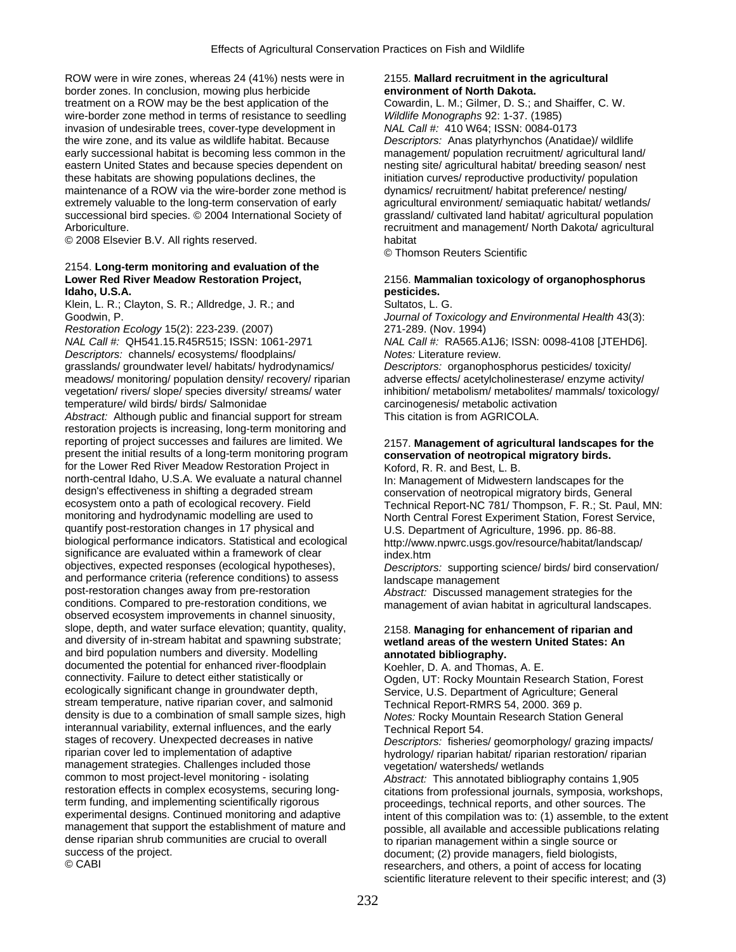ROW were in wire zones, whereas 24 (41%) nests were in 2155. **Mallard recruitment in the agricultural**  border zones. In conclusion, mowing plus herbicide **environment of North Dakota.**  treatment on a ROW may be the best application of the Cowardin, L. M.; Gilmer, D. S.; and Shaiffer, C. W. wire-border zone method in terms of resistance to seedling Wildlife Monographs 92: 1-37. (1985) wire-border zone method in terms of resistance to seedling *Wildlife Monographs* 92: 1-37. (1985) invasion of undesirable trees, cover-type development in the wire zone, and its value as wildlife habitat. Because *Descriptors:* Anas platyrhynchos (Anatidae)/ wildlife early successional habitat is becoming less common in the management/ population recruitment/ agricultural land/<br>eastern United States and because species dependent on esting site/ agricultural habitat/ breeding season/ ne eastern United States and because species dependent on these habitats are showing populations declines, the maintenance of a ROW via the wire-border zone method is dynamics/ recruitment/ habitat preference/ nesting/ extremely valuable to the long-term conservation of early agricultural environment/ semiaquatic habitat/ wetlands/ successional bird species. © 2004 International Society of grassland/ cultivated land habitat/ agricultural population Arboriculture. The contract of the contract of the contract of the cruitment and management/ North Dakota/ agricultural

© 2008 Elsevier B.V. All rights reserved. habitat

## 2154. **Long-term monitoring and evaluation of the Idaho, U.S.A.** pesticides.

Klein, L. R.; Clayton, S. R.; Alldredge, J. R.; and Sultatos, L. G.

*Restoration Ecology* 15(2): 223-239. (2007) 271-289. (Nov. 1994) *NAL Call #:* QH541.15.R45R515; ISSN: 1061-2971 *NAL Call #:* RA565.A1J6; ISSN: 0098-4108 [JTEHD6]. *Descriptors:* channels/ ecosystems/ floodplains/ *Notes:* Literature review. grasslands/ groundwater level/ habitats/ hydrodynamics/ *Descriptors:* organophosphorus pesticides/ toxicity/ meadows/ monitoring/ population density/ recovery/ riparian vegetation/ rivers/ slope/ species diversity/ streams/ water inhibition/ metabolism/ metabolites/ mammals/ toxicology/

*Abstract:* Although public and financial support for stream restoration projects is increasing, long-term monitoring and reporting of project successes and failures are limited. We present the initial results of a long-term monitoring program **conservation of neotropical migratory birds.**  for the Lower Red River Meadow Restoration Project in Koford, R. R. and Best, L. B. north-central Idaho, U.S.A. We evaluate a natural channel In: Management of Midwestern landscapes for the design's effectiveness in shifting a degraded stream conservation of neotropical migratory birds. General design's effectiveness in shifting a degraded stream conservation of neotropical migratory birds, General<br>ecosystem onto a path of ecological recovery. Field Fechnical Report-NC 781/ Thompson, F. R.: St. Paul ecosystem onto a path of ecological recovery. Field Technical Report-NC 781/ Thompson, F. R.; St. Paul, MN:<br>Technical Report-NC 781/ Thompson, F. R.; St. Paul, MN: quantify post-restoration changes in 17 physical and U.S. Department of Agriculture, 1996. pp. 86-88.<br>
biological performance indicators. Statistical and ecological http://www.npwrc.usgs.gov/resource/habitat/land significance are evaluated within a framework of clear index.htm<br>objectives, expected responses (ecological hypotheses), Descriptor and performance criteria (reference conditions) to assess landscape management<br>post-restoration changes away from pre-restoration abstract: Discussed ma post-restoration changes away from pre-restoration *Abstract:* Discussed management strategies for the observed ecosystem improvements in channel sinuosity, slope, depth, and water surface elevation; quantity, quality, 2158. **Managing for enhancement of riparian and** and diversity of in-stream habitat and spawning substrate; we werriand areas of the western United States: An and bird population numbers and diversity. Modelling **annotated bibliography.** documented the potential for enhanced river-floodplain Koehler, D. A. and Thomas, A. E.<br>
connectivity. Failure to detect either statistically or Coden. UT: Rocky Mountain Rese ecologically significant change in groundwater depth, Service, U.S. Department of Agriculture; General stream temperature, native riparian cover, and salmonid Technical Report-RMRS 54, 2000. 369 p. density is due to a combination of small sample sizes, high *Notes:* Rocky Mountain Research Station General interannual variability, external influences, and the early Technical Report 54.<br>
stages of recovery. Unexpected decreases in native Descriptors: fisheries stages of recovery. Unexpected decreases in native *Descriptors:* fisheries/ geomorphology/ grazing impacts/ management strategies. Challenges included those vegetation/ watersheds/ wetlands<br>
common to most project-level monitoring - isolating and a analytical diplicars<br>
Abstract: This annotated bibliography common to most project-level monitoring - isolating *Abstract:* This annotated bibliography contains 1,905 restoration effects in complex ecosystems, securing long-<br>
term funding, and implementing scientifically rigorous<br>
proceedings, technical reports, and other sources. The term funding, and implementing scientifically rigorous proceedings, technical reports, and other sources. The<br>experimental designs. Continued monitoring and adaptive intent of this compilation was to: (1) assemble, to the management that support the establishment of mature and possible, all available and accessible publications relating dense riparian shrub communities are crucial to overall to riparian management within a single source or<br>document: (2) provide management field biologists success of the project.<br>
© CABI<br>
© CABI

initiation curves/ reproductive productivity/ population

© Thomson Reuters Scientific

## **Lower Red River Meadow Restoration Project,** 2156. **Mammalian toxicology of organophosphorus**

Goodwin, P. *Journal of Toxicology and Environmental Health* 43(3):

temperature/ wild birds/ birds/ Salmonidae carcinogenesis/ metabolic activation<br>
Abstract: Although public and financial support for stream This citation is from AGRICOLA.

# 2157. Management of agricultural landscapes for the

North Central Forest Experiment Station, Forest Service, http://www.npwrc.usgs.gov/resource/habitat/landscap/

Descriptors: supporting science/ birds/ bird conservation/

management of avian habitat in agricultural landscapes.

# wetland areas of the western United States: An

Ogden, UT: Rocky Mountain Research Station, Forest

hydrology/ riparian habitat/ riparian restoration/ riparian

intent of this compilation was to: (1) assemble, to the extent researchers, and others, a point of access for locating scientific literature relevent to their specific interest; and (3)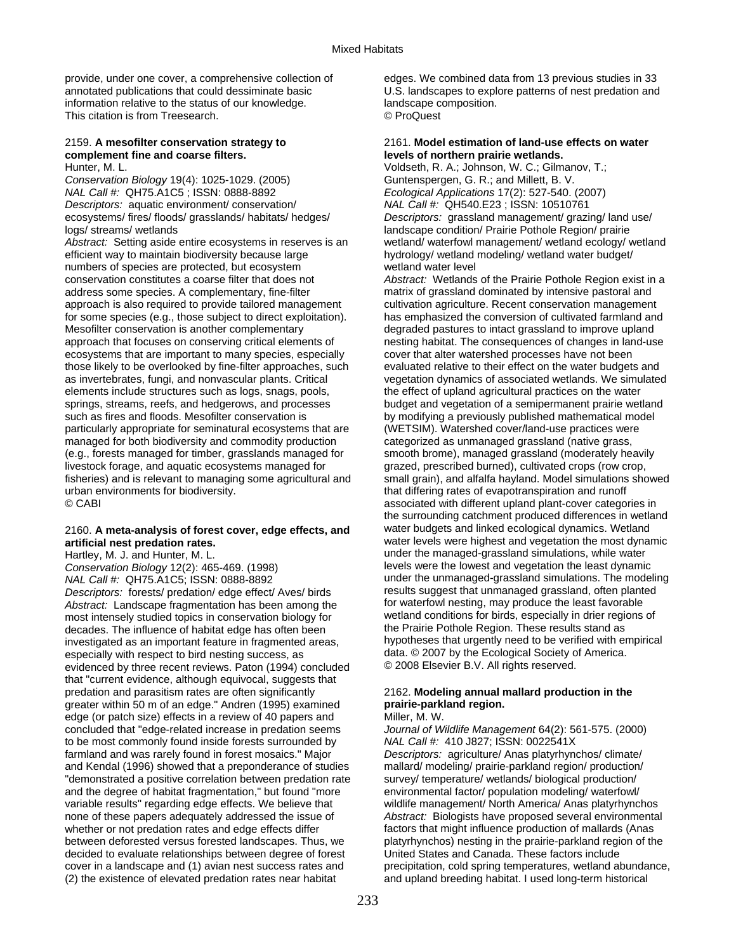information relative to the status of our knowledge. landscape composition. This citation is from Treesearch.

# **complement fine and coarse filters. and in the set of northern prairie wetlands. levels of northern prairie wetlands.**

*Conservation Biology* 19(4): 1025-1029. (2005) Guntenspergen, G. R.; and Millett, B. V. *NAL Call #:* QH75.A1C5 ; ISSN: 0888-8892 *Ecological Applications* 17(2): 527-540. (2007) *Descriptors:* aquatic environment/ conservation/<br>ecosystems/ fires/ floods/ grasslands/ habitats/ hedges/ logs/ streams/ wetlands landscape condition/ Prairie Pothole Region/ prairie

*Abstract:* Setting aside entire ecosystems in reserves is an wetland/ waterfowl management/ wetland ecology/ wetland efficient way to maintain biodiversity because large hydrology/ wetland modeling/ wetland water budget/ numbers of species are protected, but ecosystem wetland water level conservation constitutes a coarse filter that does not *Abstract:* Wetlands of the Prairie Pothole Region exist in a address some species. A complementary, fine-filter matrix of grassland dominated by intensive pastoral and approach is also required to provide tailored management cultivation agriculture. Recent conservation management for some species (e.g., those subject to direct exploitation). has emphasized the conversion of cultivated farmland and Mesofilter conservation is another complementary degraded pastures to intact grassland to improve upland approach that focuses on conserving critical elements of nesting habitat. The consequences of changes in land-use ecosystems that are important to many species, especially cover that alter watershed processes have not been those likely to be overlooked by fine-filter approaches, such evaluated relative to their effect on the water budgets and as invertebrates, fungi, and nonvascular plants. Critical vegetation dynamics of associated wetlands. We simulated elements include structures such as logs, snags, pools, the effect of upland agricultural practices on the water springs, streams, reefs, and hedgerows, and processes budget and vegetation of a semipermanent prairie wetland such as fires and floods. Mesofilter conservation is by modifying a previously published mathematical model<br>
particularly appropriate for seminatural ecosystems that are (WETSIM). Watershed cover/land-use practices were particularly appropriate for seminatural ecosystems that are (WETSIM). Watershed cover/land-use practices were<br>managed for both biodiversity and commodity production categorized as unmanaged grassland (native grass, managed for both biodiversity and commodity production (e.g., forests managed for timber, grasslands managed for smooth brome), managed grassland (moderately heavily livestock forage, and aquatic ecosystems managed for grazed, prescribed burned), cultivated crops (row crop, fisheries) and is relevant to managing some agricultural and small grain), and alfalfa hayland. Model simulations showed urban environments for biodiversity. that differing rates of evapotranspiration and runoff

## 2160. **A meta-analysis of forest cover, edge effects, and** water budgets and linked ecological dynamics. Wetland

*Conservation Biology* 12(2): 465-469. (1998) levels were the lowest and vegetation the least dynamic *NAL Call #:* QH75.A1C5; ISSN: 0888-8892<br>Descriptors: forests/ predation/ edge effect/ Aves/ birds results suggest that unmanaged grassland, often planted *Descriptors:* forests/ predation/ edge effect/ Aves/ birds results suggest that unmanaged grassland, often plant<br>Abstract: Landscape fragmentation has been among the for waterfowl nesting, may produce the least favorable Abstract: Landscape fragmentation has been among the for waterfowl nesting, may produce the least favorable<br>most intensely studied topics in conservation biology for wetland conditions for birds, especially in drier region most intensely studied topics in conservation biology for wetland conditions for birds, especially in drier region<br>decades. The influence of habitat edge has often been the Prairie Pothole Region. These results stand as decades. The influence of habitat edge has often been the Prairie Pothole Region. These results stand as<br>investigated as an important feature in fragmented areas. Thypotheses that urgently need to be verified with empirica investigated as an important feature in fragmented areas, hypotheses that urgently need to be verified with en<br>
especially with respect to bird nesting success, as data. © 2007 by the Ecological Society of America. especially with respect to bird nesting success, as data. © 2007 by the Ecological Society of America. Concluded evidenced by three recent reviews. Paton (1994) concluded © 2008 Elsevier B.V. All rights reserved. evidenced by three recent reviews. Paton (1994) concluded that "current evidence, although equivocal, suggests that predation and parasitism rates are often significantly 2162. **Modeling annual mallard production in the**  greater within 50 m of an edge." Andren (1995) examined **prairie-parkland region.**  edge (or patch size) effects in a review of 40 papers and Miller, M. W. concluded that "edge-related increase in predation seems *Journal of Wildlife Management* 64(2): 561-575. (2000) to be most commonly found inside forests surrounded by *NAL Call #:* 410 J827; ISSN: 0022541X farmland and was rarely found in forest mosaics." Major *Descriptors:* agriculture/ Anas platyrhynchos/ climate/ and Kendal (1996) showed that a preponderance of studies mallard/ modeling/ prairie-parkland region/ production/ "demonstrated a positive correlation between predation rate survey/ temperature/ wetlands/ biological production/ and the degree of habitat fragmentation," but found "more environmental factor/ population modeling/ waterfowl/ variable results" regarding edge effects. We believe that wildlife management/ North America/ Anas platyrhynchos none of these papers adequately addressed the issue of *Abstract:* Biologists have proposed several environmental whether or not predation rates and edge effects differ factors that might influence production of mallards (Anas between deforested versus forested landscapes. Thus, we platyrhynchos) nesting in the prairie-parkland region of the decided to evaluate relationships between degree of forest United States and Canada. These factors include cover in a landscape and (1) avian nest success rates and precipitation, cold spring temperatures, wetland abundance, (2) the existence of elevated predation rates near habitat and upland breeding habitat. I used long-term historical

provide, under one cover, a comprehensive collection of edges. We combined data from 13 previous studies in 33 annotated publications that could dessiminate basic U.S. landscapes to explore patterns of nest predation and

## 2159. **A mesofilter conservation strategy to** 2161. **Model estimation of land-use effects on water**

Hunter, M. L. Voldseth, R. A.; Johnson, W. C.; Gilmanov, T.; Descriptors: grassland management/ grazing/ land use/

© CABI associated with different upland plant-cover categories in the surrounding catchment produced differences in wetland **artificial nest predation rates.** water levels were highest and vegetation the most dynamic Hartley, M. J. and Hunter, M. L. under the managed-grassland simulations, while water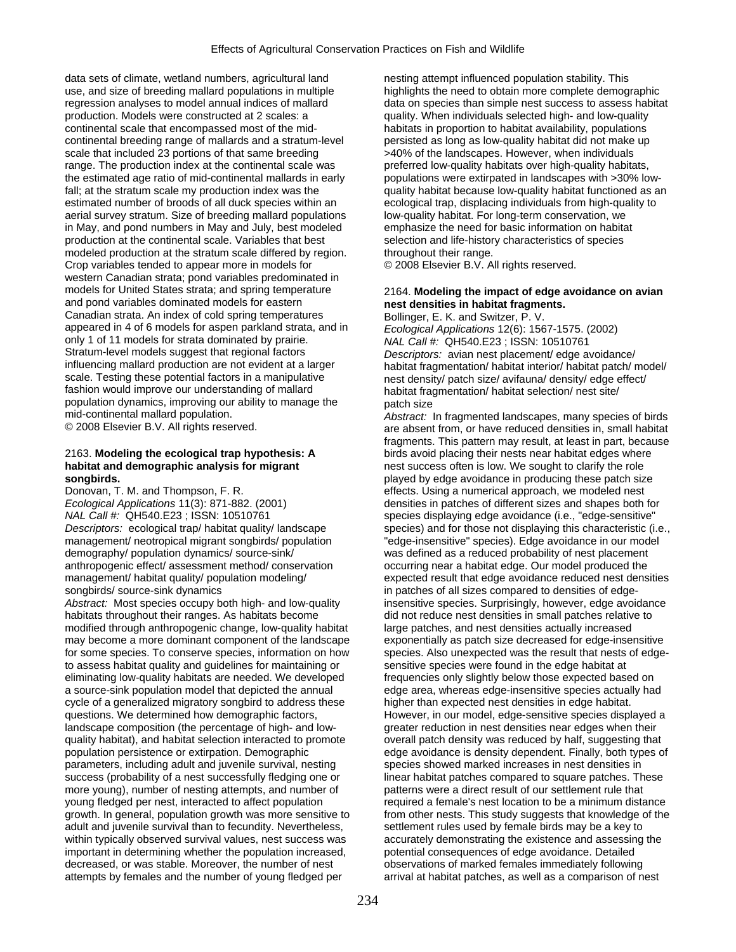data sets of climate, wetland numbers, agricultural land nesting attempt influenced population stability. This use, and size of breeding mallard populations in multiple highlights the need to obtain more complete demographic production. Models were constructed at 2 scales: a quality. When individuals selected high- and low-quality continental scale that encompassed most of the mid- habitats in proportion to habitat availability, populations continental breeding range of mallards and a stratum-level persisted as long as low-quality habitat did not make up scale that included 23 portions of that same breeding  $>40\%$  of the landscapes. However, when individuals range. The production index at the continental scale was preferred low-quality habitats over high-quality habitats, the estimated age ratio of mid-continental mallards in early populations were extirpated in landscapes with >30% lowfall; at the stratum scale my production index was the quality habitat because low-quality habitat functioned as an estimated number of broods of all duck species within an ecological trap, displacing individuals from high-quality to aerial survey stratum. Size of breeding mallard populations low-quality habitat. For long-term conservation, we in May, and pond numbers in May and July, best modeled emphasize the need for basic information on habitat production at the continental scale. Variables that best selection and life-history characteristics of species modeled production at the stratum scale differed by region. throughout their range. Crop variables tended to appear more in models for © 2008 Elsevier B.V. All rights reserved. western Canadian strata; pond variables predominated in models for United States strata; and spring temperature and pond variables dominated models for eastern **nest densities in habitat fragments.** Canadian strata. An index of cold spring temperatures Bollinger, E. K. and Switzer, P. V. appeared in 4 of 6 models for aspen parkland strata, and in Freedocical Applications 12(6): 156 appeared in 4 of 6 models for aspen parkland strata, and in *Ecological Applications* 12(6): 1567-1575. (2002) only 1 of 11 models for strata dominated by prairie. *NAL Call #:* QH540.E23 ; ISSN: 10510761<br>Stratum-level models suggest that regional factors *Descriptors: avian nest placement/ edge avian* Stratum-level models suggest that regional factors *Descriptors:* avian nest placement/ edge avoidance/ influencing mallard production are not evident at a larger habitat fragmentation/ habitat interior/ habitat patch/ model/<br>scale. Testing these potential factors in a manipulative has nest density/ patch size/ avifauna/ den scale. Testing these potential factors in a manipulative energy nest density/ patch size/ avifauna/ density/ edge effect/<br>
fashion would improve our understanding of mallard<br>
habitat fragmentation/ habitat selection/ nest population dynamics, improving our ability to manage the patch size mid-continental mallard population.

Donovan, T. M. and Thompson, F. R. effects. Using a numerical approach, we modeled nest demography/ population dynamics/ source-sink/ was defined as a reduced probability of nest placement anthropogenic effect/ assessment method/ conservation occurring near a habitat edge. Our model produced the songbirds/ source-sink dynamics in patches of all sizes compared to densities of edge-

habitats throughout their ranges. As habitats become did not reduce nest densities in small patches relative to modified through anthropogenic change, low-quality habitat large patches, and nest densities actually increased may become a more dominant component of the landscape exponentially as patch size decreased for edge-insensitive for some species. To conserve species, information on how species. Also unexpected was the result that nests of edgeto assess habitat quality and guidelines for maintaining or sensitive species were found in the edge habitat at eliminating low-quality habitats are needed. We developed frequencies only slightly below those expected based on a source-sink population model that depicted the annual edge area, whereas edge-insensitive species actually had cycle of a generalized migratory songbird to address these higher than expected nest densities in edge habitat. questions. We determined how demographic factors, However, in our model, edge-sensitive species displayed a landscape composition (the percentage of high- and low- greater reduction in nest densities near edges when their quality habitat), and habitat selection interacted to promote overall patch density was reduced by half, suggesting that population persistence or extirpation. Demographic edge avoidance is density dependent. Finally, both types of parameters, including adult and juvenile survival, nesting species showed marked increases in nest densities in success (probability of a nest successfully fledging one or linear habitat patches compared to square patches. These more young), number of nesting attempts, and number of patterns were a direct result of our settlement rule that young fledged per nest, interacted to affect population required a female's nest location to be a minimum distance growth. In general, population growth was more sensitive to from other nests. This study suggests that knowledge of the adult and juvenile survival than to fecundity. Nevertheless, settlement rules used by female birds may be a key to within typically observed survival values, nest success was accurately demonstrating the existence and assessing the important in determining whether the population increased, potential consequences of edge avoidance. Detailed decreased, or was stable. Moreover, the number of nest observations of marked females immediately following attempts by females and the number of young fledged per arrival at habitat patches, as well as a comparison of nest

regression analyses to model annual indices of mallard data on species than simple nest success to assess habitat

## 2164. Modeling the impact of edge avoidance on avian

habitat fragmentation/ habitat selection/ nest site/

mid-continental mallard population. *Abstract:* In fragmented landscapes, many species of birds are absent from, or have reduced densities in, small habitat fragments. This pattern may result, at least in part, because 2163. **Modeling the ecological trap hypothesis: A** birds avoid placing their nests near habitat edges where **habitat and demographic analysis for migrant** nest success often is low. We sought to clarify the role **songbirds. but allows songbirds. played by edge avoidance in producing these patch size** *Ecological Applications* 11(3): 871-882. (2001) densities in patches of different sizes and shapes both for *NAL Call #:* QH540.E23; ISSN: 10510761 species displaying edge avoidance (i.e., "edge-sensitive" *Descriptors:* ecological trap/ habitat quality/ landscape species) and for those not displaying this characteristic (i.e., management/ neotropical migrant songbirds/ population "edge-insensitive" species). Edge avoidance in our model management/ habitat quality/ population modeling/ expected result that edge avoidance reduced nest densities *Abstract:* Most species occupy both high- and low-quality insensitive species. Surprisingly, however, edge avoidance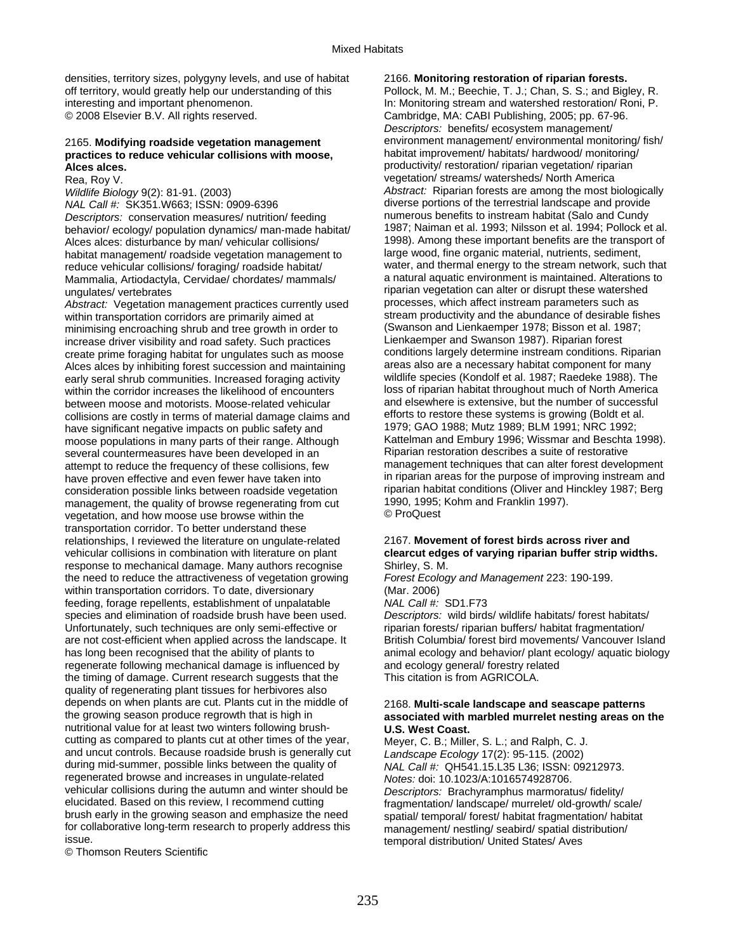densities, territory sizes, polygyny levels, and use of habitat 2166. **Monitoring restoration of riparian forests.**  off territory, would greatly help our understanding of this Pollock, M. M.; Beechie, T. J.; Chan, S. S.; and Bigley, R. interesting and important phenomenon. In: Monitoring stream and watershed restoration/ Roni, P.<br>
© 2008 Elsevier B.V. All rights reserved. Cambridge, MA: CABI Publishing, 2005; pp. 67-96.

## practices to reduce vehicular collisions with moose, **Alces alces. productivity/ restoration/ riparian vegetation/ riparian vegetation/ riparian**

*NAL Call #:* SK351.W663; ISSN: 0909-6396 diverse portions of the terrestrial landscape and provide<br>Descriptors: conservation measures/ nutrition/ feeding numerous benefits to instream habitat (Salo and Cundy Descriptors: conservation measures/ nutrition/ feeding numerous benefits to instream habitat (Salo and Cundy<br>hehavior/ ecology/ population dynamics/ man-made habitat/ 1987; Naiman et al. 1993; Nilsson et al. 1994; Pollock behavior/ ecology/ population dynamics/ man-made habitat/ 1987; Naiman et al. 1993; Nilsson et al. 1994; Pollock et al.<br>Alces alces: disturbance by man/ vehicular collisions/ 1998). Among these important benefits are the t Alces alces: disturbance by man/ vehicular collisions/ 1998). Among these important benefits are the transport<br>habitat management/ roadside vegetation management to large wood, fine organic material, nutrients, sediment, habitat management/ roadside vegetation management to reduce vehicular collisions/ foraging/ roadside habitat/ water, and thermal energy to the stream network, such that<br>Mammalia Artiodactyla Cervidae/ chordates/ mammals/ a natural aquatic environment is maintained. Alteratio Mammalia, Artiodactyla, Cervidae/ chordates/ mammals/

*Abstract:* Vegetation management practices currently used processes, which affect instream parameters such as within transportation corridors are primarily aimed at stream productivity and the abundance of desirable fishe within transportation corridors are primarily aimed at stream productivity and the abundance of desirable fis<br>Cominimising encroaching shrub and tree growth in order to streams (Swanson and Lienkaemper 1978: Bisson et al minimising encroaching shrub and tree growth in order to (Swanson and Lienkaemper 1978; Bisson et al. 19<br>Sucrease driver visibility and road safety, Such practices Lienkaemper and Swanson 1987). Riparian forest increase driver visibility and road safety. Such practices Lienkaemper and Swanson 1987). Riparian forest increate prime for and the create prime for the than in the such as moose conditions largely determine instream cond create prime foraging habitat for ungulates such as moose conditions largely determine instream conditions. Riparia<br>Alces alces by inhibiting forest succession and maintaining areas also are a necessary habitat component f Alces alces by inhibiting forest succession and maintaining areas also are a necessary habitat component for many<br>early seral shrub communities, Increased foraging activity and wildlife species (Kondolf et al. 1987; Raedek early seral shrub communities. Increased foraging activity wildlife species (Kondolf et al. 1987; Raedeke 1988). The<br>within the corridor increases the likelihood of encounters loss of riparian habitat throughout much of No within the corridor increases the likelihood of encounters between moose and motorists. Moose-related vehicular and elsewhere is extensive, but the number of successful<br>collisions are costly in terms of material damage claims and efforts to restore these systems is growing (Boldt collisions are costly in terms of material damage claims and efforts to restore these systems is growing (Boldt et a<br>have significant negative impacts on public safety and 1979; GAO 1988; Mutz 1989; BLM 1991; NRC 1992; have significant negative impacts on public safety and 1979; GAO 1988; Mutz 1989; BLM 1991; NRC 1992; https://<br>1979: Kattelman and Embury 1996; Wissmar and Beschta 1998). moose populations in many parts of their range. Although Kattelman and Embury 1996; Wissmar and Beschta<br>Riparian restoration describes a suite of restorative several countermeasures have been developed in an attempt to reduce the frequency of these collisions, few management techniques that can alter forest development<br>have proven effective and even fewer have taken into in riparian areas for the purpose of improving instream have proven effective and even fewer have taken into in riparian areas for the purpose of improving instream and<br>consideration possible links between roadside vegetation in riparian habitat conditions (Oliver and Hinckley consideration possible links between roadside vegetation riparian habitat conditions (Oliver and Hinchley 1997)<br>management the quality of browse regenerating from out 1990, 1995; Kohm and Franklin 1997). management, the quality of browse regenerating from cut 1990, 1995;<br>vegetation and how moose use browse within the C ProQuest vegetation, and how moose use browse within the transportation corridor. To better understand these relationships, I reviewed the literature on ungulate-related 2167. **Movement of forest birds across river and**  vehicular collisions in combination with literature on plant **clearcut edges of varying riparian buffer strip widths.**  response to mechanical damage. Many authors recognise Shirley, S. M. the need to reduce the attractiveness of vegetation growing *Forest Ecology and Management* 223: 190-199. within transportation corridors. To date, diversionary (Mar. 2006) feeding, forage repellents, establishment of unpalatable *NAL Call #:* SD1.F73 species and elimination of roadside brush have been used. Unfortunately, such techniques are only semi-effective or riparian forests/ riparian buffers/ habitat fragmentation/ are not cost-efficient when applied across the landscape. It British Columbia/ forest bird movements/ Vancouver Island has long been recognised that the ability of plants to animal ecology and behavior/ plant ecology/ aquatic biology regenerate following mechanical damage is influenced by and ecology general/ forestry related<br>the timing of damage. Current research suggests that the This citation is from AGRICOLA. the timing of damage. Current research suggests that the quality of regenerating plant tissues for herbivores also depends on when plants are cut. Plants cut in the middle of 2168. **Multi-scale landscape and seascape patterns**  nutritional value for at least two winters following brush- **U.S. West Coast.**  cutting as compared to plants cut at other times of the year, Meyer, C. B.; Miller, S. L.; and Ralph, C. J. and uncut controls. Because roadside brush is generally cut<br>during mid-summer, possible links between the quality of MAL Call #: OH541 15 L35 L36: ISSN: 09 regenerated browse and increases in ungulate-related *Notes:* doi: 10.1023/A:1016574928706. vehicular collisions during the autumn and winter should be *Descriptors:* Brachyramphus marmoratus/ fidelity/ brush early in the growing season and emphasize the need spatial/ temporal/ forest/ habitat fragmentation/ habitat for collaborative long-term research to properly address this management/ nestling/ seabird/ spatial distribution/<br>issue

© Thomson Reuters Scientific

Cambridge, MA: CABI Publishing, 2005; pp. 67-96. *Descriptors:* benefits/ ecosystem management/ 2165. **Modifying roadside vegetation management** environment management/ environmental monitoring/ fish/<br>**practices to reduce vehicular collisions with moose**. A habitat improvement/ habitats/ hardwood/ monitoring/ Rea, Roy V. **Rea, Roy V.** Rea, Roy V. **Rea, Roy V. Rea, Roy V. vegetation**/ streams/ watersheds/ North America *Wildlife Biology* 9(2): 81-91. (2003) *Abstract:* Riparian forests are among the most biologically ungulates/ vertebrates<br>
Abstract: Venetation management practices currently used<br>
Processes, which affect instream parameters such as<br>
Abstract: Venetation management practices currently used<br>
processes, which affect instr

# associated with marbled murrelet nesting areas on the

MAL Call #: QH541.15.L35 L36; ISSN: 09212973. fragmentation/ landscape/ murrelet/ old-growth/ scale/ temporal distribution/ United States/ Aves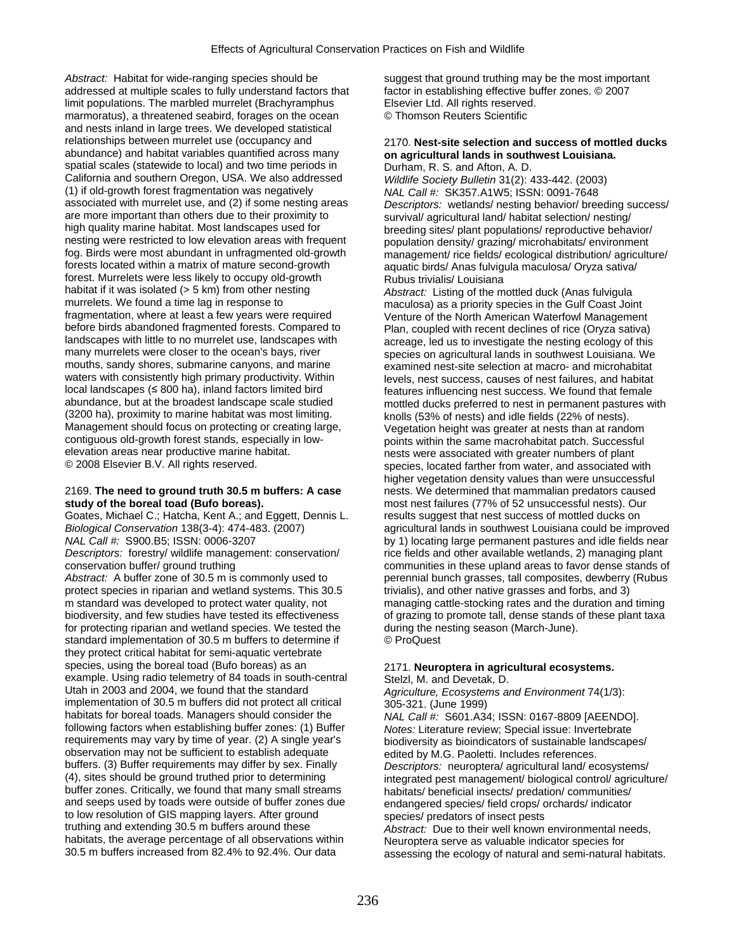Abstract: Habitat for wide-ranging species should be suggest that ground truthing may be the most important addressed at multiple scales to fully understand factors that factor in establishing effective buffer zones. © 2007 limit populations. The marbled murrelet (Brachyramphus Elsevier Ltd. All rights reserved.<br>
marmoratus), a threatened seabird, forages on the ocean © Thomson Reuters Scientific marmoratus), a threatened seabird, forages on the ocean and nests inland in large trees. We developed statistical relationships between murrelet use (occupancy and 2170. **Nest-site selection and success of mottled ducks**  abundance) and habitat variables quantified across many **on agricultural lands in southwest Louisiana.**  spatial scales (statewide to local) and two time periods in Durham, R. S. and Afton, A. D. California and southern Oregon, USA. We also addressed *Wildlife Society Bulletin* 31(2): 433-442. (2003) (1) if old-growth forest fragmentation was negatively *NAL Call #:* SK357.A1W5; ISSN: 0091-7648 are more important than others due to their proximity to survival/ agricultural land/ habitat selection/ nesting/<br>high quality marine habitat. Most landscapes used for breeding sites/ plant populations/ reproductive beha high quality marine habitat. Most landscapes used for breeding sites/ plant populations/ reproductive behavior/<br>hesting were restricted to low elevation areas with frequent population density/ grazing/ microhabitats/ envir nesting were restricted to low elevation areas with frequent population density/ grazing/ microhabitats/ environment<br>fog. Birds were most abundant in unfragmented old-growth management/ rice fields/ ecological distribution fog. Birds were most abundant in unfragmented old-growth management/ rice fields/ ecological distribution/ agriculture/<br>forests located within a matrix of mature second-growth aquatic birds/ Anas fulviquia maculosa/ Orvza forest. Murrelets were less likely to occupy old-growth<br>habitat if it was isolated (> 5 km) from other nesting *Abstract*: Listing of the m habitat if it was isolated (> 5 km) from other nesting *Abstract:* Listing of the mottled duck (Anas fulvigula<br>maculosa) as a priority species in the Gulf Coast Joir murrelets. We found a time lag in response to maculosa) as a priority species in the Gulf Coast Joint<br>fragmentation, where at least a few years were required venture of the North American Waterfowl Management fragmentation, where at least a few years were required Venture of the North American Waterfowl Management<br>Defore birds abandoned fragmented forests. Compared to Plan, coupled with recent declines of rice (Oryza sativa) before birds abandoned fragmented forests. Compared to Plan, coupled with recent declines of rice (Oryza sativa)<br>
landscapes with little to no murrelet use, landscapes with expression acreage led us to investigate the nest landscapes with little to no murrelet use, landscapes with acreage, led us to investigate the nesting ecology of this<br>many murrelets were closer to the ocean's bays, river species on agricultural lands in southwest Louisia many murrelets were closer to the ocean's bays, river species on agricultural lands in southwest Louisiana. We<br>mouths, sandy shores, submarine canyons, and marine species on agricultural lands in southwest Louisiana. We waters with consistently high primary productivity. Within levels, nest success, causes of nest failures, and habitat<br>local landscapes (≤ 800 ha), inland factors limited bird features influencing nest success. We found tha local landscapes (≤ 800 ha), inland factors limited bird features influencing nest success. We found that female<br>abundance, but at the broadest landscape scale studied mortled ducks preferred to nest in permanent pastures abundance, but at the broadest landscape scale studied mottled ducks preferred to nest in permanent pastures with (3200 ha), proximity to marine habitat was most limiting. (3200 ha), proximity to marine habitat was most limiting. <br>Management should focus on protecting or creating large, vegetation height was greater at nests than at rand Management should focus on protecting or creating large, vegetation height was greater at nests than at random<br>contiguous old-growth forest stands, especially in low-<br>points within the same macrohabitat patch. Successful contiguous old-growth forest stands, especially in low-<br>
elevation areas near productive marine habitat.<br>
nests were associated with greater numbers of plant elevation areas near productive marine habitat. The match market were associated with greater numbers of plant<br>© 2008 Elsevier B.V. All rights reserved. The match of the species located farther from water, and associated w

## 2169. **The need to ground truth 30.5 m buffers: A case** nests. We determined that mammalian predators caused

Goates, Michael C.; Hatcha, Kent A.; and Eggett, Dennis L. results suggest that nest success of mottled ducks on Biological Conservation 138(3-4): 474-483. (2007) agricultural lands in southwest Louisiana could be imp *Biological Conservation* 138(3-4): 474-483. (2007) **agricultural lands in southwest Louisiana could be improved**<br>
MAL Call #: S900.B5; ISSN: 0006-3207 **bottled by 1)** locating large permanent pastures and idle fields near *Descriptors:* forestry/ wildlife management: conservation/ rice fields and other available wetlands, 2) managing plant conservation buffer/ ground truthing conservation buffer/ ground truthing *Abstract:* A buffer zone of 30.5 m is commonly used to perennial bunch grasses, tall composites, dewberry (Rubus protect species in riparian and wetland systems. This 30.5 trivialis), and other native grasses and forbs, and 3) m standard was developed to protect water quality, not managing cattle-stocking rates and the duration and timing biodiversity, and few studies have tested its effectiveness of grazing to promote tall, dense stands of these plant taxa for protecting riparian and wetland species. We tested the during the nesting season (March-June). standard implementation of 30.5 m buffers to determine if  $\heartsuit$  ProQuest they protect critical habitat for semi-aquatic vertebrate species, using the boreal toad (Bufo boreas) as an 2171. **Neuroptera in agricultural ecosystems.**  example. Using radio telemetry of 84 toads in south-central Stelzl, M. and Devetak, D. Utah in 2003 and 2004, we found that the standard *Agriculture, Ecosystems and Environment* 74(1/3): implementation of 30.5 m buffers did not protect all critical  $305-321$ . (June 1999)<br>habitats for boreal toads. Managers should consider the  $NAL$  Call #: S601.A3 following factors when establishing buffer zones: (1) Buffer *Notes:* Literature review; Special issue: Invertebrate observation may not be sufficient to establish adequate edited by M.G. Paoletti. Includes references.<br>
buffers. (3) Buffer requirements may differ by sex. Finally *Descriptors:* neuroptera/agricultural land/equate buffers. (3) Buffer requirements may differ by sex. Finally *Descriptors:* neuroptera/ agricultural land/ ecosystems/ (4), sites should be ground truthed prior to determining integrated pest management/ biological control/ agriculture/<br>buffer zones. Critically, we found that many small streams habitats/ beneficial insects/ predation/ comm and seeps used by toads were outside of buffer zones due endangered species/ field crops/ orchards/ indicator to low resolution of GIS mapping layers. After ground species/ predators of insect pests<br>truthing and extending 30.5 m buffers around these *Abstract:* Due to their well known habitats, the average percentage of all observations within Neuroptera serve as valuable indicator species for<br>30.5 m buffers increased from 82.4% to 92.4%. Our data assessing the ecology of natural and semi-natural in

associated with murrelet use, and (2) if some nesting areas *Descriptors:* wetlands/ nesting behavior/ breeding success/ a quatic birds/ Anas fulvigula maculosa/ Oryza sativa/

> examined nest-site selection at macro- and microhabitat species, located farther from water, and associated with higher vegetation density values than were unsuccessful most nest failures (77% of 52 unsuccessful nests). Our by 1) locating large permanent pastures and idle fields near communities in these upland areas to favor dense stands of

hal Call #: S601.A34; ISSN: 0167-8809 [AEENDO]. biodiversity as bioindicators of sustainable landscapes/ habitats/ beneficial insects/ predation/ communities/

Abstract: Due to their well known environmental needs, assessing the ecology of natural and semi-natural habitats.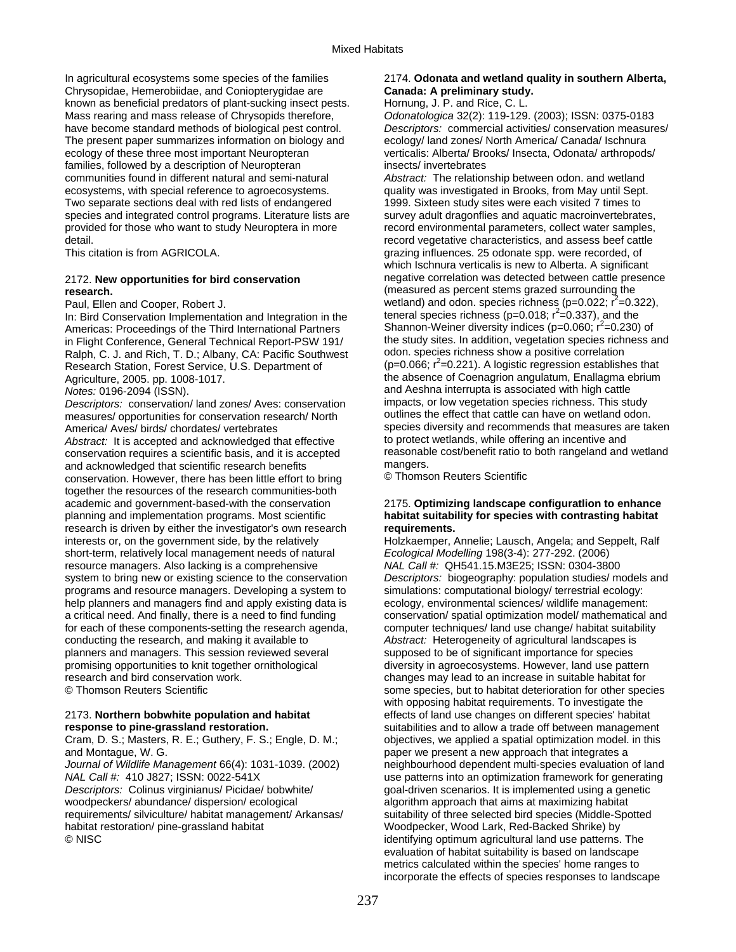In agricultural ecosystems some species of the families 2174. **Odonata and wetland quality in southern Alberta,**  Chrysopidae, Hemerobiidae, and Coniopterygidae are **Canada: A preliminary study.**  known as beneficial predators of plant-sucking insect pests. Hornung, J. P. and Rice, C. L. Mass rearing and mass release of Chrysopids therefore, *Odonatologica* 32(2): 119-129. (2003); ISSN: 0375-0183 have become standard methods of biological pest control. *Descriptors:* commercial activities/ conservation measures/ The present paper summarizes information on biology and ecology/ land zones/ North America/ Canada/ Ischnura ecology of these three most important Neuropteran verticalis: Alberta/ Brooks/ Insecta, Odonata/ arthropods/<br>
families. followed by a description of Neuropteran verticalis: insects/ invertebrates families, followed by a description of Neuropteran<br>communities found in different natural and semi-natural ecosystems, with special reference to agroecosystems. quality was investigated in Brooks, from May until Sept. Two separate sections deal with red lists of endangered 1999. Sixteen study sites were each visited 7 times to species and integrated control programs. Literature lists are survey adult dragonflies and aquatic macroinvertebrates, provided for those who want to study Neuroptera in more record environmental parameters, collect water samples, detail. **record vegetative characteristics, and assess beef cattle** detail.

In: Bird Conservation Implementation and Integration in the teneral species richness (p=0.018; r<sup>2</sup>=0.337), and the 2018<br>Americas: Proceedings of the Third International Partners Shannon-Weiner diversity indices (p=0.060; Americas: Proceedings of the Third International Partners Shannon-Weiner diversity indices (p=0.060; r<sup>2</sup>=0.230) of<br>in Flight Conference, General Technical Report-PSW 191/ the study sites. In addition, vegetation species r in Flight Conference, General Technical Report-PSW 191/ the study sites. In addition, vegetation species rich<br>Ralph, C. J. and Rich, T. D.: Albany, CA: Pacific Southwest odon, species richness show a positive correlation Ralph, C. J. and Rich, T. D.; Albany, CA: Pacific Southwest Research Station, Forest Service, U.S. Department of Agriculture, 2005. pp. 1008-1017. The absence of Coenagrion angulatum, Enallagma ebrium

*Descriptors:* conservation/ land zones/ Aves: conservation impacts, or low vegetation species richness. This study<br>measures/ opportunities for conservation research/ North outlines the effect that cattle can have on wetla measures/ opportunities for conservation research/ North America/ Aves/ birds/ chordates/ vertebrates

conservation requires a scientific basis, and it is accepted reasonable conservation requires a scientific research benefits ratio mangers. and acknowledged that scientific research benefits mangers.<br>
conservation However, there has been little effort to bring  $\circ$  Thomson Reuters Scientific conservation. However, there has been little effort to bring together the resources of the research communities-both academic and government-based-with the conservation 2175. **Optimizing landscape configuratlion to enhance**  planning and implementation programs. Most scientific **habitat suitability for species with contrasting habitat**  research is driven by either the investigator's own research **requirements.**  interests or, on the government side, by the relatively **Holzkaemper, Annelie; Lausch, Angela; and Seppelt**, Ralf short-term, relatively local management needs of natural *Ecological Modelling* 198(3-4): 277-292. (2006) resource managers. Also lacking is a comprehensive programs and resource managers. Developing a system to simulations: computational biology/ terrestrial ecology: help planners and managers find and apply existing data is ecology, environmental sciences/ wildlife management: for each of these components-setting the research agenda, computer techniques/ land use change/ habitat suitability conducting the research, and making it available to *Abstract:* Heterogeneity of agricultural landscapes is planners and managers. This session reviewed several supposed to be of significant importance for species promising opportunities to knit together ornithological diversity in agroecosystems. However, land use pattern research and bird conservation work.<br>
© Thomson Reuters Scientific variable habitat for some species, but to habitat deterioration for other species

and Montague, W. G. paper we present a new approach that integrates a

*Descriptors:* Colinus virginianus/ Picidae/ bobwhite/ goal-driven scenarios. It is implemented using a genetic woodpeckers/ abundance/ dispersion/ ecological algorithm approach that aims at maximizing habitat

Abstract: The relationship between odon. and wetland This citation is from AGRICOLA. This citation is from AGRICOLA. Grazing influences. 25 odonate spp. were recorded, of which Ischnura verticalis is new to Alberta. A significant 2172. **New opportunities for bird conservation** negative correlation was detected between cattle presence **research.**<br> **research.** (measured as percent stems grazed surrounding the wetland) and odon. species richness (p=0.022; r<sup>2</sup>=0.3 wetland) and odon. species richness (p=0.022; r<sup>2</sup>=0.322), teneral species richness (p=0.018; r<sup>2</sup>=0.337), and the  $(p=0.066; r^2=0.221)$ . A logistic regression establishes that *Notes:* 0196-2094 (ISSN).<br> *Descriptors:* conservation/ land zones/ Aves: conservation impacts, or low vegetation species richness. This study species diversity and recommends that measures are taken<br>to protect wetlands, while offering an incentive and *Abstract:* It is accepted and acknowledged that effective to protect wetlands, while offering an incentive and<br>conservation requires a scientific basis, and it is accepted reasonable cost/benefit ratio to both rangeland a

system to bring new or existing science to the conservation *Descriptors:* biogeography: population studies/ models and a critical need. And finally, there is a need to find funding conservation/ spatial optimization model/ mathematical and some species, but to habitat deterioration for other species with opposing habitat requirements. To investigate the 2173. **Northern bobwhite population and habitat** effects of land use changes on different species' habitat **response to pine-grassland restoration. Suitabilities and to allow a trade off between management** Cram, D. S.; Masters, R. E.; Guthery, F. S.; Engle, D. M.; objectives, we applied a spatial optimization model. in this *Journal of Wildlife Management* 66(4): 1031-1039. (2002) neighbourhood dependent multi-species evaluation of land *NAL Call #:* 410 J827; ISSN: 0022-541X use patterns into an optimization framework for generating requirements/ silviculture/ habitat management/ Arkansas/ suitability of three selected bird species (Middle-Spotted habitat restoration/ pine-grassland habitat Woodpecker, Wood Lark, Red-Backed Shrike) by<br>
© NISC identifying optimum agricultural land use patterns. identifying optimum agricultural land use patterns. The evaluation of habitat suitability is based on landscape metrics calculated within the species' home ranges to incorporate the effects of species responses to landscape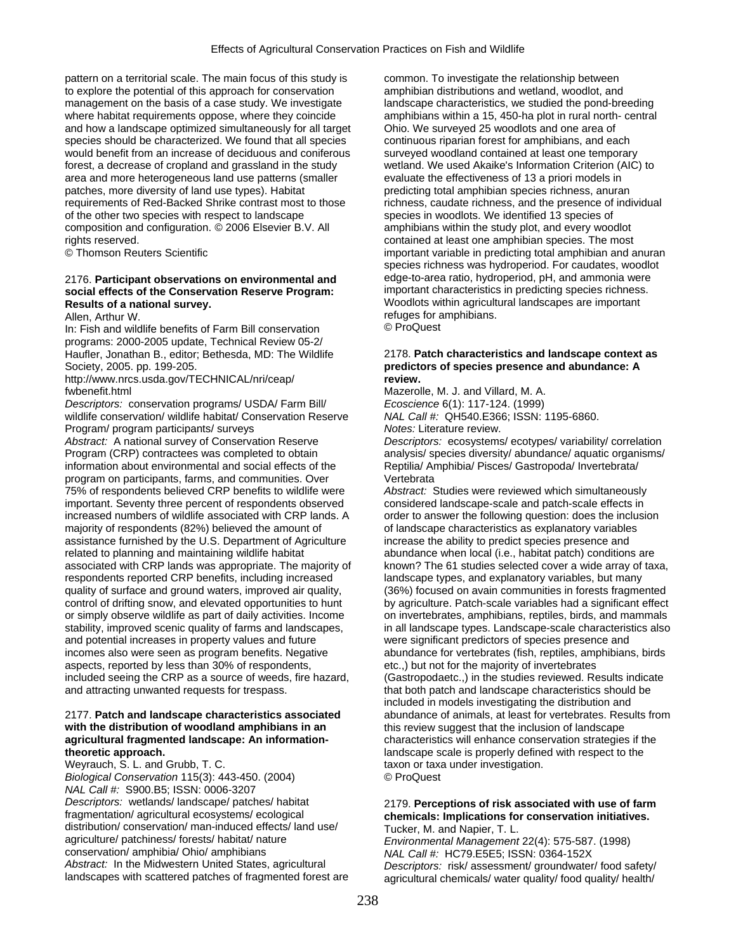pattern on a territorial scale. The main focus of this study is common. To investigate the relationship between to explore the potential of this approach for conservation amphibian distributions and wetland, woodlot, and management on the basis of a case study. We investigate landscape characteristics, we studied the pond-breeding where habitat requirements oppose, where they coincide amphibians within a 15, 450-ha plot in rural north- central and how a landscape optimized simultaneously for all target Ohio. We surveyed 25 woodlots and one area of species should be characterized. We found that all species continuous riparian forest for amphibians, and each would benefit from an increase of deciduous and coniferous surveyed woodland contained at least one temporary<br>
forest, a decrease of cropland and grassland in the study wetland. We used Akaike's Information Criterion (AIC) forest, a decrease of cropland and grassland in the study wetland. We used Akaike's Information Criterion (A<br>AIC is a priori models in all the studies of the studies of 13 a priori models in area and more heterogeneous land use patterns (smaller patches, more diversity of land use types). Habitat predicting total amphibian species richness, anuran requirements of Red-Backed Shrike contrast most to those richness, caudate richness, and the presence of individual of the other two species with respect to landscape species in woodlots. We identified 13 species of composition and configuration. © 2006 Elsevier B.V. All amphibians within the study plot, and every woodlot

## social effects of the Conservation Reserve Program: **Results of a national survey. Notice that Moodlots within agricultural landscapes are important**

Allen, Arthur W.<br>In: Fish and wildlife benefits of Farm Bill conservation  $\circ$  ProQuest In: Fish and wildlife benefits of Farm Bill conservation programs: 2000-2005 update, Technical Review 05-2/ Society, 2005. pp. 199-205. **predictors of species presence and abundance: A** 

http://www.nrcs.usda.gov/TECHNICAL/nri/ceap/ **review.**  fwbenefit.html Mazerolle, M. J. and Villard, M. A.

*Descriptors:* conservation programs/ USDA/ Farm Bill/ *Ecoscience* 6(1): 117-124. (1999) wildlife conservation/ wildlife habitat/ Conservation Reserve

Program/ program participants/ surveys **Notes:** Literature review.<br>
Abstract: A national survey of Conservation Reserve **Descriptors:** ecosystems Program (CRP) contractees was completed to obtain analysis/ species diversity/ abundance/ aquatic organisms/ information about environmental and social effects of the Reptilia/ Amphibia/ Pisces/ Gastropoda/ Invertebrata/ program on participants, farms, and communities. Over Vertebrata 75% of respondents believed CRP benefits to wildlife were *Abstract:* Studies were reviewed which simultaneously important. Seventy three percent of respondents observed considered landscape-scale and patch-scale effects in increased numbers of wildlife associated with CRP lands. A order to answer the following question: does the inclusion majority of respondents (82%) believed the amount of of landscape characteristics as explanatory variabl majority of respondents (82%) believed the amount of or landscape characteristics as explanatory variables assistance furnished by the U.S. Department of Agriculture increase the ability to predict species presence and assistance furnished by the U.S. Department of Agriculture related to planning and maintaining wildlife habitat abundance when local (i.e., habitat patch) conditions are associated with CRP lands was appropriate. The majority of known? The 61 studies selected cover a wide array of taxa, respondents reported CRP benefits, including increased landscape types, and explanatory variables, but many quality of surface and ground waters, improved air quality, (36%) focused on avain communities in forests fragmented control of drifting snow, and elevated opportunities to hunt by agriculture. Patch-scale variables had a significant effect or simply observe wildlife as part of daily activities. Income on invertebrates, amphibians, reptiles, birds, and mammals stability, improved scenic quality of farms and landscapes, in all landscape types. Landscape-scale characteristics also and potential increases in property values and future were significant predictors of species presence and incomes also were seen as program benefits. Negative abundance for vertebrates (fish, reptiles, amphibians, birds aspects, reported by less than 30% of respondents, etc.,) but not for the majority of invertebrates included seeing the CRP as a source of weeds, fire hazard, (Gastropodaetc.,) in the studies reviewed. Results indicate and attracting unwanted requests for trespass. That both patch and landscape characteristics should be

## **with the distribution of woodland amphibians in an** this review suggest that the inclusion of landscape **agricultural fragmented landscape: An information-** characteristics will enhance conservation strategies if the **theoretic approach.** landscape scale is properly defined with respect to the

Weyrauch, S. L. and Grubb, T. C. taxon or taxa under investigation. *Biological Conservation* 115(3): 443-450. (2004) © ProQuest *NAL Call #:* S900.B5; ISSN: 0006-3207 *Descriptors:* wetlands/ landscape/ patches/ habitat 2179. **Perceptions of risk associated with use of farm**  distribution/ conservation/ man-induced effects/ land use/ Tucker, M. and Napier, T. L.<br>agriculture/ patchiness/ forests/ habitat/ nature *Environmental Management* agriculture/ patchiness/ forests/ habitat/ nature *Environmental Management* 22(4): 575-587. (1998) conservation/ amphibia/ Ohio/ amphibians *NAL Call #:* HC79.E5E5; ISSN: 0364-152X *Abstract:* In the Midwestern United States, agricultural *Descriptors:* risk/ assessment/ groundwater/ food safety/

rights reserved.<br>
© Thomson Reuters Scientific **at least one amphibian species.** The most of the most of the most of the most of t<br>
emportant variable in predicting total amphibian and a important variable in predicting total amphibian and anuran species richness was hydroperiod. For caudates, woodlot 2176. **Participant observations on environmental and** edge-to-area ratio, hydroperiod, pH, and ammonia were

# Haufler, Jonathan B., editor; Bethesda, MD: The Wildlife 2178. **Patch characteristics and landscape context as**

*Descriptors:* ecosystems/ ecotypes/ variability/ correlation

included in models investigating the distribution and 2177. **Patch and landscape characteristics associated** abundance of animals, at least for vertebrates. Results from

# chemicals: Implications for conservation initiatives.

agricultural chemicals/ water quality/ food quality/ health/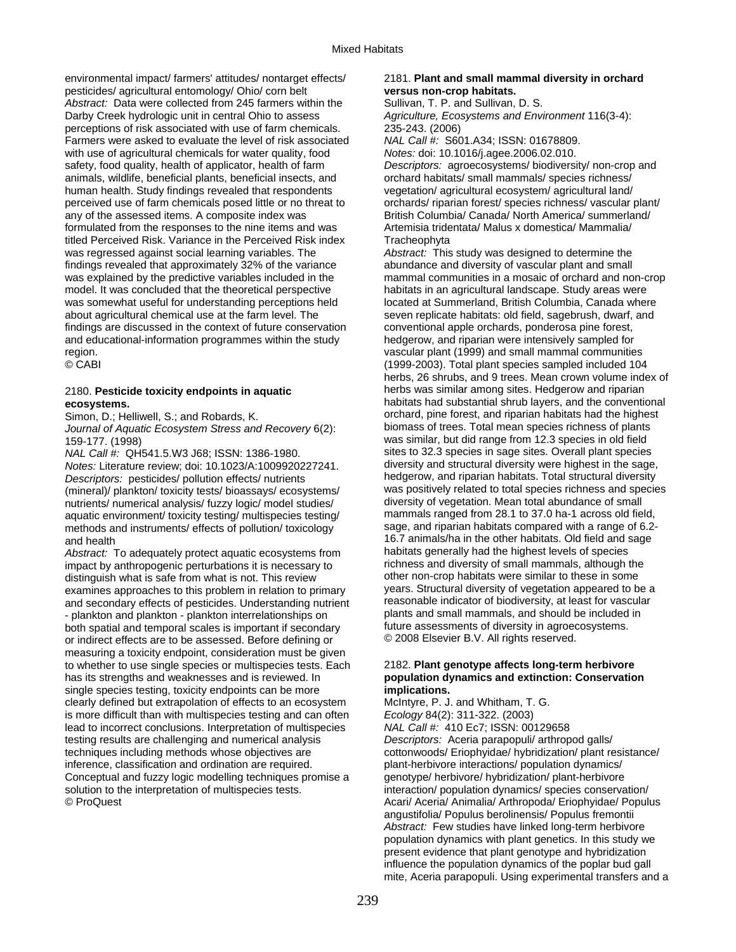environmental impact/ farmers' attitudes/ nontarget effects/ 2181. **Plant and small mammal diversity in orchard**  pesticides/ agricultural entomology/ Ohio/ corn belt **versus non-crop habitats.**  Abstract: Data were collected from 245 farmers within the Sullivan, T. P. and Sullivan, D. S. Darby Creek hydrologic unit in central Ohio to assess *Agriculture, Ecosystems and Environment* 116(3-4): perceptions of risk associated with use of farm chemicals. 235-243. (2006) Farmers were asked to evaluate the level of risk associated *NAL Call #:* S601.A34; ISSN: 01678809.<br>
with use of agricultural chemicals for water quality, food *Notes:* doi: 10.1016/j.agee.2006.02.010. with use of agricultural chemicals for water quality, food safety, food quality, health of applicator, health of farm *Descriptors:* agroecosystems/ biodiversity/ non-crop and human health. Study findings revealed that respondents vegetation/ agricultural ecosystem/ agricultural land/ perceived use of farm chemicals posed little or no threat to orchards/ riparian forest/ species richness/ vascular plant/ any of the assessed items. A composite index was British Columbia/ Canada/ North America/ summerland/ formulated from the responses to the nine items and was Artemisia tridentata/ Malus x domestica/ Mammalia/ titled Perceived Risk. Variance in the Perceived Risk index Tracheophyta was regressed against social learning variables. The *Abstract:* This study was designed to determine the findings revealed that approximately 32% of the variance abundance and diversity of vascular plant and small findings revealed that approximately 32% of the variance was explained by the predictive variables included in the mammal communities in a mosaic of orchard and non-crop<br>model. It was concluded that the theoretical perspective habitats in an agricultural landscape. Study areas w model. It was concluded that the theoretical perspective was somewhat useful for understanding perceptions held located at Summerland, British Columbia, Canada where about agricultural chemical use at the farm level. The seven replicate habitats: old field, sagebrush, dwarf, and findings are discussed in the context of future conservation conventional apple orchards, ponderosa pine forest, and educational-information programmes within the study hedgerow, and riparian were intensively sampled for region. vascular plant (1999) and small mammal communities

*Journal of Aquatic Ecosystem Stress and Recovery* 6(2): 159-177. (1998) was similar, but did range from 12.3 species in old field

*Notes:* Literature review; doi: 10.1023/A:1009920227241. (mineral)/ plankton/ toxicity tests/ bioassays/ ecosystems/ was positively related to total species richness and spe<br>nutrients/ numerical analysis/ fuzzy logic/ model studies/ diversity of vegetation. Mean total abundance nutrients/ numerical analysis/ fuzzy logic/ model studies/ diversity of vegetation. Mean total abundance of small<br>aquatic environment/ toxicity testing/ multispecies testing/ mammals ranged from 28.1 to 37.0 ha-1 across ol aquatic environment/ toxicity testing/ multispecies testing/ mammals ranged from 28.1 to 37.0 ha-1 across old field,<br>methods and instruments/ effects of pollution/ toxicology sage, and riparian habitats compared with a ran methods and instruments/ effects of pollution/ toxicology and health

*Abstract:* To adequately protect aquatic ecosystems from habitats generally had the highest levels of species<br>impact by anthropogenic perturbations it is necessary to **rightleness** and diversity of small mammals, although impact by anthropogenic perturbations it is necessary to richness and diversity of small mammals, although the<br>distinguish what is safe from what is not. This review other non-crop habitats were similar to these in some distinguish what is safe from what is not. This review other non-crop habitats were similar to these in some<br>examines approaches to this problem in relation to primary years. Structural diversity of vegetation appeared to examines approaches to this problem in relation to primary years. Structural diversity of vegetation appeared to be a<br>and secondary effects of pesticides. Understanding nutrient reasonable indicator of biodiversity, at lea and secondary effects of pesticides. Understanding nutrient reasonable indicator of biodiversity, at least for vasculary<br>- plankton and plankton - plankton interrelationships on plants and small mammals, and should be incl - plankton and plankton - plankton interrelationships on plants and small mammals, and should be included included included included included included included included included included included included included included both spatial and temporal scales is important if secondary future assessments of diversity in agroed<br>The indirect effects are to be assessed. Before defining or  $\degree$  2008 Elsevier B.V. All rights reserved. or indirect effects are to be assessed. Before defining or measuring a toxicity endpoint, consideration must be given to whether to use single species or multispecies tests. Each 2182. **Plant genotype affects long-term herbivore**  has its strengths and weaknesses and is reviewed. In **population dynamics and extinction: Conservation**  single species testing, toxicity endpoints can be more **implications.**  clearly defined but extrapolation of effects to an ecosystem McIntyre, P. J. and Whitham, T. G. is more difficult than with multispecies testing and can often *Ecology* 84(2): 311-322. (2003) lead to incorrect conclusions. Interpretation of multispecies *NAL Call #:* 410 Ec7; ISSN: 00129658 testing results are challenging and numerical analysis *Descriptors:* Aceria parapopuli/ arthropod galls/ inference, classification and ordination are required. plant-herbivore interactions/ population dynamics/ Conceptual and fuzzy logic modelling techniques promise a genotype/ herbivore/ hybridization/ plant-herbivore solution to the interpretation of multispecies tests. interaction/ population dynamics/ species conservation/

orchard habitats/ small mammals/ species richness/

© CABI (1999-2003). Total plant species sampled included 104 herbs, 26 shrubs, and 9 trees. Mean crown volume index of 2180. **Pesticide toxicity endpoints in aquatic** herbs was similar among sites. Hedgerow and riparian **ecosystems. habitats had substantial shrub layers, and the conventional** Simon, D.; Helliwell, S.; and Robards, K. **Exercice 2.** orchard, pine forest, and riparian habitats had the highest<br>Journal of Aquatic Ecosystem Stress and Recovery 6(2): biomass of trees. Total mean species richness of pl *NAL Call #:* QH541.5.W3 J68; ISSN: 1386-1980.<br>*Notes:* Literature review: doi: 10 1023/A:1009920227241 diversity and structural diversity were highest in the sage, *Descriptors:* pesticides/ pollution effects/ nutrients hedgerow, and riparian habitats. Total structural diversity 16.7 animals/ha in the other habitats. Old field and sage habitats generally had the highest levels of species

cottonwoods/ Eriophyidae/ hybridization/ plant resistance/ © ProQuest Acari/ Aceria/ Animalia/ Arthropoda/ Eriophyidae/ Populus angustifolia/ Populus berolinensis/ Populus fremontii *Abstract:* Few studies have linked long-term herbivore population dynamics with plant genetics. In this study we present evidence that plant genotype and hybridization influence the population dynamics of the poplar bud gall mite, Aceria parapopuli. Using experimental transfers and a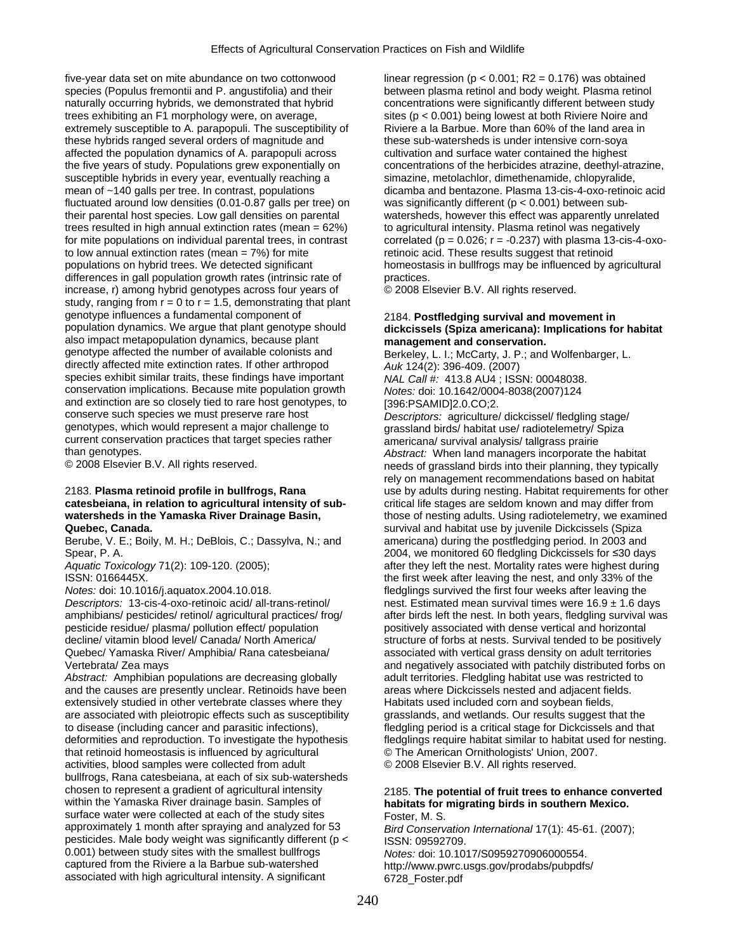five-year data set on mite abundance on two cottonwood linear regression (p < 0.001; R2 = 0.176) was obtained species (Populus fremontii and P. angustifolia) and their between plasma retinol and body weight. Plasma retinol naturally occurring hybrids, we demonstrated that hybrid concentrations were significantly different between study trees exhibiting an F1 morphology were, on average, sites  $(p < 0.001)$  being lowest at both Riviere Noire and extremely susceptible to A. parapopuli. The susceptibility of Riviere a la Barbue. More than 60% of the land area in these hybrids ranged several orders of magnitude and these sub-watersheds is under intensive corn-soya affected the population dynamics of A. parapopuli across cultivation and surface water contained the highest the five years of study. Populations grew exponentially on concentrations of the herbicides atrazine, deethyl-atrazine, susceptible hybrids in every year, eventually reaching a simazine, metolachlor, dimethenamide, chlopyralide, mean of ~140 galls per tree. In contrast, populations dicamba and bentazone. Plasma 13-cis-4-oxo-retinoic acid fluctuated around low densities (0.01-0.87 galls per tree) on was significantly different (p < 0.001) between subtheir parental host species. Low gall densities on parental watersheds, however this effect was apparently unrelated trees resulted in high annual extinction rates (mean  $= 62\%)$  to agricultural intensity. Plasma retinol was negatively for mite populations on individual parental trees, in contrast correlated  $(p = 0.026; r = -0.237)$  with plasma 13-cis-4-oxoto low annual extinction rates (mean = 7%) for mite retinoic acid. These results suggest that retinoid populations on hybrid trees. We detected significant homeostasis in bullfrogs may be influenced by agricultural differences in gall population growth rates (intrinsic rate of practices.<br>
increase, r) among hybrid genotypes across four years of © 2008 Elsevier B.V. All rights reserved. increase, r) among hybrid genotypes across four years of study, ranging from  $r = 0$  to  $r = 1.5$ , demonstrating that plant genotype influences a fundamental component of 2184. **Postfledging survival and movement in**<br>
population dynamics. We argue that plant genotype should **dickcissels (Spiza americana): Implications fo** also impact metapopulation dynamics, because plant **management and conservation.**  genotype affected the number of available colonists and Berkeley, L. I.; McCarty, J. P.; and Wolfenbarger, L. directly affected mite extinction rates. If other arthropod *Auk* 124(2): 396-409. (2007)<br>species exhibit similar traits, these findings have important *NAL Call #:* 413.8 AU4 ; ISSN: 00048038. species exhibit similar traits, these findings have important conservation implications. Because mite population growth *Notes:* doi: 10.1642/0004-8038(2007)124 and extinction are so closely tied to rare host genotypes, to [396:PSAMID]2.0.CO;2.<br>
conserve such species we must preserve rare host *Descriptors:* agriculture. genotypes, which would represent a major challenge to grassland birds/ habitat use/ radiotelemetry/ Spiza current conservation practices that target species rather americana/ survival analysis/ tallgrass prairie<br>Abstract: When land managers incorporate the

# **catesbeiana, in relation to agricultural intensity of sub-** critical life stages are seldom known and may differ from

Berube, V. E.; Boily, M. H.; DeBlois, C.; Dassylva, N.; and americana) during the postfledging period. In 2003 and Spear, P. A. 2004, we monitored 60 fledgling Dickcissels for ≤30 days

*Descriptors:* 13-cis-4-oxo-retinoic acid/ all-trans-retinol/ nest. Estimated mean survival times were 16.9 ± 1.6 days pesticide residue/ plasma/ pollution effect/ population positively associated with dense vertical and horizontal decline/ vitamin blood level/ Canada/ North America/ structure of forbs at nests. Survival tended to be positively Quebec/ Yamaska River/ Amphibia/ Rana catesbeiana/ associated with vertical grass density on adult territories

*Abstract:* Amphibian populations are decreasing globally adult territories. Fledgling habitat use was restricted to and the causes are presently unclear. Retinoids have been areas where Dickcissels nested and adjacent fields. extensively studied in other vertebrate classes where they Habitats used included corn and soybean fields, are associated with pleiotropic effects such as susceptibility grasslands, and wetlands. Our results suggest that the to disease (including cancer and parasitic infections), fledgling period is a critical stage for Dickcissels and that deformities and reproduction. To investigate the hypothesis fledglings require habitat similar to habitat used for nesting. that retinoid homeostasis is influenced by agricultural © The American Ornithologists' Union, 2007. activities, blood samples were collected from adult © 2008 Elsevier B.V. All rights reserved. bullfrogs, Rana catesbeiana, at each of six sub-watersheds chosen to represent a gradient of agricultural intensity 2185. **The potential of fruit trees to enhance converted**  surface water were collected at each of the study sites Foster, M. S.<br>approximately 1 month after spraying and analyzed for 53 *Bird Conserv* pesticides. Male body weight was significantly different (p < ISSN: 09592709. 0.001) between study sites with the smallest bullfrogs *Notes:* doi: 10.1017/S0959270906000554. captured from the Riviere a la Barbue sub-watershed http://www.pwrc.usgs.gov/prodabs/pubpdfs/ associated with high agricultural intensity. A significant 6728\_Foster.pdf

# dickcissels (Spiza americana): Implications for habitat

Descriptors: agriculture/ dickcissel/ fledgling stage/ than genotypes.<br>
© 2008 Elsevier B.V. All rights reserved.<br> **Abstract:** When land managers incorporate the habitat of 2008 Elsevier Publical Companion they typical needs of grassland birds into their planning, they typically rely on management recommendations based on habitat 2183. **Plasma retinoid profile in bullfrogs, Rana** use by adults during nesting. Habitat requirements for other **watersheds in the Yamaska River Drainage Basin,** those of nesting adults. Using radiotelemetry, we examined **Quebec, Canada.** survival and habitat use by juvenile Dickcissels (Spiza *Aquatic Toxicology* 71(2): 109-120. (2005); after they left the nest. Mortality rates were highest during ISSN: 0166445X. the first week after leaving the nest, and only 33% of the *Notes:* doi: 10.1016/j.aquatox.2004.10.018. fledglings survived the first four weeks after leaving the amphibians/ pesticides/ retinol/ agricultural practices/ frog/ after birds left the nest. In both years, fledgling survival was Vertebrata/ Zea mays and negatively associated with patchily distributed forbs on

# habitats for migrating birds in southern Mexico.

Bird Conservation International 17(1): 45-61. (2007);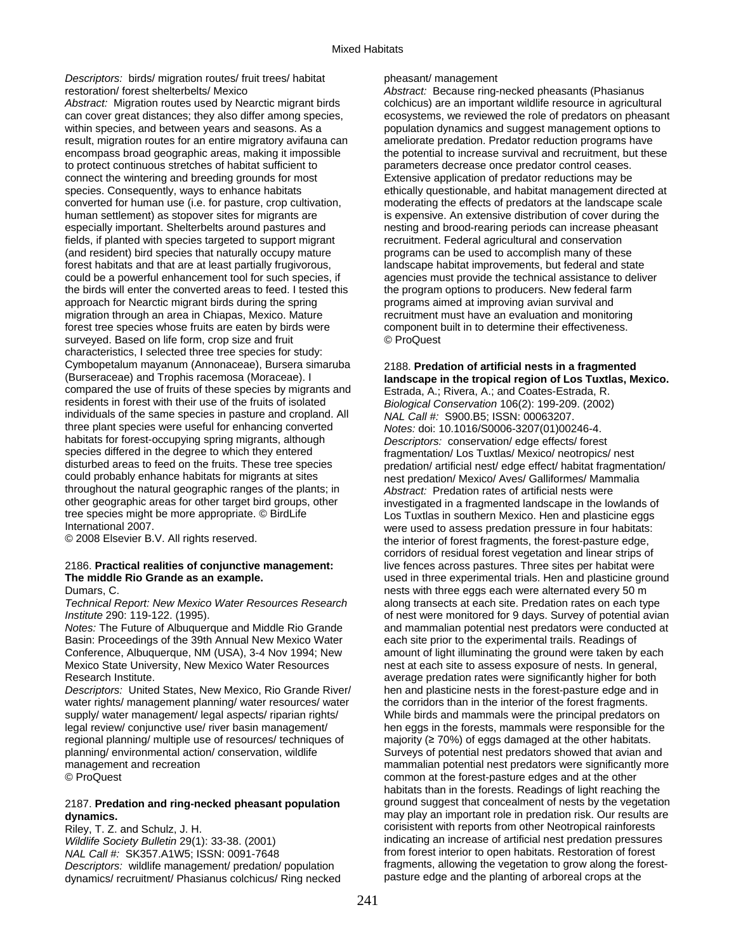*Descriptors:* birds/ migration routes/ fruit trees/ habitat pheasant/ management restoration/ forest shelterbelts/ Mexico *Abstract:* Because ring-necked pheasants (Phasianus

*Abstract:* Migration routes used by Nearctic migrant birds colchicus) are an important wildlife resource in agricultural within species, and between years and seasons. As a population dynamics and suggest management options to result, migration routes for an entire migratory avifauna can ameliorate predation. Predator reduction programs have to protect continuous stretches of habitat sufficient to parameters decrease once predator control ceases. connect the wintering and breeding grounds for most Extensive application of predator reductions may be converted for human use (i.e. for pasture, crop cultivation, moderating the effects of predators at the landscape scale human settlement) as stopover sites for migrants are is expensive. An extensive distribution of cover during the especially important. Shelterbelts around pastures and nesting and brood-rearing periods can increase pheasant fields, if planted with species targeted to support migrant recruitment. Federal agricultural and conservation (and resident) bird species that naturally occupy mature programs can be used to accomplish many of these forest habitats and that are at least partially frugivorous, landscape habitat improvements, but federal and state could be a powerful enhancement tool for such species, if agencies must provide the technical assistance to deliver the birds will enter the converted areas to feed. I tested this the program options to producers. New federal farm<br>approach for Nearctic migrant birds during the spring programs aimed at improving avian survival and approach for Nearctic migrant birds during the spring migration through an area in Chiapas, Mexico. Mature recruitment must have an evaluation and monitoring forest tree species whose fruits are eaten by birds were component built in to determine their effectiveness. surveyed. Based on life form, crop size and fruit  $\heartsuit$  ProQuest characteristics, I selected three tree species for study: Cymbopetalum mayanum (Annonaceae), Bursera simaruba 2188. **Predation of artificial nests in a fragmented**  compared the use of fruits of these species by migrants and Estrada, A.; Rivera, A.; and Coates-Estrada, R.<br>
residents in forest with their use of the fruits of isolated Biological Conservation 106(2): 199-209 (2002) individuals of the same species in pasture and cropland. All *NAL Call #:* S900.B5; ISSN: 00063207. three plant species were useful for enhancing converted *Notes:* doi: 10.1016/S0006-3207(01)00246-4. habitats for forest-occupying spring migrants, although *Descriptors:* conservation/ edge effects/ forest species differed in the degree to which they entered fragmentation/ Los Tuxtlas/ Mexico/ neotropics/ species differed in the degree to which they entered fragmentation/ Los Tuxtlas/ Mexico/ neotropics/ nest<br>disturbed areas to feed on the fruits. These tree species readation/ artificial nest/ edge effect/ habitat fragment disturbed areas to feed on the fruits. These tree species predation/ artificial nest/ edge effect/ habitat fragmentation/<br>could probably enhance habitats for migrants at sites entity nest predation/ Mexico/ Aves/ Galliform throughout the natural geographic ranges of the plants; in *Abstract: Predation rates of artificial nests were*<br>
other geographic areas for other target bird groups, other investigated in a fragmented landscape in the lot other geographic areas for other target bird groups, other investigated in a fragmented landscape in the lowlands of<br>I os Tuxtlas in southern Mexico. Hen and plasticine eggs tree species might be more appropriate. © BirdLife Los Tuxtlas in southern Mexico. Hen and plasticine eggs<br>Los Tuxtlas in southern Mexico. Hen and plasticine eggs<br>Mere used to assess predation pressure in four babitats:

*Technical Report: New Mexico Water Resources Research* along transects at each site. Predation rates on each type

Basin: Proceedings of the 39th Annual New Mexico Water each site prior to the experimental trails. Readings of Mexico State University, New Mexico Water Resources nest at each site to assess exposure of nests. In general, Research Institute. The state of the state of the second version rates were significantly higher for both

water rights/ management planning/ water resources/ water the corridors than in the interior of the forest fragments. supply/ water management/ legal aspects/ riparian rights/ While birds and mammals were the principal predators on legal review/ conjunctive use/ river basin management/ hen eggs in the forests, mammals were responsible for the regional planning/ multiple use of resources/ techniques of majority (≥ 70%) of eggs damaged at the other habitats. planning/ environmental action/ conservation, wildlife Surveys of potential nest predators showed that avian and

*NAL Call #:* SK357.A1W5; ISSN: 0091-7648 from forest interior to open habitats. Restoration of forest dynamics/ recruitment/ Phasianus colchicus/ Ring necked

can cover great distances; they also differ among species, ecosystems, we reviewed the role of predators on pheasant encompass broad geographic areas, making it impossible the potential to increase survival and recruitment, but these species. Consequently, ways to enhance habitats ethically questionable, and habitat management directed at

## landscape in the tropical region of Los Tuxtlas, Mexico.

Biological Conservation 106(2): 199-209. (2002) nest predation/ Mexico/ Aves/ Galliformes/ Mammalia International 2007.<br>
© 2008 Elsevier B.V. All rights reserved.<br>
the interior of forest fragments, the forest-pasture edge. the interior of forest fragments, the forest-pasture edge, corridors of residual forest vegetation and linear strips of 2186. **Practical realities of conjunctive management:** live fences across pastures. Three sites per habitat were **The middle Rio Grande as an example.** used in three experimental trials. Hen and plasticine ground Dumars, C. nests with three eggs each were alternated every 50 m *Institute* 290: 119-122. (1995). *Institute* 290: 119-122. (1995). *Institute* 290: 119-122. (1995). *Notes:* The Future of Albuquerque and Middle Rio Grande and mammalian potential nest predators were conducted at Conference, Albuquerque, NM (USA), 3-4 Nov 1994; New amount of light illuminating the ground were taken by each *Descriptors:* United States, New Mexico, Rio Grande River/ hen and plasticine nests in the forest-pasture edge and in management and recreation mammalian potential nest predators were significantly more © ProQuest common at the forest-pasture edges and at the other habitats than in the forests. Readings of light reaching the 2187. **Predation and ring-necked pheasant population** ground suggest that concealment of nests by the vegetation **dynamics. and the contract of the intervals of the intervalse of the intervalse of the contract of the contract of the contract of the contract of the contract of the contract of the contract of the contract of the cont** Riley, T. Z. and Schulz, J. H. corisistent with reports from other Neotropical rainforests *Wildlife Society Bulletin* 29(1): 33-38. (2001) indicating an increase of artificial nest predation pressures *Descriptors:* wildlife management/ predation/ population fragments, allowing the vegetation to grow along the forest-<br>dynamics/ recruitment/ Phasianus colchicus/ Ring necked pasture edge and the planting of arboreal crops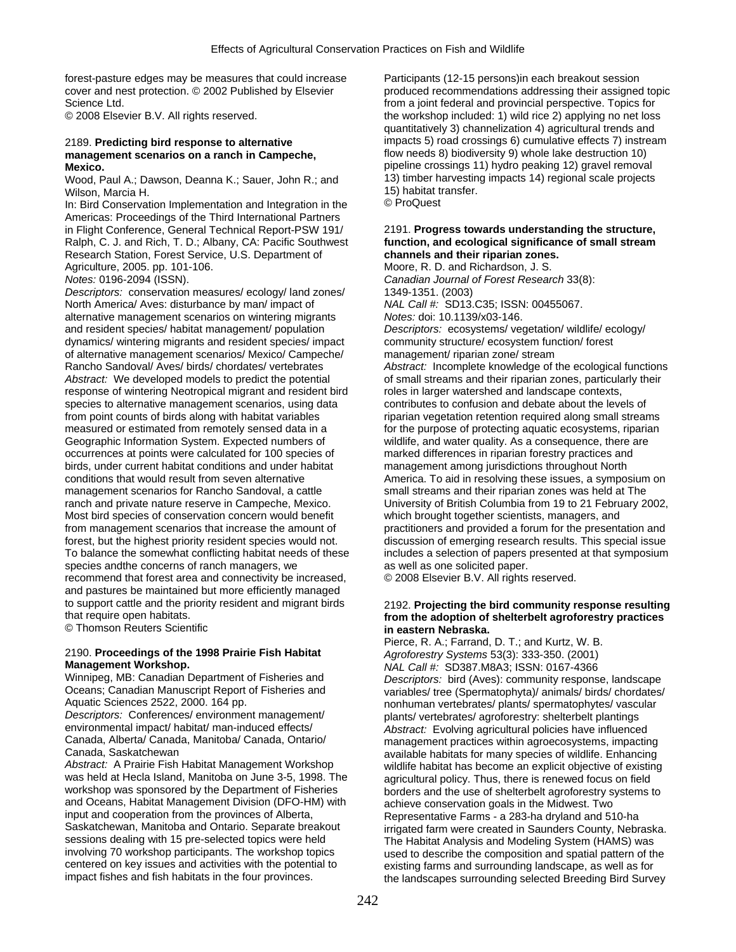forest-pasture edges may be measures that could increase Participants (12-15 persons)in each breakout session Science Ltd. **From a joint federal and provincial perspective.** Topics for

Wood, Paul A.; Dawson, Deanna K.; Sauer, John R.; and Wilson, Marcia H. 15) habitat transfer.<br>
In: Bird Conservation Implementation and Integration in the C ProQuest

In: Bird Conservation Implementation and Integration in the Americas: Proceedings of the Third International Partners in Flight Conference, General Technical Report-PSW 191/ 2191. **Progress towards understanding the structure,**  Ralph, C. J. and Rich, T. D.; Albany, CA: Pacific Southwest **function, and ecological significance of small stream**  Research Station, Forest Service, U.S. Department of **channels and their riparian zones.**  Agriculture, 2005. pp. 101-106. Agriculture, 2005. pp. 101-106.

*Descriptors:* conservation measures/ ecology/ land zones/ 1349-1351. (2003)<br>North America/ Aves: disturbance by man/ impact of *NAL Call #:* SD13.C35; ISSN: 00455067. North America/ Aves: disturbance by man/ impact of alternative management scenarios on wintering migrants *Notes:* doi: 10.1139/x03-146. and resident species/ habitat management/ population *Descriptors:* ecosystems/ vegetation/ wildlife/ ecology/ dynamics/ wintering migrants and resident species/ impact community structure/ ecosystem function/ forest of alternative management scenarios/ Mexico/ Campeche/ management/ riparian zone/ stream Rancho Sandoval/ Aves/ birds/ chordates/ vertebrates *Abstract:* Incomplete knowledge of the ecological functions Abstract: We developed models to predict the potential of small streams and their riparian zones, particularly their response of wintering Neotropical migrant and resident bird roles in larger watershed and landscape contexts, species to alternative management scenarios, using data contributes to confusion and debate about the levels of from point counts of birds along with habitat variables riparian vegetation retention required along small streams measured or estimated from remotely sensed data in a for the purpose of protecting aquatic ecosystems, riparian Geographic Information System. Expected numbers of wildlife, and water quality. As a consequence, there are occurrences at points were calculated for 100 species of marked differences in riparian forestry practices and birds, under current habitat conditions and under habitat management among jurisdictions throughout North conditions that would result from seven alternative **America.** To aid in resolving these issues, a symposium on management scenarios for Rancho Sandoval, a cattle small streams and their riparian zones was held at The ranch and private nature reserve in Campeche, Mexico. University of British Columbia from 19 to 21 February 2002, Most bird species of conservation concern would benefit which brought together scientists, managers, and from management scenarios that increase the amount of practitioners and provided a forum for the presentation and forest, but the highest priority resident species would not. discussion of emerging research results. This special issue species and the concerns of ranch managers, we as well as one solicited paper. recommend that forest area and connectivity be increased, © 2008 Elsevier B.V. All rights reserved. and pastures be maintained but more efficiently managed to support cattle and the priority resident and migrant birds 2192. **Projecting the bird community response resulting**<br> **from the adoption of shelterbelt agroforestry practices** 

© Thomson Reuters Scientific **in eastern Nebraska.** 

## 2190. **Proceedings of the 1998 Prairie Fish Habitat** *Agroforestry Systems* 53(3): 333-350. (2001)

*Descriptors:* Conferences/ environment management/ plants/ vertebrates/ agroforestry: shelterbelt plantings<br>
environmental impact/ habitat/ man-induced effects/ *Abstract:* Evolving agricultural policies have influence environmental impact/ habitat/ man-induced effects/ *Abstract:* Evolving agricultural policies have influenced

*Abstract:* A Prairie Fish Habitat Management Workshop wildlife habitat has become an explicit objective of existing was held at Hecla Island, Manitoba on June 3-5, 1998. The agricultural policy. Thus, there is renewed focus on field<br>workshop was sponsored by the Department of Fisheries borders and the use of shelterbelt agroforestry sys and Oceans, Habitat Management Division (DFO-HM) with achieve conservation goals in the Midwest. Two<br>input and cooperation from the provinces of Alberta, Representative Farms - a 283-ha dryland and 51 input and cooperation from the provinces of Alberta, end are representative Farms - a 283-ha dryland and 510-ha<br>Saskatchewan, Manitoba and Ontario. Separate breakout entringated farm were created in Saunders County. Nebr Saskatchewan, Manitoba and Ontario. Separate breakout irrigated farm were created in Saunders County, Nebraska.<br>Sessions dealing with 15 pre-selected topics were held The Habitat Analysis and Modeling System (HAMS) was sessions dealing with 15 pre-selected topics were held The Habitat Analysis and Modeling System (HAMS) was<br>involving 70 workshop participants. The workshop topics used to describe the composition and spatial pattern of th involving 70 workshop participants. The workshop topics used to describe the composition and spatial pattern of the<br>centered on key issues and activities with the potential to existing farms and surrounding landscape, as w centered on key issues and activities with the potential to existing farms and surrounding landscape, as well as for

cover and nest protection. © 2002 Published by Elsevier produced recommendations addressing their assigned topic © 2008 Elsevier B.V. All rights reserved. the workshop included: 1) wild rice 2) applying no net loss quantitatively 3) channelization 4) agricultural trends and 2189. **Predicting bird response to alternative** impacts 5) road crossings 6) cumulative effects 7) instream **management scenarios on a ranch in Campeche,** flow needs 8) biodiversity 9) whole lake destruction 10) **Mexico.**<br>
Wood, Paul A.: Dawson, Deanna K.: Sauer, John R.: and <sup>13</sup>) timber harvesting impacts 14) regional scale projects

*Notes:* 0196-2094 (ISSN). *Canadian Journal of Forest Research* 33(8): To balance the somewhat conflicting habitat needs of these includes a selection of papers presented at that symposium

# from the adoption of shelterbelt agroforestry practices

Pierce, R. A.; Farrand, D. T.; and Kurtz, W. B. **Management Workshop.**<br>Winnipeg, MB: Canadian Department of Fisheries and *Descriptors: bird (Aves): community respons* Winnipeg, MB: Canadian Department of Fisheries and *Descriptors:* bird (Aves): community response, landscape<br>Oceans: Canadian Manuscript Report of Fisheries and *variables/* tree (Spermatophyta)/ animals/ birds/ chordates/ Oceans; Canadian Manuscript Report of Fisheries and variables/ tree (Spermatophyta)/ animals/ birds/ chordates/ honhuman vertebrates/ plants/ spermatophytes/ vascular Canada, Alberta/ Canada, Manitoba/ Canada, Ontario/ management practices within agroecosystems, impacting Canada, Saskatchewan<br>Abstract: A Prairie Fish Habitat Management Workshop available habitat has become an explicit objective of existing borders and the use of shelterbelt agroforestry systems to the land scapes surrounding selected Breeding Bird Survey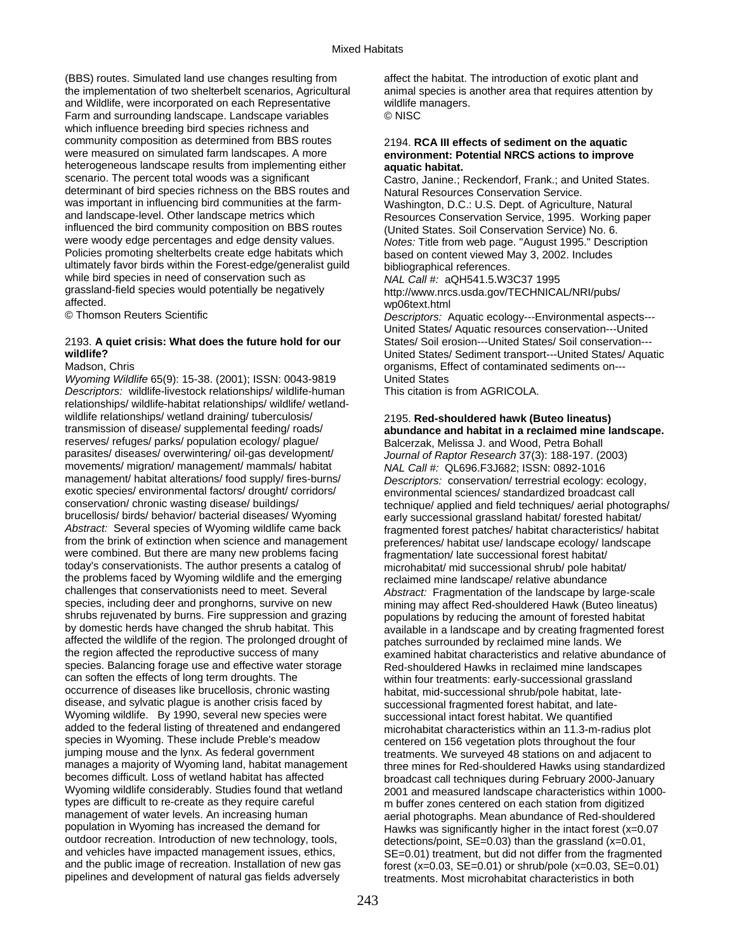(BBS) routes. Simulated land use changes resulting from affect the habitat. The introduction of exotic plant and the implementation of two shelterbelt scenarios, Agricultural animal species is another area that requires attention by and Wildlife, were incorporated on each Representative wildlife managers. Farm and surrounding landscape. Landscape variables © NISC which influence breeding bird species richness and community composition as determined from BBS routes 2194. **RCA III effects of sediment on the aquatic**  heterogeneous landscape results from implementing either **aquatic habitat.**<br>
scenario. The percent total woods was a significant **Castro Janine :** determinant of bird species richness on the BBS routes and<br>was important in influencing bird communities at the farm-<br>Washington, D.C. U.S. Dept. of Agriculture was important in influencing bird communities at the farm-<br>and landscape-level. Other landscape metrics which entity resources Conservation Service, 1995. Working pa influenced the bird community composition on BBS routes (United States. Soil Conservation Service) No. 6.<br>Wores: Title from web page. "August 1995." Description of the dige density values. Policies promoting shelterbelts create edge habitats which based on content viewed May 3, 2002. Includes ultimately favor birds within the Forest-edge/generalist guild bibliographical references. ultimately favor birds within the Forest-edge/generalist guild while bird species in need of conservation such as *NAL Call #:* aQH541.5.W3C37 1995<br>grassland-field species would potentially be negatively **http://www.nrcs.usda.gov/TFCHNICA** grassland-field species would potentially be negatively http://www.nrcs.usda.gov/TECHNICAL/NRI/pubs/<br>affected<br>wp06toxt.html affected. wp06text.html<br>© Thomson Reuters Scientific Network of Nescriptors: A

## 2193. A quiet crisis: What does the future hold for our States/ Soil erosion---United States/ Soil conservation---

*Wyoming Wildlife* 65(9): 15-38. (2001); ISSN: 0043-9819 United States *Descriptors:* wildlife-livestock relationships/ wildlife-human This citation is from AGRICOLA. relationships/ wildlife-habitat relationships/ wildlife/ wetlandwildlife relationships/ wetland draining/ tuberculosis/ 2195. **Red-shouldered hawk (Buteo lineatus)**<br> **abundance and habitat in a reclaimed mine language of the contract of the system** reserves/ refuges/ parks/ population ecology/ plague/ Balcerzak, Melissa J. and Wood, Petra Bohall<br>parasites/ diseases/ overwintering/ oil-gas development/ [*ournal of Raptor Research* 37(3): 188-197 parasites/ diseases/ overwintering/ oil-gas development/ *Journal of Raptor Research* 37(3): 188-197. (2003)<br>movements/ migration/ management/ mammals/ habitat MAI Call #: OI 696 F3.I682: ISSN: 0892-1016 movements/ migration/ management/ mammals/ habitat *NAL Call #:* QL696.F3J682; ISSN: 0892-1016<br>management/ habitat alterations/ food supply/ fires-burns/ *Descriptors: conservation/ terrestrial ecology:* management/ habitat alterations/ food supply/ fires-burns/ *Descriptors:* conservation/ terrestrial ecology: ecology, exotic species/ environmental factors/ drought/ corridors/ environmental sciences/ standardized broadcas exotic species/ environmental factors/ drought/ corridors/ environmental sciences/ standardized broadcast call<br>
conservation/ chronic wasting disease/ buildings/ environmental sciences/ standardized broadcast call brucellosis/ birds/ behavior/ bacterial diseases/ Wyoming early successional grassland habitat/ forested habitat/<br>Abstract: Several species of Wyoming wildlife came back fragmented forest patches/ habitat characteristics/ from the brink of extinction when science and management preferences/ habitat use/ landscape ecology/ landscape were combined. But there are many new problems facing fragmentation/ late successional forest habitat/<br>today's conservationists. The author presents a catalog of microbabitat/ mid successional shrub/ pole habitat/ the problems faced by Wyoming wildlife and the emerging reclaimed mine landscape/ relative abundance<br>challenges that conservationists need to meet. Several abstract: Eragmentation of the landscape by la challenges that conservationists need to meet. Several *Abstract:* Fragmentation of the landscape by large-scale species, including deer and pronghorns, survive on new mining may affect Red-shouldered Hawk (Buteo lineatus)<br>shrubs rejuvenated by burns. Fire suppression and grazing propulations by reducing the amount of forested habita shrubs rejuvenated by burns. Fire suppression and grazing populations by reducing the amount of forested habitat<br>by domestic herds have changed the shrub habitat. This a available in a landscape and by creating fragmented affected the wildlife of the region. The prolonged drought of the region affected the reproductive success of many species. Balancing forage use and effective water storage Red-shouldered Hawks in reclaimed mine landscapes<br>
can soften the effects of long term droughts. The variancy within four treatments: early-successional grassland occurrence of diseases like brucellosis, chronic wasting habitat, mid-successional shrub/pole habitat, latedisease, and sylvatic plague is another crisis faced by successional fragmented forest habitat, and late-Wyoming wildlife. By 1990, several new species were successional intact forest habitat. We quantified added to the federal listing of threatened and endangered microbabitat characteristics within an 11 3-m-rad added to the federal listing of threatened and endangered microhabitat characteristics within an 11.3-m-radius plot<br>species in Wyoming. These include Preble's meadow<br>centered on 156 vegetation plots throughout the four species in Wyoming. These include Preble's meadow centered on 156 vegetation plots throughout the four<br>iumping mouse and the lynx. As federal government<br>treatments. We surveyed 48 stations on and adjacent jumping mouse and the lynx. As federal government entity treatments. We surveyed 48 stations on and adjacent to<br>The manages a majority of Wyoming land, habitat management entity three mines for Red-shouldered Hawks using s manages a majority of Wyoming land, habitat management three mines for Red-shouldered Hawks using standardized<br>becomes difficult. Loss of wetland habitat has affected broadcast call techniques during February 2000-January becomes difficult. Loss of wetland habitat has affected broadcast call techniques during February 2000-January<br>Wyoming wildlife considerably. Studies found that wetland 2001 and measured landscape characteristics within 10 Wyoming wildlife considerably. Studies found that wetland 2001 and measured landscape characteristics within 1000-<br>types are difficult to re-create as they require careful measured measured on each station from digitized types are difficult to re-create as they require careful metally m buffer zones centered on each station from digitized<br>management of water levels. An increasing human and a aerial photographs. Mean abundance of Red-should management of water levels. An increasing human and the same all photographs. Mean abundance of Red-shouldered<br>1.07 population in Wyoming has increased the demand for Hawks was significantly higher in the intact forest (x= population in Wyoming has increased the demand for Hawks was significantly higher in the intact forest (x=0.07<br>outdoor recreation. Introduction of new technology, tools, detections/point. SE=0.03) than the grassland (x=0.0 and vehicles have impacted management issues, ethics,  $SE=0.01$  treatment, but did not differ from the fragmented<br>and the public image of recreation. Installation of new gas  $f( x=0.03. SE=0.01)$  or shrub/pole  $(x=0.03. SE=0.01)$ pipelines and development of natural gas fields adversely treatments. Most microhabitat characteristics in both

# environment: Potential NRCS actions to improve

Castro, Janine.; Reckendorf, Frank.; and United States. Resources Conservation Service, 1995. Working paper Notes: Title from web page. "August 1995." Description

Descriptors: Aquatic ecology---Environmental aspects---United States/ Aquatic resources conservation---United **wildlife?** United States/ Sediment transport---United States/ Aquatic Madson, Chris **Chris** organisms, Effect of contaminated sediments on---

## abundance and habitat in a reclaimed mine landscape.

technique/ applied and field techniques/ aerial photographs/ fragmented forest patches/ habitat characteristics/ habitat microhabitat/ mid successional shrub/ pole habitat/ available in a landscape and by creating fragmented forest patches surrounded by reclaimed mine lands. We examined habitat characteristics and relative abundance of within four treatments: early-successional grassland detections/point,  $SE=0.03$ ) than the grassland (x=0.01, forest (x=0.03, SE=0.01) or shrub/pole (x=0.03, SE=0.01)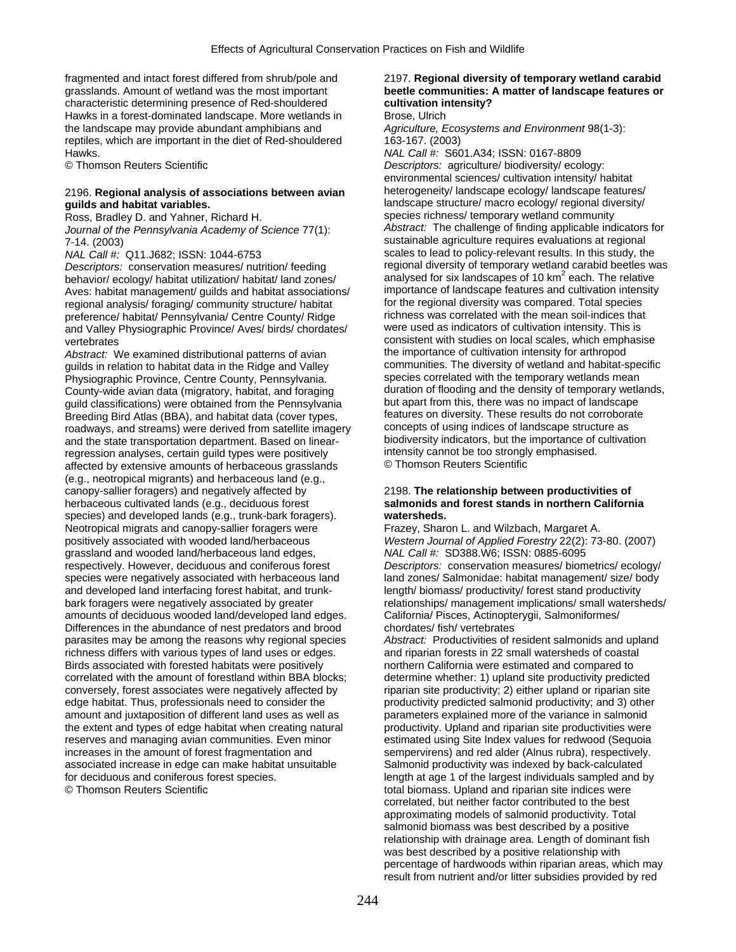characteristic determining presence of Red-shouldered **cultivation intensity?**  Hawks in a forest-dominated landscape. More wetlands in Brose, Ulrich the landscape may provide abundant amphibians and *Agriculture, Ecosystems and Environment* 98(1-3): reptiles, which are important in the diet of Red-shouldered 163-167. (2003)

Ross, Bradley D. and Yahner, Richard H. 7-14. (2003) sustainable agriculture requires evaluations at regional

*Descriptors:* conservation measures/ nutrition/ feeding regional diversity of temporary wetland carabid beetles was 2016 behavior/ ecology/ habitat utilization/ habitat/ land zones/ analysed for six landscapes of 10 km<sup>2</sup> behavior/ ecology/ habitat utilization/ habitat/ land zones/ analysed for six landscapes of 10 km<sup>2</sup> each. The relative<br>Aves: habitat management/ quilds and habitat associations/ importance of landscape features and cultiv Aves: habitat management/ guilds and habitat associations/ importance of landscape features and cultivation intens<br>interval analysis/ for animal/ community structure/ habitat for the regional diversity was compared. Total regional analysis/ foraging/ community structure/ habitat for the regional diversity was compared. Total species<br>Transport the regional diversity was compared. Total species that preference/ habitat/ Pennsylvania/ Centre County/ Ridge richness was correlated with the mean soil-indices tha<br>And Valley Physiographic Province/ Aves/ birds/ chordates/ were used as indicators of cultivation intensity. Th and Valley Physiographic Province/ Aves/ birds/ chordates/

Abstract: We examined distributional patterns of avian **the importance of cultivation intensity for arthropod**<br>communities. The diversity of wetland and habitat-specific guilds in relation to habitat data in the Ridge and Valley communities. The diversity of wetland and habitat-spe<br>Physiographic Province, Centre County, Pennsylvania. Species correlated with the temporary wetlands mean Physiographic Province, Centre County, Pennsylvania. Species correlated with the temporary wetlands mean<br>County-wide avian data (migratory, habitat, and foraging statution of flooding and the density of temporary wetlands, County-wide avian data (migratory, habitat, and foraging duration of flooding and the density of temporary wetla<br>
puild classifications) were obtained from the Pennsylvania but apart from this, there was no impact of lands guild classifications) were obtained from the Pennsylvania but apart from this, there was no impact of landscape<br>Breeding Bird Atlas (BBA), and habitat data (cover types, entitled at the fatures on diversity. These results Breeding Bird Atlas (BBA), and habitat data (cover types, features on diversity. These results do not corrobora<br>Froadways, and streams) were derived from satellite imagery concepts of using indices of landscape structure a roadways, and streams) were derived from satellite imagery concepts of using indices of landscape structure as<br>and the state transportation department. Based on linear-<br>biodiversity indicators, but the importance of cultiv and the state transportation department. Based on linear-<br>
regression analyses, certain quild types were positively<br>
intensity cannot be too strongly emphasised. regression analyses, certain guild types were positively intensity cannot be too strongly<br>affected by extensive amounts of herbaceous grasslands © Thomson Reuters Scientific affected by extensive amounts of herbaceous grasslands (e.g., neotropical migrants) and herbaceous land (e.g., canopy-sallier foragers) and negatively affected by 2198. **The relationship between productivities of**  herbaceous cultivated lands (e.g., deciduous forest **salmonids and forest stands in northern California**  species) and developed lands (e.g., trunk-bark foragers). **watersheds. watersheds Neotropical migrats and canopy-sallier foragers were** Frazey, Sharon L. and Wilzbach, Margaret A. Neotropical migrats and canopy-sallier foragers were positively associated with wooded land/herbaceous grassland and wooded land/herbaceous land edges, *NAL Call #:* SD388.W6; ISSN: 0885-6095 respectively. However, deciduous and coniferous forest *Descriptors:* conservation measures/ biometrics/ ecology/ species were negatively associated with herbaceous land land zones/ Salmonidae: habitat management/ size/ body and developed land interfacing forest habitat, and trunk- length/ biomass/ productivity/ forest stand productivity bark foragers were negatively associated by greater relationships/ management implications/ small watersheds/ amounts of deciduous wooded land/developed land edges. California/ Pisces, Actinopterygii, Salmoniformes/ Differences in the abundance of nest predators and brood chordates/ fish/ vertebrates parasites may be among the reasons why regional species *Abstract:* Productivities of resident salmonids and upland richness differs with various types of land uses or edges. and riparian forests in 22 small watersheds of coastal Birds associated with forested habitats were positively northern California were estimated and compared to correlated with the amount of forestland within BBA blocks; determine whether: 1) upland site productivity predicted conversely, forest associates were negatively affected by riparian site productivity; 2) either upland or riparian site edge habitat. Thus, professionals need to consider the productivity predicted salmonid productivity; and 3) other amount and juxtaposition of different land uses as well as parameters explained more of the variance in salmonid the extent and types of edge habitat when creating natural productivity. Upland and riparian site productivities were<br>
reserves and managing avian communities. Even minor estimated using Site Index values for redwood (Sequ reserves and managing avian communities. Even minor increases in the amount of forest fragmentation and associated increase in edge can make habitat unsuitable Salmonid productivity was indexed by back-calculated for deciduous and coniferous forest species. length at age 1 of the largest individuals sampled and by

## fragmented and intact forest differed from shrub/pole and 2197. **Regional diversity of temporary wetland carabid**  grasslands. Amount of wetland was the most important **beetle communities: A matter of landscape features or**

Hawks. *NAL Call #:* S601.A34; ISSN: 0167-8809 Descriptors: agriculture/ biodiversity/ ecology: environmental sciences/ cultivation intensity/ habitat 2196. **Regional analysis of associations between avian** heterogeneity/ landscape ecology/ landscape features/ **guilds and habitat variables. landscape structure/ macro ecology/ regional diversity/**<br>
Ross Bradley D and Yahner Richard H **Structure** Species richness/ temporary wetland community *Journal of the Pennsylvania Academy of Science* 77(1): *Abstract:* The challenge of finding applicable indicators for *NAL Call #:* Q11.J682; ISSN: 1044-6753 scales to lead to policy-relevant results. In this study, the vertebrates<br>
vertebrates<br>
Abstract: We examined distributional patterns of avian<br>
the importance of cultivation intensity for arthropod

Western Journal of Applied Forestry 22(2): 73-80. (2007)

sempervirens) and red alder (Alnus rubra), respectively. © Thomson Reuters Scientific total biomass. Upland and riparian site indices were correlated, but neither factor contributed to the best approximating models of salmonid productivity. Total salmonid biomass was best described by a positive relationship with drainage area. Length of dominant fish was best described by a positive relationship with percentage of hardwoods within riparian areas, which may result from nutrient and/or litter subsidies provided by red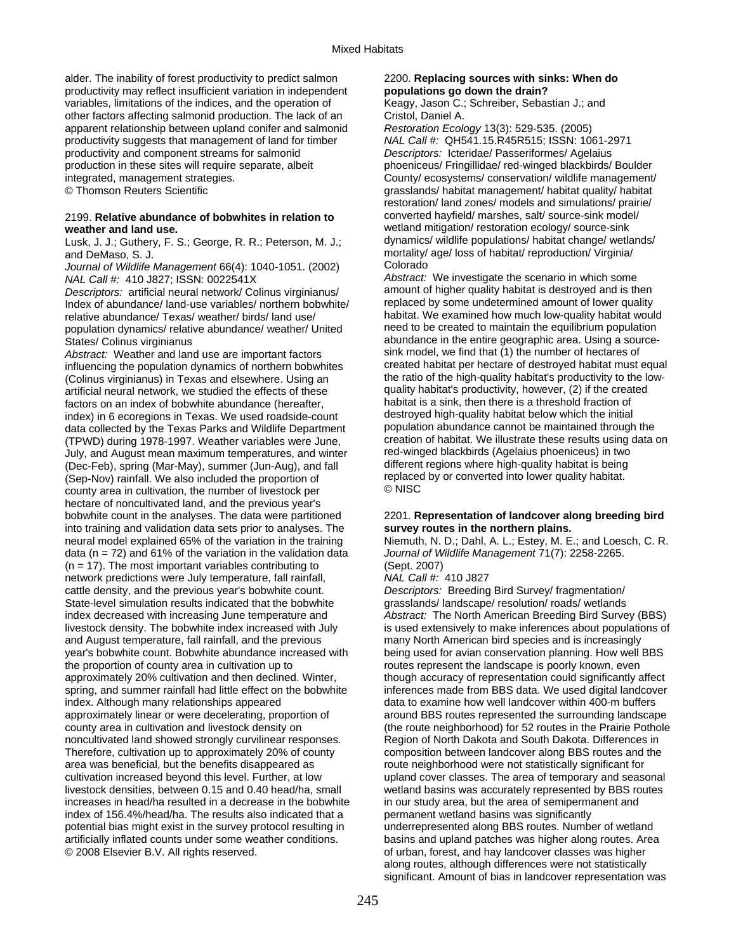alder. The inability of forest productivity to predict salmon 2200. **Replacing sources with sinks: When do**  productivity may reflect insufficient variation in independent **populations go down the drain?**  variables, limitations of the indices, and the operation of Keagy, Jason C.; Schreiber, Sebastian J.; and other factors affecting salmonid production. The lack of an Cristol, Daniel A. apparent relationship between upland conifer and salmonid *Restoration Ecology* 13(3): 529-535. (2005) productivity suggests that management of land for timber *NAL Call #:* QH541.15.R45R515; ISSN: 1061-2971 productivity and component streams for salmonid *Descriptors:* Icteridae/ Passeriformes/ Agelaius production in these sites will require separate, albeit phoeniceus/ Fringillidae/ red-winged blackbirds/ Boulder integrated, management strategies. The conservation of county/ ecosystems/ conservation/ wildlife management/ © Thomson Reuters Scientific grasslands/ habitat management/ habitat quality/ habitat

## 2199. **Relative abundance of bobwhites in relation to** converted hayfield/ marshes, salt/ source-sink model/

Lusk, J. J.; Guthery, F. S.; George, R. R.; Peterson, M. J.;

*Journal of Wildlife Management* 66(4): 1040-1051, (2002)

*Descriptors:* artificial neural network/ Colinus virginianus/ amount of higher quality habitat is destroyed and is then Index of abundance/ land-use variables/ northern bobwhite/ replaced by some undetermined amount of lower quality<br>
relative abundance/ Texas/ weather/ birds/ land use/ habitat. We examined how much low-quality habitat would relative abundance/ Texas/ weather/ birds/ land use/ habitat. We examined how much low-quality habitat would<br>nopulation dynamics/ relative abundance/ weather/ Lipited heard to be created to maintain the equilibrium populat population dynamics/ relative abundance/ weather/ United

Abstract: Weather and land use are important factors sink model, we find that (1) the number of hectares of Abstract: influencing the number of hectares of equal influencing the population dynamics of northern bobwhites st influencing the population dynamics of northern bobwhites created habitat per hectare of destroyed habitat must equal<br>Colinus virginianus) in Texas and elsewhere. Using an the ratio of the high-quality habitat's productivi (Colinus virginianus) in Texas and elsewhere. Using an the ratio of the high-quality habitat's productivity to the low-<br>artificial neural network, we studied the effects of these quality habitat's productivity, however, (2 artificial neural network, we studied the effects of these quality habitat's productivity, however, (2) if the crea<br>factors on an index of bobwhite abundance (hereafter habitat is a sink, then there is a threshold fraction factors on an index of bobwhite abundance (hereafter, habitat is a sink, then there is a threshold fraction of<br>index) in 6 ecoregions in Texas. We used roadside-count destroyed high-quality habitat below which the initial index) in 6 ecoregions in Texas. We used roadside-count destroyed high-quality habitat below which the initial<br>data collected by the Texas Parks and Wildlife Department population abundance cannot be maintained through the data collected by the Texas Parks and Wildlife Department (TPWD) during 1978-1997. Weather variables were June, creation of habitat. We illustrate these results using data on<br>July and August mean maximum temperatures, and winter red-winged blackbirds (Agelaius phoeniceus) in two July, and August mean maximum temperatures, and winter end-winged blackbirds (Agelaius phoeniceus) in two<br>(Dec-Feb), spring (Mar-May), summer (Jun-Aug), and fall different regions where high-quality habitat is being (Dec-Feb), spring (Mar-May), summer (Jun-Aug), and fall different regions where high-quality habitat is being<br>(Sep-Nov) rainfall. We also included the proportion of replaced by or converted into lower quality habitat. (Sep-Nov) rainfall. We also included the proportion of replaced by or converted by or converted into lower quality  $\circ$  NISC county area in cultivation, the number of livestock per hectare of noncultivated land, and the previous year's bobwhite count in the analyses. The data were partitioned 2201. **Representation of landcover along breeding bird**  into training and validation data sets prior to analyses. The neural model explained 65% of the variation in the training Niemuth, N. D.; Dahl, A. L.; Estey, M. E.; and Loesch, C. R. data (n = 72) and 61% of the variation in the validation data *Journal of Wildlife Management* 71(7): 2258-2265. (n = 17). The most important variables contributing to (Sept. 2007) network predictions were July temperature, fall rainfall, *NAL Call #:* 410 J827 cattle density, and the previous year's bobwhite count. *Descriptors:* Breeding Bird Survey/ fragmentation/ State-level simulation results indicated that the bobwhite grasslands/ landscape/ resolution/ roads/ wetlands index decreased with increasing June temperature and *Abstract:* The North American Breeding Bird Survey (BBS) livestock density. The bobwhite index increased with July is used extensively to make inferences about populations of and August temperature, fall rainfall, and the previous many North American bird species and is increasingly year's bobwhite count. Bobwhite abundance increased with being used for avian conservation planning. How well BBS the proportion of county area in cultivation up to routes represent the landscape is poorly known, even approximately 20% cultivation and then declined. Winter, though accuracy of representation could significantly affect spring, and summer rainfall had little effect on the bobwhite inferences made from BBS data. We used digital landcover index. Although many relationships appeared data to examine how well landcover within 400-m buffers approximately linear or were decelerating, proportion of around BBS routes represented the surrounding landscape noncultivated land showed strongly curvilinear responses.<br>Therefore, cultivation up to approximately 20% of county area was beneficial, but the benefits disappeared as route neighborhood were not statistically significant for cultivation increased beyond this level. Further, at low upland cover classes. The area of temporary and seasonal livestock densities, between 0.15 and 0.40 head/ha, small wetland basins was accurately represented by BBS routes increases in head/ha resulted in a decrease in the bobwhite in our study area, but the area of semipermanent and index of 156.4%/head/ha. The results also indicated that a permanent wetland basins was significantly potential bias might exist in the survey protocol resulting in underrepresented along BBS routes. Number of wetland artificially inflated counts under some weather conditions. basins and upland patches was higher along routes. Area<br>© 2008 Elsevier B.V. All rights reserved. expansion of urban, forest, and hay landcover classes was higher

restoration/ land zones/ models and simulations/ prairie/ **weather and land use.**<br> **Lusk J. J. Guthery E.S. George R. R. Peterson M. J. and Alteration explorations/ habitat change/ wetlands/** and DeMaso, S. J.<br>
lournal of Wildlife Management 66(4): 1040-1051 (2002) Colorado

*NAL Call #:* 410 J827; ISSN: 0022541X *Abstract:* We investigate the scenario in which some States/ Colinus virginianus<br>Abstract: Weather and land use are important factors sink model, we find that (1) the number of hectares of

county area in cultivation and livestock density on (the route neighborhood) for 52 routes in the Prairie Pothole<br>
noncultivated land showed strongly curvilinear responses. Region of North Dakota and South Dakota. Differen composition between landcover along BBS routes and the of urban, forest, and hay landcover classes was higher along routes, although differences were not statistically significant. Amount of bias in landcover representation was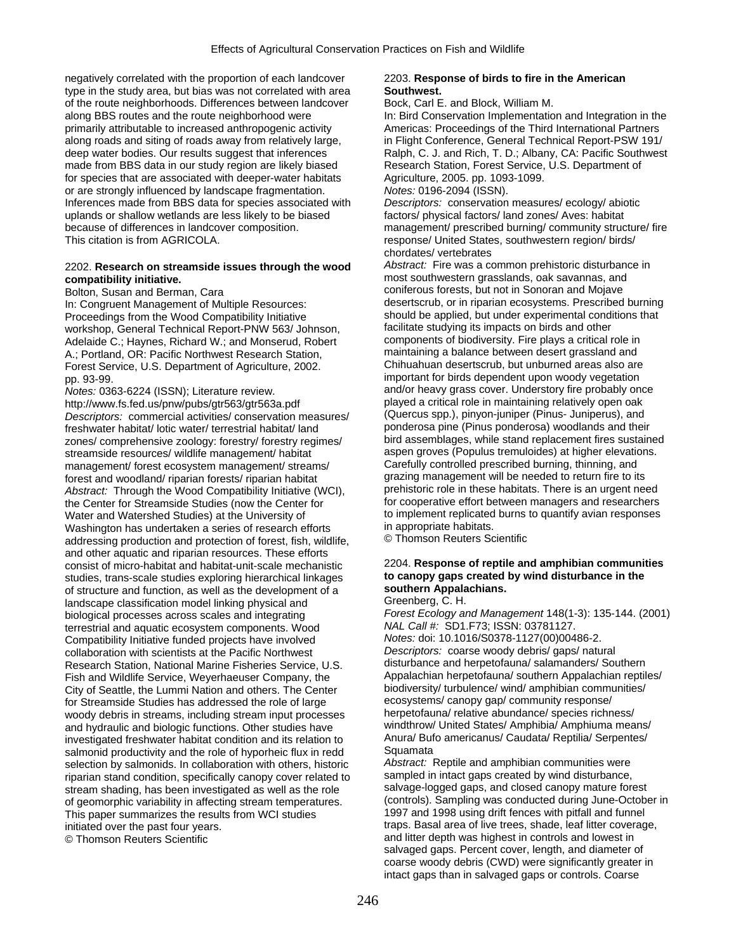negatively correlated with the proportion of each landcover 2203. **Response of birds to fire in the American**  type in the study area, but bias was not correlated with area **Southwest.**  of the route neighborhoods. Differences between landcover Bock, Carl E. and Block, William M. along BBS routes and the route neighborhood were In: Bird Conservation Implementation and Integration in the primarily attributable to increased anthropogenic activity Americas: Proceedings of the Third International Partners along roads and siting of roads away from relatively large, in Flight Conference, General Technical Report-PSW 191/ deep water bodies. Our results suggest that inferences Ralph, C. J. and Rich, T. D.; Albany, CA: Pacific Southwest made from BBS data in our study region are likely biased Research Station, Forest Service, U.S. Department made from BBS data in our study region are likely biased for species that are associated with deeper-water habitats Agriculture, 2005. pp. 1093-1099. or are strongly influenced by landscape fragmentation. *Notes:* 0196-2094 (ISSN). Inferences made from BBS data for species associated with *Descriptors:* conservation measures/ ecology/ abiotic uplands or shallow wetlands are less likely to be biased factors/ physical factors/ land zones/ Aves: habitat because of differences in landcover composition. management/ prescribed burning/ community structure/ fire This citation is from AGRICOLA. This citation is from AGRICOLA. This citation is from AGRICOLA.

## **compatibility initiative. nost southwestern grasslands, oak savannas, and** most southwestern grasslands, oak savannas, and

Proceedings from the Wood Compatibility Initiative should be applied, but under experimental conditions that<br>workshop General Technical Report-PNW 563/Johnson facilitate studying its impacts on birds and other workshop, General Technical Report-PNW 563/ Johnson, facilitate studying its impacts on birds and other<br>Adelaide C: Haynes, Richard W ; and Monserud, Robert components of biodiversity. Fire plays a critical role in Adelaide C.; Haynes, Richard W.; and Monserud, Robert components of biodiversity. Fire plays a critical role in<br>A.: Portland, OR: Pacific Northwest Research Station. The maintaining a balance between desert grassland and A.; Portland, OR: Pacific Northwest Research Station, maintaining a balance between desert grassland and<br>Forest Service, U.S. Department of Agriculture, 2002. Chihuahuan desertscrub, but unburned areas also are Forest Service, U.S. Department of Agriculture, 2002. pp. 93-99. important for birds dependent upon woody vegetation

http://www.fs.fed.us/pnw/pubs/gtr563/gtr563a.pdf played a critical role in maintaining relatively open oak<br>Descriptors: commercial activities/ conservation measures/ (Quercus spp.), pinyon-juniper (Pinus- Juniperus), and *Descriptors:* commercial activities/ conservation measures/ freshwater habitat/ lotic water/ terrestrial habitat/ land ponderosa pine (Pinus ponderosa) woodlands and their zones/ comprehensive zoology: forestry/ forestry regimes/ bird assemblages, while stand replacement fires sustained streamside resources/ wildlife management/ habitat aspen groves (Populus tremuloides) at higher elevations.<br>management/ forest ecosystem management/ streams/<br>Carefully controlled prescribed burning, thinning, and management/ forest ecosystem management/ streams/ forest and woodland/ riparian forests/ riparian habitat grazing management will be needed to return fire to its<br>Abstract: Through the Wood Compatibility Initiative (WCI) prehistoric role in these habitats. There is an urge *Abstract:* Through the Wood Compatibility Initiative (WCI), prehistoric role in these habitats. There is an urgent need<br>the Center for Streamside Studies (now the Center for the comperative effort between managers and res the Center for Streamside Studies (now the Center for for cooperative effort between managers and researchers<br>Water and Watershed Studies) at the University of the complement replicated burns to quantify avian responses Water and Watershed Studies) at the University of to implement replicated burns to implement replicated burns to the University of the many responses was to implement replicated burns to appropriate habitats. Washington has undertaken a series of research efforts in appropriate habitats.<br>Addressing production and protection of forest fish wildlife © Thomson Reuters Scientific addressing production and protection of forest, fish, wildlife, and other aquatic and riparian resources. These efforts consist of micro-habitat and habitat-unit-scale mechanistic 2204. **Response of reptile and amphibian communities**  studies, trans-scale studies exploring hierarchical linkages **to canopy gaps created l**<br>of structure and function, as well as the development of a **southern Appalachians.** of structure and function, as well as the development of a **southern Appala**<br>
landscape classification model linking physical and **Franking** Greenberg, C. H. landscape classification model linking physical and biological processes across scales and integrating *Forest Ecology and Management* 148(1-3): 135-144. (2001) terrestrial and aquatic ecosystem components. Wood *NAL Call #:* SD1.F73; ISSN: 03781127. Compatibility Initiative funded projects have involved *Notes:* doi: 10.1016/S0378-1127(00)00486-2. collaboration with scientists at the Pacific Northwest *Descriptors:* coarse woody debris/ gaps/ natural Research Station, National Marine Fisheries Service, U.S. Fish and Wildlife Service, Weyerhaeuser Company, the Appalachian herpetofauna/ southern Appalachian reptiles/<br>City of Seattle, the Lummi Nation and others. The Center biodiversity/ turbulence/ wind/ amphibian communities/ City of Seattle, the Lummi Nation and others. The Center biodiversity/ turbulence/ wind/ amphibian community<br>for Streamside Studies has addressed the role of large ecosystems/ canopy gap/ community response/ for Streamside Studies has addressed the role of large ecosystems/ canopy gap/ community response/<br>woody debris in streams, including stream input processes herpetofauna/ relative abundance/ species richness/ woody debris in streams, including stream input processes herpetofauna/ relative abundance/ species richness/<br>and hydraulic and biologic functions. Other studies have windthrow/ United States/ Amphibia/ Amphiuma means/ and hydraulic and biologic functions. Other studies have windthrow/ United States/ Amphibia/ Amphiuma means/<br>investigated freshwater habitat condition and its relation to Anura/ Bufo americanus/ Caudata/ Reptilia/ Serpente investigated freshwater habitat condition and its relation to Anura/ Bufor and the role of hyporheic flux in redd salmonid productivity and the role of hyporheic flux in redd<br>selection by salmonids In collaboration with others historic *Abstract:* Reptile and amphibian communities were selection by salmonids. In collaboration with others, historic *Abstract:* Reptile and amphibian communities were riparian stand condition, specifically canopy cover related to sampled in intact gaps created by wind disturbance,<br>stream shading, has been investigated as well as the role salvage-logged gaps, and closed canopy mature for stream shading, has been investigated as well as the role of geomorphic variability in affecting stream temperatures. (controls). Sampling was conducted during June-October in<br>This paper summarizes the results from WCI studies (1997 and 1998 using drift fences with pitfall and fu This paper summarizes the results from WCI studies

chordates/ vertebrates

2202. **Research on streamside issues through the wood** *Abstract:* Fire was a common prehistoric disturbance in Bolton, Susan and Berman, Cara conterous forests, but not in Sonoran and Mojave In: Congruent Management of Multiple Resources: desertscrub, or in riparian ecosystems. Prescribed burning *Notes:* 0363-6224 (ISSN); Literature review. and/or heavy grass cover. Understory fire probably once<br>http://www.fs.fed.us/pnw/pubs/gtr563/gtr563a.pdf played a critical role in maintaining relatively open oak

initiated over the past four years.<br>
© Thomson Reuters Scientific **traps.** Thomson Reuters Scientific and litter coverage, and litter depth was highest in controls and lowest in and litter depth was highest in controls and lowest in salvaged gaps. Percent cover, length, and diameter of coarse woody debris (CWD) were significantly greater in intact gaps than in salvaged gaps or controls. Coarse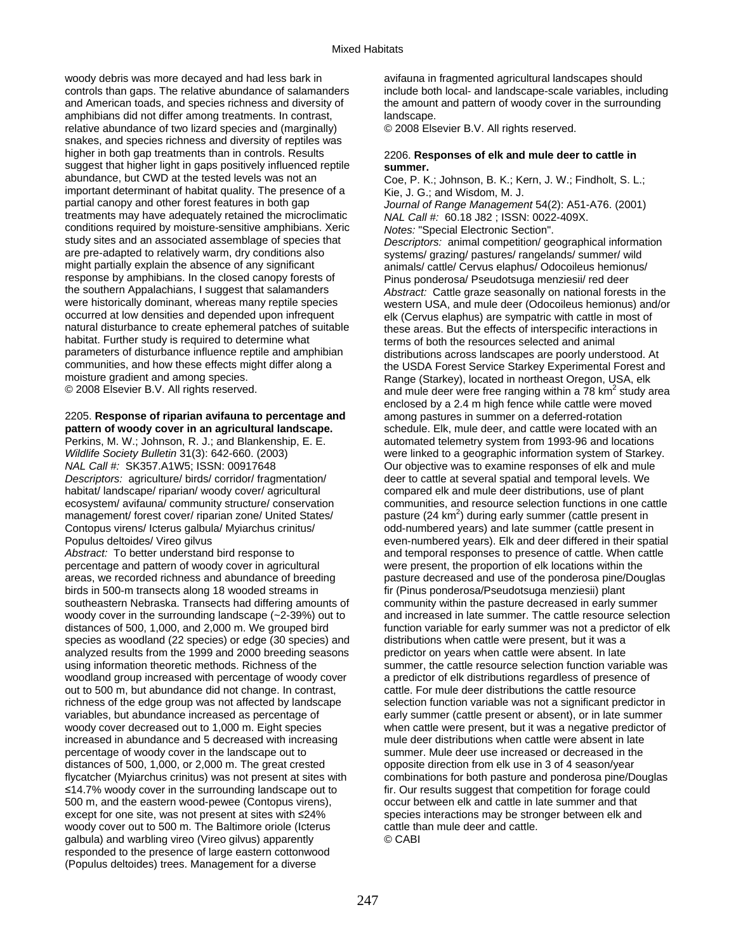woody debris was more decayed and had less bark in avifauna in fragmented agricultural landscapes should controls than gaps. The relative abundance of salamanders include both local- and landscape-scale variables, including and American toads, and species richness and diversity of the amount and pattern of woody cover in the surrounding amphibians did not differ among treatments. In contrast, landscape. relative abundance of two lizard species and (marginally) © 2008 Elsevier B.V. All rights reserved. snakes, and species richness and diversity of reptiles was higher in both gap treatments than in controls. Results 2206. **Responses of elk and mule deer to cattle in**  suggest that higher light in gaps positively influenced reptile **summer.**<br>abundance, but CWD at the tested levels was not an **COO** P K important determinant of habitat quality. The presence of a<br>
partial canopy and other forest features in both gap<br> *Journal of Range Manageme* treatments may have adequately retained the microclimatic conditions required by moisture-sensitive amphibians. Xeric *Notes:* "Special Electronic Section".<br>
study sites and an associated assemblage of species that *Descriptors:* animal competition/ ge study sites and an associated assemblage of species that *Descriptors:* animal competition/ geographical information are pre-adapted to relatively warm, dry conditions also systems/ grazing/ pastures/ rangelands/ summer/ wild<br>might partially explain the absence of any significant animals/ cattle/ Cervus elaphus/ Odocoileus hemionus response by amphibians. In the closed canopy forests of<br>the southern Appalachians, I suggest that salamanders<br>Abstract: Cattle graze seasonally on national forest the southern Appalachians, I suggest that salamanders *Abstract:* Cattle graze seasonally on national forests in the were historically dominant, whereas many reptile species western USA, and mule deer (Odocoileus hemionus) occurred at low densities and depended upon infrequent elk (Cervus elaphus) are sympatric with cattle in most of<br>
natural disturbance to create ephemeral patches of suitable these areas. But the effects of interspecific in natural disturbance to create ephemeral patches of suitable these areas. But the effects of interspecific interactions in<br>habitat. Further study is required to determine what the resources selected and animal habitat. Further study is required to determine what terms of both the resources selected and animal<br>parameters of disturbance influence reptile and amphibian distributions across landscapes are poorly under parameters of disturbance influence reptile and amphibian distributions across landscapes are poorly understood. At<br>communities, and how these effects might differ along a distributions across landscapes are poorly underst communities, and how these effects might differ along a the USDA Forest Service Starkey Experimental Forest and<br>Range (Starkey), located in northeast Oregon, USA, elk moisture gradient and among species.<br>
© 2008 Elsevier B.V. All rights reserved. The range of the sand mule deer were free ranging within a 78 km<sup>2</sup> study and mule deer were free ranging within a 78 km<sup>2</sup> study and mule dee

## 2205. **Response of riparian avifauna to percentage and** among pastures in summer on a deferred-rotation<br>**pattern of woody cover in an agricultural landscape.** Schedule, Elk, mule deer, and cattle were located with an

**pattern of woody cover in an agricultural landscape.**<br>Perkins, M. W.; Johnson, R. J.; and Blankenship, E. E. *NAL Call #:* SK357.A1W5; ISSN: 00917648 Our objective was to examine responses of elk and mule *Descriptors:* agriculture/ birds/ corridor/ fragmentation/ deer to cattle at several spatial and temporal levels. We habitat/ landscape/ riparian/ woody cover/ agricultural compared elk and mule deer distributions, use of plant management/ forest cover/ riparian zone/ United States/  $p$ asture (24 km<sup>2</sup>) during early summer (cattle present in<br>Contopus virens/ Icterus galbula/ Myiarchus crinitus/ odd-numbered years) and late summer (cattle present Contopus virens/ Icterus galbula/ Myiarchus crinitus/

percentage and pattern of woody cover in agricultural were present, the proportion of elk locations within the areas, we recorded richness and abundance of breeding pasture decreased and use of the ponderosa pine/Douglas birds in 500-m transects along 18 wooded streams in fir (Pinus ponderosa/Pseudotsuga menziesii) plant southeastern Nebraska. Transects had differing amounts of community within the pasture decreased in early summer species as woodland (22 species) or edge (30 species) and distributions when cattle were present, but it was a analyzed results from the 1999 and 2000 breeding seasons predictor on years when cattle were absent. In late using information theoretic methods. Richness of the summer, the cattle resource selection function variable was woodland group increased with percentage of woody cover a predictor of elk distributions regardless of presence of out to 500 m, but abundance did not change. In contrast, can cattle. For mule deer distributions the cattle out to 500 m, but abundance did not change. In contrast, richness of the edge group was not affected by landscape selection function variable was not a significant predictor in variables, but abundance increased as percentage of early summer (cattle present or absent), or in late summer<br>woody cover decreased out to 1,000 m. Eight species when cattle were present, but it was a negative predictor o increased in abundance and 5 decreased with increasing percentage of woody cover in the landscape out to distances of 500, 1,000, or 2,000 m. The great crested opposite direction from elk use in 3 of 4 season/year flycatcher (Myiarchus crinitus) was not present at sites with combinations for both pasture and ponderosa pine/Douglas ≤14.7% woody cover in the surrounding landscape out to fir. Our results suggest that competition for forage could 500 m, and the eastern wood-pewee (Contopus virens), occur between elk and cattle in late summer and that except for one site, was not present at sites with ≤24% species interactions may be stronger between elk and woody cover out to 500 m. The Baltimore oriole (Icterus cattle than mule deer and cattle. woody cover out to 500 m. The Baltimore oriole (Icterus cattle th<br>
calbula) and warbling vireo (Vireo gilvus) apparently CCABI galbula) and warbling vireo (Vireo gilvus) apparently responded to the presence of large eastern cottonwood (Populus deltoides) trees. Management for a diverse

Coe, P. K.; Johnson, B. K.; Kern, J. W.; Findholt, S. L.; Journal of Range Management 54(2): A51-A76. (2001)<br>NAL Call #: 60.18 J82 ; ISSN: 0022-409X. animals/ cattle/ Cervus elaphus/ Odocoileus hemionus/ were historically dominant, whereas many reptile species western USA, and mule deer (Odocoileus hemionus) and/or<br>occurred at low densities and depended upon infrequent elk (Cervus elaphus) are sympatric with cattle in most © 2008 Elsevier B.V. All rights reserved. The state of the state of mule deer were free ranging within a 78 km<sup>2</sup> study area enclosed by a 2.4 m high fence while cattle were moved<br>among pastures in summer on a deferred-rotation automated telemetry system from 1993-96 and locations *Wildlife Society Bulletin* 31(3): 642-660. (2003) were linked to a geographic information system of Starkey. ecosystem/ avifauna/ community structure/ conservation communities, and resource selection functions in one cattle pasture (24  $km^2$ ) during early summer (cattle present in Populus deltoides/ Vireo gilvus even-numbered years). Elk and deer differed in their spatial Abstract: To better understand bird response to and temporal responses to presence of cattle. When cattle woody cover in the surrounding landscape (~2-39%) out to and increased in late summer. The cattle resource selection distances of 500, 1,000, and 2,000 m. We grouped bird function variable for early summer was not a predictor of elk when cattle were present, but it was a negative predictor of mule deer distributions when cattle were absent in late summer. Mule deer use increased or decreased in the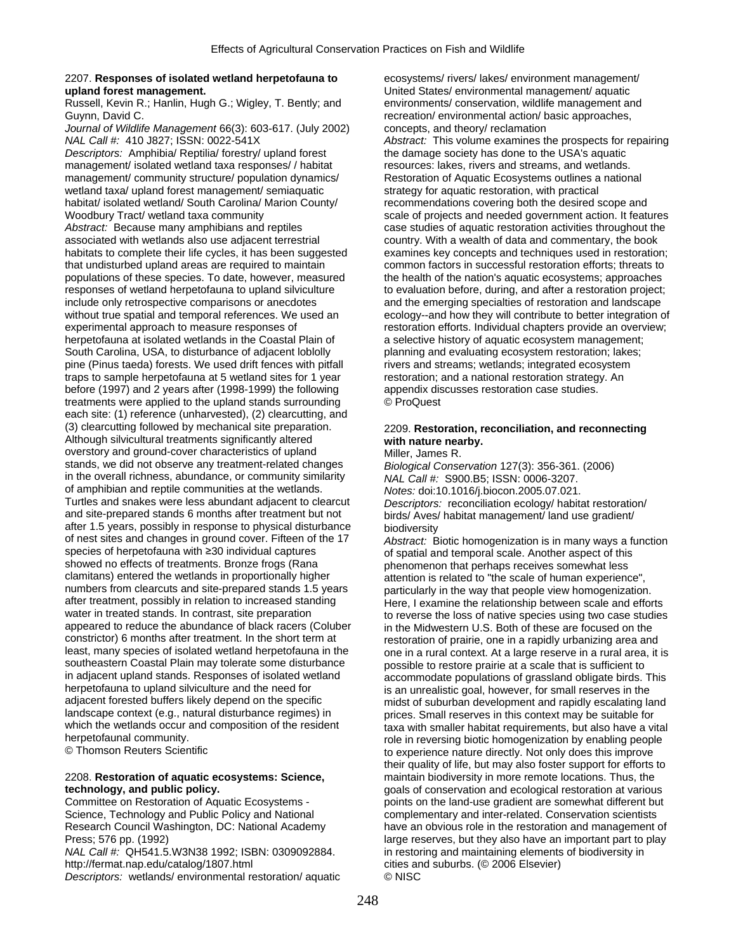## 2207. **Responses of isolated wetland herpetofauna to** ecosystems/ rivers/ lakes/ environment management/ **upland forest management.** United States/ environmental management/ aquatic

Russell, Kevin R.; Hanlin, Hugh G.; Wigley, T. Bently; and environments/ conservation, wildlife management and Guynn, David C. **Recreation** and the recreation of environmental action basic approaches,

*Journal of Wildlife Management* 66(3): 603-617. (July 2002) concepts, and theory/ reclamation *NAL Call #:* 410 J827; ISSN: 0022-541X *Abstract:* This volume examines the prospects for repairing

*Descriptors:* Amphibia/ Reptilia/ forestry/ upland forest the damage society has done to the USA's aquatic management/ isolated wetland taxa responses/ / habitat resources: lakes, rivers and streams, and wetlands. management/ community structure/ population dynamics/ Restoration of Aquatic Ecosystems outlines a national wetland taxa/ upland forest management/ semiaquatic strategy for aquatic restoration, with practical habitat/ isolated wetland/ South Carolina/ Marion County/ recommendations covering both the desired scope and Woodbury Tract/ wetland taxa community exactle scale of projects and needed government action. It features *Abstract:* Because many amphibians and reptiles case studies of aquatic restoration activities throughout the associated with wetlands also use adjacent terrestrial country. With a wealth of data and commentary, the book habitats to complete their life cycles, it has been suggested examines key concepts and techniques used in restoration; that undisturbed upland areas are required to maintain common factors in successful restoration efforts; threats to populations of these species. To date, however, measured the health of the nation's aquatic ecosystems; approaches responses of wetland herpetofauna to upland silviculture to evaluation before, during, and after a restorat include only retrospective comparisons or anecdotes and the emerging specialties of restoration and landscape without true spatial and temporal references. We used an ecology--and how they will contribute to better integration of experimental approach to measure responses of restoration efforts. Individual chapters provide an overview; herpetofauna at isolated wetlands in the Coastal Plain of a selective history of aquatic ecosystem management: South Carolina, USA, to disturbance of adjacent loblolly planning and evaluating ecosystem restoration; lakes; pine (Pinus taeda) forests. We used drift fences with pitfall rivers and streams; wetlands; integrated ecosystem traps to sample herpetofauna at 5 wetland sites for 1 year restoration; and a national restoration strategy. An before (1997) and 2 years after (1998-1999) the following appendix discusses restoration case studies. treatments were applied to the upland stands surrounding © ProQuest each site: (1) reference (unharvested), (2) clearcutting, and (3) clearcutting followed by mechanical site preparation. 2209. **Restoration, reconciliation, and reconnecting**  Although silvicultural treatments significantly altered **with nature nearby.** overstory and ground-cover characteristics of upland Miller, James R. stands, we did not observe any treatment-related changes *Biological Conservation* 127(3): 356-361. (2006) in the overall richness, abundance, or community similarity *NAL Call #:* S900.B5; ISSN: 0006-3207. of amphibian and reptile communities at the wetlands. *Notes:* doi:10.1016/j.biocon.2005.07.021. Turtles and snakes were less abundant adjacent to clearcut *Descriptors:* reconciliation ecology/ habitat restoration/ after 1.5 years, possibly in response to physical disturbance biodiversity<br>of nest sites and changes in ground cover. Fifteen of the 17 Abstract: B of nest sites and changes in ground cover. Fifteen of the 17 *Abstract:* Biotic homogenization is in many ways a function species of herpetofauna with ≥30 individual captures of spatial and temporal scale. Another aspect of this showed no effects of treatments. Bronze frogs (Rana became phenomenon that perhaps receives somewhat less showed no effects of treatments. Bronze frogs (Rana phenomenon that perhaps receives somewhat less<br>clamitans) entered the wetlands in proportionally higher attention is related to "the scale of human experienc numbers from clearcuts and site-prepared stands 1.5 years particularly in the way that people view homogenization.<br>
after treatment, possibly in relation to increased standing Here. I examine the relationship between scale after treatment, possibly in relation to increased standing Here, I examine the relationship between scale and efforts<br>water in treated stands. In contrast, site preparation by the reverse the loss of native species using water in treated stands. In contrast, site preparation endoting the reverse the loss of native species using two case studies<br>appeared to reduce the abundance of black racers (Coluber entity in the Midwestern U.S. Both of appeared to reduce the abundance of black racers (Coluber in the Midwestern U.S. Both of these are focused on the<br>constrictor) 6 months after treatment. In the short term at restoration of prairie, one in a rapidly urbaniz constrictor) 6 months after treatment. In the short term at restoration of prairie, one in a rapidly urbanizing area and<br>least, many species of isolated wetland herpetofauna in the cone in a rural context. At a large reser least, many species of isolated wetland herpetofauna in the one in a rural context. At a large reserve in a rural area, it is<br>southeastern Coastal Plain may tolerate some disturbance onesible to restore prairie at a scale southeastern Coastal Plain may tolerate some disturbance possible to restore prairie at a scale that is sufficient to<br>in adjacent upland stands. Responses of isolated wetland accommodate populations of grassland obligate b in adjacent upland stands. Responses of isolated wetland accommodate populations of grassland obligate birds. This<br>herpetofauna to upland silviculture and the need for same as an unrealistic goal, however, for small reserv herpetofauna to upland silviculture and the need for is an unrealistic goal, however, for small reserves in the<br>adjacent forested buffers likely depend on the specific in the midst of suburban development and rapidly escal adjacent forested buffers likely depend on the specific midst of suburban development and rapidly escalating land<br>landscape context (e.g., natural disturbance regimes) in prices. Small reserves in this context may be suita landscape context (e.g., natural disturbance regimes) in prices. Small reserves in this context may be suitable for which the wetlands occur and composition of the resident taxa with smaller habitat requirements, but also have a vital<br>
role in reversing biotic homogenization by enabling people

http://fermat.nap.edu/catalog/1807.html cities and suburbs. (© 2006 Elsevier)

*Descriptors:* wetlands/ environmental restoration/ aquatic © NISC

to evaluation before, during, and after a restoration project;

birds/ Aves/ habitat management/ land use gradient/

attention is related to "the scale of human experience", herpetofaunal community.<br>
© Thomson Reuters Scientific The Community of the structure of the experience nature directly. Not only does this improve to experience nature directly. Not only does this improve their quality of life, but may also foster support for efforts to 2208. **Restoration of aquatic ecosystems: Science,** maintain biodiversity in more remote locations. Thus, the **technology, and public policy. and interest in the conservation and ecological restoration at various conservation at various** Committee on Restoration of Aquatic Ecosystems - points on the land-use gradient are somewhat different but Science, Technology and Public Policy and National complementary and inter-related. Conservation scientists Research Council Washington, DC: National Academy have an obvious role in the restoration and management of Press; 576 pp. (1992) large reserves, but they also have an important part to play *NAL Call #:* QH541.5.W3N38 1992; ISBN: 0309092884. in restoring and maintaining elements of biodiversity in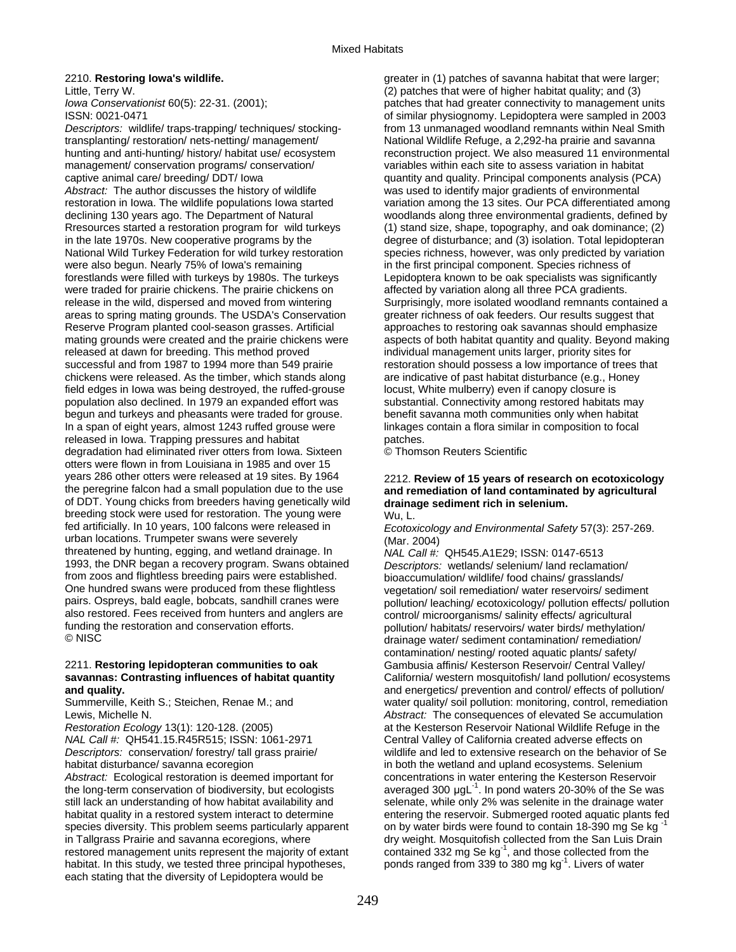*Descriptors:* wildlife/ traps-trapping/ techniques/ stocking- from 13 unmanaged woodland remnants within Neal Smith transplanting/ restoration/ nets-netting/ management/ National Wildlife Refuge, a 2,292-ha prairie and savanna management/ conservation programs/ conservation/ variables within each site to assess variation in habitat<br>captive animal care/ breeding/ DDT/ Iowa quantity and quality. Principal components analysis (PC *Abstract:* The author discusses the history of wildlife was used to identify major gradients of environmental declining 130 years ago. The Department of Natural woodlands along three environmental gradients, defined by Rresources started a restoration program for wild turkeys (1) stand size, shape, topography, and oak dominance; (2) in the late 1970s. New cooperative programs by the degree of disturbance; and (3) isolation. Total lepidopteran National Wild Turkey Federation for wild turkey restoration species richness, however, was only predicted by variation were also begun. Nearly 75% of Iowa's remaining in the first principal component. Species richness of forestlands were filled with turkeys by 1980s. The turkeys **in the first principal component.** Specialists was signific were traded for prairie chickens. The prairie chickens on release in the wild, dispersed and moved from wintering Surprisingly, more isolated woodland remnants contained a areas to spring mating grounds. The USDA's Conservation greater richness of oak feeders. Our results suggest that Reserve Program planted cool-season grasses. Artificial approaches to restoring oak savannas should emphasize released at dawn for breeding. This method proved individual management units larger, priority sites for successful and from 1987 to 1994 more than 549 prairie restoration should possess a low importance of trees that chickens were released. As the timber, which stands along are indicative of past habitat disturbance (e.g., Honey field edges in Iowa was being destroyed, the ruffed-grouse locust, White mulberry) even if canopy closure is population also declined. In 1979 an expanded effort was substantial. Connectivity among restored habitats may begun and turkeys and pheasants were traded for grouse. benefit savanna moth communities only when habitat In a span of eight years, almost 1243 ruffed grouse were linkages contain a flora similar in composition to focal released in Iowa. Trapping pressures and habitat patches. degradation had eliminated river otters from Iowa. Sixteen © Thomson Reuters Scientific otters were flown in from Louisiana in 1985 and over 15 years 286 other otters were released at 19 sites. By 1964 2212. **Review of 15 years of research on ecotoxicology**  of DDT. Young chicks from breeders having genetically wild **drainage sediment rich in selenium.**  breeding stock were used for restoration. The young were  $W_u$ , L. fed artificially. In 10 years, 100 falcons were released in  $F_{Cofox}$ urban locations. Trumpeter swans were severely threatened by hunting, egging, and wetland drainage. In *NAL Call #:* QH545.A1E29; ISSN: 0147-6513 1993, the DNR began a recovery program. Swans obtained *Descriptors:* wetlands/ selenium/ land reclamation/ from zoos and flightless breeding pairs were established.<br>One hundred swans were produced from these flightless vegetation/ soil remediation/ water reservoirs/ sedi-One hundred swans were produced from these flightless vegetation/ soil remediation/ water reservoirs/ sediment<br>pairs. Ospreys, bald eagle, bobcats, sandhill cranes were pollution/ leaching/ ecotoxicology/ pollution effects also restored. Fees received from hunters and anglers are control/ microorganisms/ salinity effects/ agricultural<br>funding the restoration and conservation efforts.<br>pollution/ habitats/ reservoirs/ water birds/ methylatic funding the restoration and conservation efforts.<br>© NISC external mater/ sediment contamination/ remediation/

# 2211. **Restoring lepidopteran communities to oak** Gambusia affinis/ Kesterson Reservoir/ Central Valley/

*Abstract:* Ecological restoration is deemed important for concentrations in water entering the Kesterson Reservoir the long-term conservation of biodiversity, but ecologists averaged 300  $\mu$ gL<sup>-1</sup>. In pond waters 20-30% of the Se was still lack an understanding of how habitat availability and selenate, while only 2% was selenite in the drainage water species diversity. This problem seems particularly apparent on by water birds were found to contain 18-390 mg Se kg in Tallgrass Prairie and savanna ecoregions, where dry weight. Mosquitofish collected from the San Luis Drain<br>restored management units represent the majority of extant contained 332 mg Se kg<sup>-1</sup>, and those collected from restored management units represent the majority of extant habitat. In this study, we tested three principal hypotheses, ponds ranged from 339 to 380 mg kg<sup>-1</sup>. Livers of water each stating that the diversity of Lepidoptera would be

2210. **Restoring Iowa's wildlife. greater in (1) patches of savanna habitat that were larger;** Little, Terry W. (2) patches that were of higher habitat quality; and (3) *Iowa Conservationist* 60(5): 22-31. (2001); patches that had greater connectivity to management units ISSN: 0021-0471 of similar physiognomy. Lepidoptera were sampled in 2003 hunting and anti-hunting/ history/ habitat use/ ecosystem reconstruction project. We also measured 11 environmental<br>management/ conservation programs/ conservation/ variables within each site to assess variation in habitat quantity and quality. Principal components analysis (PCA) restoration in Iowa. The wildlife populations Iowa started variation among the 13 sites. Our PCA differentiated among Lepidoptera known to be oak specialists was significantly affected by variation along all three PCA gradients. mating grounds were created and the prairie chickens were aspects of both habitat quantity and quality. Beyond making

# and remediation of land contaminated by agricultural

*Ecotoxicology and Environmental Safety* 57(3): 257-269.<br>(Mar. 2004)

pollution/ leaching/ ecotoxicology/ pollution effects/ pollution drainage water/ sediment contamination/ remediation/ contamination/ nesting/ rooted aquatic plants/ safety/ **savannas: Contrasting influences of habitat quantity** California/ western mosquitofish/ land pollution/ ecosystems **and quality. and quality. and guality and energetics**/ prevention and control/ effects of pollution/ Summerville, Keith S.; Steichen, Renae M.; and water quality/ soil pollution: monitoring, control, remediation Lewis, Michelle N. *Abstract:* The consequences of elevated Se accumulation *Restoration Ecology* 13(1): 120-128. (2005) **at the Kesterson Reservoir National Wildlife Refuge in the Kesterson Reservoir National Wildlife Refuge in the Net California created adverse effects on** *NAL Call #:* QH541.15.R45R515; ISSN: 1061-2971 Central Valley of California created adverse effects on<br>Descriptors: conservation/forestry/ tall grass prairie/ wildlife and led to extensive research on the behavior wildlife and led to extensive research on the behavior of Se habitat disturbance/ savanna ecoregion in both the wetland and upland ecosystems. Selenium habitat quality in a restored system interact to determine entering the reservoir. Submerged rooted aquatic plants fed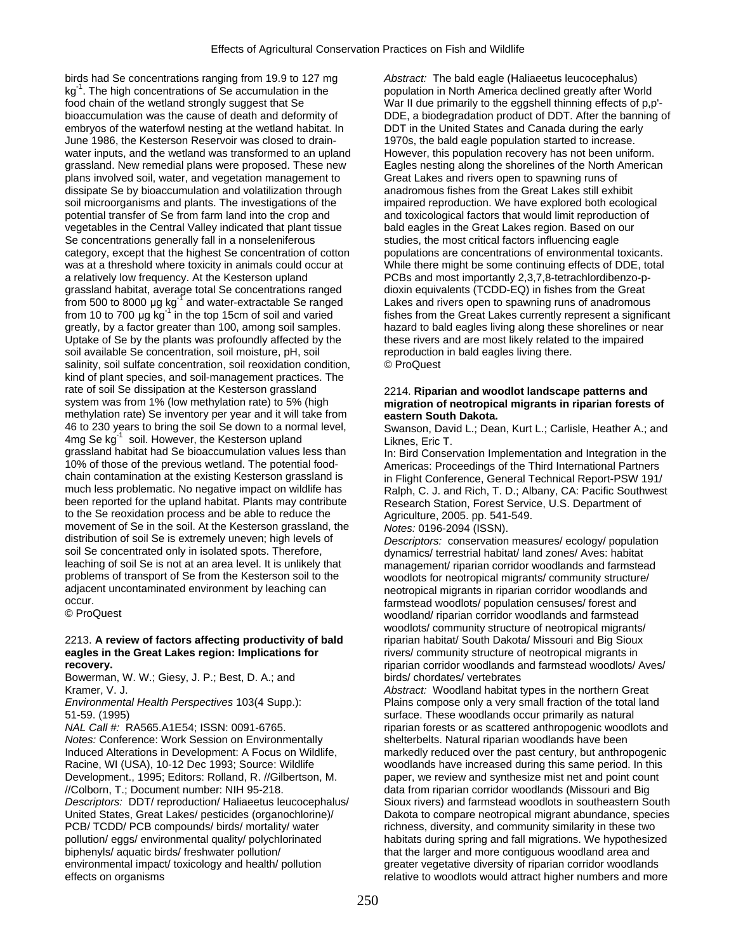birds had Se concentrations ranging from 19.9 to 127 mg *Abstract:* The bald eagle (Haliaeetus leucocephalus) kg<sup>-1</sup>. The high concentrations of Se accumulation in the population in North America declined greatly after World food chain of the wetland strongly suggest that Se War II due primarily to the eggshell thinning effects of p,p'bioaccumulation was the cause of death and deformity of DDE, a biodegradation product of DDT. After the banning of embryos of the waterfowl nesting at the wetland habitat. In DDT in the United States and Canada during the early June 1986, the Kesterson Reservoir was closed to drain- 1970s, the bald eagle population started to increase. water inputs, and the wetland was transformed to an upland However, this population recovery has not been uniform. grassland. New remedial plans were proposed. These new Eagles nesting along the shorelines of the North American plans involved soil, water, and vegetation management to Great Lakes and rivers open to spawning runs of dissipate Se by bioaccumulation and volatilization through anadromous fishes from the Great Lakes still exhibit soil microorganisms and plants. The investigations of the impaired reproduction. We have explored both ecological potential transfer of Se from farm land into the crop and and toxicological factors that would limit reproduction of vegetables in the Central Valley indicated that plant tissue bald eagles in the Great Lakes region. Based on our Se concentrations generally fall in a nonseleniferous studies, the most critical factors influencing eagle category, except that the highest Se concentration of cotton populations are concentrations of environmental toxicants. was at a threshold where toxicity in animals could occur at While there might be some continuing effects of DDE, total a relatively low frequency. At the Kesterson upland PCBs and most importantly 2,3,7,8-tetrachlordibenzo-pgrassland habitat, average total Se concentrations ranged dioxin equivalents (TCDD-EQ) in fishes from the Great from 500 to 8000 μg kg<sup>-1</sup> and water-extractable Se ranged Lakes and rivers open to spawning runs of anadromous from 10 to 700 μg kg-1 in the top 15cm of soil and varied fishes from the Great Lakes currently represent a significant greatly, by a factor greater than 100, among soil samples. hazard to bald eagles living along these shorelines or near Uptake of Se by the plants was profoundly affected by the these rivers and are most likely related to the impaired soil available Se concentration, soil moisture, pH, soil reproduction in bald eagles living there. salinity, soil sulfate concentration, soil reoxidation condition, © ProQuest kind of plant species, and soil-management practices. The rate of soil Se dissipation at the Kesterson grassland 2214. **Riparian and woodlot landscape patterns and** system was from 1% (low methylation rate) to 5% (high migration of neotropical migrants in riparian forests methylation rate) Se inventory per year and it will take from **eastern South Dakota.**<br>46 to 230 years to bring the soil Se down to a normal level, Swanson, David L.: Dea 4mg Se kg<sup>-1</sup> soil. However, the Kesterson upland Liknes, Eric T. grassland habitat had Se bioaccumulation values less than In: Bird Conservation Implementation and Integration in the<br>10% of those of the previous wetland. The potential food-<br>Americas: Proceedings of the Third Internation 10% of those of the previous wetland. The potential food-<br>
chain contamination at the existing Kesterson grassland is Thin Flight Conference. General Technical Report-PSW 191/ chain contamination at the existing Kesterson grassland is in Flight Conference, General Technical Report-PSW 191/<br>much less problematic. No negative impact on wildlife has Ralph, C. J. and Rich, T. D.: Albany, CA: Pacific much less problematic. No negative impact on wildlife has Ralph, C. J. and Rich, T. D.; Albany, CA: Pacific Southwest<br>been reported for the upland habitat. Plants may contribute Research Station Forest Service U.S. Departm to the Se reoxidation process and be able to reduce the Agriculture, 2005. pp. 541-549. movement of Se in the soil. At the Kesterson grassland, the *Notes:* 0196-2094 (ISSN).<br>
distribution of soil Se is extremely uneven; high levels of *Descriptors: conservation* distribution of soil Se is extremely uneven; high levels of *Descriptors:* conservation measures/ ecology/ population leaching of soil Se is not at an area level. It is unlikely that management/ riparian corridor woodlands and farmstead problems of transport of Se from the Kesterson soil to the woodlots for neotropical migrants/ community structure/ adjacent uncontaminated environment by leaching can neotropical migrants in riparian corridor woodlands and<br>farmstead woodlots/population censuses/forest and

## 2213. **A review of factors affecting productivity of bald** riparian habitat/ South Dakota/ Missouri and Big Sioux **eagles in the Great Lakes region: Implications for** rivers/ community structure of neotropical migrants in

Bowerman, W. W.; Giesy, J. P.; Best, D. A.; and birds/ chordates/ vertebrates

*Notes:* Conference: Work Session on Environmentally shelterbelts. Natural riparian woodlands have been Induced Alterations in Development: A Focus on Wildlife, markedly reduced over the past century, but anthropogenic Racine, WI (USA), 10-12 Dec 1993; Source: Wildlife woodlands have increased during this same period. In this Development., 1995; Editors: Rolland, R. //Gilbertson, M. paper, we review and synthesize mist net and point count //Colborn, T.; Document number: NIH 95-218. data from riparian corridor woodlands (Missouri and Big PCB/ TCDD/ PCB compounds/ birds/ mortality/ water richness, diversity, and community similarity in these two pollution/ eggs/ environmental quality/ polychlorinated habitats during spring and fall migrations. We hypothesized biphenyls/ aquatic birds/ freshwater pollution/ that the larger and more contiguous woodland area and environmental impact/ toxicology and health/ pollution greater vegetative diversity of riparian corridor woodlands effects on organisms relative to woodlots would attract higher numbers and more

# migration of neotropical migrants in riparian forests of

Swanson, David L.; Dean, Kurt L.; Carlisle, Heather A.; and

Research Station, Forest Service, U.S. Department of

dynamics/ terrestrial habitat/ land zones/ Aves: habitat occur. farmstead woodlots/ population censuses/ forest and woodland/ riparian corridor woodlands and farmstead woodlots/ community structure of neotropical migrants/ **recovery. recovery. recovery. riparian corridor woodlands and farmstead woodlots/ Aves/** 

Kramer, V. J. *Abstract:* Woodland habitat types in the northern Great *Environmental Health Perspectives* 103(4 Supp.): Plains compose only a very small fraction of the total land 51-59. (1995) surface. These woodlands occur primarily as natural *NAL Call #:* RA565.A1E54; ISSN: 0091-6765. riparian forests or as scattered anthropogenic woodlots and *Descriptors:* DDT/ reproduction/ Haliaeetus leucocephalus/ Sioux rivers) and farmstead woodlots in southeastern South United States, Great Lakes/ pesticides (organochlorine)/ Dakota to compare neotropical migrant abundance, species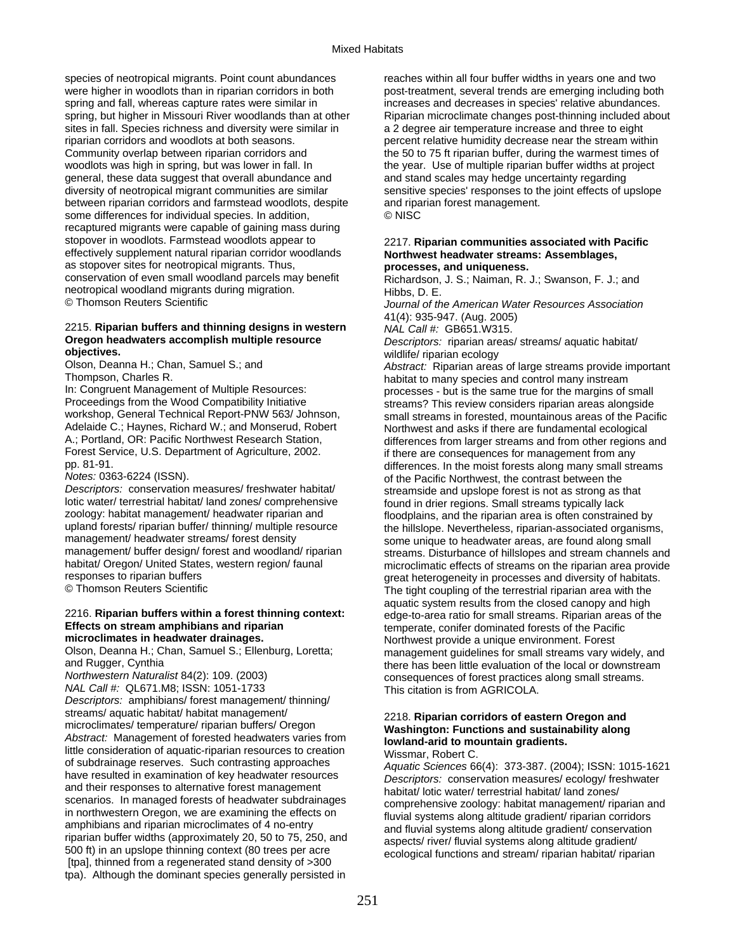species of neotropical migrants. Point count abundances reaches within all four buffer widths in years one and two were higher in woodlots than in riparian corridors in both post-treatment, several trends are emerging including both spring and fall, whereas capture rates were similar in increases and decreases in species' relative abundances.<br>spring, but higher in Missouri River woodlands than at other Riparian microclimate changes post-thinning inclu sites in fall. Species richness and diversity were similar in a 2 degree air temperature increase and three to eight riparian corridors and woodlots at both seasons. percent relative humidity decrease near the stream within Community overlap between riparian corridors and the 50 to 75 ft riparian buffer, during the warmest times of woodlots was high in spring, but was lower in fall. In the year. Use of multiple riparian buffer widths at proje general, these data suggest that overall abundance and diversity of neotropical migrant communities are similar sensitive species' responses to the joint effects of upslope between riparian corridors and farmstead woodlots, despite and riparian forest management. some differences for individual species. In addition,  $\oslash$  NISC recaptured migrants were capable of gaining mass during stopover in woodlots. Farmstead woodlots appear to 2217. **Riparian communities associated with Pacific**  effectively supplement natural riparian corridor woodlands **Northwest headwater streams: Assemblages,**  as stopover sites for neotropical migrants. Thus, **processes, and uniqueness.**  conservation of even small woodland parcels may benefit Richardson, J. S.; Naiman, R. J.; Swanson, F. J.; and neotropical woodland migrants during migration.<br>
© Thomson Reuters Scientific metal of the lower and of the lower of the lower and of the lower and of the lower and the lower and the lower and the lower and the lower and t

## 2215. **Riparian buffers and thinning designs in western** *NAL Call #:* GB651.W315. **Oregon headwaters accomplish multiple resource** *Descriptors:* riparian areas/ streams/ aquatic habitat/<br> **objectives.** wildlife/ riparian ecology **objectives.**<br>Olson, Deanna H.; Chan, Samuel S.; and **wildlife/** riparian ecology<br>Abstract: Riparian areas

In: Congruent Management of Multiple Resources: processes - but is the same true for the margins of small<br>Proceedings from the Wood Compatibility Initiative streams? This review considers riparian areas alongside Proceedings from the Wood Compatibility Initiative streams? This review considers riparian areas alongside<br>workshop, General Technical Report-PNW 563/Johnson, small streams in forested, mountainous areas of the Paci Adelaide C.; Haynes, Richard W.; and Monserud, Robert Northwest and asks if there are fundamental ecological<br>A.; Portland, OR: Pacific Northwest Research Station, example differences from larger streams and from other regi Forest Service, U.S. Department of Agriculture, 2002. if there are consequences for management from any<br>if the moist forests along many small street of the moist forests along many small street of the moist forests along m

*Descriptors:* conservation measures/ freshwater habitat/ streamside and upslope forest is not as strong as that lotic water/ terrestrial habitat/ land zones/ comprehensive found in drier regions. Small streams typically l lotic water/ terrestrial habitat/ land zones/ comprehensive found in drier regions. Small streams typically lack<br>Foodpay: habitat management/ headwater riparian and foodplains and the riparian area is often constrain zoology: habitat management/ headwater riparian and floodplains, and the riparian area is often constrained by<br>upland forests/ riparian buffer/ thinning/ multiple resource the hillslope. Nevertheless, riparian-associated o management/ headwater streams/ forest density some unique to headwater areas, are found along small<br>management/ buffer design/ forest and woodland/ riparian streams. Disturbance of hillslopes and stream channels

# **Effects on stream amphibians and riparian and the Second Comperate, conifer dominated forests of the Pacific<br>
microclimates in headwater drainages.<br>
Northwest provide a unique environment. Forest**

*NAL Call #: QL671.M8; ISSN: 1051-1733* 

*Descriptors:* amphibians/ forest management/ thinning/ streams/aquatic habitat/habitat management/<br>
microclimates/temperature/riparian buffers/Oregon<br>
Abstract: Management of forested headwaters varies from<br>
little consideration of aquatic-riparian resources to creation<br>
of su scenarios. In managed forests of headwater subdrainages<br>in northwestern Oregon, we are examining the effects on<br>amphibians and riparian microclimates of 4 no-entry<br>riparian buffer widths (approximately 20, 50 to 75, 250, a tpa). Although the dominant species generally persisted in

Riparian microclimate changes post-thinning included about the year. Use of multiple riparian buffer widths at project and stand scales may hedge uncertainty regarding

© Thomson Reuters Scientific *Journal of the American Water Resources Association* 41(4): 935-947. (Aug. 2005)

Olson, Deanna H.; Chan, Samuel S.; and *Abstract:* Riparian areas of large streams provide important Thompson, Charles R.<br>The many instream habitat to many species and control many instream habitat to many species and control many instream<br>In: Congruent Management of Multiple Resources: the processes - but is the same tru workshop, General Technical Report-PNW 563/ Johnson, small streams in forested, mountainous areas of the Pacific<br>Adelaide C.; Haynes, Richard W.; and Monserud, Robert Northwest and asks if there are fundamental ecological A.; Portland, OR: Pacific Northwest Research Station, differences from larger streams and from other regions and Forest Service, U.S. Department of Agriculture, 2002. pp. 81-91.<br>Motes: 0363-6224 (ISSN). The motor of the Pacific Northwest, the contrast between the motors: 0363-6224 (ISSN) of the Pacific Northwest, the contrast between the upland forests/ riparian buffer/ thinning/ multiple resource the hillslope. Nevertheless, riparian-associated organisms,<br>management/ headwater streams/ forest density some unique to headwater areas, are found along small management/ buffer design/ forest and woodland/ riparian streams. Disturbance of hillslopes and stream channels and<br>habitat/ Oregon/ United States, western region/ faunal streams incroclimatic effects of streams on the rip habitat/ Oregon/ United States, western region/ faunal microclimatic effects of streams on the riparian area provide<br>The processes and diversity of habitats responses to riparian buffers responses to riparian buffers great heterogeneity in processes and diversity of habitats.<br>
© Thomson Reuters Scientific The tight coupling of the terrestrial riparian area with the aquatic system results from the closed canopy and high 2216. **Riparian buffers within a forest thinning context:** edge-to-area ratio for small streams. Riparian areas of the **microclimates in headwater drainages. Northwest provide a unique environment. Forest**<br>Olson, Deanna H.: Chan, Samuel S.: Ellenburg, Loretta: **north-management quidelines for small streams** vary w Olson, Deanna H.; Chan, Samuel S.; Ellenburg, Loretta; management guidelines for small streams vary widely, and<br>and Rugger, Cynthia<br>management guidelines for small streams vary widely, and and Rugger, Cynthia there has been little evaluation of the local or downstream<br>
Northwestern Naturalist 84(2): 109. (2003) consequences of forest practices along small streams. consequences of forest practices along small streams.<br>This citation is from AGRICOLA.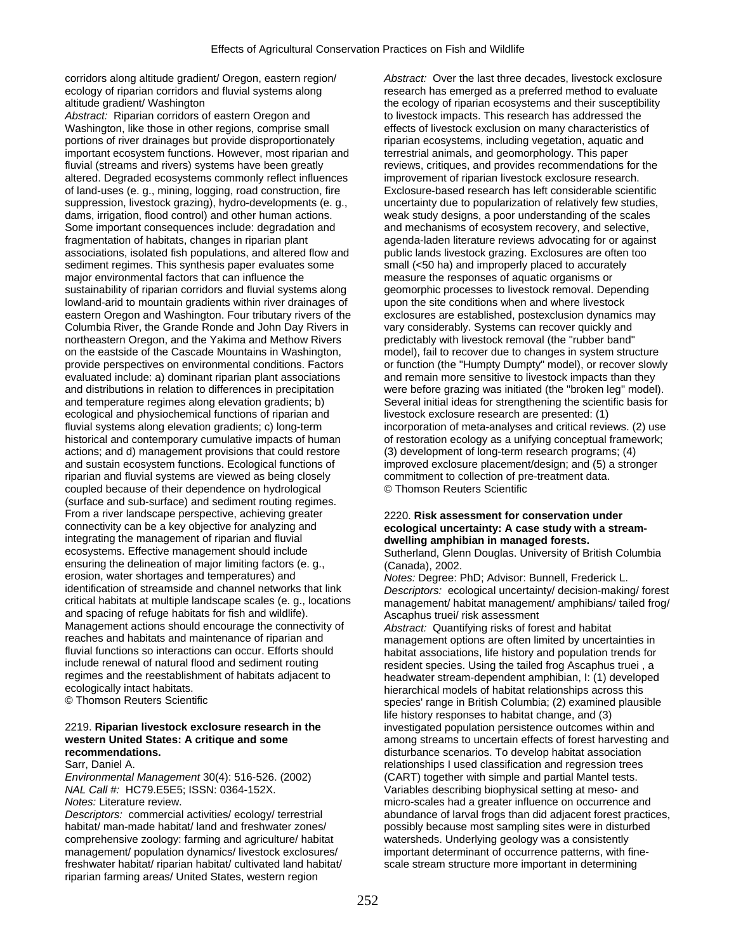corridors along altitude gradient/ Oregon, eastern region/ *Abstract:* Over the last three decades, livestock exclosure

Abstract: Riparian corridors of eastern Oregon and to livestock impacts. This research has addressed the Washington, like those in other regions, comprise small effects of livestock exclusion on many characteristics of portions of river drainages but provide disproportionately riparian ecosystems, including vegetation, aquatic and important ecosystem functions. However, most riparian and terrestrial animals, and geomorphology. This paper fluvial (streams and rivers) systems have been greatly reviews, critiques, and provides recommendations for the altered. Degraded ecosystems commonly reflect influences improvement of riparian livestock exclosure research. of land-uses (e. g., mining, logging, road construction, fire Exclosure-based research has left considerable scientific suppression, livestock grazing), hydro-developments (e. g., uncertainty due to popularization of relatively few studies, dams, irrigation, flood control) and other human actions. weak study designs, a poor understanding of the scales Some important consequences include: degradation and and mechanisms of ecosystem recovery, and selective, fragmentation of habitats, changes in riparian plant agenda-laden literature reviews advocating for or against associations, isolated fish populations, and altered flow and public lands livestock grazing. Exclosures are often too sediment regimes. This synthesis paper evaluates some small (<50 ha) and improperly placed to accurately major environmental factors that can influence the measure the responses of aquatic organisms or<br>sustainability of riparian corridors and fluvial systems along geomorphic processes to livestock removal. Depending sustainability of riparian corridors and fluvial systems along geomorphic processes to livestock removal. Depen<br>lowland-arid to mountain gradients within river drainages of upon the site conditions when and where livestock lowland-arid to mountain gradients within river drainages of eastern Oregon and Washington. Four tributary rivers of the exclosures are established, postexclusion dynamics may Columbia River, the Grande Ronde and John Day Rivers in vary considerably. Systems can recover quickly and northeastern Oregon, and the Yakima and Methow Rivers predictably with livestock removal (the "rubber band" on the eastside of the Cascade Mountains in Washington, model), fail to recover due to changes in system structure provide perspectives on environmental conditions. Factors or function (the "Humpty Dumpty" model), or recover slowly evaluated include: a) dominant riparian plant associations and remain more sensitive to livestock impacts than they and distributions in relation to differences in precipitation were before grazing was initiated (the "broken leg" model). and temperature regimes along elevation gradients; b) Several initial ideas for strengthening the scientific basis for ecological and physiochemical functions of riparian and livestock exclosure research are presented: (1) fluvial systems along elevation gradients; c) long-term incorporation of meta-analyses and critical reviews. (2) use historical and contemporary cumulative impacts of human of restoration ecology as a unifying conceptual framework; actions; and d) management provisions that could restore (3) development of long-term research programs; (4) and sustain ecosystem functions. Ecological functions of improved exclosure placement/design; and (5) a stronger<br>
riparian and fluvial systems are viewed as being closely commitment to collection of pre-treatment data. riparian and fluvial systems are viewed as being closely commitment to collection of pre-<br>coupled because of their dependence on hydrological © Thomson Reuters Scientific coupled because of their dependence on hydrological (surface and sub-surface) and sediment routing regimes. From a river landscape perspective, achieving greater 2220. **Risk assessment for conservation under**<br> **Ecological uncertainty: A case study with a street in the act of the act of the act of the street and the street of the** integrating the management of riparian and fluvial **dwelling amphibian in managed forests.**<br> **dwelling amphibian in managed forests.**<br>
Sutherland, Glenn Douglas, University of Brand Douglas, Liniversity of Brand Douglas, L ensuring the delineation of major limiting factors (e. g., (Canada), 2002.<br>
erosion, water shortages and temperatures) and (*Notes: Degree: I* erosion, water shortages and temperatures) and **Notes: Degree: PhD; Advisor: Bunnell, Frederick L.**<br>
identification of streamside and channel networks that link<br> *Descriptors:* ecological uncertainty/ decision-makin identification of streamside and channel networks that link *Descriptors:* ecological uncertainty/ decision-making/ forest and spacing of refuge habitats for fish and wildlife). Ascaphus truei/ risk assessment Management actions should encourage the connectivity of *Abstract:* Quantifying risks of forest and habitat<br>reaches and habitats and maintenance of riparian and management options are often limited by uncert reaches and habitats and maintenance of riparian and management options are often limited by uncertainties in<br>fluvial functions so interactions can occur. Efforts should fluvial functions so interactions can occur. Efforts should habitat associations, life history and population trends for<br>include renewal of natural flood and sediment routing resident species. Using the tailed frog Ascaphu include renewal of natural flood and sediment routing resident species. Using the tailed frog Ascaphus truei , a<br>regimes and the reestablishment of habitats adjacent to readwater stream-dependent amphibian. I: (1) develope regimes and the reestablishment of habitats adjacent to headwater stream-dependent amphibian, I: (1) developed<br>ecologically intact habitats.

habitat/ man-made habitat/ land and freshwater zones/ possibly because most sampling sites were in disturbed comprehensive zoology: farming and agriculture/ habitat watersheds. Underlying geology was a consistently management/ population dynamics/ livestock exclosures/ important determinant of occurrence patterns, with finefreshwater habitat/ riparian habitat/ cultivated land habitat/ scale stream structure more important in determining riparian farming areas/ United States, western region

ecology of riparian corridors and fluvial systems along research has emerged as a preferred method to evaluate altitude gradient/ Washington the ecology of riparian ecosystems and their susceptibility

# ecological uncertainty: A case study with a stream-

Sutherland, Glenn Douglas. University of British Columbia

management/ habitat management/ amphibians/ tailed frog/

ecologically intact habitats. https://www.mateurarchical models of habitat relationships across this<br>C Thomson Reuters Scientific intervals of the species' range in British Columbia: (2) examined plausi species' range in British Columbia; (2) examined plausible life history responses to habitat change, and (3) 2219. **Riparian livestock exclosure research in the** investigated population persistence outcomes within and among streams to uncertain effects of forest harvesting and **recommendations.** disturbance scenarios. To develop habitat association Sarr, Daniel A. relationships I used classification and regression trees *Environmental Management* 30(4): 516-526. (2002) (CART) together with simple and partial Mantel tests. *NAL Call #:* HC79.E5E5; ISSN: 0364-152X. Variables describing biophysical setting at meso- and *Notes:* Literature review. micro-scales had a greater influence on occurrence and *Descriptors:* commercial activities/ ecology/ terrestrial abundance of larval frogs than did adjacent forest practices,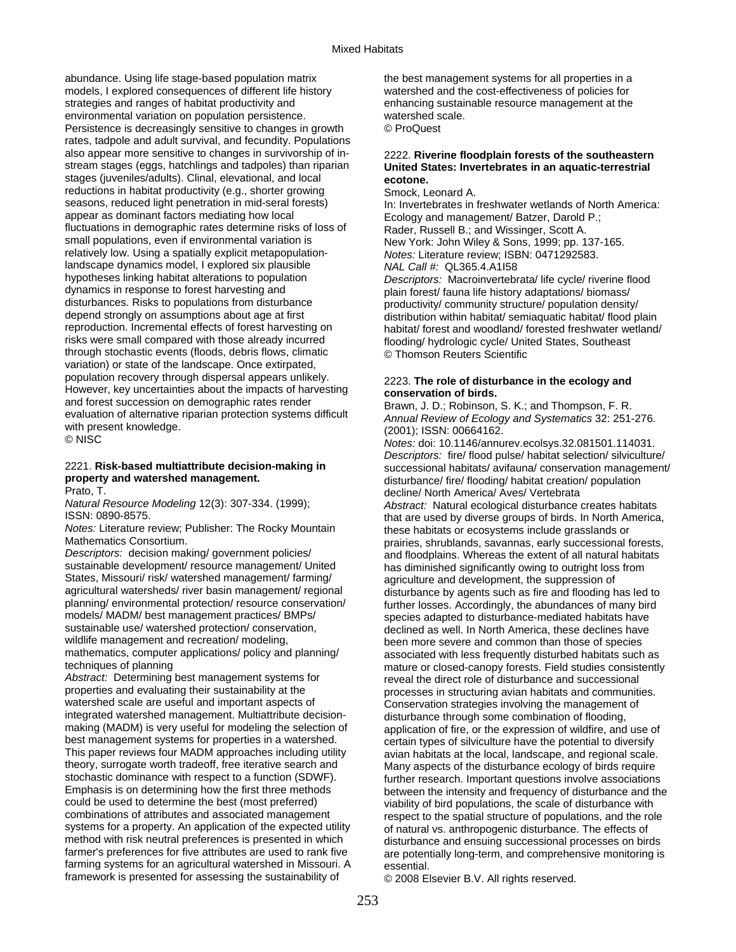abundance. Using life stage-based population matrix the best management systems for all properties in a models, I explored consequences of different life history watershed and the cost-effectiveness of policies for strategies and ranges of habitat productivity and enhancing sustainable resource management at the environmental variation on population persistence. watershed scale. Persistence is decreasingly sensitive to changes in growth © ProQuest rates, tadpole and adult survival, and fecundity. Populations also appear more sensitive to changes in survivorship of in- 2222. **Riverine floodplain forests of the southeastern**  stream stages (eggs, hatchlings and tadpoles) than riparian **United States: Invertebrates in an aquatic-terrestrial**  stages (juveniles/adults). Clinal, elevational, and local **ecotone.**  reductions in habitat productivity (e.g., shorter growing Smock, Leonard A. seasons, reduced light penetration in mid-seral forests) ln: Invertebrates in seasons, reduced light penetration in mid-seral forests) In: Invertebrates in freshwater wetlands of North America:<br>In: Invertebrates in freshwater wetlands of North America:<br>Follony and management/ Batzer, Darid P fluctuations in demographic rates determine risks of loss of Rader, Russell B.; and Wissinger, Scott A.<br>Small populations, even if environmental variation is New York: John Wiley & Sons, 1999; pp. 1. relatively low. Using a spatially explicit metapopulation- *Notes:* Literature review; ISBN: 0471292583. landscape dynamics model, I explored six plausible *NAL Call #:* QL365.4.A1I58<br>hypotheses linking habitat alterations to population *Descriptors:* Macroinvertebrows hypotheses linking habitat alterations to population *Descriptors:* Macroinvertebrata/ life cycle/ riverine flood dynamics in response to forest harvesting and<br>disturbances. Risks to populations from disturbance<br>productivity/ community structure/ population density<br>disturbances. Risks to populations from disturbance disturbances. Risks to populations from disturbance entity productivity/ community structure/ population density/<br>depend strongly on assumptions about age at first distribution within habitat/ semiaquatic habitat/ flood p depend strongly on assumptions about age at first distribution within habitat/ semiaquatic habitat/ flood plain<br>The production. Incremental effects of forest harvesting on the habitat/ forest and woodland/ forested freshwa risks were small compared with those already incurred flooding/ hydrologic cycle/ United States, Southeast through stochastic events (floods, debris flows, climatic © Thomson Reuters Scientific variation) or state of the landscape. Once extirpated, population recovery through dispersal appears unlikely.<br>
However, key uncertainties about the impacts of harvesting **conservation of birds.**<br>
and forest succession on demographic rates render<br> **REGIVENT OF PONCOLOGY AS KEY** and forest succession on demographic rates render<br>evaluation of alternative riparian protection systems difficult<br>with present knowledge.<br>with present knowledge.<br>(2001): ISSN: 00664162

*Notes:* Literature review; Publisher: The Rocky Mountain these habitats or ecosystems include grasslands or<br>Mathematics Consortium.

*Descriptors:* decision making/ government policies/ and floodplains. Whereas the extent of all natural habitats sustainable development/ resource management/ United has diminished significantly owing to outright loss from sustainable development/ resource management/ United has diminished significantly owing to outright loss from<br>States, Missouri/ risk/ watershed management/ farming/ anticulture and development the suppression of States, Missouri/ risk/ watershed management/ farming/ and agriculture and development, the suppression of<br>agricultural watersheds/ river basin management/ regional and disturbance by agents such as fire and flooding agricultural watersheds/ river basin management/ regional disturbance by agents such as fire and flooding has led to<br>planning/ environmental protection/ resource conservation/ further losses. Accordingly, the abundances of planning/ environmental protection/ resource conservation/ further losses. Accordingly, the abundances of many bird<br>models/ MADM/ best management practices/ BMPs/ species adapted to disturbance-mediated habitats have models/ MADM/ best management practices/ BMPs/ species adapted to disturbance-mediated habitats have<br>sustainable use/ watershed protection/ conservation, settled as well. In North America, these declines have sustainable use/ watershed protection/ conservation, declined as well. In North America, these declines have<br>wildlife management and recreation/ modeling, declines have theen more severe and common than those of species wildlife management and recreation/ modeling,<br>mathematics, computer applications/ policy and planning/<br>associated with less frequently disturbed habitats such mathematics, computer applications/ policy and planning/ associated with less frequently disturbed habitats such as<br>mature or closed-canopy forests. Field studies consistently

*Abstract:* Determining best management systems for reveal the direct role of disturbance and successional properties and evaluating their sustainability at the reveal properses in structuring avian habitats and communitio properties and evaluating their sustainability at the processes in structuring avian habitats and communities.<br>
watershed scale are useful and important aspects of conservation strategies involving the management of integrated watershed management. Multiattribute decision-<br>making (MADM) is very useful for modeling the selection of application of fire, or the expression of wildfire, and making (MADM) is very useful for modeling the selection of application of fire, or the expression of wildfire, and use of best management systems for properties in a watershed. best management systems for properties in a watershed. certain types of silviculture have the potential to diversify<br>This paper reviews four MADM approaches including utility sarian habitats at the local Jandscape, and reg This paper reviews four MADM approaches including utility avian habitats at the local, landscape, and regional scale.<br>Theory, surrogate worth tradeoff, free iterative search and Many aspects of the disturbance ecology of b theory, surrogate worth tradeoff, free iterative search and Many aspects of the disturbance ecology of birds require<br>stochastic dominance with respect to a function (SDWF).<br>further research Important questions involve asso stochastic dominance with respect to a function (SDWF). further research. Important questions involve associations<br>Emphasis is on determining how the first three methods between the intensity and frequency of disturbance a Emphasis is on determining how the first three methods between the intensity and frequency of disturbance and the could be used to determine the best (most preferred) yield by viability of bird populations, the scale of di could be used to determine the best (most preferred) viability of bird populations, the scale of disturbance with combinations of attributes and associated management systems for a property. An application of the expected utility of natural vs. anthropogenic disturbance. The effects of method with risk neutral preferences is presented in which disturbance and ensuing successional proces method with risk neutral preferences is presented in which disturbance and ensuing successional processes on birds<br>farmer's preferences for five attributes are used to rank five are potentially long-term, and comprehensive farming systems for an agricultural watershed in Missouri. A essential. framework is presented for assessing the sustainability of © 2008 Elsevier B.V. All rights reserved.

Ecology and management/ Batzer, Darold P.; New York: John Wiley & Sons, 1999; pp. 137-165.

habitat/ forest and woodland/ forested freshwater wetland/

with present knowledge. (2001); ISSN: 00664162. © NISC *Notes:* doi: 10.1146/annurev.ecolsys.32.081501.114031. *Descriptors:* fire/ flood pulse/ habitat selection/ silviculture/ 2221. **Risk-based multiattribute decision-making in** successional habitats/ avifauna/ conservation management/ **property and watershed management. disturbance/ fire/ flooding/ habitat creation/ population**<br>Prato, T. decline/ North America/ Aves/ Vertebrata Prato, T.<br>Natural Resource Modeling 12(3): 307-334. (1999); decline/ North America/ Aves/ Vertebrata<br>Abstract: Natural ecological disturbance *Natural Resource Modeling* 12(3): 307-334. (1999); *Abstract:* Natural ecological disturbance creates habitats that are used by diverse groups of birds. In North America, Mathematics Consortium.<br>Descriptors: decision making/ government policies/<br>and floodplains. Whereas the extent of all natural habitats techniques of planning<br>Abstract: Determining best management systems for<br>reveal the direct role of disturbance and successional Conservation strategies involving the management of respect to the spatial structure of populations, and the role are potentially long-term, and comprehensive monitoring is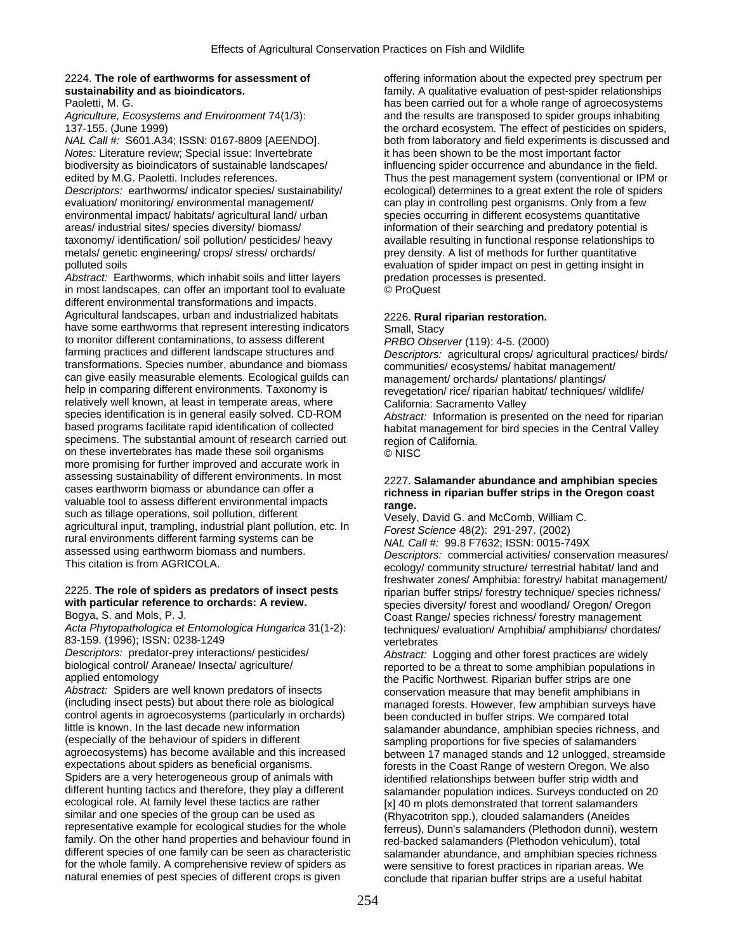*Notes:* Literature review; Special issue: Invertebrate it has been shown to be the most important factor biodiversity as bioindicators of sustainable landscapes/ influencing spider occurrence and abundance in the field.<br>
edited by M.G. Paoletti. Includes references. Thus the pest management system (conventional or IPM evaluation/ monitoring/ environmental management/ can play in controlling pest organisms. Only from a few environmental impact/ habitats/ agricultural land/ urban species occurring in different ecosystems quantitative areas/ industrial sites/ species diversity/ biomass/ information of their searching and predatory potential is taxonomy/ identification/ soil pollution/ pesticides/ heavy available resulting in functional response relationships to<br>metals/ genetic engineering/ crops/ stress/ orchards/ previdensity. A list of methods for further quan polluted soils evaluation of spider impact on pest in getting insight in

*Abstract:* Earthworms, which inhabit soils and litter layers predation processes is presented.<br>
in most landscapes, can offer an important tool to evaluate © ProQuest in most landscapes, can offer an important tool to evaluate different environmental transformations and impacts. Agricultural landscapes, urban and industrialized habitats 2226. **Rural riparian restoration.**  have some earthworms that represent interesting indicators Small, Stacy to monitor different contaminations, to assess different *PRBO Observer* (119): 4-5. (2000) transformations. Species number, abundance and biomass communities/ ecosystems/ habitat management/ can give easily measurable elements. Ecological guilds can management/ orchards/ plantations/ plantings/<br>help in comparing different environments. Taxonomy is revegetation/ rice/ riparian habitat/ techniques/ relatively well known, at least in temperate areas, where California: Sacramento Valley<br>species identification is in general easily solved. CD-ROM Abstract: Information is prese species identification is in general easily solved. CD-ROM *Abstract:* Information is presented on the need for riparian<br>based programs facilitate rapid identification of collected habitat management for bird species in th specimens. The substantial amount of research carried out region of California. on these invertebrates has made these soil organisms 
in SC more promising for further improved and accurate work in assessing sustainability of different environments. In most<br>
cases earthworm biomass or abundance can offer a<br>
valuable tool to assess different environmental impacts<br>
such as tillage operations, soil pollution, different<br>

83-159. (1996); ISSN: 0238-1249<br>Descriptors: predator-prey interactions/ pesticides/

*Abstract:* Spiders are well known predators of insects conservation measure that may benefit amphibians in (including insect pests) but about there role as biological managed forests However few amphibian surveys hare control agents in agroecosystems (particularly in orchards) been conducted in buffer strips. We compared total<br>little is known. In the last decade new information salamander abundance amphibian species richnes little is known. In the last decade new information<br>
(especially of the behaviour of spiders in different<br>
sampling proportions for five species of salamanders (especially of the behaviour of spiders in different exampling proportions for five species of salamanders<br>agroecosystems) has become available and this increased between 17 managed stands and 12 unloaged strear agroecosystems) has become available and this increased between 17 managed stands and 12 unlogged, streamside<br>expectations about spiders as beneficial organisms.<br>forests in the Coast Range of western Oregon. We also expectations about spiders as beneficial organisms.<br>Spiders are a very heterogeneous group of animals with intertied relationships between buffer strip width and Spiders are a very heterogeneous group of animals with identified relationships between buffer strip width and<br>different hunting tactics and therefore, they play a different salamander population indices. Surveys conducted different hunting tactics and therefore, they play a different salamander population indices. Surveys conducted on 20<br>  $\frac{1}{x}$  a m plots demonstrated that torrent salamanders ecological role. At family level these tactics are rather [x] 40 m plots demonstrated that torrent salamanders<br>
(Rhyacotriton spo.), clouded salamanders (Aneides representative example for ecological studies for the whole ferreus), Dunn's salamanders (Plethodon dunni), western family. On the other hand properties and behaviour found in red-backed salamanders (Plethodon vehiculum), total different species of one family can be seen as characteristic salamander abundance, and amphibian species richness<br>for the whole family. A comprehensive review of spiders as were sensitive to forest practices in riparian a for the whole family. A comprehensive review of spiders as were sensitive to forest practices in riparian areas. We<br>natural enemies of pest species of different crops is given conclude that riparian buffer strips are a use

2224. **The role of earthworms for assessment of** offering information about the expected prey spectrum per **sustainability and as bioindicators.** family. A qualitative evaluation of pest-spider relationships Paoletti, M. G. has been carried out for a whole range of agroecosystems *Agriculture, Ecosystems and Environment* 74(1/3): and the results are transposed to spider groups inhabiting 137-155. (June 1999) the orchard ecosystem. The effect of pesticides on spiders, *NAL Call #:* S601.A34; ISSN: 0167-8809 [AEENDO]. both from laboratory and field experiments is discussed and Thus the pest management system (conventional or IPM or *Descriptors:* earthworms/ indicator species/ sustainability/ ecological) determines to a great extent the role of spiders prey density. A list of methods for further quantitative

**Descriptors: agricultural crops/ agricultural practices/ birds/** revegetation/ rice/ riparian habitat/ techniques/ wildlife/ habitat management for bird species in the Central Valley

assessed using earthworm biomass and numbers.<br>This citation is from AGRICOLA. ecology/ community structure/ terrestrial habitat/ land and freshwater zones/ Amphibia: forestry/ habitat management/ 2225. **The role of spiders as predators of insect pests** riparian buffer strips/ forestry technique/ species richness/ **with particular reference to orchards: A review.** <br>Bogya, S. and Mols, P. J. **property a review.** Coast Range/ species richness/ forestry management Bogya, S. and Mols, P. J.<br>Acta Phytopathologica et Entomologica Hungarica 31(1-2): chechniques/ evaluation/ Amphibia/ amphibians/ chordat *techniques/ evaluation/ Amphibia/ amphibians/ chordates/ vertebrates* 

*Descriptors:* predator-prey interactions/ pesticides/ *Abstract:* Logging and other forest practices are widely biological control/ Araneae/ Insecta/ agriculture/ reported to be a threat to some amphibian populations in applied entomology<br>
the Pacific Northwest. Riparian buffer strips are one the Pacific Northwest. Riparian buffer strips are one managed forests. However, few amphibian surveys have (Rhyacotriton spp.), clouded salamanders (Aneides conclude that riparian buffer strips are a useful habitat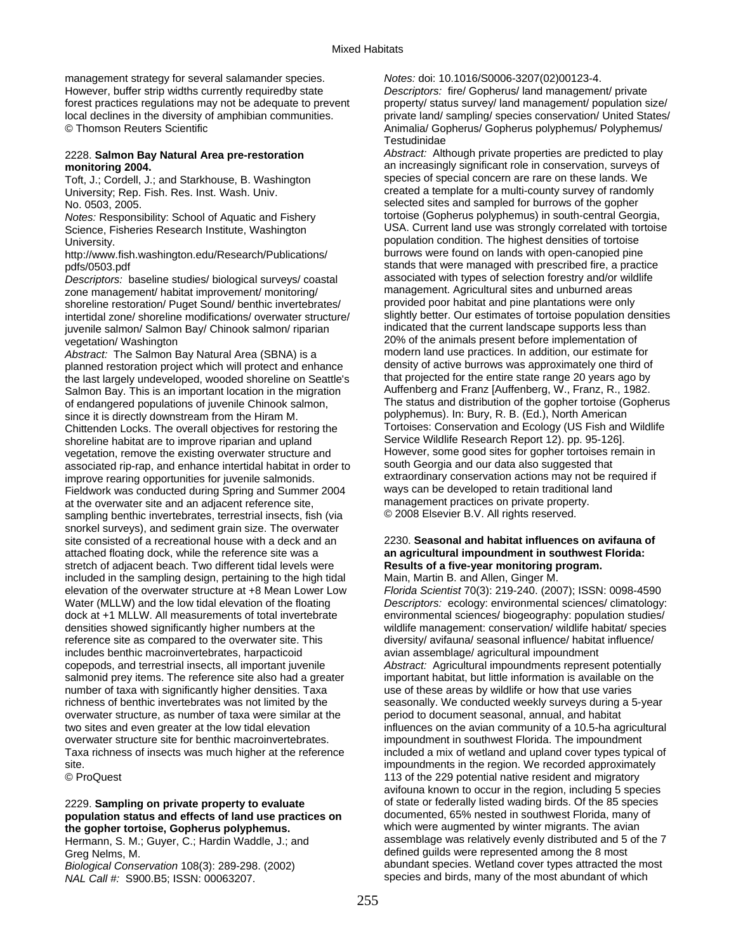management strategy for several salamander species. *Notes:* doi: 10.1016/S0006-3207(02)00123-4. However, buffer strip widths currently requiredby state *Descriptors:* fire/ Gopherus/ land management/ private forest practices regulations may not be adequate to prevent property/ status survey/ land management/ population size/ local declines in the diversity of amphibian communities. private land/ sampling/ species conservation/ United States/ © Thomson Reuters Scientific **Animalia** Animalia/ Gopherus/ Gopherus polyphemus/ Polyphemus/

Toft, J.; Cordell, J.; and Starkhouse, B. Washington

*Notes:* Responsibility: School of Aquatic and Fishery

http://www.fish.washington.edu/Research/Publications/

*Descriptors:* baseline studies/ biological surveys/ coastal associated with types of selection forestry and/or wild<br>zone management/ habitat improvement/ monitoring/ management. Agricultural sites and unburned areas zone management/ habitat improvement/ monitoring/ management. Agricultural sites and unburned areas<br>shoreline restoration/ Puget Sound/ benthic invertebrates/ provided poor habitat and pine plantations were only intertidal zone/ shoreline modifications/ overwater structure/ slightly better. Our estimates of tortoise population dens<br>invenile salmon/ Salmon Bay/ Chinook salmon/ riparian indicated that the current landscape supports juvenile salmon/ Salmon Bay/ Chinook salmon/ riparian

*Abstract:* The Salmon Bay Natural Area (SBNA) is a modern land use practices. In addition, our estimate for planned restoration project which will protect and enhance density of active burrows was approximately one third of<br>the last largely undeveloped, wooded shoreline on Seattle's that projected for the entire state range 20 y the last largely undeveloped, wooded shoreline on Seattle's that projected for the entire state range 20 years ago by<br>Salmon Bay, This is an important location in the migration Auffenberg and Franz [Auffenberg, W., Franz, of endangered populations of juvenile Chinook salmon, The status and distribution of the gopher tortoise (Gopherus)<br>since it is directly downstream from the Hiram M. The polyphemus). In: Bury, R. B. (Ed.), North American since it is directly downstream from the Hiram M. <br>Chittenden Locks. The overall objectives for restoring the **The Contagne** Conservation and Ecology (US Fish and Wildlife Chittenden Locks. The overall objectives for restoring the Tortoises: Conservation and Ecology (US Fish and Shoreline habitat are to improve riparian and upland Service Wildlife Research Report 12). pp. 95-126]. shoreline habitat are to improve riparian and upland Service Wildlife Research Report 12). pp. 95-126].<br>Service Wildlife Research Report of 12). pp. 95-126]. The existing overwater structure and However, some good vegetation, remove the existing overwater structure and However, some good sites for gopher tortoises remain in<br>Associated rip-rape and enhance intertidal habitat in order to south Georgia and our data also suggested that associated rip-rap, and enhance intertidal habitat in order to improve rearing opportunities for juvenile salmonids.<br>Fieldwork was conducted during Spring and Summer 2004 ways can be developed to retain traditional land Fieldwork was conducted during Spring and Summer 2004 ways can be developed to retain traditional at the overwater site and an adjacent reference site management practices on private property. at the overwater site and an adjacent reference site, management practices on private proper<br>sampling benthic invertebrates terrestrial insects fish (via  $\degree$  2008 Elsevier B.V. All rights reserved. sampling benthic invertebrates, terrestrial insects, fish (via snorkel surveys), and sediment grain size. The overwater site consisted of a recreational house with a deck and an 2230. **Seasonal and habitat influences on avifauna of**  attached floating dock, while the reference site was a **an agricultural impoundment in southwest Florida:**  stretch of adjacent beach. Two different tidal levels were **Results of a five-year monitoring program.**  included in the sampling design, pertaining to the high tidal Main, Martin B. and Allen, Ginger M. elevation of the overwater structure at +8 Mean Lower Low *Florida Scientist* 70(3): 219-240. (2007); ISSN: 0098-4590 Water (MLLW) and the low tidal elevation of the floating *Descriptors:* ecology: environmental sciences/ climatology: dock at +1 MLLW. All measurements of total invertebrate environmental sciences/ biogeography: population studies/ densities showed significantly higher numbers at the wildlife management: conservation/ wildlife habitat/ species reference site as compared to the overwater site. This diversity/ avifauna/ seasonal influence/ habitat influence/ includes benthic macroinvertebrates, harpacticoid avian assemblage/ agricultural impoundment copepods, and terrestrial insects, all important juvenile *Abstract:* Agricultural impoundments represent potentially salmonid prey items. The reference site also had a greater important habitat, but little information is available on the number of taxa with significantly higher densities. Taxa use of these areas by wildlife or how that use varies richness of benthic invertebrates was not limited by the seasonally. We conducted weekly surveys during a 5-year overwater structure, as number of taxa were similar at the period to document seasonal, annual, and habitat two sites and even greater at the low tidal elevation influences on the avian community of a 10.5-ha agricultural overwater structure site for benthic macroinvertebrates. impoundment in southwest Florida. The impoundment<br>Taxa richness of insects was much higher at the reference included a mix of wetland and upland cover types typical Taxa richness of insects was much higher at the reference site. **impoundments in the region.** We recorded approximately

population status and effects of land use practices on **the gopher tortoise, Gopherus polyphemus.** which were augmented by winter migrants. The avian

**Testudinidae** 

2228. **Salmon Bay Natural Area pre-restoration** *Abstract:* Although private properties are predicted to play **monitoring 2004. and Starkhouse B. Washington and Starkhouse an increasingly significant role in conservation, surveys of Toft J. Cordell J. and Starkhouse B. Washington <b>Species of special concern** are rare on these la University; Rep. Fish. Res. Inst. Wash. Univ. Created a template for a multi-county survey of randomly No. 0503, 2005.<br>
Notes: Responsibility: School of Aquatic and Fishery **School of Aquatic and Fishery** tortoise (Gopherus polyphemus) in south-central Georgia, Science, Fisheries Research Institute, Washington USA. Current land use was strongly correlated with tortoise University.<br>http://www.fish.washington.edu/Research/Publications/ burrows were found on lands with open-canopied pine pdfs/0503.pdf<br>Descriptors: baseline studies/ biological surveys/ coastal associated with types of selection forestry and/or wildlife shoreline restoration/ Puget Sound/ benthic invertebrates/ provided poor habitat and pine plantations were only<br>intertidal zone/ shoreline modifications/ overwater structure/ slightly better. Our estimates of tortoise popu vegetation/ Washington<br>
20% of the animals present before implementation of<br> *Abstract*: The Salmon Bay Natural Area (SBNA) is a modern land use practices. In addition, our estimate for Salmon Bay. This is an important location in the migration Auffenberg and Franz [Auffenberg, W., Franz, R., 1982.<br>The status and distribution of the gopher tortoise (Gopherus

© ProQuest 113 of the 229 potential native resident and migratory avifouna known to occur in the region, including 5 species 2229. **Sampling on private property to evaluate** of state or federally listed wading birds. Of the 85 species Hermann, S. M.; Guyer, C.; Hardin Waddle, J.; and assemblage was relatively evenly distributed and 5 of the 7 Greg Nelms, M. Greg Nelms, M. *Biological Conservation* 108(3): 289-298. (2002) abundant species. Wetland cover types attracted the most *NAL Call #:* S900.B5; ISSN: 00063207. Species and birds, many of the most abundant of which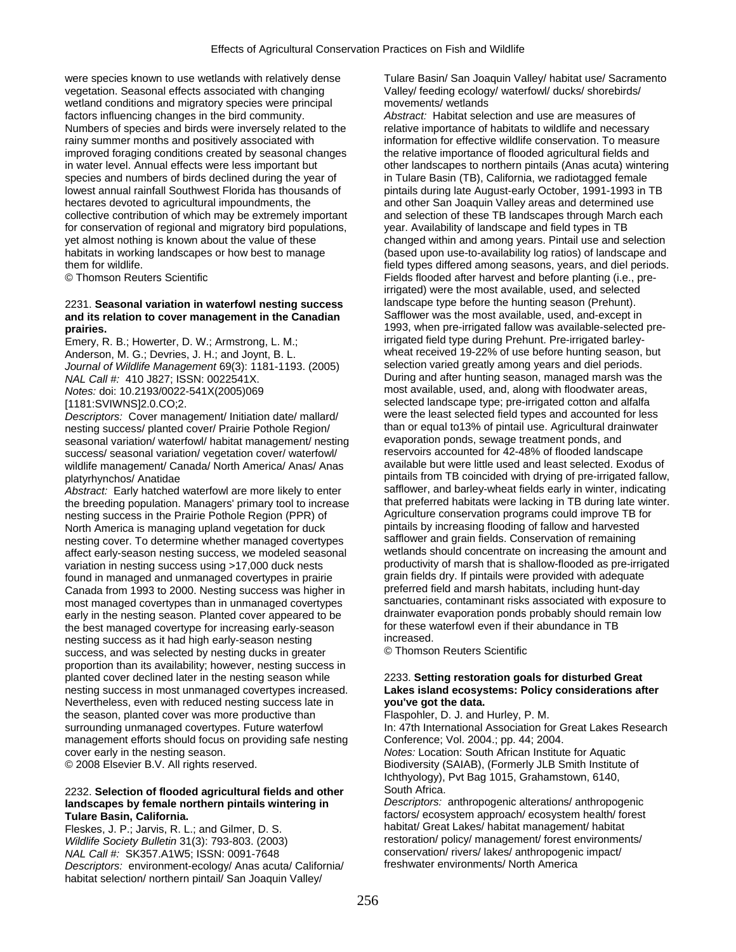were species known to use wetlands with relatively dense Tulare Basin/ San Joaquin Valley/ habitat use/ Sacramento vegetation. Seasonal effects associated with changing Valley/ feeding ecology/ waterfowl/ ducks/ shorebirds/ wetland conditions and migratory species were principal movements/ wetlands<br>
factors influencing changes in the bird community.<br>
Abstract: Habitat selection and use are measures of factors influencing changes in the bird community. Numbers of species and birds were inversely related to the relative importance of habitats to wildlife and necessary rainy summer months and positively associated with information for effective wildlife conservation. To measure<br>improved foraging conditions created by seasonal changes the relative importance of flooded agricultural fields improved foraging conditions created by seasonal changes in water level. Annual effects were less important but in water level. Annual effects were less important but other landscapes to northern pintails (Anas acuta) wintering<br>species and numbers of birds declined during the year of in Tulare Basin (TB), California, we radiotagged lowest annual rainfall Southwest Florida has thousands of pintails during late August-early October, 1991-1993 in TB hectares devoted to agricultural impoundments, the and other San Joaquin Valley areas and determined use collective contribution of which may be extremely important and selection of these TB landscapes through March each for conservation of regional and migratory bird populations, year. Availability of landscape and field types in TB yet almost nothing is known about the value of these changed within and among years. Pintail use and selection habitats in working landscapes or how best to manage (based upon use-to-availability log ratios) of landscape and

## 2231. **Seasonal variation in waterfowl nesting success** landscape type before the hunting season (Prehunt). and its relation to cover management in the Canadian **Safellow**

Emery, R. B.; Howerter, D. W.; Armstrong, L. M.; *Journal of Wildlife Management* 69(3): 1181-1193. (2005)<br>NAL Call #: 410 J827; ISSN: 0022541X. *Notes:* doi: 10.2193/0022-541X(2005)069 most available, used, and, along with floodwater areas,

*Descriptors:* Cover management/ Initiation date/ mallard/ were the least selected field types and accounted for less nesting success/ planted cover/ Prairie Pothole Region/ than or equal to13% of pintail use. Agricultural drain<br>seasonal variation/ waterfowl/ habitat management/ nesting evaporation ponds, sewage treatment ponds, and seasonal variation/ waterfowl/ habitat management/ nesting evaporation ponds, sewage treatment ponds, and<br>success/ seasonal variation/ vegetation cover/ waterfowl/ expreservoirs accounted for 42-48% of flooded landscape success/ seasonal variation/ vegetation cover/ waterfowl/ reservoirs accounted for 42-48% of flooded landscape<br>wildlife management/ Canada/ North America/ Anas/ Anas available but were little used and least selected. Exodu wildlife management/ Canada/ North America/ Anas/ Anas

*Abstract:* Early hatched waterfowl are more likely to enter safflower, and barley-wheat fields early in winter, indicating the breeding population. Managers' primary tool to increase that preferred habitats were lacking in TB during late win<br>nesting success in the Prairie Pothole Region (PPR) of Agriculture conservation programs could improve nesting success in the Prairie Pothole Region (PPR) of Agriculture conservation programs could improve TB for<br>North America is managing upland vegetation for duck pintalls by increasing flooding of fallow and harvested North America is managing upland vegetation for duck pintails by increasing flooding of fallow and harvested<br>nesting cover. To determine whether managed covertypes safflower and grain fields. Conservation of remaining nesting cover. To determine whether managed covertypes safflower and grain fields. Conservation of remaining<br>affect early-season nesting success, we modeled seasonal wetlands should concentrate on increasing the amount and variation in nesting success using >17,000 duck nests productivity of marsh that is shallow-flooded as pre-irrig<br>found in managed and unmanaged covertypes in prairie grain fields dry. If pintails were provided with adequat found in managed and unmanaged covertypes in prairie grain fields dry. If pintails were provided with adequate<br>Canada from 1993 to 2000. Nesting success was higher in preferred field and marsh habitats, including hunt-day Canada from 1993 to 2000. Nesting success was higher in preferred field and marsh habitats, including hunt-day<br>most managed covertypes than in unmanaged covertypes sanctuaries, contaminant risks associated with exposure to most managed covertypes than in unmanaged covertypes sanctuaries, contaminant risks associated with exposure to<br>early in the nesting season. Planted cover appeared to be drainwater evaporation ponds probably should remain early in the nesting season. Planted cover appeared to be drainwater evaporation ponds probably should remain lowerty and the hest managed coverty of the formation and the hest managed coverty of the formation early-season the best managed covertype for increasing early-season for these waterform in the season in the their abundance in TBC in TBC as it had binh abundance in TBC in TBC in TBC in TBC in TBC in TBC in TBC in TBC in TBC in TBC i nesting success as it had high early-season nesting increased.<br>success and was selected by nesting ducks in greater  $\circ$  Thomson Reuters Scientific success, and was selected by nesting ducks in greater proportion than its availability; however, nesting success in planted cover declined later in the nesting season while 2233. **Setting restoration goals for disturbed Great**  nesting success in most unmanaged covertypes increased. **Lakes island ecosystems: Policy considerations after**  Nevertheless, even with reduced nesting success late in **you've got the data.** the season, planted cover was more productive than Flaspohler, D. J. and Hurley, P. M. surrounding unmanaged covertypes. Future waterfowl In: 47th International Association for Great Lakes Research<br>management efforts should focus on providing safe nesting Conference; Vol. 2004.; pp. 44; 2004. management efforts should focus on providing safe nesting cover early in the nesting season. *Notes:* Location: South African Institute for Aquatic

## 2232. **Selection of flooded agricultural fields and other** South Africa. landscapes by female northern pintails wintering in **Tulare Basin, California.** factors/ ecosystem approach/ ecosystem health/ forest

*Wildlife Society Bulletin* 31(3): 793-803. (2003) restoration/ policy/ management/ forest environments/<br>
NAI Call #: SK357 A1W5: ISSN: 0091-7648 conservation/ rivers/ lakes/ anthropogenic impact/ *NAL Call #:* SK357.A1W5; ISSN: 0091-7648 conservation/ rivers/ lakes/ anthropogeni<br>Descriptors: environment-ecology/ Anas acuta/ California/ freshwater environments/ North America *Descriptors:* environment-ecology/ Anas acuta/ California/ habitat selection/ northern pintail/ San Joaquin Valley/

in Tulare Basin (TB), California, we radiotagged female them for wildlife.<br>
© Thomson Reuters Scientific **the entity of the seasons**, years, and diel periods.<br>
Fields flooded after harvest and before planting (i.e., pre-Fields flooded after harvest and before planting (i.e., preirrigated) were the most available, used, and selected landscape type before the hunting season (Prehunt). **prairies.**<br> **prairies.** The state of the selected pre-<br>
irrigated field type during Prehunt. Pre-irrigated barley-<br>
Frairigated prehunt. Pre-irrigated barley-Anderson, M. G.; Devries, J. H.; and Joynt, B. L. wheat received 19-22% of use before hunting season, but<br>Journal of Wildlife Management 69(3): 1181-1193. (2005) selection varied greatly among years and diel periods. During and after hunting season, managed marsh was the [1181:SVIWNS]2.0.CO;2.<br>
Descriptors: Cover management/ Initiation date/ mallard/ were the least selected field types and accounted for less platyrhynchos/ Anatidae pintails from TB coincided with drying of pre-irrigated fallow,<br>Abstract: Early hatched waterfowl are more likely to enter safflower, and barley-wheat fields early in winter, indicating affect early-season nesting success, we modeled seasonal wetlands should concentrate on increasing the amount and<br>uariation in nesting success using >17,000 duck nests productivity of marsh that is shallow-flooded as pre-i

© 2008 Elsevier B.V. All rights reserved. The Society of Biodiversity (SAIAB), (Formerly JLB Smith Institute of Ichthyology), Pvt Bag 1015, Grahamstown, 6140,

Fleskes, J. P.; Jarvis, R. L.; and Gilmer, D. S. habitat/ Great Lakes/ habitat management/ habitat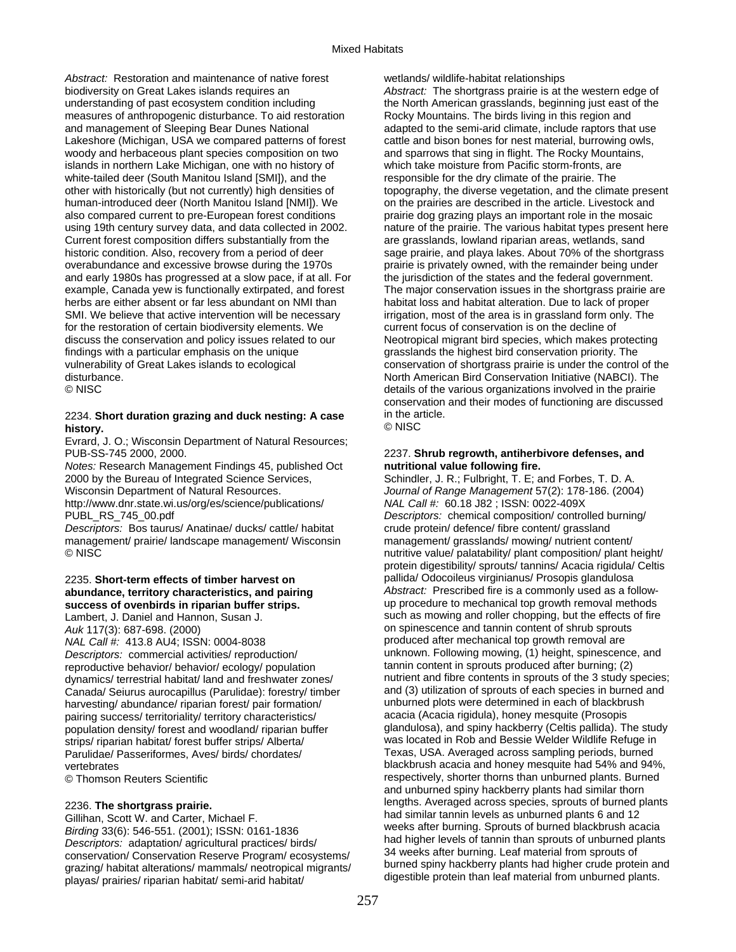*Abstract:* Restoration and maintenance of native forest wetlands/ wildlife-habitat relationships biodiversity on Great Lakes islands requires an *Abstract:* The shortgrass prairie is at the western edge of understanding of past ecosystem condition including the North American grasslands, beginning just east of the measures of anthropogenic disturbance. To aid restoration Rocky Mountains. The birds living in this region and and management of Sleeping Bear Dunes National adapted to the semi-arid climate, include raptors that use Lakeshore (Michigan, USA we compared patterns of forest cattle and bison bones for nest material, burrowing owls, woody and herbaceous plant species composition on two and sparrows that sing in flight. The Rocky Mountains, islands in northern Lake Michigan, one with no history of which take moisture from Pacific storm-fronts, are islands in northern Lake Michigan, one with no history of white-tailed deer (South Manitou Island [SMI]), and the responsible for the dry climate of the prairie. The human-introduced deer (North Manitou Island [NMI]). We on the prairies are described in the article. Livestock and also compared current to pre-European forest conditions prairie dog grazing plays an important role in the mosaic Current forest composition differs substantially from the are grasslands, lowland riparian areas, wetlands, sand historic condition. Also, recovery from a period of deer sage prairie, and playa lakes. About 70% of the shortgrass overabundance and excessive browse during the 1970s prairie is privately owned, with the remainder being under and early 1980s has progressed at a slow pace, if at all. For the jurisdiction of the states and the federal government. example, Canada yew is functionally extirpated, and forest The major conservation issues in the shortgrass prairie are herbs are either absent or far less abundant on NMI than habitat loss and habitat alteration. Due to lack of proper SMI. We believe that active intervention will be necessary irrigation, most of the area is in grassland form only. The for the restoration of certain biodiversity elements. We current focus of conservation is on the decline of discuss the conservation and policy issues related to our Neotropical migrant bird species, which makes protecting findings with a particular emphasis on the unique grasslands the highest bird conservation priority. The

## 2234. **Short duration grazing and duck nesting: A case** in the article.<br>**history** © NISC **history.** © NISC

Evrard, J. O.; Wisconsin Department of Natural Resources; PUB-SS-745 2000, 2000. 2237. **Shrub regrowth, antiherbivore defenses, and** 

*Notes:* Research Management Findings 45, published Oct **nutritional value following fire.** 

http://www.dnr.state.wi.us/org/es/science/publications/ *NAL Call #:* 60.18 J82 ; ISSN: 0022-409X

*Descriptors: Bos taurus/ Anatinae/ ducks/ cattle/ habitat* management/ prairie/ landscape management/ Wisconsin management/ grasslands/ mowing/ nutrient content/

reproductive behavior/ behavior/ ecology/ population harvesting/ abundance/ riparian forest/ pair formation/ pairing success/ territoriality/ territory characteristics/ acacia (Acacia rigidula), honey mesquite (Prosopis strips/ riparian habitat/ forest buffer strips/ Alberta/ was located in Rob and Bessie Welder Wildlife Refuge in Parulidae/ Passeriformes, Aves/ birds/ chordates/ Texas, USA. Averaged across sampling periods, burned

Birding 33(6): 546-551. (2001); ISSN: 0161-1836<br>
Descriptors: adaptation/ agricultural practices/ birds/<br>
Conservation/ Conservation Reserve Program/ ecosystems/<br>
grazing/ habitat alterations/ mammals/ neotropical migrants

other with historically (but not currently) high densities of topography, the diverse vegetation, and the climate present using 19th century survey data, and data collected in 2002. hature of the prairie. The various habitat types present here vulnerability of Great Lakes islands to ecological conservation of shortgrass prairie is under the control of the disturbance.<br>
Morth American Bird Conservation Initiative (NABCI). The example of the various organizations involved in the prairie details of the various organizations involved in the prairie conservation and their modes of functioning are discussed

2000 by the Bureau of Integrated Science Services, Schindler, J. R.; Fulbright, T. E; and Forbes, T. D. A. Visconsin Department of Natural Resources. July 3004 Journal of Range Management 57(2): 178-186. (2004 Journal of Range Management 57(2): 178-186. (2004) PUBL\_RS\_745\_00.pdf *Descriptors:* chemical composition/ controlled burning/ © NISC nutritive value/ palatability/ plant composition/ plant height/ protein digestibility/ sprouts/ tannins/ Acacia rigidula/ Celtis 2235. **Short-term effects of timber harvest on** pallida/ Odocoileus virginianus/ Prosopis glandulosa **abundance, territory characteristics, and pairing** *Abstract:* Prescribed fire is a commonly used as a follow**success of ovenbirds in riparian buffer strips.** up procedure to mechanical top growth removal methods Lambert, J. Daniel and Hannon, Susan J. Such as mowing and roller chopping, but the effects of fire *Auk* 117(3): 687-698. (2000) on spinescence and tannin content of shrub sprouts produced after mechanical top growth removal are *Descriptors:* commercial activities/ reproduction/ unknown. Following mowing, (1) height, spinescence, and reproductive behavior/ ecology/ population tannin content in sprouts produced after burning; (2) dynamics/ terrestrial habitat/ land and freshwater zones/ nutrient and fibre contents in sprouts of the 3 study species; Canada/ Seiurus aurocapillus (Parulidae): forestry/ timber and (3) utilization of sprouts of each species in burned and<br>harvesting/ abundance/ riparian forest/ pair formation/ unburned plots were determined in each of blac population density/ forest and woodland/ riparian buffer glandulosa), and spiny hackberry (Celtis pallida). The study vertebrates blackbrush acacia and honey mesquite had 54% and 94%, © Thomson Reuters Scientific respectively, shorter thorns than unburned plants. Burned and unburned spiny hackberry plants had similar thorn lengths. Averaged across species, sprouts of burned plants 2236. **The shortgrass prairie.**  Gillihan, Scott W. and Carter, Michael F.<br>Gillihan, Scott W. and Carter, Michael F. had similar tannin levels as unburned plants 6 and 12<br>Birding 33(6): 546-551 (2001): ISSN: 0161-1836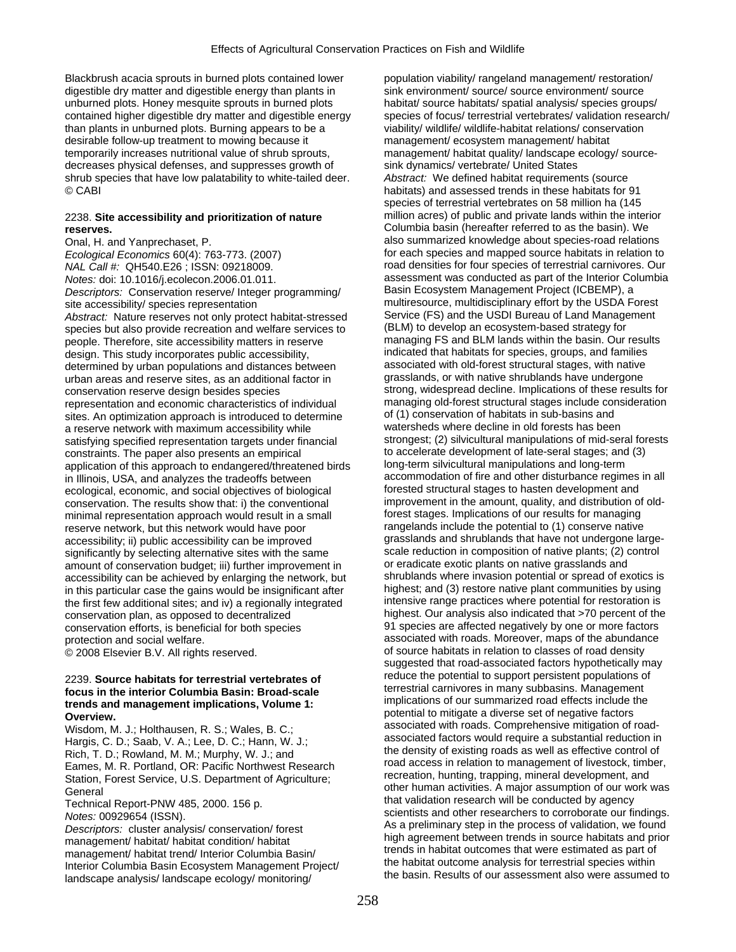Blackbrush acacia sprouts in burned plots contained lower population viability/ rangeland management/ restoration/ digestible dry matter and digestible energy than plants in sink environment/ source/ source environment/ source unburned plots. Honey mesquite sprouts in burned plots habitat/ source habitats/ spatial analysis/ species groups/ than plants in unburned plots. Burning appears to be a viability/ wildlife/ wildlife-habitat relations/ conservation desirable follow-up treatment to mowing because it management/ ecosystem management/ habitat temporarily increases nutritional value of shrub sprouts, management/ habitat quality/ landscape ecology/ source-<br>decreases physical defenses, and suppresses growth of sink dynamics/ vertebrate/ United States decreases physical defenses, and suppresses growth of shrub species that have low palatability to white-tailed deer. *Abstract:* We defined habitat requirements (source © CABI habitats) and assessed trends in these habitats for 91

Onal, H. and Yanprechaset, P. also summarized knowledge about species-road relations *Ecological Economics* 60(4): 763-773. (2007) for each species and mapped source habitats in relation to *NAL Call #:* QH540.E26 ; ISSN: 09218009. road densities for four species of terrestrial carnivores. Our *Descriptors:* Conservation reserve/ Integer programming/ site accessibility/ species representation<br>Abstract: Nature reserves not only protect habitat-stressed<br>Abstract: Nature reserves not only protect habitat-stressed<br>Service (FS) and the USDI Bureau of Land Management *Abstract:* Nature reserves not only protect habitat-stressed Service (FS) and the USDI Bureau of Land Manage<br>Species but also provide recreation and welfare services to (BLM) to develop an ecosystem-based strategy for species but also provide recreation and welfare services to (BLM) to develop an ecosystem-based strategy for<br>Reonle Therefore, site accessibility matters in reserve managing FS and BLM lands within the basin. Our results people. Therefore, site accessibility matters in reserve design. This study incorporates public accessibility, indicated that habitats for species, groups, and families<br>determined by urban populations and distances between associated with old-forest structural stages, with nativ determined by urban populations and distances between urban areas and reserve sites, as an additional factor in grasslands, or with native shrublands have undergone representation and economic characteristics of individual managing old-forest structural stages include consider<br>sites. An optimization approach is introduced to determine of (1) conservation of habitats in sub-basins and sites. An optimization approach is introduced to determine of (1) conservation of habitats in sub-basins and<br>a reserve network with maximum accessibility while vatersheds where decline in old forests has been a reserve network with maximum accessibility while watersheds where decline in old forests has been<br>satisfying specified representation targets under financial strongest; (2) silvicultural manipulations of mid-seral forest satisfying specified representation targets under financial constraints. The paper also presents an empirical to accelerate development of late-seral stages; and (3)<br>application of this approach to endangered/threatened birds long-term silvicultural manipulations and long-term application of this approach to endangered/threatened birds in Illinois, USA, and analyzes the tradeoffs between accommodation of fire and other disturbance regimes in all<br>
ecological economic, and social objectives of biological structural stages to hasten development and ecological, economic, and social objectives of biological forested structural stages to hasten development and<br>conservation. The results show that: i) the conventional improvement in the amount, quality, and distribution o conservation. The results show that: i) the conventional improvement in the amount, quality, and distribution of<br>forest stages. Implications of our results for managing<br>forest stages. Implications of our results for managi minimal representation approach would result in a small forest stages. Implications of our results for managing<br>
reserve network, but this network would have poor rangelands include the potential to (1) conserve native reserve network, but this network would have poor accessibility; ii) public accessibility can be improved grasslands and shrublands that have not undergone large-<br>significantly by selecting alternative sites with the same scale reduction in composition of native plants; ( significantly by selecting alternative sites with the same scale reduction in composition of native plants; (2) control amount of conservation budget: iii) further improvement in some radicate exotic plants on native grass amount of conservation budget; iii) further improvement in or eradicate exotic plants on native grasslands and<br>accessibility can be achieved by enlarging the network, but shrublands where invasion potential or spread of ex accessibility can be achieved by enlarging the network, but shrublands where invasion potential or spread of exotics is<br>in this particular case the gains would be insignificant after highest; and (3) restore native plant c in this particular case the gains would be insignificant after highest; and (3) restore native plant communities by using<br>the first few additional sites: and iy) a regionally integrated intensive range practices where pote the first few additional sites; and iv) a regionally integrated conservation plan, as opposed to decentralized highest. Our analysis also indicated that >70 percent of the conservation efforts, is beneficial for both species 91 species are affected negatively by one or more factors protection and social welfare.  $\blacksquare$  associated with roads. Moreover, maps of the abundance

## trends and management implications, Volume 1: **Overview.** potential to mitigate a diverse set of negative factors

Station, Forest Service, U.S. Department of Agriculture;

management/ habitat trend/ Interior Columbia Basin/ trends in habitat outcomes that were estimated as part of<br>Interior Columbia Basin Econyptom Management Project/ the habitat outcome analysis for terrestrial species withi

contained higher digestible dry matter and digestible energy species of focus/ terrestrial vertebrates/ validation research/ species of terrestrial vertebrates on 58 million ha (145 2238. **Site accessibility and prioritization of nature** million acres) of public and private lands within the interior **reserves.** Columbia basin (hereafter referred to as the basin). We *Notes:* doi: 10.1016/j.ecolecon.2006.01.011. assessment was conducted as part of the Interior Columbia<br>*Descriptors:* Conservation reserve/ Integer programming/ Basin Ecosystem Management Project (ICBEMP), a conservation reserve design besides species strong, widespread decline. Implications of these results for<br>
representation and economic characteristics of individual managing old-forest structural stages include considerati © 2008 Elsevier B.V. All rights reserved. **come that in relation to classes of road density** of source habitats in relation to classes of road density suggested that road-associated factors hypothetically may reduce the potential to support persistent populations of 2239. **Source habitats for terrestrial vertebrates of**  terrestrial carnivores in many subbasins. Management **focus in the interior Columbia Basin: Broad-scale**  Wisdom, M. J.; Holthausen, R. S.; Wales, B. C.; associated with roads. Comprehensive mitigation of road-<br>Hargis C. D.: Saab, V. A.: Lee D. C.: Hann W. L.: associated factors would require a substantial reduction in Hargis, C. D.; Saab, V. A.; Lee, D. C.; Hann, W. J.;<br>Rich, T. D.; Rowland, M. M.; Murphy, W. J.; and<br>Eames, M. R. Portland, OR: Pacific Northwest Research<br>Station Enrest Service, U.S. Department of Agriculture: recreation, General states, and the parameters of the human activities. A major assumption of our work was<br>General of the same of the state of the state of the state of the state of the state of the conducted by agency Technical Report-PNW 485, 2000. 156 p.<br>
Notes: 00929654 (ISSN).<br>
Descriptors: cluster analysis/ conservation/ forest Mores As a preliminary step in the process of validation, we found management/ habitat/ habitat condition/ habitat habitat high agreement between trends in source habitats and prior<br>management/ habitat high agreement between trends in source habitats and prior<br>management/ habitat rend/ ht Interior Columbia Basin Ecosystem Management Project/<br>Interior Columbia Basin Ecosystem Management Project/ the basin. Results of our assessment also were assumed to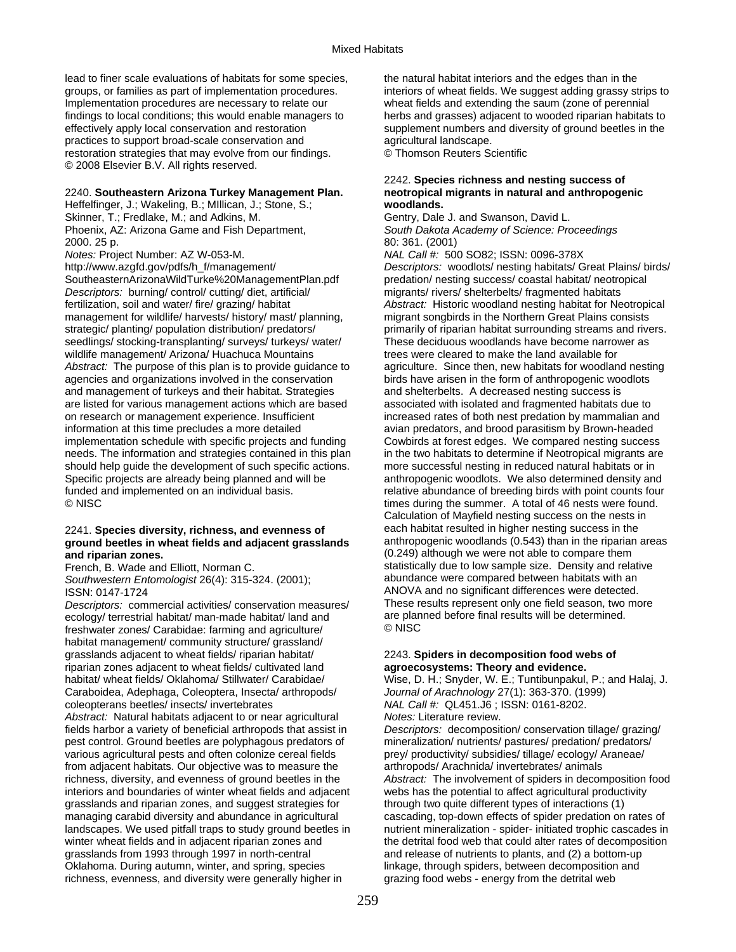lead to finer scale evaluations of habitats for some species, the natural habitat interiors and the edges than in the Implementation procedures are necessary to relate our wheat fields and extending the saum (zone of perennial findings to local conditions; this would enable managers to herbs and grasses) adjacent to wooded riparian habita effectively apply local conservation and restoration supplement numbers and diversity of ground beetles in the practices to support broad-scale conservation and agricultural landscape. restoration strategies that may evolve from our findings. © Thomson Reuters Scientific © 2008 Elsevier B.V. All rights reserved.

## 2240. **Southeastern Arizona Turkey Management Plan. neotropical migrants in natural and anthropogenic**

Heffelfinger, J.; Wakeling, B.; MIllican, J.; Stone, S.; **woodlands.**  Skinner, T.; Fredlake, M.; and Adkins, M. Gentry, Dale J. and Swanson, David L. Phoenix, AZ: Arizona Game and Fish Department, *South Dakota Academy of Science: Proceedings*  2000. 25 p. 80: 361. (2001)

*Notes:* Project Number: AZ W-053-M. *NAL Call #:* 500 SO82; ISSN: 0096-378X http://www.azgfd.gov/pdfs/h\_f/management/ *Descriptors:* woodlots/ nesting habitats/ Great Plains/ birds/ SoutheasternArizonaWildTurke%20ManagementPlan.pdf predation/ nesting success/ coastal habitat/ neotropical *Descriptors:* burning/ control/ cutting/ diet, artificial/ migrants/ rivers/ shelterbelts/ fragmented habitats fertilization, soil and water/ fire/ grazing/ habitat *Abstract:* Historic woodland nesting habitat for Neotropical management for wildlife/ harvests/ history/ mast/ planning, migrant songbirds in the Northern Great Plains consists strategic/ planting/ population distribution/ predators/ primarily of riparian habitat surrounding streams and rivers. seedlings/ stocking-transplanting/ surveys/ turkeys/ water/ These deciduous woodlands have become narrower as wildlife management/ Arizona/ Huachuca Mountains trees were cleared to make the land available for Abstract: The purpose of this plan is to provide guidance to agriculture. Since then, new habitats for woodland nesting agencies and organizations involved in the conservation birds have arisen in the form of anthropogenic woodlots and management of turkeys and their habitat. Strategies and shelterbelts. A decreased nesting success is are listed for various management actions which are based associated with isolated and fragmented habitats due to on research or management experience. Insufficient increased rates of both nest predation by mammalian and<br>information at this time precludes a more detailed avian predators, and brood parasitism by Brown-headed implementation schedule with specific projects and funding Cowbirds at forest edges. We compared nesting success needs. The information and strategies contained in this plan in the two habitats to determine if Neotropical migrants are should help guide the development of such specific actions. more successful nesting in reduced natural habitats or in Specific projects are already being planned and will be anthropogenic woodlots. We also determined density and funded and implemented on an individual basis. The metative abundance of breeding birds with point counts four © NISC times during the summer. A total of 46 nests were found.

## 2241. **Species diversity, richness, and evenness of** each habitat resulted in higher nesting success in the ground beetles in wheat fields and adjacent grasslands **and riparian zones. and riparian zones. 1999 12.5 (0.249)** although we were not able to compare them

*Southwestern Entomologist* 26(4): 315-324. (2001);

*Descriptors:* commercial activities/ conservation measures/ These results represent only one field season, two more ecology/ terrestrial habitat/ man-made habitat/ land and are plan<br>freshwater zones/ Carabidae: farming and agriculture/  $\bullet$  NISC freshwater zones/ Carabidae: farming and agriculture/ habitat management/ community structure/ grassland/ grasslands adjacent to wheat fields/ riparian habitat/ 2243. **Spiders in decomposition food webs of** <br>
riparian zones adjacent to wheat fields/ cultivated land **agroecosystems: Theory and evidence.** riparian zones adjacent to wheat fields/ cultivated land habitat/ wheat fields/ Oklahoma/ Stillwater/ Carabidae/ Wise, D. H.; Snyder, W. E.; Tuntibunpakul, P.; and Halaj, J.<br>Caraboidea, Adephaga, Coleoptera, Insecta/ arthropods/ Journal of Arachnology 27(1): 363-370. (1999) Caraboidea, Adephaga, Coleoptera, Insecta/ arthropods/ coleopterans beetles/ insects/ invertebrates *NAL Call #:* QL451.J6 ; ISSN: 0161-8202. *Abstract:* Natural habitats adjacent to or near agricultural *Notes:* Literature review. fields harbor a variety of beneficial arthropods that assist in *Descriptors:* decomposition/ conservation tillage/ grazing/ pest control. Ground beetles are polyphagous predators of mineralization/ nutrients/ pastures/ predation/ predators/ various agricultural pests and often colonize cereal fields prey/ productivity/ subsidies/ tillage/ ecology/ Araneae/ from adjacent habitats. Our objective was to measure the arthropods/ Arachnida/ invertebrates/ animals richness, diversity, and evenness of ground beetles in the *Abstract:* The involvement of spiders in decomposition food interiors and boundaries of winter wheat fields and adjacent webs has the potential to affect agricultural productivity grasslands and riparian zones, and suggest strategies for through two quite different types of interactions (1) managing carabid diversity and abundance in agricultural cascading, top-down effects of spider predation on rates of landscapes. We used pitfall traps to study ground beetles in mutrient mineralization - spider- initiated trophic cascades in winter wheat fields and in adjacent riparian zones and the detrital food web that could alter rates of decomposition grasslands from 1993 through 1997 in north-central and release of nutrients to plants, and (2) a bottom-up Oklahoma. During autumn, winter, and spring, species linkage, through spiders, between decomposition and richness, evenness, and diversity were generally higher in grazing food webs - energy from the detrital web

groups, or families as part of implementation procedures. interiors of wheat fields. We suggest adding grassy strips to herbs and grasses) adjacent to wooded riparian habitats to

# 2242. **Species richness and nesting success of**

avian predators, and brood parasitism by Brown-headed Calculation of Mayfield nesting success on the nests in each habitat resulted in higher nesting success in the French, B. Wade and Elliott, Norman C. Statistically due to low sample size. Density and relative French, B. Wade and French C.<br>Southwestern Entomologist 26(4): 315-324 (2001): Southwestern abundance were compared between ISSN: 0147-1724 **ISSN:** 0147-1724 **ANOVA** and no significant differences were detected.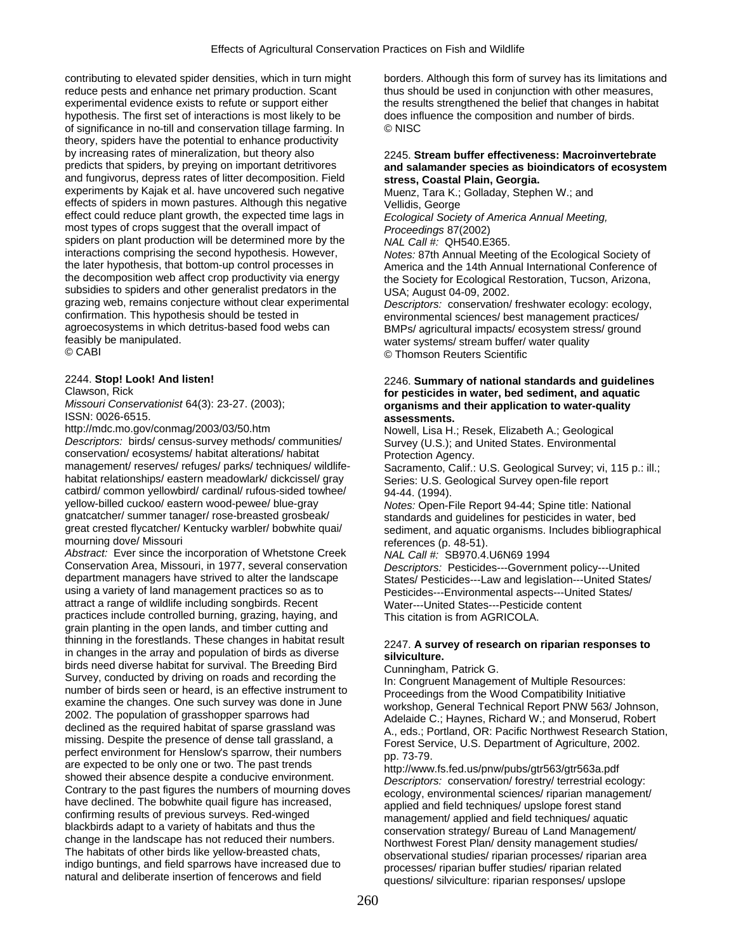contributing to elevated spider densities, which in turn might borders. Although this form of survey has its limitations and reduce pests and enhance net primary production. Scant thus should be used in conjunction with other measures, experimental evidence exists to refute or support either the results strengthened the belief that changes in habitat hypothesis. The first set of interactions is most likely to be does influence the composition and number of birds. of significance in no-till and conservation tillage farming. In © NISC theory, spiders have the potential to enhance productivity by increasing rates of mineralization, but theory also 2245. **Stream buffer effectiveness: Macroinvertebrate**  predicts that spiders, by preying on important detritivores **and salamander species as bioindicators of ecosystem**  and fungivorus, depress rates of litter decomposition. Field **stress, Coastal Plain, Georgia.**  experiments by Kajak et al. have uncovered such negative Muenz, Tara K.; Golladay, Stephen W.; and effects of spiders in mown pastures. Although this negative vellidis, George effect could reduce plant growth, the expected time lags in *Ecological Society of America Annual Meeting,*  most types of crops suggest that the overall impact of *Proceedings* 87(2002) spiders on plant production will be determined more by the *NAL Call #:* QH540.E365.<br>
interactions comprising the second hypothesis. However, *Notes: 87th Annual Meetin* interactions comprising the second hypothesis. However, *Notes:* 87th Annual Meeting of the Ecological Society of the later hypothesis, that bottom-up control processes in America and the 14th Annual International Conference of the decomposition web affect crop productivity via energy the Society for Ecological Restoration. Tucson, Ar subsidies to spiders and other generalist predators in the USA; August 04-09, 2002. grazing web, remains conjecture without clear experimental *Descriptors:* conservation/ freshwater ecology: ecology, confirmation. This hypothesis should be tested in environmental sciences/ best management practices/ confirmation. This hypothesis should be tested in environmental sciences/ best management practices/<br>environmental sciences/ best management practices/ accosvatem stress/ around agroecosystems in which detritus-based food webs can BMPs/ agricultural impacts/ ecosystem stress/ ground<br>
feasibly be manipulated. feasibly be manipulated. water systems/ stream buffer/ water quality<br>© CABI

ISSN: 0026-6515. **assessments.** 

Descriptors: birds/ census-survey methods/ communities/ Survey (U.S.); and United States. Environmental conservation/ ecosystems/ habitat alterations/ habitat <br>management/ reserves/ refuges/ parks/ techniques/ wildlife- Sacramento Calif habitat relationships/ eastern meadowlark/ dickcissel/ gray Series: U.S. Geological Survey open-file report catbird/ common yellowbird/ cardinal/ rufous-sided towhee/ 94-44. (1994). yellow-billed cuckoo/ eastern wood-pewee/ blue-gray *Notes:* Open-File Report 94-44; Spine title: National gnatcatcher/ summer tanager/ rose-breasted grosbeak/ standards and guidelines for pesticides in water, bed<br>great crested flycatcher/ Kentucky warbler/ bobwhite quai/ sediment, and aquatic organisms, Includes bibliograp mourning dove/ Missouri references (p. 48-51).

*Abstract:* Ever since the incorporation of Whetstone Creek *NAL Call #:* SB970.4.U6N69 1994 Conservation Area, Missouri, in 1977, several conservation *Descriptors:* Pesticides---Government policy---United department managers have strived to alter the landscape States/ Pesticides---Law and legislation---United States/<br>using a variety of land management practices so as to Pesticides---Fnyironmental aspects---United States/ attract a range of wildlife including songbirds. Recent Water---United States---Pesticide content practices include controlled burning, grazing, haying, and This citation is from AGRICOLA. practices include controlled burning, grazing, haying, and grain planting in the open lands, and timber cutting and thinning in the forestlands. These changes in habitat result 2247. **A survey of research on riparian responses to**<br>in changes in the array and population of birds as diverse **silviculture.**<br>**birds need diverse habitat for** birds need diverse habitat for survival. The Breeding Bird<br>
Survey, conducted by diving on roads and recording the<br>
number of birds seen or heard, is an effective instrument to<br>
number of birds seen or heard, is an effecti

the Society for Ecological Restoration, Tucson, Arizona,

© Thomson Reuters Scientific

## 2244. **Stop! Look! And listen!** 2246. **Summary of national standards and guidelines**  Clawson, Rick **for pesticides in water, bed sediment, and aquatic**  *Missouri Conservationist* 64(3): 23-27. (2003); **organisms and their application to water-quality**

Nowell, Lisa H.; Resek, Elizabeth A.; Geological

Sacramento, Calif.: U.S. Geological Survey; vi, 115 p.: ill.;

sediment, and aquatic organisms. Includes bibliographical

Pesticides---Environmental aspects---United States/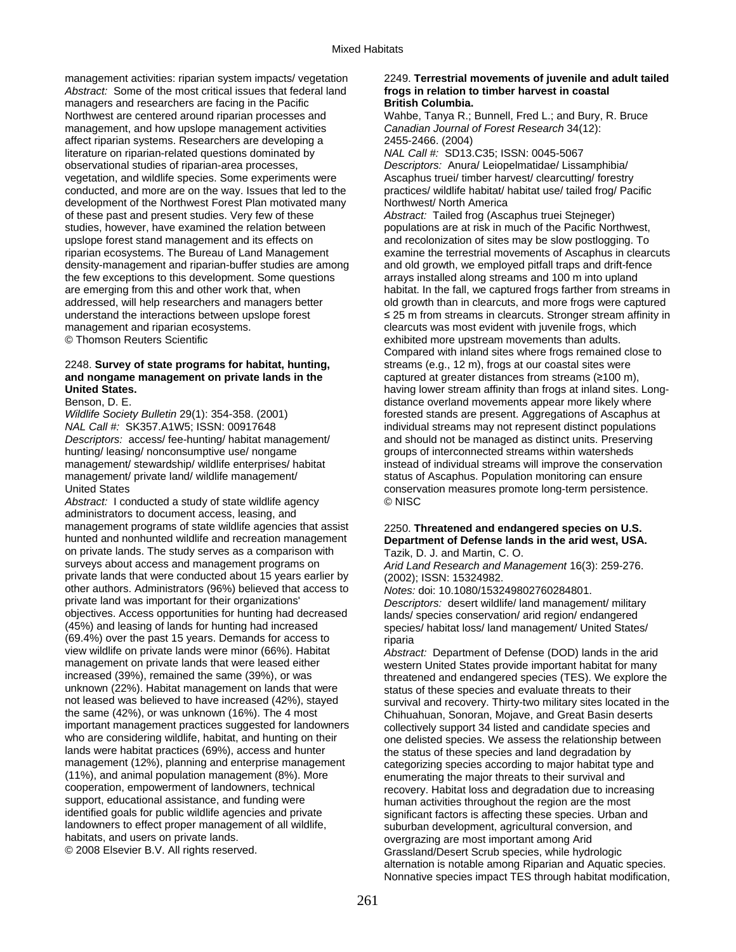management activities: riparian system impacts/ vegetation 2249. **Terrestrial movements of juvenile and adult tailed**  *Abstract:* Some of the most critical issues that federal land **frogs in relation to timber harvest in coastal**  managers and researchers are facing in the Pacific **British Columbia.**  Northwest are centered around riparian processes and Wahbe, Tanya R.; Bunnell, Fred L.; and Bury, R. Bruce management, and how upslope management activities *Canadian Journal of Forest Research* 34(12): affect riparian systems. Researchers are developing a 2455-2466. (2004)<br>literature on riparian-related questions dominated by MAL Call #: SD13.C35; ISSN: 0045-5067 literature on riparian-related questions dominated by observational studies of riparian-area processes, *Descriptors:* Anura/ Leiopelmatidae/ Lissamphibia/ vegetation, and wildlife species. Some experiments were <br>Ascaphus truei/ timber harvest/ clearcutting/ forestry conducted, and more are on the way. Issues that led to the practices/ wildlife habitat/ habitat use/ tailed frog/ Pacific development of the Northwest Forest Plan motivated many Northwest/ North America of these past and present studies. Very few of these *Abstract:* Tailed frog (Ascaphus truei Stejneger) studies, however, have examined the relation between populations are at risk in much of the Pacific Northwest, upslope forest stand management and its effects on and recolonization of sites may be slow postlogging. To density-management and riparian-buffer studies are among and old growth, we employed pitfall traps and drift-fence the few exceptions to this development. Some questions arrays installed along streams and 100 m into upland addressed, will help researchers and managers better old growth than in clearcuts, and more frogs were captured management and riparian ecosystems. clearcuts was most evident with juvenile frogs, which © Thomson Reuters Scientific **Exhibited more upstream movements than adults.** 

## 2248. **Survey of state programs for habitat, hunting,** streams (e.g., 12 m), frogs at our coastal sites were **and nongame management on private lands in the** captured at greater distances from streams (≥100 m),

hunting/ leasing/ nonconsumptive use/ nongame groups of interconnected streams within watersheds management/ private land/ wildlife management/ status of Ascaphus. Population monitoring can ensure United States conservation measures promote long-term persistence.

Abstract: I conducted a study of state wildlife agency **CONISC** administrators to document access, leasing, and management programs of state wildlife agencies that assist 2250. **Threatened and endangered species on U.S.** <br> **Department of Defense lands in the arid west. USA**<br> **Department of Defense lands in the arid west. USA** on private lands. The study serves as a comparison with surveys about access and management programs on private lands that were conducted about 15 years earlier by (2002); ISSN: 15324982. other authors. Administrators (96%) believed that access to *Notes:* doi: 10.1080/153249802760284801. objectives. Access opportunities for hunting had decreased lands/ species conservation/ arid region/ endangered<br>(45%) and leasing of lands for hunting had increased species/ habitat loss/ land management/ United States  $(69.4%)$  over the past 15 years. Demands for access to riparia<br>view wildlife on private lands were minor (66%). Habitat *Ahstra* view wildlife on private lands were minor (66%). Habitat *Abstract:* Department of Defense (DOD) lands in the arid management on private lands that were leased either western United States provide important habitat for many<br>increased (39%), remained the same (39%), or was threatened and endangered species (TFS). We explore the unknown (22%). Habitat management on lands that were status of these species and evaluate threats to their<br>not leased was believed to have increased (42%), stayed survival and recovery. Thirty-two military sites locate not leased was believed to have increased (42%), stayed survival and recovery. Thirty-two military sites located in the same (42%), or was unknown (16%). The 4 most Chinuahuan. Sonoran, Moiave, and Great Basin deserts the same (42%), or was unknown (16%). The 4 most Chihuahuan, Sonoran, Mojave, and Great Basin deserts<br>important management practices suggested for landowners collectively support 34 listed and candidate species and important management practices suggested for landowners collectively support 34 listed and candidate species and<br>who are considering wildlife, habitat, and hunting on their one delisted species. We assess the relationship who are considering wildlife, habitat, and hunting on their one delisted species. We assess the relationship between<br>lands were habitat practices (69%), access and hunter the status of these species and land degradation by lands were habitat practices (69%), access and hunter the status of these species and land degradation by<br>management (12%), planning and enterprise management categorizing species according to major habitat type (11%), and animal population management (8%). More enumerating the major threats to their survival and cooperation, empowerment of landowners, technical recovery. Habitat loss and degradation due to incre cooperation, empowerment of landowners, technical recovery. Habitat loss and degradation due to increasing<br>support, educational assistance, and funding were help human activities throughout the region are the most support, educational assistance, and funding were human activities throughout the region are the most<br>identified goals for public wildlife agencies and private significant factors is affecting these species. Urban identified goals for public wildlife agencies and private significant factors is affecting these species. Urban and<br>Iandowners to effect proper management of all wildlife. landowners to effect proper management of all wildlife,<br>habitats, and users on private lands.<br>overgrazing are most important among Arid habitats, and users on private lands. overgrazing are most important among Arid

riparian ecosystems. The Bureau of Land Management examine the terrestrial movements of Ascaphus in clearcuts are emerging from this and other work that, when habitat. In the fall, we captured frogs farther from streams in understand the interactions between upslope forest ≤ 25 m from streams in clearcuts. Stronger stream affinity in Compared with inland sites where frogs remained close to **United States. having lower stream affinity than frogs at inland sites. Long-**Benson, D. E. distance overland movements appear more likely where *Wildlife Society Bulletin* 29(1): 354-358. (2001) forested stands are present. Aggregations of Ascaphus at *NAL Call #:* SK357.A1W5; ISSN: 00917648 individual streams may not represent distinct populations *Descriptors:* access/ fee-hunting/ habitat management/ and should not be managed as distinct units. Preserving management/ stewardship/ wildlife enterprises/ habitat instead of individual streams will improve the conservation

# **Department of Defense lands in the arid west, USA.** Tazik, D. J. and Martin, C. O.

Arid Land Research and Management 16(3): 259-276.

Descriptors: desert wildlife/ land management/ military species/ habitat loss/ land management/ United States/

threatened and endangered species (TES). We explore the categorizing species according to major habitat type and Grassland/Desert Scrub species, while hydrologic alternation is notable among Riparian and Aquatic species. Nonnative species impact TES through habitat modification,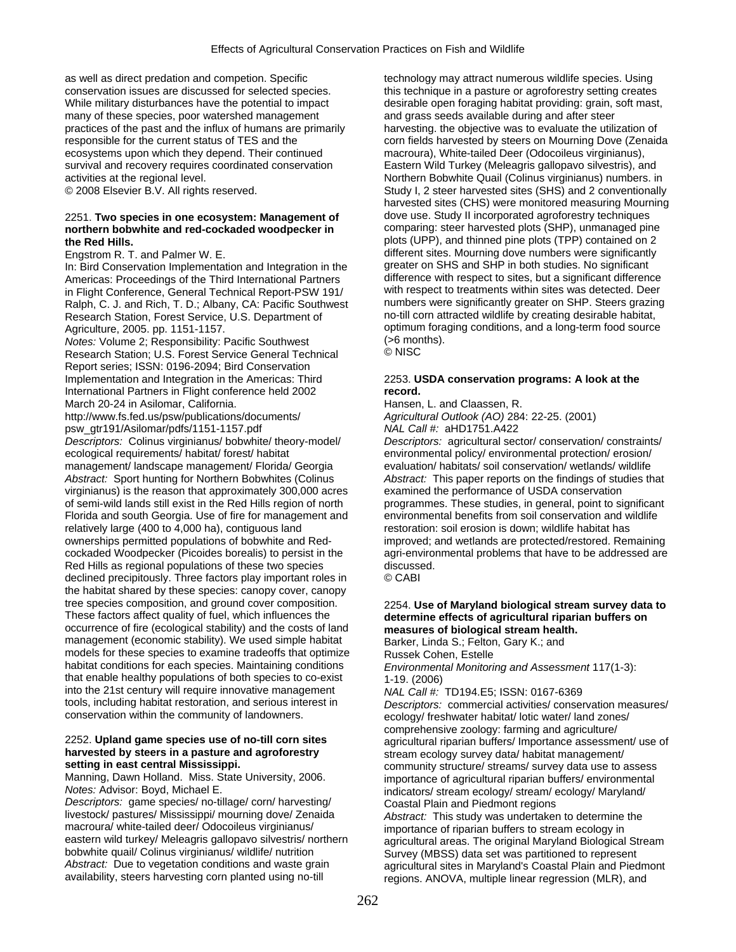as well as direct predation and competion. Specific the extennology may attract numerous wildlife species. Using conservation issues are discussed for selected species. this technique in a pasture or agroforestry setting creates While military disturbances have the potential to impact desirable open foraging habitat providing: grain, soft mast, many of these species, poor watershed management and grass seeds available during and after steer practices of the past and the influx of humans are primarily harvesting. the objective was to evaluate the utilization of ecosystems upon which they depend. Their continued macroura), White-tailed Deer (Odocoileus virginianus), survival and recovery requires coordinated conservation Eastern Wild Turkey (Meleagris gallopavo silvestris), and activities at the regional level. Northern Bobwhite Quail (Colinus virginianus) numbers. in

## northern bobwhite and red-cockaded woodpecker in **the Red Hills.** plots (UPP), and thinned pine plots (TPP) contained on 2

In: Bird Conservation Implementation and Integration in the greater on SHS and SHP in both studies. No significant<br>Americas: Proceedings of the Third International Partners difference with respect to sites, but a significa Americas: Proceedings of the Third International Partners difference with respect to sites, but a significant difference<br>in Flight Conference, General Technical Report-PSW 191/ with respect to treatments within sites was d in Flight Conference, General Technical Report-PSW 191/ Ralph, C. J. and Rich, T. D.; Albany, CA: Pacific Southwest numbers were significantly greater on SHP. Steers grazing<br>Research Station, Forest Service, U.S. Department of no-till corn attracted wildlife by creating desirab Research Station, Forest Service, U.S. Department of

*Notes:* Volume 2; Responsibility: Pacific Southwest (>6 months).<br>Research Station: U.S. Forest Service General Technical (© NISC Research Station; U.S. Forest Service General Technical Report series; ISSN: 0196-2094; Bird Conservation Implementation and Integration in the Americas: Third 2253. **USDA conservation programs: A look at the**  International Partners in Flight conference held 2002 **record.**  March 20-24 in Asilomar, California. Hansen, L. and Claassen, R.

http://www.fs.fed.us/psw/publications/documents/ *Agricultural Outlook (AO)* 284: 22-25. (2001) psw\_gtr191/Asilomar/pdfs/1151-1157.pdf *NAL Call #:* aHD1751.A422

*Descriptors:* Colinus virginianus/ bobwhite/ theory-model/ *Descriptors:* agricultural sector/ conservation/ constraints/ ecological requirements/ habitat/ forest/ habitat environmental policy/ environmental protection/ erosion/ management/ landscape management/ Florida/ Georgia evaluation/ habitats/ soil conservation/ wetlands/ wildlife *Abstract:* Sport hunting for Northern Bobwhites (Colinus *Abstract:* This paper reports on the findings of studies that virginianus) is the reason that approximately 300,000 acres examined the performance of USDA conservation<br>of semi-wild lands still exist in the Red Hills region of north programmes. These studies, in general, point to si Florida and south Georgia. Use of fire for management and environmental benefits from soil conservation and wildlife relatively large (400 to 4,000 ha), contiguous land restoration: soil erosion is down; wildlife habitat has ownerships permitted populations of bobwhite and Red- improved; and wetlands are protected/restored. Remaining cockaded Woodpecker (Picoides borealis) to persist in the agri-environmental problems that have to be addressed are Red Hills as regional populations of these two species discussed. declined precipitously. Three factors play important roles in © CABI the habitat shared by these species: canopy cover, canopy tree species composition, and ground cover composition. 2254. **Use of Maryland biological stream survey data to**  occurrence of fire (ecological stability) and the costs of land **measures of biological stream health.**  management (economic stability). We used simple habitat Barker, Linda S.; Felton, Gary K.; and models for these species to examine tradeoffs that optimize Russek Cohen, Estelle<br>habitat conditions for each species. Maintaining conditions Frielmannental Monitori that enable healthy populations of both species to co-exist 1-19. (2006) into the 21st century will require innovative management *NAL Call #:* TD194.E5; ISSN: 0167-6369<br>tools, including habitat restoration, and serious interest in *Descriptors: commercial activities/ conset* tools, including habitat restoration, and serious interest in *Descriptors:* commercial activities/ conservation measures/

# **harvested by steers in a pasture and agroforestry example in a stream ecology survey data/ habitat management/<br>setting in east central Mississippi. This is a setting in east central Mississippi.**

Descriptors: game species/ no-tillage/ corn/ harvesting/ Coastal Plain and Piedmont regions<br>
livestock/ pastures/ Mississippi/ mourning dove/ Zenaida Abstract: This study was undertaken macroura/ white-tailed deer/ Odocoileus virginianus/ importance of riparian buffers to stream ecology in<br>eastern wild turkey/ Meleagris gallopavo silvestris/ northern agricultural areas. The original Maryland Biological eastern wild turkey/ Meleagris gallopavo silvestris/ northern agricultural areas. The original Maryland Biological Stream<br>bobwhite quail/ Colinus virginianus/ wildlife/ nutrition Survey (MBSS) data set was partitioned to r bobwhite quail/ Colinus virginianus/ wildlife/ nutrition Survey (MBSS) data set was partitioned to represent<br>Abstract: Due to vegetation conditions and waste grain agricultural sites in Maryland's Coastal Plain and Piec

responsible for the current status of TES and the corn fields harvested by steers on Mourning Dove (Zenaida © 2008 Elsevier B.V. All rights reserved. Study I, 2 steer harvested sites (SHS) and 2 conventionally harvested sites (CHS) were monitored measuring Mourning 2251. **Two species in one ecosystem: Management of** a dove use. Study II incorporated agroforestry techniques<br> **northern bobwhite and red-cockaded woodpecker in** comparing: steer harvested plots (SHP), unmanaged pine Engstrom R. T. and Palmer W. E.<br>
In: Bird Conservation Implementation and Integration in the greater on SHS and SHP in both studies. No significant Agriculture, 2005. pp. 1151-1157.<br>
Motes: Volume 2: Responsibility: Pacific Southwest (>6 months).<br>
(>6 months).

programmes. These studies, in general, point to significant

# determine effects of agricultural riparian buffers on

**Environmental Monitoring and Assessment 117(1-3):** 

ecology/ freshwater habitat/ lotic water/ land zones/ comprehensive zoology: farming and agriculture/ 2252. **Upland game species use of no-till corn sites** agricultural riparian buffers/ Importance assessment/ use of **setting in east central Mississippi.** community structure/ streams/ survey data use to assess Manning, Dawn Holland. Miss. State University, 2006. importance of agricultural riparian buffers/ environmental<br>Motes: Advisor: Boyd, Michael E. importantly relations/ stream ecology/ stream/ ecology/ Maryland/ indicators/ stream ecology/ stream/ ecology/ Maryland/

Abstract: This study was undertaken to determine the Abstract: Due to vegetation conditions and waste grain a magricultural sites in Maryland's Coastal Plain and Piedmont<br>availability, steers harvesting corn planted using no-till a magricultural sites in Maryland's Coastal P regions. ANOVA, multiple linear regression (MLR), and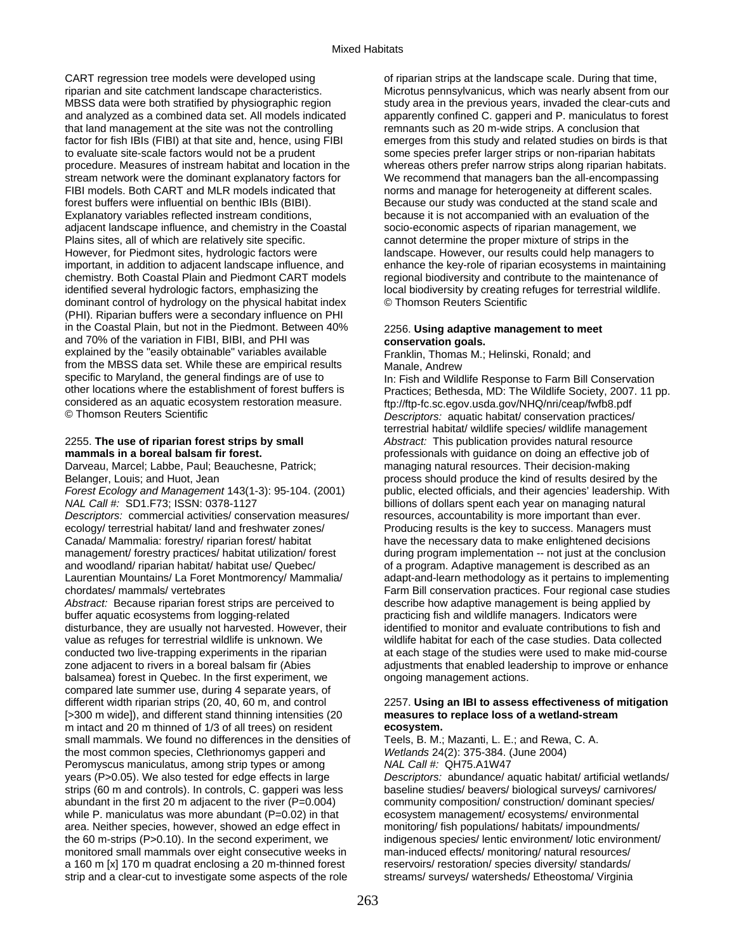CART regression tree models were developed using only of riparian strips at the landscape scale. During that time, riparian and site catchment landscape characteristics. Microtus pennsylvanicus, which was nearly absent from our and analyzed as a combined data set. All models indicated apparently confined C. gapperi and P. maniculatus to forest that land management at the site was not the controlling remnants such as 20 m-wide strips. A conclusion that factor for fish IBIs (FIBI) at that site and, hence, using FIBI emerges from this study and related studies on birds is that to evaluate site-scale factors would not be a prudent some species prefer larger strips or non-riparian habitats<br>procedure. Measures of instream habitat and location in the whereas others prefer narrow strips along riparia procedure. Measures of instream habitat and location in the stream network were the dominant explanatory factors for We recommend that managers ban the all-encompassing FIBI models. Both CART and MLR models indicated that norms and manage for heterogeneity at different scales. forest buffers were influential on benthic IBIs (BIBI). Because our study was conducted at the stand scale and Explanatory variables reflected instream conditions, because it is not accompanied with an evaluation of the adjacent landscape influence, and chemistry in the Coastal socio-economic aspects of riparian management, we Plains sites, all of which are relatively site specific. The cannot determine the proper mixture of strips in the However, for Piedmont sites, hydrologic factors were landscape. However, our results could help managers to important, in addition to adjacent landscape influence, and enhance the key-role of riparian ecosystems in maintaining chemistry. Both Coastal Plain and Piedmont CART models regional biodiversity and contribute to the maintenance of identified several hydrologic factors, emphasizing the local biodiversity by creating refuges for terrestrial wildlife.<br>
dominant control of hydrology on the physical habitat index <br>
© Thomson Reuters Scientific dominant control of hydrology on the physical habitat index (PHI). Riparian buffers were a secondary influence on PHI in the Coastal Plain, but not in the Piedmont. Between 40% 2256. **Using adaptive management to meet**  and 70% of the variation in FIBI, BIBI, and PHI was **conservation goals.**  explained by the "easily obtainable" variables available Franklin, Thomas M.; Helinski, Ronald; and from the MBSS data set. While these are empirical results Manale, Andrew<br>specific to Maryland, the general findings are of use to The Fish and Wild specific to Maryland, the general findings are of use to In: Fish and Wildlife Response to Farm Bill Conservation<br>11 other locations where the establishment of forest buffers is Practices: Bethesda, MD: The Wildlife Societ considered as an aquatic ecosystem restoration measure. ftp://ftp-fc.sc.egov.usda.gov/NHQ/nri/ceap/fwfb8.pdf<br>© Thomson Reuters Scientific

Darveau, Marcel; Labbe, Paul; Beauchesne, Patrick; managing natural resources. Their decision-making

*NAL Call #:* SD1.F73; ISSN: 0378-1127 billions of dollars spent each year on managing natural

*Descriptors:* commercial activities/ conservation measures/ resources, accountability is more important than ever. ecology/ terrestrial habitat/ land and freshwater zones/ Producing results is the key to success. Managers must Canada/ Mammalia: forestry/ riparian forest/ habitat have the necessary data to make enlightened decisions management/ forestry practices/ habitat utilization/ forest during program implementation -- not just at the conclusion and woodland/ riparian habitat/ habitat use/ Quebec/ of a program. Adaptive management is described as an

Abstract: Because riparian forest strips are perceived to describe how adaptive management is being applied by buffer aquatic ecosystems from logging-related practicing fish and wildlife managers. Indicators were disturbance, they are usually not harvested. However, their identified to monitor and evaluate contributions to fish and value as refuges for terrestrial wildlife is unknown. We wildlife habitat for each of the case studies. Data collected conducted two live-trapping experiments in the riparian at each stage of the studies were used to make mid-course zone adjacent to rivers in a boreal balsam fir (Abies and included adjustments that enabled leadership to improve or enhance balsamea) forest in Quebec. In the first experiment, we ongoing management actions. compared late summer use, during 4 separate years, of different width riparian strips (20, 40, 60 m, and control 2257. **Using an IBI to assess effectiveness of mitigation**  [>300 m wide]), and different stand thinning intensities (20 **measures to replace loss of a wetland-stream**  m intact and 20 m thinned of 1/3 of all trees) on resident **ecosystem.**  small mammals. We found no differences in the densities of Teels, B. M.; Mazanti, L. E.; and Rewa, C. A. the most common species, Clethrionomys gapperi and *Wetlands* 24(2): 375-384. (June 2004) Peromyscus maniculatus, among strip types or among *NAL Call #:* QH75.A1W47 strips (60 m and controls). In controls, C. gapperi was less baseline studies/ beavers/ biological surveys/ carnivores/ abundant in the first 20 m adjacent to the river (P=0.004) community composition/ construction/ dominant species/ while P. maniculatus was more abundant (P=0.02) in that ecosystem management/ ecosystems/ environmental area. Neither species, however, showed an edge effect in monitoring/ fish populations/ habitats/ impoundments/ the 60 m-strips (P>0.10). In the second experiment, we indigenous species/ lentic environment/ lotic environment/ monitored small mammals over eight consecutive weeks in man-induced effects/ monitoring/ natural resources/ a 160 m [x] 170 m quadrat enclosing a 20 m-thinned forest reservoirs/ restoration/ species diversity/ standards/ strip and a clear-cut to investigate some aspects of the role streams/ surveys/ watersheds/ Etheostoma/ Virginia

MBSS data were both stratified by physiographic region study area in the previous years, invaded the clear-cuts and

other locations where the establishment of forest buffers is Practices; Bethesda, MD: The Wildlife Society, 2007. 11 pp.<br>
considered as an aquatic ecosystem restoration measure. The little-fc sc egov usda gov/NHO/pri/ceap/ Descriptors: aquatic habitat/ conservation practices/ terrestrial habitat/ wildlife species/ wildlife management 2255. **The use of riparian forest strips by small** *Abstract:* This publication provides natural resource **mammals in a boreal balsam fir forest. professionals with quidance on doing an effective job of** professionals with quidance on doing an effective job of Belanger, Louis; and Huot, Jean process should produce the kind of results desired by the *Forest Ecology and Management* 143(1-3): 95-104. (2001) public, elected officials, and their agencies' leadership. With Laurentian Mountains/ La Foret Montmorency/ Mammalia/ adapt-and-learn methodology as it pertains to implementing chordates/ mammals/ vertebrates Farm Bill conservation practices. Four regional case studies

years (P>0.05). We also tested for edge effects in large *Descriptors:* abundance/ aquatic habitat/ artificial wetlands/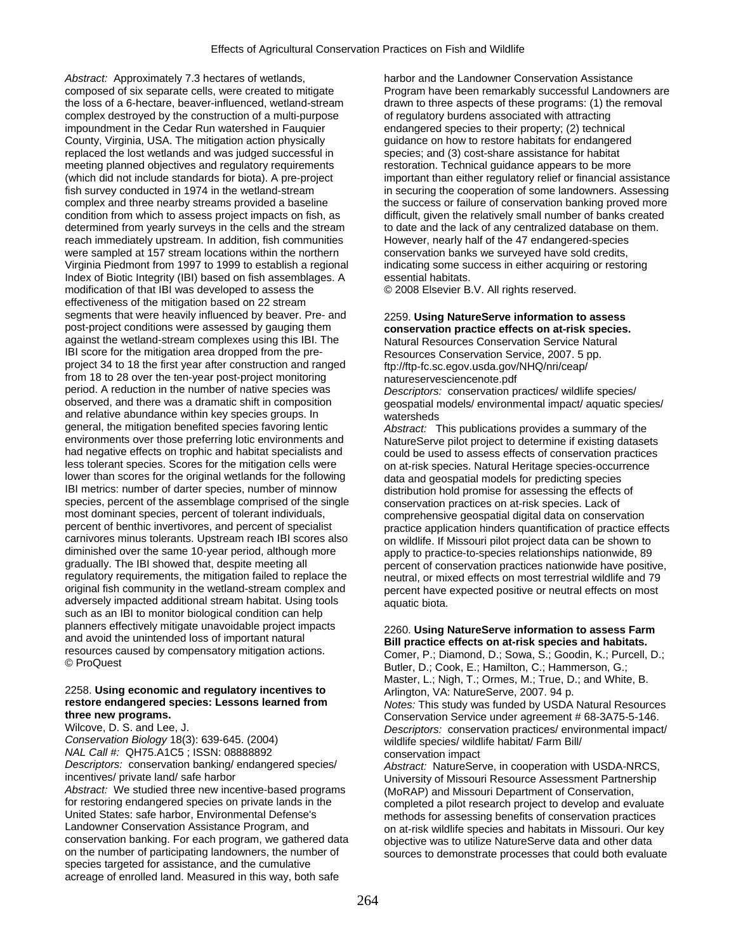Abstract: Approximately 7.3 hectares of wetlands, harbor and the Landowner Conservation Assistance composed of six separate cells, were created to mitigate Program have been remarkably successful Landowners are the loss of a 6-hectare, beaver-influenced, wetland-stream drawn to three aspects of these programs: (1) the removal complex destroyed by the construction of a multi-purpose of regulatory burdens associated with attracting complex destroyed by the construction of a multi-purpose impoundment in the Cedar Run watershed in Fauquier endangered species to their property; (2) technical County, Virginia, USA. The mitigation action physically entity and quidance on how to restore habitats for endangered replaced the lost wetlands and was judged successful in species; and (3) cost-share assistance for habitat meeting planned objectives and regulatory requirements restoration. Technical guidance appears to be more<br>(which did not include standards for biota). A pre-project important than either regulatory relief or financial ass fish survey conducted in 1974 in the wetland-stream in securing the cooperation of some landowners. Assessing complex and three nearby streams provided a baseline the success or failure of conservation banking proved more condition from which to assess project impacts on fish, as difficult, given the relatively small number of banks created determined from yearly surveys in the cells and the stream to date and the lack of any centralized database on them. reach immediately upstream. In addition, fish communities However, nearly half of the 47 endangered-species were sampled at 157 stream locations within the northern conservation banks we surveyed have sold credits, Virginia Piedmont from 1997 to 1999 to establish a regional indicating some success in either acquiring or restoring Index of Biotic Integrity (IBI) based on fish assemblages. A essential habitats.<br>modification of that IBI was developed to assess the  $\circ$  2008 Elsevier B.V. All rights reserved. modification of that IBI was developed to assess the effectiveness of the mitigation based on 22 stream segments that were heavily influenced by beaver. Pre- and 2259. **Using NatureServe information to assess**  post-project conditions were assessed by gauging them **conservation practice effects on at-risk species.**  against the wetland-stream complexes using this IBI. The Natural Resources Conservation Service Natural IBI score for the mitigation area dropped from the pre- Resources Conservation Service, 2007. 5 pp. project 34 to 18 the first year after construction and ranged ftp://ftp-fc.sc.egov.usda.gov/NHQ/nri/ceap/ from 18 to 28 over the ten-year post-project monitoring matureservesciencenote.pdf<br>period. A reduction in the number of native species was *Descriptors:* conservation p period. A reduction in the number of native species was *Descriptors:* conservation practices/ wildlife species/ and relative abundance within key species groups. In watersheds<br>general, the mitigation benefited species favoring lentic Abstract: T general, the mitigation benefited species favoring lentic *Abstract:* This publications provides a summary of the environments over those preferring lotic environments and **Abstract:** This publications provides a summary o environments over those preferring lotic environments and<br>had negative effects on trophic and habitat specialists and<br>could be used to assess effects of conservation practices had negative effects on trophic and habitat specialists and could be used to assess effects of conservation practices<br>less tolerant species. Scores for the mitigation cells were con at-risk species. Natural Heritage specie lower than scores for the original wetlands for the following data and geospatial models for predicting species<br>IBI metrics: number of darter species, number of minnow distribution hold promise for assessing the effects species, percent of the assemblage comprised of the single conservation practices on at-risk species. Lack of most dominant species, percent of tolerant individuals, most dominant species, percent of tolerant individuals, comprehensive geospatial digital data on conservation<br>percent of benthic invertivores, and percent of specialist practice application hinders quantification of practi percent of benthic invertivores, and percent of specialist practice application hinders quantification of practice effects<br>carnivores minus tolerants. Upstream reach IBI scores also on wildlife. If Missouri pilot project d carnivores minus tolerants. Upstream reach IBI scores also on wildlife. If Missouri pilot project data can be shown to diminished over the same 10-year period, although more apply to practice-to-species relationships natio diminished over the same 10-year period, although more apply to practice-to-species relationships nationwide, 89<br>gradually. The IBI showed that, despite meeting all succent of conservation practices nationwide have positiv regulatory requirements, the mitigation failed to replace the neutral, or mixed effects on most terrestrial wildlife and 79 original fish community in the wetland-stream complex and percent have expected positive or neutra adversely impacted additional stream habitat. Using tools aquatic biota. such as an IBI to monitor biological condition can help planners effectively mitigate unavoidable project impacts 2260. **Using NatureServe information to assess Farm** 

# 2258. **Using economic and regulatory incentives to** *Arlington, VA: NatureServe, 2007. 94 p.* **Press of Press in the Archives of Archives Archives Existence endangered species: Lessons learned from** *Notes: This study*

*Conservation Biology* 18(3): 639-645. (2004) wildlife species/ wildlife habitat/ Farm Bill/ *NAL Call #:* QH75.A1C5 ; ISSN: 08888892 conservation impact<br> *Descriptors:* conservation banking/endangered species/ *Abstract:* NatureSer *Descriptors:* conservation banking/ endangered species/ *Abstract:* NatureServe, in cooperation with USDA-NRCS, incentives/ private land/ safe harbor University of Missouri Resource Assessment Partnership<br>Abstract: We studied three new incentive-based programs (MoRAP) and Missouri Department of Conservation. *Abstract:* We studied three new incentive-based programs (MoRAP) and Missouri Department of Conservation, for restoring endangered species on private lands in the completed a pilot research project to develop and eve for restoring endangered species on private lands in the completed a pilot research project to develop and evaluate<br>United States: safe harbor, Environmental Defense's<br>methods for assessing benefits of conservation practic United States: safe harbor, Environmental Defense's methods for assessing benefits of conservation practices conservation banking. For each program, we gathered data objective was to utilize NatureServe data and other data<br>on the number of participating landowners, the number of sources to demonstrate processes that could both ev species targeted for assistance, and the cumulative acreage of enrolled land. Measured in this way, both safe

important than either regulatory relief or financial assistance

geospatial models/ environmental impact/ aquatic species/

on at-risk species. Natural Heritage species-occurrence distribution hold promise for assessing the effects of percent of conservation practices nationwide have positive, percent have expected positive or neutral effects on most

resources caused by compensatory mitigation actions.<br>
Comer, P.; Diamond, D.; Sowa, S.; Goodin, K.; Purcell, D.; ©<br>
Butler, D.; Cook, E.; Hamilton, C.; Hammerson, G.; Master, L.; Nigh, T.; Ormes, M.; True, D.; and White, B. **restore endangered species: Lessons learned from** *Potes:* This study was funded by USDA Natural Resources three new programs.<br>Conservation Service under agreement # 68-3A75-5-146.

**three new programs.**<br>
Wilcove, D. S. and Lee, J. **Conservation Service under agreement # 68-3A75-5-146.**<br> *Conservation Services/ environmental impactual music* Descriptors: conservation practices/ environmental impact/

on at-risk wildlife species and habitats in Missouri. Our key sources to demonstrate processes that could both evaluate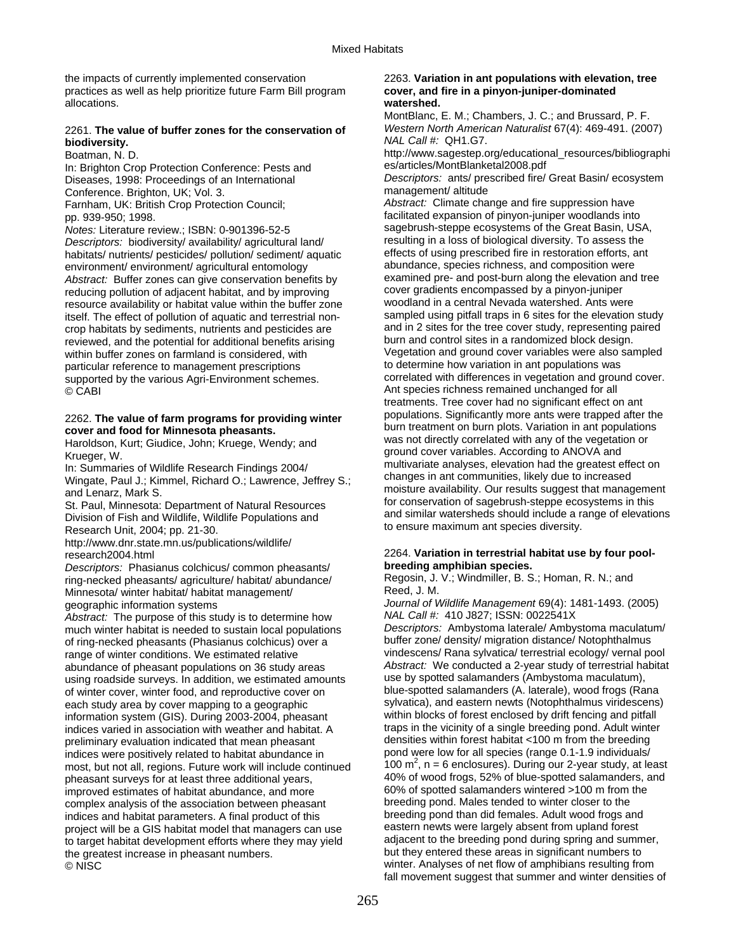the impacts of currently implemented conservation 2263. **Variation in ant populations with elevation, tree**  practices as well as help prioritize future Farm Bill program **cover, and fire in a pinyon-juniper-dominated**  allocations. **watershed.** 

## **biodiversity.** *NAL Call #:* QH1.G7.

In: Brighton Crop Protection Conference: Pests and es/articles/MontBlanketal2008.pdf<br>Diseases, 1998; Proceedings of an International entity are accriptors: ants/ prescribed fire/ Great Basin/ ecosystem Diseases, 1998: Proceedings of an International *Descriptors:* ants/ pre<br>
Conference Brighton UK: Vol. 3 Conference. Brighton, UK; Vol. 3. management/ altitude<br>
Farnham LIK: British Crop Protection Council: *Abstract:* Climate change and fire suppression have Farnham, UK: British Crop Protection Council; *pp.* 939-950; 1998.

*Descriptors:* biodiversity/ availability/ agricultural land/ resulting in a loss of biological diversity. To assess the habitats/ nutrients/ pesticides/ pollution/ sediment/ aquatic effects of using prescribed fire in restoration efforts, and composition were<br>environment/ environment/ agricultural entomology abundance, species richness, and environment/ environment/ agricultural entomology abundance, species richness, and composition were<br>Abstract: Buffer zones can give conservation benefits by examined pre- and post-burn along the elevation and tree *Abstract:* Buffer zones can give conservation benefits by examined pre- and post-burn along the elevation and tree<br>
reducing pollution of adjacent habitat, and by improving cover gradients encompassed by a pinyon-juniper reducing pollution of adjacent habitat, and by improving cover gradients encompassed by a pinyon-juniper<br>resource availability or habitat value within the buffer zone woodland in a central Nevada watershed. Ants were itself. The effect of pollution of aquatic and terrestrial non- sampled using pitfall traps in 6 sites for the elevation study crop habitats by sediments, nutrients and pesticides are and in 2 sites for the tree cover study, representing p<br>reviewed and the potential for additional benefits arising burn and control sites in a randomized block desig reviewed, and the potential for additional benefits arising. particular reference to management prescriptions to determine how variation in ant populations was © CABI Ant species richness remained unchanged for all

http://www.dnr.state.mn.us/publications/wildlife/

*Descriptors:* Phasianus colchicus/ common pheasants/ **breeding amphibian species.**  ring-necked pheasants/ agriculture/ habitat/ abundance/ Regosin, J.<br>Minnesota/ winter habitat/ habitat management/ Reed, J. M. Minnesota/ winter habitat/ habitat management/

*Abstract:* The purpose of this study is to determine how *NAL Call #:* 410 J827; ISSN: 0022541X much winter habitat is needed to sustain local populations *Descriptors:* Ambystoma laterale/ Ambystoma maculatu<br>of ring-necked pheasants (Phasianus colchicus) over a buffer zone/ density/ migration distance/ Notophthalmus of ring-necked pheasants (Phasianus colchicus) over a range of winter conditions. We estimated relative vindescens/ Rana sylvatica/ terrestrial ecology/ vernal pool using roadside surveys. In addition, we estimated amounts use by spotted salamanders (Ambystoma maculatum),<br>of winter cover, winter food, and reproductive cover on blue-spotted salamanders (A. laterale), wood frogs (Rana of winter cover, winter food, and reproductive cover on each study area by cover mapping to a geographic sylvatica), and eastern newts (Notophthalmus viridescens) information system (GIS). During 2003-2004, pheasant within blocks of forest enclosed by drift fencing and pitfall indices varied in association with weather and habitat. A traps in the vicinity of a single breeding pond. Adult winter preliminary evaluation indicated that mean pheasant densities within forest habitat <100 m from the breeding<br>indices were positively related to habitat abundance in pond were low for all species (range 0.1-1.9 individuals/ most, but not all, regions. Future work will include continued 100 m<sup>2</sup>, n = 6 enclosures). During our 2-year study, at least<br>heasant surveys for at least three additional years 40% of wood frogs, 52% of blue-spotted salam pheasant surveys for at least three additional years, 40% of wood frogs, 52% of blue-spotted salamanders, and more<br>improved estimates of habitat abundance, and more 60% of spotted salamanders wintered >100 m from the improved estimates of habitat abundance, and more 60% of spotted salamanders wintered >100 m from inter closer<br>complex analysis of the association between pheasant breeding pond. Males tended to winter closer to the complex analysis of the association between pheasant breeding pond. Males tended to winter closer to the<br>indices and habitat parameters. A final product of this breeding pond than did females. Adult wood frogs and indices and habitat parameters. A final product of this breeding pond than did females. Adult wood frogs and<br>broject will be a GIS habitat model that managers can use eastern newts were largely absent from upland forest project will be a GIS habitat model that managers can use eastern newts were largely absent from upland forest<br>to target habitat development efforts where they may vield adjacent to the breeding pond during spring and summ to target habitat development efforts where they may yield the greatest increase in pheasant numbers. but they entered these areas in significant numbers to

MontBlanc, E. M.; Chambers, J. C.; and Brussard, P. F. 2261. **The value of buffer zones for the conservation of** *Western North American Naturalist* 67(4): 469-491. (2007)

Boatman, N. D.<br>In: Brighton Crop Protection Conference: Pests and<br>In: Brighton Crop Protection Conference: Pests and<br>es/articles/MontBlanketal2008.pdf

facilitated expansion of pinyon-juniper woodlands into sagebrush-steppe ecosystems of the Great Basin, USA, *Notes:* Literature review.; ISBN: 0-901396-52-5 sagebrush-steppe ecosystems of the Great Basin, USA, Networks: https://www.marcultural.com/marcultural.com/marcultural.com/marcultural.com/marcultural.com/marcultural.com/ma resource availability or habitat value within the buffer zone woodland in a central Nevada watershed. Ants were<br>itself. The effect of pollution of aquatic and terrestrial non-sampled using pitfall traps in 6 sites for the within buffer zones on farmland is considered, with Vegetation and ground cover variables were also sampled supported by the various Agri-Environment schemes. correlated with differences in vegetation and ground cover. treatments. Tree cover had no significant effect on ant 2262. The value of farm programs for providing winter cover and food for Minnesota pheasants.<br>
Haroldson, Kurt; Giudice, John; Kruege, Wendy; and Krueger, W.<br>
In: Summaries of Wildlife Research Findings 2004/<br>
In: Summarie Wingate, Paul J.; Kimmel, Richard O.; Lawrence, Jeffrey S.;<br>and Lenarz, Mark S.<br>St. Paul, Minnesota: Department of Natural Resources<br>Division of Fish and Wildlife, Wildlife Populations and<br>Research Unit, 2004; pp. 21-30.<br>R

## research2004.html **but a control of the case of the 2264.** Variation in terrestrial habitat use by four pool-<br>Descriptors: Phasianus colchicus/ common pheasants/ **breeding amphibian species.**

geographic information systems<br>Abstract: The purpose of this study is to determine how MAL Call #: 410 J827; ISSN: 0022541X abundance of pheasant populations on 36 study areas *Abstract:* We conducted a 2-year study of terrestrial habitat indices were positively related to habitat abundance in pond were low for all species (range 0.1-1.9 individuals/<br>most but not all regions. Future work will include continued 100 m<sup>2</sup>, n = 6 enclosures). During our 2-year © NISC winter. Analyses of net flow of amphibians resulting from fall movement suggest that summer and winter densities of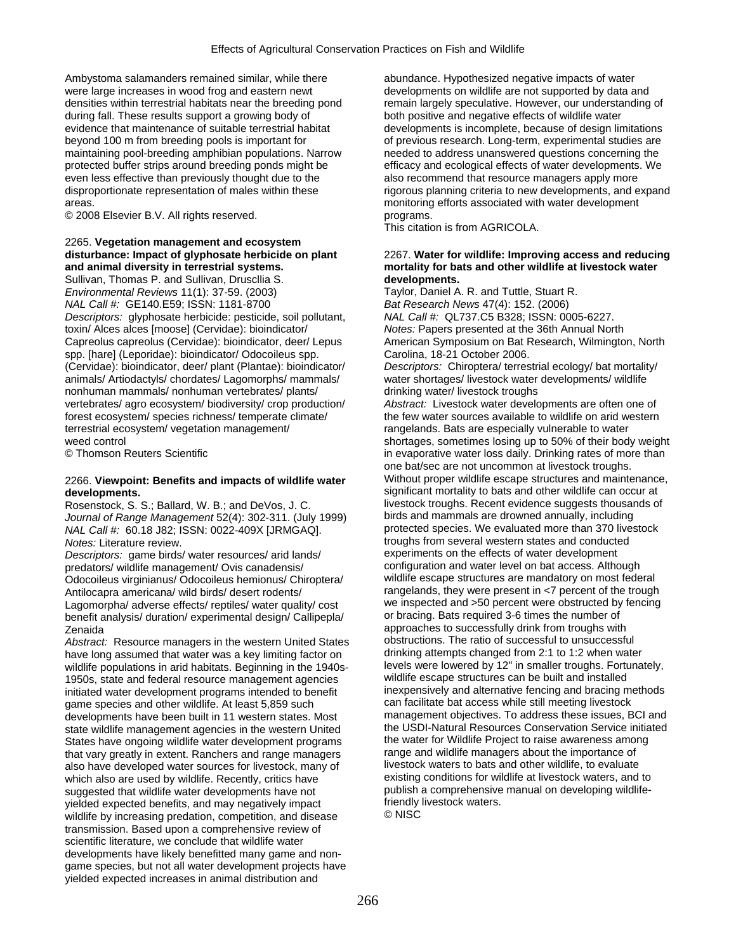Ambystoma salamanders remained similar, while there abundance. Hypothesized negative impacts of water were large increases in wood frog and eastern newt developments on wildlife are not supported by data and during fall. These results support a growing body of both positive and negative effects of wildlife water beyond 100 m from breeding pools is important for of previous research. Long-term, experimental studies are maintaining pool-breeding amphibian populations. Narrow needed to address unanswered questions concerning the<br>protected buffer strips around breeding ponds might be efficacy and ecological effects of water developments. We even less effective than previously thought due to the areas. monitoring efforts associated with water development

© 2008 Elsevier B.V. All rights reserved. programs.

# 2265. **Vegetation management and ecosystem**

Sullivan, Thomas P. and Sullivan, Druscllia S. **developments. developments.** *Environmental Reviews* 11(1): 37-59. (2003) Taylor, Daniel A. R. and Tuttle, Stuart R. *NAL Call #:* GE140.E59; ISSN: 1181-8700 *Bat Research News* 47(4): 152. (2006) *Descriptors:* glyphosate herbicide: pesticide, soil pollutant, toxin/ Alces alces [moose] (Cervidae): bioindicator/ *Notes:* Papers presented at the 36th Annual North spp. [hare] (Leporidae): bioindicator/ Odocoileus spp. Carolina, 18-21 October 2006. (Cervidae): bioindicator, deer/ plant (Plantae): bioindicator/ *Descriptors:* Chiroptera/ terrestrial ecology/ bat mortality/ animals/ Artiodactyls/ chordates/ Lagomorphs/ mammals/ water shortages/ livestock water developments/ wildlife nonhuman mammals/ nonhuman vertebrates/ plants/ drinking water/ livestock troughs vertebrates/ agro ecosystem/ biodiversity/ crop production/ *Abstract:* Livestock water developments are often one of forest ecosystem/ species richness/ temperate climate/ the few water sources available to wildlife on arid we<br>terrestrial ecosystem/ vegetation management/ rangelands. Bats are especially vulnerable to water terrestrial ecosystem/ vegetation management/

## **developments. significant mortality to bats and other wildlife can occur at significant mortality to bats and other wildlife can occur at**

*Journal of Range Management* 52(4): 302-311. (July 1999) birds and mammals are drowned annually, including *NAL Call #: 60.18 J82; ISSN: 0022-409X [JRMGAQ].* 

*Descriptors:* game birds/ water resources/ arid lands/ experiments on the effects of water development predators/ wildlife management/ Ovis canadensis/ configuration and water level on bat access. Although<br>Odocoileus virginianus/ Odocoileus hemionus/ Chiroptera/ wildlife escape structures are mandatory on most federal Odocoileus virginianus/ Odocoileus hemionus/ Chiroptera/ Antilocapra americana/ wild birds/ desert rodents/ rangelands, they were present in <7 percent of the trough<br>Lagomorpha/ adverse effects/ reptiles/ water quality/ cost we inspected and >50 percent were obstructed by fencin Lagomorpha/ adverse effects/ reptiles/ water quality/ cost we inspected and >50 percent were obstructed by henefit analysis/ duration/ experimental design/ Callipepla/ or bracing. Bats required 3-6 times the number of benefit analysis/ duration/ experimental design/ Callipepla/

*Abstract:* Resource managers in the western United States obstructions. The ratio of successful to unsuccessful<br>have long assumed that water was a key limiting factor on drinking attempts changed from 2:1 to 1:2 when wate have long assumed that water was a key limiting factor on drinking attempts changed from 2:1 to 1:2 when water<br>wildlife populations in arid habitats. Beginning in the 1940s- levels were lowered by 12" in smaller troughs. F wildlife populations in arid habitats. Beginning in the 1940s-<br>1950s, state and federal resource management agencies wildlife escape structures can be built and installed 1950s, state and federal resource management agencies initiated water development programs intended to benefit inexpensively and alternative fencing and bracing methods<br>
name species and other wildlife. At least 5.859 such can facilitate bat access while still meeting livesto game species and other wildlife. At least 5,859 such can facilitate bat access while still meeting livestock<br>developments have been built in 11 western states Most management objectives. To address these issues, BCI and developments have been built in 11 western states. Most state wildlife management agencies in the western United the USDI-Natural Resources Conservation Service initiated<br>States have ongoing wildlife water development programs the water for Wildlife Project to raise awareness a States have ongoing wildlife water development programs the water for Wildlife Project to raise awareness amon<br>that vary greatly in extent. Ranchers and range managers range and wildlife managers about the importance of that vary greatly in extent. Ranchers and range managers range and wildlife managers about the importance of the<br>The interact in the importance of the sources for livestock many of livestock waters to bats and other wildli also have developed water sources for livestock, many of livestock waters to bats and other wildlife, to evaluate<br>which also are used by wildlife. Recently, critics have existing conditions for wildlife at livestock waters which also are used by wildlife. Recently, critics have existing conditions for wildlife at livestock waters, and to<br>suggested that wildlife water developments have not publish a comprehensive manual on developing wildlife suggested that wildlife water developments have not publish a comprehensive<br>vielded expected benefits, and may negatively impact friendly livestock waters. yielded expected benefits, and may negatively impact friendly<br>wildlife by increasing predation, competition, and disease. C NISC wildlife by increasing predation, competition, and disease transmission. Based upon a comprehensive review of scientific literature, we conclude that wildlife water developments have likely benefitted many game and nongame species, but not all water development projects have yielded expected increases in animal distribution and

densities within terrestrial habitats near the breeding pond remain largely speculative. However, our understanding of evidence that maintenance of suitable terrestrial habitat developments is incomplete, because of design limitations efficacy and ecological effects of water developments. We also recommend that resource managers apply more disproportionate representation of males within these rigorous planning criteria to new developments, and expand

This citation is from AGRICOLA.

## **disturbance: Impact of glyphosate herbicide on plant** 2267. **Water for wildlife: Improving access and reducing and animal diversity in terrestrial systems. mortality for bats and other wildlife at livestock water**

Capreolus capreolus (Cervidae): bioindicator, deer/ Lepus American Symposium on Bat Research, Wilmington, North weed control weed control shortages, sometimes losing up to 50% of their body weight © Thomson Reuters Scientific in evaporative water loss daily. Drinking rates of more than one bat/sec are not uncommon at livestock troughs. 2266. **Viewpoint: Benefits and impacts of wildlife water** Without proper wildlife escape structures and maintenance, Rosenstock, S. S.; Ballard, W. B.; and DeVos, J. C. livestock troughs. Recent evidence suggests thousands of Journal of Range Management 52(4): 302-311. (July 1999) birds and mammals are drowned annually, including *Notes:* Literature review.<br> *Descriptors:* game birds/ water resources/ arid lands/ experiments on the effects of water development Zenaida<br>Abstract: Resource managers in the western United States obstructions. The ratio of successful to unsuccessful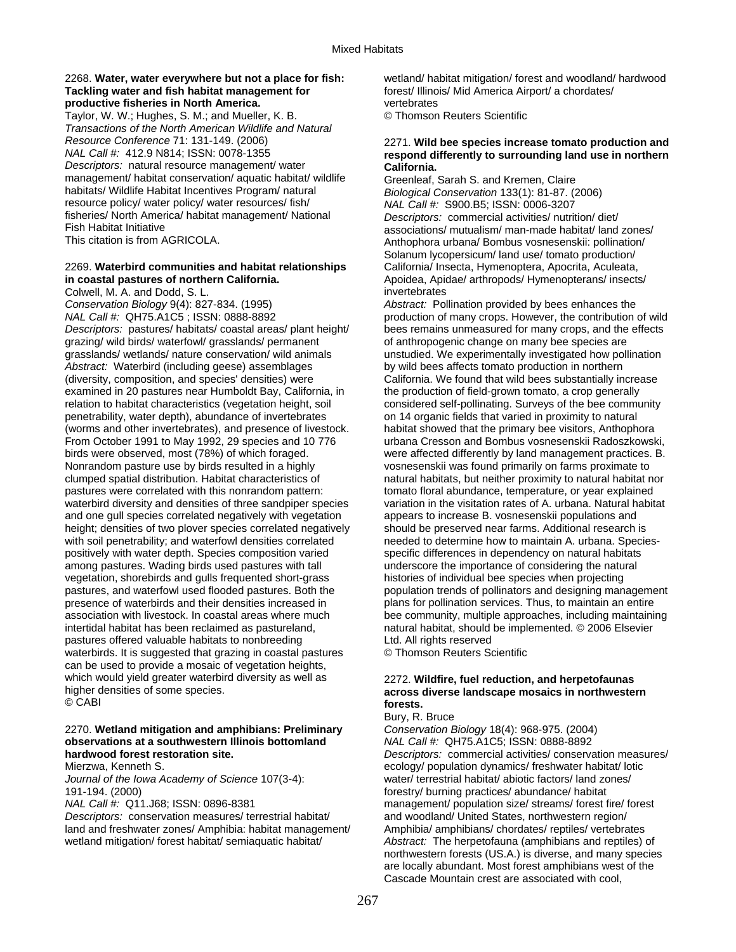## 2268. **Water, water everywhere but not a place for fish:** wetland/ habitat mitigation/ forest and woodland/ hardwood **Tackling water and fish habitat management for** forest/ Illinois/ Mid America Airport/ a chordates/

**productive fisheries in North America.**<br>
Taylor, W. W.; Hughes, S. M.; and Mueller, K. B. <br>
© Thomson Reuters Scientific Taylor, W. W.; Hughes, S. M.; and Mueller, K. B. *Transactions of the North American Wildlife and Natural Resource Conference* 71: 131-149. (2006) 2271. **Wild bee species increase tomato production and Descriptors:** natural resource management/ water **California.** management/ habitat conservation/ aquatic habitat/ wildlife Greenleaf, Sarah S. and Kremen, Claire<br>habitats/ Wildlife Habitat Incentives Program/ natural Biological Conservation 133(1): 81-87 (2 habitats/ Wildlife Habitat Incentives Program/ natural *Biological Conservation* 133(1): 81-87. (2006) fisheries/ North America/ habitat management/ National *Descriptors:* commercial activities/ nutrition/ diet/

## 2269. **Waterbird communities and habitat relationships** California/ Insecta, Hymenoptera, Apocrita, Aculeata, **in coastal pastures of northern California. A** Apoidea, Apidae/ arthropods/ Hymenopterans/ insects/

Colwell, M. A. and Dodd, S. L. invertebrates *Conservation Biology* 9(4): 827-834. (1995) *Abstract:* Pollination provided by bees enhances the grazing/ wild birds/ waterfowl/ grasslands/ permanent of anthropogenic change on many bee species are grasslands/ wetlands/ nature conservation/ wild animals unstudied. We experimentally investigated how pollination Abstract: Waterbird (including geese) assemblages by wild bees affects tomato production in northern (diversity, composition, and species' densities) were California. We found that wild bees substantially in examined in 20 pastures near Humboldt Bay, California, in the production of field-grown tomato, a crop generally relation to habitat characteristics (vegetation height, soil considered self-pollinating. Surveys of the bee community penetrability, water depth), abundance of invertebrates on 14 organic fields that varied in proximity to natural<br>(worms and other invertebrates), and presence of livestock. | habitat showed that the primary bee visitors. A (worms and other invertebrates), and presence of livestock. Nonrandom pasture use by birds resulted in a highly vosnesenskii was found primarily on farms proximate to pastures were correlated with this nonrandom pattern: tomato floral abundance, temperature, or year explained and one gull species correlated negatively with vegetation appears to increase B. vosnesenskii populations and<br>
height; densities of two plover species correlated negatively should be preserved near farms. Additional resea height; densities of two plover species correlated negatively with soil penetrability; and waterfowl densities correlated positively with water depth. Species composition varied specific differences in dependency on natural habitats among pastures. Wading birds used pastures with tall underscore the importance of considering the natural vegetation, shorebirds and gulls frequented short-grass histories of individual bee species when projecting presence of waterbirds and their densities increased in plans for pollination services. Thus, to maintain an entire intertidal habitat has been reclaimed as pastureland, natural habitat, should be implemented. © 2006 Elsevier pastures offered valuable habitats to nonbreeding Ltd. All rights reserved waterbirds. It is suggested that grazing in coastal pastures **CO** Thomson Reuters Scientific can be used to provide a mosaic of vegetation heights, which would yield greater waterbird diversity as well as 2272. **Wildfire, fuel reduction, and herpetofaunas**<br> **across diverse landscape mosaics in northwester** higher densities of some species. **across diverse landscape mosaics in northwestern**  © CABI **forests.** 

## 2270. **Wetland mitigation and amphibians: Preliminary** *Conservation Biology* 18(4): 968-975. (2004) **observations at a southwestern Illinois bottomland** *NAL Call #:* QH75.A1C5; ISSN: 0888-8892

*Descriptors:* conservation measures/ terrestrial habitat/ and woodland/ United States, northwestern region/ land and freshwater zones/ Amphibia: habitat management/ Amphibia/ amphibians/ chordates/ reptiles/ vertebrates wetland mitigation/ forest habitat/ semiaquatic habitat/ *Abstract:* The herpetofauna (amphibians and reptiles) of

# respond differently to surrounding land use in northern

NAL Call #: S900.B5; ISSN: 0006-3207 Fish Habitat Initiative and The Communism of the associations/ mutualism/ man-made habitat/ land zones/<br>4-Application Stration is from AGRICOLA. Anthono Applications are applications of Applications in Applications Anthophora urbana/ Bombus vosnesenskii: pollination/ Solanum lycopersicum/ land use/ tomato production/

production of many crops. However, the contribution of wild *Descriptors:* pastures/ habitats/ coastal areas/ plant height/ bees remains unmeasured for many crops, and the effects California. We found that wild bees substantially increase From October 1991 to May 1992, 29 species and 10 776 urbana Cresson and Bombus vosnesenskii Radoszkowski, birds were observed, most (78%) of which foraged. were affected differently by land management practices. B. clumped spatial distribution. Habitat characteristics of natural habitats, but neither proximity to natural habitat nor waterbird diversity and densities of three sandpiper species variation in the visitation rates of A. urbana. Natural habitat needed to determine how to maintain A. urbana. Speciespastures, and waterfowl used flooded pastures. Both the population trends of pollinators and designing management association with livestock. In coastal areas where much bee community, multiple approaches, including maintaining

Bury, R. Bruce

**hardwood forest restoration site.** *Descriptors:* commercial activities/ conservation measures/ Mierzwa, Kenneth S. ecology/ population dynamics/ freshwater habitat/ lotic *Journal of the Iowa Academy of Science* 107(3-4): water/ terrestrial habitat/ abiotic factors/ land zones/ 191-194. (2000) forestry/ burning practices/ abundance/ habitat *NAL Call #:* Q11.J68; ISSN: 0896-8381 management/ population size/ streams/ forest fire/ forest northwestern forests (US.A.) is diverse, and many species are locally abundant. Most forest amphibians west of the Cascade Mountain crest are associated with cool,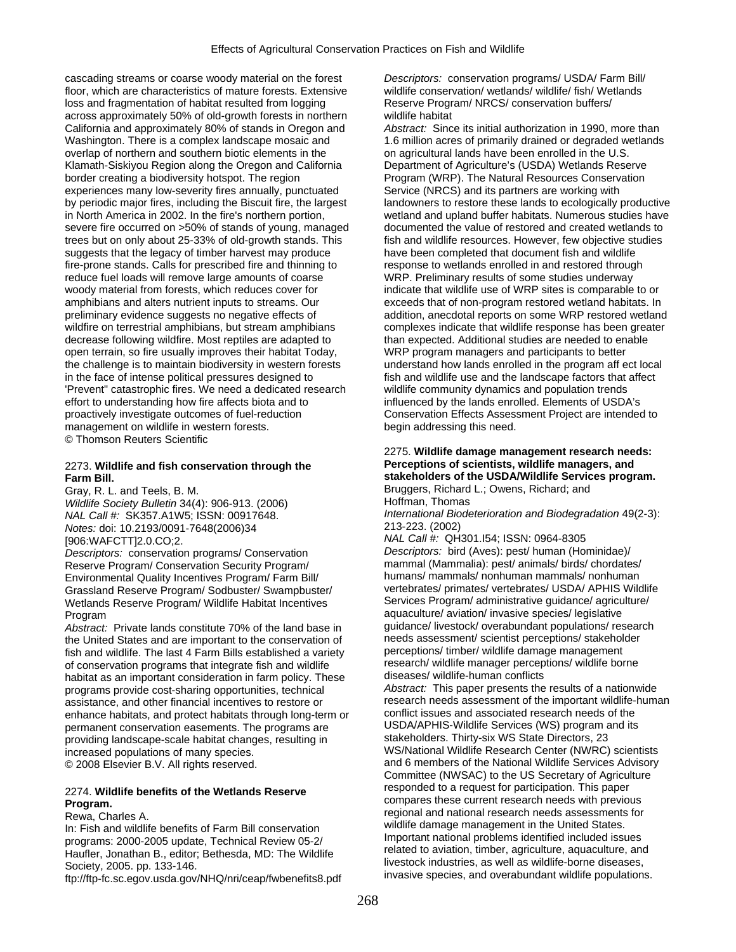cascading streams or coarse woody material on the forest *Descriptors:* conservation programs/ USDA/ Farm Bill/ floor, which are characteristics of mature forests. Extensive wildlife conservation/ wetlands/ wildlife/ fish/ Wetlands loss and fragmentation of habitat resulted from logging Reserve Program/ NRCS/ conservation buffers/ across approximately 50% of old-growth forests in northern wildlife habitat California and approximately 80% of stands in Oregon and *Abstract:* Since its initial authorization in 1990, more than Washington. There is a complex landscape mosaic and 1.6 million acres of primarily drained or degraded wetlands overlap of northern and southern biotic elements in the on agricultural lands have been enrolled in the U.S.<br>Klamath-Siskiyou Region along the Oregon and California Department of Agriculture's (USDA) Wetlands Rese Klamath-Siskiyou Region along the Oregon and California Department of Agriculture's (USDA) Wetlands Reserve<br>
Department of Agriculture's (USDA) Wetlands Reserve<br>
Program (WRP). The Natural Resources Conservation experiences many low-severity fires annually, punctuated Service (NRCS) and its partners are working with by periodic major fires, including the Biscuit fire, the largest landowners to restore these lands to ecologically productive in North America in 2002. In the fire's northern portion, wetland and upland buffer habitats. Numerous studies have severe fire occurred on >50% of stands of young, managed documented the value of restored and created wetlands to trees but on only about 25-33% of old-growth stands. This fish and wildlife resources. However, few objective studies suggests that the legacy of timber harvest may produce have been completed that document fish and wildlife fire-prone stands. Calls for prescribed fire and thinning to response to wetlands enrolled in and restored through reduce fuel loads will remove large amounts of coarse WRP. Preliminary results of some studies underway<br>woody material from forests, which reduces cover for indicate that wildlife use of WRP sites is comparable amphibians and alters nutrient inputs to streams. Our exceeds that of non-program restored wetland habitats. In preliminary evidence suggests no negative effects of addition, anecdotal reports on some WRP restored wetland wildfire on terrestrial amphibians, but stream amphibians complexes indicate that wildlife response has been greater decrease following wildfire. Most reptiles are adapted to than expected. Additional studies are needed to enable open terrain, so fire usually improves their habitat Today, WRP program managers and participants to better the challenge is to maintain biodiversity in western forests understand how lands enrolled in the program aff ect local in the face of intense political pressures designed to fish and wildlife use and the landscape factors that affect 'Prevent" catastrophic fires. We need a dedicated research wildlife community dynamics and population trends effort to understanding how fire affects biota and to influenced by the lands enrolled. Elements of USDA's proactively investigate outcomes of fuel-reduction Conservation Effects Assessment Project are intended to management on wildlife in western forests. **begin addressing this need.** © Thomson Reuters Scientific

Gray, R. L. and Teels, B. M. Sand Teels, B. M. Sand L. Bruggers, Richard L.; Owens, Richard; and Uniditie Society Bulletin 34(4): 906-913 (2006) The Hoffman, Thomas *Wildlife Society Bulletin* 34(4): 906-913. (2006)<br>*NAL Call #: SK357.A1W5; ISSN: 00917648. Notes: doi: 10.2193/0091-7648(2006)34* 

*Descriptors:* conservation programs/ Conservation *Descriptors:* bird (Aves): pest/ human (Hominidae)/ Reserve Program/ Conservation Security Program/ mammal (Mammalia): pest/ animals/ birds/ chordates/<br>Environmental Quality Incentives Program/ Farm Bill/ humans/ mammals/ nonhuman mammals/ nonhuman Environmental Quality Incentives Program/ Farm Bill/ Wetlands Reserve Program/ Wildlife Habitat Incentives Services Program/ administrative guidance/ agriculture/

*Abstract:* Private lands constitute 70% of the land base in guidance/ livestock/ overabundant populations/ resear<br>the United States and are important to the conservation of needs assessment/ scientist perceptions/ stakeho the United States and are important to the conservation of needs assessment/ scientist perceptions/ stakehold<br>tish and wildlife. The last 4 Farm Bills established a variety perceptions/ timber/ wildlife damage management fish and wildlife. The last 4 Farm Bills established a variety perceptions/ timber/ wildlife damage management<br>of conservation programs that integrate fish and wildlife **programs** research/ wildlife manager perceptions/ wi of conservation programs that integrate fish and wildlife research/ wildlife manager percep<br>habitat as an important consideration in farm policy. These diseases/ wildlife-human conflicts habitat as an important consideration in farm policy. These diseases/ wildlife-human conflicts<br>programs provide cost-sharing opportunities, technical and abstract: This paper presents the results of a nationwide assistance, and other financial incentives to restore or research needs assessment of the important wildlife-<br>enhance habitats, and protect habitats through long-term or conflict issues and associated research needs of the enhance habitats, and protect habitats through long-term or conflict issues and associated research needs of the<br>Dermanent conservation easements. The programs are COSDA/APHIS-Wildlife Services (WS) program and its permanent conservation easements. The programs are **USDA/APHIS-Wildlife Services (WS) program** and its program and its program and its program and its program and its program and its program and its program its providing l providing landscape-scale habitat changes, resulting in increased populations of many species. © 2008 Elsevier B.V. All rights reserved. And S. and 6 members of the National Wildlife Services Advisory

Program (WRP). The Natural Resources Conservation indicate that wildlife use of WRP sites is comparable to or

## 2275. **Wildlife damage management research needs:**  2273. **Wildlife and fish conservation through the Perceptions of scientists, wildlife managers, and Farm Bill. stakeholders of the USDA/Wildlife Services program.**

*International Biodeterioration and Biodegradation* 49(2-3):<br>213-223. (2002)

[906:WAFCTT]2.0.CO;2. *NAL Call #:* QH301.I54; ISSN: 0964-8305 Grassland Reserve Program/ Sodbuster/ Swampbuster/ vertebrates/ primates/ vertebrates/ USDA/ APHIS Wildlife Program<br>Abstract: Private lands constitute 70% of the land base in quidance/ livestock/ overabundant populations/ research

programs provide cost-sharing opportunities, technical *Abstract:* This paper presents the results of a nationwide WS/National Wildlife Research Center (NWRC) scientists Committee (NWSAC) to the US Secretary of Agriculture responded to a request for participation. This paper 2274. **Wildlife benefits of the Wetlands Reserve Program.**<br>
Rewa, Charles A.<br>
Rewa, Charles A.<br>
In: Fish and wildlife benefits of Farm Bill conservation<br>
In: Fish and wildlife damage management in the United States.<br>
Important national problems identified included issue programs: 2000-2005 update, Technical Review 05-2/<br>
Haufler, Jonathan B., editor; Bethesda, MD: The Wildlife entergy and related to aviation, timber, agriculture, aquaculture, and<br>
Society, 2005. pp. 133-146.<br>
ftp://ftp-fc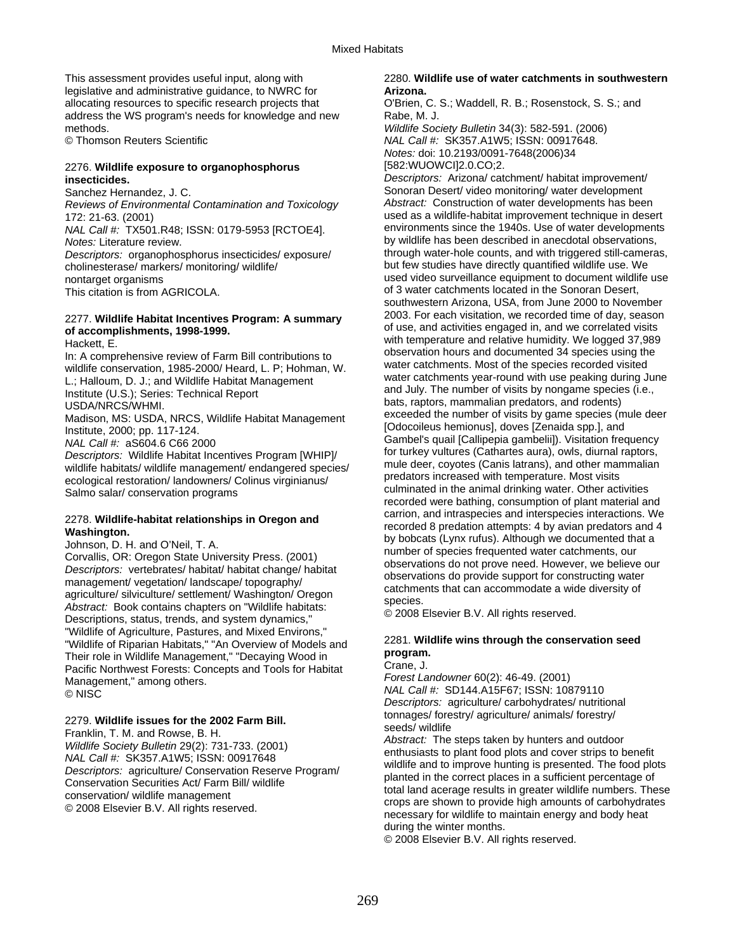This assessment provides useful input, along with 2280. **Wildlife use of water catchments in southwestern**  legislative and administrative guidance, to NWRC for **Arizona.**  allocating resources to specific research projects that O'Brien, C. S.; Waddell, R. B.; Rosenstock, S. S.; and address the WS program's needs for knowledge and new Rabe, M. J. address the WS program's needs for knowledge and new methods. *Wildlife Society Bulletin* 34(3): 582-591. (2006)

## 2276. Wildlife exposure to organophosphorus

*Reviews of Environmental Contamination and Toxicology*<br>172: 21-63. (2001)

*NAL Call #:* TX501.R48; ISSN: 0179-5953 [RCTOE4].

cholinesterase/ markers/ monitoring/ wildlife/ but few studies have directly quantified wildlife use. We

"Wildlife of Agriculture, Pastures, and Mixed Environs,"<br>"Wildlife of Riparian Habitats," "An Overview of Models and **2281. Wildlife wins through the conservation seed**<br>Their rele in Wildlife Management " "Decaving Wood in Their role in Wildlife Management," "Decaying Wood in **program.**  Pacific Northwest Forests: Concepts and Tools for Habitat Management," among others.<br> **Forest Landowner 60(2): 46-49. (2001)**<br>
© NISC *FOREST FOREST FOREST FOREST FORESTION: 108* 

© Thomson Reuters Scientific *NAL Call #:* SK357.A1W5; ISSN: 00917648. *Notes:* doi: 10.2193/0091-7648(2006)34

**insecticides.**<br> *Descriptors:* **Arizona/ catchment/ habitat improvement/<br>
<b>Sanchez Hernandez, J. C.**<br> *Descriptors:* **Arizona/ catchment/ habitat improvement/<br>
<b>Sonoran Desert/ video monitoring/ water development** Sonoran Desert/ video monitoring/ water development<br>Abstract: Construction of water developments has been used as a wildlife-habitat improvement technique in desert environments since the 1940s. Use of water developments *Notes:* Literature review. **by wildlife has been described in anecdotal observations,** *Descriptors:* organophosphorus insecticides/ exposure/ through water-hole counts, and with triggered still-cameras, nontarget organisms were made in the matrix of the used video surveillance equipment to document wildlife use This citation is from AGRICOLA. **only and Solution 1.** Of 3 water catchments located in the Sonoran Desert, southwestern Arizona, USA, from June 2000 to November 2003. For each visitation, we recorded time of day, season<br> **of accomplishments, 1998-1999.**<br>
Hackett, E.<br>
In: A comprehensive review of Farm Bill contributions to<br>
with temperature and relative humidity. We logged 37,989<br> Madison, MS: USDA, NRCS, Wildlife Habitat Management exceeded the number of visits by game species (mule deer<br>Inetitute, 2000: pp. 117-124 Institute, 2000; pp. 117-124.<br>
MAL Call #: aS604.6 C66 2000<br>
Descriptors: Wildlife Habitat Incentives Program [WHIP]/ **For turkey vultures (Cathartes aura)**, owls, diurnal raptors, wildlife habitats/ wildlife management/ endangered species/<br>ecological restoration/ landowners/ Colinus virginianus/<br>Salmo salar/ conservation programs<br>Salmo salar/ conservation programs<br>ecorded were bathing, consumption o 2278. Wildlife-habitat relationships in Oregon and<br>
Washington.<br>
Unhason, D. H. and O'Neil, T. A.<br>
Corvallis, OR: Oregon State University Press. (2001)<br>
Descriptors: vertebrates/ habitat/ habitat change/ habitat<br>
managemen

© NISC *NAL Call #:* SD144.A15F67; ISSN: 10879110 *Descriptors:* agriculture/ carbohydrates/ nutritional

2279. **Wildlife issues for the 2002 Farm Bill.** tonnages/ forestry/ agriculture/ animals/ forestry/<br>
Franklin, T. M. and Rowse, B. H.<br>
Wildlife Society Bulletin 29(2): 731-733. (2001)<br>
NAL Call #: SK357.A1W5; ISSN: 0091764 during the winter months.

© 2008 Elsevier B.V. All rights reserved.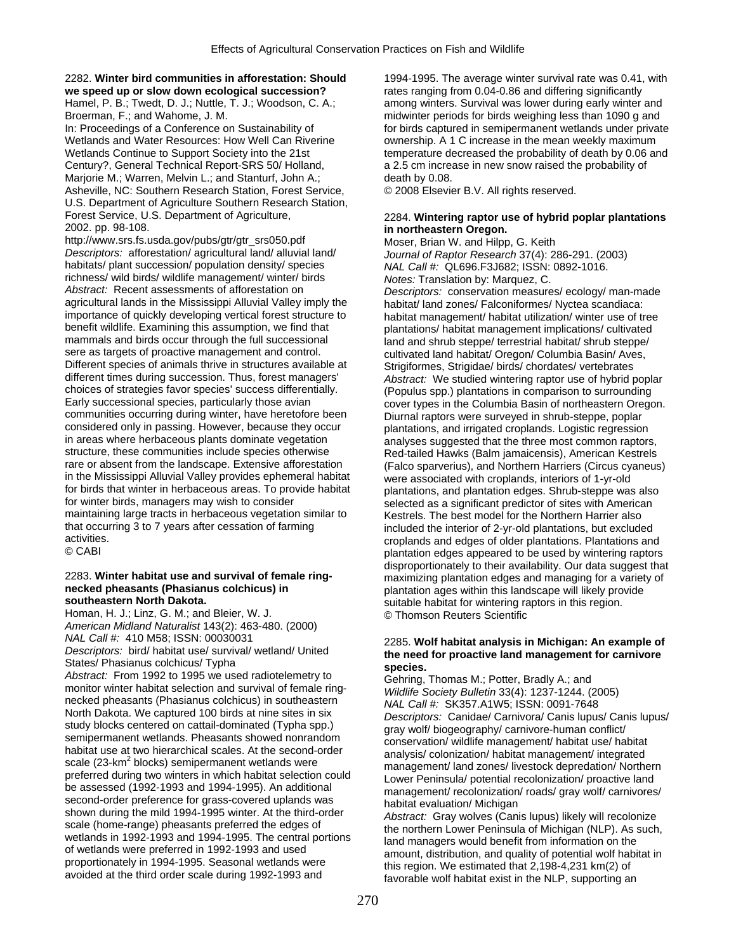we speed up or slow down ecological succession? rates ranging from 0.04-0.86 and differing significantly Hamel, P. B.; Twedt, D. J.; Nuttle, T. J.; Woodson, C. A.; among winters. Survival was lower during early winter and

Wetlands and Water Resources: How Well Can Riverine ownership. A 1 C increase in the mean weekly maximum Century?, General Technical Report-SRS 50/ Holland, a 2.5 cm increase in new snow raised the probability of Marjorie M.; Warren, Melvin L.; and Stanturf, John A.; death by 0.08. Asheville, NC: Southern Research Station, Forest Service, © 2008 Elsevier B.V. All rights reserved. U.S. Department of Agriculture Southern Research Station,

http://www.srs.fs.usda.gov/pubs/gtr/gtr\_srs050.pdf Moser, Brian W. and Hilpp, G. Keith *Descriptors:* afforestation/ agricultural land/ alluvial land/ *Journal of Raptor Research* 37(4): 286-291. (2003) habitats/ plant succession/ population density/ species *NAL Call #:* QL696.F3J682; ISSN: 0892-1016. richness/ wild birds/ wildlife management/ winter/ birds *Notes:* Translation by: Marquez, C.<br> *Abstract:* Recent assessments of afforestation on *Descriptors:* conservation measure *Abstract:* Recent assessments of afforestation on *Descriptors:* conservation measures/ ecology/ man-made agricultural lands in the Mississippi Alluvial Valley imply the habitat/ land zones/ Falconiformes/ Nyctea scandiaca:<br>importance of quickly developing vertical forest structure to habitat management/ habitat utilization/ w importance of quickly developing vertical forest structure to habitat management/ habitat utilization/ winter use of tree<br>benefit wildlife. Examining this assumption, we find that here habitations/ habitat management impli benefit wildlife. Examining this assumption, we find that plantations/ habitat management implications/ cultivated<br>// plantations/ habitat management implications/ names is manimals manufations/ terrestrial habitat/ shrub mammals and birds occur through the full successional land and shrub steppe/ terrestrial habitat/ shrub steppe/<br>sere as targets of proactive management and control.<br>cultivated land habitat/ Oregon/ Columbia Basin/ Aves. Different species of animals thrive in structures available at Strigiformes, Strigidae/ birds/ chordates/ vertebrates different times during succession. Thus, forest managers' *Abstract:* We studied wintering raptor use of hybrid poplar<br>
choices of strategies favor species' success differentially. (Populus spp.) plantations in comparison choices of strategies favor species' success differentially. (Populus spp.) plantations in comparison to surrounding communities occurring during winter, have heretofore been Diurnal raptors were surveyed in shrub-steppe, poplar<br>
considered only in passing. However, because they occur<br>
olantations, and irrigated croplands. I ogistic regr considered only in passing. However, because they occur plantations, and irrigated croplands. Logistic regression<br>in areas where herbaceous plants dominate vegetation analyses suggested that the three most common raptors in areas where herbaceous plants dominate vegetation analyses suggested that the three most common raptors,<br>structure, these communities include species otherwise Red-tailed Hawks (Balm jamaicensis) American Kestrels structure, these communities include species otherwise **Red-tailed Hawks (Balm jamaicensis)**, American Kestrels<br>Falco sparverius), and Northern Harriers (Circus cyaneus in the Mississippi Alluvial Valley provides ephemeral habitat were associated with croplands, interiors of 1-yr-old<br>for birds that winter in herbaceous areas. To provide habitat plantations and plantation edges. Shrub-step for birds that winter in herbaceous areas. To provide habitat plantations, and plantation edges. Shrub-steppe was also<br>for winter birds, managers may wish to consider steps are selected as a significant predictor of sites for winter birds, managers may wish to consider selected as a significant predictor of sites with American<br>The best model for the Northern Harrier also maintaining large tracts in herbaceous vegetation similar to Kestrels. The best model for the Northern Harrier also<br>that occurring 3 to 7 years after cessation of farming included the interior of 2-yr-old plantations, but that occurring 3 to 7 years after cessation of farming included the interior of 2-yr-old plantations, but excluded<br>croplands and edges of older plantations. Plantations and

# **necked pheasants (Phasianus colchicus) in plantation ages within this landscape will likely provide southeastern North Dakota.**<br> **plantation ages within this landscape will likely provide southeastern North Dakota.**

Homan, H. J.; Linz, G. M.; and Bleier, W. J. **Canadian Common Centers** Scientific *American Midland Naturalist* 143(2): 463-480. (2000) NAL Call #: 410 M58; ISSN: 00030031<br>
Descriptors: bird/ habitat use/ survival/ wetland/ United<br>
States/ Phasianus colchicus/ Typha<br>
Abstract: From 1992 to 1995 we used radiotelemetry to<br>
Abstract: From 1992 to 1995 we used semipermanent weitands. Prieasants showed nonrandom<br>habitat use at two hierarchical scales. At the second-order scale (23-km<sup>2</sup> blocks) semipermanent wetlands were<br>management/land zones/livestock depredation/Norther mabriat use at worder are active the second-order analysis/colonization/habitat management/integrated<br>
scale (23-km<sup>2</sup> blocks) semiperment weltands were<br>
preferred during two winters in which habitat selection could<br>
be as

2282. **Winter bird communities in afforestation: Should** 1994-1995. The average winter survival rate was 0.41, with Broerman, F.; and Wahome, J. M. midwinter periods for birds weighing less than 1090 g and In: Proceedings of a Conference on Sustainability of for birds captured in semipermanent wetlands under private Wetlands Continue to Support Society into the 21st temperature decreased the probability of death by 0.06 and

## Forest Service, U.S. Department of Agriculture, 2284. **Wintering raptor use of hybrid poplar plantations**  in northeastern Oregon.

cultivated land habitat/ Oregon/ Columbia Basin/ Aves, cover types in the Columbia Basin of northeastern Oregon. (Falco sparverius), and Northern Harriers (Circus cyaneus) activities.<br>
COCABI COCABI COCABI COCABI COCABI COCABI COCABI COCABI COCABI COCABI COCABI COCABI COCABI COCABI COCABI COCA<br>
COCABI COCABI COCABI COCABI COCABI COCABI COCABI COCABI COCABI COCABI COCABI COCABI COCABI COCABI plantation edges appeared to be used by wintering raptors disproportionately to their availability. Our data suggest that 2283. **Winter habitat use and survival of female ring-** maximizing plantation edges and managing for a variety of suitable habitat for wintering raptors in this region.